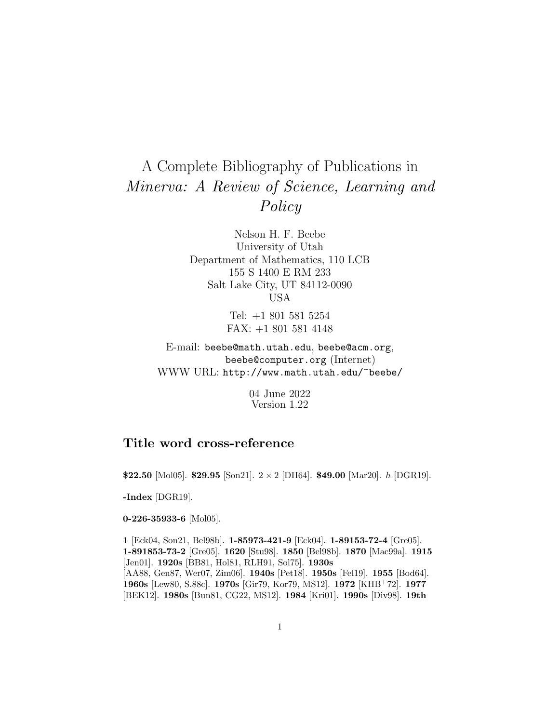## A Complete Bibliography of Publications in Minerva: A Review of Science, Learning and Policy

Nelson H. F. Beebe University of Utah Department of Mathematics, 110 LCB 155 S 1400 E RM 233 Salt Lake City, UT 84112-0090 USA

> Tel: +1 801 581 5254 FAX: +1 801 581 4148

E-mail: beebe@math.utah.edu, beebe@acm.org, beebe@computer.org (Internet) WWW URL: http://www.math.utah.edu/~beebe/

> 04 June 2022 Version 1.22

## **Title word cross-reference**

**\$22.50** [Mol05]. **\$29.95** [Son21]. 2 × 2 [DH64]. **\$49.00** [Mar20]. h [DGR19].

**-Index** [DGR19].

**0-226-35933-6** [Mol05].

**1** [Eck04, Son21, Bel98b]. **1-85973-421-9** [Eck04]. **1-89153-72-4** [Gre05]. **1-891853-73-2** [Gre05]. **1620** [Stu98]. **1850** [Bel98b]. **1870** [Mac99a]. **1915** [Jen01]. **1920s** [BB81, Hol81, RLH91, Sol75]. **1930s** [AA88, Gen87, Wer07, Zim06]. **1940s** [Pet18]. **1950s** [Fel19]. **1955** [Bod64]. **1960s** [Lew80, S.88c]. **1970s** [Gir79, Kor79, MS12]. **1972** [KHB<sup>+</sup>72]. **1977** [BEK12]. **1980s** [Bun81, CG22, MS12]. **1984** [Kri01]. **1990s** [Div98]. **19th**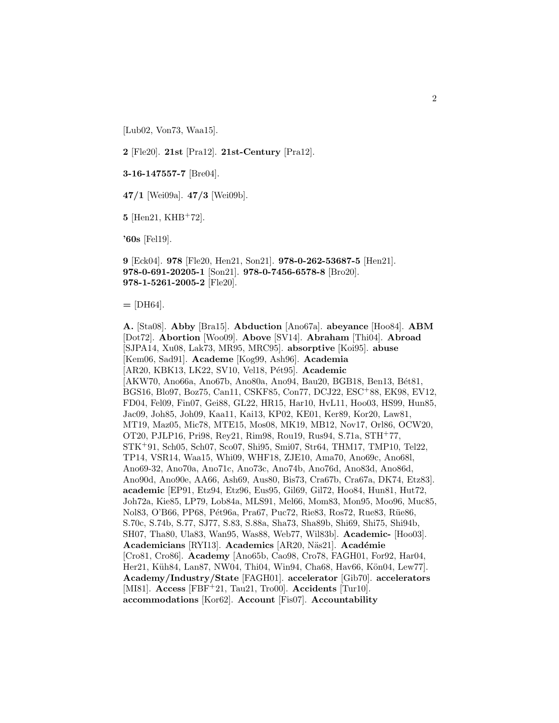[Lub02, Von73, Waa15].

**2** [Fle20]. **21st** [Pra12]. **21st-Century** [Pra12].

**3-16-147557-7** [Bre04].

**47/1** [Wei09a]. **47/3** [Wei09b].

**5** [Hen21, KHB<sup>+</sup>72].

**'60s** [Fel19].

**9** [Eck04]. **978** [Fle20, Hen21, Son21]. **978-0-262-53687-5** [Hen21]. **978-0-691-20205-1** [Son21]. **978-0-7456-6578-8** [Bro20]. **978-1-5261-2005-2** [Fle20].

**=** [DH64].

**A.** [Sta08]. **Abby** [Bra15]. **Abduction** [Ano67a]. **abeyance** [Hoo84]. **ABM** [Dot72]. **Abortion** [Woo09]. **Above** [SV14]. **Abraham** [Thi04]. **Abroad** [SJPA14, Xu08, Lak73, MR95, MRC95]. **absorptive** [Koi95]. **abuse** [Kem06, Sad91]. **Academe** [Kog99, Ash96]. **Academia** [AR20, KBK13, LK22, SV10, Vel18, P´et95]. **Academic** [AKW70, Ano66a, Ano67b, Ano80a, Ano94, Bau20, BGB18, Ben13, Bét81, BGS16, Blo97, Boz75, Can11, CSKF85, Con77, DCJ22, ESC<sup>+</sup>88, EK98, EV12, FD04, Fel09, Fin07, Gei88, GL22, HR15, Har10, HvL11, Hoo03, HS99, Hun85, Jac09, Joh85, Joh09, Kaa11, Kai13, KP02, KE01, Ker89, Kor20, Law81, MT19, Maz05, Mic78, MTE15, Mos08, MK19, MB12, Nov17, Orl86, OCW20, OT20, PJLP16, Pri98, Rey21, Rim98, Rou19, Rus94, S.71a, STH<sup>+</sup>77, STK<sup>+</sup>91, Sch05, Sch07, Sco07, Shi95, Smi07, Str64, THM17, TMP10, Tel22, TP14, VSR14, Waa15, Whi09, WHF18, ZJE10, Ama70, Ano69c, Ano68l, Ano69-32, Ano70a, Ano71c, Ano73c, Ano74b, Ano76d, Ano83d, Ano86d, Ano90d, Ano90e, AA66, Ash69, Aus80, Bis73, Cra67b, Cra67a, DK74, Etz83]. **academic** [EP91, Etz94, Etz96, Eus95, Gil69, Gil72, Hoo84, Hun81, Hut72, Joh72a, Kie85, LP79, Lob84a, MLS91, Mel66, Mom83, Mon95, Moo96, Muc85, Nol83, O'B66, PP68, Pét96a, Pra67, Puc72, Rie83, Ros72, Rue83, Rüe86, S.70c, S.74b, S.77, SJ77, S.83, S.88a, Sha73, Sha89b, Shi69, Shi75, Shi94b, SH07, Tha80, Ula83, Wan95, Was88, Web77, Wil83b]. **Academic-** [Hoo03]. **Academicians** [RYI13]. **Academics** [AR20, N¨as21]. **Acad´emie** [Cro81, Cro86]. **Academy** [Ano65b, Cao98, Cro78, FAGH01, For92, Har04, Her21, Küh84, Lan87, NW04, Thi04, Win94, Cha68, Hav66, Kön04, Lew77. **Academy/Industry/State** [FAGH01]. **accelerator** [Gib70]. **accelerators** [MI81]. **Access** [FBF<sup>+</sup>21, Tau21, Tro00]. **Accidents** [Tur10]. **accommodations** [Kor62]. **Account** [Fis07]. **Accountability**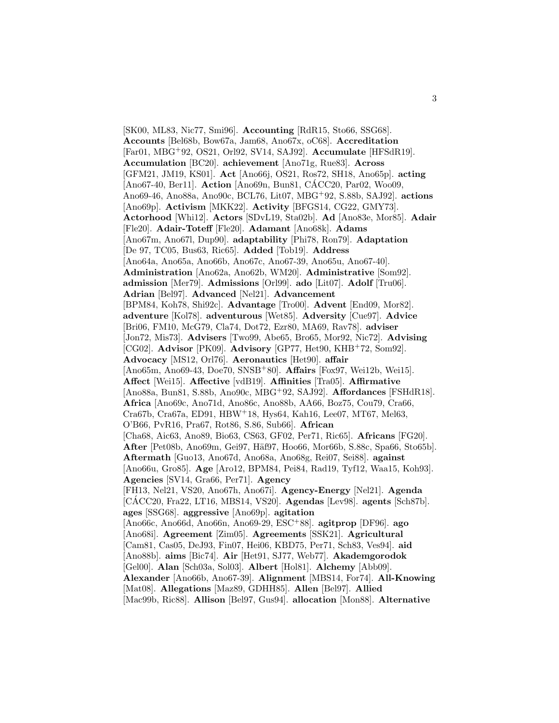[SK00, ML83, Nic77, Smi96]. **Accounting** [RdR15, Sto66, SSG68]. **Accounts** [Bel68b, Bow67a, Jam68, Ano67x, oC68]. **Accreditation** [Far01, MBG<sup>+</sup>92, OS21, Orl92, SV14, SAJ92]. **Accumulate** [HFSdR19]. **Accumulation** [BC20]. **achievement** [Ano71g, Rue83]. **Across** [GFM21, JM19, KS01]. **Act** [Ano66j, OS21, Ros72, SH18, Ano65p]. **acting** [Ano67-40, Ber11]. **Action** [Ano69n, Bun81, CACC20, Par02, Woo09, Ano69-46, Ano88a, Ano90c, BCL76, Lit07, MBG<sup>+</sup>92, S.88b, SAJ92]. **actions** [Ano69p]. **Activism** [MKK22]. **Activity** [BFGS14, CG22, GMY73]. **Actorhood** [Whi12]. **Actors** [SDvL19, Sta02b]. **Ad** [Ano83e, Mor85]. **Adair** [Fle20]. **Adair-Toteff** [Fle20]. **Adamant** [Ano68k]. **Adams** [Ano67m, Ano67l, Dup90]. **adaptability** [Phi78, Ron79]. **Adaptation** [De 97, TC05, Bus63, Ric65]. **Added** [Tob19]. **Address** [Ano64a, Ano65a, Ano66b, Ano67c, Ano67-39, Ano65u, Ano67-40]. **Administration** [Ano62a, Ano62b, WM20]. **Administrative** [Som92]. **admission** [Mer79]. **Admissions** [Orl99]. **ado** [Lit07]. **Adolf** [Tru06]. **Adrian** [Bel97]. **Advanced** [Nel21]. **Advancement** [BPM84, Koh78, Shi92c]. **Advantage** [Tro00]. **Advent** [End09, Mor82]. **adventure** [Kol78]. **adventurous** [Wet85]. **Adversity** [Cue97]. **Advice** [Bri06, FM10, McG79, Cla74, Dot72, Ezr80, MA69, Rav78]. **adviser** [Jon72, Mis73]. **Advisers** [Two99, Abe65, Bro65, Mor92, Nic72]. **Advising** [CG02]. **Advisor** [PK09]. **Advisory** [GP77, Het90, KHB<sup>+</sup>72, Som92]. **Advocacy** [MS12, Orl76]. **Aeronautics** [Het90]. **affair** [Ano65m, Ano69-43, Doe70, SNSB<sup>+</sup>80]. **Affairs** [Fox97, Wei12b, Wei15]. **Affect** [Wei15]. **Affective** [vdB19]. **Affinities** [Tra05]. **Affirmative** [Ano88a, Bun81, S.88b, Ano90c, MBG<sup>+</sup>92, SAJ92]. **Affordances** [FSHdR18]. **Africa** [Ano69c, Ano71d, Ano86c, Ano88b, AA66, Boz75, Cou79, Cra66, Cra67b, Cra67a, ED91, HBW<sup>+</sup>18, Hys64, Kah16, Lee07, MT67, Mel63, O'B66, PvR16, Pra67, Rot86, S.86, Sub66]. **African** [Cha68, Aic63, Ano89, Bio63, CS63, GF02, Per71, Ric65]. **Africans** [FG20]. After [Pet08b, Ano69m, Gei97, Häf97, Hoo66, Mor66b, S.88c, Spa66, Sto65b]. **Aftermath** [Guo13, Ano67d, Ano68a, Ano68g, Rei07, Sei88]. **against** [Ano66u, Gro85]. **Age** [Aro12, BPM84, Pei84, Rad19, Tyf12, Waa15, Koh93]. **Agencies** [SV14, Gra66, Per71]. **Agency** [FH13, Nel21, VS20, Ano67h, Ano67i]. **Agency-Energy** [Nel21]. **Agenda** [CÁCC20, Fra22, LT16, MBS14, VS20]. **Agendas** [Lev98]. **agents** [Sch87b]. **ages** [SSG68]. **aggressive** [Ano69p]. **agitation** [Ano66c, Ano66d, Ano66n, Ano69-29, ESC<sup>+</sup>88]. **agitprop** [DF96]. **ago** [Ano68i]. **Agreement** [Zim05]. **Agreements** [SSK21]. **Agricultural** [Cam81, Cas05, DeJ93, Fin07, Hei06, KBD75, Per71, Sch83, Ves94]. **aid** [Ano88b]. **aims** [Bic74]. **Air** [Het91, SJ77, Web77]. **Akademgorodok** [Gel00]. **Alan** [Sch03a, Sol03]. **Albert** [Hol81]. **Alchemy** [Abb09]. **Alexander** [Ano66b, Ano67-39]. **Alignment** [MBS14, For74]. **All-Knowing** [Mat08]. **Allegations** [Maz89, GDHH85]. **Allen** [Bel97]. **Allied** [Mac99b, Ric88]. **Allison** [Bel97, Gus94]. **allocation** [Mon88]. **Alternative**

3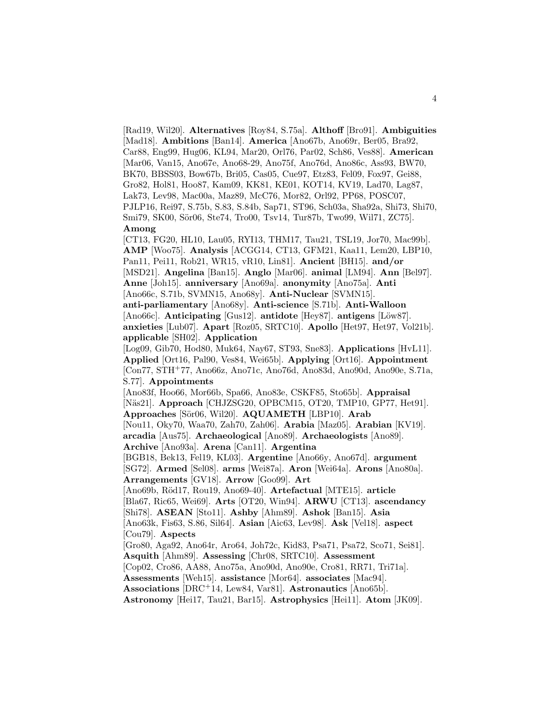[Rad19, Wil20]. **Alternatives** [Roy84, S.75a]. **Althoff** [Bro91]. **Ambiguities** [Mad18]. **Ambitions** [Ban14]. **America** [Ano67b, Ano69r, Ber05, Bra92, Car88, Eng99, Hug06, KL94, Mar20, Orl76, Par02, Sch86, Ves88]. **American** [Mar06, Van15, Ano67e, Ano68-29, Ano75f, Ano76d, Ano86c, Ass93, BW70, BK70, BBSS03, Bow67b, Bri05, Cas05, Cue97, Etz83, Fel09, Fox97, Gei88, Gro82, Hol81, Hoo87, Kam09, KK81, KE01, KOT14, KV19, Lad70, Lag87, Lak73, Lev98, Mac00a, Maz89, McC76, Mor82, Orl92, PP68, POSC07, PJLP16, Rei97, S.75b, S.83, S.84b, Sap71, ST96, Sch03a, Sha92a, Shi73, Shi70, Smi79, SK00, Sör06, Ste74, Tro00, Tsv14, Tur87b, Two99, Wil71, ZC75]. **Among**

[CT13, FG20, HL10, Lau05, RYI13, THM17, Tau21, TSL19, Jor70, Mac99b]. **AMP** [Woo75]. **Analysis** [ACGG14, CT13, GFM21, Kaa11, Lem20, LBP10, Pan11, Pei11, Rob21, WR15, vR10, Lin81]. **Ancient** [BH15]. **and/or** [MSD21]. **Angelina** [Ban15]. **Anglo** [Mar06]. **animal** [LM94]. **Ann** [Bel97]. **Anne** [Joh15]. **anniversary** [Ano69a]. **anonymity** [Ano75a]. **Anti** [Ano66c, S.71b, SVMN15, Ano68y]. **Anti-Nuclear** [SVMN15]. **anti-parliamentary** [Ano68y]. **Anti-science** [S.71b]. **Anti-Walloon** [Ano66c]. **Anticipating** [Gus12]. **antidote** [Hey87]. **antigens** [Löw87]. **anxieties** [Lub07]. **Apart** [Roz05, SRTC10]. **Apollo** [Het97, Het97, Vol21b]. **applicable** [SH02]. **Application**

[Log09, Gib70, Hod80, Muk64, Nay67, ST93, Sne83]. **Applications** [HvL11]. **Applied** [Ort16, Pal90, Ves84, Wei65b]. **Applying** [Ort16]. **Appointment** [Con77, STH<sup>+</sup>77, Ano66z, Ano71c, Ano76d, Ano83d, Ano90d, Ano90e, S.71a, S.77]. **Appointments**

[Ano83f, Hoo66, Mor66b, Spa66, Ano83e, CSKF85, Sto65b]. **Appraisal** [Näs21]. **Approach** [CHJZSG20, OPBCM15, OT20, TMP10, GP77, Het91]. **Approaches** [S¨or06, Wil20]. **AQUAMETH** [LBP10]. **Arab**

[Nou11, Oky70, Waa70, Zah70, Zah06]. **Arabia** [Maz05]. **Arabian** [KV19]. **arcadia** [Aus75]. **Archaeological** [Ano89]. **Archaeologists** [Ano89]. **Archive** [Ano93a]. **Arena** [Can11]. **Argentina**

[BGB18, Bek13, Fel19, KL03]. **Argentine** [Ano66y, Ano67d]. **argument** [SG72]. **Armed** [Sel08]. **arms** [Wei87a]. **Aron** [Wei64a]. **Arons** [Ano80a].

**Arrangements** [GV18]. **Arrow** [Goo99]. **Art**

[Ano69b, R¨od17, Rou19, Ano69-40]. **Artefactual** [MTE15]. **article**

[Bla67, Ric65, Wei69]. **Arts** [OT20, Win94]. **ARWU** [CT13]. **ascendancy**

[Shi78]. **ASEAN** [Sto11]. **Ashby** [Ahm89]. **Ashok** [Ban15]. **Asia**

[Ano63k, Fis63, S.86, Sil64]. **Asian** [Aic63, Lev98]. **Ask** [Vel18]. **aspect** [Cou79]. **Aspects**

[Gro80, Aga92, Ano64r, Aro64, Joh72c, Kid83, Psa71, Psa72, Sco71, Sei81]. **Asquith** [Ahm89]. **Assessing** [Chr08, SRTC10]. **Assessment**

[Cop02, Cro86, AA88, Ano75a, Ano90d, Ano90e, Cro81, RR71, Tri71a].

**Assessments** [Weh15]. **assistance** [Mor64]. **associates** [Mac94].

**Associations** [DRC<sup>+</sup>14, Lew84, Var81]. **Astronautics** [Ano65b].

**Astronomy** [Hei17, Tau21, Bar15]. **Astrophysics** [Hei11]. **Atom** [JK09].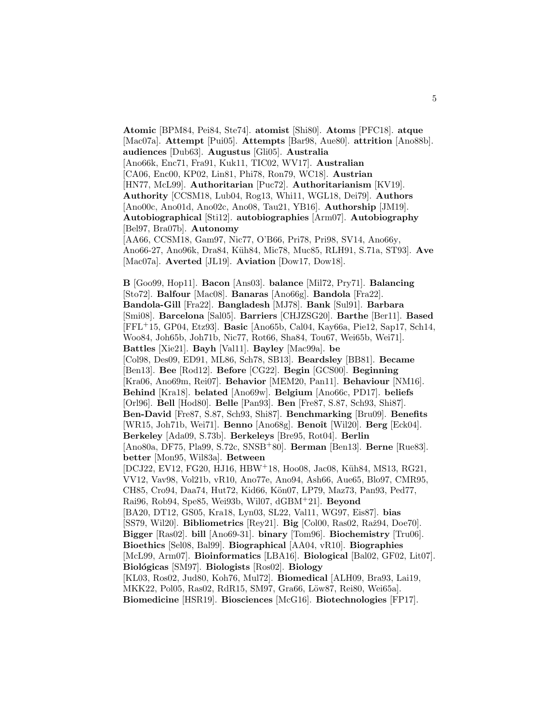**Atomic** [BPM84, Pei84, Ste74]. **atomist** [Shi80]. **Atoms** [PFC18]. **atque** [Mac07a]. **Attempt** [Pui05]. **Attempts** [Bar98, Aue80]. **attrition** [Ano88b]. **audiences** [Dub63]. **Augustus** [Gli05]. **Australia** [Ano66k, Enc71, Fra91, Kuk11, TIC02, WV17]. **Australian** [CA06, Enc00, KP02, Lin81, Phi78, Ron79, WC18]. **Austrian** [HN77, McL99]. **Authoritarian** [Puc72]. **Authoritarianism** [KV19]. **Authority** [CCSM18, Lub04, Rog13, Whi11, WGL18, Dei79]. **Authors** [Ano00c, Ano01d, Ano02c, Ano08, Tau21, YB16]. **Authorship** [JM19]. **Autobiographical** [Sti12]. **autobiographies** [Arm07]. **Autobiography** [Bel97, Bra07b]. **Autonomy** [AA66, CCSM18, Gam97, Nic77, O'B66, Pri78, Pri98, SV14, Ano66y,

Ano66-27, Ano96k, Dra84, K¨uh84, Mic78, Muc85, RLH91, S.71a, ST93]. **Ave** [Mac07a]. **Averted** [JL19]. **Aviation** [Dow17, Dow18].

**B** [Goo99, Hop11]. **Bacon** [Ans03]. **balance** [Mil72, Pry71]. **Balancing** [Sto72]. **Balfour** [Mac08]. **Banaras** [Ano66g]. **Bandola** [Fra22]. **Bandola-Gill** [Fra22]. **Bangladesh** [MJ78]. **Bank** [Sul91]. **Barbara** [Smi08]. **Barcelona** [Sal05]. **Barriers** [CHJZSG20]. **Barthe** [Ber11]. **Based** [FFL<sup>+</sup>15, GP04, Etz93]. **Basic** [Ano65b, Cal04, Kay66a, Pie12, Sap17, Sch14, Woo84, Joh65b, Joh71b, Nic77, Rot66, Sha84, Tou67, Wei65b, Wei71]. **Battles** [Xie21]. **Bayh** [Val11]. **Bayley** [Mac99a]. **be** [Col98, Des09, ED91, ML86, Sch78, SB13]. **Beardsley** [BB81]. **Became** [Ben13]. **Bee** [Rod12]. **Before** [CG22]. **Begin** [GCS00]. **Beginning** [Kra06, Ano69m, Rei07]. **Behavior** [MEM20, Pan11]. **Behaviour** [NM16]. **Behind** [Kra18]. **belated** [Ano69w]. **Belgium** [Ano66c, PD17]. **beliefs** [Orl96]. **Bell** [Hod80]. **Belle** [Pan93]. **Ben** [Fre87, S.87, Sch93, Shi87]. **Ben-David** [Fre87, S.87, Sch93, Shi87]. **Benchmarking** [Bru09]. **Benefits** [WR15, Joh71b, Wei71]. **Benno** [Ano68g]. **Benoˆıt** [Wil20]. **Berg** [Eck04]. **Berkeley** [Ada09, S.73b]. **Berkeleys** [Bre95, Rot04]. **Berlin** [Ano80a, DF75, Pla99, S.72c, SNSB<sup>+</sup>80]. **Berman** [Ben13]. **Berne** [Rue83]. **better** [Mon95, Wil83a]. **Between** [DCJ22, EV12, FG20, HJ16, HBW+18, Hoo08, Jac08, Küh84, MS13, RG21, VV12, Vav98, Vol21b, vR10, Ano77e, Ano94, Ash66, Aue65, Blo97, CMR95, CH85, Cro94, Daa74, Hut72, Kid66, Kön07, LP79, Maz73, Pan93, Ped77, Rai96, Rob94, Spe85, Wei93b, Wil07, dGBM<sup>+</sup>21]. **Beyond** [BA20, DT12, GS05, Kra18, Lyn03, SL22, Val11, WG97, Eis87]. **bias** [SS79, Wil20]. **Bibliometrics** [Rey21]. **Big** [Col00, Ras02, Raž94, Doe70]. **Bigger** [Ras02]. **bill** [Ano69-31]. **binary** [Tom96]. **Biochemistry** [Tru06]. **Bioethics** [Sel08, Bal99]. **Biographical** [AA04, vR10]. **Biographies** [McL99, Arm07]. **Bioinformatics** [LBA16]. **Biological** [Bal02, GF02, Lit07]. **Biol´ogicas** [SM97]. **Biologists** [Ros02]. **Biology** [KL03, Ros02, Jud80, Koh76, Mul72]. **Biomedical** [ALH09, Bra93, Lai19, MKK22, Pol05, Ras02, RdR15, SM97, Gra66, Löw87, Rei80, Wei65al. **Biomedicine** [HSR19]. **Biosciences** [McG16]. **Biotechnologies** [FP17].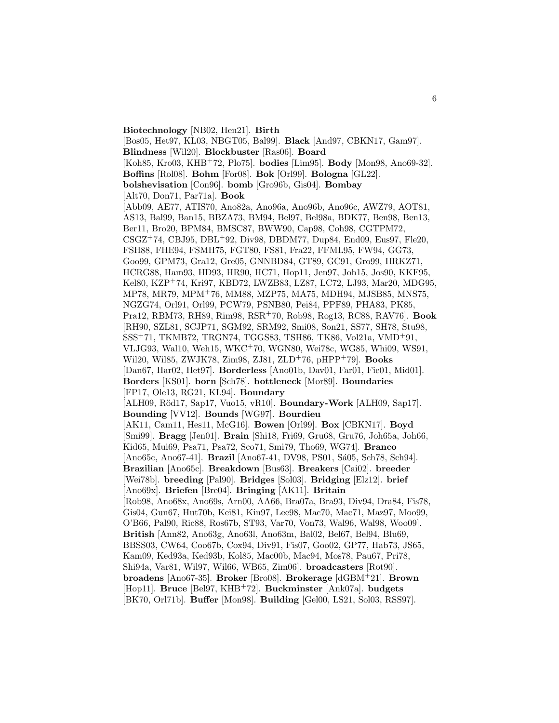**Biotechnology** [NB02, Hen21]. **Birth** [Bos05, Het97, KL03, NBGT05, Bal99]. **Black** [And97, CBKN17, Gam97]. **Blindness** [Wil20]. **Blockbuster** [Ras06]. **Board** [Koh85, Kro03, KHB<sup>+</sup>72, Plo75]. **bodies** [Lim95]. **Body** [Mon98, Ano69-32]. **Boffins** [Rol08]. **Bohm** [For08]. **Bok** [Orl99]. **Bologna** [GL22]. **bolshevisation** [Con96]. **bomb** [Gro96b, Gis04]. **Bombay** [Alt70, Don71, Par71a]. **Book** [Abb09, AE77, ATIS70, Ano82a, Ano96a, Ano96b, Ano96c, AWZ79, AOT81, AS13, Bal99, Ban15, BBZA73, BM94, Bel97, Bel98a, BDK77, Ben98, Ben13, Ber11, Bro20, BPM84, BMSC87, BWW90, Cap98, Coh98, CGTPM72, CSGZ<sup>+</sup>74, CBJ95, DBL<sup>+</sup>92, Div98, DBDM77, Dup84, End09, Eus97, Fle20, FSH88, FHE94, FSMH75, FGT80, FS81, Fra22, FFML95, FW94, GG73, Goo99, GPM73, Gra12, Gre05, GNNBD84, GT89, GC91, Gro99, HRKZ71, HCRG88, Ham93, HD93, HR90, HC71, Hop11, Jen97, Joh15, Jos90, KKF95, Kel80, KZP<sup>+</sup>74, Kri97, KBD72, LWZB83, LZ87, LC72, LJ93, Mar20, MDG95, MP78, MR79, MPM<sup>+</sup>76, MM88, MZP75, MA75, MDH94, MJSB85, MNS75, NGZG74, Orl91, Orl99, PCW79, PSNB80, Pei84, PPF89, PHA83, PK85, Pra12, RBM73, RH89, Rim98, RSR<sup>+</sup>70, Rob98, Rog13, RC88, RAV76]. **Book** [RH90, SZL81, SCJP71, SGM92, SRM92, Smi08, Son21, SS77, SH78, Stu98, SSS<sup>+</sup>71, TKMB72, TRGN74, TGGS83, TSH86, TK86, Vol21a, VMD<sup>+</sup>91, VLJG93, Wal10, Weh15, WKC<sup>+</sup>70, WGN80, Wei78c, WG85, Whi09, WS91, Wil20, Wil85, ZWJK78, Zim98, ZJ81, ZLD<sup>+</sup>76, pHPP<sup>+</sup>79]. **Books** [Dan67, Har02, Het97]. **Borderless** [Ano01b, Dav01, Far01, Fie01, Mid01]. **Borders** [KS01]. **born** [Sch78]. **bottleneck** [Mor89]. **Boundaries** [FP17, Ole13, RG21, KL94]. **Boundary** [ALH09, R¨od17, Sap17, Vuo15, vR10]. **Boundary-Work** [ALH09, Sap17]. **Bounding** [VV12]. **Bounds** [WG97]. **Bourdieu** [AK11, Cam11, Hes11, McG16]. **Bowen** [Orl99]. **Box** [CBKN17]. **Boyd** [Smi99]. **Bragg** [Jen01]. **Brain** [Shi18, Fri69, Gru68, Gru76, Joh65a, Joh66, Kid65, Mui69, Psa71, Psa72, Sco71, Smi79, Tho69, WG74]. **Branco** [Ano65c, Ano67-41]. **Brazil** [Ano67-41, DV98, PS01, Sá05, Sch78, Sch94]. **Brazilian** [Ano65c]. **Breakdown** [Bus63]. **Breakers** [Cai02]. **breeder** [Wei78b]. **breeding** [Pal90]. **Bridges** [Sol03]. **Bridging** [Elz12]. **brief** [Ano69x]. **Briefen** [Bre04]. **Bringing** [AK11]. **Britain** [Rob98, Ano68x, Ano69s, Arn00, AA66, Bra07a, Bra93, Div94, Dra84, Fis78, Gis04, Gun67, Hut70b, Kei81, Kin97, Lee98, Mac70, Mac71, Maz97, Moo99, O'B66, Pal90, Ric88, Ros67b, ST93, Var70, Von73, Wal96, Wal98, Woo09]. **British** [Ann82, Ano63g, Ano63l, Ano63m, Bal02, Bel67, Bel94, Blu69, BBSS03, CW64, Coo67b, Cox94, Div91, Fis07, Goo02, GP77, Hab73, JS65, Kam09, Ked93a, Ked93b, Kol85, Mac00b, Mac94, Mos78, Pau67, Pri78, Shi94a, Var81, Wil97, Wil66, WB65, Zim06]. **broadcasters** [Rot90]. **broadens** [Ano67-35]. **Broker** [Bro08]. **Brokerage** [dGBM<sup>+</sup>21]. **Brown** [Hop11]. **Bruce** [Bel97, KHB<sup>+</sup>72]. **Buckminster** [Ank07a]. **budgets** [BK70, Orl71b]. **Buffer** [Mon98]. **Building** [Gel00, LS21, Sol03, RSS97].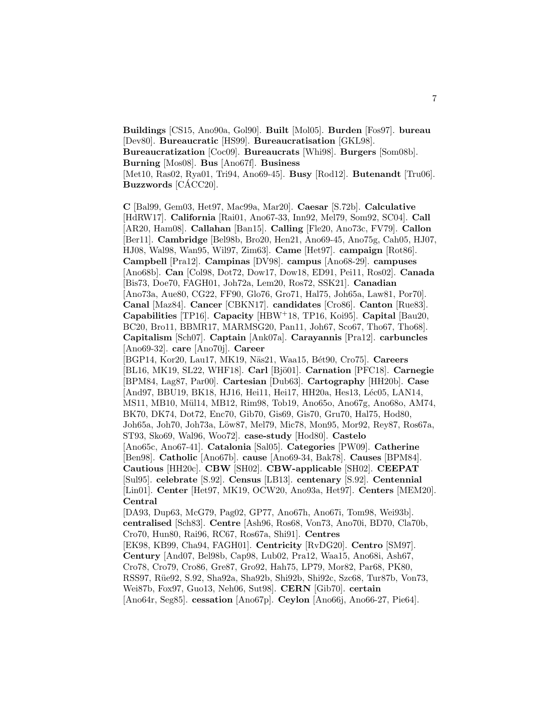**Buildings** [CS15, Ano90a, Gol90]. **Built** [Mol05]. **Burden** [Fos97]. **bureau** [Dev80]. **Bureaucratic** [HS99]. **Bureaucratisation** [GKL98]. **Bureaucratization** [Coc09]. **Bureaucrats** [Whi98]. **Burgers** [Som08b]. **Burning** [Mos08]. **Bus** [Ano67f]. **Business** [Met10, Ras02, Rya01, Tri94, Ano69-45]. **Busy** [Rod12]. **Butenandt** [Tru06]. **Buzzwords** [CÁCC20].

**C** [Bal99, Gem03, Het97, Mac99a, Mar20]. **Caesar** [S.72b]. **Calculative** [HdRW17]. **California** [Rai01, Ano67-33, Inn92, Mel79, Som92, SC04]. **Call** [AR20, Ham08]. **Callahan** [Ban15]. **Calling** [Fle20, Ano73c, FV79]. **Callon** [Ber11]. **Cambridge** [Bel98b, Bro20, Hen21, Ano69-45, Ano75g, Cah05, HJ07, HJ08, Wal98, Wan95, Wil97, Zim63]. **Came** [Het97]. **campaign** [Rot86]. **Campbell** [Pra12]. **Campinas** [DV98]. **campus** [Ano68-29]. **campuses** [Ano68b]. **Can** [Col98, Dot72, Dow17, Dow18, ED91, Pei11, Ros02]. **Canada** [Bis73, Doe70, FAGH01, Joh72a, Lem20, Ros72, SSK21]. **Canadian** [Ano73a, Aue80, CG22, FF90, Glo76, Gro71, Hal75, Joh65a, Law81, Por70]. **Canal** [Maz84]. **Cancer** [CBKN17]. **candidates** [Cro86]. **Canton** [Rue83]. **Capabilities** [TP16]. **Capacity** [HBW<sup>+</sup>18, TP16, Koi95]. **Capital** [Bau20, BC20, Bro11, BBMR17, MARMSG20, Pan11, Joh67, Sco67, Tho67, Tho68]. **Capitalism** [Sch07]. **Captain** [Ank07a]. **Carayannis** [Pra12]. **carbuncles** [Ano69-32]. **care** [Ano70j]. **Career** [BGP14, Kor20, Lau17, MK19, Näs21, Waa15, Bét90, Cro75]. **Careers** [BL16, MK19, SL22, WHF18]. **Carl** [Bjö01]. **Carnation** [PFC18]. **Carnegie** [BPM84, Lag87, Par00]. **Cartesian** [Dub63]. **Cartography** [HH20b]. **Case** [And97, BBU19, BK18, HJ16, Hei11, Hei17, HH20a, Hes13, Léc05, LAN14, MS11, MB10, Mül14, MB12, Rim98, Tob19, Ano65o, Ano67g, Ano68o, AM74, BK70, DK74, Dot72, Enc70, Gib70, Gis69, Gis70, Gru70, Hal75, Hod80, Joh65a, Joh70, Joh73a, Löw87, Mel79, Mic78, Mon95, Mor92, Rey87, Ros67a, ST93, Sko69, Wal96, Woo72]. **case-study** [Hod80]. **Castelo** [Ano65c, Ano67-41]. **Catalonia** [Sal05]. **Categories** [PW09]. **Catherine** [Ben98]. **Catholic** [Ano67b]. **cause** [Ano69-34, Bak78]. **Causes** [BPM84]. **Cautious** [HH20c]. **CBW** [SH02]. **CBW-applicable** [SH02]. **CEEPAT** [Sul95]. **celebrate** [S.92]. **Census** [LB13]. **centenary** [S.92]. **Centennial** [Lin01]. **Center** [Het97, MK19, OCW20, Ano93a, Het97]. **Centers** [MEM20]. **Central** [DA93, Dup63, McG79, Pag02, GP77, Ano67h, Ano67i, Tom98, Wei93b]. **centralised** [Sch83]. **Centre** [Ash96, Ros68, Von73, Ano70i, BD70, Cla70b, Cro70, Hun80, Rai96, RC67, Ros67a, Shi91]. **Centres** [EK98, KB99, Cha94, FAGH01]. **Centricity** [RvDG20]. **Centro** [SM97]. **Century** [And07, Bel98b, Cap98, Lub02, Pra12, Waa15, Ano68i, Ash67, Cro78, Cro79, Cro86, Gre87, Gro92, Hah75, LP79, Mor82, Par68, PK80, RSS97, R¨ue92, S.92, Sha92a, Sha92b, Shi92b, Shi92c, Szc68, Tur87b, Von73,

Wei87b, Fox97, Guo13, Neh06, Sut98]. **CERN** [Gib70]. **certain**

[Ano64r, Seg85]. **cessation** [Ano67p]. **Ceylon** [Ano66j, Ano66-27, Pie64].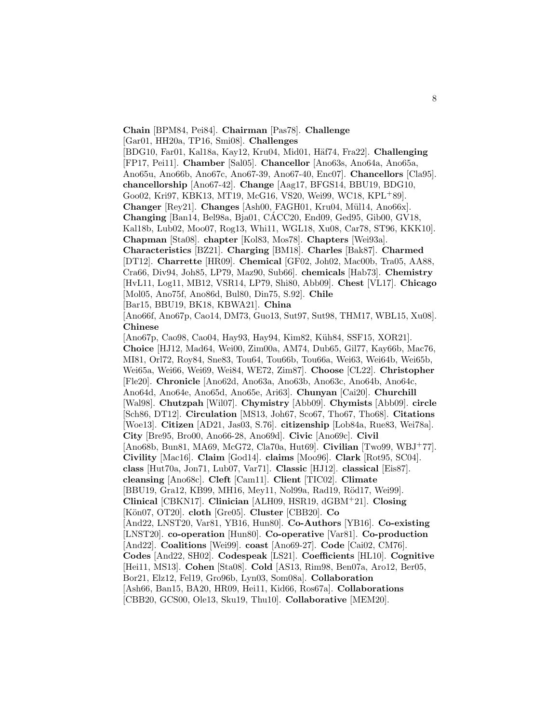**Chain** [BPM84, Pei84]. **Chairman** [Pas78]. **Challenge**

[Gar01, HH20a, TP16, Smi08]. **Challenges**

[BDG10, Far01, Kal18a, Kay12, Kru04, Mid01, H¨af74, Fra22]. **Challenging** [FP17, Pei11]. **Chamber** [Sal05]. **Chancellor** [Ano63s, Ano64a, Ano65a, Ano65u, Ano66b, Ano67c, Ano67-39, Ano67-40, Enc07]. **Chancellors** [Cla95]. **chancellorship** [Ano67-42]. **Change** [Aag17, BFGS14, BBU19, BDG10, Goo02, Kri97, KBK13, MT19, McG16, VS20, Wei99, WC18, KPL<sup>+</sup>89]. **Changer** [Rey21]. **Changes** [Ash00, FAGH01, Kru04, M¨ul14, Ano66x]. **Changing** [Ban14, Bel98a, Bja01, CACC20, End09, Ged95, Gib00, GV18, ´ Kal18b, Lub02, Moo07, Rog13, Whi11, WGL18, Xu08, Car78, ST96, KKK10]. **Chapman** [Sta08]. **chapter** [Kol83, Mos78]. **Chapters** [Wei93a]. **Characteristics** [BZ21]. **Charging** [BM18]. **Charles** [Bak87]. **Charmed** [DT12]. **Charrette** [HR09]. **Chemical** [GF02, Joh02, Mac00b, Tra05, AA88, Cra66, Div94, Joh85, LP79, Maz90, Sub66]. **chemicals** [Hab73]. **Chemistry** [HvL11, Log11, MB12, VSR14, LP79, Shi80, Abb09]. **Chest** [VL17]. **Chicago** [Mol05, Ano75f, Ano86d, Bul80, Din75, S.92]. **Chile** [Bar15, BBU19, BK18, KBWA21]. **China** [Ano66f, Ano67p, Cao14, DM73, Guo13, Sut97, Sut98, THM17, WBL15, Xu08]. **Chinese** [Ano67p, Cao98, Cao04, Hay93, Hay94, Kim82, Küh84, SSF15, XOR21].

**Choice** [HJ12, Mad64, Wei00, Zim00a, AM74, Dub65, Gil77, Kay66b, Mac76, MI81, Orl72, Roy84, Sne83, Tou64, Tou66b, Tou66a, Wei63, Wei64b, Wei65b, Wei65a, Wei66, Wei69, Wei84, WE72, Zim87]. **Choose** [CL22]. **Christopher** [Fle20]. **Chronicle** [Ano62d, Ano63a, Ano63b, Ano63c, Ano64b, Ano64c, Ano64d, Ano64e, Ano65d, Ano65e, Ari63]. **Chunyan** [Cai20]. **Churchill** [Wal98]. **Chutzpah** [Wil07]. **Chymistry** [Abb09]. **Chymists** [Abb09]. **circle** [Sch86, DT12]. **Circulation** [MS13, Joh67, Sco67, Tho67, Tho68]. **Citations** [Woe13]. **Citizen** [AD21, Jas03, S.76]. **citizenship** [Lob84a, Rue83, Wei78a]. **City** [Bre95, Bro00, Ano66-28, Ano69d]. **Civic** [Ano69c]. **Civil** [Ano68b, Bun81, MA69, McG72, Cla70a, Hut69]. **Civilian** [Two99, WBJ<sup>+</sup>77]. **Civility** [Mac16]. **Claim** [God14]. **claims** [Moo96]. **Clark** [Rot95, SC04]. **class** [Hut70a, Jon71, Lub07, Var71]. **Classic** [HJ12]. **classical** [Eis87]. **cleansing** [Ano68c]. **Cleft** [Cam11]. **Client** [TIC02]. **Climate** [BBU19, Gra12, KB99, MH16, Mey11, Nol99a, Rad19, Röd17, Wei99]. **Clinical** [CBKN17]. **Clinician** [ALH09, HSR19, dGBM<sup>+</sup>21]. **Closing** [K¨on07, OT20]. **cloth** [Gre05]. **Cluster** [CBB20]. **Co** [And22, LNST20, Var81, YB16, Hun80]. **Co-Authors** [YB16]. **Co-existing** [LNST20]. **co-operation** [Hun80]. **Co-operative** [Var81]. **Co-production** [And22]. **Coalitions** [Wei99]. **coast** [Ano69-27]. **Code** [Cai02, CM76]. **Codes** [And22, SH02]. **Codespeak** [LS21]. **Coefficients** [HL10]. **Cognitive** [Hei11, MS13]. **Cohen** [Sta08]. **Cold** [AS13, Rim98, Ben07a, Aro12, Ber05, Bor21, Elz12, Fel19, Gro96b, Lyn03, Som08a]. **Collaboration** [Ash66, Ban15, BA20, HR09, Hei11, Kid66, Ros67a]. **Collaborations** [CBB20, GCS00, Ole13, Sku19, Thu10]. **Collaborative** [MEM20].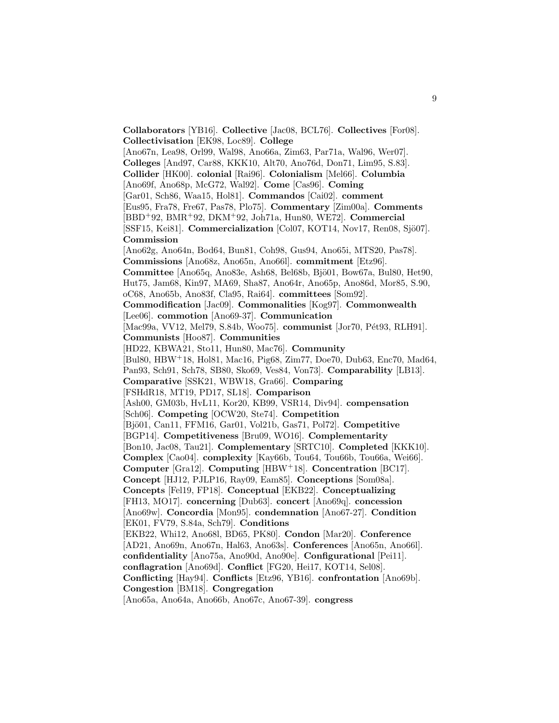**Collaborators** [YB16]. **Collective** [Jac08, BCL76]. **Collectives** [For08]. **Collectivisation** [EK98, Loc89]. **College** [Ano67n, Lea98, Orl99, Wal98, Ano66a, Zim63, Par71a, Wal96, Wer07]. **Colleges** [And97, Car88, KKK10, Alt70, Ano76d, Don71, Lim95, S.83]. **Collider** [HK00]. **colonial** [Rai96]. **Colonialism** [Mel66]. **Columbia** [Ano69f, Ano68p, McG72, Wal92]. **Come** [Cas96]. **Coming** [Gar01, Sch86, Waa15, Hol81]. **Commandos** [Cai02]. **comment** [Eus95, Fra78, Fre67, Pas78, Plo75]. **Commentary** [Zim00a]. **Comments** [BBD<sup>+</sup>92, BMR<sup>+</sup>92, DKM<sup>+</sup>92, Joh71a, Hun80, WE72]. **Commercial** [SSF15, Kei81]. **Commercialization** [Col07, KOT14, Nov17, Ren08, Sjö07]. **Commission** [Ano62g, Ano64n, Bod64, Bun81, Coh98, Gus94, Ano65i, MTS20, Pas78]. **Commissions** [Ano68z, Ano65n, Ano66l]. **commitment** [Etz96]. **Committee** [Ano65q, Ano83e, Ash68, Bel68b, Bjö01, Bow67a, Bul80, Het90, Hut75, Jam68, Kin97, MA69, Sha87, Ano64r, Ano65p, Ano86d, Mor85, S.90, oC68, Ano65b, Ano83f, Cla95, Rai64]. **committees** [Som92]. **Commodification** [Jac09]. **Commonalities** [Kog97]. **Commonwealth** [Lee06]. **commotion** [Ano69-37]. **Communication** [Mac99a, VV12, Mel79, S.84b, Woo75]. **communist** [Jor70, Pét93, RLH91]. **Communists** [Hoo87]. **Communities** [HD22, KBWA21, Sto11, Hun80, Mac76]. **Community** [Bul80, HBW<sup>+</sup>18, Hol81, Mac16, Pig68, Zim77, Doe70, Dub63, Enc70, Mad64, Pan93, Sch91, Sch78, SB80, Sko69, Ves84, Von73]. **Comparability** [LB13]. **Comparative** [SSK21, WBW18, Gra66]. **Comparing** [FSHdR18, MT19, PD17, SL18]. **Comparison** [Ash00, GM03b, HvL11, Kor20, KB99, VSR14, Div94]. **compensation** [Sch06]. **Competing** [OCW20, Ste74]. **Competition** [Bjö01, Can11, FFM16, Gar01, Vol21b, Gas71, Pol72]. **Competitive** [BGP14]. **Competitiveness** [Bru09, WO16]. **Complementarity** [Bon10, Jac08, Tau21]. **Complementary** [SRTC10]. **Completed** [KKK10]. **Complex** [Cao04]. **complexity** [Kay66b, Tou64, Tou66b, Tou66a, Wei66]. **Computer** [Gra12]. **Computing** [HBW<sup>+</sup>18]. **Concentration** [BC17]. **Concept** [HJ12, PJLP16, Ray09, Eam85]. **Conceptions** [Som08a]. **Concepts** [Fel19, FP18]. **Conceptual** [EKB22]. **Conceptualizing** [FH13, MO17]. **concerning** [Dub63]. **concert** [Ano69q]. **concession** [Ano69w]. **Concordia** [Mon95]. **condemnation** [Ano67-27]. **Condition** [EK01, FV79, S.84a, Sch79]. **Conditions** [EKB22, Whi12, Ano68l, BD65, PK80]. **Condon** [Mar20]. **Conference** [AD21, Ano69n, Ano67n, Hal63, Ano63s]. **Conferences** [Ano65n, Ano66l]. **confidentiality** [Ano75a, Ano90d, Ano90e]. **Configurational** [Pei11]. **conflagration** [Ano69d]. **Conflict** [FG20, Hei17, KOT14, Sel08]. **Conflicting** [Hay94]. **Conflicts** [Etz96, YB16]. **confrontation** [Ano69b]. **Congestion** [BM18]. **Congregation** [Ano65a, Ano64a, Ano66b, Ano67c, Ano67-39]. **congress**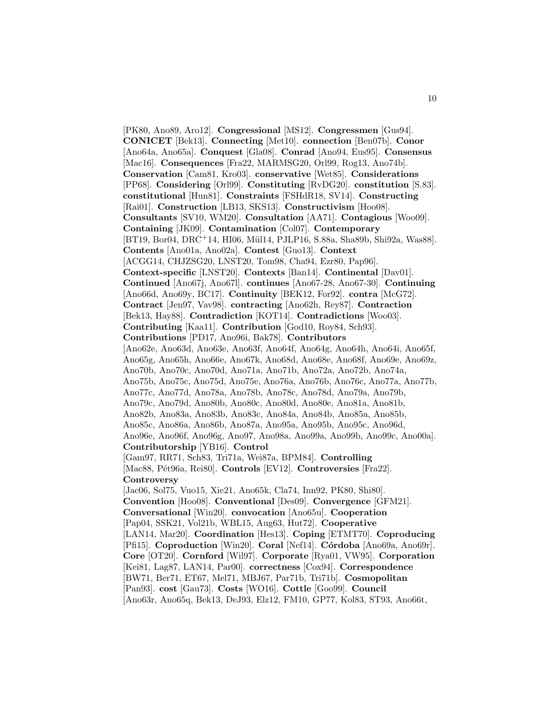[PK80, Ano89, Aro12]. **Congressional** [MS12]. **Congressmen** [Gus94]. **CONICET** [Bek13]. **Connecting** [Met10]. **connection** [Ben07b]. **Conor** [Ano64a, Ano65a]. **Conquest** [Gla08]. **Conrad** [Ano94, Eus95]. **Consensus** [Mac16]. **Consequences** [Fra22, MARMSG20, Orl99, Rog13, Ano74b]. **Conservation** [Cam81, Kro03]. **conservative** [Wet85]. **Considerations** [PP68]. **Considering** [Orl99]. **Constituting** [RvDG20]. **constitution** [S.83]. **constitutional** [Hun81]. **Constraints** [FSHdR18, SV14]. **Constructing** [Rai01]. **Construction** [LB13, SKS13]. **Constructivism** [Hoo08]. **Consultants** [SV10, WM20]. **Consultation** [AA71]. **Contagious** [Woo09]. **Containing** [JK09]. **Contamination** [Col07]. **Contemporary** [BT19, Bor04, DRC+14, HI06, Mül14, PJLP16, S.88a, Sha89b, Shi92a, Was88]. **Contents** [Ano01a, Ano02a]. **Contest** [Guo13]. **Context** [ACGG14, CHJZSG20, LNST20, Tom98, Cha94, Ezr80, Pap96]. **Context-specific** [LNST20]. **Contexts** [Ban14]. **Continental** [Dav01]. **Continued** [Ano67j, Ano67l]. **continues** [Ano67-28, Ano67-30]. **Continuing** [Ano66d, Ano69y, BC17]. **Continuity** [BEK12, For92]. **contra** [McG72]. **Contract** [Jen97, Vav98]. **contracting** [Ano62h, Rey87]. **Contraction** [Bek13, Hay88]. **Contradiction** [KOT14]. **Contradictions** [Woo03]. **Contributing** [Kaa11]. **Contribution** [God10, Roy84, Sch93]. **Contributions** [PD17, Ano96i, Bak78]. **Contributors** [Ano62e, Ano63d, Ano63e, Ano63f, Ano64f, Ano64g, Ano64h, Ano64i, Ano65f, Ano65g, Ano65h, Ano66e, Ano67k, Ano68d, Ano68e, Ano68f, Ano69e, Ano69z, Ano70b, Ano70c, Ano70d, Ano71a, Ano71b, Ano72a, Ano72b, Ano74a, Ano75b, Ano75c, Ano75d, Ano75e, Ano76a, Ano76b, Ano76c, Ano77a, Ano77b, Ano77c, Ano77d, Ano78a, Ano78b, Ano78c, Ano78d, Ano79a, Ano79b, Ano79c, Ano79d, Ano80b, Ano80c, Ano80d, Ano80e, Ano81a, Ano81b, Ano82b, Ano83a, Ano83b, Ano83c, Ano84a, Ano84b, Ano85a, Ano85b, Ano85c, Ano86a, Ano86b, Ano87a, Ano95a, Ano95b, Ano95c, Ano96d, Ano96e, Ano96f, Ano96g, Ano97, Ano98a, Ano99a, Ano99b, Ano99c, Ano00a]. **Contributorship** [YB16]. **Control** [Gam97, RR71, Sch83, Tri71a, Wei87a, BPM84]. **Controlling** [Mac88, P´et96a, Rei80]. **Controls** [EV12]. **Controversies** [Fra22]. **Controversy** [Jac06, Sol75, Vuo15, Xie21, Ano65k, Cla74, Inn92, PK80, Shi80]. **Convention** [Hoo08]. **Conventional** [Des09]. **Convergence** [GFM21]. **Conversational** [Win20]. **convocation** [Ano65u]. **Cooperation** [Pap04, SSK21, Vol21b, WBL15, Aug63, Hut72]. **Cooperative** [LAN14, Mar20]. **Coordination** [Hes13]. **Coping** [ETMT70]. **Coproducing** [Pfi15]. **Coproduction** [Win20]. **Coral** [Nef14]. **C´ordoba** [Ano69a, Ano69r]. **Core** [OT20]. **Cornford** [Wil97]. **Corporate** [Rya01, VW95]. **Corporation** [Kei81, Lag87, LAN14, Par00]. **correctness** [Cox94]. **Correspondence** [BW71, Ber71, ET67, Mel71, MBJ67, Par71b, Tri71b]. **Cosmopolitan** [Pan93]. **cost** [Gau73]. **Costs** [WO16]. **Cottle** [Goo99]. **Council** [Ano63r, Ano65q, Bek13, DeJ93, Elz12, FM10, GP77, Kol83, ST93, Ano66t,

10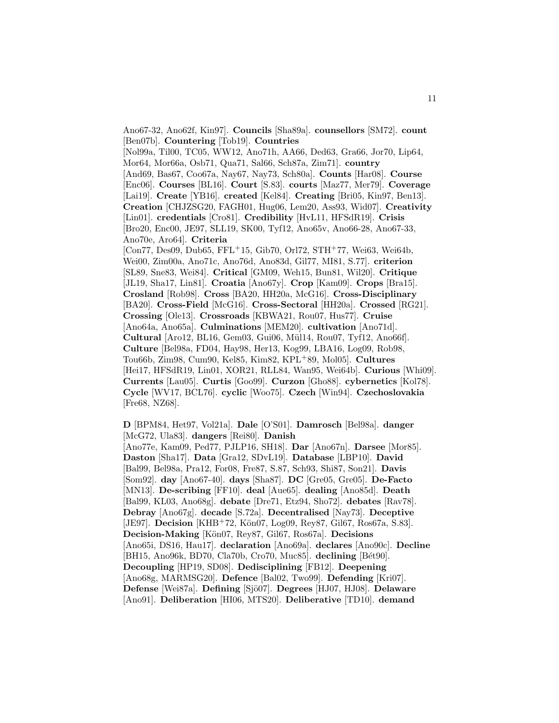Ano67-32, Ano62f, Kin97]. **Councils** [Sha89a]. **counsellors** [SM72]. **count** [Ben07b]. **Countering** [Tob19]. **Countries** [Nol99a, Til00, TC05, WW12, Ano71h, AA66, Ded63, Gra66, Jor70, Lip64, Mor64, Mor66a, Osb71, Qua71, Sal66, Sch87a, Zim71]. **country** [And69, Bas67, Coo67a, Nay67, Nay73, Sch80a]. **Counts** [Har08]. **Course** [Enc06]. **Courses** [BL16]. **Court** [S.83]. **courts** [Maz77, Mer79]. **Coverage** [Lai19]. **Create** [YB16]. **created** [Kel84]. **Creating** [Bri05, Kin97, Ben13]. **Creation** [CHJZSG20, FAGH01, Hug06, Lem20, Ass93, Wid07]. **Creativity** [Lin01]. **credentials** [Cro81]. **Credibility** [HvL11, HFSdR19]. **Crisis** [Bro20, Enc00, JE97, SLL19, SK00, Tyf12, Ano65v, Ano66-28, Ano67-33, Ano70e, Aro64]. **Criteria** [Con77, Des09, Dub65, FFL<sup>+</sup>15, Gib70, Orl72, STH<sup>+</sup>77, Wei63, Wei64b, Wei00, Zim00a, Ano71c, Ano76d, Ano83d, Gil77, MI81, S.77]. **criterion** [SL89, Sne83, Wei84]. **Critical** [GM09, Weh15, Bun81, Wil20]. **Critique** [JL19, Sha17, Lin81]. **Croatia** [Ano67y]. **Crop** [Kam09]. **Crops** [Bra15]. **Crosland** [Rob98]. **Cross** [BA20, HH20a, McG16]. **Cross-Disciplinary** [BA20]. **Cross-Field** [McG16]. **Cross-Sectoral** [HH20a]. **Crossed** [RG21]. **Crossing** [Ole13]. **Crossroads** [KBWA21, Rou07, Hus77]. **Cruise** [Ano64a, Ano65a]. **Culminations** [MEM20]. **cultivation** [Ano71d]. **Cultural** [Aro12, BL16, Gem03, Gui06, M¨ul14, Rou07, Tyf12, Ano66f]. **Culture** [Bel98a, FD04, Hay98, Her13, Kog99, LBA16, Log09, Rob98, Tou66b, Zim98, Cum90, Kel85, Kim82, KPL<sup>+</sup>89, Mol05]. **Cultures** [Hei17, HFSdR19, Lin01, XOR21, RLL84, Wan95, Wei64b]. **Curious** [Whi09]. **Currents** [Lau05]. **Curtis** [Goo99]. **Curzon** [Gho88]. **cybernetics** [Kol78]. **Cycle** [WV17, BCL76]. **cyclic** [Woo75]. **Czech** [Win94]. **Czechoslovakia** [Fre68, NZ68].

**D** [BPM84, Het97, Vol21a]. **Dale** [O'S01]. **Damrosch** [Bel98a]. **danger** [McG72, Ula83]. **dangers** [Rei80]. **Danish** [Ano77e, Kam09, Ped77, PJLP16, SH18]. **Dar** [Ano67n]. **Darsee** [Mor85]. **Daston** [Sha17]. **Data** [Gra12, SDvL19]. **Database** [LBP10]. **David** [Bal99, Bel98a, Pra12, For08, Fre87, S.87, Sch93, Shi87, Son21]. **Davis** [Som92]. **day** [Ano67-40]. **days** [Sha87]. **DC** [Gre05, Gre05]. **De-Facto** [MN13]. **De-scribing** [FF10]. **deal** [Aue65]. **dealing** [Ano85d]. **Death** [Bal99, KL03, Ano68g]. **debate** [Dre71, Etz94, Sho72]. **debates** [Rav78]. **Debray** [Ano67g]. **decade** [S.72a]. **Decentralised** [Nay73]. **Deceptive** [JE97]. **Decision** [KHB+72, Kön07, Log09, Rey87, Gil67, Ros67a, S.83]. **Decision-Making** [K¨on07, Rey87, Gil67, Ros67a]. **Decisions** [Ano65i, DS16, Hau17]. **declaration** [Ano69a]. **declares** [Ano90c]. **Decline** [BH15, Ano96k, BD70, Cla70b, Cro70, Muc85]. **declining** [Bét90]. **Decoupling** [HP19, SD08]. **Dedisciplining** [FB12]. **Deepening** [Ano68g, MARMSG20]. **Defence** [Bal02, Two99]. **Defending** [Kri07]. **Defense** [Wei87a]. **Defining** [Sjö07]. **Degrees** [HJ07, HJ08]. **Delaware** [Ano91]. **Deliberation** [HI06, MTS20]. **Deliberative** [TD10]. **demand**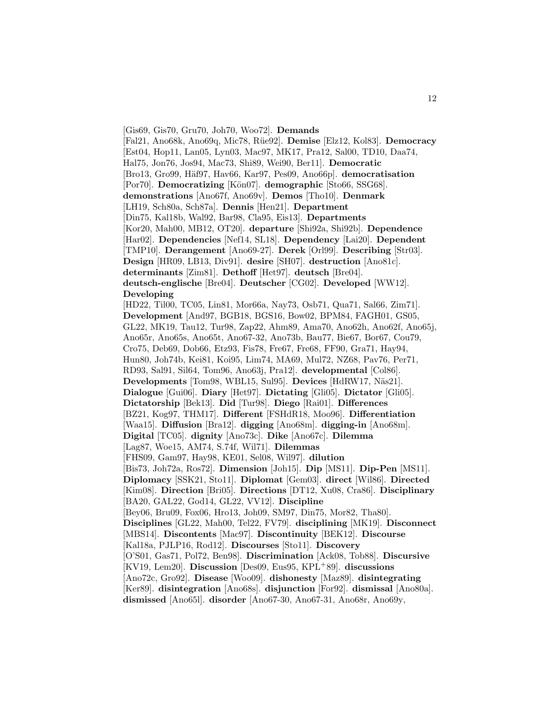[Gis69, Gis70, Gru70, Joh70, Woo72]. **Demands** [Fal21, Ano68k, Ano69q, Mic78, R¨ue92]. **Demise** [Elz12, Kol83]. **Democracy** [Est04, Hop11, Lan05, Lyn03, Mac97, MK17, Pra12, Sal00, TD10, Daa74, Hal75, Jon76, Jos94, Mac73, Shi89, Wei90, Ber11]. **Democratic** [Bro13, Gro99, H¨af97, Hav66, Kar97, Pes09, Ano66p]. **democratisation** [Por70]. **Democratizing** [Kön07]. **demographic** [Sto66, SSG68]. **demonstrations** [Ano67f, Ano69v]. **Demos** [Tho10]. **Denmark** [LH19, Sch80a, Sch87a]. **Dennis** [Hen21]. **Department** [Din75, Kal18b, Wal92, Bar98, Cla95, Eis13]. **Departments** [Kor20, Mah00, MB12, OT20]. **departure** [Shi92a, Shi92b]. **Dependence** [Har02]. **Dependencies** [Nef14, SL18]. **Dependency** [Lai20]. **Dependent** [TMP10]. **Derangement** [Ano69-27]. **Derek** [Orl99]. **Describing** [Str03]. **Design** [HR09, LB13, Div91]. **desire** [SH07]. **destruction** [Ano81c]. **determinants** [Zim81]. **Dethoff** [Het97]. **deutsch** [Bre04]. **deutsch-englische** [Bre04]. **Deutscher** [CG02]. **Developed** [WW12]. **Developing** [HD22, Til00, TC05, Lin81, Mor66a, Nay73, Osb71, Qua71, Sal66, Zim71]. **Development** [And97, BGB18, BGS16, Bow02, BPM84, FAGH01, GS05, GL22, MK19, Tau12, Tur98, Zap22, Ahm89, Ama70, Ano62h, Ano62f, Ano65j, Ano65r, Ano65s, Ano65t, Ano67-32, Ano73b, Bau77, Bie67, Bor67, Cou79, Cro75, Deb69, Dob66, Etz93, Fis78, Fre67, Fre68, FF90, Gra71, Hay94, Hun80, Joh74b, Kei81, Koi95, Lim74, MA69, Mul72, NZ68, Pav76, Per71, RD93, Sal91, Sil64, Tom96, Ano63j, Pra12]. **developmental** [Col86]. **Developments** [Tom98, WBL15, Sul95]. **Devices** [HdRW17, N¨as21]. **Dialogue** [Gui06]. **Diary** [Het97]. **Dictating** [Gli05]. **Dictator** [Gli05]. **Dictatorship** [Bek13]. **Did** [Tur98]. **Diego** [Rai01]. **Differences** [BZ21, Kog97, THM17]. **Different** [FSHdR18, Moo96]. **Differentiation** [Waa15]. **Diffusion** [Bra12]. **digging** [Ano68m]. **digging-in** [Ano68m]. **Digital** [TC05]. **dignity** [Ano73c]. **Dike** [Ano67c]. **Dilemma** [Lag87, Woe15, AM74, S.74f, Wil71]. **Dilemmas** [FHS09, Gam97, Hay98, KE01, Sel08, Wil97]. **dilution** [Bis73, Joh72a, Ros72]. **Dimension** [Joh15]. **Dip** [MS11]. **Dip-Pen** [MS11]. **Diplomacy** [SSK21, Sto11]. **Diplomat** [Gem03]. **direct** [Wil86]. **Directed** [Kim08]. **Direction** [Bri05]. **Directions** [DT12, Xu08, Cra86]. **Disciplinary** [BA20, GAL22, God14, GL22, VV12]. **Discipline** [Bey06, Bru09, Fox06, Hro13, Joh09, SM97, Din75, Mor82, Tha80]. **Disciplines** [GL22, Mah00, Tel22, FV79]. **disciplining** [MK19]. **Disconnect** [MBS14]. **Discontents** [Mac97]. **Discontinuity** [BEK12]. **Discourse** [Kal18a, PJLP16, Rod12]. **Discourses** [Sto11]. **Discovery** [O'S01, Gas71, Pol72, Ben98]. **Discrimination** [Ack08, Tob88]. **Discursive** [KV19, Lem20]. **Discussion** [Des09, Eus95, KPL<sup>+</sup>89]. **discussions** [Ano72c, Gro92]. **Disease** [Woo09]. **dishonesty** [Maz89]. **disintegrating** [Ker89]. **disintegration** [Ano68s]. **disjunction** [For92]. **dismissal** [Ano80a]. **dismissed** [Ano65l]. **disorder** [Ano67-30, Ano67-31, Ano68r, Ano69y,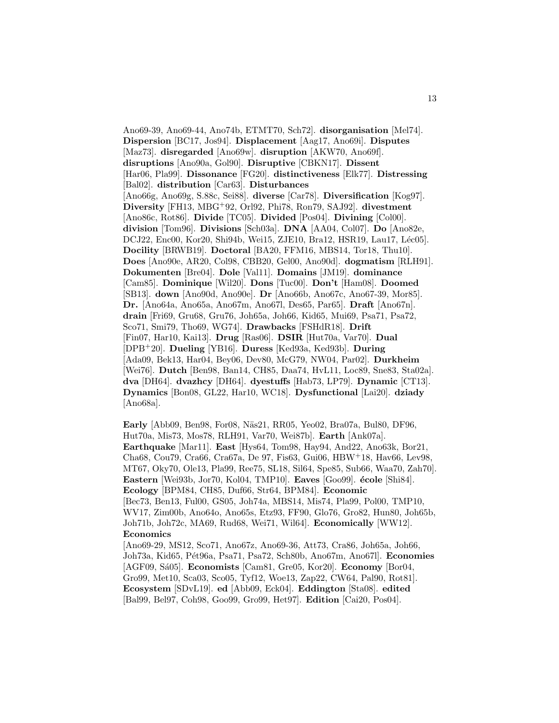Ano69-39, Ano69-44, Ano74b, ETMT70, Sch72]. **disorganisation** [Mel74]. **Dispersion** [BC17, Jos94]. **Displacement** [Aag17, Ano69i]. **Disputes** [Maz73]. **disregarded** [Ano69w]. **disruption** [AKW70, Ano69f]. **disruptions** [Ano90a, Gol90]. **Disruptive** [CBKN17]. **Dissent** [Har06, Pla99]. **Dissonance** [FG20]. **distinctiveness** [Elk77]. **Distressing** [Bal02]. **distribution** [Car63]. **Disturbances** [Ano66g, Ano69g, S.88c, Sei88]. **diverse** [Car78]. **Diversification** [Kog97]. **Diversity** [FH13, MBG<sup>+</sup>92, Orl92, Phi78, Ron79, SAJ92]. **divestment** [Ano86c, Rot86]. **Divide** [TC05]. **Divided** [Pos04]. **Divining** [Col00]. **division** [Tom96]. **Divisions** [Sch03a]. **DNA** [AA04, Col07]. **Do** [Ano82e, DCJ22, Enc00, Kor20, Shi94b, Wei15, ZJE10, Bra12, HSR19, Lau17, Léc05]. **Docility** [BRWB19]. **Doctoral** [BA20, FFM16, MBS14, Tor18, Thu10]. **Does** [Ano90e, AR20, Col98, CBB20, Gel00, Ano90d]. **dogmatism** [RLH91]. **Dokumenten** [Bre04]. **Dole** [Val11]. **Domains** [JM19]. **dominance** [Cam85]. **Dominique** [Wil20]. **Dons** [Tuc00]. **Don't** [Ham08]. **Doomed** [SB13]. **down** [Ano90d, Ano90e]. **Dr** [Ano66b, Ano67c, Ano67-39, Mor85]. **Dr.** [Ano64a, Ano65a, Ano67m, Ano67l, Des65, Par65]. **Draft** [Ano67n]. **drain** [Fri69, Gru68, Gru76, Joh65a, Joh66, Kid65, Mui69, Psa71, Psa72, Sco71, Smi79, Tho69, WG74]. **Drawbacks** [FSHdR18]. **Drift** [Fin07, Har10, Kai13]. **Drug** [Ras06]. **DSIR** [Hut70a, Var70]. **Dual** [DPB<sup>+</sup>20]. **Dueling** [YB16]. **Duress** [Ked93a, Ked93b]. **During** [Ada09, Bek13, Har04, Bey06, Dev80, McG79, NW04, Par02]. **Durkheim** [Wei76]. **Dutch** [Ben98, Ban14, CH85, Daa74, HvL11, Loc89, Sne83, Sta02a]. **dva** [DH64]. **dvazhcy** [DH64]. **dyestuffs** [Hab73, LP79]. **Dynamic** [CT13]. **Dynamics** [Bon08, GL22, Har10, WC18]. **Dysfunctional** [Lai20]. **dziady** [Ano68a].

**Early** [Abb09, Ben98, For08, N¨as21, RR05, Yeo02, Bra07a, Bul80, DF96, Hut70a, Mis73, Mos78, RLH91, Var70, Wei87b]. **Earth** [Ank07a]. **Earthquake** [Mar11]. **East** [Hys64, Tom98, Hay94, And22, Ano63k, Bor21, Cha68, Cou79, Cra66, Cra67a, De 97, Fis63, Gui06, HBW<sup>+</sup>18, Hav66, Lev98, MT67, Oky70, Ole13, Pla99, Ree75, SL18, Sil64, Spe85, Sub66, Waa70, Zah70]. **Eastern** [Wei93b, Jor70, Kol04, TMP10]. **Eaves** [Goo99]. **école** [Shi84]. **Ecology** [BPM84, CH85, Duf66, Str64, BPM84]. **Economic** [Bec73, Ben13, Ful00, GS05, Joh74a, MBS14, Mis74, Pla99, Pol00, TMP10, WV17, Zim00b, Ano64o, Ano65s, Etz93, FF90, Glo76, Gro82, Hun80, Joh65b, Joh71b, Joh72c, MA69, Rud68, Wei71, Wil64]. **Economically** [WW12]. **Economics** [Ano69-29, MS12, Sco71, Ano67z, Ano69-36, Att73, Cra86, Joh65a, Joh66, Joh73a, Kid65, P´et96a, Psa71, Psa72, Sch80b, Ano67m, Ano67l]. **Economies**

[AGF09, Sá05]. **Economists** [Cam81, Gre05, Kor20]. **Economy** [Bor04, Gro99, Met10, Sca03, Sco05, Tyf12, Woe13, Zap22, CW64, Pal90, Rot81]. **Ecosystem** [SDvL19]. **ed** [Abb09, Eck04]. **Eddington** [Sta08]. **edited** [Bal99, Bel97, Coh98, Goo99, Gro99, Het97]. **Edition** [Cai20, Pos04].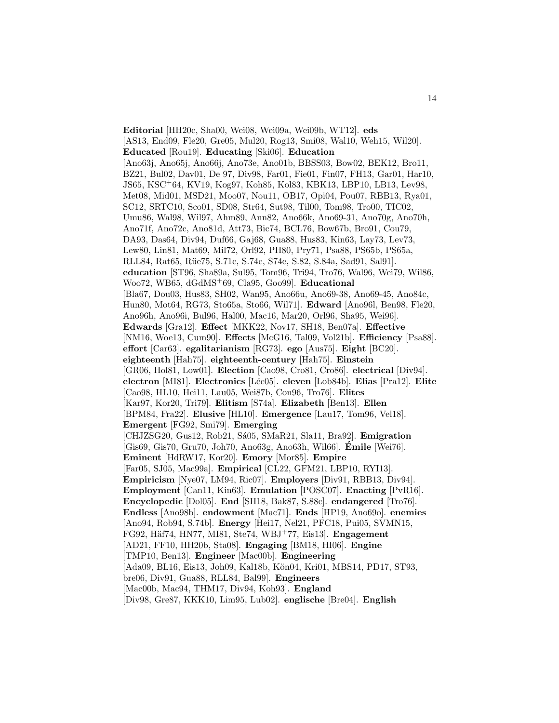**Editorial** [HH20c, Sha00, Wei08, Wei09a, Wei09b, WT12]. **eds** [AS13, End09, Fle20, Gre05, Mul20, Rog13, Smi08, Wal10, Weh15, Wil20]. **Educated** [Rou19]. **Educating** [Ski06]. **Education** [Ano63j, Ano65j, Ano66j, Ano73e, Ano01b, BBSS03, Bow02, BEK12, Bro11, BZ21, Bul02, Dav01, De 97, Div98, Far01, Fie01, Fin07, FH13, Gar01, Har10, JS65, KSC<sup>+</sup>64, KV19, Kog97, Koh85, Kol83, KBK13, LBP10, LB13, Lev98, Met08, Mid01, MSD21, Moo07, Nou11, OB17, Opi04, Pou07, RBB13, Rya01, SC12, SRTC10, Sco01, SD08, Str64, Sut98, Til00, Tom98, Tro00, TIC02, Umu86, Wal98, Wil97, Ahm89, Ann82, Ano66k, Ano69-31, Ano70g, Ano70h, Ano71f, Ano72c, Ano81d, Att73, Bic74, BCL76, Bow67b, Bro91, Cou79, DA93, Das64, Div94, Duf66, Gaj68, Gua88, Hus83, Kin63, Lay73, Lev73, Lew80, Lin81, Mat69, Mil72, Orl92, PH80, Pry71, Psa88, PS65b, PS65a, RLL84, Rat65, Rüe75, S.71c, S.74c, S74e, S.82, S.84a, Sad91, Sal91]. **education** [ST96, Sha89a, Sul95, Tom96, Tri94, Tro76, Wal96, Wei79, Wil86, Woo72, WB65, dGdMS<sup>+</sup>69, Cla95, Goo99]. **Educational** [Bla67, Dou03, Hus83, SH02, Wan95, Ano66u, Ano69-38, Ano69-45, Ano84c, Hun80, Mot64, RG73, Sto65a, Sto66, Wil71]. **Edward** [Ano96l, Ben98, Fle20, Ano96h, Ano96i, Bul96, Hal00, Mac16, Mar20, Orl96, Sha95, Wei96]. **Edwards** [Gra12]. **Effect** [MKK22, Nov17, SH18, Ben07a]. **Effective** [NM16, Woe13, Cum90]. **Effects** [McG16, Tal09, Vol21b]. **Efficiency** [Psa88]. **effort** [Car63]. **egalitarianism** [RG73]. **ego** [Aus75]. **Eight** [BC20]. **eighteenth** [Hah75]. **eighteenth-century** [Hah75]. **Einstein** [GR06, Hol81, Low01]. **Election** [Cao98, Cro81, Cro86]. **electrical** [Div94]. **electron** [MI81]. **Electronics** [L´ec05]. **eleven** [Lob84b]. **Elias** [Pra12]. **Elite** [Cao98, HL10, Hei11, Lau05, Wei87b, Con96, Tro76]. **Elites** [Kar97, Kor20, Tri79]. **Elitism** [S74a]. **Elizabeth** [Ben13]. **Ellen** [BPM84, Fra22]. **Elusive** [HL10]. **Emergence** [Lau17, Tom96, Vel18]. **Emergent** [FG92, Smi79]. **Emerging** [CHJZSG20, Gus12, Rob21, Sá05, SMaR21, Sla11, Bra92]. **Emigration** [Gis69, Gis70, Gru70, Joh70, Ano63g, Ano63h, Wil66]. **Emile ´** [Wei76]. **Eminent** [HdRW17, Kor20]. **Emory** [Mor85]. **Empire** [Far05, SJ05, Mac99a]. **Empirical** [CL22, GFM21, LBP10, RYI13]. **Empiricism** [Nye07, LM94, Ric07]. **Employers** [Div91, RBB13, Div94]. **Employment** [Can11, Kin63]. **Emulation** [POSC07]. **Enacting** [PvR16]. **Encyclopedic** [Dol05]. **End** [SH18, Bak87, S.88c]. **endangered** [Tro76]. **Endless** [Ano98b]. **endowment** [Mac71]. **Ends** [HP19, Ano69o]. **enemies** [Ano94, Rob94, S.74b]. **Energy** [Hei17, Nel21, PFC18, Pui05, SVMN15, FG92, Häf74, HN77, MI81, Ste74, WBJ<sup>+</sup>77, Eis13]. **Engagement** [AD21, FF10, HH20b, Sta08]. **Engaging** [BM18, HI06]. **Engine** [TMP10, Ben13]. **Engineer** [Mac00b]. **Engineering** [Ada09, BL16, Eis13, Joh09, Kal18b, Kön04, Kri01, MBS14, PD17, ST93, bre06, Div91, Gua88, RLL84, Bal99]. **Engineers** [Mac00b, Mac94, THM17, Div94, Koh93]. **England** [Div98, Gre87, KKK10, Lim95, Lub02]. **englische** [Bre04]. **English**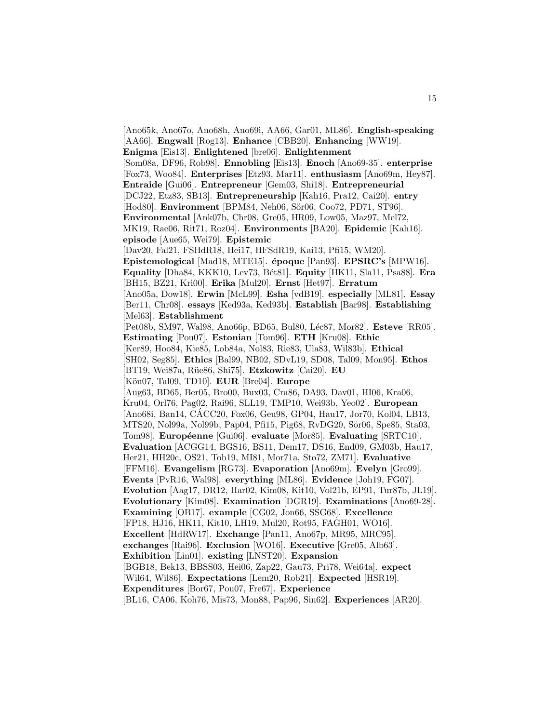[Ano65k, Ano67o, Ano68h, Ano69i, AA66, Gar01, ML86]. **English-speaking** [AA66]. **Engwall** [Rog13]. **Enhance** [CBB20]. **Enhancing** [WW19]. **Enigma** [Eis13]. **Enlightened** [bre06]. **Enlightenment** [Som08a, DF96, Rob98]. **Ennobling** [Eis13]. **Enoch** [Ano69-35]. **enterprise** [Fox73, Woo84]. **Enterprises** [Etz93, Mar11]. **enthusiasm** [Ano69m, Hey87]. **Entraide** [Gui06]. **Entrepreneur** [Gem03, Shi18]. **Entrepreneurial** [DCJ22, Etz83, SB13]. **Entrepreneurship** [Kah16, Pra12, Cai20]. **entry** [Hod80]. **Environment** [BPM84, Neh06, Sör06, Coo72, PD71, ST96]. **Environmental** [Ank07b, Chr08, Gre05, HR09, Low05, Maz97, Mel72, MK19, Rae06, Rit71, Roz04]. **Environments** [BA20]. **Epidemic** [Kah16]. **episode** [Aue65, Wei79]. **Epistemic** [Dav20, Fal21, FSHdR18, Hei17, HFSdR19, Kai13, Pfi15, WM20]. **Epistemological** [Mad18, MTE15]. **´epoque** [Pan93]. **EPSRC's** [MPW16]. **Equality** [Dha84, KKK10, Lev73, B´et81]. **Equity** [HK11, Sla11, Psa88]. **Era** [BH15, BZ21, Kri00]. **Erika** [Mul20]. **Ernst** [Het97]. **Erratum** [Ano05a, Dow18]. **Erwin** [McL99]. **Esha** [vdB19]. **especially** [ML81]. **Essay** [Ber11, Chr08]. **essays** [Ked93a, Ked93b]. **Establish** [Bar98]. **Establishing** [Mel63]. **Establishment** [Pet08b, SM97, Wal98, Ano66p, BD65, Bul80, L´ec87, Mor82]. **Esteve** [RR05]. **Estimating** [Pou07]. **Estonian** [Tom96]. **ETH** [Kru08]. **Ethic** [Ker89, Hoo84, Kie85, Lob84a, Nol83, Rie83, Ula83, Wil83b]. **Ethical** [SH02, Seg85]. **Ethics** [Bal99, NB02, SDvL19, SD08, Tal09, Mon95]. **Ethos** [BT19, Wei87a, R¨ue86, Shi75]. **Etzkowitz** [Cai20]. **EU** [K¨on07, Tal09, TD10]. **EUR** [Bre04]. **Europe** [Aug63, BD65, Ber05, Bro00, Bux03, Cra86, DA93, Dav01, HI06, Kra06, Kru04, Orl76, Pag02, Rai96, SLL19, TMP10, Wei93b, Yeo02]. **European** [Ano68i, Ban14, CACC20, Fox06, Geu98, GP04, Hau17, Jor70, Kol04, LB13, ´ MTS20, Nol99a, Nol99b, Pap04, Pfi15, Pig68, RvDG20, Sör06, Spe85, Sta03, Tom98]. **Européenne** [Gui06]. **evaluate** [Mor85]. **Evaluating** [SRTC10]. **Evaluation** [ACGG14, BGS16, BS11, Dem17, DS16, End09, GM03b, Hau17, Her21, HH20c, OS21, Tob19, MI81, Mor71a, Sto72, ZM71]. **Evaluative** [FFM16]. **Evangelism** [RG73]. **Evaporation** [Ano69m]. **Evelyn** [Gro99]. **Events** [PvR16, Wal98]. **everything** [ML86]. **Evidence** [Joh19, FG07]. **Evolution** [Aag17, DR12, Har02, Kim08, Kit10, Vol21b, EP91, Tur87b, JL19]. **Evolutionary** [Kim08]. **Examination** [DGR19]. **Examinations** [Ano69-28]. **Examining** [OB17]. **example** [CG02, Jon66, SSG68]. **Excellence** [FP18, HJ16, HK11, Kit10, LH19, Mul20, Rot95, FAGH01, WO16]. **Excellent** [HdRW17]. **Exchange** [Pan11, Ano67p, MR95, MRC95]. **exchanges** [Rai96]. **Exclusion** [WO16]. **Executive** [Gre05, Alb63]. **Exhibition** [Lin01]. **existing** [LNST20]. **Expansion** [BGB18, Bek13, BBSS03, Hei06, Zap22, Gau73, Pri78, Wei64a]. **expect** [Wil64, Wil86]. **Expectations** [Lem20, Rob21]. **Expected** [HSR19]. **Expenditures** [Bor67, Pou07, Fre67]. **Experience** [BL16, CA06, Koh76, Mis73, Mon88, Pap96, Sin62]. **Experiences** [AR20].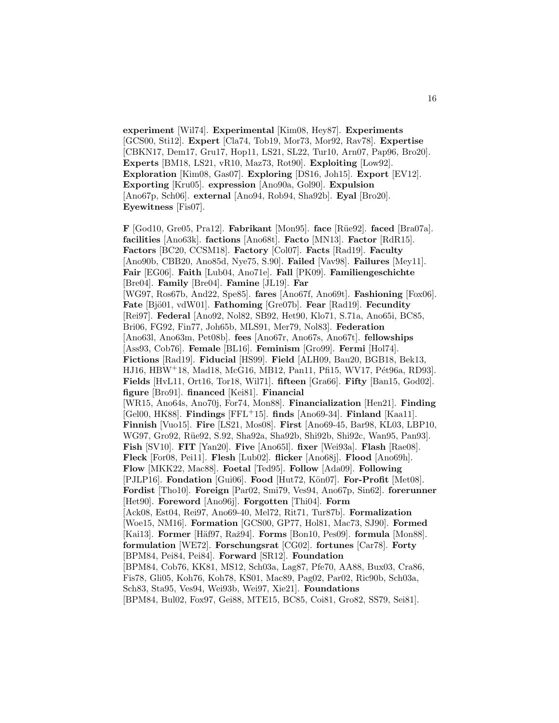**experiment** [Wil74]. **Experimental** [Kim08, Hey87]. **Experiments** [GCS00, Sti12]. **Expert** [Cla74, Tob19, Mor73, Mor92, Rav78]. **Expertise** [CBKN17, Dem17, Gru17, Hop11, LS21, SL22, Tur10, Arn07, Pap96, Bro20]. **Experts** [BM18, LS21, vR10, Maz73, Rot90]. **Exploiting** [Low92]. **Exploration** [Kim08, Gas07]. **Exploring** [DS16, Joh15]. **Export** [EV12]. **Exporting** [Kru05]. **expression** [Ano90a, Gol90]. **Expulsion** [Ano67p, Sch06]. **external** [Ano94, Rob94, Sha92b]. **Eyal** [Bro20]. **Eyewitness** [Fis07].

**F** [God10, Gre05, Pra12]. **Fabrikant** [Mon95]. **face** [R¨ue92]. **faced** [Bra07a]. **facilities** [Ano63k]. **factions** [Ano68t]. **Facto** [MN13]. **Factor** [RdR15]. **Factors** [BC20, CCSM18]. **Factory** [Col07]. **Facts** [Rad19]. **Faculty** [Ano90b, CBB20, Ano85d, Nye75, S.90]. **Failed** [Vav98]. **Failures** [Mey11]. **Fair** [EG06]. **Faith** [Lub04, Ano71e]. **Fall** [PK09]. **Familiengeschichte** [Bre04]. **Family** [Bre04]. **Famine** [JL19]. **Far** [WG97, Ros67b, And22, Spe85]. **fares** [Ano67f, Ano69t]. **Fashioning** [Fox06]. **Fate** [Bjö01, vdW01]. **Fathoming** [Gre07b]. **Fear** [Rad19]. **Fecundity** [Rei97]. **Federal** [Ano92, Nol82, SB92, Het90, Klo71, S.71a, Ano65i, BC85, Bri06, FG92, Fin77, Joh65b, MLS91, Mer79, Nol83]. **Federation** [Ano63l, Ano63m, Pet08b]. **fees** [Ano67r, Ano67s, Ano67t]. **fellowships** [Ass93, Cob76]. **Female** [BL16]. **Feminism** [Gro99]. **Fermi** [Hol74]. **Fictions** [Rad19]. **Fiducial** [HS99]. **Field** [ALH09, Bau20, BGB18, Bek13, HJ16, HBW<sup>+</sup>18, Mad18, McG16, MB12, Pan11, Pfi15, WV17, Pét96a, RD93]. **Fields** [HvL11, Ort16, Tor18, Wil71]. **fifteen** [Gra66]. **Fifty** [Ban15, God02]. **figure** [Bro91]. **financed** [Kei81]. **Financial** [WR15, Ano64s, Ano70j, For74, Mon88]. **Financialization** [Hen21]. **Finding** [Gel00, HK88]. **Findings** [FFL<sup>+</sup>15]. **finds** [Ano69-34]. **Finland** [Kaa11]. **Finnish** [Vuo15]. **Fire** [LS21, Mos08]. **First** [Ano69-45, Bar98, KL03, LBP10, WG97, Gro92, Rüe92, S.92, Sha92a, Sha92b, Shi92b, Shi92c, Wan95, Pan93]. **Fish** [SV10]. **FIT** [Yan20]. **Five** [Ano65l]. **fixer** [Wei93a]. **Flash** [Rae08]. **Fleck** [For08, Pei11]. **Flesh** [Lub02]. **flicker** [Ano68j]. **Flood** [Ano69h]. **Flow** [MKK22, Mac88]. **Foetal** [Ted95]. **Follow** [Ada09]. **Following** [PJLP16]. **Fondation** [Gui06]. **Food** [Hut72, Kön07]. **For-Profit** [Met08]. **Fordist** [Tho10]. **Foreign** [Par02, Smi79, Ves94, Ano67p, Sin62]. **forerunner** [Het90]. **Foreword** [Ano96j]. **Forgotten** [Thi04]. **Form** [Ack08, Est04, Rei97, Ano69-40, Mel72, Rit71, Tur87b]. **Formalization** [Woe15, NM16]. **Formation** [GCS00, GP77, Hol81, Mac73, SJ90]. **Formed** [Kai13]. **Former** [Häf97, Raž94]. **Forms** [Bon10, Pes09]. **formula** [Mon88]. **formulation** [WE72]. **Forschungsrat** [CG02]. **fortunes** [Car78]. **Forty** [BPM84, Pei84, Pei84]. **Forward** [SR12]. **Foundation** [BPM84, Cob76, KK81, MS12, Sch03a, Lag87, Pfe70, AA88, Bux03, Cra86, Fis78, Gli05, Koh76, Koh78, KS01, Mac89, Pag02, Par02, Ric90b, Sch03a, Sch83, Sta95, Ves94, Wei93b, Wei97, Xie21]. **Foundations** [BPM84, Bul02, Fox97, Gei88, MTE15, BC85, Coi81, Gro82, SS79, Sei81].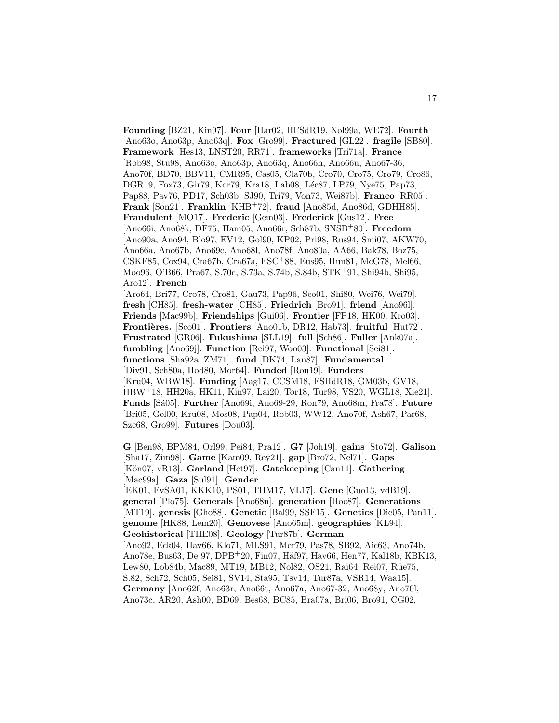**Founding** [BZ21, Kin97]. **Four** [Har02, HFSdR19, Nol99a, WE72]. **Fourth** [Ano63o, Ano63p, Ano63q]. **Fox** [Gro99]. **Fractured** [GL22]. **fragile** [SB80]. **Framework** [Hes13, LNST20, RR71]. **frameworks** [Tri71a]. **France** [Rob98, Stu98, Ano63o, Ano63p, Ano63q, Ano66h, Ano66u, Ano67-36, Ano70f, BD70, BBV11, CMR95, Cas05, Cla70b, Cro70, Cro75, Cro79, Cro86, DGR19, Fox73, Gir79, Kor79, Kra18, Lab08, Léc87, LP79, Nye75, Pap73, Pap88, Pav76, PD17, Sch03b, SJ90, Tri79, Von73, Wei87b]. **Franco** [RR05]. **Frank** [Son21]. **Franklin** [KHB<sup>+</sup>72]. **fraud** [Ano85d, Ano86d, GDHH85]. **Fraudulent** [MO17]. **Frederic** [Gem03]. **Frederick** [Gus12]. **Free** [Ano66i, Ano68k, DF75, Ham05, Ano66r, Sch87b, SNSB<sup>+</sup>80]. **Freedom** [Ano90a, Ano94, Blo97, EV12, Gol90, KP02, Pri98, Rus94, Smi07, AKW70, Ano66a, Ano67b, Ano69c, Ano68l, Ano78f, Ano80a, AA66, Bak78, Boz75, CSKF85, Cox94, Cra67b, Cra67a, ESC<sup>+</sup>88, Eus95, Hun81, McG78, Mel66, Moo96, O'B66, Pra67, S.70c, S.73a, S.74b, S.84b, STK<sup>+</sup>91, Shi94b, Shi95, Aro12]. **French** [Aro64, Bri77, Cro78, Cro81, Gau73, Pap96, Sco01, Shi80, Wei76, Wei79]. **fresh** [CH85]. **fresh-water** [CH85]. **Friedrich** [Bro91]. **friend** [Ano96l]. **Friends** [Mac99b]. **Friendships** [Gui06]. **Frontier** [FP18, HK00, Kro03]. Frontières. [Sco01]. Frontiers [Ano01b, DR12, Hab73]. fruitful [Hut72]. **Frustrated** [GR06]. **Fukushima** [SLL19]. **full** [Sch86]. **Fuller** [Ank07a]. **fumbling** [Ano69j]. **Function** [Rei97, Woo03]. **Functional** [Sei81]. **functions** [Sha92a, ZM71]. **fund** [DK74, Lan87]. **Fundamental** [Div91, Sch80a, Hod80, Mor64]. **Funded** [Rou19]. **Funders** [Kru04, WBW18]. **Funding** [Aag17, CCSM18, FSHdR18, GM03b, GV18, HBW<sup>+</sup>18, HH20a, HK11, Kin97, Lai20, Tor18, Tur98, VS20, WGL18, Xie21]. **Funds** [S´a05]. **Further** [Ano69i, Ano69-29, Ron79, Ano68m, Fra78]. **Future** [Bri05, Gel00, Kru08, Mos08, Pap04, Rob03, WW12, Ano70f, Ash67, Par68, Szc68, Gro99]. **Futures** [Dou03].

**G** [Ben98, BPM84, Orl99, Pei84, Pra12]. **G7** [Joh19]. **gains** [Sto72]. **Galison** [Sha17, Zim98]. **Game** [Kam09, Rey21]. **gap** [Bro72, Nel71]. **Gaps** [K¨on07, vR13]. **Garland** [Het97]. **Gatekeeping** [Can11]. **Gathering** [Mac99a]. **Gaza** [Sul91]. **Gender** [EK01, FvSA01, KKK10, PS01, THM17, VL17]. **Gene** [Guo13, vdB19]. **general** [Plo75]. **Generals** [Ano68n]. **generation** [Hoc87]. **Generations** [MT19]. **genesis** [Gho88]. **Genetic** [Bal99, SSF15]. **Genetics** [Die05, Pan11]. **genome** [HK88, Lem20]. **Genovese** [Ano65m]. **geographies** [KL94]. **Geohistorical** [THE08]. **Geology** [Tur87b]. **German** [Ano92, Eck04, Hav66, Klo71, MLS91, Mer79, Pas78, SB92, Aic63, Ano74b, Ano78e, Bus63, De 97, DPB<sup>+</sup>20, Fin07, Häf97, Hav66, Hen77, Kal18b, KBK13, Lew80, Lob84b, Mac89, MT19, MB12, Nol82, OS21, Rai64, Rei07, Rüe75, S.82, Sch72, Sch05, Sei81, SV14, Sta95, Tsv14, Tur87a, VSR14, Waa15]. **Germany** [Ano62f, Ano63r, Ano66t, Ano67a, Ano67-32, Ano68y, Ano70l, Ano73c, AR20, Ash00, BD69, Bes68, BC85, Bra07a, Bri06, Bro91, CG02,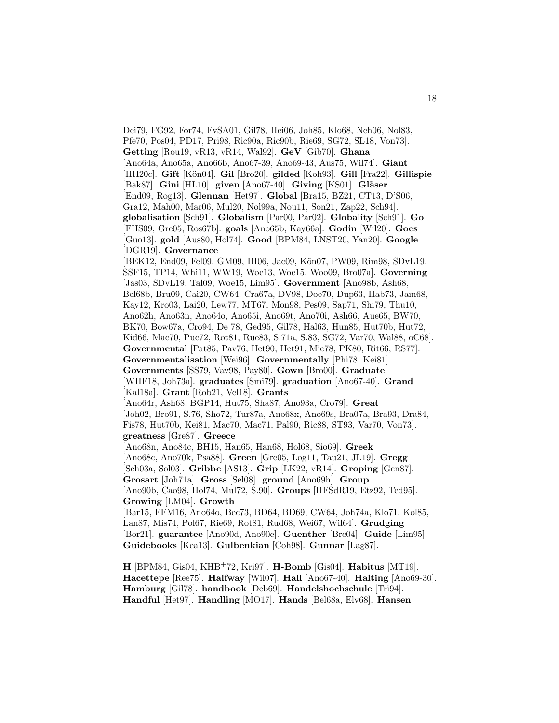Dei79, FG92, For74, FvSA01, Gil78, Hei06, Joh85, Klo68, Neh06, Nol83, Pfe70, Pos04, PD17, Pri98, Ric90a, Ric90b, Rie69, SG72, SL18, Von73]. **Getting** [Rou19, vR13, vR14, Wal92]. **GeV** [Gib70]. **Ghana** [Ano64a, Ano65a, Ano66b, Ano67-39, Ano69-43, Aus75, Wil74]. **Giant** [HH20c]. **Gift** [K¨on04]. **Gil** [Bro20]. **gilded** [Koh93]. **Gill** [Fra22]. **Gillispie** [Bak87]. **Gini** [HL10]. **given** [Ano67-40]. **Giving** [KS01]. **Gläser** [End09, Rog13]. **Glennan** [Het97]. **Global** [Bra15, BZ21, CT13, D'S06, Gra12, Mah00, Mar06, Mul20, Nol99a, Nou11, Son21, Zap22, Sch94]. **globalisation** [Sch91]. **Globalism** [Par00, Par02]. **Globality** [Sch91]. **Go** [FHS09, Gre05, Ros67b]. **goals** [Ano65b, Kay66a]. **Godin** [Wil20]. **Goes** [Guo13]. **gold** [Aus80, Hol74]. **Good** [BPM84, LNST20, Yan20]. **Google** [DGR19]. **Governance** [BEK12, End09, Fel09, GM09, HI06, Jac09, Kön07, PW09, Rim98, SDvL19, SSF15, TP14, Whi11, WW19, Woe13, Woe15, Woo09, Bro07a]. **Governing** [Jas03, SDvL19, Tal09, Woe15, Lim95]. **Government** [Ano98b, Ash68, Bel68b, Bru09, Cai20, CW64, Cra67a, DV98, Doe70, Dup63, Hab73, Jam68, Kay12, Kro03, Lai20, Lew77, MT67, Mon98, Pes09, Sap71, Shi79, Thu10, Ano62h, Ano63n, Ano64o, Ano65i, Ano69t, Ano70i, Ash66, Aue65, BW70, BK70, Bow67a, Cro94, De 78, Ged95, Gil78, Hal63, Hun85, Hut70b, Hut72, Kid66, Mac70, Puc72, Rot81, Rue83, S.71a, S.83, SG72, Var70, Wal88, oC68]. **Governmental** [Pat85, Pav76, Het90, Het91, Mic78, PK80, Rit66, RS77]. **Governmentalisation** [Wei96]. **Governmentally** [Phi78, Kei81]. **Governments** [SS79, Vav98, Pay80]. **Gown** [Bro00]. **Graduate** [WHF18, Joh73a]. **graduates** [Smi79]. **graduation** [Ano67-40]. **Grand** [Kal18a]. **Grant** [Rob21, Vel18]. **Grants** [Ano64r, Ash68, BGP14, Hut75, Sha87, Ano93a, Cro79]. **Great** [Joh02, Bro91, S.76, Sho72, Tur87a, Ano68x, Ano69s, Bra07a, Bra93, Dra84, Fis78, Hut70b, Kei81, Mac70, Mac71, Pal90, Ric88, ST93, Var70, Von73]. **greatness** [Gre87]. **Greece** [Ano68n, Ano84c, BH15, Han65, Han68, Hol68, Sio69]. **Greek** [Ano68c, Ano70k, Psa88]. **Green** [Gre05, Log11, Tau21, JL19]. **Gregg** [Sch03a, Sol03]. **Gribbe** [AS13]. **Grip** [LK22, vR14]. **Groping** [Gen87]. **Grosart** [Joh71a]. **Gross** [Sel08]. **ground** [Ano69h]. **Group** [Ano90b, Cao98, Hol74, Mul72, S.90]. **Groups** [HFSdR19, Etz92, Ted95]. **Growing** [LM04]. **Growth** [Bar15, FFM16, Ano64o, Bec73, BD64, BD69, CW64, Joh74a, Klo71, Kol85, Lan87, Mis74, Pol67, Rie69, Rot81, Rud68, Wei67, Wil64]. **Grudging** [Bor21]. **guarantee** [Ano90d, Ano90e]. **Guenther** [Bre04]. **Guide** [Lim95]. **Guidebooks** [Kea13]. **Gulbenkian** [Coh98]. **Gunnar** [Lag87].

**H** [BPM84, Gis04, KHB<sup>+</sup>72, Kri97]. **H-Bomb** [Gis04]. **Habitus** [MT19]. **Hacettepe** [Ree75]. **Halfway** [Wil07]. **Hall** [Ano67-40]. **Halting** [Ano69-30]. **Hamburg** [Gil78]. **handbook** [Deb69]. **Handelshochschule** [Tri94]. **Handful** [Het97]. **Handling** [MO17]. **Hands** [Bel68a, Elv68]. **Hansen**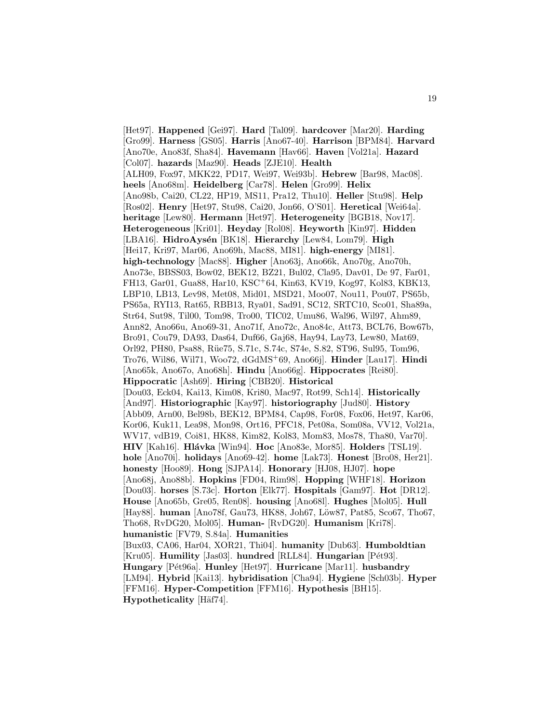[Het97]. **Happened** [Gei97]. **Hard** [Tal09]. **hardcover** [Mar20]. **Harding** [Gro99]. **Harness** [GS05]. **Harris** [Ano67-40]. **Harrison** [BPM84]. **Harvard** [Ano70e, Ano83f, Sha84]. **Havemann** [Hav66]. **Haven** [Vol21a]. **Hazard** [Col07]. **hazards** [Maz90]. **Heads** [ZJE10]. **Health** [ALH09, Fox97, MKK22, PD17, Wei97, Wei93b]. **Hebrew** [Bar98, Mac08]. **heels** [Ano68m]. **Heidelberg** [Car78]. **Helen** [Gro99]. **Helix** [Ano98b, Cai20, CL22, HP19, MS11, Pra12, Thu10]. **Heller** [Stu98]. **Help** [Ros02]. **Henry** [Het97, Stu98, Cai20, Jon66, O'S01]. **Heretical** [Wei64a]. **heritage** [Lew80]. **Hermann** [Het97]. **Heterogeneity** [BGB18, Nov17]. **Heterogeneous** [Kri01]. **Heyday** [Rol08]. **Heyworth** [Kin97]. **Hidden** [LBA16]. **HidroAysén** [BK18]. **Hierarchy** [Lew84, Lom79]. **High** [Hei17, Kri97, Mar06, Ano69h, Mac88, MI81]. **high-energy** [MI81]. **high-technology** [Mac88]. **Higher** [Ano63j, Ano66k, Ano70g, Ano70h, Ano73e, BBSS03, Bow02, BEK12, BZ21, Bul02, Cla95, Dav01, De 97, Far01, FH13, Gar01, Gua88, Har10, KSC<sup>+</sup>64, Kin63, KV19, Kog97, Kol83, KBK13, LBP10, LB13, Lev98, Met08, Mid01, MSD21, Moo07, Nou11, Pou07, PS65b, PS65a, RYI13, Rat65, RBB13, Rya01, Sad91, SC12, SRTC10, Sco01, Sha89a, Str64, Sut98, Til00, Tom98, Tro00, TIC02, Umu86, Wal96, Wil97, Ahm89, Ann82, Ano66u, Ano69-31, Ano71f, Ano72c, Ano84c, Att73, BCL76, Bow67b, Bro91, Cou79, DA93, Das64, Duf66, Gaj68, Hay94, Lay73, Lew80, Mat69, Orl92, PH80, Psa88, Rüe75, S.71c, S.74c, S74e, S.82, ST96, Sul95, Tom96, Tro76, Wil86, Wil71, Woo72, dGdMS<sup>+</sup>69, Ano66j]. **Hinder** [Lau17]. **Hindi** [Ano65k, Ano67o, Ano68h]. **Hindu** [Ano66g]. **Hippocrates** [Rei80]. **Hippocratic** [Ash69]. **Hiring** [CBB20]. **Historical** [Dou03, Eck04, Kai13, Kim08, Kri80, Mac97, Rot99, Sch14]. **Historically** [And97]. **Historiographic** [Kay97]. **historiography** [Jud80]. **History** [Abb09, Arn00, Bel98b, BEK12, BPM84, Cap98, For08, Fox06, Het97, Kar06, Kor06, Kuk11, Lea98, Mon98, Ort16, PFC18, Pet08a, Som08a, VV12, Vol21a, WV17, vdB19, Coi81, HK88, Kim82, Kol83, Mom83, Mos78, Tha80, Var70]. **HIV** [Kah16]. **Hl´avka** [Win94]. **Hoc** [Ano83e, Mor85]. **Holders** [TSL19]. **hole** [Ano70i]. **holidays** [Ano69-42]. **home** [Lak73]. **Honest** [Bro08, Her21]. **honesty** [Hoo89]. **Hong** [SJPA14]. **Honorary** [HJ08, HJ07]. **hope** [Ano68j, Ano88b]. **Hopkins** [FD04, Rim98]. **Hopping** [WHF18]. **Horizon** [Dou03]. **horses** [S.73c]. **Horton** [Elk77]. **Hospitals** [Gam97]. **Hot** [DR12]. **House** [Ano65b, Gre05, Ren08]. **housing** [Ano68l]. **Hughes** [Mol05]. **Hull** [Hay88]. **human** [Ano78f, Gau73, HK88, Joh67, Löw87, Pat85, Sco67, Tho67, Tho68, RvDG20, Mol05]. **Human-** [RvDG20]. **Humanism** [Kri78]. **humanistic** [FV79, S.84a]. **Humanities** [Bux03, CA06, Har04, XOR21, Thi04]. **humanity** [Dub63]. **Humboldtian** [Kru05]. **Humility** [Jas03]. **hundred** [RLL84]. **Hungarian** [Pét93]. **Hungary** [P´et96a]. **Hunley** [Het97]. **Hurricane** [Mar11]. **husbandry** [LM94]. **Hybrid** [Kai13]. **hybridisation** [Cha94]. **Hygiene** [Sch03b]. **Hyper** [FFM16]. **Hyper-Competition** [FFM16]. **Hypothesis** [BH15]. **Hypotheticality** [Häf74].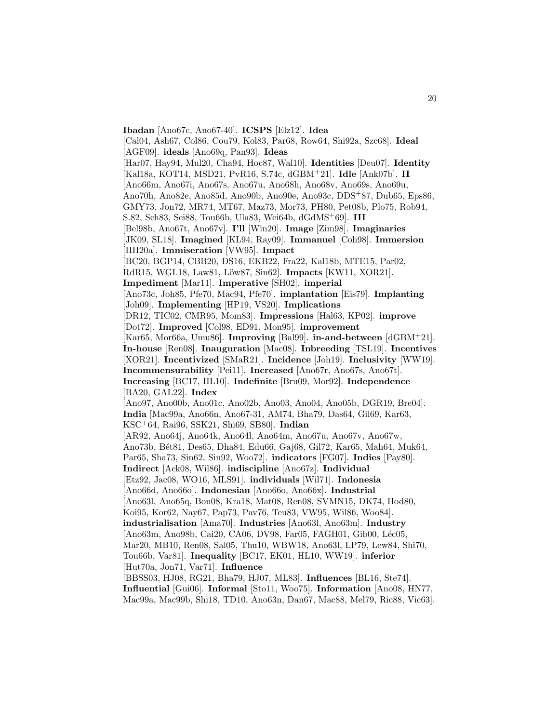**Ibadan** [Ano67c, Ano67-40]. **ICSPS** [Elz12]. **Idea** [Cal04, Ash67, Col86, Cou79, Kol83, Par68, Row64, Shi92a, Szc68]. **Ideal** [AGF09]. **ideals** [Ano69q, Pan93]. **Ideas** [Har07, Hay94, Mul20, Cha94, Hoc87, Wal10]. **Identities** [Deu07]. **Identity** [Kal18a, KOT14, MSD21, PvR16, S.74c, dGBM<sup>+</sup>21]. **Idle** [Ank07b]. **II** [Ano66m, Ano67i, Ano67s, Ano67u, Ano68h, Ano68v, Ano69s, Ano69u, Ano70h, Ano82e, Ano85d, Ano90b, Ano90e, Ano93c, DDS<sup>+</sup>87, Dub65, Eps86, GMY73, Jon72, MR74, MT67, Maz73, Mor73, PH80, Pet08b, Plo75, Rob94, S.82, Sch83, Sei88, Tou66b, Ula83, Wei64b, dGdMS<sup>+</sup>69]. **III** [Bel98b, Ano67t, Ano67v]. **I'll** [Win20]. **Image** [Zim98]. **Imaginaries** [JK09, SL18]. **Imagined** [KL94, Ray09]. **Immanuel** [Coh98]. **Immersion** [HH20a]. **Immiseration** [VW95]. **Impact** [BC20, BGP14, CBB20, DS16, EKB22, Fra22, Kal18b, MTE15, Par02, RdR15, WGL18, Law81, L¨ow87, Sin62]. **Impacts** [KW11, XOR21]. **Impediment** [Mar11]. **Imperative** [SH02]. **imperial** [Ano73c, Joh85, Pfe70, Mac94, Pfe70]. **implantation** [Eis79]. **Implanting** [Joh09]. **Implementing** [HP19, VS20]. **Implications** [DR12, TIC02, CMR95, Mom83]. **Impressions** [Hal63, KP02]. **improve** [Dot72]. **Improved** [Col98, ED91, Mon95]. **improvement** [Kar65, Mor66a, Umu86]. **Improving** [Bal99]. **in-and-between** [dGBM<sup>+</sup>21]. **In-house** [Ren08]. **Inauguration** [Mac08]. **Inbreeding** [TSL19]. **Incentives** [XOR21]. **Incentivized** [SMaR21]. **Incidence** [Joh19]. **Inclusivity** [WW19]. **Incommensurability** [Pei11]. **Increased** [Ano67r, Ano67s, Ano67t]. **Increasing** [BC17, HL10]. **Indefinite** [Bru09, Mor92]. **Independence** [BA20, GAL22]. **Index** [Ano97, Ano00b, Ano01c, Ano02b, Ano03, Ano04, Ano05b, DGR19, Bre04]. **India** [Mac99a, Ano66n, Ano67-31, AM74, Bha79, Das64, Gil69, Kar63, KSC<sup>+</sup>64, Rai96, SSK21, Shi69, SB80]. **Indian** [AR92, Ano64j, Ano64k, Ano64l, Ano64m, Ano67u, Ano67v, Ano67w, Ano73b, Bét81, Des65, Dha84, Edu66, Gaj68, Gil72, Kar65, Mah64, Muk64, Par65, Sha73, Sin62, Sin92, Woo72]. **indicators** [FG07]. **Indies** [Pay80]. **Indirect** [Ack08, Wil86]. **indiscipline** [Ano67z]. **Individual** [Etz92, Jac08, WO16, MLS91]. **individuals** [Wil71]. **Indonesia** [Ano66d, Ano66o]. **Indonesian** [Ano66o, Ano66x]. **Industrial** [Ano63l, Ano65q, Bon08, Kra18, Mat08, Ren08, SVMN15, DK74, Hod80, Koi95, Kor62, Nay67, Pap73, Pav76, Teu83, VW95, Wil86, Woo84]. **industrialisation** [Ama70]. **Industries** [Ano63l, Ano63m]. **Industry** [Ano63m, Ano98b, Cai20, CA06, DV98, Far05, FAGH01, Gib00, Léc05, Mar20, MB10, Ren08, Sal05, Thu10, WBW18, Ano63l, LP79, Lew84, Shi70, Tou66b, Var81]. **Inequality** [BC17, EK01, HL10, WW19]. **inferior** [Hut70a, Jon71, Var71]. **Influence** [BBSS03, HJ08, RG21, Bha79, HJ07, ML83]. **Influences** [BL16, Ste74]. **Influential** [Gui06]. **Informal** [Sto11, Woo75]. **Information** [Ano08, HN77, Mac99a, Mac99b, Shi18, TD10, Ano63n, Dan67, Mac88, Mel79, Ric88, Vic63].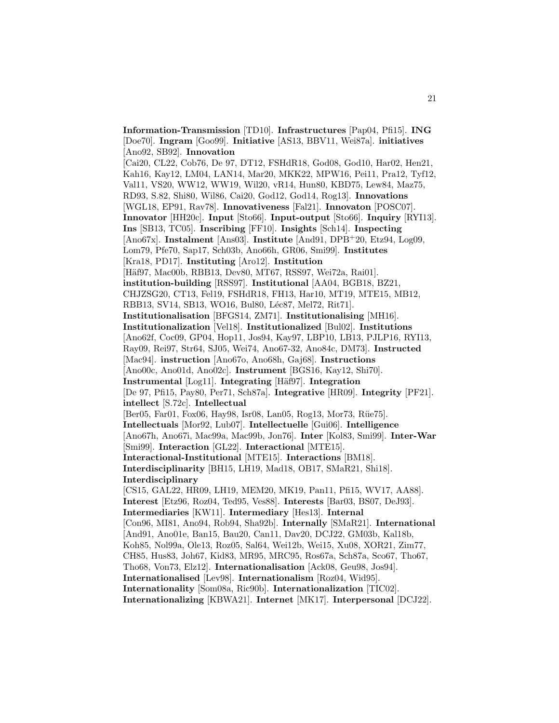**Information-Transmission** [TD10]. **Infrastructures** [Pap04, Pfi15]. **ING** [Doe70]. **Ingram** [Goo99]. **Initiative** [AS13, BBV11, Wei87a]. **initiatives** [Ano92, SB92]. **Innovation** [Cai20, CL22, Cob76, De 97, DT12, FSHdR18, God08, God10, Har02, Hen21, Kah16, Kay12, LM04, LAN14, Mar20, MKK22, MPW16, Pei11, Pra12, Tyf12, Val11, VS20, WW12, WW19, Wil20, vR14, Hun80, KBD75, Lew84, Maz75, RD93, S.82, Shi80, Wil86, Cai20, God12, God14, Rog13]. **Innovations** [WGL18, EP91, Rav78]. **Innovativeness** [Fal21]. **Innovaton** [POSC07]. **Innovator** [HH20c]. **Input** [Sto66]. **Input-output** [Sto66]. **Inquiry** [RYI13]. **Ins** [SB13, TC05]. **Inscribing** [FF10]. **Insights** [Sch14]. **Inspecting** [Ano67x]. **Instalment** [Ans03]. **Institute** [And91, DPB<sup>+</sup>20, Etz94, Log09, Lom79, Pfe70, Sap17, Sch03b, Ano66h, GR06, Smi99]. **Institutes** [Kra18, PD17]. **Instituting** [Aro12]. **Institution** [Häf97, Mac00b, RBB13, Dev80, MT67, RSS97, Wei72a, Rai01]. **institution-building** [RSS97]. **Institutional** [AA04, BGB18, BZ21, CHJZSG20, CT13, Fel19, FSHdR18, FH13, Har10, MT19, MTE15, MB12, RBB13, SV14, SB13, WO16, Bul80, Léc87, Mel72, Rit71]. **Institutionalisation** [BFGS14, ZM71]. **Institutionalising** [MH16]. **Institutionalization** [Vel18]. **Institutionalized** [Bul02]. **Institutions** [Ano62f, Coc09, GP04, Hop11, Jos94, Kay97, LBP10, LB13, PJLP16, RYI13, Ray09, Rei97, Str64, SJ05, Wei74, Ano67-32, Ano84c, DM73]. **Instructed** [Mac94]. **instruction** [Ano67o, Ano68h, Gaj68]. **Instructions** [Ano00c, Ano01d, Ano02c]. **Instrument** [BGS16, Kay12, Shi70]. **Instrumental** [Log11]. **Integrating** [H¨af97]. **Integration** [De 97, Pfi15, Pay80, Per71, Sch87a]. **Integrative** [HR09]. **Integrity** [PF21]. **intellect** [S.72c]. **Intellectual** [Ber05, Far01, Fox06, Hay98, Isr08, Lan05, Rog13, Mor73, Rüe75]. **Intellectuals** [Mor92, Lub07]. **Intellectuelle** [Gui06]. **Intelligence** [Ano67h, Ano67i, Mac99a, Mac99b, Jon76]. **Inter** [Kol83, Smi99]. **Inter-War** [Smi99]. **Interaction** [GL22]. **Interactional** [MTE15]. **Interactional-Institutional** [MTE15]. **Interactions** [BM18]. **Interdisciplinarity** [BH15, LH19, Mad18, OB17, SMaR21, Shi18]. **Interdisciplinary** [CS15, GAL22, HR09, LH19, MEM20, MK19, Pan11, Pfi15, WV17, AA88]. **Interest** [Etz96, Roz04, Ted95, Ves88]. **Interests** [Bar03, BS07, DeJ93]. **Intermediaries** [KW11]. **Intermediary** [Hes13]. **Internal** [Con96, MI81, Ano94, Rob94, Sha92b]. **Internally** [SMaR21]. **International** [And91, Ano01e, Ban15, Bau20, Can11, Dav20, DCJ22, GM03b, Kal18b, Koh85, Nol99a, Ole13, Roz05, Sal64, Wei12b, Wei15, Xu08, XOR21, Zim77, CH85, Hus83, Joh67, Kid83, MR95, MRC95, Ros67a, Sch87a, Sco67, Tho67, Tho68, Von73, Elz12]. **Internationalisation** [Ack08, Geu98, Jos94]. **Internationalised** [Lev98]. **Internationalism** [Roz04, Wid95]. **Internationality** [Som08a, Ric90b]. **Internationalization** [TIC02]. **Internationalizing** [KBWA21]. **Internet** [MK17]. **Interpersonal** [DCJ22].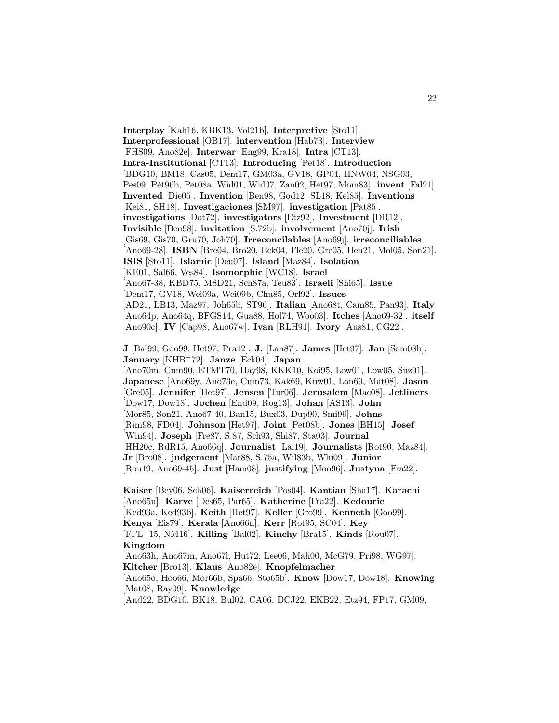**Interplay** [Kah16, KBK13, Vol21b]. **Interpretive** [Sto11]. **Interprofessional** [OB17]. **intervention** [Hab73]. **Interview** [FHS09, Ano82e]. **Interwar** [Eng99, Kra18]. **Intra** [CT13]. **Intra-Institutional** [CT13]. **Introducing** [Pet18]. **Introduction** [BDG10, BM18, Cas05, Dem17, GM03a, GV18, GP04, HNW04, NSG03, Pes09, Pét96b, Pet08a, Wid01, Wid07, Zan02, Het97, Mom83]. **invent** [Fal21]. **Invented** [Die05]. **Invention** [Ben98, God12, SL18, Kel85]. **Inventions** [Kei81, SH18]. **Investigaciones** [SM97]. **investigation** [Pat85]. **investigations** [Dot72]. **investigators** [Etz92]. **Investment** [DR12]. **Invisible** [Ben98]. **invitation** [S.72b]. **involvement** [Ano70j]. **Irish** [Gis69, Gis70, Gru70, Joh70]. **Irreconcilables** [Ano69j]. **irreconciliables** [Ano69-28]. **ISBN** [Bre04, Bro20, Eck04, Fle20, Gre05, Hen21, Mol05, Son21]. **ISIS** [Sto11]. **Islamic** [Deu07]. **Island** [Maz84]. **Isolation** [KE01, Sal66, Ves84]. **Isomorphic** [WC18]. **Israel** [Ano67-38, KBD75, MSD21, Sch87a, Teu83]. **Israeli** [Shi65]. **Issue** [Dem17, GV18, Wei09a, Wei09b, Chu85, Orl92]. **Issues** [AD21, LB13, Maz97, Joh65b, ST96]. **Italian** [Ano68t, Cam85, Pan93]. **Italy** [Ano64p, Ano64q, BFGS14, Gua88, Hol74, Woo03]. **Itches** [Ano69-32]. **itself** [Ano90c]. **IV** [Cap98, Ano67w]. **Ivan** [RLH91]. **Ivory** [Aus81, CG22].

**J** [Bal99, Goo99, Het97, Pra12]. **J.** [Lan87]. **James** [Het97]. **Jan** [Som08b]. **January** [KHB<sup>+</sup>72]. **Janze** [Eck04]. **Japan** [Ano70m, Cum90, ETMT70, Hay98, KKK10, Koi95, Low01, Low05, Suz01]. **Japanese** [Ano69y, Ano73e, Cum73, Kak69, Kuw01, Lon69, Mat08]. **Jason** [Gre05]. **Jennifer** [Het97]. **Jensen** [Tur06]. **Jerusalem** [Mac08]. **Jetliners** [Dow17, Dow18]. **Jochen** [End09, Rog13]. **Johan** [AS13]. **John** [Mor85, Son21, Ano67-40, Ban15, Bux03, Dup90, Smi99]. **Johns** [Rim98, FD04]. **Johnson** [Het97]. **Joint** [Pet08b]. **Jones** [BH15]. **Josef** [Win94]. **Joseph** [Fre87, S.87, Sch93, Shi87, Sta03]. **Journal** [HH20c, RdR15, Ano66q]. **Journalist** [Lai19]. **Journalists** [Rot90, Maz84]. **Jr** [Bro08]. **judgement** [Mar88, S.75a, Wil83b, Whi09]. **Junior** [Rou19, Ano69-45]. **Just** [Ham08]. **justifying** [Moo96]. **Justyna** [Fra22].

**Kaiser** [Bey06, Sch06]. **Kaiserreich** [Pos04]. **Kantian** [Sha17]. **Karachi** [Ano65u]. **Karve** [Des65, Par65]. **Katherine** [Fra22]. **Kedourie** [Ked93a, Ked93b]. **Keith** [Het97]. **Keller** [Gro99]. **Kenneth** [Goo99]. **Kenya** [Eis79]. **Kerala** [Ano66n]. **Kerr** [Rot95, SC04]. **Key** [FFL<sup>+</sup>15, NM16]. **Killing** [Bal02]. **Kinchy** [Bra15]. **Kinds** [Rou07]. **Kingdom** [Ano63h, Ano67m, Ano67l, Hut72, Lee06, Mah00, McG79, Pri98, WG97]. **Kitcher** [Bro13]. **Klaus** [Ano82e]. **Knopfelmacher** [Ano65o, Hoo66, Mor66b, Spa66, Sto65b]. **Know** [Dow17, Dow18]. **Knowing** [Mat08, Ray09]. **Knowledge** [And22, BDG10, BK18, Bul02, CA06, DCJ22, EKB22, Etz94, FP17, GM09,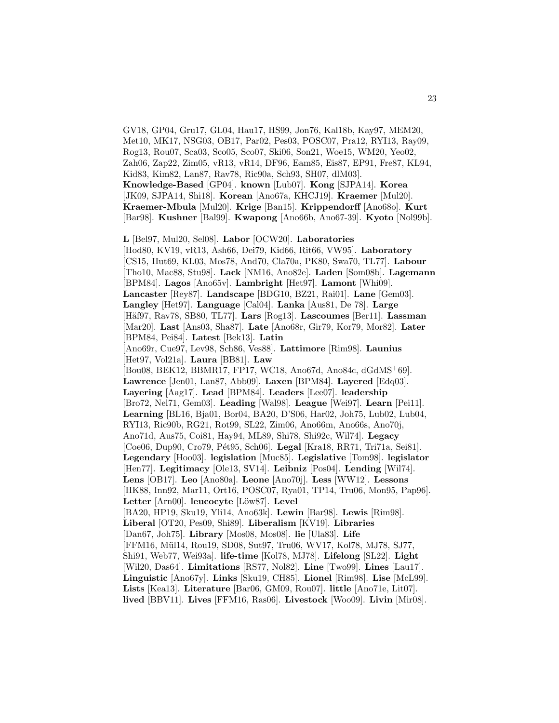GV18, GP04, Gru17, GL04, Hau17, HS99, Jon76, Kal18b, Kay97, MEM20, Met10, MK17, NSG03, OB17, Par02, Pes03, POSC07, Pra12, RYI13, Ray09, Rog13, Rou07, Sca03, Sco05, Sco07, Ski06, Son21, Woe15, WM20, Yeo02, Zah06, Zap22, Zim05, vR13, vR14, DF96, Eam85, Eis87, EP91, Fre87, KL94, Kid83, Kim82, Lan87, Rav78, Ric90a, Sch93, SH07, dlM03]. **Knowledge-Based** [GP04]. **known** [Lub07]. **Kong** [SJPA14]. **Korea** [JK09, SJPA14, Shi18]. **Korean** [Ano67a, KHCJ19]. **Kraemer** [Mul20]. **Kraemer-Mbula** [Mul20]. **Krige** [Ban15]. **Krippendorff** [Ano68o]. **Kurt** [Bar98]. **Kushner** [Bal99]. **Kwapong** [Ano66b, Ano67-39]. **Kyoto** [Nol99b]. **L** [Bel97, Mul20, Sel08]. **Labor** [OCW20]. **Laboratories** [Hod80, KV19, vR13, Ash66, Dei79, Kid66, Rit66, VW95]. **Laboratory** [CS15, Hut69, KL03, Mos78, And70, Cla70a, PK80, Swa70, TL77]. **Labour** [Tho10, Mac88, Stu98]. **Lack** [NM16, Ano82e]. **Laden** [Som08b]. **Lagemann** [BPM84]. **Lagos** [Ano65v]. **Lambright** [Het97]. **Lamont** [Whi09]. **Lancaster** [Rey87]. **Landscape** [BDG10, BZ21, Rai01]. **Lane** [Gem03]. **Langley** [Het97]. **Language** [Cal04]. **Lanka** [Aus81, De 78]. **Large** [H¨af97, Rav78, SB80, TL77]. **Lars** [Rog13]. **Lascoumes** [Ber11]. **Lassman** [Mar20]. **Last** [Ans03, Sha87]. **Late** [Ano68r, Gir79, Kor79, Mor82]. **Later** [BPM84, Pei84]. **Latest** [Bek13]. **Latin** [Ano69r, Cue97, Lev98, Sch86, Ves88]. **Lattimore** [Rim98]. **Launius** [Het97, Vol21a]. **Laura** [BB81]. **Law** [Bou08, BEK12, BBMR17, FP17, WC18, Ano67d, Ano84c, dGdMS<sup>+</sup>69]. **Lawrence** [Jen01, Lan87, Abb09]. **Laxen** [BPM84]. **Layered** [Edq03]. **Layering** [Aag17]. **Lead** [BPM84]. **Leaders** [Lee07]. **leadership** [Bro72, Nel71, Gem03]. **Leading** [Wal98]. **League** [Wei97]. **Learn** [Pei11]. **Learning** [BL16, Bja01, Bor04, BA20, D'S06, Har02, Joh75, Lub02, Lub04, RYI13, Ric90b, RG21, Rot99, SL22, Zim06, Ano66m, Ano66s, Ano70j, Ano71d, Aus75, Coi81, Hay94, ML89, Shi78, Shi92c, Wil74]. **Legacy** [Coe06, Dup90, Cro79, P´et95, Sch06]. **Legal** [Kra18, RR71, Tri71a, Sei81]. **Legendary** [Hoo03]. **legislation** [Muc85]. **Legislative** [Tom98]. **legislator** [Hen77]. **Legitimacy** [Ole13, SV14]. **Leibniz** [Pos04]. **Lending** [Wil74]. **Lens** [OB17]. **Leo** [Ano80a]. **Leone** [Ano70j]. **Less** [WW12]. **Lessons** [HK88, Inn92, Mar11, Ort16, POSC07, Rya01, TP14, Tru06, Mon95, Pap96]. Letter<sup>[Arn00].</sup> leucocyte<sup>[Low87]</sup>. Level] [BA20, HP19, Sku19, Yli14, Ano63k]. **Lewin** [Bar98]. **Lewis** [Rim98]. **Liberal** [OT20, Pes09, Shi89]. **Liberalism** [KV19]. **Libraries** [Dan67, Joh75]. **Library** [Mos08, Mos08]. **lie** [Ula83]. **Life** [FFM16, Mül14, Rou19, SD08, Sut97, Tru06, WV17, Kol78, MJ78, SJ77, Shi91, Web77, Wei93a]. **life-time** [Kol78, MJ78]. **Lifelong** [SL22]. **Light** [Wil20, Das64]. **Limitations** [RS77, Nol82]. **Line** [Two99]. **Lines** [Lau17]. **Linguistic** [Ano67y]. **Links** [Sku19, CH85]. **Lionel** [Rim98]. **Lise** [McL99]. **Lists** [Kea13]. **Literature** [Bar06, GM09, Rou07]. **little** [Ano71e, Lit07]. **lived** [BBV11]. **Lives** [FFM16, Ras06]. **Livestock** [Woo09]. **Livin** [Mir08].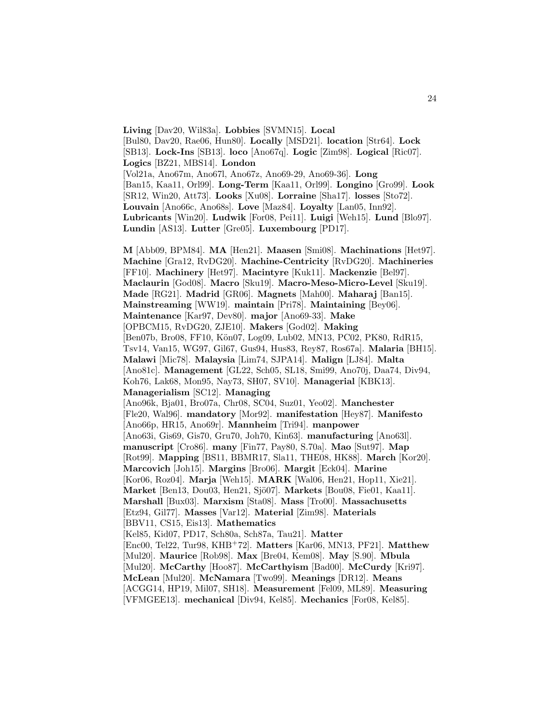**Living** [Dav20, Wil83a]. **Lobbies** [SVMN15]. **Local** [Bul80, Dav20, Rae06, Hun80]. **Locally** [MSD21]. **location** [Str64]. **Lock** [SB13]. **Lock-Ins** [SB13]. **loco** [Ano67q]. **Logic** [Zim98]. **Logical** [Ric07]. **Logics** [BZ21, MBS14]. **London** [Vol21a, Ano67m, Ano67l, Ano67z, Ano69-29, Ano69-36]. **Long** [Ban15, Kaa11, Orl99]. **Long-Term** [Kaa11, Orl99]. **Longino** [Gro99]. **Look** [SR12, Win20, Att73]. **Looks** [Xu08]. **Lorraine** [Sha17]. **losses** [Sto72]. **Louvain** [Ano66c, Ano68s]. **Love** [Maz84]. **Loyalty** [Lan05, Inn92]. **Lubricants** [Win20]. **Ludwik** [For08, Pei11]. **Luigi** [Weh15]. **Lund** [Blo97]. **Lundin** [AS13]. **Lutter** [Gre05]. **Luxembourg** [PD17].

**M** [Abb09, BPM84]. **MA** [Hen21]. **Maasen** [Smi08]. **Machinations** [Het97]. **Machine** [Gra12, RvDG20]. **Machine-Centricity** [RvDG20]. **Machineries** [FF10]. **Machinery** [Het97]. **Macintyre** [Kuk11]. **Mackenzie** [Bel97]. **Maclaurin** [God08]. **Macro** [Sku19]. **Macro-Meso-Micro-Level** [Sku19]. **Made** [RG21]. **Madrid** [GR06]. **Magnets** [Mah00]. **Maharaj** [Ban15]. **Mainstreaming** [WW19]. **maintain** [Pri78]. **Maintaining** [Bey06]. **Maintenance** [Kar97, Dev80]. **major** [Ano69-33]. **Make** [OPBCM15, RvDG20, ZJE10]. **Makers** [God02]. **Making** [Ben07b, Bro08, FF10, Kön07, Log09, Lub02, MN13, PC02, PK80, RdR15, Tsv14, Van15, WG97, Gil67, Gus94, Hus83, Rey87, Ros67a]. **Malaria** [BH15]. **Malawi** [Mic78]. **Malaysia** [Lim74, SJPA14]. **Malign** [LJ84]. **Malta** [Ano81c]. **Management** [GL22, Sch05, SL18, Smi99, Ano70j, Daa74, Div94, Koh76, Lak68, Mon95, Nay73, SH07, SV10]. **Managerial** [KBK13]. **Managerialism** [SC12]. **Managing** [Ano96k, Bja01, Bro07a, Chr08, SC04, Suz01, Yeo02]. **Manchester** [Fle20, Wal96]. **mandatory** [Mor92]. **manifestation** [Hey87]. **Manifesto** [Ano66p, HR15, Ano69r]. **Mannheim** [Tri94]. **manpower** [Ano63i, Gis69, Gis70, Gru70, Joh70, Kin63]. **manufacturing** [Ano63l]. **manuscript** [Cro86]. **many** [Fin77, Pay80, S.70a]. **Mao** [Sut97]. **Map** [Rot99]. **Mapping** [BS11, BBMR17, Sla11, THE08, HK88]. **March** [Kor20]. **Marcovich** [Joh15]. **Margins** [Bro06]. **Margit** [Eck04]. **Marine** [Kor06, Roz04]. **Marja** [Weh15]. **MARK** [Wal06, Hen21, Hop11, Xie21]. **Market** [Ben13, Dou03, Hen21, Sjö07]. **Markets** [Bou08, Fie01, Kaa11]. **Marshall** [Bux03]. **Marxism** [Sta08]. **Mass** [Tro00]. **Massachusetts** [Etz94, Gil77]. **Masses** [Var12]. **Material** [Zim98]. **Materials** [BBV11, CS15, Eis13]. **Mathematics** [Kel85, Kid07, PD17, Sch80a, Sch87a, Tau21]. **Matter** [Enc00, Tel22, Tur98, KHB<sup>+</sup>72]. **Matters** [Kar06, MN13, PF21]. **Matthew** [Mul20]. **Maurice** [Rob98]. **Max** [Bre04, Kem08]. **May** [S.90]. **Mbula** [Mul20]. **McCarthy** [Hoo87]. **McCarthyism** [Bad00]. **McCurdy** [Kri97]. **McLean** [Mul20]. **McNamara** [Two99]. **Meanings** [DR12]. **Means** [ACGG14, HP19, Mil07, SH18]. **Measurement** [Fel09, ML89]. **Measuring** [VFMGEE13]. **mechanical** [Div94, Kel85]. **Mechanics** [For08, Kel85].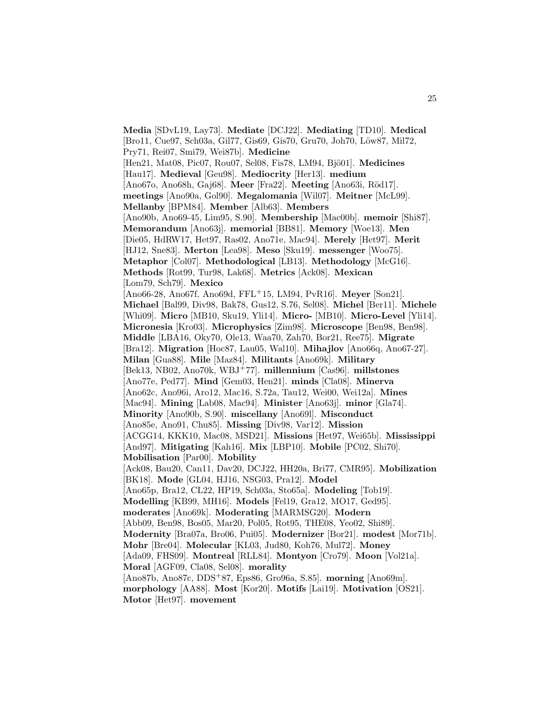**Media** [SDvL19, Lay73]. **Mediate** [DCJ22]. **Mediating** [TD10]. **Medical** [Bro11, Cue97, Sch03a, Gil77, Gis69, Gis70, Gru70, Joh70, Löw87, Mil72, Pry71, Rei07, Smi79, Wei87b]. **Medicine** [Hen21, Mat08, Pic07, Rou07, Sel08, Fis78, LM94, Bjö01]. Medicines [Hau17]. **Medieval** [Geu98]. **Mediocrity** [Her13]. **medium** [Ano67o, Ano68h, Gaj68]. **Meer** [Fra22]. **Meeting** [Ano63i, Röd17]. **meetings** [Ano90a, Gol90]. **Megalomania** [Wil07]. **Meitner** [McL99]. **Mellanby** [BPM84]. **Member** [Alb63]. **Members** [Ano90b, Ano69-45, Lim95, S.90]. **Membership** [Mac00b]. **memoir** [Shi87]. **Memorandum** [Ano63j]. **memorial** [BB81]. **Memory** [Woe13]. **Men** [Die05, HdRW17, Het97, Ras02, Ano71e, Mac94]. **Merely** [Het97]. **Merit** [HJ12, Sne83]. **Merton** [Lea98]. **Meso** [Sku19]. **messenger** [Woo75]. **Metaphor** [Col07]. **Methodological** [LB13]. **Methodology** [McG16]. **Methods** [Rot99, Tur98, Lak68]. **Metrics** [Ack08]. **Mexican** [Lom79, Sch79]. **Mexico** [Ano66-28, Ano67f, Ano69d, FFL<sup>+</sup>15, LM94, PvR16]. **Meyer** [Son21]. **Michael** [Bal99, Div98, Bak78, Gus12, S.76, Sel08]. **Michel** [Ber11]. **Michele** [Whi09]. **Micro** [MB10, Sku19, Yli14]. **Micro-** [MB10]. **Micro-Level** [Yli14]. **Micronesia** [Kro03]. **Microphysics** [Zim98]. **Microscope** [Ben98, Ben98]. **Middle** [LBA16, Oky70, Ole13, Waa70, Zah70, Bor21, Ree75]. **Migrate** [Bra12]. **Migration** [Hoc87, Lau05, Wal10]. **Mihajlov** [Ano66q, Ano67-27]. **Milan** [Gua88]. **Mile** [Maz84]. **Militants** [Ano69k]. **Military** [Bek13, NB02, Ano70k, WBJ<sup>+</sup>77]. **millennium** [Cas96]. **millstones** [Ano77e, Ped77]. **Mind** [Gem03, Hen21]. **minds** [Cla08]. **Minerva** [Ano62c, Ano96i, Aro12, Mac16, S.72a, Tau12, Wei00, Wei12a]. **Mines** [Mac94]. **Mining** [Lab08, Mac94]. **Minister** [Ano63j]. **minor** [Gla74]. **Minority** [Ano90b, S.90]. **miscellany** [Ano69l]. **Misconduct** [Ano85e, Ano91, Chu85]. **Missing** [Div98, Var12]. **Mission** [ACGG14, KKK10, Mac08, MSD21]. **Missions** [Het97, Wei65b]. **Mississippi** [And97]. **Mitigating** [Kah16]. **Mix** [LBP10]. **Mobile** [PC02, Shi70]. **Mobilisation** [Par00]. **Mobility** [Ack08, Bau20, Can11, Dav20, DCJ22, HH20a, Bri77, CMR95]. **Mobilization** [BK18]. **Mode** [GL04, HJ16, NSG03, Pra12]. **Model** [Ano65p, Bra12, CL22, HP19, Sch03a, Sto65a]. **Modeling** [Tob19]. **Modelling** [KB99, MH16]. **Models** [Fel19, Gra12, MO17, Ged95]. **moderates** [Ano69k]. **Moderating** [MARMSG20]. **Modern** [Abb09, Ben98, Bos05, Mar20, Pol05, Rot95, THE08, Yeo02, Shi89]. **Modernity** [Bra07a, Bro06, Pui05]. **Modernizer** [Bor21]. **modest** [Mor71b]. **Mohr** [Bre04]. **Molecular** [KL03, Jud80, Koh76, Mul72]. **Money** [Ada09, FHS09]. **Montreal** [RLL84]. **Montyon** [Cro79]. **Moon** [Vol21a]. **Moral** [AGF09, Cla08, Sel08]. **morality** [Ano87b, Ano87c, DDS<sup>+</sup>87, Eps86, Gro96a, S.85]. **morning** [Ano69m]. **morphology** [AA88]. **Most** [Kor20]. **Motifs** [Lai19]. **Motivation** [OS21]. **Motor** [Het97]. **movement**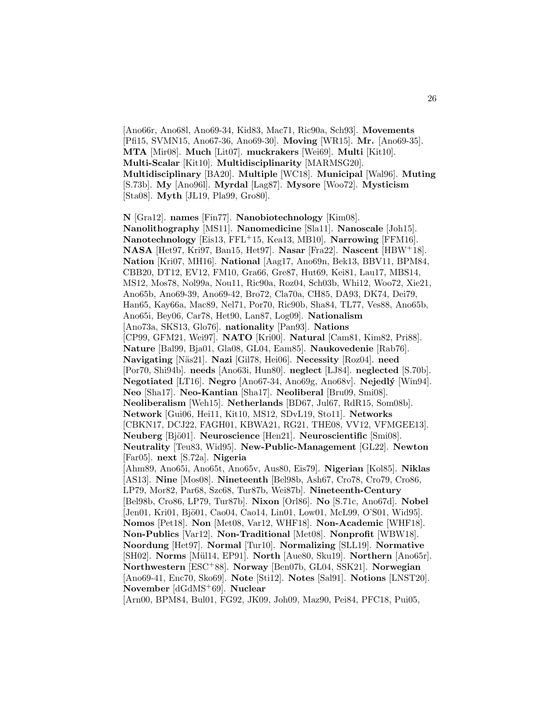[Ano66r, Ano68l, Ano69-34, Kid83, Mac71, Ric90a, Sch93]. **Movements** [Pfi15, SVMN15, Ano67-36, Ano69-30]. **Moving** [WR15]. **Mr.** [Ano69-35]. **MTA** [Mir08]. **Much** [Lit07]. **muckrakers** [Wei69]. **Multi** [Kit10]. **Multi-Scalar** [Kit10]. **Multidisciplinarity** [MARMSG20]. **Multidisciplinary** [BA20]. **Multiple** [WC18]. **Municipal** [Wal96]. **Muting** [S.73b]. **My** [Ano96l]. **Myrdal** [Lag87]. **Mysore** [Woo72]. **Mysticism** [Sta08]. **Myth** [JL19, Pla99, Gro80].

**N** [Gra12]. **names** [Fin77]. **Nanobiotechnology** [Kim08]. **Nanolithography** [MS11]. **Nanomedicine** [Sla11]. **Nanoscale** [Joh15]. **Nanotechnology** [Eis13, FFL<sup>+</sup>15, Kea13, MB10]. **Narrowing** [FFM16]. **NASA** [Het97, Kri97, Ban15, Het97]. **Nasar** [Fra22]. **Nascent** [HBW<sup>+</sup>18]. **Nation** [Kri07, MH16]. **National** [Aag17, Ano69n, Bek13, BBV11, BPM84, CBB20, DT12, EV12, FM10, Gra66, Gre87, Hut69, Kei81, Lau17, MBS14, MS12, Mos78, Nol99a, Nou11, Ric90a, Roz04, Sch03b, Whi12, Woo72, Xie21, Ano65b, Ano69-39, Ano69-42, Bro72, Cla70a, CH85, DA93, DK74, Dei79, Han65, Kay66a, Mac89, Nel71, Por70, Ric90b, Sha84, TL77, Ves88, Ano65b, Ano65i, Bey06, Car78, Het90, Lan87, Log09]. **Nationalism** [Ano73a, SKS13, Glo76]. **nationality** [Pan93]. **Nations** [CP99, GFM21, Wei97]. **NATO** [Kri00]. **Natural** [Cam81, Kim82, Pri88]. **Nature** [Bal99, Bja01, Gla08, GL04, Eam85]. **Naukovedenie** [Rab76]. **Navigating** [N¨as21]. **Nazi** [Gil78, Hei06]. **Necessity** [Roz04]. **need** [Por70, Shi94b]. **needs** [Ano63i, Hun80]. **neglect** [LJ84]. **neglected** [S.70b]. **Negotiated** [LT16]. **Negro** [Ano67-34, Ano69g, Ano68v]. **Nejedl´y** [Win94]. **Neo** [Sha17]. **Neo-Kantian** [Sha17]. **Neoliberal** [Bru09, Smi08]. **Neoliberalism** [Weh15]. **Netherlands** [BD67, Jul67, RdR15, Som08b]. **Network** [Gui06, Hei11, Kit10, MS12, SDvL19, Sto11]. **Networks** [CBKN17, DCJ22, FAGH01, KBWA21, RG21, THE08, VV12, VFMGEE13]. **Neuberg** [Bjö01]. **Neuroscience** [Hen21]. **Neuroscientific** [Smi08]. **Neutrality** [Teu83, Wid95]. **New-Public-Management** [GL22]. **Newton** [Far05]. **next** [S.72a]. **Nigeria** [Ahm89, Ano65i, Ano65t, Ano65v, Aus80, Eis79]. **Nigerian** [Kol85]. **Niklas** [AS13]. **Nine** [Mos08]. **Nineteenth** [Bel98b, Ash67, Cro78, Cro79, Cro86, LP79, Mor82, Par68, Szc68, Tur87b, Wei87b]. **Nineteenth-Century** [Bel98b, Cro86, LP79, Tur87b]. **Nixon** [Orl86]. **No** [S.71c, Ano67d]. **Nobel** [Jen01, Kri01, Bjö01, Cao04, Cao14, Lin01, Low01, McL99, O'S01, Wid95]. **Nomos** [Pet18]. **Non** [Met08, Var12, WHF18]. **Non-Academic** [WHF18]. **Non-Publics** [Var12]. **Non-Traditional** [Met08]. **Nonprofit** [WBW18]. **Noordung** [Het97]. **Normal** [Tur10]. **Normalizing** [SLL19]. **Normative** [SH02]. **Norms** [M¨ul14, EP91]. **North** [Aue80, Sku19]. **Northern** [Ano65r]. **Northwestern** [ESC<sup>+</sup>88]. **Norway** [Ben07b, GL04, SSK21]. **Norwegian** [Ano69-41, Enc70, Sko69]. **Note** [Sti12]. **Notes** [Sal91]. **Notions** [LNST20]. **November** [dGdMS<sup>+</sup>69]. **Nuclear**

[Arn00, BPM84, Bul01, FG92, JK09, Joh09, Maz90, Pei84, PFC18, Pui05,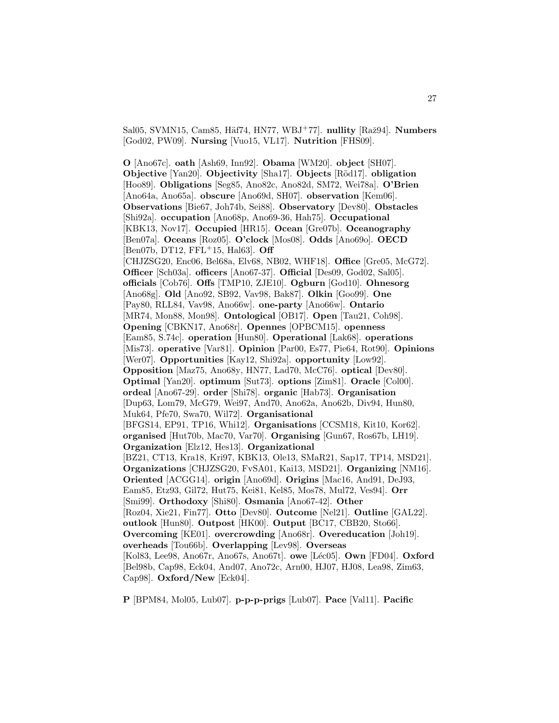Sal05, SVMN15, Cam85, Häf74, HN77, WBJ<sup>+</sup>77]. **nullity** [Raž94]. **Numbers** [God02, PW09]. **Nursing** [Vuo15, VL17]. **Nutrition** [FHS09].

**O** [Ano67c]. **oath** [Ash69, Inn92]. **Obama** [WM20]. **object** [SH07]. **Objective** [Yan20]. **Objectivity** [Sha17]. **Objects** [R¨od17]. **obligation** [Hoo89]. **Obligations** [Seg85, Ano82c, Ano82d, SM72, Wei78a]. **O'Brien** [Ano64a, Ano65a]. **obscure** [Ano69d, SH07]. **observation** [Kem06]. **Observations** [Bie67, Joh74b, Sei88]. **Observatory** [Dev80]. **Obstacles** [Shi92a]. **occupation** [Ano68p, Ano69-36, Hah75]. **Occupational** [KBK13, Nov17]. **Occupied** [HR15]. **Ocean** [Gre07b]. **Oceanography** [Ben07a]. **Oceans** [Roz05]. **O'clock** [Mos08]. **Odds** [Ano69o]. **OECD** [Ben07b, DT12, FFL<sup>+</sup>15, Hal63]. **Off** [CHJZSG20, Enc06, Bel68a, Elv68, NB02, WHF18]. **Office** [Gre05, McG72]. **Officer** [Sch03a]. **officers** [Ano67-37]. **Official** [Des09, God02, Sal05]. **officials** [Cob76]. **Offs** [TMP10, ZJE10]. **Ogburn** [God10]. **Ohnesorg** [Ano68g]. **Old** [Ano92, SB92, Vav98, Bak87]. **Olkin** [Goo99]. **One** [Pay80, RLL84, Vav98, Ano66w]. **one-party** [Ano66w]. **Ontario** [MR74, Mon88, Mon98]. **Ontological** [OB17]. **Open** [Tau21, Coh98]. **Opening** [CBKN17, Ano68r]. **Opennes** [OPBCM15]. **openness** [Eam85, S.74c]. **operation** [Hun80]. **Operational** [Lak68]. **operations** [Mis73]. **operative** [Var81]. **Opinion** [Par00, Es77, Pie64, Rot90]. **Opinions** [Wer07]. **Opportunities** [Kay12, Shi92a]. **opportunity** [Low92]. **Opposition** [Maz75, Ano68y, HN77, Lad70, McC76]. **optical** [Dev80]. **Optimal** [Yan20]. **optimum** [Sut73]. **options** [Zim81]. **Oracle** [Col00]. **ordeal** [Ano67-29]. **order** [Shi78]. **organic** [Hab73]. **Organisation** [Dup63, Lom79, McG79, Wei97, And70, Ano62a, Ano62b, Div94, Hun80, Muk64, Pfe70, Swa70, Wil72]. **Organisational** [BFGS14, EP91, TP16, Whi12]. **Organisations** [CCSM18, Kit10, Kor62]. **organised** [Hut70b, Mac70, Var70]. **Organising** [Gun67, Ros67b, LH19]. **Organization** [Elz12, Hes13]. **Organizational** [BZ21, CT13, Kra18, Kri97, KBK13, Ole13, SMaR21, Sap17, TP14, MSD21]. **Organizations** [CHJZSG20, FvSA01, Kai13, MSD21]. **Organizing** [NM16]. **Oriented** [ACGG14]. **origin** [Ano69d]. **Origins** [Mac16, And91, DeJ93, Eam85, Etz93, Gil72, Hut75, Kei81, Kel85, Mos78, Mul72, Ves94]. **Orr** [Smi99]. **Orthodoxy** [Shi80]. **Osmania** [Ano67-42]. **Other** [Roz04, Xie21, Fin77]. **Otto** [Dev80]. **Outcome** [Nel21]. **Outline** [GAL22]. **outlook** [Hun80]. **Outpost** [HK00]. **Output** [BC17, CBB20, Sto66]. **Overcoming** [KE01]. **overcrowding** [Ano68r]. **Overeducation** [Joh19]. **overheads** [Tou66b]. **Overlapping** [Lev98]. **Overseas** [Kol83, Lee98, Ano67r, Ano67s, Ano67t]. **owe** [Léc05]. **Own** [FD04]. **Oxford** [Bel98b, Cap98, Eck04, And07, Ano72c, Arn00, HJ07, HJ08, Lea98, Zim63, Cap98]. **Oxford/New** [Eck04].

**P** [BPM84, Mol05, Lub07]. **p-p-p-prigs** [Lub07]. **Pace** [Val11]. **Pacific**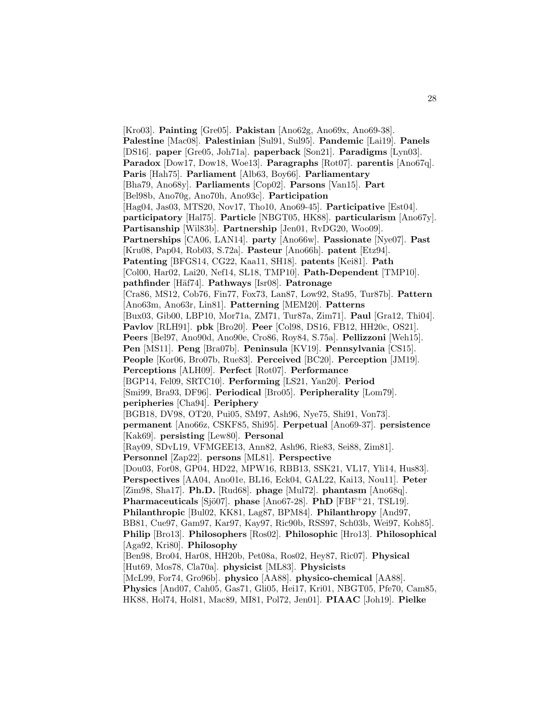[Kro03]. **Painting** [Gre05]. **Pakistan** [Ano62g, Ano69x, Ano69-38]. **Palestine** [Mac08]. **Palestinian** [Sul91, Sul95]. **Pandemic** [Lai19]. **Panels** [DS16]. **paper** [Gre05, Joh71a]. **paperback** [Son21]. **Paradigms** [Lyn03]. **Paradox** [Dow17, Dow18, Woe13]. **Paragraphs** [Rot07]. **parentis** [Ano67q]. **Paris** [Hah75]. **Parliament** [Alb63, Boy66]. **Parliamentary** [Bha79, Ano68y]. **Parliaments** [Cop02]. **Parsons** [Van15]. **Part** [Bel98b, Ano70g, Ano70h, Ano93c]. **Participation** [Hag04, Jas03, MTS20, Nov17, Tho10, Ano69-45]. **Participative** [Est04]. **participatory** [Hal75]. **Particle** [NBGT05, HK88]. **particularism** [Ano67y]. **Partisanship** [Wil83b]. **Partnership** [Jen01, RvDG20, Woo09]. **Partnerships** [CA06, LAN14]. **party** [Ano66w]. **Passionate** [Nye07]. **Past** [Kru08, Pap04, Rob03, S.72a]. **Pasteur** [Ano66h]. **patent** [Etz94]. **Patenting** [BFGS14, CG22, Kaa11, SH18]. **patents** [Kei81]. **Path** [Col00, Har02, Lai20, Nef14, SL18, TMP10]. **Path-Dependent** [TMP10]. **pathfinder** [H¨af74]. **Pathways** [Isr08]. **Patronage** [Cra86, MS12, Cob76, Fin77, Fox73, Lan87, Low92, Sta95, Tur87b]. **Pattern** [Ano63m, Ano63r, Lin81]. **Patterning** [MEM20]. **Patterns** [Bux03, Gib00, LBP10, Mor71a, ZM71, Tur87a, Zim71]. **Paul** [Gra12, Thi04]. **Pavlov** [RLH91]. **pbk** [Bro20]. **Peer** [Col98, DS16, FB12, HH20c, OS21]. **Peers** [Bel97, Ano90d, Ano90e, Cro86, Roy84, S.75a]. **Pellizzoni** [Weh15]. **Pen** [MS11]. **Peng** [Bra07b]. **Peninsula** [KV19]. **Pennsylvania** [CS15]. **People** [Kor06, Bro07b, Rue83]. **Perceived** [BC20]. **Perception** [JM19]. **Perceptions** [ALH09]. **Perfect** [Rot07]. **Performance** [BGP14, Fel09, SRTC10]. **Performing** [LS21, Yan20]. **Period** [Smi99, Bra93, DF96]. **Periodical** [Bro05]. **Peripherality** [Lom79]. **peripheries** [Cha94]. **Periphery** [BGB18, DV98, OT20, Pui05, SM97, Ash96, Nye75, Shi91, Von73]. **permanent** [Ano66z, CSKF85, Shi95]. **Perpetual** [Ano69-37]. **persistence** [Kak69]. **persisting** [Lew80]. **Personal** [Ray09, SDvL19, VFMGEE13, Ann82, Ash96, Rie83, Sei88, Zim81]. **Personnel** [Zap22]. **persons** [ML81]. **Perspective** [Dou03, For08, GP04, HD22, MPW16, RBB13, SSK21, VL17, Yli14, Hus83]. **Perspectives** [AA04, Ano01e, BL16, Eck04, GAL22, Kai13, Nou11]. **Peter** [Zim98, Sha17]. **Ph.D.** [Rud68]. **phage** [Mul72]. **phantasm** [Ano68q]. **Pharmaceuticals** [Sjö07]. **phase** [Ano67-28]. **PhD** [FBF+21, TSL19]. **Philanthropic** [Bul02, KK81, Lag87, BPM84]. **Philanthropy** [And97, BB81, Cue97, Gam97, Kar97, Kay97, Ric90b, RSS97, Sch03b, Wei97, Koh85]. **Philip** [Bro13]. **Philosophers** [Ros02]. **Philosophic** [Hro13]. **Philosophical** [Aga92, Kri80]. **Philosophy** [Ben98, Bro04, Har08, HH20b, Pet08a, Ros02, Hey87, Ric07]. **Physical** [Hut69, Mos78, Cla70a]. **physicist** [ML83]. **Physicists** [McL99, For74, Gro96b]. **physico** [AA88]. **physico-chemical** [AA88]. **Physics** [And07, Cah05, Gas71, Gli05, Hei17, Kri01, NBGT05, Pfe70, Cam85, HK88, Hol74, Hol81, Mac89, MI81, Pol72, Jen01]. **PIAAC** [Joh19]. **Pielke**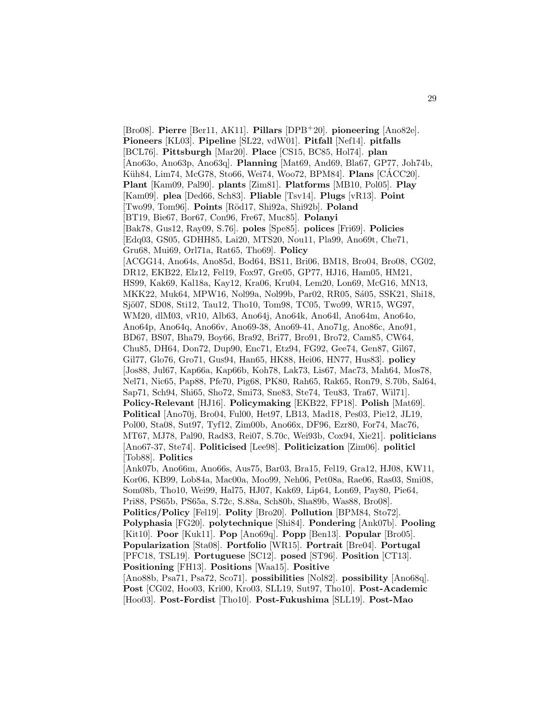[Bro08]. **Pierre** [Ber11, AK11]. **Pillars** [DPB<sup>+</sup>20]. **pioneering** [Ano82e]. **Pioneers** [KL03]. **Pipeline** [SL22, vdW01]. **Pitfall** [Nef14]. **pitfalls** [BCL76]. **Pittsburgh** [Mar20]. **Place** [CS15, BC85, Hol74]. **plan** [Ano63o, Ano63p, Ano63q]. **Planning** [Mat69, And69, Bla67, GP77, Joh74b, Küh84, Lim74, McG78, Sto66, Wei74, Woo72, BPM84. **Plans** [CACC20]. **Plant** [Kam09, Pal90]. **plants** [Zim81]. **Platforms** [MB10, Pol05]. **Play** [Kam09]. **plea** [Ded66, Sch83]. **Pliable** [Tsv14]. **Plugs** [vR13]. **Point** [Two99, Tom96]. **Points** [R¨od17, Shi92a, Shi92b]. **Poland** [BT19, Bie67, Bor67, Con96, Fre67, Muc85]. **Polanyi** [Bak78, Gus12, Ray09, S.76]. **poles** [Spe85]. **polices** [Fri69]. **Policies** [Edq03, GS05, GDHH85, Lai20, MTS20, Nou11, Pla99, Ano69t, Che71, Gru68, Mui69, Orl71a, Rat65, Tho69]. **Policy** [ACGG14, Ano64s, Ano85d, Bod64, BS11, Bri06, BM18, Bro04, Bro08, CG02, DR12, EKB22, Elz12, Fel19, Fox97, Gre05, GP77, HJ16, Ham05, HM21, HS99, Kak69, Kal18a, Kay12, Kra06, Kru04, Lem20, Lon69, McG16, MN13, MKK22, Muk64, MPW16, Nol99a, Nol99b, Par02, RR05, Sá05, SSK21, Shi18, Sjö07, SD08, Sti12, Tau12, Tho10, Tom98, TC05, Two99, WR15, WG97, WM20, dlM03, vR10, Alb63, Ano64j, Ano64k, Ano64l, Ano64m, Ano64o, Ano64p, Ano64q, Ano66v, Ano69-38, Ano69-41, Ano71g, Ano86c, Ano91, BD67, BS07, Bha79, Boy66, Bra92, Bri77, Bro91, Bro72, Cam85, CW64, Chu85, DH64, Don72, Dup90, Enc71, Etz94, FG92, Gee74, Gen87, Gil67, Gil77, Glo76, Gro71, Gus94, Han65, HK88, Hei06, HN77, Hus83]. **policy** [Jos88, Jul67, Kap66a, Kap66b, Koh78, Lak73, Lis67, Mac73, Mah64, Mos78, Nel71, Nic65, Pap88, Pfe70, Pig68, PK80, Rah65, Rak65, Ron79, S.70b, Sal64, Sap71, Sch94, Shi65, Sho72, Smi73, Sne83, Ste74, Teu83, Tra67, Wil71]. **Policy-Relevant** [HJ16]. **Policymaking** [EKB22, FP18]. **Polish** [Mat69]. **Political** [Ano70j, Bro04, Ful00, Het97, LB13, Mad18, Pes03, Pie12, JL19, Pol00, Sta08, Sut97, Tyf12, Zim00b, Ano66x, DF96, Ezr80, For74, Mac76, MT67, MJ78, Pal90, Rad83, Rei07, S.70c, Wei93b, Cox94, Xie21]. **politicians** [Ano67-37, Ste74]. **Politicised** [Lee98]. **Politicization** [Zim06]. **politicl** [Tob88]. **Politics** [Ank07b, Ano66m, Ano66s, Aus75, Bar03, Bra15, Fel19, Gra12, HJ08, KW11, Kor06, KB99, Lob84a, Mac00a, Moo99, Neh06, Pet08a, Rae06, Ras03, Smi08, Som08b, Tho10, Wei99, Hal75, HJ07, Kak69, Lip64, Lon69, Pay80, Pie64, Pri88, PS65b, PS65a, S.72c, S.88a, Sch80b, Sha89b, Was88, Bro08]. **Politics/Policy** [Fel19]. **Polity** [Bro20]. **Pollution** [BPM84, Sto72]. **Polyphasia** [FG20]. **polytechnique** [Shi84]. **Pondering** [Ank07b]. **Pooling** [Kit10]. **Poor** [Kuk11]. **Pop** [Ano69q]. **Popp** [Ben13]. **Popular** [Bro05]. **Popularization** [Sta08]. **Portfolio** [WR15]. **Portrait** [Bre04]. **Portugal** [PFC18, TSL19]. **Portuguese** [SC12]. **posed** [ST96]. **Position** [CT13]. **Positioning** [FH13]. **Positions** [Waa15]. **Positive** [Ano88b, Psa71, Psa72, Sco71]. **possibilities** [Nol82]. **possibility** [Ano68q]. **Post** [CG02, Hoo03, Kri00, Kro03, SLL19, Sut97, Tho10]. **Post-Academic** [Hoo03]. **Post-Fordist** [Tho10]. **Post-Fukushima** [SLL19]. **Post-Mao**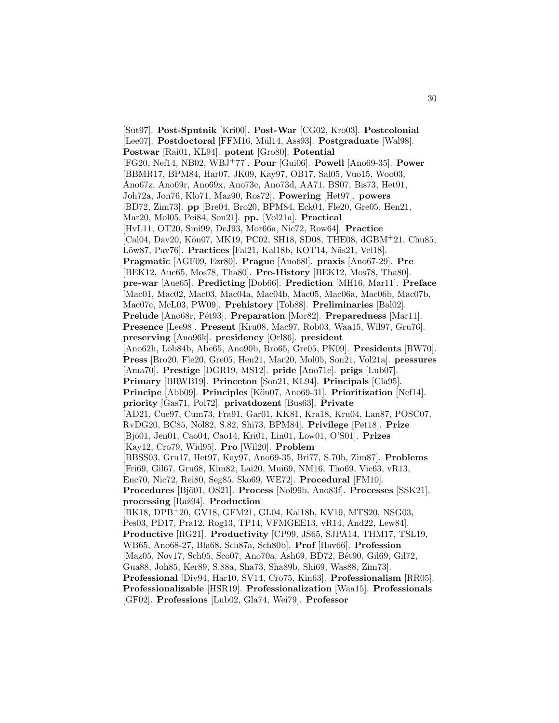[Sut97]. **Post-Sputnik** [Kri00]. **Post-War** [CG02, Kro03]. **Postcolonial** [Lee07]. **Postdoctoral** [FFM16, Mül14, Ass93]. **Postgraduate** [Wal98]. **Postwar** [Rai01, KL94]. **potent** [Gro80]. **Potential** [FG20, Nef14, NB02, WBJ<sup>+</sup>77]. **Pour** [Gui06]. **Powell** [Ano69-35]. **Power** [BBMR17, BPM84, Har07, JK09, Kay97, OB17, Sal05, Vuo15, Woo03, Ano67z, Ano69r, Ano69x, Ano73c, Ano73d, AA71, BS07, Bis73, Het91, Joh72a, Jon76, Klo71, Maz90, Ros72]. **Powering** [Het97]. **powers** [BD72, Zim73]. **pp** [Bre04, Bro20, BPM84, Eck04, Fle20, Gre05, Hen21, Mar20, Mol05, Pei84, Son21]. **pp.** [Vol21a]. **Practical** [HvL11, OT20, Smi99, DeJ93, Mor66a, Nic72, Row64]. **Practice** [Cal04, Dav20, Kön07, MK19, PC02, SH18, SD08, THE08, dGBM+21, Chu85, Löw87, Pav76]. **Practices** [Fal21, Kal18b, KOT14, Näs21, Vel18]. **Pragmatic** [AGF09, Ezr80]. **Prague** [Ano68l]. **praxis** [Ano67-29]. **Pre** [BEK12, Aue65, Mos78, Tha80]. **Pre-History** [BEK12, Mos78, Tha80]. **pre-war** [Aue65]. **Predicting** [Dob66]. **Prediction** [MH16, Mar11]. **Preface** [Mac01, Mac02, Mac03, Mac04a, Mac04b, Mac05, Mac06a, Mac06b, Mac07b, Mac07c, McL03, PW09]. **Prehistory** [Tob88]. **Preliminaries** [Bal02]. Prelude [Ano68r, Pét93]. Preparation [Mor82]. Preparedness [Mar11]. **Presence** [Lee98]. **Present** [Kru08, Mac97, Rob03, Waa15, Wil97, Gru76]. **preserving** [Ano96k]. **presidency** [Orl86]. **president** [Ano62h, Lob84b, Abe65, Ano90b, Bro65, Gre05, PK09]. **Presidents** [BW70]. **Press** [Bro20, Fle20, Gre05, Hen21, Mar20, Mol05, Son21, Vol21a]. **pressures** [Ama70]. **Prestige** [DGR19, MS12]. **pride** [Ano71e]. **prigs** [Lub07]. **Primary** [BRWB19]. **Princeton** [Son21, KL94]. **Principals** [Cla95]. **Principe** [Abb09]. **Principles** [Kön07, Ano69-31]. **Prioritization** [Nef14]. **priority** [Gas71, Pol72]. **privatdozent** [Bus63]. **Private** [AD21, Cue97, Cum73, Fra91, Gar01, KK81, Kra18, Kru04, Lan87, POSC07, RvDG20, BC85, Nol82, S.82, Shi73, BPM84]. **Privilege** [Pet18]. **Prize** [Bjö01, Jen01, Cao04, Cao14, Kri01, Lin01, Low01, O'S01]. **Prizes** [Kay12, Cro79, Wid95]. **Pro** [Wil20]. **Problem** [BBSS03, Gru17, Het97, Kay97, Ano69-35, Bri77, S.70b, Zim87]. **Problems** [Fri69, Gil67, Gru68, Kim82, Lai20, Mui69, NM16, Tho69, Vic63, vR13, Enc70, Nic72, Rei80, Seg85, Sko69, WE72]. **Procedural** [FM10]. **Procedures** [Bjö01, OS21]. **Process** [Nol99b, Ano83f]. **Processes** [SSK21]. **processing** [Raˇz94]. **Production** [BK18, DPB<sup>+</sup>20, GV18, GFM21, GL04, Kal18b, KV19, MTS20, NSG03, Pes03, PD17, Pra12, Rog13, TP14, VFMGEE13, vR14, And22, Lew84]. **Productive** [RG21]. **Productivity** [CP99, JS65, SJPA14, THM17, TSL19, WB65, Ano68-27, Bla68, Sch87a, Sch80b]. **Prof** [Hav66]. **Profession** [Maz05, Nov17, Sch05, Sco07, Ano70a, Ash69, BD72, Bét90, Gil69, Gil72, Gua88, Joh85, Ker89, S.88a, Sha73, Sha89b, Shi69, Was88, Zim73]. **Professional** [Div94, Har10, SV14, Cro75, Kin63]. **Professionalism** [RR05]. **Professionalizable** [HSR19]. **Professionalization** [Waa15]. **Professionals** [GF02]. **Professions** [Lub02, Gla74, Wei79]. **Professor**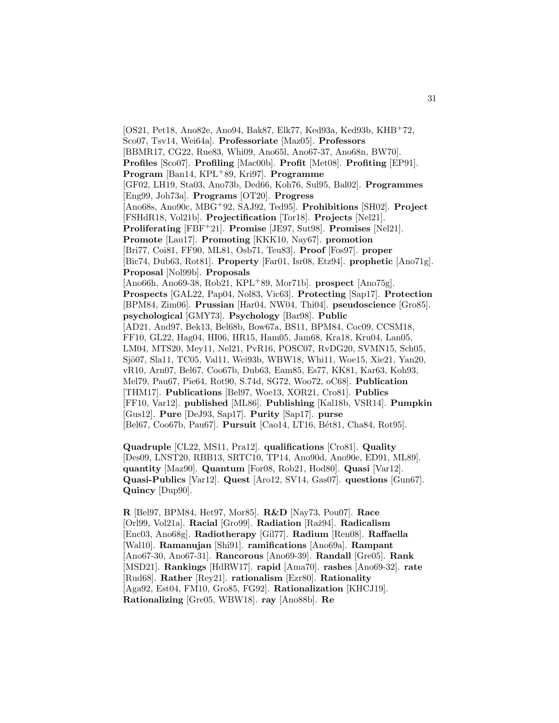[OS21, Pet18, Ano82e, Ano94, Bak87, Elk77, Ked93a, Ked93b, KHB<sup>+</sup>72, Sco07, Tsv14, Wei64a]. **Professoriate** [Maz05]. **Professors** [BBMR17, CG22, Rue83, Whi09, Ano65l, Ano67-37, Ano68n, BW70]. **Profiles** [Sco07]. **Profiling** [Mac00b]. **Profit** [Met08]. **Profiting** [EP91]. **Program** [Ban14, KPL<sup>+</sup>89, Kri97]. **Programme** [GF02, LH19, Sta03, Ano73b, Ded66, Koh76, Sul95, Bal02]. **Programmes** [Eng99, Joh73a]. **Programs** [OT20]. **Progress** [Ano68s, Ano90c, MBG<sup>+</sup>92, SAJ92, Ted95]. **Prohibitions** [SH02]. **Project** [FSHdR18, Vol21b]. **Projectification** [Tor18]. **Projects** [Nel21]. **Proliferating** [FBF<sup>+</sup>21]. **Promise** [JE97, Sut98]. **Promises** [Nel21]. **Promote** [Lau17]. **Promoting** [KKK10, Nay67]. **promotion** [Bri77, Coi81, FF90, ML81, Osb71, Teu83]. **Proof** [Fos97]. **proper** [Bic74, Dub63, Rot81]. **Property** [Far01, Isr08, Etz94]. **prophetic** [Ano71g]. **Proposal** [Nol99b]. **Proposals** [Ano66h, Ano69-38, Rob21, KPL<sup>+</sup>89, Mor71b]. **prospect** [Ano75g]. **Prospects** [GAL22, Pap04, Nol83, Vic63]. **Protecting** [Sap17]. **Protection** [BPM84, Zim06]. **Prussian** [Har04, NW04, Thi04]. **pseudoscience** [Gro85]. **psychological** [GMY73]. **Psychology** [Bar98]. **Public** [AD21, And97, Bek13, Bel68b, Bow67a, BS11, BPM84, Coc09, CCSM18, FF10, GL22, Hag04, HI06, HR15, Ham05, Jam68, Kra18, Kru04, Lan05, LM04, MTS20, Mey11, Nel21, PvR16, POSC07, RvDG20, SVMN15, Sch05, Sjö07, Sla11, TC05, Val11, Wei93b, WBW18, Whi11, Woe15, Xie21, Yan20, vR10, Arn07, Bel67, Coo67b, Dub63, Eam85, Es77, KK81, Kar63, Koh93, Mel79, Pau67, Pie64, Rot90, S.74d, SG72, Woo72, oC68]. **Publication** [THM17]. **Publications** [Bel97, Woe13, XOR21, Cro81]. **Publics** [FF10, Var12]. **published** [ML86]. **Publishing** [Kal18b, VSR14]. **Pumpkin** [Gus12]. **Pure** [DeJ93, Sap17]. **Purity** [Sap17]. **purse** [Bel67, Coo67b, Pau67]. Pursuit [Cao14, LT16, Bét81, Cha84, Rot95].

**Quadruple** [CL22, MS11, Pra12]. **qualifications** [Cro81]. **Quality** [Des09, LNST20, RBB13, SRTC10, TP14, Ano90d, Ano90e, ED91, ML89]. **quantity** [Maz90]. **Quantum** [For08, Rob21, Hod80]. **Quasi** [Var12]. **Quasi-Publics** [Var12]. **Quest** [Aro12, SV14, Gas07]. **questions** [Gun67]. **Quincy** [Dup90].

**R** [Bel97, BPM84, Het97, Mor85]. **R&D** [Nay73, Pou07]. **Race** [Orl99, Vol21a]. **Racial** [Gro99]. **Radiation** [Raˇz94]. **Radicalism** [Enc03, Ano68g]. **Radiotherapy** [Gil77]. **Radium** [Ren08]. **Raffaella** [Wal10]. **Ramanujan** [Shi91]. **ramifications** [Ano69a]. **Rampant** [Ano67-30, Ano67-31]. **Rancorous** [Ano69-39]. **Randall** [Gre05]. **Rank** [MSD21]. **Rankings** [HdRW17]. **rapid** [Ama70]. **rashes** [Ano69-32]. **rate** [Rud68]. **Rather** [Rey21]. **rationalism** [Ezr80]. **Rationality** [Aga92, Est04, FM10, Gro85, FG92]. **Rationalization** [KHCJ19]. **Rationalizing** [Gre05, WBW18]. **ray** [Ano88b]. **Re**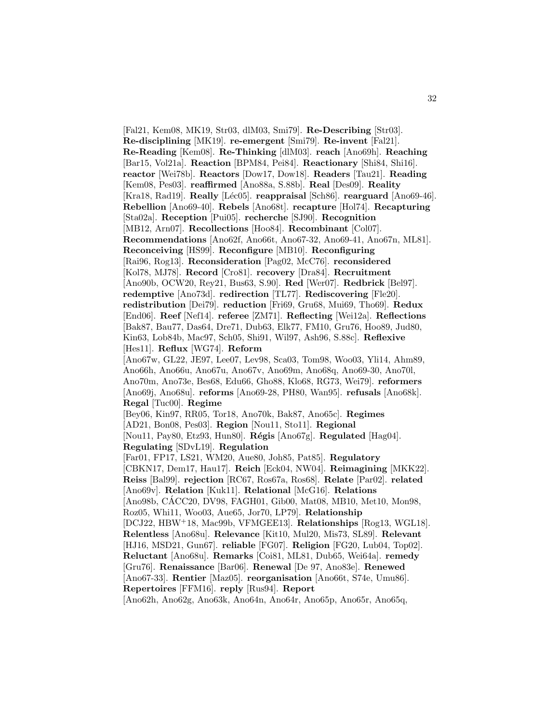[Fal21, Kem08, MK19, Str03, dlM03, Smi79]. **Re-Describing** [Str03]. **Re-disciplining** [MK19]. **re-emergent** [Smi79]. **Re-invent** [Fal21]. **Re-Reading** [Kem08]. **Re-Thinking** [dlM03]. **reach** [Ano69h]. **Reaching** [Bar15, Vol21a]. **Reaction** [BPM84, Pei84]. **Reactionary** [Shi84, Shi16]. **reactor** [Wei78b]. **Reactors** [Dow17, Dow18]. **Readers** [Tau21]. **Reading** [Kem08, Pes03]. **reaffirmed** [Ano88a, S.88b]. **Real** [Des09]. **Reality** [Kra18, Rad19]. **Really** [Léc05]. **reappraisal** [Sch86]. **rearguard** [Ano69-46]. **Rebellion** [Ano69-40]. **Rebels** [Ano68t]. **recapture** [Hol74]. **Recapturing** [Sta02a]. **Reception** [Pui05]. **recherche** [SJ90]. **Recognition** [MB12, Arn07]. **Recollections** [Hoo84]. **Recombinant** [Col07]. **Recommendations** [Ano62f, Ano66t, Ano67-32, Ano69-41, Ano67n, ML81]. **Reconceiving** [HS99]. **Reconfigure** [MB10]. **Reconfiguring** [Rai96, Rog13]. **Reconsideration** [Pag02, McC76]. **reconsidered** [Kol78, MJ78]. **Record** [Cro81]. **recovery** [Dra84]. **Recruitment** [Ano90b, OCW20, Rey21, Bus63, S.90]. **Red** [Wer07]. **Redbrick** [Bel97]. **redemptive** [Ano73d]. **redirection** [TL77]. **Rediscovering** [Fle20]. **redistribution** [Dei79]. **reduction** [Fri69, Gru68, Mui69, Tho69]. **Redux** [End06]. **Reef** [Nef14]. **referee** [ZM71]. **Reflecting** [Wei12a]. **Reflections** [Bak87, Bau77, Das64, Dre71, Dub63, Elk77, FM10, Gru76, Hoo89, Jud80, Kin63, Lob84b, Mac97, Sch05, Shi91, Wil97, Ash96, S.88c]. **Reflexive** [Hes11]. **Reflux** [WG74]. **Reform** [Ano67w, GL22, JE97, Lee07, Lev98, Sca03, Tom98, Woo03, Yli14, Ahm89, Ano66h, Ano66u, Ano67u, Ano67v, Ano69m, Ano68q, Ano69-30, Ano70l, Ano70m, Ano73e, Bes68, Edu66, Gho88, Klo68, RG73, Wei79]. **reformers** [Ano69j, Ano68u]. **reforms** [Ano69-28, PH80, Wan95]. **refusals** [Ano68k]. **Regal** [Tuc00]. **Regime** [Bey06, Kin97, RR05, Tor18, Ano70k, Bak87, Ano65c]. **Regimes** [AD21, Bon08, Pes03]. **Region** [Nou11, Sto11]. **Regional** [Nou11, Pay80, Etz93, Hun80]. **R´egis** [Ano67g]. **Regulated** [Hag04]. **Regulating** [SDvL19]. **Regulation** [Far01, FP17, LS21, WM20, Aue80, Joh85, Pat85]. **Regulatory** [CBKN17, Dem17, Hau17]. **Reich** [Eck04, NW04]. **Reimagining** [MKK22]. **Reiss** [Bal99]. **rejection** [RC67, Ros67a, Ros68]. **Relate** [Par02]. **related** [Ano69v]. **Relation** [Kuk11]. **Relational** [McG16]. **Relations** [Ano98b, CACC20, DV98, FAGH01, Gib00, Mat08, MB10, Met10, Mon98, ´ Roz05, Whi11, Woo03, Aue65, Jor70, LP79]. **Relationship** [DCJ22, HBW<sup>+</sup>18, Mac99b, VFMGEE13]. **Relationships** [Rog13, WGL18]. **Relentless** [Ano68u]. **Relevance** [Kit10, Mul20, Mis73, SL89]. **Relevant** [HJ16, MSD21, Gun67]. **reliable** [FG07]. **Religion** [FG20, Lub04, Top02]. **Reluctant** [Ano68u]. **Remarks** [Coi81, ML81, Dub65, Wei64a]. **remedy** [Gru76]. **Renaissance** [Bar06]. **Renewal** [De 97, Ano83e]. **Renewed** [Ano67-33]. **Rentier** [Maz05]. **reorganisation** [Ano66t, S74e, Umu86]. **Repertoires** [FFM16]. **reply** [Rus94]. **Report** [Ano62h, Ano62g, Ano63k, Ano64n, Ano64r, Ano65p, Ano65r, Ano65q,

32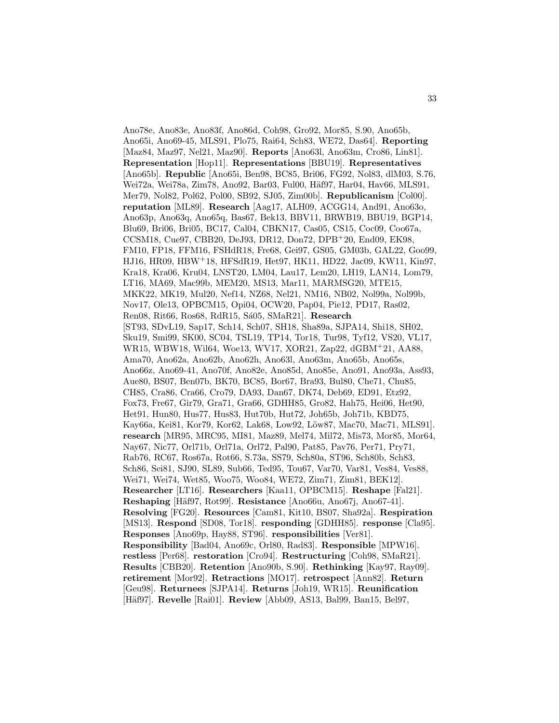Ano78e, Ano83e, Ano83f, Ano86d, Coh98, Gro92, Mor85, S.90, Ano65b, Ano65i, Ano69-45, MLS91, Plo75, Rai64, Sch83, WE72, Das64]. **Reporting** [Maz84, Maz97, Nel21, Maz90]. **Reports** [Ano63l, Ano63m, Cro86, Lin81]. **Representation** [Hop11]. **Representations** [BBU19]. **Representatives** [Ano65b]. **Republic** [Ano65i, Ben98, BC85, Bri06, FG92, Nol83, dlM03, S.76, Wei72a, Wei78a, Zim78, Ano92, Bar03, Ful00, Häf97, Har04, Hav66, MLS91, Mer79, Nol82, Pol62, Pol00, SB92, SJ05, Zim00b]. **Republicanism** [Col00]. **reputation** [ML89]. **Research** [Aag17, ALH09, ACGG14, And91, Ano63o, Ano63p, Ano63q, Ano65q, Bas67, Bek13, BBV11, BRWB19, BBU19, BGP14, Blu69, Bri06, Bri05, BC17, Cal04, CBKN17, Cas05, CS15, Coc09, Coo67a, CCSM18, Cue97, CBB20, DeJ93, DR12, Don72, DPB<sup>+</sup>20, End09, EK98, FM10, FP18, FFM16, FSHdR18, Fre68, Gei97, GS05, GM03b, GAL22, Goo99, HJ16, HR09, HBW<sup>+</sup>18, HFSdR19, Het97, HK11, HD22, Jac09, KW11, Kin97, Kra18, Kra06, Kru04, LNST20, LM04, Lau17, Lem20, LH19, LAN14, Lom79, LT16, MA69, Mac99b, MEM20, MS13, Mar11, MARMSG20, MTE15, MKK22, MK19, Mul20, Nef14, NZ68, Nel21, NM16, NB02, Nol99a, Nol99b, Nov17, Ole13, OPBCM15, Opi04, OCW20, Pap04, Pie12, PD17, Ras02, Ren08, Rit66, Ros68, RdR15, Sá05, SMaR21]. Research [ST93, SDvL19, Sap17, Sch14, Sch07, SH18, Sha89a, SJPA14, Shi18, SH02, Sku19, Smi99, SK00, SC04, TSL19, TP14, Tor18, Tur98, Tyf12, VS20, VL17, WR15, WBW18, Wil64, Woe13, WV17, XOR21, Zap22, dGBM<sup>+</sup>21, AA88, Ama70, Ano62a, Ano62b, Ano62h, Ano63l, Ano63m, Ano65b, Ano65s, Ano66z, Ano69-41, Ano70f, Ano82e, Ano85d, Ano85e, Ano91, Ano93a, Ass93, Aue80, BS07, Ben07b, BK70, BC85, Bor67, Bra93, Bul80, Che71, Chu85, CH85, Cra86, Cra66, Cro79, DA93, Dan67, DK74, Deb69, ED91, Etz92, Fox73, Fre67, Gir79, Gra71, Gra66, GDHH85, Gro82, Hah75, Hei06, Het90, Het91, Hun80, Hus77, Hus83, Hut70b, Hut72, Joh65b, Joh71b, KBD75, Kay66a, Kei81, Kor79, Kor62, Lak68, Low92, Löw87, Mac70, Mac71, MLS91]. **research** [MR95, MRC95, MI81, Maz89, Mel74, Mil72, Mis73, Mor85, Mor64, Nay67, Nic77, Orl71b, Orl71a, Orl72, Pal90, Pat85, Pav76, Per71, Pry71, Rab76, RC67, Ros67a, Rot66, S.73a, SS79, Sch80a, ST96, Sch80b, Sch83, Sch86, Sei81, SJ90, SL89, Sub66, Ted95, Tou67, Var70, Var81, Ves84, Ves88, Wei71, Wei74, Wet85, Woo75, Woo84, WE72, Zim71, Zim81, BEK12]. **Researcher** [LT16]. **Researchers** [Kaa11, OPBCM15]. **Reshape** [Fal21]. **Reshaping** [Häf97, Rot99]. **Resistance** [Ano66u, Ano67<sub>1</sub>, Ano67-41]. **Resolving** [FG20]. **Resources** [Cam81, Kit10, BS07, Sha92a]. **Respiration** [MS13]. **Respond** [SD08, Tor18]. **responding** [GDHH85]. **response** [Cla95]. **Responses** [Ano69p, Hay88, ST96]. **responsibilities** [Ver81]. **Responsibility** [Bad04, Ano69c, Orl80, Rad83]. **Responsible** [MPW16]. **restless** [Per68]. **restoration** [Cro94]. **Restructuring** [Coh98, SMaR21]. **Results** [CBB20]. **Retention** [Ano90b, S.90]. **Rethinking** [Kay97, Ray09]. **retirement** [Mor92]. **Retractions** [MO17]. **retrospect** [Ann82]. **Return** [Geu98]. **Returnees** [SJPA14]. **Returns** [Joh19, WR15]. **Reunification** [Häf97]. **Revelle** [Rai01]. **Review** [Abb09, AS13, Bal99, Ban15, Bel97,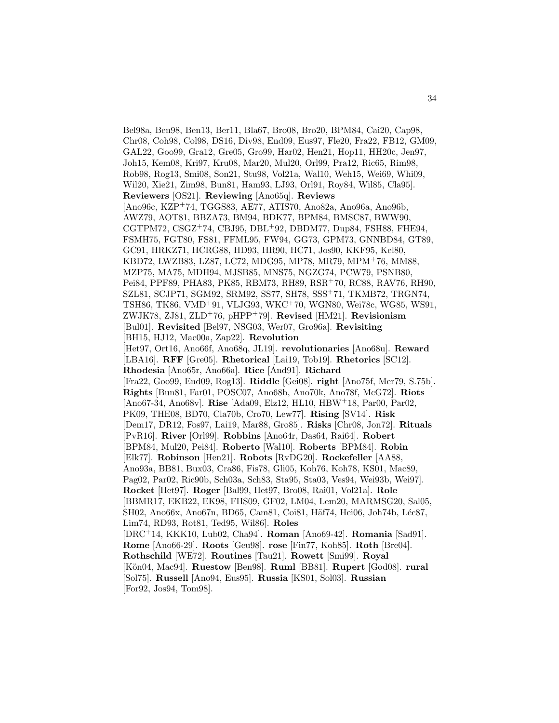Bel98a, Ben98, Ben13, Ber11, Bla67, Bro08, Bro20, BPM84, Cai20, Cap98, Chr08, Coh98, Col98, DS16, Div98, End09, Eus97, Fle20, Fra22, FB12, GM09, GAL22, Goo99, Gra12, Gre05, Gro99, Har02, Hen21, Hop11, HH20c, Jen97, Joh15, Kem08, Kri97, Kru08, Mar20, Mul20, Orl99, Pra12, Ric65, Rim98, Rob98, Rog13, Smi08, Son21, Stu98, Vol21a, Wal10, Weh15, Wei69, Whi09, Wil20, Xie21, Zim98, Bun81, Ham93, LJ93, Orl91, Roy84, Wil85, Cla95]. **Reviewers** [OS21]. **Reviewing** [Ano65q]. **Reviews** [Ano96c, KZP<sup>+</sup>74, TGGS83, AE77, ATIS70, Ano82a, Ano96a, Ano96b, AWZ79, AOT81, BBZA73, BM94, BDK77, BPM84, BMSC87, BWW90, CGTPM72, CSGZ $+74$ , CBJ95, DBL $+92$ , DBDM77, Dup84, FSH88, FHE94, FSMH75, FGT80, FS81, FFML95, FW94, GG73, GPM73, GNNBD84, GT89, GC91, HRKZ71, HCRG88, HD93, HR90, HC71, Jos90, KKF95, Kel80, KBD72, LWZB83, LZ87, LC72, MDG95, MP78, MR79, MPM<sup>+</sup>76, MM88, MZP75, MA75, MDH94, MJSB85, MNS75, NGZG74, PCW79, PSNB80, Pei84, PPF89, PHA83, PK85, RBM73, RH89, RSR<sup>+</sup>70, RC88, RAV76, RH90, SZL81, SCJP71, SGM92, SRM92, SS77, SH78, SSS<sup>+</sup>71, TKMB72, TRGN74, TSH86, TK86, VMD<sup>+</sup>91, VLJG93, WKC<sup>+</sup>70, WGN80, Wei78c, WG85, WS91, ZWJK78, ZJ81, ZLD<sup>+</sup>76, pHPP<sup>+</sup>79]. **Revised** [HM21]. **Revisionism** [Bul01]. **Revisited** [Bel97, NSG03, Wer07, Gro96a]. **Revisiting** [BH15, HJ12, Mac00a, Zap22]. **Revolution** [Het97, Ort16, Ano66f, Ano68q, JL19]. **revolutionaries** [Ano68u]. **Reward** [LBA16]. **RFF** [Gre05]. **Rhetorical** [Lai19, Tob19]. **Rhetorics** [SC12]. **Rhodesia** [Ano65r, Ano66a]. **Rice** [And91]. **Richard** [Fra22, Goo99, End09, Rog13]. **Riddle** [Gei08]. **right** [Ano75f, Mer79, S.75b]. **Rights** [Bun81, Far01, POSC07, Ano68b, Ano70k, Ano78f, McG72]. **Riots** [Ano67-34, Ano68v]. **Rise** [Ada09, Elz12, HL10, HBW<sup>+</sup>18, Par00, Par02, PK09, THE08, BD70, Cla70b, Cro70, Lew77]. **Rising** [SV14]. **Risk** [Dem17, DR12, Fos97, Lai19, Mar88, Gro85]. **Risks** [Chr08, Jon72]. **Rituals** [PvR16]. **River** [Orl99]. **Robbins** [Ano64r, Das64, Rai64]. **Robert** [BPM84, Mul20, Pei84]. **Roberto** [Wal10]. **Roberts** [BPM84]. **Robin** [Elk77]. **Robinson** [Hen21]. **Robots** [RvDG20]. **Rockefeller** [AA88, Ano93a, BB81, Bux03, Cra86, Fis78, Gli05, Koh76, Koh78, KS01, Mac89, Pag02, Par02, Ric90b, Sch03a, Sch83, Sta95, Sta03, Ves94, Wei93b, Wei97]. **Rocket** [Het97]. **Roger** [Bal99, Het97, Bro08, Rai01, Vol21a]. **Role** [BBMR17, EKB22, EK98, FHS09, GF02, LM04, Lem20, MARMSG20, Sal05, SH02, Ano66x, Ano67n, BD65, Cam81, Coi81, Häf74, Hei06, Joh74b, Léc87, Lim74, RD93, Rot81, Ted95, Wil86]. **Roles** [DRC<sup>+</sup>14, KKK10, Lub02, Cha94]. **Roman** [Ano69-42]. **Romania** [Sad91]. **Rome** [Ano66-29]. **Roots** [Geu98]. **rose** [Fin77, Koh85]. **Roth** [Bre04]. **Rothschild** [WE72]. **Routines** [Tau21]. **Rowett** [Smi99]. **Royal** [K¨on04, Mac94]. **Ruestow** [Ben98]. **Ruml** [BB81]. **Rupert** [God08]. **rural** [Sol75]. **Russell** [Ano94, Eus95]. **Russia** [KS01, Sol03]. **Russian** [For92, Jos94, Tom98].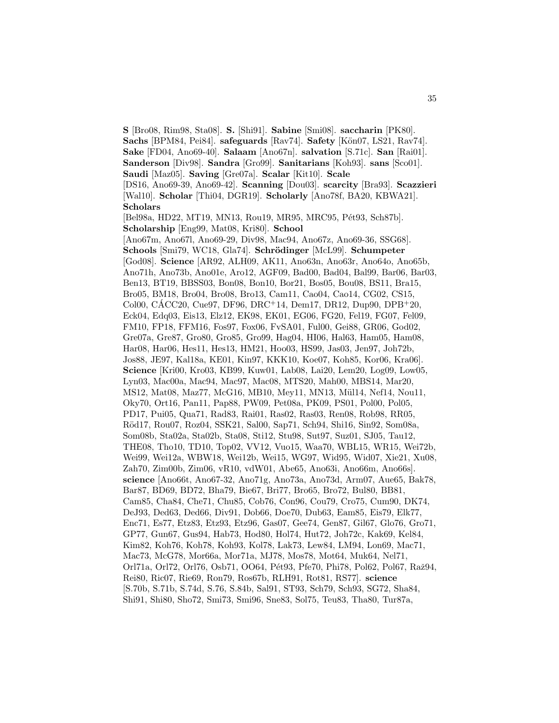**S** [Bro08, Rim98, Sta08]. **S.** [Shi91]. **Sabine** [Smi08]. **saccharin** [PK80]. **Sachs** [BPM84, Pei84]. **safeguards** [Rav74]. **Safety** [Kön07, LS21, Rav74]. **Sake** [FD04, Ano69-40]. **Salaam** [Ano67n]. **salvation** [S.71c]. **San** [Rai01]. **Sanderson** [Div98]. **Sandra** [Gro99]. **Sanitarians** [Koh93]. **sans** [Sco01]. **Saudi** [Maz05]. **Saving** [Gre07a]. **Scalar** [Kit10]. **Scale** [DS16, Ano69-39, Ano69-42]. **Scanning** [Dou03]. **scarcity** [Bra93]. **Scazzieri** [Wal10]. **Scholar** [Thi04, DGR19]. **Scholarly** [Ano78f, BA20, KBWA21]. **Scholars** [Bel98a, HD22, MT19, MN13, Rou19, MR95, MRC95, Pét93, Sch87b]. **Scholarship** [Eng99, Mat08, Kri80]. **School** [Ano67m, Ano67l, Ano69-29, Div98, Mac94, Ano67z, Ano69-36, SSG68]. **Schools** [Smi79, WC18, Gla74]. **Schrödinger** [McL99]. **Schumpeter** [God08]. **Science** [AR92, ALH09, AK11, Ano63n, Ano63r, Ano64o, Ano65b, Ano71h, Ano73b, Ano01e, Aro12, AGF09, Bad00, Bad04, Bal99, Bar06, Bar03, Ben13, BT19, BBSS03, Bon08, Bon10, Bor21, Bos05, Bou08, BS11, Bra15, Bro05, BM18, Bro04, Bro08, Bro13, Cam11, Cao04, Cao14, CG02, CS15, Col00, CÁCC20, Cue97, DF96, DRC<sup>+</sup>14, Dem17, DR12, Dup90, DPB<sup>+</sup>20, Eck04, Edq03, Eis13, Elz12, EK98, EK01, EG06, FG20, Fel19, FG07, Fel09, FM10, FP18, FFM16, Fos97, Fox06, FvSA01, Ful00, Gei88, GR06, God02, Gre07a, Gre87, Gro80, Gro85, Gro99, Hag04, HI06, Hal63, Ham05, Ham08, Har08, Har06, Hes11, Hes13, HM21, Hoo03, HS99, Jas03, Jen97, Joh72b, Jos88, JE97, Kal18a, KE01, Kin97, KKK10, Koe07, Koh85, Kor06, Kra06]. **Science** [Kri00, Kro03, KB99, Kuw01, Lab08, Lai20, Lem20, Log09, Low05, Lyn03, Mac00a, Mac94, Mac97, Mac08, MTS20, Mah00, MBS14, Mar20, MS12, Mat08, Maz77, McG16, MB10, Mey11, MN13, Mül14, Nef14, Nou11, Oky70, Ort16, Pan11, Pap88, PW09, Pet08a, PK09, PS01, Pol00, Pol05, PD17, Pui05, Qua71, Rad83, Rai01, Ras02, Ras03, Ren08, Rob98, RR05, R¨od17, Rou07, Roz04, SSK21, Sal00, Sap71, Sch94, Shi16, Sin92, Som08a, Som08b, Sta02a, Sta02b, Sta08, Sti12, Stu98, Sut97, Suz01, SJ05, Tau12, THE08, Tho10, TD10, Top02, VV12, Vuo15, Waa70, WBL15, WR15, Wei72b, Wei99, Wei12a, WBW18, Wei12b, Wei15, WG97, Wid95, Wid07, Xie21, Xu08, Zah70, Zim00b, Zim06, vR10, vdW01, Abe65, Ano63i, Ano66m, Ano66s]. **science** [Ano66t, Ano67-32, Ano71g, Ano73a, Ano73d, Arm07, Aue65, Bak78, Bar87, BD69, BD72, Bha79, Bie67, Bri77, Bro65, Bro72, Bul80, BB81, Cam85, Cha84, Che71, Chu85, Cob76, Con96, Cou79, Cro75, Cum90, DK74, DeJ93, Ded63, Ded66, Div91, Dob66, Doe70, Dub63, Eam85, Eis79, Elk77, Enc71, Es77, Etz83, Etz93, Etz96, Gas07, Gee74, Gen87, Gil67, Glo76, Gro71, GP77, Gun67, Gus94, Hab73, Hod80, Hol74, Hut72, Joh72c, Kak69, Kel84, Kim82, Koh76, Koh78, Koh93, Kol78, Lak73, Lew84, LM94, Lon69, Mac71, Mac73, McG78, Mor66a, Mor71a, MJ78, Mos78, Mot64, Muk64, Nel71, Orl71a, Orl72, Orl76, Osb71, OO64, Pét93, Pfe70, Phi78, Pol62, Pol67, Raž94, Rei80, Ric07, Rie69, Ron79, Ros67b, RLH91, Rot81, RS77]. **science** [S.70b, S.71b, S.74d, S.76, S.84b, Sal91, ST93, Sch79, Sch93, SG72, Sha84, Shi91, Shi80, Sho72, Smi73, Smi96, Sne83, Sol75, Teu83, Tha80, Tur87a,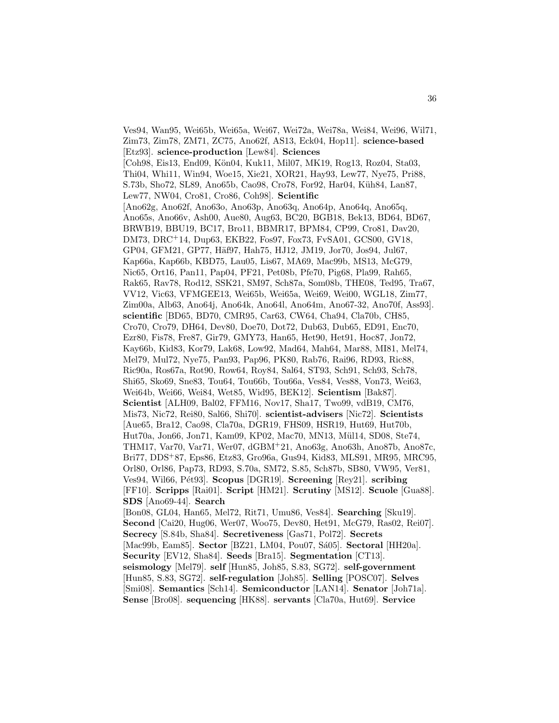Ves94, Wan95, Wei65b, Wei65a, Wei67, Wei72a, Wei78a, Wei84, Wei96, Wil71, Zim73, Zim78, ZM71, ZC75, Ano62f, AS13, Eck04, Hop11]. **science-based** [Etz93]. **science-production** [Lew84]. **Sciences** [Coh98, Eis13, End09, Kön04, Kuk11, Mil07, MK19, Rog13, Roz04, Sta03, Thi04, Whi11, Win94, Woe15, Xie21, XOR21, Hay93, Lew77, Nye75, Pri88, S.73b, Sho72, SL89, Ano65b, Cao98, Cro78, For92, Har04, Küh84, Lan87, Lew77, NW04, Cro81, Cro86, Coh98]. **Scientific** [Ano62g, Ano62f, Ano63o, Ano63p, Ano63q, Ano64p, Ano64q, Ano65q, Ano65s, Ano66v, Ash00, Aue80, Aug63, BC20, BGB18, Bek13, BD64, BD67, BRWB19, BBU19, BC17, Bro11, BBMR17, BPM84, CP99, Cro81, Dav20, DM73, DRC<sup>+</sup>14, Dup63, EKB22, Fos97, Fox73, FvSA01, GCS00, GV18, GP04, GFM21, GP77, Häf97, Hah75, HJ12, JM19, Jor70, Jos94, Jul67, Kap66a, Kap66b, KBD75, Lau05, Lis67, MA69, Mac99b, MS13, McG79, Nic65, Ort16, Pan11, Pap04, PF21, Pet08b, Pfe70, Pig68, Pla99, Rah65, Rak65, Rav78, Rod12, SSK21, SM97, Sch87a, Som08b, THE08, Ted95, Tra67, VV12, Vic63, VFMGEE13, Wei65b, Wei65a, Wei69, Wei00, WGL18, Zim77, Zim00a, Alb63, Ano64j, Ano64k, Ano64l, Ano64m, Ano67-32, Ano70f, Ass93]. **scientific** [BD65, BD70, CMR95, Car63, CW64, Cha94, Cla70b, CH85, Cro70, Cro79, DH64, Dev80, Doe70, Dot72, Dub63, Dub65, ED91, Enc70, Ezr80, Fis78, Fre87, Gir79, GMY73, Han65, Het90, Het91, Hoc87, Jon72, Kay66b, Kid83, Kor79, Lak68, Low92, Mad64, Mah64, Mar88, MI81, Mel74, Mel79, Mul72, Nye75, Pan93, Pap96, PK80, Rab76, Rai96, RD93, Ric88, Ric90a, Ros67a, Rot90, Row64, Roy84, Sal64, ST93, Sch91, Sch93, Sch78, Shi65, Sko69, Sne83, Tou64, Tou66b, Tou66a, Ves84, Ves88, Von73, Wei63, Wei64b, Wei66, Wei84, Wet85, Wid95, BEK12]. **Scientism** [Bak87]. **Scientist** [ALH09, Bal02, FFM16, Nov17, Sha17, Two99, vdB19, CM76, Mis73, Nic72, Rei80, Sal66, Shi70]. **scientist-advisers** [Nic72]. **Scientists** [Aue65, Bra12, Cao98, Cla70a, DGR19, FHS09, HSR19, Hut69, Hut70b, Hut70a, Jon66, Jon71, Kam09, KP02, Mac70, MN13, Mül14, SD08, Ste74, THM17, Var70, Var71, Wer07, dGBM<sup>+</sup>21, Ano63g, Ano63h, Ano87b, Ano87c, Bri77, DDS<sup>+</sup>87, Eps86, Etz83, Gro96a, Gus94, Kid83, MLS91, MR95, MRC95, Orl80, Orl86, Pap73, RD93, S.70a, SM72, S.85, Sch87b, SB80, VW95, Ver81, Ves94, Wil66, P´et93]. **Scopus** [DGR19]. **Screening** [Rey21]. **scribing** [FF10]. **Scripps** [Rai01]. **Script** [HM21]. **Scrutiny** [MS12]. **Scuole** [Gua88]. **SDS** [Ano69-44]. **Search** [Bon08, GL04, Han65, Mel72, Rit71, Umu86, Ves84]. **Searching** [Sku19]. **Second** [Cai20, Hug06, Wer07, Woo75, Dev80, Het91, McG79, Ras02, Rei07]. **Secrecy** [S.84b, Sha84]. **Secretiveness** [Gas71, Pol72]. **Secrets** [Mac99b, Eam85]. **Sector** [BZ21, LM04, Pou07, Sá05]. **Sectoral** [HH20a]. **Security** [EV12, Sha84]. **Seeds** [Bra15]. **Segmentation** [CT13]. **seismology** [Mel79]. **self** [Hun85, Joh85, S.83, SG72]. **self-government** [Hun85, S.83, SG72]. **self-regulation** [Joh85]. **Selling** [POSC07]. **Selves** [Smi08]. **Semantics** [Sch14]. **Semiconductor** [LAN14]. **Senator** [Joh71a]. **Sense** [Bro08]. **sequencing** [HK88]. **servants** [Cla70a, Hut69]. **Service**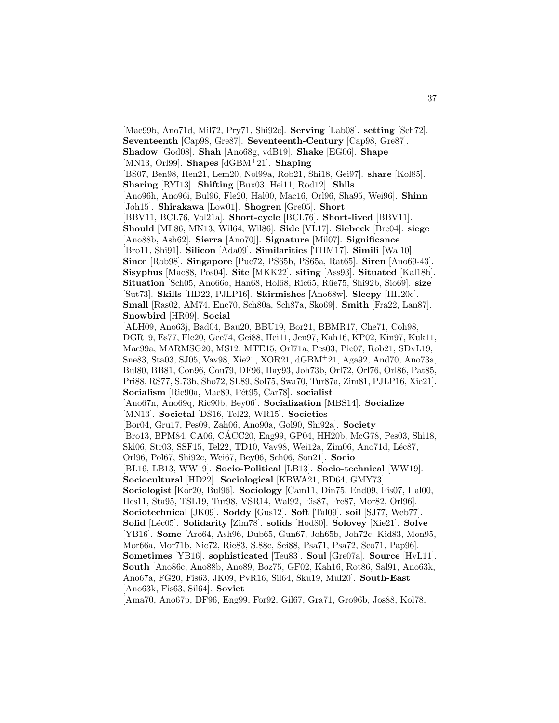[Mac99b, Ano71d, Mil72, Pry71, Shi92c]. **Serving** [Lab08]. **setting** [Sch72]. **Seventeenth** [Cap98, Gre87]. **Seventeenth-Century** [Cap98, Gre87]. **Shadow** [God08]. **Shah** [Ano68g, vdB19]. **Shake** [EG06]. **Shape** [MN13, Orl99]. **Shapes** [dGBM<sup>+</sup>21]. **Shaping** [BS07, Ben98, Hen21, Lem20, Nol99a, Rob21, Shi18, Gei97]. **share** [Kol85]. **Sharing** [RYI13]. **Shifting** [Bux03, Hei11, Rod12]. **Shils** [Ano96h, Ano96i, Bul96, Fle20, Hal00, Mac16, Orl96, Sha95, Wei96]. **Shinn** [Joh15]. **Shirakawa** [Low01]. **Shogren** [Gre05]. **Short** [BBV11, BCL76, Vol21a]. **Short-cycle** [BCL76]. **Short-lived** [BBV11]. **Should** [ML86, MN13, Wil64, Wil86]. **Side** [VL17]. **Siebeck** [Bre04]. **siege** [Ano88b, Ash62]. **Sierra** [Ano70j]. **Signature** [Mil07]. **Significance** [Bro11, Shi91]. **Silicon** [Ada09]. **Similarities** [THM17]. **Simili** [Wal10]. **Since** [Rob98]. **Singapore** [Puc72, PS65b, PS65a, Rat65]. **Siren** [Ano69-43]. **Sisyphus** [Mac88, Pos04]. **Site** [MKK22]. **siting** [Ass93]. **Situated** [Kal18b]. **Situation** [Sch05, Ano66o, Han68, Hol68, Ric65, Rüe75, Shi92b, Sio69]. **size** [Sut73]. **Skills** [HD22, PJLP16]. **Skirmishes** [Ano68w]. **Sleepy** [HH20c]. **Small** [Ras02, AM74, Enc70, Sch80a, Sch87a, Sko69]. **Smith** [Fra22, Lan87]. **Snowbird** [HR09]. **Social** [ALH09, Ano63j, Bad04, Bau20, BBU19, Bor21, BBMR17, Che71, Coh98, DGR19, Es77, Fle20, Gee74, Gei88, Hei11, Jen97, Kah16, KP02, Kin97, Kuk11, Mac99a, MARMSG20, MS12, MTE15, Orl71a, Pes03, Pic07, Rob21, SDvL19, Sne83, Sta03, SJ05, Vav98, Xie21, XOR21, dGBM<sup>+</sup>21, Aga92, And70, Ano73a, Bul80, BB81, Con96, Cou79, DF96, Hay93, Joh73b, Orl72, Orl76, Orl86, Pat85, Pri88, RS77, S.73b, Sho72, SL89, Sol75, Swa70, Tur87a, Zim81, PJLP16, Xie21]. Socialism [Ric90a, Mac89, Pét95, Car78]. **socialist** [Ano67n, Ano69q, Ric90b, Bey06]. **Socialization** [MBS14]. **Socialize** [MN13]. **Societal** [DS16, Tel22, WR15]. **Societies** [Bor04, Gru17, Pes09, Zah06, Ano90a, Gol90, Shi92a]. **Society** [Bro13, BPM84, CA06, CACC20, Eng99, GP04, HH20b, McG78, Pes03, Shi18, ´ Ski06, Str03, SSF15, Tel22, TD10, Vav98, Wei12a, Zim06, Ano71d, Léc87, Orl96, Pol67, Shi92c, Wei67, Bey06, Sch06, Son21]. **Socio** [BL16, LB13, WW19]. **Socio-Political** [LB13]. **Socio-technical** [WW19]. **Sociocultural** [HD22]. **Sociological** [KBWA21, BD64, GMY73]. **Sociologist** [Kor20, Bul96]. **Sociology** [Cam11, Din75, End09, Fis07, Hal00, Hes11, Sta95, TSL19, Tur98, VSR14, Wal92, Eis87, Fre87, Mor82, Orl96]. **Sociotechnical** [JK09]. **Soddy** [Gus12]. **Soft** [Tal09]. **soil** [SJ77, Web77]. **Solid** [L´ec05]. **Solidarity** [Zim78]. **solids** [Hod80]. **Solovey** [Xie21]. **Solve** [YB16]. **Some** [Aro64, Ash96, Dub65, Gun67, Joh65b, Joh72c, Kid83, Mon95, Mor66a, Mor71b, Nic72, Rie83, S.88c, Sei88, Psa71, Psa72, Sco71, Pap96]. **Sometimes** [YB16]. **sophisticated** [Teu83]. **Soul** [Gre07a]. **Source** [HvL11]. **South** [Ano86c, Ano88b, Ano89, Boz75, GF02, Kah16, Rot86, Sal91, Ano63k, Ano67a, FG20, Fis63, JK09, PvR16, Sil64, Sku19, Mul20]. **South-East** [Ano63k, Fis63, Sil64]. **Soviet** [Ama70, Ano67p, DF96, Eng99, For92, Gil67, Gra71, Gro96b, Jos88, Kol78,

37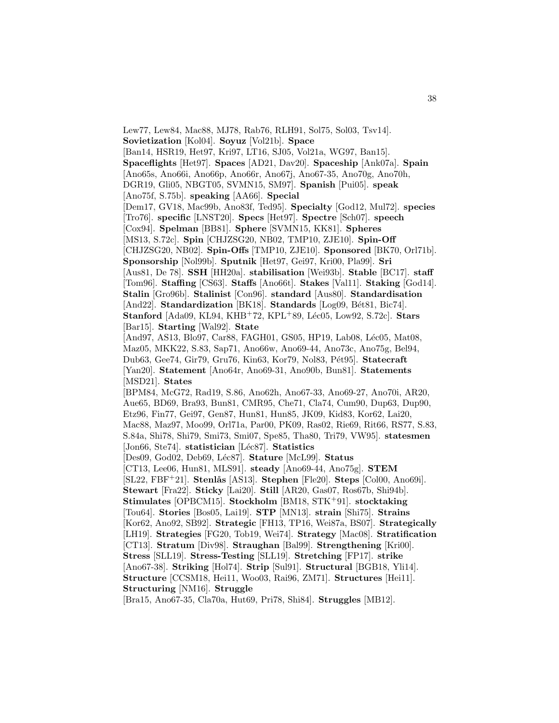Lew77, Lew84, Mac88, MJ78, Rab76, RLH91, Sol75, Sol03, Tsv14]. **Sovietization** [Kol04]. **Soyuz** [Vol21b]. **Space** [Ban14, HSR19, Het97, Kri97, LT16, SJ05, Vol21a, WG97, Ban15]. **Spaceflights** [Het97]. **Spaces** [AD21, Dav20]. **Spaceship** [Ank07a]. **Spain** [Ano65s, Ano66i, Ano66p, Ano66r, Ano67j, Ano67-35, Ano70g, Ano70h, DGR19, Gli05, NBGT05, SVMN15, SM97]. **Spanish** [Pui05]. **speak** [Ano75f, S.75b]. **speaking** [AA66]. **Special** [Dem17, GV18, Mac99b, Ano83f, Ted95]. **Specialty** [God12, Mul72]. **species** [Tro76]. **specific** [LNST20]. **Specs** [Het97]. **Spectre** [Sch07]. **speech** [Cox94]. **Spelman** [BB81]. **Sphere** [SVMN15, KK81]. **Spheres** [MS13, S.72c]. **Spin** [CHJZSG20, NB02, TMP10, ZJE10]. **Spin-Off** [CHJZSG20, NB02]. **Spin-Offs** [TMP10, ZJE10]. **Sponsored** [BK70, Orl71b]. **Sponsorship** [Nol99b]. **Sputnik** [Het97, Gei97, Kri00, Pla99]. **Sri** [Aus81, De 78]. **SSH** [HH20a]. **stabilisation** [Wei93b]. **Stable** [BC17]. **staff** [Tom96]. **Staffing** [CS63]. **Staffs** [Ano66t]. **Stakes** [Val11]. **Staking** [God14]. **Stalin** [Gro96b]. **Stalinist** [Con96]. **standard** [Aus80]. **Standardisation** [And22]. **Standardization** [BK18]. **Standards** [Log09, Bét81, Bic74]. **Stanford** [Ada09, KL94, KHB<sup>+</sup>72, KPL<sup>+</sup>89, Léc05, Low92, S.72c]. **Stars** [Bar15]. **Starting** [Wal92]. **State** [And97, AS13, Blo97, Car88, FAGH01, GS05, HP19, Lab08, Léc05, Mat08, Maz05, MKK22, S.83, Sap71, Ano66w, Ano69-44, Ano73c, Ano75g, Bel94, Dub63, Gee74, Gir79, Gru76, Kin63, Kor79, Nol83, P´et95]. **Statecraft** [Yan20]. **Statement** [Ano64r, Ano69-31, Ano90b, Bun81]. **Statements** [MSD21]. **States** [BPM84, McG72, Rad19, S.86, Ano62h, Ano67-33, Ano69-27, Ano70i, AR20, Aue65, BD69, Bra93, Bun81, CMR95, Che71, Cla74, Cum90, Dup63, Dup90, Etz96, Fin77, Gei97, Gen87, Hun81, Hun85, JK09, Kid83, Kor62, Lai20, Mac88, Maz97, Moo99, Orl71a, Par00, PK09, Ras02, Rie69, Rit66, RS77, S.83, S.84a, Shi78, Shi79, Smi73, Smi07, Spe85, Tha80, Tri79, VW95]. **statesmen** [Jon66, Ste74]. **statistician** [Léc87]. **Statistics** [Des09, God02, Deb69, L´ec87]. **Stature** [McL99]. **Status** [CT13, Lee06, Hun81, MLS91]. **steady** [Ano69-44, Ano75g]. **STEM** [SL22, FBF<sup>+</sup>21]. **Stenl˚as** [AS13]. **Stephen** [Fle20]. **Steps** [Col00, Ano69i]. **Stewart** [Fra22]. **Sticky** [Lai20]. **Still** [AR20, Gas07, Ros67b, Shi94b]. **Stimulates** [OPBCM15]. **Stockholm** [BM18, STK<sup>+</sup>91]. **stocktaking** [Tou64]. **Stories** [Bos05, Lai19]. **STP** [MN13]. **strain** [Shi75]. **Strains** [Kor62, Ano92, SB92]. **Strategic** [FH13, TP16, Wei87a, BS07]. **Strategically** [LH19]. **Strategies** [FG20, Tob19, Wei74]. **Strategy** [Mac08]. **Stratification** [CT13]. **Stratum** [Div98]. **Straughan** [Bal99]. **Strengthening** [Kri00]. **Stress** [SLL19]. **Stress-Testing** [SLL19]. **Stretching** [FP17]. **strike** [Ano67-38]. **Striking** [Hol74]. **Strip** [Sul91]. **Structural** [BGB18, Yli14]. **Structure** [CCSM18, Hei11, Woo03, Rai96, ZM71]. **Structures** [Hei11]. **Structuring** [NM16]. **Struggle**

[Bra15, Ano67-35, Cla70a, Hut69, Pri78, Shi84]. **Struggles** [MB12].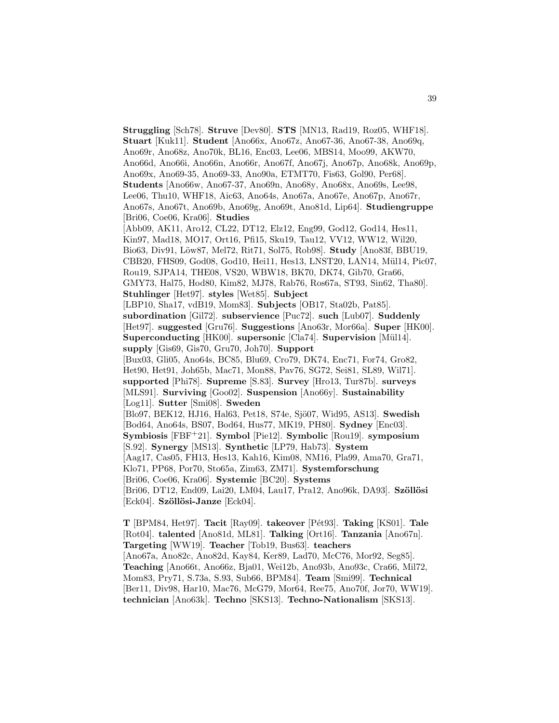**Struggling** [Sch78]. **Struve** [Dev80]. **STS** [MN13, Rad19, Roz05, WHF18]. **Stuart** [Kuk11]. **Student** [Ano66x, Ano67z, Ano67-36, Ano67-38, Ano69q, Ano69r, Ano68z, Ano70k, BL16, Enc03, Lee06, MBS14, Moo99, AKW70, Ano66d, Ano66i, Ano66n, Ano66r, Ano67f, Ano67j, Ano67p, Ano68k, Ano69p, Ano69x, Ano69-35, Ano69-33, Ano90a, ETMT70, Fis63, Gol90, Per68]. **Students** [Ano66w, Ano67-37, Ano69n, Ano68y, Ano68x, Ano69s, Lee98, Lee06, Thu10, WHF18, Aic63, Ano64s, Ano67a, Ano67e, Ano67p, Ano67r, Ano67s, Ano67t, Ano69b, Ano69g, Ano69t, Ano81d, Lip64]. **Studiengruppe** [Bri06, Coe06, Kra06]. **Studies** [Abb09, AK11, Aro12, CL22, DT12, Elz12, Eng99, God12, God14, Hes11, Kin97, Mad18, MO17, Ort16, Pfi15, Sku19, Tau12, VV12, WW12, Wil20, Bio63, Div91, L¨ow87, Mel72, Rit71, Sol75, Rob98]. **Study** [Ano83f, BBU19, CBB20, FHS09, God08, God10, Hei11, Hes13, LNST20, LAN14, Mül14, Pic07, Rou19, SJPA14, THE08, VS20, WBW18, BK70, DK74, Gib70, Gra66, GMY73, Hal75, Hod80, Kim82, MJ78, Rab76, Ros67a, ST93, Sin62, Tha80]. **Stuhlinger** [Het97]. **styles** [Wet85]. **Subject** [LBP10, Sha17, vdB19, Mom83]. **Subjects** [OB17, Sta02b, Pat85]. **subordination** [Gil72]. **subservience** [Puc72]. **such** [Lub07]. **Suddenly** [Het97]. **suggested** [Gru76]. **Suggestions** [Ano63r, Mor66a]. **Super** [HK00]. **Superconducting** [HK00]. **supersonic** [Cla74]. **Supervision** [Mül14]. **supply** [Gis69, Gis70, Gru70, Joh70]. **Support** [Bux03, Gli05, Ano64s, BC85, Blu69, Cro79, DK74, Enc71, For74, Gro82, Het90, Het91, Joh65b, Mac71, Mon88, Pav76, SG72, Sei81, SL89, Wil71]. **supported** [Phi78]. **Supreme** [S.83]. **Survey** [Hro13, Tur87b]. **surveys** [MLS91]. **Surviving** [Goo02]. **Suspension** [Ano66y]. **Sustainability** [Log11]. **Sutter** [Smi08]. **Sweden** [Blo97, BEK12, HJ16, Hal63, Pet18, S74e, Sjö07, Wid95, AS13]. **Swedish** [Bod64, Ano64s, BS07, Bod64, Hus77, MK19, PH80]. **Sydney** [Enc03]. **Symbiosis** [FBF<sup>+</sup>21]. **Symbol** [Pie12]. **Symbolic** [Rou19]. **symposium** [S.92]. **Synergy** [MS13]. **Synthetic** [LP79, Hab73]. **System** [Aag17, Cas05, FH13, Hes13, Kah16, Kim08, NM16, Pla99, Ama70, Gra71, Klo71, PP68, Por70, Sto65a, Zim63, ZM71]. **Systemforschung** [Bri06, Coe06, Kra06]. **Systemic** [BC20]. **Systems** [Bri06, DT12, End09, Lai20, LM04, Lau17, Pra12, Ano96k, DA93]. **Szöllösi** [Eck04]. **Sz¨oll¨osi-Janze** [Eck04].

**T** [BPM84, Het97]. **Tacit** [Ray09]. **takeover** [P´et93]. **Taking** [KS01]. **Tale** [Rot04]. **talented** [Ano81d, ML81]. **Talking** [Ort16]. **Tanzania** [Ano67n]. **Targeting** [WW19]. **Teacher** [Tob19, Bus63]. **teachers** [Ano67a, Ano82c, Ano82d, Kay84, Ker89, Lad70, McC76, Mor92, Seg85]. **Teaching** [Ano66t, Ano66z, Bja01, Wei12b, Ano93b, Ano93c, Cra66, Mil72, Mom83, Pry71, S.73a, S.93, Sub66, BPM84]. **Team** [Smi99]. **Technical** [Ber11, Div98, Har10, Mac76, McG79, Mor64, Ree75, Ano70f, Jor70, WW19]. **technician** [Ano63k]. **Techno** [SKS13]. **Techno-Nationalism** [SKS13].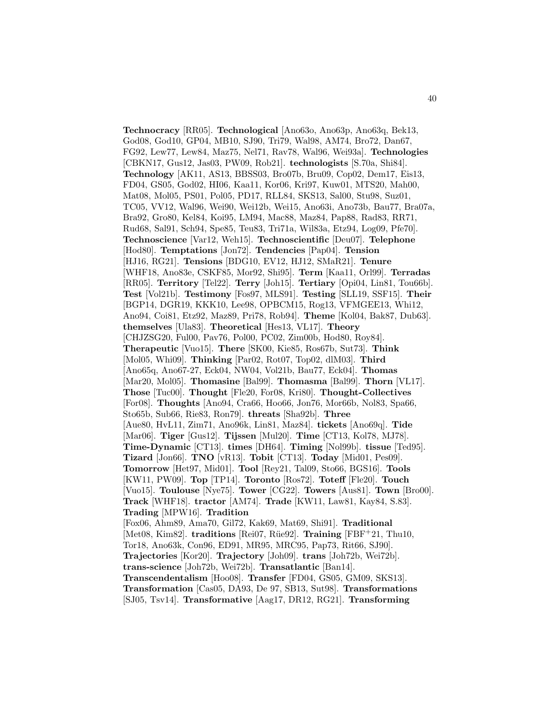**Technocracy** [RR05]. **Technological** [Ano63o, Ano63p, Ano63q, Bek13, God08, God10, GP04, MB10, SJ90, Tri79, Wal98, AM74, Bro72, Dan67, FG92, Lew77, Lew84, Maz75, Nel71, Rav78, Wal96, Wei93a]. **Technologies** [CBKN17, Gus12, Jas03, PW09, Rob21]. **technologists** [S.70a, Shi84]. **Technology** [AK11, AS13, BBSS03, Bro07b, Bru09, Cop02, Dem17, Eis13, FD04, GS05, God02, HI06, Kaa11, Kor06, Kri97, Kuw01, MTS20, Mah00, Mat08, Mol05, PS01, Pol05, PD17, RLL84, SKS13, Sal00, Stu98, Suz01, TC05, VV12, Wal96, Wei90, Wei12b, Wei15, Ano63i, Ano73b, Bau77, Bra07a, Bra92, Gro80, Kel84, Koi95, LM94, Mac88, Maz84, Pap88, Rad83, RR71, Rud68, Sal91, Sch94, Spe85, Teu83, Tri71a, Wil83a, Etz94, Log09, Pfe70]. **Technoscience** [Var12, Weh15]. **Technoscientific** [Deu07]. **Telephone** [Hod80]. **Temptations** [Jon72]. **Tendencies** [Pap04]. **Tension** [HJ16, RG21]. **Tensions** [BDG10, EV12, HJ12, SMaR21]. **Tenure** [WHF18, Ano83e, CSKF85, Mor92, Shi95]. **Term** [Kaa11, Orl99]. **Terradas** [RR05]. **Territory** [Tel22]. **Terry** [Joh15]. **Tertiary** [Opi04, Lin81, Tou66b]. **Test** [Vol21b]. **Testimony** [Fos97, MLS91]. **Testing** [SLL19, SSF15]. **Their** [BGP14, DGR19, KKK10, Lee98, OPBCM15, Rog13, VFMGEE13, Whi12, Ano94, Coi81, Etz92, Maz89, Pri78, Rob94]. **Theme** [Kol04, Bak87, Dub63]. **themselves** [Ula83]. **Theoretical** [Hes13, VL17]. **Theory** [CHJZSG20, Ful00, Pav76, Pol00, PC02, Zim00b, Hod80, Roy84]. **Therapeutic** [Vuo15]. **There** [SK00, Kie85, Ros67b, Sut73]. **Think** [Mol05, Whi09]. **Thinking** [Par02, Rot07, Top02, dlM03]. **Third** [Ano65q, Ano67-27, Eck04, NW04, Vol21b, Bau77, Eck04]. **Thomas** [Mar20, Mol05]. **Thomasine** [Bal99]. **Thomasma** [Bal99]. **Thorn** [VL17]. **Those** [Tuc00]. **Thought** [Fle20, For08, Kri80]. **Thought-Collectives** [For08]. **Thoughts** [Ano94, Cra66, Hoo66, Jon76, Mor66b, Nol83, Spa66, Sto65b, Sub66, Rie83, Ron79]. **threats** [Sha92b]. **Three** [Aue80, HvL11, Zim71, Ano96k, Lin81, Maz84]. **tickets** [Ano69q]. **Tide** [Mar06]. **Tiger** [Gus12]. **Tijssen** [Mul20]. **Time** [CT13, Kol78, MJ78]. **Time-Dynamic** [CT13]. **times** [DH64]. **Timing** [Nol99b]. **tissue** [Ted95]. **Tizard** [Jon66]. **TNO** [vR13]. **Tobit** [CT13]. **Today** [Mid01, Pes09]. **Tomorrow** [Het97, Mid01]. **Tool** [Rey21, Tal09, Sto66, BGS16]. **Tools** [KW11, PW09]. **Top** [TP14]. **Toronto** [Ros72]. **Toteff** [Fle20]. **Touch** [Vuo15]. **Toulouse** [Nye75]. **Tower** [CG22]. **Towers** [Aus81]. **Town** [Bro00]. **Track** [WHF18]. **tractor** [AM74]. **Trade** [KW11, Law81, Kay84, S.83]. **Trading** [MPW16]. **Tradition** [Fox06, Ahm89, Ama70, Gil72, Kak69, Mat69, Shi91]. **Traditional** [Met08, Kim82]. **traditions** [Rei07, Rüe92]. **Training** [FBF+21, Thu10, Tor18, Ano63k, Con96, ED91, MR95, MRC95, Pap73, Rit66, SJ90]. **Trajectories** [Kor20]. **Trajectory** [Joh09]. **trans** [Joh72b, Wei72b]. **trans-science** [Joh72b, Wei72b]. **Transatlantic** [Ban14]. **Transcendentalism** [Hoo08]. **Transfer** [FD04, GS05, GM09, SKS13]. **Transformation** [Cas05, DA93, De 97, SB13, Sut98]. **Transformations** [SJ05, Tsv14]. **Transformative** [Aag17, DR12, RG21]. **Transforming**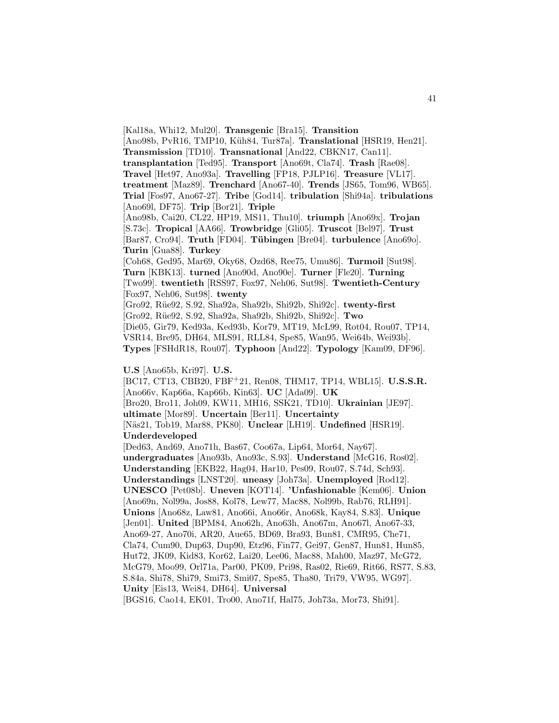[Kal18a, Whi12, Mul20]. **Transgenic** [Bra15]. **Transition** [Ano98b, PvR16, TMP10, Küh84, Tur87a]. **Translational** [HSR19, Hen21]. **Transmission** [TD10]. **Transnational** [And22, CBKN17, Can11]. **transplantation** [Ted95]. **Transport** [Ano69t, Cla74]. **Trash** [Rae08]. **Travel** [Het97, Ano93a]. **Travelling** [FP18, PJLP16]. **Treasure** [VL17]. **treatment** [Maz89]. **Trenchard** [Ano67-40]. **Trends** [JS65, Tom96, WB65]. **Trial** [Fos97, Ano67-27]. **Tribe** [God14]. **tribulation** [Shi94a]. **tribulations** [Ano69l, DF75]. **Trip** [Bor21]. **Triple** [Ano98b, Cai20, CL22, HP19, MS11, Thu10]. **triumph** [Ano69x]. **Trojan** [S.73c]. **Tropical** [AA66]. **Trowbridge** [Gli05]. **Truscot** [Bel97]. **Trust** [Bar87, Cro94]. **Truth** [FD04]. **T¨ubingen** [Bre04]. **turbulence** [Ano69o]. **Turin** [Gua88]. **Turkey** [Coh68, Ged95, Mar69, Oky68, Ozd68, Ree75, Umu86]. **Turmoil** [Sut98]. **Turn** [KBK13]. **turned** [Ano90d, Ano90e]. **Turner** [Fle20]. **Turning** [Two99]. **twentieth** [RSS97, Fox97, Neh06, Sut98]. **Twentieth-Century** [Fox97, Neh06, Sut98]. **twenty** [Gro92, R¨ue92, S.92, Sha92a, Sha92b, Shi92b, Shi92c]. **twenty-first** [Gro92, R¨ue92, S.92, Sha92a, Sha92b, Shi92b, Shi92c]. **Two** [Die05, Gir79, Ked93a, Ked93b, Kor79, MT19, McL99, Rot04, Rou07, TP14, VSR14, Bre95, DH64, MLS91, RLL84, Spe85, Wan95, Wei64b, Wei93b]. **Types** [FSHdR18, Rou07]. **Typhoon** [And22]. **Typology** [Kam09, DF96]. **U.S** [Ano65b, Kri97]. **U.S.** [BC17, CT13, CBB20, FBF<sup>+</sup>21, Ren08, THM17, TP14, WBL15]. **U.S.S.R.** [Ano66v, Kap66a, Kap66b, Kin63]. **UC** [Ada09]. **UK** [Bro20, Bro11, Joh09, KW11, MH16, SSK21, TD10]. **Ukrainian** [JE97].

**ultimate** [Mor89]. **Uncertain** [Ber11]. **Uncertainty** [N¨as21, Tob19, Mar88, PK80]. **Unclear** [LH19]. **Undefined** [HSR19]. **Underdeveloped**

[Ded63, And69, Ano71h, Bas67, Coo67a, Lip64, Mor64, Nay67]. **undergraduates** [Ano93b, Ano93c, S.93]. **Understand** [McG16, Ros02]. **Understanding** [EKB22, Hag04, Har10, Pes09, Rou07, S.74d, Sch93]. **Understandings** [LNST20]. **uneasy** [Joh73a]. **Unemployed** [Rod12]. **UNESCO** [Pet08b]. **Uneven** [KOT14]. **'Unfashionable** [Kem06]. **Union** [Ano69n, Nol99a, Jos88, Kol78, Lew77, Mac88, Nol99b, Rab76, RLH91]. **Unions** [Ano68z, Law81, Ano66i, Ano66r, Ano68k, Kay84, S.83]. **Unique** [Jen01]. **United** [BPM84, Ano62h, Ano63h, Ano67m, Ano67l, Ano67-33, Ano69-27, Ano70i, AR20, Aue65, BD69, Bra93, Bun81, CMR95, Che71, Cla74, Cum90, Dup63, Dup90, Etz96, Fin77, Gei97, Gen87, Hun81, Hun85, Hut72, JK09, Kid83, Kor62, Lai20, Lee06, Mac88, Mah00, Maz97, McG72, McG79, Moo99, Orl71a, Par00, PK09, Pri98, Ras02, Rie69, Rit66, RS77, S.83, S.84a, Shi78, Shi79, Smi73, Smi07, Spe85, Tha80, Tri79, VW95, WG97]. **Unity** [Eis13, Wei84, DH64]. **Universal**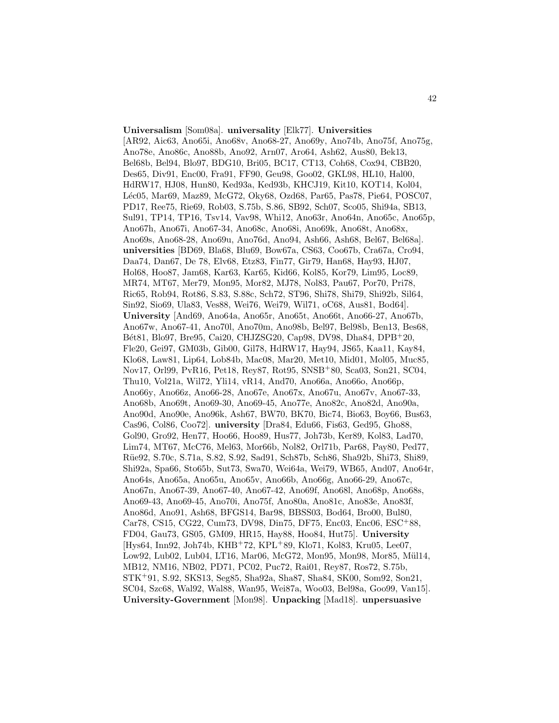**Universalism** [Som08a]. **universality** [Elk77]. **Universities** [AR92, Aic63, Ano65i, Ano68v, Ano68-27, Ano69y, Ano74b, Ano75f, Ano75g, Ano78e, Ano86c, Ano88b, Ano92, Arn07, Aro64, Ash62, Aus80, Bek13, Bel68b, Bel94, Blo97, BDG10, Bri05, BC17, CT13, Coh68, Cox94, CBB20, Des65, Div91, Enc00, Fra91, FF90, Geu98, Goo02, GKL98, HL10, Hal00, HdRW17, HJ08, Hun80, Ked93a, Ked93b, KHCJ19, Kit10, KOT14, Kol04, Léc05, Mar69, Maz89, McG72, Oky68, Ozd68, Par65, Pas78, Pie64, POSC07, PD17, Ree75, Rie69, Rob03, S.75b, S.86, SB92, Sch07, Sco05, Shi94a, SB13, Sul91, TP14, TP16, Tsv14, Vav98, Whi12, Ano63r, Ano64n, Ano65c, Ano65p, Ano67h, Ano67i, Ano67-34, Ano68c, Ano68i, Ano69k, Ano68t, Ano68x, Ano69s, Ano68-28, Ano69u, Ano76d, Ano94, Ash66, Ash68, Bel67, Bel68a]. **universities** [BD69, Bla68, Blu69, Bow67a, CS63, Coo67b, Cra67a, Cro94, Daa74, Dan67, De 78, Elv68, Etz83, Fin77, Gir79, Han68, Hay93, HJ07, Hol68, Hoo87, Jam68, Kar63, Kar65, Kid66, Kol85, Kor79, Lim95, Loc89, MR74, MT67, Mer79, Mon95, Mor82, MJ78, Nol83, Pau67, Por70, Pri78, Ric65, Rob94, Rot86, S.83, S.88c, Sch72, ST96, Shi78, Shi79, Shi92b, Sil64, Sin92, Sio69, Ula83, Ves88, Wei76, Wei79, Wil71, oC68, Aus81, Bod64]. **University** [And69, Ano64a, Ano65r, Ano65t, Ano66t, Ano66-27, Ano67b, Ano67w, Ano67-41, Ano70l, Ano70m, Ano98b, Bel97, Bel98b, Ben13, Bes68, B´et81, Blo97, Bre95, Cai20, CHJZSG20, Cap98, DV98, Dha84, DPB<sup>+</sup>20, Fle20, Gei97, GM03b, Gib00, Gil78, HdRW17, Hay94, JS65, Kaa11, Kay84, Klo68, Law81, Lip64, Lob84b, Mac08, Mar20, Met10, Mid01, Mol05, Muc85, Nov17, Orl99, PvR16, Pet18, Rey87, Rot95, SNSB<sup>+</sup>80, Sca03, Son21, SC04, Thu10, Vol21a, Wil72, Yli14, vR14, And70, Ano66a, Ano66o, Ano66p, Ano66y, Ano66z, Ano66-28, Ano67e, Ano67x, Ano67u, Ano67v, Ano67-33, Ano68b, Ano69t, Ano69-30, Ano69-45, Ano77e, Ano82c, Ano82d, Ano90a, Ano90d, Ano90e, Ano96k, Ash67, BW70, BK70, Bic74, Bio63, Boy66, Bus63, Cas96, Col86, Coo72]. **university** [Dra84, Edu66, Fis63, Ged95, Gho88, Gol90, Gro92, Hen77, Hoo66, Hoo89, Hus77, Joh73b, Ker89, Kol83, Lad70, Lim74, MT67, McC76, Mel63, Mor66b, Nol82, Orl71b, Par68, Pay80, Ped77, R¨ue92, S.70c, S.71a, S.82, S.92, Sad91, Sch87b, Sch86, Sha92b, Shi73, Shi89, Shi92a, Spa66, Sto65b, Sut73, Swa70, Wei64a, Wei79, WB65, And07, Ano64r, Ano64s, Ano65a, Ano65u, Ano65v, Ano66b, Ano66g, Ano66-29, Ano67c, Ano67n, Ano67-39, Ano67-40, Ano67-42, Ano69f, Ano68l, Ano68p, Ano68s, Ano69-43, Ano69-45, Ano70i, Ano75f, Ano80a, Ano81c, Ano83e, Ano83f, Ano86d, Ano91, Ash68, BFGS14, Bar98, BBSS03, Bod64, Bro00, Bul80, Car78, CS15, CG22, Cum73, DV98, Din75, DF75, Enc03, Enc06, ESC<sup>+</sup>88, FD04, Gau73, GS05, GM09, HR15, Hay88, Hoo84, Hut75]. **University** [Hys64, Inn92, Joh74b, KHB<sup>+</sup>72, KPL<sup>+</sup>89, Klo71, Kol83, Kru05, Lee07, Low92, Lub02, Lub04, LT16, Mar06, McG72, Mon95, Mon98, Mor85, Mül14, MB12, NM16, NB02, PD71, PC02, Puc72, Rai01, Rey87, Ros72, S.75b, STK<sup>+</sup>91, S.92, SKS13, Seg85, Sha92a, Sha87, Sha84, SK00, Som92, Son21, SC04, Szc68, Wal92, Wal88, Wan95, Wei87a, Woo03, Bel98a, Goo99, Van15]. **University-Government** [Mon98]. **Unpacking** [Mad18]. **unpersuasive**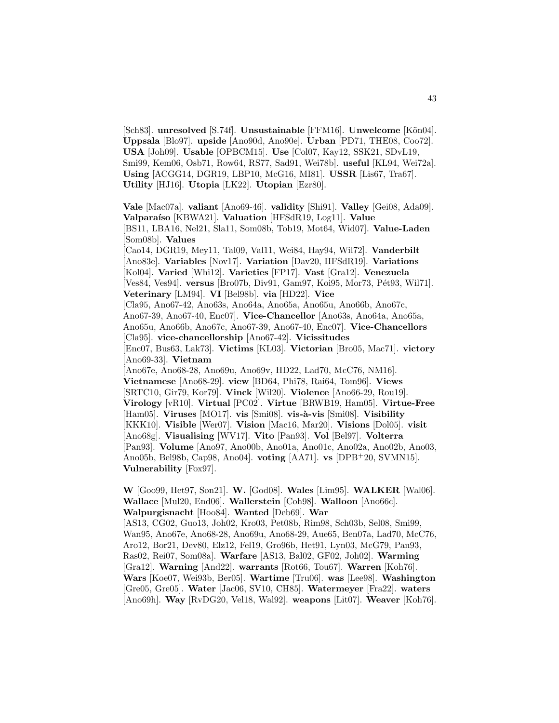[Sch83]. **unresolved** [S.74f]. **Unsustainable** [FFM16]. **Unwelcome** [Kön04]. **Uppsala** [Blo97]. **upside** [Ano90d, Ano90e]. **Urban** [PD71, THE08, Coo72]. **USA** [Joh09]. **Usable** [OPBCM15]. **Use** [Col07, Kay12, SSK21, SDvL19, Smi99, Kem06, Osb71, Row64, RS77, Sad91, Wei78b]. **useful** [KL94, Wei72a]. **Using** [ACGG14, DGR19, LBP10, McG16, MI81]. **USSR** [Lis67, Tra67]. **Utility** [HJ16]. **Utopia** [LK22]. **Utopian** [Ezr80].

**Vale** [Mac07a]. **valiant** [Ano69-46]. **validity** [Shi91]. **Valley** [Gei08, Ada09]. **Valparaíso** [KBWA21]. **Valuation** [HFSdR19, Log11]. **Value** [BS11, LBA16, Nel21, Sla11, Som08b, Tob19, Mot64, Wid07]. **Value-Laden** [Som08b]. **Values** [Cao14, DGR19, Mey11, Tal09, Val11, Wei84, Hay94, Wil72]. **Vanderbilt** [Ano83e]. **Variables** [Nov17]. **Variation** [Dav20, HFSdR19]. **Variations** [Kol04]. **Varied** [Whi12]. **Varieties** [FP17]. **Vast** [Gra12]. **Venezuela** [Ves84, Ves94]. **versus** [Bro07b, Div91, Gam97, Koi95, Mor73, Pét93, Wil71]. **Veterinary** [LM94]. **VI** [Bel98b]. **via** [HD22]. **Vice** [Cla95, Ano67-42, Ano63s, Ano64a, Ano65a, Ano65u, Ano66b, Ano67c, Ano67-39, Ano67-40, Enc07]. **Vice-Chancellor** [Ano63s, Ano64a, Ano65a, Ano65u, Ano66b, Ano67c, Ano67-39, Ano67-40, Enc07]. **Vice-Chancellors** [Cla95]. **vice-chancellorship** [Ano67-42]. **Vicissitudes** [Enc07, Bus63, Lak73]. **Victims** [KL03]. **Victorian** [Bro05, Mac71]. **victory** [Ano69-33]. **Vietnam** [Ano67e, Ano68-28, Ano69u, Ano69v, HD22, Lad70, McC76, NM16]. **Vietnamese** [Ano68-29]. **view** [BD64, Phi78, Rai64, Tom96]. **Views** [SRTC10, Gir79, Kor79]. **Vinck** [Wil20]. **Violence** [Ano66-29, Rou19]. **Virology** [vR10]. **Virtual** [PC02]. **Virtue** [BRWB19, Ham05]. **Virtue-Free** [Ham05]. **Viruses** [MO17]. **vis** [Smi08]. **vis-à-vis** [Smi08]. **Visibility** [KKK10]. **Visible** [Wer07]. **Vision** [Mac16, Mar20]. **Visions** [Dol05]. **visit** [Ano68g]. **Visualising** [WV17]. **Vito** [Pan93]. **Vol** [Bel97]. **Volterra** [Pan93]. **Volume** [Ano97, Ano00b, Ano01a, Ano01c, Ano02a, Ano02b, Ano03, Ano05b, Bel98b, Cap98, Ano04]. **voting** [AA71]. **vs** [DPB<sup>+</sup>20, SVMN15]. **Vulnerability** [Fox97].

**W** [Goo99, Het97, Son21]. **W.** [God08]. **Wales** [Lim95]. **WALKER** [Wal06]. **Wallace** [Mul20, End06]. **Wallerstein** [Coh98]. **Walloon** [Ano66c]. **Walpurgisnacht** [Hoo84]. **Wanted** [Deb69]. **War** [AS13, CG02, Guo13, Joh02, Kro03, Pet08b, Rim98, Sch03b, Sel08, Smi99, Wan95, Ano67e, Ano68-28, Ano69u, Ano68-29, Aue65, Ben07a, Lad70, McC76, Aro12, Bor21, Dev80, Elz12, Fel19, Gro96b, Het91, Lyn03, McG79, Pan93, Ras02, Rei07, Som08a]. **Warfare** [AS13, Bal02, GF02, Joh02]. **Warming** [Gra12]. **Warning** [And22]. **warrants** [Rot66, Tou67]. **Warren** [Koh76]. **Wars** [Koe07, Wei93b, Ber05]. **Wartime** [Tru06]. **was** [Lee98]. **Washington** [Gre05, Gre05]. **Water** [Jac06, SV10, CH85]. **Watermeyer** [Fra22]. **waters** [Ano69h]. **Way** [RvDG20, Vel18, Wal92]. **weapons** [Lit07]. **Weaver** [Koh76].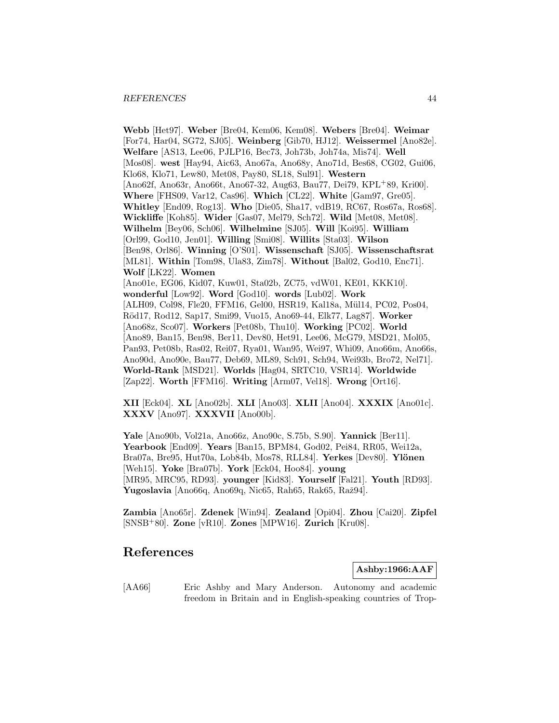#### *REFERENCES* 44

**Webb** [Het97]. **Weber** [Bre04, Kem06, Kem08]. **Webers** [Bre04]. **Weimar** [For74, Har04, SG72, SJ05]. **Weinberg** [Gib70, HJ12]. **Weissermel** [Ano82e]. **Welfare** [AS13, Lee06, PJLP16, Bec73, Joh73b, Joh74a, Mis74]. **Well** [Mos08]. **west** [Hay94, Aic63, Ano67a, Ano68y, Ano71d, Bes68, CG02, Gui06, Klo68, Klo71, Lew80, Met08, Pay80, SL18, Sul91]. **Western** [Ano62f, Ano63r, Ano66t, Ano67-32, Aug63, Bau77, Dei79, KPL<sup>+</sup>89, Kri00]. **Where** [FHS09, Var12, Cas96]. **Which** [CL22]. **White** [Gam97, Gre05]. **Whitley** [End09, Rog13]. **Who** [Die05, Sha17, vdB19, RC67, Ros67a, Ros68]. **Wickliffe** [Koh85]. **Wider** [Gas07, Mel79, Sch72]. **Wild** [Met08, Met08]. **Wilhelm** [Bey06, Sch06]. **Wilhelmine** [SJ05]. **Will** [Koi95]. **William** [Orl99, God10, Jen01]. **Willing** [Smi08]. **Willits** [Sta03]. **Wilson** [Ben98, Orl86]. **Winning** [O'S01]. **Wissenschaft** [SJ05]. **Wissenschaftsrat** [ML81]. **Within** [Tom98, Ula83, Zim78]. **Without** [Bal02, God10, Enc71]. **Wolf** [LK22]. **Women** [Ano01e, EG06, Kid07, Kuw01, Sta02b, ZC75, vdW01, KE01, KKK10]. **wonderful** [Low92]. **Word** [God10]. **words** [Lub02]. **Work** [ALH09, Col98, Fle20, FFM16, Gel00, HSR19, Kal18a, Mül14, PC02, Pos04, R¨od17, Rod12, Sap17, Smi99, Vuo15, Ano69-44, Elk77, Lag87]. **Worker** [Ano68z, Sco07]. **Workers** [Pet08b, Thu10]. **Working** [PC02]. **World** [Ano89, Ban15, Ben98, Ber11, Dev80, Het91, Lee06, McG79, MSD21, Mol05, Pan93, Pet08b, Ras02, Rei07, Rya01, Wan95, Wei97, Whi09, Ano66m, Ano66s, Ano90d, Ano90e, Bau77, Deb69, ML89, Sch91, Sch94, Wei93b, Bro72, Nel71]. **World-Rank** [MSD21]. **Worlds** [Hag04, SRTC10, VSR14]. **Worldwide** [Zap22]. **Worth** [FFM16]. **Writing** [Arm07, Vel18]. **Wrong** [Ort16].

**XII** [Eck04]. **XL** [Ano02b]. **XLI** [Ano03]. **XLII** [Ano04]. **XXXIX** [Ano01c]. **XXXV** [Ano97]. **XXXVII** [Ano00b].

**Yale** [Ano90b, Vol21a, Ano66z, Ano90c, S.75b, S.90]. **Yannick** [Ber11]. **Yearbook** [End09]. **Years** [Ban15, BPM84, God02, Pei84, RR05, Wei12a, Bra07a, Bre95, Hut70a, Lob84b, Mos78, RLL84]. **Yerkes** [Dev80]. **Ylönen** [Weh15]. **Yoke** [Bra07b]. **York** [Eck04, Hoo84]. **young** [MR95, MRC95, RD93]. **younger** [Kid83]. **Yourself** [Fal21]. **Youth** [RD93]. **Yugoslavia** [Ano66q, Ano69q, Nic65, Rah65, Rak65, Raž94].

**Zambia** [Ano65r]. **Zdenek** [Win94]. **Zealand** [Opi04]. **Zhou** [Cai20]. **Zipfel** [SNSB<sup>+</sup>80]. **Zone** [vR10]. **Zones** [MPW16]. **Zurich** [Kru08].

# **References**

**Ashby:1966:AAF**

[AA66] Eric Ashby and Mary Anderson. Autonomy and academic freedom in Britain and in English-speaking countries of Trop-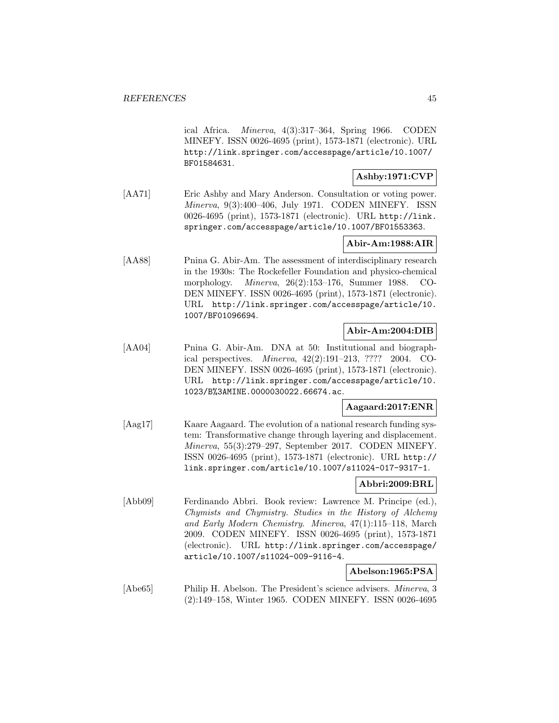ical Africa. Minerva, 4(3):317–364, Spring 1966. CODEN MINEFY. ISSN 0026-4695 (print), 1573-1871 (electronic). URL http://link.springer.com/accesspage/article/10.1007/ BF01584631.

# **Ashby:1971:CVP**

[AA71] Eric Ashby and Mary Anderson. Consultation or voting power. Minerva, 9(3):400–406, July 1971. CODEN MINEFY. ISSN 0026-4695 (print), 1573-1871 (electronic). URL http://link. springer.com/accesspage/article/10.1007/BF01553363.

# **Abir-Am:1988:AIR**

[AA88] Pnina G. Abir-Am. The assessment of interdisciplinary research in the 1930s: The Rockefeller Foundation and physico-chemical morphology. Minerva, 26(2):153–176, Summer 1988. CO-DEN MINEFY. ISSN 0026-4695 (print), 1573-1871 (electronic). URL http://link.springer.com/accesspage/article/10. 1007/BF01096694.

# **Abir-Am:2004:DIB**

[AA04] Pnina G. Abir-Am. DNA at 50: Institutional and biographical perspectives. Minerva, 42(2):191–213, ???? 2004. CO-DEN MINEFY. ISSN 0026-4695 (print), 1573-1871 (electronic). URL http://link.springer.com/accesspage/article/10. 1023/B%3AMINE.0000030022.66674.ac.

# **Aagaard:2017:ENR**

[Aag17] Kaare Aagaard. The evolution of a national research funding system: Transformative change through layering and displacement. Minerva, 55(3):279–297, September 2017. CODEN MINEFY. ISSN 0026-4695 (print), 1573-1871 (electronic). URL http:// link.springer.com/article/10.1007/s11024-017-9317-1.

# **Abbri:2009:BRL**

[Abb09] Ferdinando Abbri. Book review: Lawrence M. Principe (ed.), Chymists and Chymistry. Studies in the History of Alchemy and Early Modern Chemistry. Minerva, 47(1):115–118, March 2009. CODEN MINEFY. ISSN 0026-4695 (print), 1573-1871 (electronic). URL http://link.springer.com/accesspage/ article/10.1007/s11024-009-9116-4.

# **Abelson:1965:PSA**

[Abe65] Philip H. Abelson. The President's science advisers. Minerva, 3 (2):149–158, Winter 1965. CODEN MINEFY. ISSN 0026-4695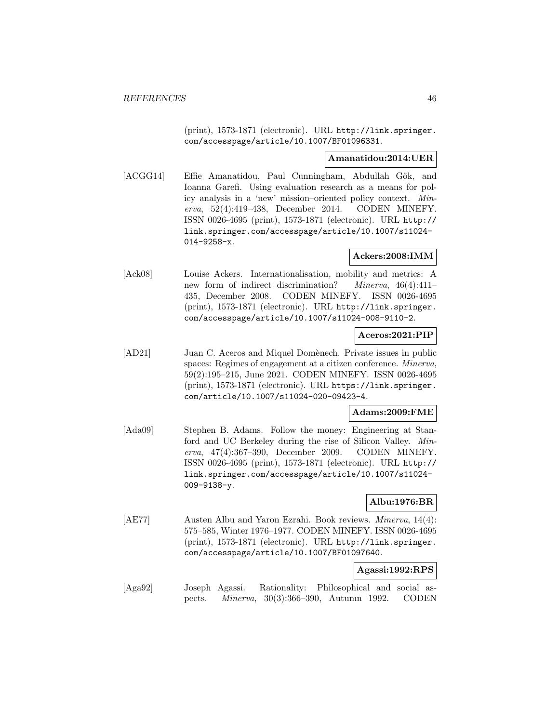(print), 1573-1871 (electronic). URL http://link.springer. com/accesspage/article/10.1007/BF01096331.

### **Amanatidou:2014:UER**

[ACGG14] Effie Amanatidou, Paul Cunningham, Abdullah Gök, and Ioanna Garefi. Using evaluation research as a means for policy analysis in a 'new' mission–oriented policy context. Minerva, 52(4):419–438, December 2014. CODEN MINEFY. ISSN 0026-4695 (print), 1573-1871 (electronic). URL http:// link.springer.com/accesspage/article/10.1007/s11024- 014-9258-x.

# **Ackers:2008:IMM**

[Ack08] Louise Ackers. Internationalisation, mobility and metrics: A new form of indirect discrimination? Minerva, 46(4):411-435, December 2008. CODEN MINEFY. ISSN 0026-4695 (print), 1573-1871 (electronic). URL http://link.springer. com/accesspage/article/10.1007/s11024-008-9110-2.

# **Aceros:2021:PIP**

[AD21] Juan C. Aceros and Miquel Domènech. Private issues in public spaces: Regimes of engagement at a citizen conference. Minerva, 59(2):195–215, June 2021. CODEN MINEFY. ISSN 0026-4695 (print), 1573-1871 (electronic). URL https://link.springer. com/article/10.1007/s11024-020-09423-4.

# **Adams:2009:FME**

[Ada09] Stephen B. Adams. Follow the money: Engineering at Stanford and UC Berkeley during the rise of Silicon Valley. Minerva, 47(4):367–390, December 2009. CODEN MINEFY. ISSN 0026-4695 (print), 1573-1871 (electronic). URL http:// link.springer.com/accesspage/article/10.1007/s11024- 009-9138-y.

# **Albu:1976:BR**

[AE77] Austen Albu and Yaron Ezrahi. Book reviews. Minerva, 14(4): 575–585, Winter 1976–1977. CODEN MINEFY. ISSN 0026-4695 (print), 1573-1871 (electronic). URL http://link.springer. com/accesspage/article/10.1007/BF01097640.

# **Agassi:1992:RPS**

[Aga92] Joseph Agassi. Rationality: Philosophical and social aspects. Minerva, 30(3):366–390, Autumn 1992. CODEN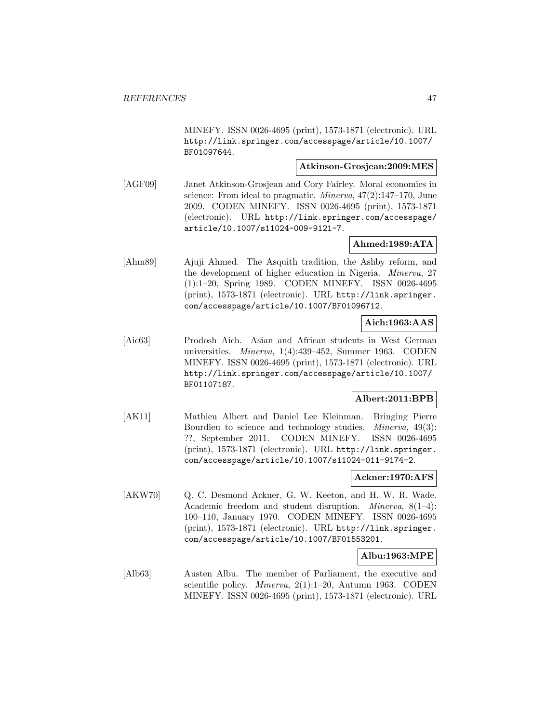MINEFY. ISSN 0026-4695 (print), 1573-1871 (electronic). URL http://link.springer.com/accesspage/article/10.1007/ BF01097644.

# **Atkinson-Grosjean:2009:MES**

[AGF09] Janet Atkinson-Grosjean and Cory Fairley. Moral economies in science: From ideal to pragmatic. *Minerva*,  $47(2)$ :147-170, June 2009. CODEN MINEFY. ISSN 0026-4695 (print), 1573-1871 (electronic). URL http://link.springer.com/accesspage/ article/10.1007/s11024-009-9121-7.

# **Ahmed:1989:ATA**

[Ahm89] Ajuji Ahmed. The Asquith tradition, the Ashby reform, and the development of higher education in Nigeria. Minerva, 27 (1):1–20, Spring 1989. CODEN MINEFY. ISSN 0026-4695 (print), 1573-1871 (electronic). URL http://link.springer. com/accesspage/article/10.1007/BF01096712.

# **Aich:1963:AAS**

[Aic63] Prodosh Aich. Asian and African students in West German universities. Minerva, 1(4):439–452, Summer 1963. CODEN MINEFY. ISSN 0026-4695 (print), 1573-1871 (electronic). URL http://link.springer.com/accesspage/article/10.1007/ BF01107187.

# **Albert:2011:BPB**

[AK11] Mathieu Albert and Daniel Lee Kleinman. Bringing Pierre Bourdieu to science and technology studies. *Minerva*, 49(3): ??, September 2011. CODEN MINEFY. ISSN 0026-4695 (print), 1573-1871 (electronic). URL http://link.springer. com/accesspage/article/10.1007/s11024-011-9174-2.

# **Ackner:1970:AFS**

[AKW70] Q. C. Desmond Ackner, G. W. Keeton, and H. W. R. Wade. Academic freedom and student disruption. *Minerva*,  $8(1-4)$ : 100–110, January 1970. CODEN MINEFY. ISSN 0026-4695 (print), 1573-1871 (electronic). URL http://link.springer. com/accesspage/article/10.1007/BF01553201.

# **Albu:1963:MPE**

[Alb63] Austen Albu. The member of Parliament, the executive and scientific policy. Minerva, 2(1):1–20, Autumn 1963. CODEN MINEFY. ISSN 0026-4695 (print), 1573-1871 (electronic). URL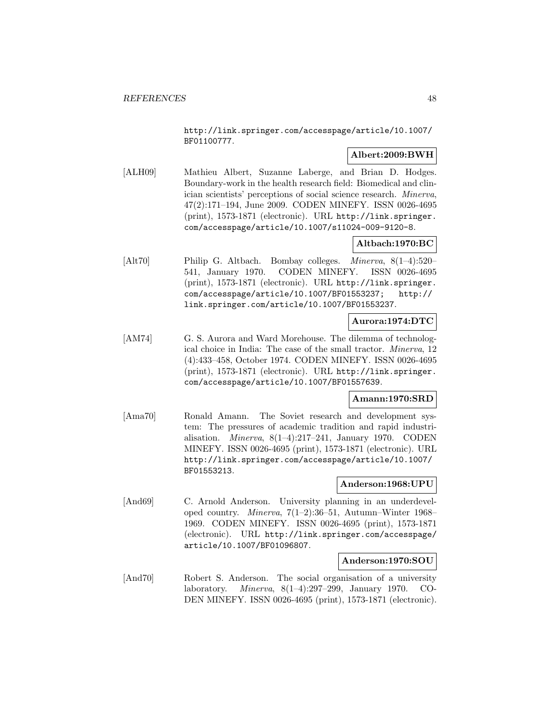http://link.springer.com/accesspage/article/10.1007/ BF01100777.

# **Albert:2009:BWH**

[ALH09] Mathieu Albert, Suzanne Laberge, and Brian D. Hodges. Boundary-work in the health research field: Biomedical and clinician scientists' perceptions of social science research. Minerva, 47(2):171–194, June 2009. CODEN MINEFY. ISSN 0026-4695 (print), 1573-1871 (electronic). URL http://link.springer. com/accesspage/article/10.1007/s11024-009-9120-8.

# **Altbach:1970:BC**

[Alt70] Philip G. Altbach. Bombay colleges. Minerva, 8(1–4):520– 541, January 1970. CODEN MINEFY. ISSN 0026-4695 (print), 1573-1871 (electronic). URL http://link.springer. com/accesspage/article/10.1007/BF01553237; http:// link.springer.com/article/10.1007/BF01553237.

# **Aurora:1974:DTC**

[AM74] G. S. Aurora and Ward Morehouse. The dilemma of technological choice in India: The case of the small tractor. Minerva, 12 (4):433–458, October 1974. CODEN MINEFY. ISSN 0026-4695 (print), 1573-1871 (electronic). URL http://link.springer. com/accesspage/article/10.1007/BF01557639.

# **Amann:1970:SRD**

[Ama70] Ronald Amann. The Soviet research and development system: The pressures of academic tradition and rapid industrialisation. Minerva, 8(1–4):217–241, January 1970. CODEN MINEFY. ISSN 0026-4695 (print), 1573-1871 (electronic). URL http://link.springer.com/accesspage/article/10.1007/ BF01553213.

# **Anderson:1968:UPU**

[And69] C. Arnold Anderson. University planning in an underdeveloped country. Minerva, 7(1–2):36–51, Autumn–Winter 1968– 1969. CODEN MINEFY. ISSN 0026-4695 (print), 1573-1871 (electronic). URL http://link.springer.com/accesspage/ article/10.1007/BF01096807.

#### **Anderson:1970:SOU**

[And70] Robert S. Anderson. The social organisation of a university laboratory. Minerva, 8(1–4):297–299, January 1970. CO-DEN MINEFY. ISSN 0026-4695 (print), 1573-1871 (electronic).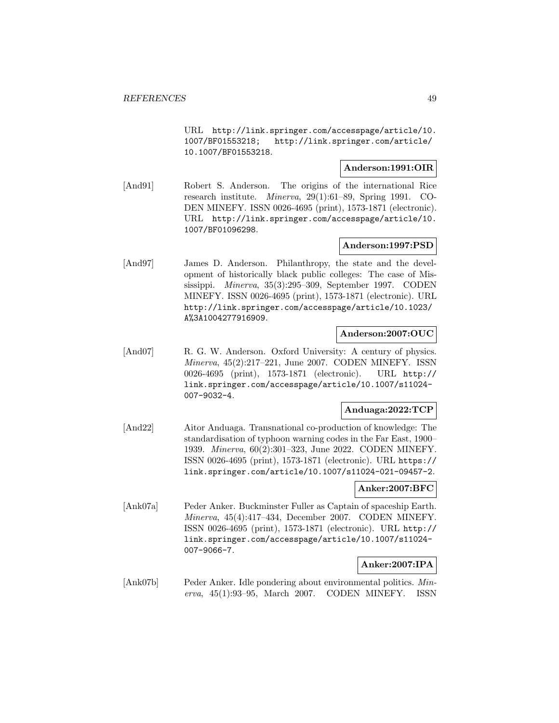URL http://link.springer.com/accesspage/article/10. 1007/BF01553218; http://link.springer.com/article/ 10.1007/BF01553218.

### **Anderson:1991:OIR**

[And91] Robert S. Anderson. The origins of the international Rice research institute. Minerva, 29(1):61–89, Spring 1991. CO-DEN MINEFY. ISSN 0026-4695 (print), 1573-1871 (electronic). URL http://link.springer.com/accesspage/article/10. 1007/BF01096298.

# **Anderson:1997:PSD**

[And97] James D. Anderson. Philanthropy, the state and the development of historically black public colleges: The case of Mississippi. Minerva, 35(3):295–309, September 1997. CODEN MINEFY. ISSN 0026-4695 (print), 1573-1871 (electronic). URL http://link.springer.com/accesspage/article/10.1023/ A%3A1004277916909.

# **Anderson:2007:OUC**

[And07] R. G. W. Anderson. Oxford University: A century of physics. Minerva, 45(2):217–221, June 2007. CODEN MINEFY. ISSN 0026-4695 (print), 1573-1871 (electronic). URL http:// link.springer.com/accesspage/article/10.1007/s11024- 007-9032-4.

# **Anduaga:2022:TCP**

[And22] Aitor Anduaga. Transnational co-production of knowledge: The standardisation of typhoon warning codes in the Far East, 1900– 1939. Minerva, 60(2):301–323, June 2022. CODEN MINEFY. ISSN 0026-4695 (print), 1573-1871 (electronic). URL https:// link.springer.com/article/10.1007/s11024-021-09457-2.

# **Anker:2007:BFC**

[Ank07a] Peder Anker. Buckminster Fuller as Captain of spaceship Earth. Minerva, 45(4):417–434, December 2007. CODEN MINEFY. ISSN 0026-4695 (print), 1573-1871 (electronic). URL http:// link.springer.com/accesspage/article/10.1007/s11024- 007-9066-7.

# **Anker:2007:IPA**

[Ank07b] Peder Anker. Idle pondering about environmental politics. Minerva, 45(1):93–95, March 2007. CODEN MINEFY. ISSN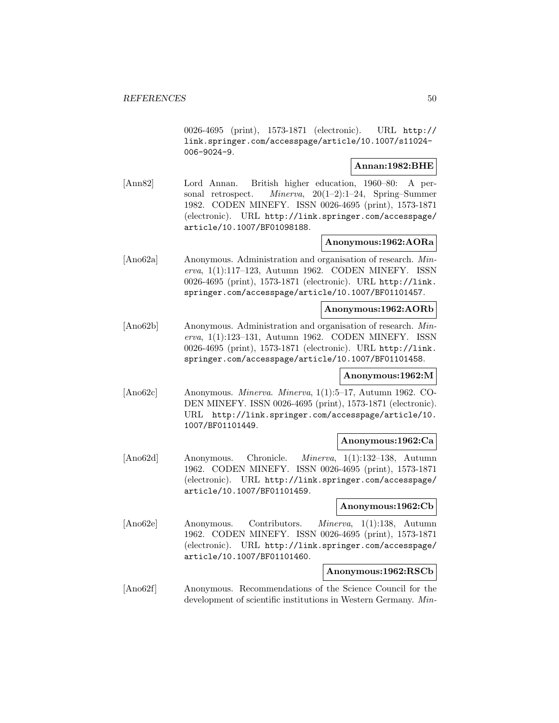0026-4695 (print), 1573-1871 (electronic). URL http:// link.springer.com/accesspage/article/10.1007/s11024- 006-9024-9.

### **Annan:1982:BHE**

[Ann82] Lord Annan. British higher education, 1960–80: A personal retrospect. Minerva, 20(1–2):1–24, Spring–Summer 1982. CODEN MINEFY. ISSN 0026-4695 (print), 1573-1871 (electronic). URL http://link.springer.com/accesspage/ article/10.1007/BF01098188.

# **Anonymous:1962:AORa**

[Ano62a] Anonymous. Administration and organisation of research. Minerva, 1(1):117–123, Autumn 1962. CODEN MINEFY. ISSN 0026-4695 (print), 1573-1871 (electronic). URL http://link. springer.com/accesspage/article/10.1007/BF01101457.

### **Anonymous:1962:AORb**

[Ano62b] Anonymous. Administration and organisation of research. Minerva, 1(1):123–131, Autumn 1962. CODEN MINEFY. ISSN 0026-4695 (print), 1573-1871 (electronic). URL http://link. springer.com/accesspage/article/10.1007/BF01101458.

# **Anonymous:1962:M**

[Ano62c] Anonymous. Minerva. Minerva, 1(1):5–17, Autumn 1962. CO-DEN MINEFY. ISSN 0026-4695 (print), 1573-1871 (electronic). URL http://link.springer.com/accesspage/article/10. 1007/BF01101449.

# **Anonymous:1962:Ca**

[Ano62d] Anonymous. Chronicle. Minerva, 1(1):132–138, Autumn 1962. CODEN MINEFY. ISSN 0026-4695 (print), 1573-1871 (electronic). URL http://link.springer.com/accesspage/ article/10.1007/BF01101459.

#### **Anonymous:1962:Cb**

[Ano62e] Anonymous. Contributors. Minerva, 1(1):138, Autumn 1962. CODEN MINEFY. ISSN 0026-4695 (print), 1573-1871 (electronic). URL http://link.springer.com/accesspage/ article/10.1007/BF01101460.

# **Anonymous:1962:RSCb**

[Ano62f] Anonymous. Recommendations of the Science Council for the development of scientific institutions in Western Germany. Min-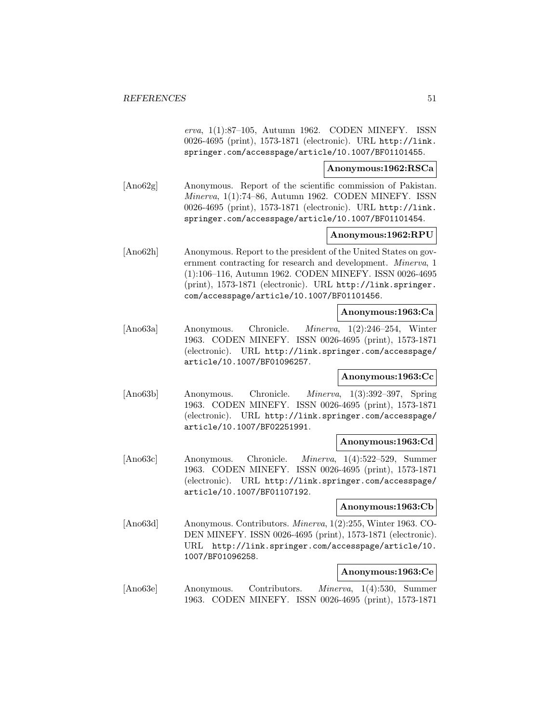erva, 1(1):87–105, Autumn 1962. CODEN MINEFY. ISSN 0026-4695 (print), 1573-1871 (electronic). URL http://link. springer.com/accesspage/article/10.1007/BF01101455.

### **Anonymous:1962:RSCa**

[Ano62g] Anonymous. Report of the scientific commission of Pakistan. Minerva, 1(1):74–86, Autumn 1962. CODEN MINEFY. ISSN 0026-4695 (print), 1573-1871 (electronic). URL http://link. springer.com/accesspage/article/10.1007/BF01101454.

### **Anonymous:1962:RPU**

[Ano62h] Anonymous. Report to the president of the United States on government contracting for research and development. Minerva, 1 (1):106–116, Autumn 1962. CODEN MINEFY. ISSN 0026-4695 (print), 1573-1871 (electronic). URL http://link.springer. com/accesspage/article/10.1007/BF01101456.

### **Anonymous:1963:Ca**

[Ano63a] Anonymous. Chronicle. Minerva, 1(2):246–254, Winter 1963. CODEN MINEFY. ISSN 0026-4695 (print), 1573-1871 (electronic). URL http://link.springer.com/accesspage/ article/10.1007/BF01096257.

# **Anonymous:1963:Cc**

[Ano63b] Anonymous. Chronicle. Minerva, 1(3):392–397, Spring 1963. CODEN MINEFY. ISSN 0026-4695 (print), 1573-1871 (electronic). URL http://link.springer.com/accesspage/ article/10.1007/BF02251991.

# **Anonymous:1963:Cd**

[Ano63c] Anonymous. Chronicle. Minerva, 1(4):522–529, Summer 1963. CODEN MINEFY. ISSN 0026-4695 (print), 1573-1871 (electronic). URL http://link.springer.com/accesspage/ article/10.1007/BF01107192.

### **Anonymous:1963:Cb**

[Ano63d] Anonymous. Contributors. Minerva, 1(2):255, Winter 1963. CO-DEN MINEFY. ISSN 0026-4695 (print), 1573-1871 (electronic). URL http://link.springer.com/accesspage/article/10. 1007/BF01096258.

# **Anonymous:1963:Ce**

[Ano63e] Anonymous. Contributors. Minerva, 1(4):530, Summer 1963. CODEN MINEFY. ISSN 0026-4695 (print), 1573-1871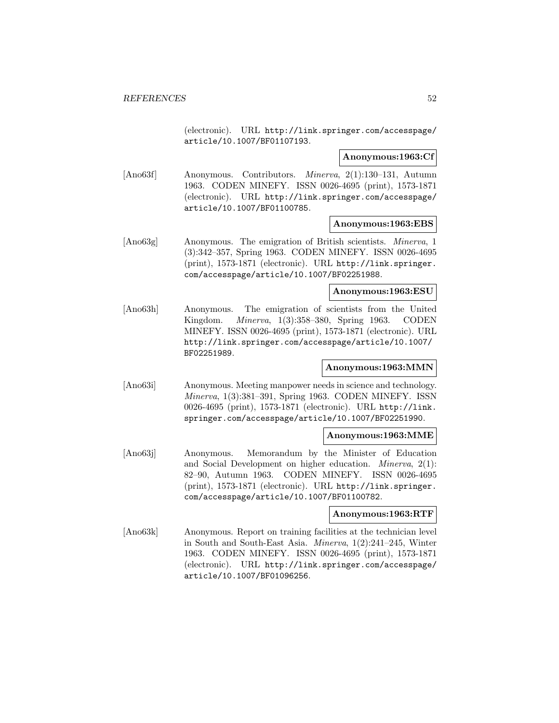(electronic). URL http://link.springer.com/accesspage/ article/10.1007/BF01107193.

# **Anonymous:1963:Cf**

[Ano63f] Anonymous. Contributors. Minerva, 2(1):130–131, Autumn 1963. CODEN MINEFY. ISSN 0026-4695 (print), 1573-1871 (electronic). URL http://link.springer.com/accesspage/ article/10.1007/BF01100785.

#### **Anonymous:1963:EBS**

[Ano63g] Anonymous. The emigration of British scientists. *Minerva*, 1 (3):342–357, Spring 1963. CODEN MINEFY. ISSN 0026-4695 (print), 1573-1871 (electronic). URL http://link.springer. com/accesspage/article/10.1007/BF02251988.

# **Anonymous:1963:ESU**

[Ano63h] Anonymous. The emigration of scientists from the United Kingdom. Minerva, 1(3):358–380, Spring 1963. CODEN MINEFY. ISSN 0026-4695 (print), 1573-1871 (electronic). URL http://link.springer.com/accesspage/article/10.1007/ BF02251989.

# **Anonymous:1963:MMN**

[Ano63i] Anonymous. Meeting manpower needs in science and technology. Minerva, 1(3):381–391, Spring 1963. CODEN MINEFY. ISSN 0026-4695 (print), 1573-1871 (electronic). URL http://link. springer.com/accesspage/article/10.1007/BF02251990.

# **Anonymous:1963:MME**

[Ano63j] Anonymous. Memorandum by the Minister of Education and Social Development on higher education. Minerva, 2(1): 82–90, Autumn 1963. CODEN MINEFY. ISSN 0026-4695 (print), 1573-1871 (electronic). URL http://link.springer. com/accesspage/article/10.1007/BF01100782.

# **Anonymous:1963:RTF**

[Ano63k] Anonymous. Report on training facilities at the technician level in South and South-East Asia. Minerva, 1(2):241–245, Winter 1963. CODEN MINEFY. ISSN 0026-4695 (print), 1573-1871 (electronic). URL http://link.springer.com/accesspage/ article/10.1007/BF01096256.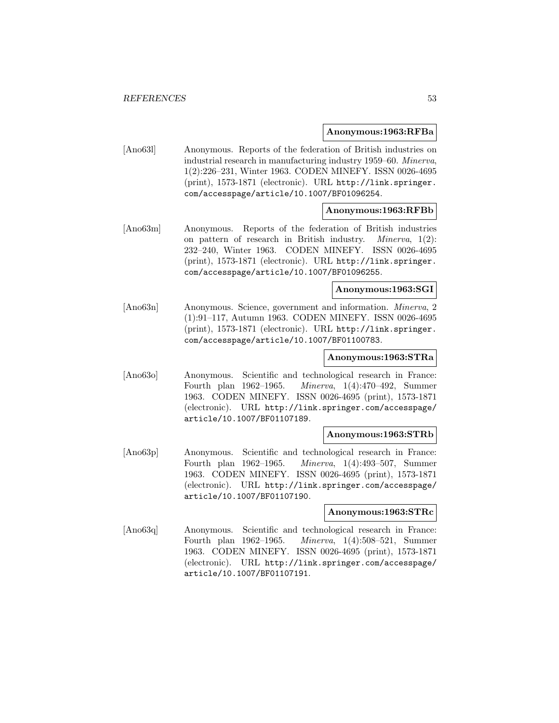#### **Anonymous:1963:RFBa**

[Ano63l] Anonymous. Reports of the federation of British industries on industrial research in manufacturing industry 1959–60. Minerva, 1(2):226–231, Winter 1963. CODEN MINEFY. ISSN 0026-4695 (print), 1573-1871 (electronic). URL http://link.springer. com/accesspage/article/10.1007/BF01096254.

# **Anonymous:1963:RFBb**

[Ano63m] Anonymous. Reports of the federation of British industries on pattern of research in British industry. Minerva, 1(2): 232–240, Winter 1963. CODEN MINEFY. ISSN 0026-4695 (print), 1573-1871 (electronic). URL http://link.springer. com/accesspage/article/10.1007/BF01096255.

#### **Anonymous:1963:SGI**

[Ano63n] Anonymous. Science, government and information. Minerva, 2 (1):91–117, Autumn 1963. CODEN MINEFY. ISSN 0026-4695 (print), 1573-1871 (electronic). URL http://link.springer. com/accesspage/article/10.1007/BF01100783.

# **Anonymous:1963:STRa**

[Ano63o] Anonymous. Scientific and technological research in France: Fourth plan 1962–1965. Minerva, 1(4):470–492, Summer 1963. CODEN MINEFY. ISSN 0026-4695 (print), 1573-1871 (electronic). URL http://link.springer.com/accesspage/ article/10.1007/BF01107189.

# **Anonymous:1963:STRb**

[Ano63p] Anonymous. Scientific and technological research in France: Fourth plan 1962–1965. Minerva, 1(4):493–507, Summer 1963. CODEN MINEFY. ISSN 0026-4695 (print), 1573-1871 (electronic). URL http://link.springer.com/accesspage/ article/10.1007/BF01107190.

# **Anonymous:1963:STRc**

[Ano63q] Anonymous. Scientific and technological research in France: Fourth plan 1962–1965. Minerva, 1(4):508–521, Summer 1963. CODEN MINEFY. ISSN 0026-4695 (print), 1573-1871 (electronic). URL http://link.springer.com/accesspage/ article/10.1007/BF01107191.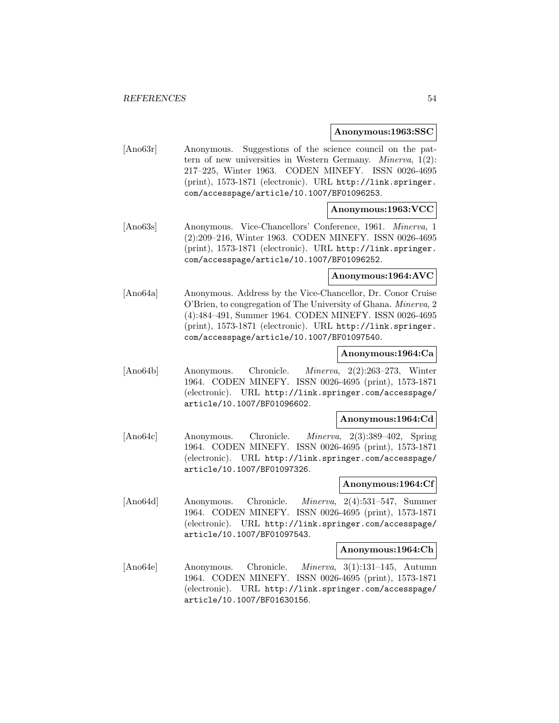#### **Anonymous:1963:SSC**

[Ano63r] Anonymous. Suggestions of the science council on the pattern of new universities in Western Germany. Minerva, 1(2): 217–225, Winter 1963. CODEN MINEFY. ISSN 0026-4695 (print), 1573-1871 (electronic). URL http://link.springer. com/accesspage/article/10.1007/BF01096253.

# **Anonymous:1963:VCC**

[Ano63s] Anonymous. Vice-Chancellors' Conference, 1961. Minerva, 1 (2):209–216, Winter 1963. CODEN MINEFY. ISSN 0026-4695 (print), 1573-1871 (electronic). URL http://link.springer. com/accesspage/article/10.1007/BF01096252.

### **Anonymous:1964:AVC**

[Ano64a] Anonymous. Address by the Vice-Chancellor, Dr. Conor Cruise O'Brien, to congregation of The University of Ghana. Minerva, 2 (4):484–491, Summer 1964. CODEN MINEFY. ISSN 0026-4695 (print), 1573-1871 (electronic). URL http://link.springer. com/accesspage/article/10.1007/BF01097540.

### **Anonymous:1964:Ca**

[Ano64b] Anonymous. Chronicle. Minerva, 2(2):263–273, Winter 1964. CODEN MINEFY. ISSN 0026-4695 (print), 1573-1871 (electronic). URL http://link.springer.com/accesspage/ article/10.1007/BF01096602.

#### **Anonymous:1964:Cd**

[Ano64c] Anonymous. Chronicle. Minerva, 2(3):389–402, Spring 1964. CODEN MINEFY. ISSN 0026-4695 (print), 1573-1871 (electronic). URL http://link.springer.com/accesspage/ article/10.1007/BF01097326.

# **Anonymous:1964:Cf**

[Ano64d] Anonymous. Chronicle. Minerva, 2(4):531–547, Summer 1964. CODEN MINEFY. ISSN 0026-4695 (print), 1573-1871 (electronic). URL http://link.springer.com/accesspage/ article/10.1007/BF01097543.

#### **Anonymous:1964:Ch**

[Ano64e] Anonymous. Chronicle. Minerva, 3(1):131–145, Autumn 1964. CODEN MINEFY. ISSN 0026-4695 (print), 1573-1871 (electronic). URL http://link.springer.com/accesspage/ article/10.1007/BF01630156.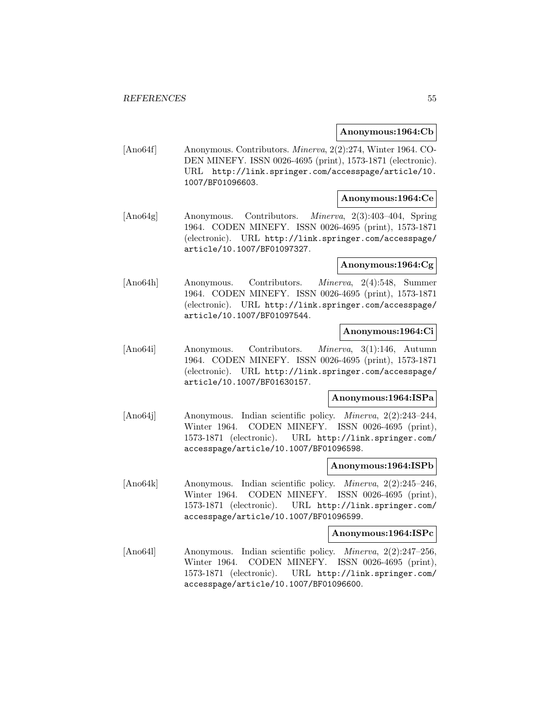### **Anonymous:1964:Cb**

[Ano64f] Anonymous. Contributors. Minerva, 2(2):274, Winter 1964. CO-DEN MINEFY. ISSN 0026-4695 (print), 1573-1871 (electronic). URL http://link.springer.com/accesspage/article/10. 1007/BF01096603.

# **Anonymous:1964:Ce**

[Ano64g] Anonymous. Contributors. Minerva, 2(3):403–404, Spring 1964. CODEN MINEFY. ISSN 0026-4695 (print), 1573-1871 (electronic). URL http://link.springer.com/accesspage/ article/10.1007/BF01097327.

# **Anonymous:1964:Cg**

[Ano64h] Anonymous. Contributors. Minerva, 2(4):548, Summer 1964. CODEN MINEFY. ISSN 0026-4695 (print), 1573-1871 (electronic). URL http://link.springer.com/accesspage/ article/10.1007/BF01097544.

### **Anonymous:1964:Ci**

[Ano64i] Anonymous. Contributors. Minerva, 3(1):146, Autumn 1964. CODEN MINEFY. ISSN 0026-4695 (print), 1573-1871 (electronic). URL http://link.springer.com/accesspage/ article/10.1007/BF01630157.

#### **Anonymous:1964:ISPa**

[Ano64j] Anonymous. Indian scientific policy. Minerva, 2(2):243–244, Winter 1964. CODEN MINEFY. ISSN 0026-4695 (print), 1573-1871 (electronic). URL http://link.springer.com/ accesspage/article/10.1007/BF01096598.

#### **Anonymous:1964:ISPb**

[Ano64k] Anonymous. Indian scientific policy. Minerva, 2(2):245–246, Winter 1964. CODEN MINEFY. ISSN 0026-4695 (print), 1573-1871 (electronic). URL http://link.springer.com/ accesspage/article/10.1007/BF01096599.

#### **Anonymous:1964:ISPc**

[Ano64l] Anonymous. Indian scientific policy. Minerva, 2(2):247–256, Winter 1964. CODEN MINEFY. ISSN 0026-4695 (print), 1573-1871 (electronic). URL http://link.springer.com/ accesspage/article/10.1007/BF01096600.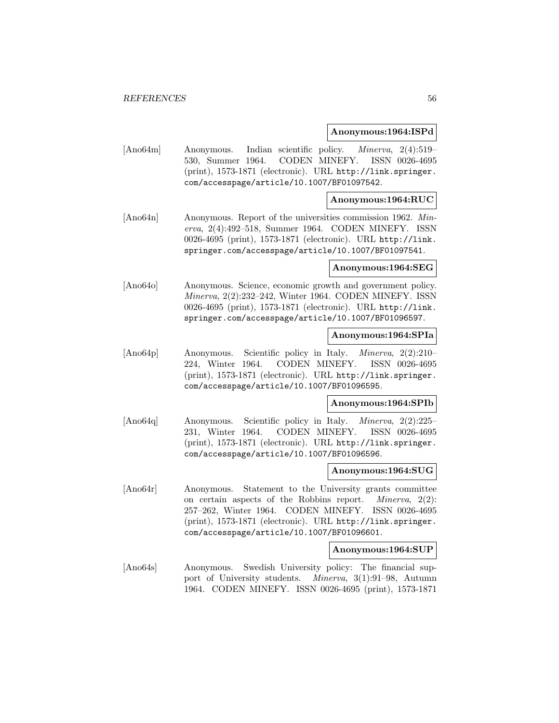#### **Anonymous:1964:ISPd**

[Ano64m] Anonymous. Indian scientific policy. Minerva, 2(4):519– 530, Summer 1964. CODEN MINEFY. ISSN 0026-4695 (print), 1573-1871 (electronic). URL http://link.springer. com/accesspage/article/10.1007/BF01097542.

# **Anonymous:1964:RUC**

[Ano64n] Anonymous. Report of the universities commission 1962. Minerva, 2(4):492–518, Summer 1964. CODEN MINEFY. ISSN 0026-4695 (print), 1573-1871 (electronic). URL http://link. springer.com/accesspage/article/10.1007/BF01097541.

#### **Anonymous:1964:SEG**

[Ano64o] Anonymous. Science, economic growth and government policy. Minerva, 2(2):232–242, Winter 1964. CODEN MINEFY. ISSN 0026-4695 (print), 1573-1871 (electronic). URL http://link. springer.com/accesspage/article/10.1007/BF01096597.

# **Anonymous:1964:SPIa**

[Ano64p] Anonymous. Scientific policy in Italy. Minerva, 2(2):210– 224, Winter 1964. CODEN MINEFY. ISSN 0026-4695 (print), 1573-1871 (electronic). URL http://link.springer. com/accesspage/article/10.1007/BF01096595.

#### **Anonymous:1964:SPIb**

[Ano64q] Anonymous. Scientific policy in Italy. Minerva, 2(2):225– 231, Winter 1964. CODEN MINEFY. ISSN 0026-4695 (print), 1573-1871 (electronic). URL http://link.springer. com/accesspage/article/10.1007/BF01096596.

### **Anonymous:1964:SUG**

[Ano64r] Anonymous. Statement to the University grants committee on certain aspects of the Robbins report. Minerva, 2(2): 257–262, Winter 1964. CODEN MINEFY. ISSN 0026-4695 (print), 1573-1871 (electronic). URL http://link.springer. com/accesspage/article/10.1007/BF01096601.

#### **Anonymous:1964:SUP**

[Ano64s] Anonymous. Swedish University policy: The financial support of University students. Minerva, 3(1):91–98, Autumn 1964. CODEN MINEFY. ISSN 0026-4695 (print), 1573-1871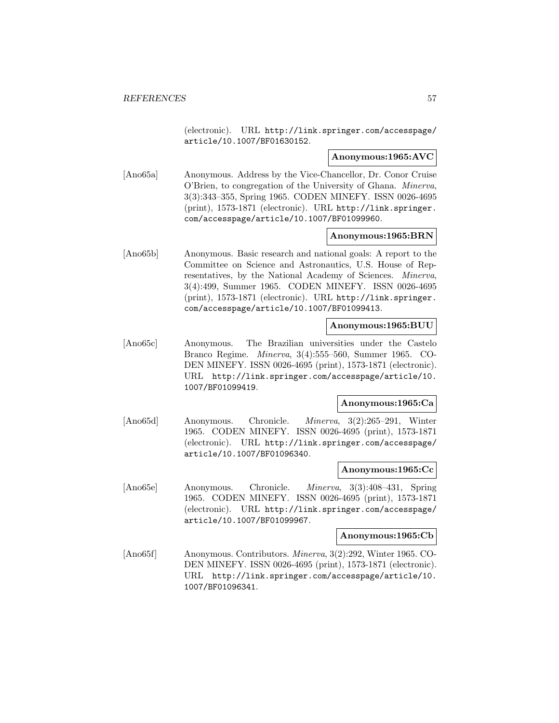(electronic). URL http://link.springer.com/accesspage/ article/10.1007/BF01630152.

#### **Anonymous:1965:AVC**

[Ano65a] Anonymous. Address by the Vice-Chancellor, Dr. Conor Cruise O'Brien, to congregation of the University of Ghana. Minerva, 3(3):343–355, Spring 1965. CODEN MINEFY. ISSN 0026-4695 (print), 1573-1871 (electronic). URL http://link.springer. com/accesspage/article/10.1007/BF01099960.

### **Anonymous:1965:BRN**

[Ano65b] Anonymous. Basic research and national goals: A report to the Committee on Science and Astronautics, U.S. House of Representatives, by the National Academy of Sciences. Minerva, 3(4):499, Summer 1965. CODEN MINEFY. ISSN 0026-4695 (print), 1573-1871 (electronic). URL http://link.springer. com/accesspage/article/10.1007/BF01099413.

### **Anonymous:1965:BUU**

[Ano65c] Anonymous. The Brazilian universities under the Castelo Branco Regime. Minerva, 3(4):555–560, Summer 1965. CO-DEN MINEFY. ISSN 0026-4695 (print), 1573-1871 (electronic). URL http://link.springer.com/accesspage/article/10. 1007/BF01099419.

#### **Anonymous:1965:Ca**

[Ano65d] Anonymous. Chronicle. Minerva, 3(2):265–291, Winter 1965. CODEN MINEFY. ISSN 0026-4695 (print), 1573-1871 (electronic). URL http://link.springer.com/accesspage/ article/10.1007/BF01096340.

#### **Anonymous:1965:Cc**

[Ano65e] Anonymous. Chronicle. Minerva, 3(3):408–431, Spring 1965. CODEN MINEFY. ISSN 0026-4695 (print), 1573-1871 (electronic). URL http://link.springer.com/accesspage/ article/10.1007/BF01099967.

### **Anonymous:1965:Cb**

[Ano65f] Anonymous. Contributors. Minerva, 3(2):292, Winter 1965. CO-DEN MINEFY. ISSN 0026-4695 (print), 1573-1871 (electronic). URL http://link.springer.com/accesspage/article/10. 1007/BF01096341.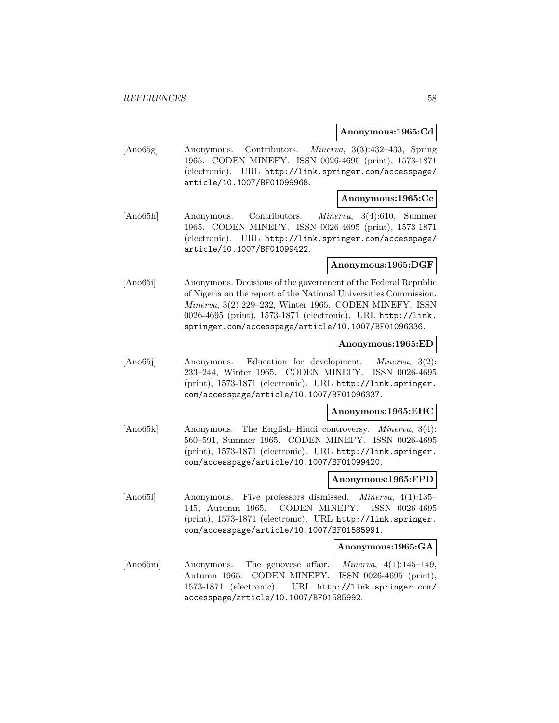### **Anonymous:1965:Cd**

[Ano65g] Anonymous. Contributors. Minerva, 3(3):432–433, Spring 1965. CODEN MINEFY. ISSN 0026-4695 (print), 1573-1871 (electronic). URL http://link.springer.com/accesspage/ article/10.1007/BF01099968.

# **Anonymous:1965:Ce**

[Ano65h] Anonymous. Contributors. Minerva, 3(4):610, Summer 1965. CODEN MINEFY. ISSN 0026-4695 (print), 1573-1871 (electronic). URL http://link.springer.com/accesspage/ article/10.1007/BF01099422.

### **Anonymous:1965:DGF**

[Ano65i] Anonymous. Decisions of the government of the Federal Republic of Nigeria on the report of the National Universities Commission. Minerva, 3(2):229–232, Winter 1965. CODEN MINEFY. ISSN 0026-4695 (print), 1573-1871 (electronic). URL http://link. springer.com/accesspage/article/10.1007/BF01096336.

### **Anonymous:1965:ED**

[Ano65j] Anonymous. Education for development. *Minerva*, 3(2): 233–244, Winter 1965. CODEN MINEFY. ISSN 0026-4695 (print), 1573-1871 (electronic). URL http://link.springer. com/accesspage/article/10.1007/BF01096337.

#### **Anonymous:1965:EHC**

[Ano65k] Anonymous. The English–Hindi controversy. *Minerva*, 3(4): 560–591, Summer 1965. CODEN MINEFY. ISSN 0026-4695 (print), 1573-1871 (electronic). URL http://link.springer. com/accesspage/article/10.1007/BF01099420.

#### **Anonymous:1965:FPD**

[Ano65l] Anonymous. Five professors dismissed. Minerva, 4(1):135– 145, Autumn 1965. CODEN MINEFY. ISSN 0026-4695 (print), 1573-1871 (electronic). URL http://link.springer. com/accesspage/article/10.1007/BF01585991.

# **Anonymous:1965:GA**

[Ano65m] Anonymous. The genovese affair. Minerva, 4(1):145–149, Autumn 1965. CODEN MINEFY. ISSN 0026-4695 (print), 1573-1871 (electronic). URL http://link.springer.com/ accesspage/article/10.1007/BF01585992.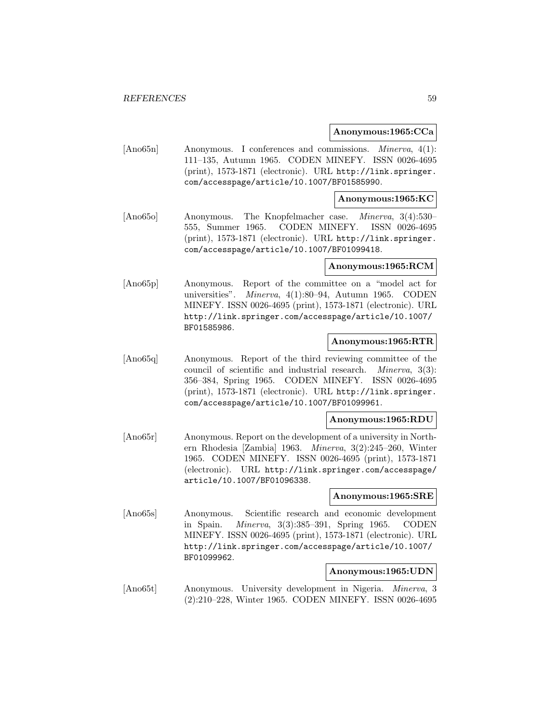### **Anonymous:1965:CCa**

[Ano65n] Anonymous. I conferences and commissions. Minerva, 4(1): 111–135, Autumn 1965. CODEN MINEFY. ISSN 0026-4695 (print), 1573-1871 (electronic). URL http://link.springer. com/accesspage/article/10.1007/BF01585990.

### **Anonymous:1965:KC**

[Ano65o] Anonymous. The Knopfelmacher case. Minerva, 3(4):530– 555, Summer 1965. CODEN MINEFY. ISSN 0026-4695 (print), 1573-1871 (electronic). URL http://link.springer. com/accesspage/article/10.1007/BF01099418.

### **Anonymous:1965:RCM**

[Ano65p] Anonymous. Report of the committee on a "model act for universities". Minerva, 4(1):80–94, Autumn 1965. CODEN MINEFY. ISSN 0026-4695 (print), 1573-1871 (electronic). URL http://link.springer.com/accesspage/article/10.1007/ BF01585986.

# **Anonymous:1965:RTR**

[Ano65q] Anonymous. Report of the third reviewing committee of the council of scientific and industrial research. Minerva, 3(3): 356–384, Spring 1965. CODEN MINEFY. ISSN 0026-4695 (print), 1573-1871 (electronic). URL http://link.springer. com/accesspage/article/10.1007/BF01099961.

# **Anonymous:1965:RDU**

[Ano65r] Anonymous. Report on the development of a university in Northern Rhodesia [Zambia] 1963. Minerva, 3(2):245–260, Winter 1965. CODEN MINEFY. ISSN 0026-4695 (print), 1573-1871 (electronic). URL http://link.springer.com/accesspage/ article/10.1007/BF01096338.

### **Anonymous:1965:SRE**

[Ano65s] Anonymous. Scientific research and economic development in Spain. Minerva, 3(3):385–391, Spring 1965. CODEN MINEFY. ISSN 0026-4695 (print), 1573-1871 (electronic). URL http://link.springer.com/accesspage/article/10.1007/ BF01099962.

#### **Anonymous:1965:UDN**

[Ano65t] Anonymous. University development in Nigeria. Minerva, 3 (2):210–228, Winter 1965. CODEN MINEFY. ISSN 0026-4695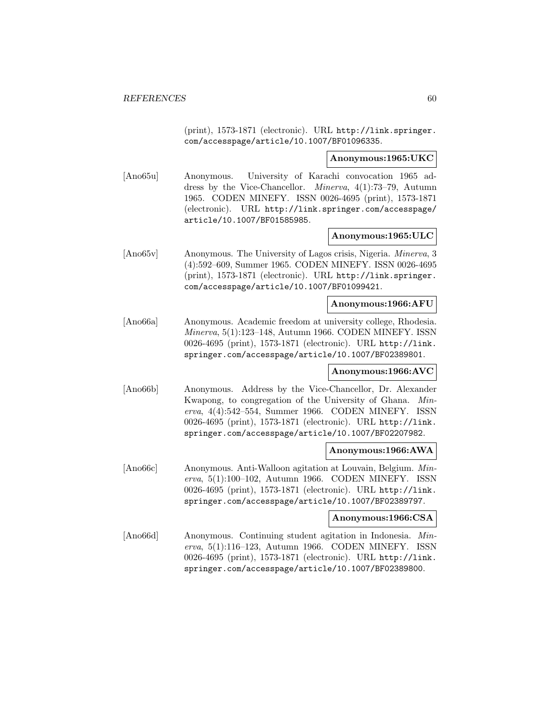(print), 1573-1871 (electronic). URL http://link.springer. com/accesspage/article/10.1007/BF01096335.

#### **Anonymous:1965:UKC**

[Ano65u] Anonymous. University of Karachi convocation 1965 address by the Vice-Chancellor. Minerva, 4(1):73–79, Autumn 1965. CODEN MINEFY. ISSN 0026-4695 (print), 1573-1871 (electronic). URL http://link.springer.com/accesspage/ article/10.1007/BF01585985.

### **Anonymous:1965:ULC**

[Ano65v] Anonymous. The University of Lagos crisis, Nigeria. Minerva, 3 (4):592–609, Summer 1965. CODEN MINEFY. ISSN 0026-4695 (print), 1573-1871 (electronic). URL http://link.springer. com/accesspage/article/10.1007/BF01099421.

### **Anonymous:1966:AFU**

[Ano66a] Anonymous. Academic freedom at university college, Rhodesia. Minerva, 5(1):123–148, Autumn 1966. CODEN MINEFY. ISSN 0026-4695 (print), 1573-1871 (electronic). URL http://link. springer.com/accesspage/article/10.1007/BF02389801.

# **Anonymous:1966:AVC**

[Ano66b] Anonymous. Address by the Vice-Chancellor, Dr. Alexander Kwapong, to congregation of the University of Ghana. Minerva, 4(4):542–554, Summer 1966. CODEN MINEFY. ISSN 0026-4695 (print), 1573-1871 (electronic). URL http://link. springer.com/accesspage/article/10.1007/BF02207982.

### **Anonymous:1966:AWA**

[Ano66c] Anonymous. Anti-Walloon agitation at Louvain, Belgium. Minerva, 5(1):100–102, Autumn 1966. CODEN MINEFY. ISSN 0026-4695 (print), 1573-1871 (electronic). URL http://link. springer.com/accesspage/article/10.1007/BF02389797.

#### **Anonymous:1966:CSA**

[Ano66d] Anonymous. Continuing student agitation in Indonesia. Minerva, 5(1):116–123, Autumn 1966. CODEN MINEFY. ISSN 0026-4695 (print), 1573-1871 (electronic). URL http://link. springer.com/accesspage/article/10.1007/BF02389800.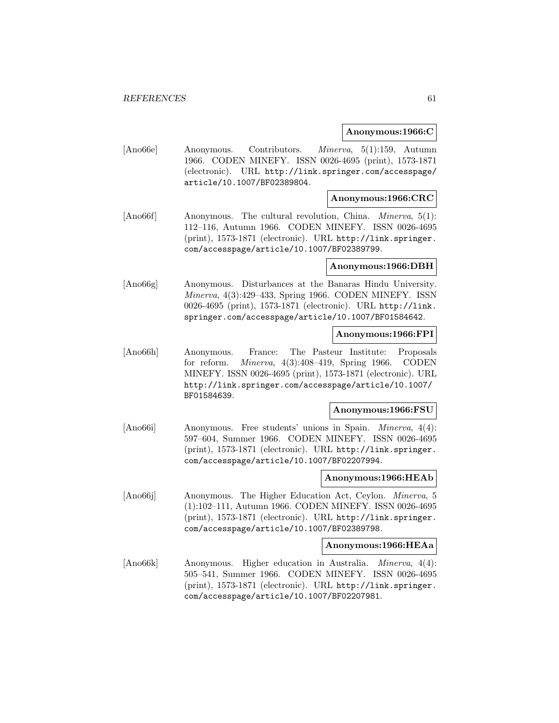#### **Anonymous:1966:C**

[Ano66e] Anonymous. Contributors. Minerva, 5(1):159, Autumn 1966. CODEN MINEFY. ISSN 0026-4695 (print), 1573-1871 (electronic). URL http://link.springer.com/accesspage/ article/10.1007/BF02389804.

# **Anonymous:1966:CRC**

[Ano66f] Anonymous. The cultural revolution, China. Minerva, 5(1): 112–116, Autumn 1966. CODEN MINEFY. ISSN 0026-4695 (print), 1573-1871 (electronic). URL http://link.springer. com/accesspage/article/10.1007/BF02389799.

### **Anonymous:1966:DBH**

[Ano66g] Anonymous. Disturbances at the Banaras Hindu University. Minerva, 4(3):429–433, Spring 1966. CODEN MINEFY. ISSN 0026-4695 (print), 1573-1871 (electronic). URL http://link. springer.com/accesspage/article/10.1007/BF01584642.

# **Anonymous:1966:FPI**

[Ano66h] Anonymous. France: The Pasteur Institute: Proposals for reform. Minerva, 4(3):408–419, Spring 1966. CODEN MINEFY. ISSN 0026-4695 (print), 1573-1871 (electronic). URL http://link.springer.com/accesspage/article/10.1007/ BF01584639.

### **Anonymous:1966:FSU**

[Ano66i] Anonymous. Free students' unions in Spain. *Minerva*, 4(4): 597–604, Summer 1966. CODEN MINEFY. ISSN 0026-4695 (print), 1573-1871 (electronic). URL http://link.springer. com/accesspage/article/10.1007/BF02207994.

#### **Anonymous:1966:HEAb**

[Ano66j] Anonymous. The Higher Education Act, Ceylon. Minerva, 5 (1):102–111, Autumn 1966. CODEN MINEFY. ISSN 0026-4695 (print), 1573-1871 (electronic). URL http://link.springer. com/accesspage/article/10.1007/BF02389798.

# **Anonymous:1966:HEAa**

[Ano66k] Anonymous. Higher education in Australia. Minerva, 4(4): 505–541, Summer 1966. CODEN MINEFY. ISSN 0026-4695 (print), 1573-1871 (electronic). URL http://link.springer. com/accesspage/article/10.1007/BF02207981.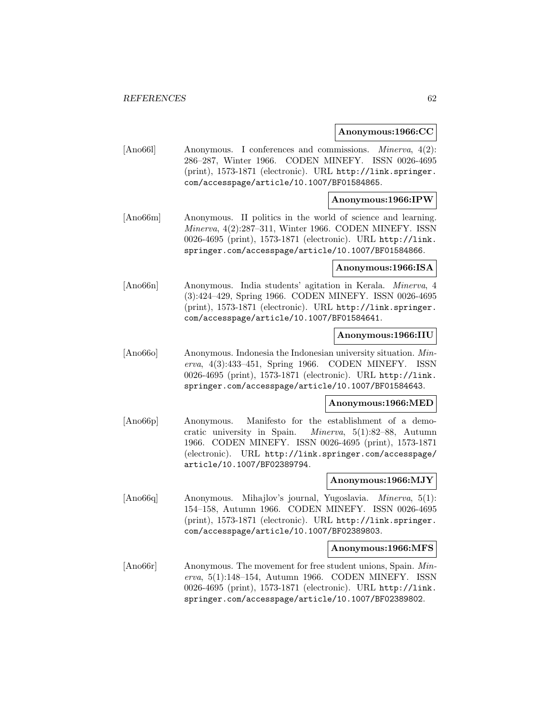### **Anonymous:1966:CC**

[Ano66l] Anonymous. I conferences and commissions. *Minerva*, 4(2): 286–287, Winter 1966. CODEN MINEFY. ISSN 0026-4695 (print), 1573-1871 (electronic). URL http://link.springer. com/accesspage/article/10.1007/BF01584865.

### **Anonymous:1966:IPW**

[Ano66m] Anonymous. II politics in the world of science and learning. Minerva, 4(2):287–311, Winter 1966. CODEN MINEFY. ISSN 0026-4695 (print), 1573-1871 (electronic). URL http://link. springer.com/accesspage/article/10.1007/BF01584866.

#### **Anonymous:1966:ISA**

[Ano66n] Anonymous. India students' agitation in Kerala. Minerva, 4 (3):424–429, Spring 1966. CODEN MINEFY. ISSN 0026-4695 (print), 1573-1871 (electronic). URL http://link.springer. com/accesspage/article/10.1007/BF01584641.

### **Anonymous:1966:IIU**

[Ano66o] Anonymous. Indonesia the Indonesian university situation. Minerva, 4(3):433–451, Spring 1966. CODEN MINEFY. ISSN 0026-4695 (print), 1573-1871 (electronic). URL http://link. springer.com/accesspage/article/10.1007/BF01584643.

#### **Anonymous:1966:MED**

[Ano66p] Anonymous. Manifesto for the establishment of a democratic university in Spain. Minerva, 5(1):82–88, Autumn 1966. CODEN MINEFY. ISSN 0026-4695 (print), 1573-1871 (electronic). URL http://link.springer.com/accesspage/ article/10.1007/BF02389794.

### **Anonymous:1966:MJY**

[Ano66q] Anonymous. Mihajlov's journal, Yugoslavia. Minerva, 5(1): 154–158, Autumn 1966. CODEN MINEFY. ISSN 0026-4695 (print), 1573-1871 (electronic). URL http://link.springer. com/accesspage/article/10.1007/BF02389803.

#### **Anonymous:1966:MFS**

[Ano66r] Anonymous. The movement for free student unions, Spain. Minerva, 5(1):148–154, Autumn 1966. CODEN MINEFY. ISSN 0026-4695 (print), 1573-1871 (electronic). URL http://link. springer.com/accesspage/article/10.1007/BF02389802.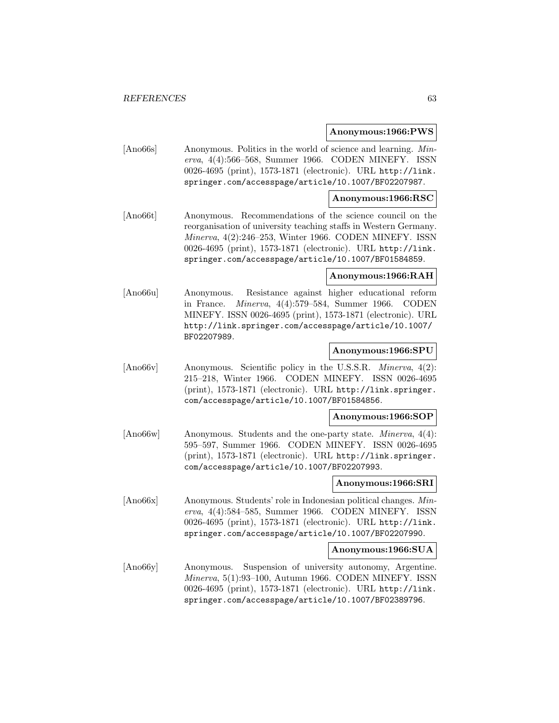### **Anonymous:1966:PWS**

[Ano66s] Anonymous. Politics in the world of science and learning. Minerva, 4(4):566–568, Summer 1966. CODEN MINEFY. ISSN 0026-4695 (print), 1573-1871 (electronic). URL http://link. springer.com/accesspage/article/10.1007/BF02207987.

### **Anonymous:1966:RSC**

[Ano66t] Anonymous. Recommendations of the science council on the reorganisation of university teaching staffs in Western Germany. Minerva, 4(2):246–253, Winter 1966. CODEN MINEFY. ISSN 0026-4695 (print), 1573-1871 (electronic). URL http://link. springer.com/accesspage/article/10.1007/BF01584859.

### **Anonymous:1966:RAH**

[Ano66u] Anonymous. Resistance against higher educational reform in France. Minerva, 4(4):579–584, Summer 1966. CODEN MINEFY. ISSN 0026-4695 (print), 1573-1871 (electronic). URL http://link.springer.com/accesspage/article/10.1007/ BF02207989.

# **Anonymous:1966:SPU**

[Ano66v] Anonymous. Scientific policy in the U.S.S.R. *Minerva*, 4(2): 215–218, Winter 1966. CODEN MINEFY. ISSN 0026-4695 (print), 1573-1871 (electronic). URL http://link.springer. com/accesspage/article/10.1007/BF01584856.

#### **Anonymous:1966:SOP**

[Ano66w] Anonymous. Students and the one-party state. *Minerva*, 4(4): 595–597, Summer 1966. CODEN MINEFY. ISSN 0026-4695 (print), 1573-1871 (electronic). URL http://link.springer. com/accesspage/article/10.1007/BF02207993.

#### **Anonymous:1966:SRI**

[Ano66x] Anonymous. Students' role in Indonesian political changes. Minerva, 4(4):584–585, Summer 1966. CODEN MINEFY. ISSN 0026-4695 (print), 1573-1871 (electronic). URL http://link. springer.com/accesspage/article/10.1007/BF02207990.

#### **Anonymous:1966:SUA**

[Ano66y] Anonymous. Suspension of university autonomy, Argentine. Minerva, 5(1):93–100, Autumn 1966. CODEN MINEFY. ISSN 0026-4695 (print), 1573-1871 (electronic). URL http://link. springer.com/accesspage/article/10.1007/BF02389796.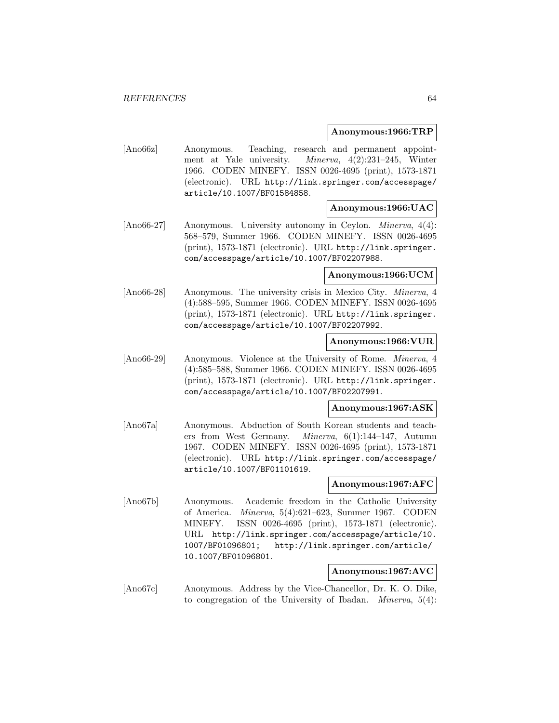### **Anonymous:1966:TRP**

[Ano66z] Anonymous. Teaching, research and permanent appointment at Yale university. Minerva, 4(2):231–245, Winter 1966. CODEN MINEFY. ISSN 0026-4695 (print), 1573-1871 (electronic). URL http://link.springer.com/accesspage/ article/10.1007/BF01584858.

#### **Anonymous:1966:UAC**

[Ano66-27] Anonymous. University autonomy in Ceylon. *Minerva*, 4(4): 568–579, Summer 1966. CODEN MINEFY. ISSN 0026-4695 (print), 1573-1871 (electronic). URL http://link.springer. com/accesspage/article/10.1007/BF02207988.

# **Anonymous:1966:UCM**

[Ano66-28] Anonymous. The university crisis in Mexico City. Minerva, 4 (4):588–595, Summer 1966. CODEN MINEFY. ISSN 0026-4695 (print), 1573-1871 (electronic). URL http://link.springer. com/accesspage/article/10.1007/BF02207992.

# **Anonymous:1966:VUR**

[Ano66-29] Anonymous. Violence at the University of Rome. Minerva, 4 (4):585–588, Summer 1966. CODEN MINEFY. ISSN 0026-4695 (print), 1573-1871 (electronic). URL http://link.springer. com/accesspage/article/10.1007/BF02207991.

# **Anonymous:1967:ASK**

[Ano67a] Anonymous. Abduction of South Korean students and teachers from West Germany. Minerva, 6(1):144–147, Autumn 1967. CODEN MINEFY. ISSN 0026-4695 (print), 1573-1871 (electronic). URL http://link.springer.com/accesspage/ article/10.1007/BF01101619.

# **Anonymous:1967:AFC**

[Ano67b] Anonymous. Academic freedom in the Catholic University of America. Minerva, 5(4):621–623, Summer 1967. CODEN MINEFY. ISSN 0026-4695 (print), 1573-1871 (electronic). URL http://link.springer.com/accesspage/article/10. 1007/BF01096801; http://link.springer.com/article/ 10.1007/BF01096801.

# **Anonymous:1967:AVC**

[Ano67c] Anonymous. Address by the Vice-Chancellor, Dr. K. O. Dike, to congregation of the University of Ibadan. Minerva, 5(4):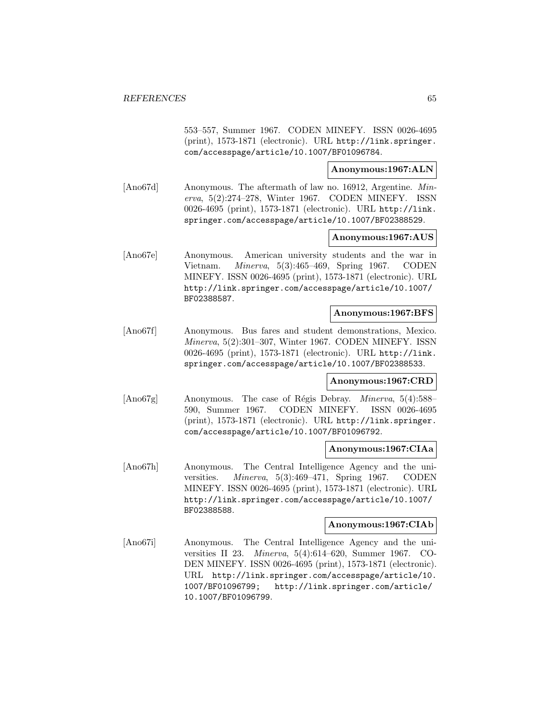553–557, Summer 1967. CODEN MINEFY. ISSN 0026-4695 (print), 1573-1871 (electronic). URL http://link.springer. com/accesspage/article/10.1007/BF01096784.

**Anonymous:1967:ALN**

[Ano67d] Anonymous. The aftermath of law no. 16912, Argentine. Minerva, 5(2):274–278, Winter 1967. CODEN MINEFY. ISSN 0026-4695 (print), 1573-1871 (electronic). URL http://link. springer.com/accesspage/article/10.1007/BF02388529.

# **Anonymous:1967:AUS**

[Ano67e] Anonymous. American university students and the war in Vietnam. Minerva, 5(3):465–469, Spring 1967. CODEN MINEFY. ISSN 0026-4695 (print), 1573-1871 (electronic). URL http://link.springer.com/accesspage/article/10.1007/ BF02388587.

### **Anonymous:1967:BFS**

[Ano67f] Anonymous. Bus fares and student demonstrations, Mexico. Minerva, 5(2):301–307, Winter 1967. CODEN MINEFY. ISSN 0026-4695 (print), 1573-1871 (electronic). URL http://link. springer.com/accesspage/article/10.1007/BF02388533.

#### **Anonymous:1967:CRD**

[Ano67g] Anonymous. The case of Régis Debray. *Minerva*, 5(4):588– 590, Summer 1967. CODEN MINEFY. ISSN 0026-4695 (print), 1573-1871 (electronic). URL http://link.springer. com/accesspage/article/10.1007/BF01096792.

#### **Anonymous:1967:CIAa**

[Ano67h] Anonymous. The Central Intelligence Agency and the universities. Minerva, 5(3):469–471, Spring 1967. CODEN MINEFY. ISSN 0026-4695 (print), 1573-1871 (electronic). URL http://link.springer.com/accesspage/article/10.1007/ BF02388588.

#### **Anonymous:1967:CIAb**

[Ano67i] Anonymous. The Central Intelligence Agency and the universities II 23. Minerva, 5(4):614–620, Summer 1967. CO-DEN MINEFY. ISSN 0026-4695 (print), 1573-1871 (electronic). URL http://link.springer.com/accesspage/article/10. 1007/BF01096799; http://link.springer.com/article/ 10.1007/BF01096799.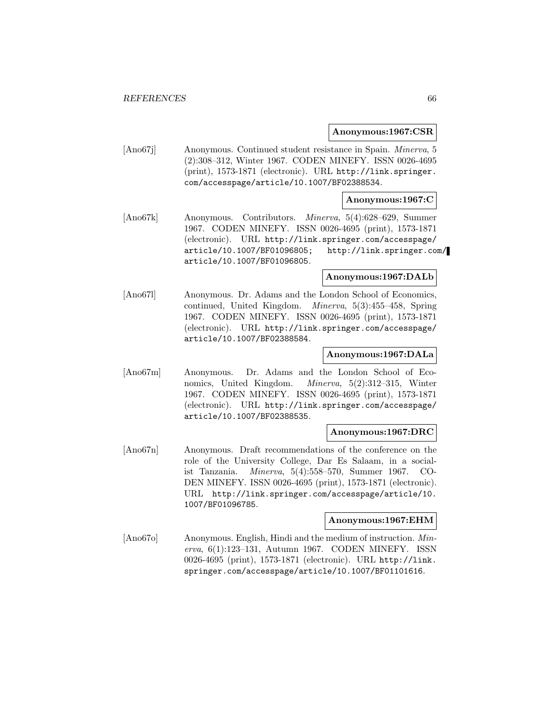#### **Anonymous:1967:CSR**

[Ano67j] Anonymous. Continued student resistance in Spain. Minerva, 5 (2):308–312, Winter 1967. CODEN MINEFY. ISSN 0026-4695 (print), 1573-1871 (electronic). URL http://link.springer. com/accesspage/article/10.1007/BF02388534.

# **Anonymous:1967:C**

[Ano67k] Anonymous. Contributors. Minerva, 5(4):628–629, Summer 1967. CODEN MINEFY. ISSN 0026-4695 (print), 1573-1871 (electronic). URL http://link.springer.com/accesspage/ article/10.1007/BF01096805; http://link.springer.com/ article/10.1007/BF01096805.

# **Anonymous:1967:DALb**

[Ano67l] Anonymous. Dr. Adams and the London School of Economics, continued, United Kingdom. Minerva, 5(3):455–458, Spring 1967. CODEN MINEFY. ISSN 0026-4695 (print), 1573-1871 (electronic). URL http://link.springer.com/accesspage/ article/10.1007/BF02388584.

### **Anonymous:1967:DALa**

[Ano67m] Anonymous. Dr. Adams and the London School of Economics, United Kingdom. Minerva, 5(2):312–315, Winter 1967. CODEN MINEFY. ISSN 0026-4695 (print), 1573-1871 (electronic). URL http://link.springer.com/accesspage/ article/10.1007/BF02388535.

#### **Anonymous:1967:DRC**

[Ano67n] Anonymous. Draft recommendations of the conference on the role of the University College, Dar Es Salaam, in a socialist Tanzania. Minerva, 5(4):558–570, Summer 1967. CO-DEN MINEFY. ISSN 0026-4695 (print), 1573-1871 (electronic). URL http://link.springer.com/accesspage/article/10. 1007/BF01096785.

#### **Anonymous:1967:EHM**

[Ano67o] Anonymous. English, Hindi and the medium of instruction. Minerva, 6(1):123–131, Autumn 1967. CODEN MINEFY. ISSN 0026-4695 (print), 1573-1871 (electronic). URL http://link. springer.com/accesspage/article/10.1007/BF01101616.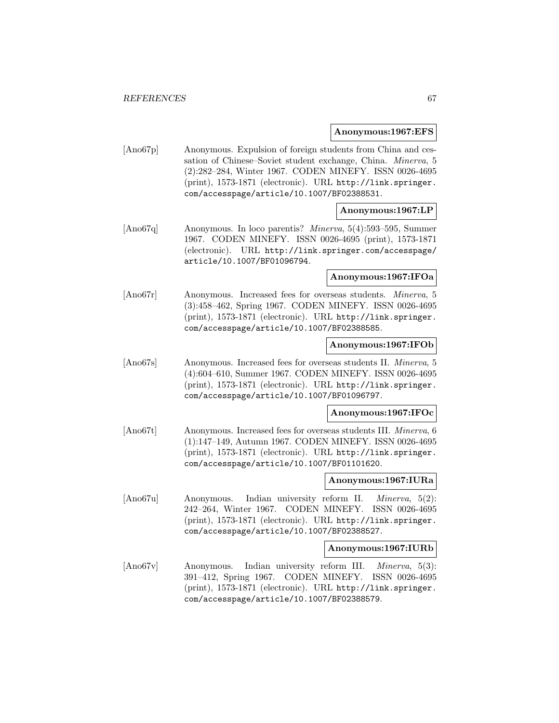#### **Anonymous:1967:EFS**

[Ano67p] Anonymous. Expulsion of foreign students from China and cessation of Chinese–Soviet student exchange, China. Minerva, 5 (2):282–284, Winter 1967. CODEN MINEFY. ISSN 0026-4695 (print), 1573-1871 (electronic). URL http://link.springer. com/accesspage/article/10.1007/BF02388531.

### **Anonymous:1967:LP**

[Ano67q] Anonymous. In loco parentis? Minerva, 5(4):593–595, Summer 1967. CODEN MINEFY. ISSN 0026-4695 (print), 1573-1871 (electronic). URL http://link.springer.com/accesspage/ article/10.1007/BF01096794.

# **Anonymous:1967:IFOa**

[Ano67r] Anonymous. Increased fees for overseas students. Minerva, 5 (3):458–462, Spring 1967. CODEN MINEFY. ISSN 0026-4695 (print), 1573-1871 (electronic). URL http://link.springer. com/accesspage/article/10.1007/BF02388585.

# **Anonymous:1967:IFOb**

[Ano67s] Anonymous. Increased fees for overseas students II. Minerva, 5 (4):604–610, Summer 1967. CODEN MINEFY. ISSN 0026-4695 (print), 1573-1871 (electronic). URL http://link.springer. com/accesspage/article/10.1007/BF01096797.

**Anonymous:1967:IFOc**

[Ano67t] Anonymous. Increased fees for overseas students III. Minerva, 6 (1):147–149, Autumn 1967. CODEN MINEFY. ISSN 0026-4695 (print), 1573-1871 (electronic). URL http://link.springer. com/accesspage/article/10.1007/BF01101620.

# **Anonymous:1967:IURa**

[Ano67u] Anonymous. Indian university reform II. Minerva, 5(2): 242–264, Winter 1967. CODEN MINEFY. ISSN 0026-4695 (print), 1573-1871 (electronic). URL http://link.springer. com/accesspage/article/10.1007/BF02388527.

#### **Anonymous:1967:IURb**

[Ano67v] Anonymous. Indian university reform III. *Minerva*, 5(3): 391–412, Spring 1967. CODEN MINEFY. ISSN 0026-4695 (print), 1573-1871 (electronic). URL http://link.springer. com/accesspage/article/10.1007/BF02388579.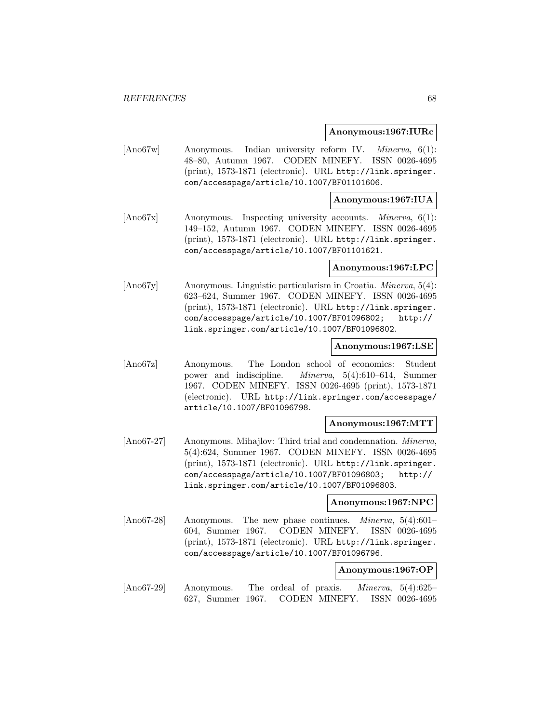#### **Anonymous:1967:IURc**

[Ano67w] Anonymous. Indian university reform IV. Minerva, 6(1): 48–80, Autumn 1967. CODEN MINEFY. ISSN 0026-4695 (print), 1573-1871 (electronic). URL http://link.springer. com/accesspage/article/10.1007/BF01101606.

# **Anonymous:1967:IUA**

[Ano67x] Anonymous. Inspecting university accounts. *Minerva*, 6(1): 149–152, Autumn 1967. CODEN MINEFY. ISSN 0026-4695 (print), 1573-1871 (electronic). URL http://link.springer. com/accesspage/article/10.1007/BF01101621.

### **Anonymous:1967:LPC**

[Ano67y] Anonymous. Linguistic particularism in Croatia. Minerva, 5(4): 623–624, Summer 1967. CODEN MINEFY. ISSN 0026-4695 (print), 1573-1871 (electronic). URL http://link.springer. com/accesspage/article/10.1007/BF01096802; http:// link.springer.com/article/10.1007/BF01096802.

### **Anonymous:1967:LSE**

[Ano67z] Anonymous. The London school of economics: Student power and indiscipline. Minerva, 5(4):610–614, Summer 1967. CODEN MINEFY. ISSN 0026-4695 (print), 1573-1871 (electronic). URL http://link.springer.com/accesspage/ article/10.1007/BF01096798.

# **Anonymous:1967:MTT**

[Ano67-27] Anonymous. Mihajlov: Third trial and condemnation. *Minerva*, 5(4):624, Summer 1967. CODEN MINEFY. ISSN 0026-4695 (print), 1573-1871 (electronic). URL http://link.springer. com/accesspage/article/10.1007/BF01096803; http:// link.springer.com/article/10.1007/BF01096803.

#### **Anonymous:1967:NPC**

[Ano67-28] Anonymous. The new phase continues. Minerva, 5(4):601– 604, Summer 1967. CODEN MINEFY. ISSN 0026-4695 (print), 1573-1871 (electronic). URL http://link.springer. com/accesspage/article/10.1007/BF01096796.

#### **Anonymous:1967:OP**

[Ano67-29] Anonymous. The ordeal of praxis. Minerva, 5(4):625– 627, Summer 1967. CODEN MINEFY. ISSN 0026-4695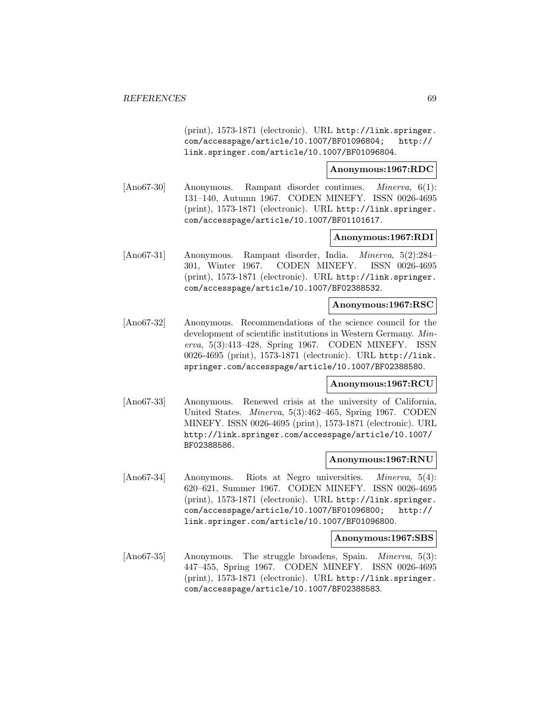(print), 1573-1871 (electronic). URL http://link.springer. com/accesspage/article/10.1007/BF01096804; http:// link.springer.com/article/10.1007/BF01096804.

**Anonymous:1967:RDC**

[Ano67-30] Anonymous. Rampant disorder continues. Minerva, 6(1): 131–140, Autumn 1967. CODEN MINEFY. ISSN 0026-4695 (print), 1573-1871 (electronic). URL http://link.springer. com/accesspage/article/10.1007/BF01101617.

# **Anonymous:1967:RDI**

[Ano67-31] Anonymous. Rampant disorder, India. Minerva, 5(2):284– 301, Winter 1967. CODEN MINEFY. ISSN 0026-4695 (print), 1573-1871 (electronic). URL http://link.springer. com/accesspage/article/10.1007/BF02388532.

# **Anonymous:1967:RSC**

[Ano67-32] Anonymous. Recommendations of the science council for the development of scientific institutions in Western Germany. Minerva, 5(3):413–428, Spring 1967. CODEN MINEFY. ISSN 0026-4695 (print), 1573-1871 (electronic). URL http://link. springer.com/accesspage/article/10.1007/BF02388580.

# **Anonymous:1967:RCU**

[Ano67-33] Anonymous. Renewed crisis at the university of California, United States. Minerva, 5(3):462–465, Spring 1967. CODEN MINEFY. ISSN 0026-4695 (print), 1573-1871 (electronic). URL http://link.springer.com/accesspage/article/10.1007/ BF02388586.

# **Anonymous:1967:RNU**

[Ano67-34] Anonymous. Riots at Negro universities. *Minerva*, 5(4): 620–621, Summer 1967. CODEN MINEFY. ISSN 0026-4695 (print), 1573-1871 (electronic). URL http://link.springer. com/accesspage/article/10.1007/BF01096800; http:// link.springer.com/article/10.1007/BF01096800.

### **Anonymous:1967:SBS**

[Ano67-35] Anonymous. The struggle broadens, Spain. *Minerva*, 5(3): 447–455, Spring 1967. CODEN MINEFY. ISSN 0026-4695 (print), 1573-1871 (electronic). URL http://link.springer. com/accesspage/article/10.1007/BF02388583.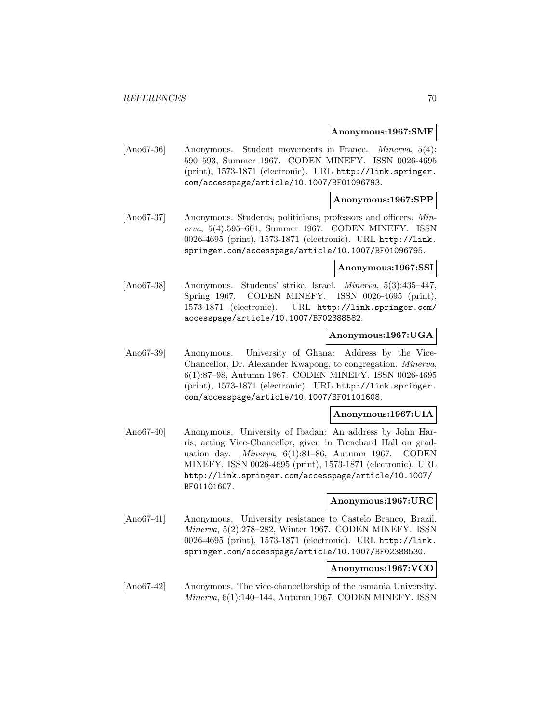#### **Anonymous:1967:SMF**

[Ano67-36] Anonymous. Student movements in France. *Minerva*, 5(4): 590–593, Summer 1967. CODEN MINEFY. ISSN 0026-4695 (print), 1573-1871 (electronic). URL http://link.springer. com/accesspage/article/10.1007/BF01096793.

### **Anonymous:1967:SPP**

[Ano67-37] Anonymous. Students, politicians, professors and officers. Minerva, 5(4):595–601, Summer 1967. CODEN MINEFY. ISSN 0026-4695 (print), 1573-1871 (electronic). URL http://link. springer.com/accesspage/article/10.1007/BF01096795.

#### **Anonymous:1967:SSI**

[Ano67-38] Anonymous. Students' strike, Israel. Minerva, 5(3):435–447, Spring 1967. CODEN MINEFY. ISSN 0026-4695 (print), 1573-1871 (electronic). URL http://link.springer.com/ accesspage/article/10.1007/BF02388582.

# **Anonymous:1967:UGA**

[Ano67-39] Anonymous. University of Ghana: Address by the Vice-Chancellor, Dr. Alexander Kwapong, to congregation. Minerva, 6(1):87–98, Autumn 1967. CODEN MINEFY. ISSN 0026-4695 (print), 1573-1871 (electronic). URL http://link.springer. com/accesspage/article/10.1007/BF01101608.

#### **Anonymous:1967:UIA**

[Ano67-40] Anonymous. University of Ibadan: An address by John Harris, acting Vice-Chancellor, given in Trenchard Hall on graduation day. Minerva, 6(1):81–86, Autumn 1967. CODEN MINEFY. ISSN 0026-4695 (print), 1573-1871 (electronic). URL http://link.springer.com/accesspage/article/10.1007/ BF01101607.

# **Anonymous:1967:URC**

[Ano67-41] Anonymous. University resistance to Castelo Branco, Brazil. Minerva, 5(2):278–282, Winter 1967. CODEN MINEFY. ISSN 0026-4695 (print), 1573-1871 (electronic). URL http://link. springer.com/accesspage/article/10.1007/BF02388530.

# **Anonymous:1967:VCO**

[Ano67-42] Anonymous. The vice-chancellorship of the osmania University. Minerva, 6(1):140–144, Autumn 1967. CODEN MINEFY. ISSN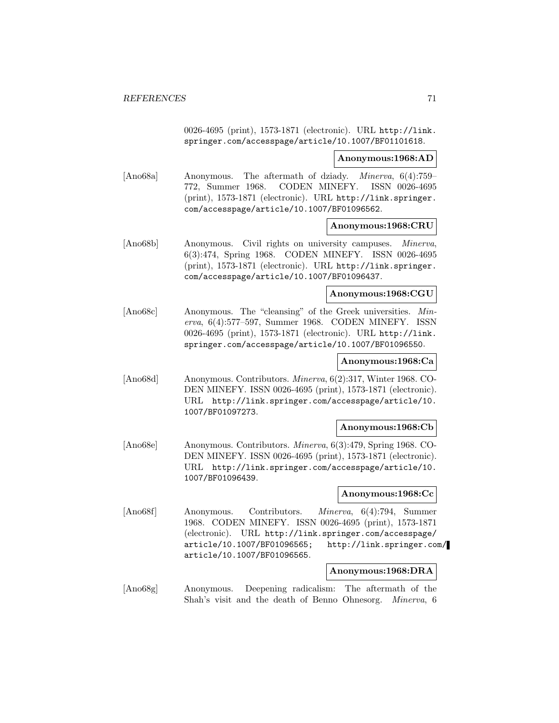0026-4695 (print), 1573-1871 (electronic). URL http://link. springer.com/accesspage/article/10.1007/BF01101618.

#### **Anonymous:1968:AD**

[Ano68a] Anonymous. The aftermath of dziady. Minerva, 6(4):759– 772, Summer 1968. CODEN MINEFY. ISSN 0026-4695 (print), 1573-1871 (electronic). URL http://link.springer. com/accesspage/article/10.1007/BF01096562.

### **Anonymous:1968:CRU**

[Ano68b] Anonymous. Civil rights on university campuses. Minerva, 6(3):474, Spring 1968. CODEN MINEFY. ISSN 0026-4695 (print), 1573-1871 (electronic). URL http://link.springer. com/accesspage/article/10.1007/BF01096437.

#### **Anonymous:1968:CGU**

[Ano68c] Anonymous. The "cleansing" of the Greek universities. Minerva, 6(4):577–597, Summer 1968. CODEN MINEFY. ISSN 0026-4695 (print), 1573-1871 (electronic). URL http://link. springer.com/accesspage/article/10.1007/BF01096550.

# **Anonymous:1968:Ca**

[Ano68d] Anonymous. Contributors. Minerva, 6(2):317, Winter 1968. CO-DEN MINEFY. ISSN 0026-4695 (print), 1573-1871 (electronic). URL http://link.springer.com/accesspage/article/10. 1007/BF01097273.

#### **Anonymous:1968:Cb**

[Ano68e] Anonymous. Contributors. Minerva, 6(3):479, Spring 1968. CO-DEN MINEFY. ISSN 0026-4695 (print), 1573-1871 (electronic). URL http://link.springer.com/accesspage/article/10. 1007/BF01096439.

#### **Anonymous:1968:Cc**

[Ano68f] Anonymous. Contributors. Minerva, 6(4):794, Summer 1968. CODEN MINEFY. ISSN 0026-4695 (print), 1573-1871 (electronic). URL http://link.springer.com/accesspage/ article/10.1007/BF01096565; http://link.springer.com/ article/10.1007/BF01096565.

# **Anonymous:1968:DRA**

[Ano68g] Anonymous. Deepening radicalism: The aftermath of the Shah's visit and the death of Benno Ohnesorg. Minerva, 6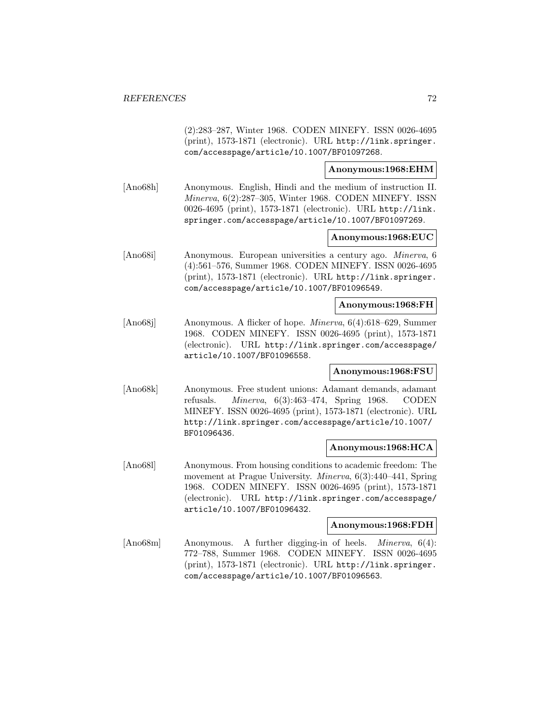(2):283–287, Winter 1968. CODEN MINEFY. ISSN 0026-4695 (print), 1573-1871 (electronic). URL http://link.springer. com/accesspage/article/10.1007/BF01097268.

# **Anonymous:1968:EHM**

[Ano68h] Anonymous. English, Hindi and the medium of instruction II. Minerva, 6(2):287–305, Winter 1968. CODEN MINEFY. ISSN 0026-4695 (print), 1573-1871 (electronic). URL http://link. springer.com/accesspage/article/10.1007/BF01097269.

# **Anonymous:1968:EUC**

[Ano68i] Anonymous. European universities a century ago. Minerva, 6 (4):561–576, Summer 1968. CODEN MINEFY. ISSN 0026-4695 (print), 1573-1871 (electronic). URL http://link.springer. com/accesspage/article/10.1007/BF01096549.

### **Anonymous:1968:FH**

[Ano68j] Anonymous. A flicker of hope. Minerva, 6(4):618–629, Summer 1968. CODEN MINEFY. ISSN 0026-4695 (print), 1573-1871 (electronic). URL http://link.springer.com/accesspage/ article/10.1007/BF01096558.

# **Anonymous:1968:FSU**

[Ano68k] Anonymous. Free student unions: Adamant demands, adamant refusals. Minerva, 6(3):463–474, Spring 1968. CODEN MINEFY. ISSN 0026-4695 (print), 1573-1871 (electronic). URL http://link.springer.com/accesspage/article/10.1007/ BF01096436.

# **Anonymous:1968:HCA**

[Ano68l] Anonymous. From housing conditions to academic freedom: The movement at Prague University. Minerva, 6(3):440–441, Spring 1968. CODEN MINEFY. ISSN 0026-4695 (print), 1573-1871 (electronic). URL http://link.springer.com/accesspage/ article/10.1007/BF01096432.

#### **Anonymous:1968:FDH**

[Ano68m] Anonymous. A further digging-in of heels. *Minerva*, 6(4): 772–788, Summer 1968. CODEN MINEFY. ISSN 0026-4695 (print), 1573-1871 (electronic). URL http://link.springer. com/accesspage/article/10.1007/BF01096563.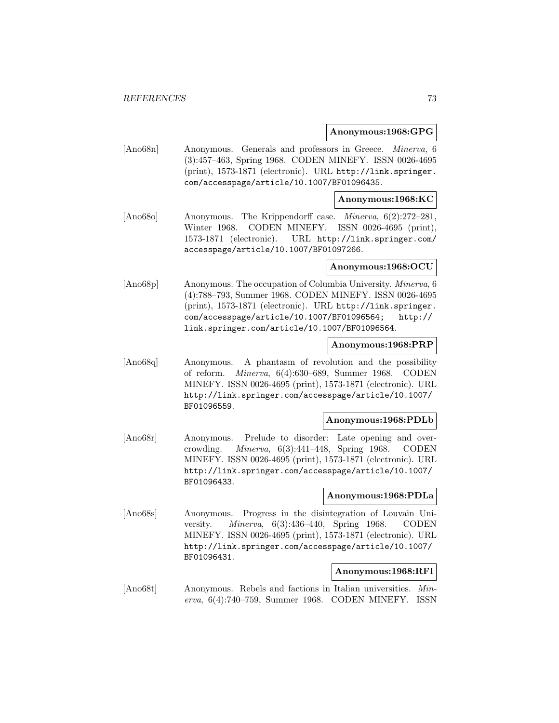### **Anonymous:1968:GPG**

[Ano68n] Anonymous. Generals and professors in Greece. Minerva, 6 (3):457–463, Spring 1968. CODEN MINEFY. ISSN 0026-4695 (print), 1573-1871 (electronic). URL http://link.springer. com/accesspage/article/10.1007/BF01096435.

## **Anonymous:1968:KC**

[Ano68o] Anonymous. The Krippendorff case. Minerva, 6(2):272–281, Winter 1968. CODEN MINEFY. ISSN 0026-4695 (print), 1573-1871 (electronic). URL http://link.springer.com/ accesspage/article/10.1007/BF01097266.

### **Anonymous:1968:OCU**

[Ano68p] Anonymous. The occupation of Columbia University. Minerva, 6 (4):788–793, Summer 1968. CODEN MINEFY. ISSN 0026-4695 (print), 1573-1871 (electronic). URL http://link.springer. com/accesspage/article/10.1007/BF01096564; http:// link.springer.com/article/10.1007/BF01096564.

### **Anonymous:1968:PRP**

[Ano68q] Anonymous. A phantasm of revolution and the possibility of reform. Minerva, 6(4):630–689, Summer 1968. CODEN MINEFY. ISSN 0026-4695 (print), 1573-1871 (electronic). URL http://link.springer.com/accesspage/article/10.1007/ BF01096559.

# **Anonymous:1968:PDLb**

[Ano68r] Anonymous. Prelude to disorder: Late opening and overcrowding. Minerva, 6(3):441–448, Spring 1968. CODEN MINEFY. ISSN 0026-4695 (print), 1573-1871 (electronic). URL http://link.springer.com/accesspage/article/10.1007/ BF01096433.

## **Anonymous:1968:PDLa**

[Ano68s] Anonymous. Progress in the disintegration of Louvain University. Minerva, 6(3):436–440, Spring 1968. CODEN MINEFY. ISSN 0026-4695 (print), 1573-1871 (electronic). URL http://link.springer.com/accesspage/article/10.1007/ BF01096431.

# **Anonymous:1968:RFI**

[Ano68t] Anonymous. Rebels and factions in Italian universities. Minerva, 6(4):740–759, Summer 1968. CODEN MINEFY. ISSN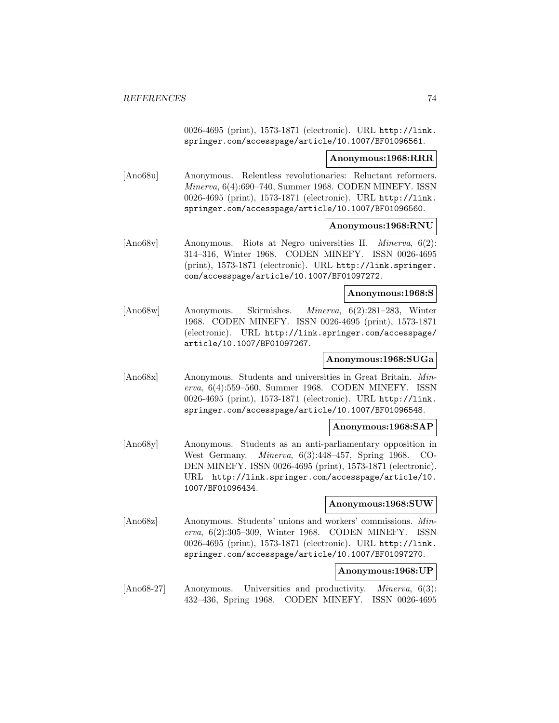0026-4695 (print), 1573-1871 (electronic). URL http://link. springer.com/accesspage/article/10.1007/BF01096561.

#### **Anonymous:1968:RRR**

[Ano68u] Anonymous. Relentless revolutionaries: Reluctant reformers. Minerva, 6(4):690–740, Summer 1968. CODEN MINEFY. ISSN 0026-4695 (print), 1573-1871 (electronic). URL http://link. springer.com/accesspage/article/10.1007/BF01096560.

### **Anonymous:1968:RNU**

[Ano68v] Anonymous. Riots at Negro universities II. Minerva, 6(2): 314–316, Winter 1968. CODEN MINEFY. ISSN 0026-4695 (print), 1573-1871 (electronic). URL http://link.springer. com/accesspage/article/10.1007/BF01097272.

#### **Anonymous:1968:S**

[Ano68w] Anonymous. Skirmishes. Minerva, 6(2):281–283, Winter 1968. CODEN MINEFY. ISSN 0026-4695 (print), 1573-1871 (electronic). URL http://link.springer.com/accesspage/ article/10.1007/BF01097267.

### **Anonymous:1968:SUGa**

[Ano68x] Anonymous. Students and universities in Great Britain. Minerva, 6(4):559–560, Summer 1968. CODEN MINEFY. ISSN 0026-4695 (print), 1573-1871 (electronic). URL http://link. springer.com/accesspage/article/10.1007/BF01096548.

### **Anonymous:1968:SAP**

[Ano68y] Anonymous. Students as an anti-parliamentary opposition in West Germany. Minerva, 6(3):448–457, Spring 1968. CO-DEN MINEFY. ISSN 0026-4695 (print), 1573-1871 (electronic). URL http://link.springer.com/accesspage/article/10. 1007/BF01096434.

### **Anonymous:1968:SUW**

[Ano68z] Anonymous. Students' unions and workers' commissions. Minerva, 6(2):305–309, Winter 1968. CODEN MINEFY. ISSN 0026-4695 (print), 1573-1871 (electronic). URL http://link. springer.com/accesspage/article/10.1007/BF01097270.

# **Anonymous:1968:UP**

[Ano68-27] Anonymous. Universities and productivity. *Minerva*, 6(3): 432–436, Spring 1968. CODEN MINEFY. ISSN 0026-4695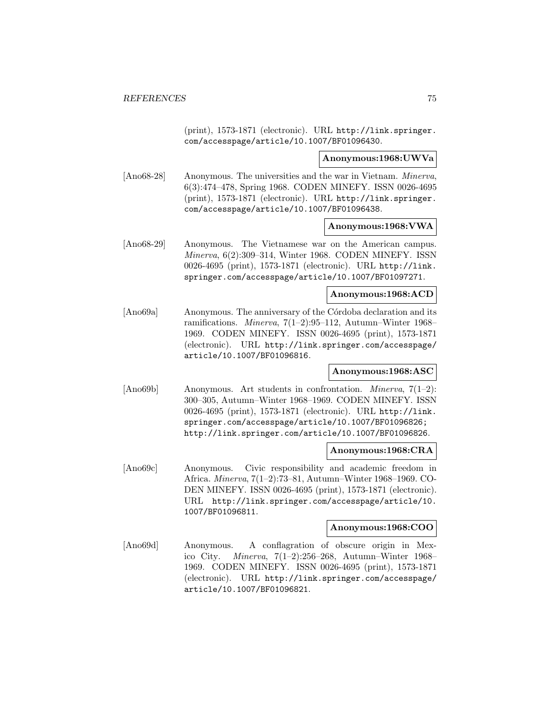(print), 1573-1871 (electronic). URL http://link.springer. com/accesspage/article/10.1007/BF01096430.

**Anonymous:1968:UWVa**

[Ano68-28] Anonymous. The universities and the war in Vietnam. Minerva, 6(3):474–478, Spring 1968. CODEN MINEFY. ISSN 0026-4695 (print), 1573-1871 (electronic). URL http://link.springer. com/accesspage/article/10.1007/BF01096438.

### **Anonymous:1968:VWA**

[Ano68-29] Anonymous. The Vietnamese war on the American campus. Minerva, 6(2):309–314, Winter 1968. CODEN MINEFY. ISSN 0026-4695 (print), 1573-1871 (electronic). URL http://link. springer.com/accesspage/article/10.1007/BF01097271.

#### **Anonymous:1968:ACD**

[Ano69a] Anonymous. The anniversary of the Córdoba declaration and its ramifications. Minerva, 7(1–2):95–112, Autumn–Winter 1968– 1969. CODEN MINEFY. ISSN 0026-4695 (print), 1573-1871 (electronic). URL http://link.springer.com/accesspage/ article/10.1007/BF01096816.

## **Anonymous:1968:ASC**

 $[Ano69b]$  Anonymous. Art students in confrontation. *Minerva*,  $7(1-2)$ : 300–305, Autumn–Winter 1968–1969. CODEN MINEFY. ISSN 0026-4695 (print), 1573-1871 (electronic). URL http://link. springer.com/accesspage/article/10.1007/BF01096826; http://link.springer.com/article/10.1007/BF01096826.

## **Anonymous:1968:CRA**

[Ano69c] Anonymous. Civic responsibility and academic freedom in Africa. Minerva, 7(1–2):73–81, Autumn–Winter 1968–1969. CO-DEN MINEFY. ISSN 0026-4695 (print), 1573-1871 (electronic). URL http://link.springer.com/accesspage/article/10. 1007/BF01096811.

# **Anonymous:1968:COO**

[Ano69d] Anonymous. A conflagration of obscure origin in Mexico City. Minerva, 7(1–2):256–268, Autumn–Winter 1968– 1969. CODEN MINEFY. ISSN 0026-4695 (print), 1573-1871 (electronic). URL http://link.springer.com/accesspage/ article/10.1007/BF01096821.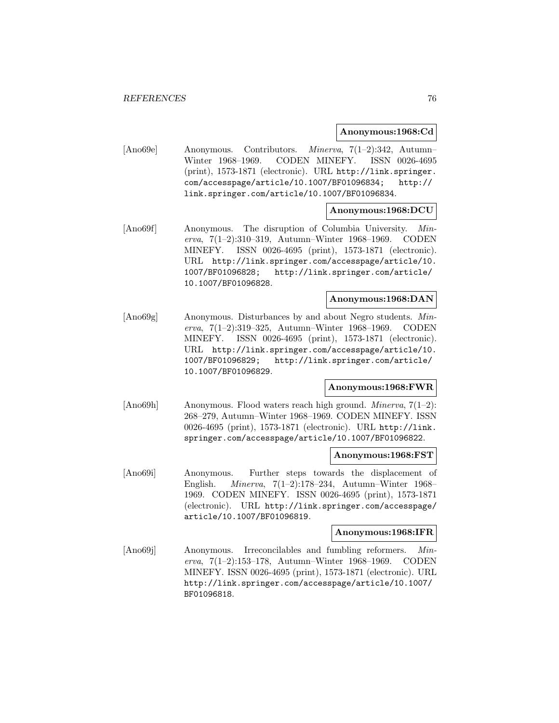### **Anonymous:1968:Cd**

[Ano69e] Anonymous. Contributors. Minerva, 7(1–2):342, Autumn– Winter 1968–1969. CODEN MINEFY. ISSN 0026-4695 (print), 1573-1871 (electronic). URL http://link.springer. com/accesspage/article/10.1007/BF01096834; http:// link.springer.com/article/10.1007/BF01096834.

# **Anonymous:1968:DCU**

[Ano69f] Anonymous. The disruption of Columbia University. Minerva, 7(1–2):310–319, Autumn–Winter 1968–1969. CODEN MINEFY. ISSN 0026-4695 (print), 1573-1871 (electronic). URL http://link.springer.com/accesspage/article/10. 1007/BF01096828; http://link.springer.com/article/ 10.1007/BF01096828.

### **Anonymous:1968:DAN**

[Ano69g] Anonymous. Disturbances by and about Negro students. Minerva, 7(1–2):319–325, Autumn–Winter 1968–1969. CODEN MINEFY. ISSN 0026-4695 (print), 1573-1871 (electronic). URL http://link.springer.com/accesspage/article/10. 1007/BF01096829; http://link.springer.com/article/ 10.1007/BF01096829.

#### **Anonymous:1968:FWR**

[Ano69h] Anonymous. Flood waters reach high ground. *Minerva*, 7(1–2): 268–279, Autumn–Winter 1968–1969. CODEN MINEFY. ISSN 0026-4695 (print), 1573-1871 (electronic). URL http://link. springer.com/accesspage/article/10.1007/BF01096822.

## **Anonymous:1968:FST**

[Ano69i] Anonymous. Further steps towards the displacement of English. Minerva, 7(1–2):178–234, Autumn–Winter 1968– 1969. CODEN MINEFY. ISSN 0026-4695 (print), 1573-1871 (electronic). URL http://link.springer.com/accesspage/ article/10.1007/BF01096819.

## **Anonymous:1968:IFR**

[Ano69] Anonymous. Irreconcilables and fumbling reformers. Minerva, 7(1–2):153–178, Autumn–Winter 1968–1969. CODEN MINEFY. ISSN 0026-4695 (print), 1573-1871 (electronic). URL http://link.springer.com/accesspage/article/10.1007/ BF01096818.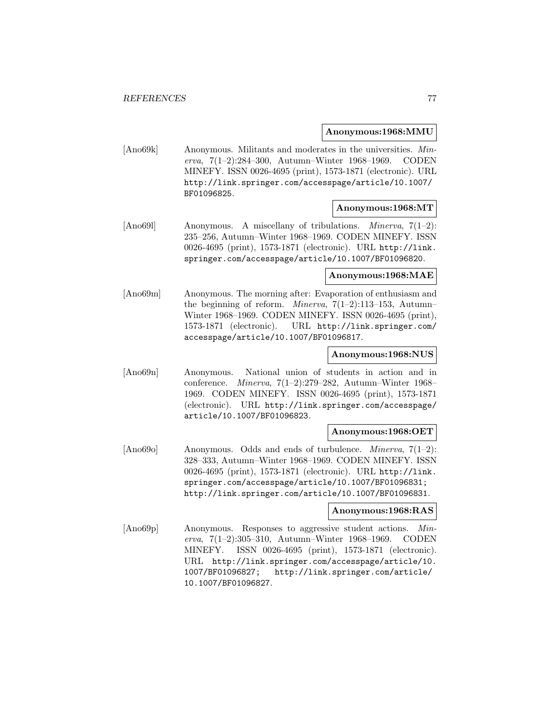**Anonymous:1968:MMU**

[Ano69k] Anonymous. Militants and moderates in the universities. Minerva, 7(1–2):284–300, Autumn–Winter 1968–1969. CODEN MINEFY. ISSN 0026-4695 (print), 1573-1871 (electronic). URL http://link.springer.com/accesspage/article/10.1007/ BF01096825.

# **Anonymous:1968:MT**

[Ano691] Anonymous. A miscellany of tribulations. *Minerva*, 7(1–2): 235–256, Autumn–Winter 1968–1969. CODEN MINEFY. ISSN 0026-4695 (print), 1573-1871 (electronic). URL http://link. springer.com/accesspage/article/10.1007/BF01096820.

## **Anonymous:1968:MAE**

[Ano69m] Anonymous. The morning after: Evaporation of enthusiasm and the beginning of reform. *Minerva*,  $7(1-2):113-153$ , Autumn-Winter 1968–1969. CODEN MINEFY. ISSN 0026-4695 (print), 1573-1871 (electronic). URL http://link.springer.com/ accesspage/article/10.1007/BF01096817.

### **Anonymous:1968:NUS**

[Ano69n] Anonymous. National union of students in action and in conference. Minerva, 7(1–2):279–282, Autumn–Winter 1968– 1969. CODEN MINEFY. ISSN 0026-4695 (print), 1573-1871 (electronic). URL http://link.springer.com/accesspage/ article/10.1007/BF01096823.

### **Anonymous:1968:OET**

[Ano69o] Anonymous. Odds and ends of turbulence. Minerva, 7(1–2): 328–333, Autumn–Winter 1968–1969. CODEN MINEFY. ISSN 0026-4695 (print), 1573-1871 (electronic). URL http://link. springer.com/accesspage/article/10.1007/BF01096831; http://link.springer.com/article/10.1007/BF01096831.

# **Anonymous:1968:RAS**

[Ano69p] Anonymous. Responses to aggressive student actions. Minerva, 7(1–2):305–310, Autumn–Winter 1968–1969. CODEN MINEFY. ISSN 0026-4695 (print), 1573-1871 (electronic). URL http://link.springer.com/accesspage/article/10. 1007/BF01096827; http://link.springer.com/article/ 10.1007/BF01096827.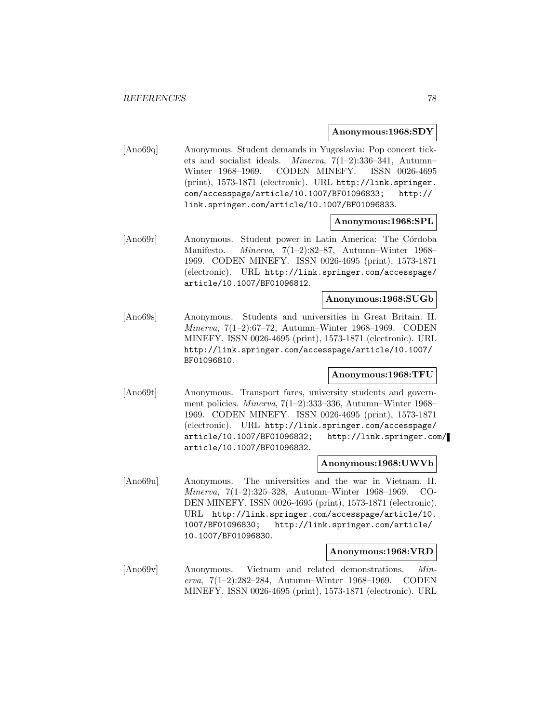### **Anonymous:1968:SDY**

[Ano69q] Anonymous. Student demands in Yugoslavia: Pop concert tickets and socialist ideals. Minerva, 7(1–2):336–341, Autumn– Winter 1968–1969. CODEN MINEFY. ISSN 0026-4695 (print), 1573-1871 (electronic). URL http://link.springer. com/accesspage/article/10.1007/BF01096833; http:// link.springer.com/article/10.1007/BF01096833.

## **Anonymous:1968:SPL**

[Ano69r] Anonymous. Student power in Latin America: The Córdoba Manifesto. Minerva, 7(1–2):82–87, Autumn–Winter 1968– 1969. CODEN MINEFY. ISSN 0026-4695 (print), 1573-1871 (electronic). URL http://link.springer.com/accesspage/ article/10.1007/BF01096812.

### **Anonymous:1968:SUGb**

[Ano69s] Anonymous. Students and universities in Great Britain. II. Minerva, 7(1–2):67–72, Autumn–Winter 1968–1969. CODEN MINEFY. ISSN 0026-4695 (print), 1573-1871 (electronic). URL http://link.springer.com/accesspage/article/10.1007/ BF01096810.

## **Anonymous:1968:TFU**

[Ano69t] Anonymous. Transport fares, university students and government policies. Minerva, 7(1–2):333–336, Autumn–Winter 1968– 1969. CODEN MINEFY. ISSN 0026-4695 (print), 1573-1871 (electronic). URL http://link.springer.com/accesspage/ article/10.1007/BF01096832; http://link.springer.com/ article/10.1007/BF01096832.

### **Anonymous:1968:UWVb**

[Ano69u] Anonymous. The universities and the war in Vietnam. II. Minerva, 7(1–2):325–328, Autumn–Winter 1968–1969. CO-DEN MINEFY. ISSN 0026-4695 (print), 1573-1871 (electronic). URL http://link.springer.com/accesspage/article/10. 1007/BF01096830; http://link.springer.com/article/ 10.1007/BF01096830.

### **Anonymous:1968:VRD**

[Ano69v] Anonymous. Vietnam and related demonstrations. Minerva, 7(1–2):282–284, Autumn–Winter 1968–1969. CODEN MINEFY. ISSN 0026-4695 (print), 1573-1871 (electronic). URL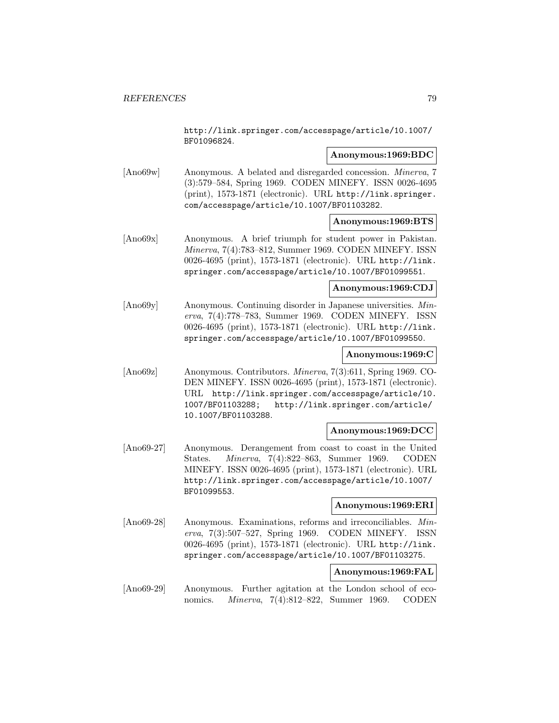http://link.springer.com/accesspage/article/10.1007/ BF01096824.

## **Anonymous:1969:BDC**

[Ano69w] Anonymous. A belated and disregarded concession. Minerva, 7 (3):579–584, Spring 1969. CODEN MINEFY. ISSN 0026-4695 (print), 1573-1871 (electronic). URL http://link.springer. com/accesspage/article/10.1007/BF01103282.

## **Anonymous:1969:BTS**

[Ano69x] Anonymous. A brief triumph for student power in Pakistan. Minerva, 7(4):783–812, Summer 1969. CODEN MINEFY. ISSN 0026-4695 (print), 1573-1871 (electronic). URL http://link. springer.com/accesspage/article/10.1007/BF01099551.

### **Anonymous:1969:CDJ**

[Ano69y] Anonymous. Continuing disorder in Japanese universities. Minerva, 7(4):778–783, Summer 1969. CODEN MINEFY. ISSN 0026-4695 (print), 1573-1871 (electronic). URL http://link. springer.com/accesspage/article/10.1007/BF01099550.

#### **Anonymous:1969:C**

[Ano69z] Anonymous. Contributors. Minerva, 7(3):611, Spring 1969. CO-DEN MINEFY. ISSN 0026-4695 (print), 1573-1871 (electronic). URL http://link.springer.com/accesspage/article/10. 1007/BF01103288; http://link.springer.com/article/ 10.1007/BF01103288.

## **Anonymous:1969:DCC**

[Ano69-27] Anonymous. Derangement from coast to coast in the United States. Minerva, 7(4):822–863, Summer 1969. CODEN MINEFY. ISSN 0026-4695 (print), 1573-1871 (electronic). URL http://link.springer.com/accesspage/article/10.1007/ BF01099553.

## **Anonymous:1969:ERI**

[Ano69-28] Anonymous. Examinations, reforms and irreconciliables. Minerva, 7(3):507–527, Spring 1969. CODEN MINEFY. ISSN 0026-4695 (print), 1573-1871 (electronic). URL http://link. springer.com/accesspage/article/10.1007/BF01103275.

# **Anonymous:1969:FAL**

[Ano69-29] Anonymous. Further agitation at the London school of economics. Minerva, 7(4):812–822, Summer 1969. CODEN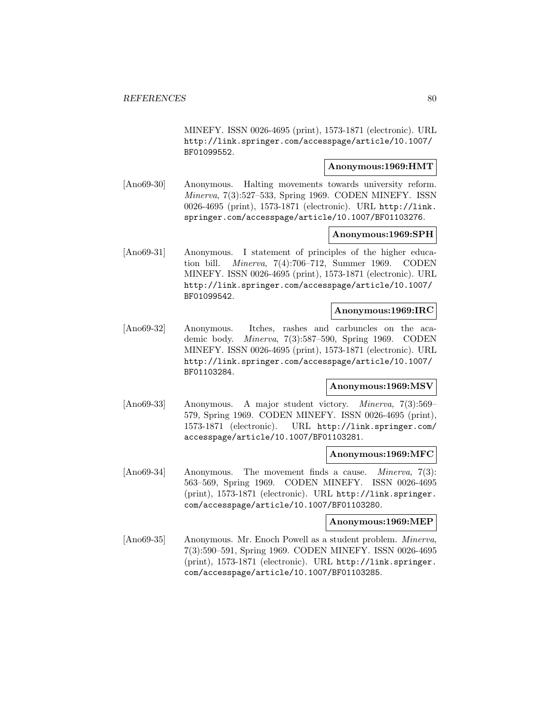MINEFY. ISSN 0026-4695 (print), 1573-1871 (electronic). URL http://link.springer.com/accesspage/article/10.1007/ BF01099552.

### **Anonymous:1969:HMT**

[Ano69-30] Anonymous. Halting movements towards university reform. Minerva, 7(3):527–533, Spring 1969. CODEN MINEFY. ISSN 0026-4695 (print), 1573-1871 (electronic). URL http://link. springer.com/accesspage/article/10.1007/BF01103276.

# **Anonymous:1969:SPH**

[Ano69-31] Anonymous. I statement of principles of the higher education bill. Minerva, 7(4):706–712, Summer 1969. CODEN MINEFY. ISSN 0026-4695 (print), 1573-1871 (electronic). URL http://link.springer.com/accesspage/article/10.1007/ BF01099542.

## **Anonymous:1969:IRC**

[Ano69-32] Anonymous. Itches, rashes and carbuncles on the academic body. Minerva, 7(3):587–590, Spring 1969. CODEN MINEFY. ISSN 0026-4695 (print), 1573-1871 (electronic). URL http://link.springer.com/accesspage/article/10.1007/ BF01103284.

#### **Anonymous:1969:MSV**

[Ano69-33] Anonymous. A major student victory. Minerva, 7(3):569– 579, Spring 1969. CODEN MINEFY. ISSN 0026-4695 (print), 1573-1871 (electronic). URL http://link.springer.com/ accesspage/article/10.1007/BF01103281.

## **Anonymous:1969:MFC**

[Ano69-34] Anonymous. The movement finds a cause. *Minerva*, 7(3): 563–569, Spring 1969. CODEN MINEFY. ISSN 0026-4695 (print), 1573-1871 (electronic). URL http://link.springer. com/accesspage/article/10.1007/BF01103280.

#### **Anonymous:1969:MEP**

[Ano69-35] Anonymous. Mr. Enoch Powell as a student problem. Minerva, 7(3):590–591, Spring 1969. CODEN MINEFY. ISSN 0026-4695 (print), 1573-1871 (electronic). URL http://link.springer. com/accesspage/article/10.1007/BF01103285.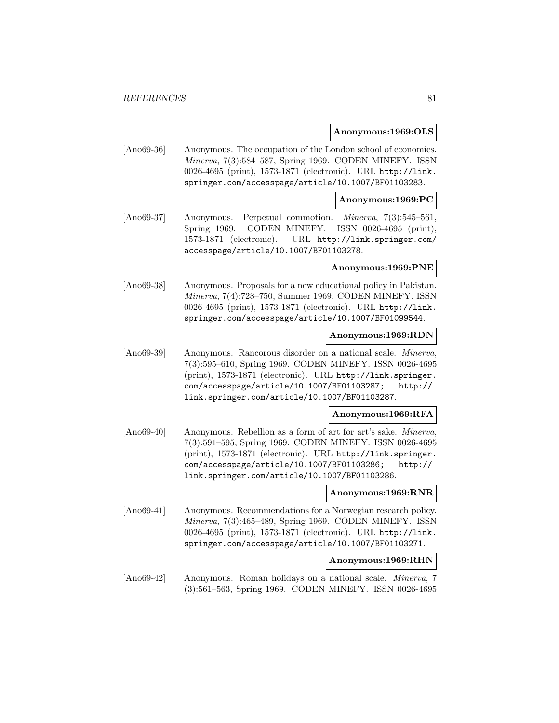### **Anonymous:1969:OLS**

[Ano69-36] Anonymous. The occupation of the London school of economics. Minerva, 7(3):584–587, Spring 1969. CODEN MINEFY. ISSN 0026-4695 (print), 1573-1871 (electronic). URL http://link. springer.com/accesspage/article/10.1007/BF01103283.

### **Anonymous:1969:PC**

[Ano69-37] Anonymous. Perpetual commotion. Minerva, 7(3):545–561, Spring 1969. CODEN MINEFY. ISSN 0026-4695 (print), 1573-1871 (electronic). URL http://link.springer.com/ accesspage/article/10.1007/BF01103278.

#### **Anonymous:1969:PNE**

[Ano69-38] Anonymous. Proposals for a new educational policy in Pakistan. Minerva, 7(4):728–750, Summer 1969. CODEN MINEFY. ISSN 0026-4695 (print), 1573-1871 (electronic). URL http://link. springer.com/accesspage/article/10.1007/BF01099544.

### **Anonymous:1969:RDN**

[Ano69-39] Anonymous. Rancorous disorder on a national scale. Minerva, 7(3):595–610, Spring 1969. CODEN MINEFY. ISSN 0026-4695 (print), 1573-1871 (electronic). URL http://link.springer. com/accesspage/article/10.1007/BF01103287; http:// link.springer.com/article/10.1007/BF01103287.

#### **Anonymous:1969:RFA**

[Ano69-40] Anonymous. Rebellion as a form of art for art's sake. *Minerva*, 7(3):591–595, Spring 1969. CODEN MINEFY. ISSN 0026-4695 (print), 1573-1871 (electronic). URL http://link.springer. com/accesspage/article/10.1007/BF01103286; http:// link.springer.com/article/10.1007/BF01103286.

#### **Anonymous:1969:RNR**

[Ano69-41] Anonymous. Recommendations for a Norwegian research policy. Minerva, 7(3):465–489, Spring 1969. CODEN MINEFY. ISSN 0026-4695 (print), 1573-1871 (electronic). URL http://link. springer.com/accesspage/article/10.1007/BF01103271.

#### **Anonymous:1969:RHN**

[Ano69-42] Anonymous. Roman holidays on a national scale. Minerva, 7 (3):561–563, Spring 1969. CODEN MINEFY. ISSN 0026-4695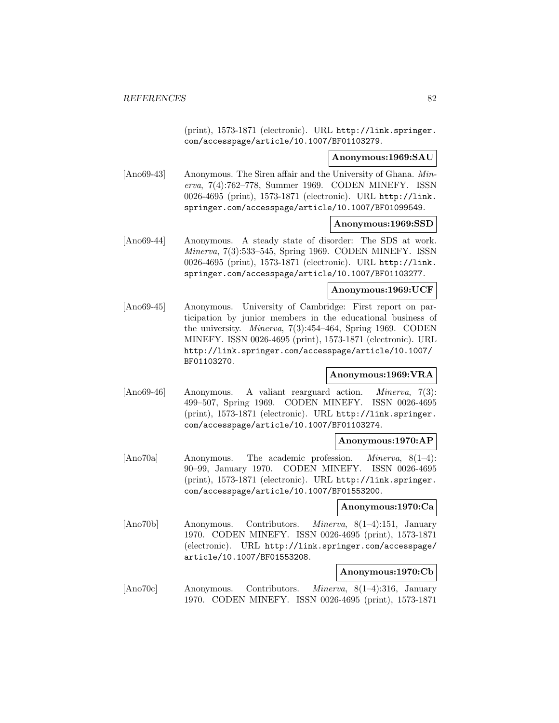(print), 1573-1871 (electronic). URL http://link.springer. com/accesspage/article/10.1007/BF01103279.

## **Anonymous:1969:SAU**

[Ano69-43] Anonymous. The Siren affair and the University of Ghana. Minerva, 7(4):762–778, Summer 1969. CODEN MINEFY. ISSN 0026-4695 (print), 1573-1871 (electronic). URL http://link. springer.com/accesspage/article/10.1007/BF01099549.

#### **Anonymous:1969:SSD**

[Ano69-44] Anonymous. A steady state of disorder: The SDS at work. Minerva, 7(3):533–545, Spring 1969. CODEN MINEFY. ISSN 0026-4695 (print), 1573-1871 (electronic). URL http://link. springer.com/accesspage/article/10.1007/BF01103277.

## **Anonymous:1969:UCF**

[Ano69-45] Anonymous. University of Cambridge: First report on participation by junior members in the educational business of the university. Minerva, 7(3):454–464, Spring 1969. CODEN MINEFY. ISSN 0026-4695 (print), 1573-1871 (electronic). URL http://link.springer.com/accesspage/article/10.1007/ BF01103270.

## **Anonymous:1969:VRA**

[Ano69-46] Anonymous. A valiant rearguard action. Minerva, 7(3): 499–507, Spring 1969. CODEN MINEFY. ISSN 0026-4695 (print), 1573-1871 (electronic). URL http://link.springer. com/accesspage/article/10.1007/BF01103274.

### **Anonymous:1970:AP**

[Ano70a] Anonymous. The academic profession. Minerva, 8(1–4): 90–99, January 1970. CODEN MINEFY. ISSN 0026-4695 (print), 1573-1871 (electronic). URL http://link.springer. com/accesspage/article/10.1007/BF01553200.

## **Anonymous:1970:Ca**

[Ano70b] Anonymous. Contributors. Minerva, 8(1–4):151, January 1970. CODEN MINEFY. ISSN 0026-4695 (print), 1573-1871 (electronic). URL http://link.springer.com/accesspage/ article/10.1007/BF01553208.

#### **Anonymous:1970:Cb**

[Ano70c] Anonymous. Contributors. Minerva, 8(1–4):316, January 1970. CODEN MINEFY. ISSN 0026-4695 (print), 1573-1871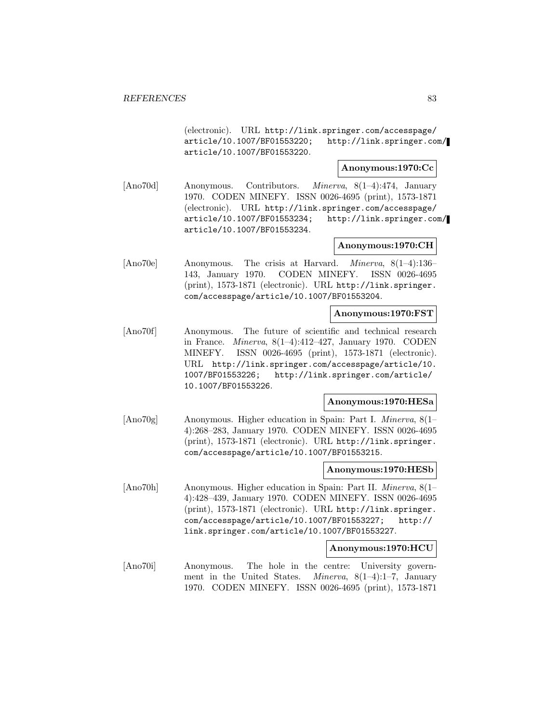(electronic). URL http://link.springer.com/accesspage/ article/10.1007/BF01553220; http://link.springer.com/ article/10.1007/BF01553220.

### **Anonymous:1970:Cc**

[Ano70d] Anonymous. Contributors. Minerva, 8(1–4):474, January 1970. CODEN MINEFY. ISSN 0026-4695 (print), 1573-1871 (electronic). URL http://link.springer.com/accesspage/ article/10.1007/BF01553234; http://link.springer.com/ article/10.1007/BF01553234.

## **Anonymous:1970:CH**

[Ano70e] Anonymous. The crisis at Harvard. Minerva, 8(1–4):136– 143, January 1970. CODEN MINEFY. ISSN 0026-4695 (print), 1573-1871 (electronic). URL http://link.springer. com/accesspage/article/10.1007/BF01553204.

# **Anonymous:1970:FST**

[Ano70f] Anonymous. The future of scientific and technical research in France. Minerva, 8(1–4):412–427, January 1970. CODEN MINEFY. ISSN 0026-4695 (print), 1573-1871 (electronic). URL http://link.springer.com/accesspage/article/10. 1007/BF01553226; http://link.springer.com/article/ 10.1007/BF01553226.

#### **Anonymous:1970:HESa**

[Ano70g] Anonymous. Higher education in Spain: Part I. Minerva, 8(1– 4):268–283, January 1970. CODEN MINEFY. ISSN 0026-4695 (print), 1573-1871 (electronic). URL http://link.springer. com/accesspage/article/10.1007/BF01553215.

#### **Anonymous:1970:HESb**

[Ano70h] Anonymous. Higher education in Spain: Part II. Minerva, 8(1– 4):428–439, January 1970. CODEN MINEFY. ISSN 0026-4695 (print), 1573-1871 (electronic). URL http://link.springer. com/accesspage/article/10.1007/BF01553227; http:// link.springer.com/article/10.1007/BF01553227.

#### **Anonymous:1970:HCU**

[Ano70i] Anonymous. The hole in the centre: University government in the United States. *Minerva*,  $8(1-4):1-7$ , January 1970. CODEN MINEFY. ISSN 0026-4695 (print), 1573-1871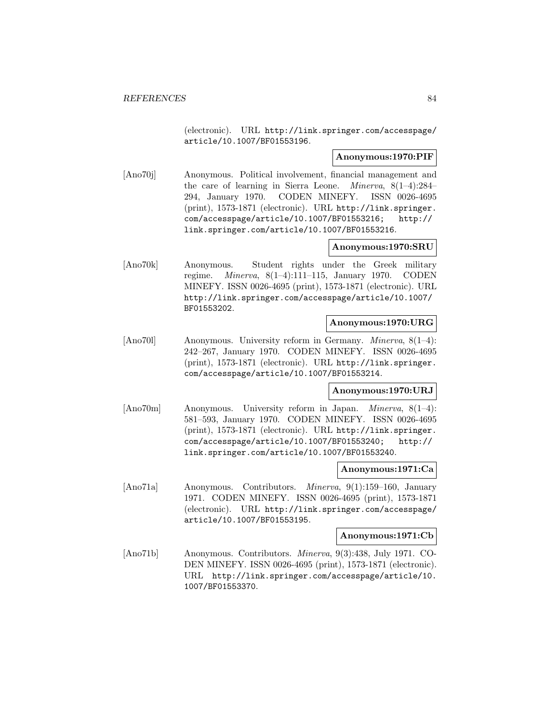(electronic). URL http://link.springer.com/accesspage/ article/10.1007/BF01553196.

## **Anonymous:1970:PIF**

[Ano70j] Anonymous. Political involvement, financial management and the care of learning in Sierra Leone. Minerva, 8(1–4):284– 294, January 1970. CODEN MINEFY. ISSN 0026-4695 (print), 1573-1871 (electronic). URL http://link.springer. com/accesspage/article/10.1007/BF01553216; http:// link.springer.com/article/10.1007/BF01553216.

## **Anonymous:1970:SRU**

[Ano70k] Anonymous. Student rights under the Greek military regime. Minerva, 8(1–4):111–115, January 1970. CODEN MINEFY. ISSN 0026-4695 (print), 1573-1871 (electronic). URL http://link.springer.com/accesspage/article/10.1007/ BF01553202.

# **Anonymous:1970:URG**

[Ano70l] Anonymous. University reform in Germany. Minerva, 8(1–4): 242–267, January 1970. CODEN MINEFY. ISSN 0026-4695 (print), 1573-1871 (electronic). URL http://link.springer. com/accesspage/article/10.1007/BF01553214.

# **Anonymous:1970:URJ**

[Ano70m] Anonymous. University reform in Japan. Minerva, 8(1–4): 581–593, January 1970. CODEN MINEFY. ISSN 0026-4695 (print), 1573-1871 (electronic). URL http://link.springer. com/accesspage/article/10.1007/BF01553240; http:// link.springer.com/article/10.1007/BF01553240.

#### **Anonymous:1971:Ca**

[Ano71a] Anonymous. Contributors. Minerva, 9(1):159–160, January 1971. CODEN MINEFY. ISSN 0026-4695 (print), 1573-1871 (electronic). URL http://link.springer.com/accesspage/ article/10.1007/BF01553195.

### **Anonymous:1971:Cb**

[Ano71b] Anonymous. Contributors. Minerva, 9(3):438, July 1971. CO-DEN MINEFY. ISSN 0026-4695 (print), 1573-1871 (electronic). URL http://link.springer.com/accesspage/article/10. 1007/BF01553370.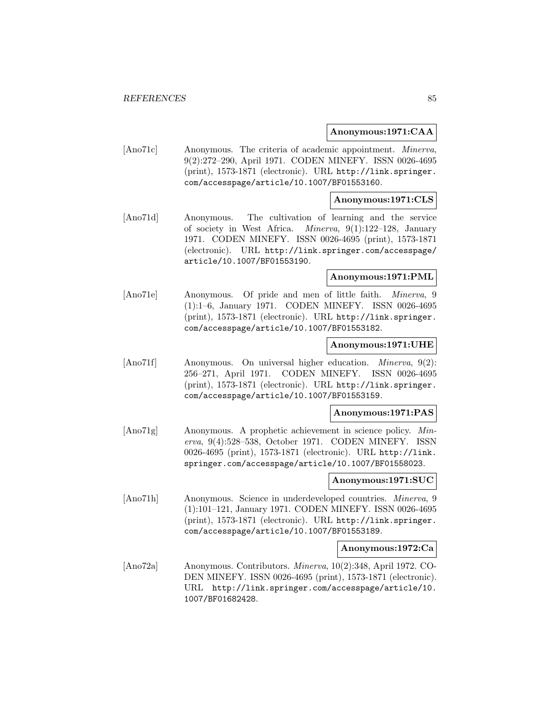## **Anonymous:1971:CAA**

[Ano71c] Anonymous. The criteria of academic appointment. Minerva, 9(2):272–290, April 1971. CODEN MINEFY. ISSN 0026-4695 (print), 1573-1871 (electronic). URL http://link.springer. com/accesspage/article/10.1007/BF01553160.

### **Anonymous:1971:CLS**

[Ano71d] Anonymous. The cultivation of learning and the service of society in West Africa. Minerva, 9(1):122–128, January 1971. CODEN MINEFY. ISSN 0026-4695 (print), 1573-1871 (electronic). URL http://link.springer.com/accesspage/ article/10.1007/BF01553190.

## **Anonymous:1971:PML**

[Ano71e] Anonymous. Of pride and men of little faith. Minerva, 9 (1):1–6, January 1971. CODEN MINEFY. ISSN 0026-4695 (print), 1573-1871 (electronic). URL http://link.springer. com/accesspage/article/10.1007/BF01553182.

## **Anonymous:1971:UHE**

[Ano71f] Anonymous. On universal higher education. *Minerva*, 9(2): 256–271, April 1971. CODEN MINEFY. ISSN 0026-4695 (print), 1573-1871 (electronic). URL http://link.springer. com/accesspage/article/10.1007/BF01553159.

#### **Anonymous:1971:PAS**

[Ano71g] Anonymous. A prophetic achievement in science policy. Minerva, 9(4):528–538, October 1971. CODEN MINEFY. ISSN 0026-4695 (print), 1573-1871 (electronic). URL http://link. springer.com/accesspage/article/10.1007/BF01558023.

# **Anonymous:1971:SUC**

[Ano71h] Anonymous. Science in underdeveloped countries. Minerva, 9 (1):101–121, January 1971. CODEN MINEFY. ISSN 0026-4695 (print), 1573-1871 (electronic). URL http://link.springer. com/accesspage/article/10.1007/BF01553189.

#### **Anonymous:1972:Ca**

[Ano72a] Anonymous. Contributors. Minerva, 10(2):348, April 1972. CO-DEN MINEFY. ISSN 0026-4695 (print), 1573-1871 (electronic). URL http://link.springer.com/accesspage/article/10. 1007/BF01682428.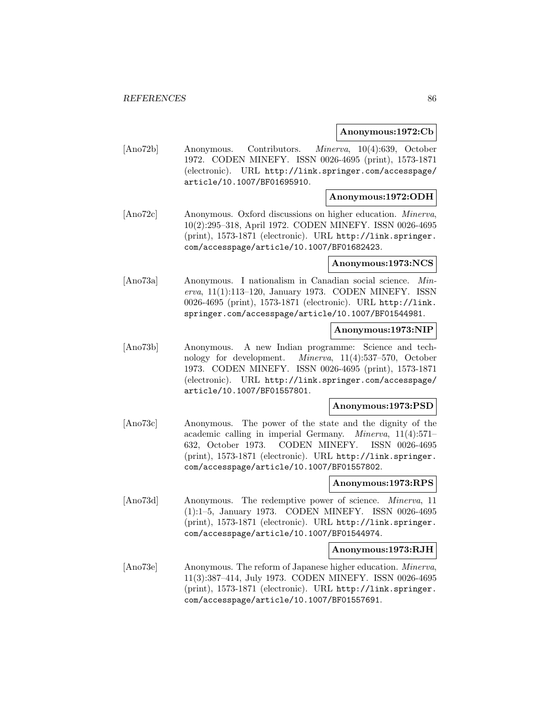### **Anonymous:1972:Cb**

[Ano72b] Anonymous. Contributors. Minerva, 10(4):639, October 1972. CODEN MINEFY. ISSN 0026-4695 (print), 1573-1871 (electronic). URL http://link.springer.com/accesspage/ article/10.1007/BF01695910.

# **Anonymous:1972:ODH**

[Ano72c] Anonymous. Oxford discussions on higher education. Minerva, 10(2):295–318, April 1972. CODEN MINEFY. ISSN 0026-4695 (print), 1573-1871 (electronic). URL http://link.springer. com/accesspage/article/10.1007/BF01682423.

### **Anonymous:1973:NCS**

[Ano73a] Anonymous. I nationalism in Canadian social science. Minerva, 11(1):113–120, January 1973. CODEN MINEFY. ISSN 0026-4695 (print), 1573-1871 (electronic). URL http://link. springer.com/accesspage/article/10.1007/BF01544981.

# **Anonymous:1973:NIP**

[Ano73b] Anonymous. A new Indian programme: Science and technology for development. Minerva, 11(4):537–570, October 1973. CODEN MINEFY. ISSN 0026-4695 (print), 1573-1871 (electronic). URL http://link.springer.com/accesspage/ article/10.1007/BF01557801.

## **Anonymous:1973:PSD**

[Ano73c] Anonymous. The power of the state and the dignity of the academic calling in imperial Germany. Minerva, 11(4):571– 632, October 1973. CODEN MINEFY. ISSN 0026-4695 (print), 1573-1871 (electronic). URL http://link.springer. com/accesspage/article/10.1007/BF01557802.

## **Anonymous:1973:RPS**

[Ano73d] Anonymous. The redemptive power of science. *Minerva*, 11 (1):1–5, January 1973. CODEN MINEFY. ISSN 0026-4695 (print), 1573-1871 (electronic). URL http://link.springer. com/accesspage/article/10.1007/BF01544974.

#### **Anonymous:1973:RJH**

[Ano73e] Anonymous. The reform of Japanese higher education. *Minerva*, 11(3):387–414, July 1973. CODEN MINEFY. ISSN 0026-4695 (print), 1573-1871 (electronic). URL http://link.springer. com/accesspage/article/10.1007/BF01557691.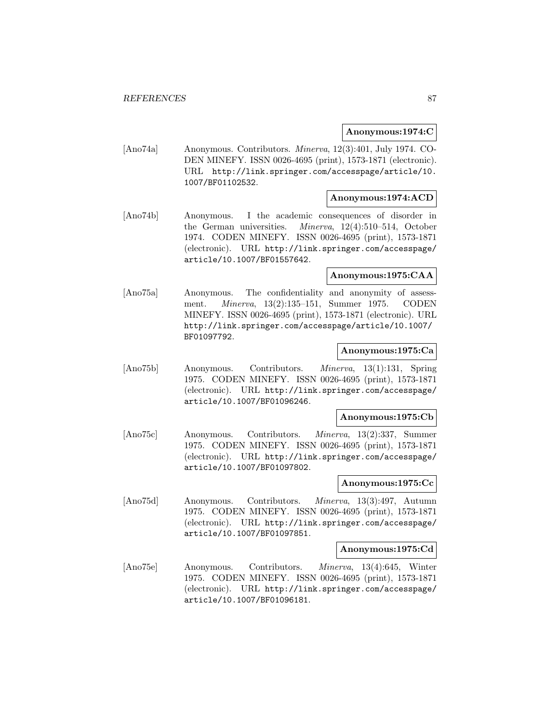## **Anonymous:1974:C**

[Ano74a] Anonymous. Contributors. Minerva, 12(3):401, July 1974. CO-DEN MINEFY. ISSN 0026-4695 (print), 1573-1871 (electronic). URL http://link.springer.com/accesspage/article/10. 1007/BF01102532.

## **Anonymous:1974:ACD**

[Ano74b] Anonymous. I the academic consequences of disorder in the German universities. Minerva, 12(4):510–514, October 1974. CODEN MINEFY. ISSN 0026-4695 (print), 1573-1871 (electronic). URL http://link.springer.com/accesspage/ article/10.1007/BF01557642.

# **Anonymous:1975:CAA**

[Ano75a] Anonymous. The confidentiality and anonymity of assessment. Minerva, 13(2):135–151, Summer 1975. CODEN MINEFY. ISSN 0026-4695 (print), 1573-1871 (electronic). URL http://link.springer.com/accesspage/article/10.1007/ BF01097792.

## **Anonymous:1975:Ca**

[Ano75b] Anonymous. Contributors. Minerva, 13(1):131, Spring 1975. CODEN MINEFY. ISSN 0026-4695 (print), 1573-1871 (electronic). URL http://link.springer.com/accesspage/ article/10.1007/BF01096246.

## **Anonymous:1975:Cb**

[Ano75c] Anonymous. Contributors. Minerva, 13(2):337, Summer 1975. CODEN MINEFY. ISSN 0026-4695 (print), 1573-1871 (electronic). URL http://link.springer.com/accesspage/ article/10.1007/BF01097802.

## **Anonymous:1975:Cc**

[Ano75d] Anonymous. Contributors. Minerva, 13(3):497, Autumn 1975. CODEN MINEFY. ISSN 0026-4695 (print), 1573-1871 (electronic). URL http://link.springer.com/accesspage/ article/10.1007/BF01097851.

#### **Anonymous:1975:Cd**

[Ano75e] Anonymous. Contributors. Minerva, 13(4):645, Winter 1975. CODEN MINEFY. ISSN 0026-4695 (print), 1573-1871 (electronic). URL http://link.springer.com/accesspage/ article/10.1007/BF01096181.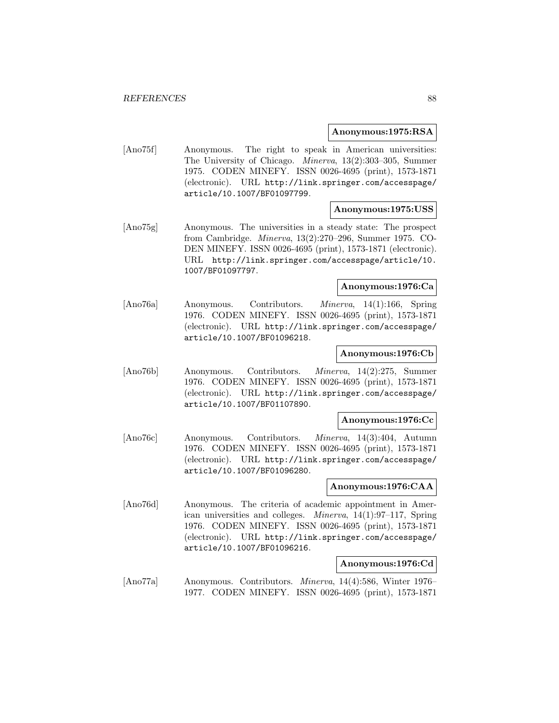### **Anonymous:1975:RSA**

[Ano75f] Anonymous. The right to speak in American universities: The University of Chicago. Minerva, 13(2):303–305, Summer 1975. CODEN MINEFY. ISSN 0026-4695 (print), 1573-1871 (electronic). URL http://link.springer.com/accesspage/ article/10.1007/BF01097799.

#### **Anonymous:1975:USS**

[Ano75g] Anonymous. The universities in a steady state: The prospect from Cambridge. Minerva, 13(2):270–296, Summer 1975. CO-DEN MINEFY. ISSN 0026-4695 (print), 1573-1871 (electronic). URL http://link.springer.com/accesspage/article/10. 1007/BF01097797.

# **Anonymous:1976:Ca**

[Ano76a] Anonymous. Contributors. Minerva, 14(1):166, Spring 1976. CODEN MINEFY. ISSN 0026-4695 (print), 1573-1871 (electronic). URL http://link.springer.com/accesspage/ article/10.1007/BF01096218.

#### **Anonymous:1976:Cb**

[Ano76b] Anonymous. Contributors. Minerva, 14(2):275, Summer 1976. CODEN MINEFY. ISSN 0026-4695 (print), 1573-1871 (electronic). URL http://link.springer.com/accesspage/ article/10.1007/BF01107890.

#### **Anonymous:1976:Cc**

[Ano76c] Anonymous. Contributors. Minerva, 14(3):404, Autumn 1976. CODEN MINEFY. ISSN 0026-4695 (print), 1573-1871 (electronic). URL http://link.springer.com/accesspage/ article/10.1007/BF01096280.

## **Anonymous:1976:CAA**

[Ano76d] Anonymous. The criteria of academic appointment in American universities and colleges. Minerva, 14(1):97–117, Spring 1976. CODEN MINEFY. ISSN 0026-4695 (print), 1573-1871 (electronic). URL http://link.springer.com/accesspage/ article/10.1007/BF01096216.

### **Anonymous:1976:Cd**

[Ano77a] Anonymous. Contributors. Minerva, 14(4):586, Winter 1976– 1977. CODEN MINEFY. ISSN 0026-4695 (print), 1573-1871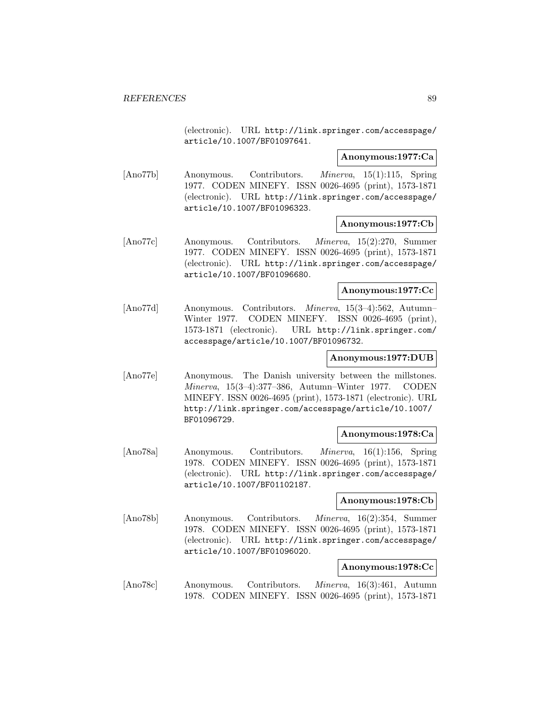(electronic). URL http://link.springer.com/accesspage/ article/10.1007/BF01097641.

### **Anonymous:1977:Ca**

[Ano77b] Anonymous. Contributors. Minerva, 15(1):115, Spring 1977. CODEN MINEFY. ISSN 0026-4695 (print), 1573-1871 (electronic). URL http://link.springer.com/accesspage/ article/10.1007/BF01096323.

### **Anonymous:1977:Cb**

[Ano77c] Anonymous. Contributors. Minerva, 15(2):270, Summer 1977. CODEN MINEFY. ISSN 0026-4695 (print), 1573-1871 (electronic). URL http://link.springer.com/accesspage/ article/10.1007/BF01096680.

# **Anonymous:1977:Cc**

[Ano77d] Anonymous. Contributors. Minerva, 15(3–4):562, Autumn– Winter 1977. CODEN MINEFY. ISSN 0026-4695 (print), 1573-1871 (electronic). URL http://link.springer.com/ accesspage/article/10.1007/BF01096732.

## **Anonymous:1977:DUB**

[Ano77e] Anonymous. The Danish university between the millstones. Minerva, 15(3–4):377–386, Autumn–Winter 1977. CODEN MINEFY. ISSN 0026-4695 (print), 1573-1871 (electronic). URL http://link.springer.com/accesspage/article/10.1007/ BF01096729.

#### **Anonymous:1978:Ca**

[Ano78a] Anonymous. Contributors. Minerva, 16(1):156, Spring 1978. CODEN MINEFY. ISSN 0026-4695 (print), 1573-1871 (electronic). URL http://link.springer.com/accesspage/ article/10.1007/BF01102187.

## **Anonymous:1978:Cb**

[Ano78b] Anonymous. Contributors. Minerva, 16(2):354, Summer 1978. CODEN MINEFY. ISSN 0026-4695 (print), 1573-1871 (electronic). URL http://link.springer.com/accesspage/ article/10.1007/BF01096020.

## **Anonymous:1978:Cc**

[Ano78c] Anonymous. Contributors. Minerva, 16(3):461, Autumn 1978. CODEN MINEFY. ISSN 0026-4695 (print), 1573-1871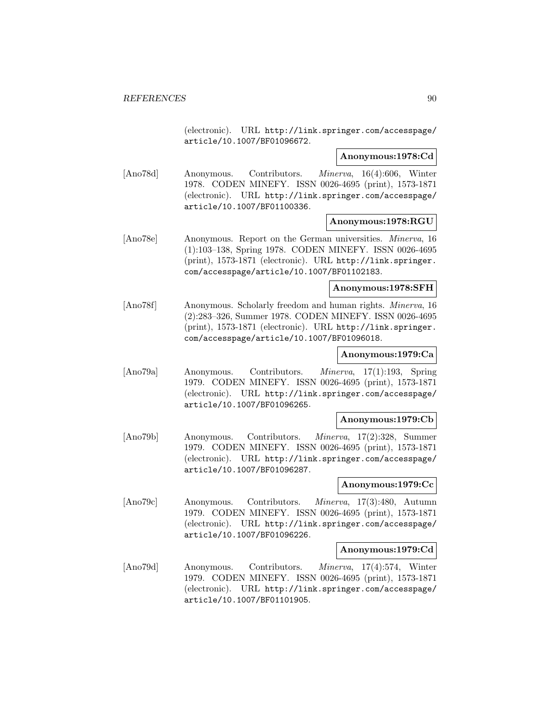(electronic). URL http://link.springer.com/accesspage/ article/10.1007/BF01096672.

## **Anonymous:1978:Cd**

[Ano78d] Anonymous. Contributors. Minerva, 16(4):606, Winter 1978. CODEN MINEFY. ISSN 0026-4695 (print), 1573-1871 (electronic). URL http://link.springer.com/accesspage/ article/10.1007/BF01100336.

### **Anonymous:1978:RGU**

[Ano78e] Anonymous. Report on the German universities. Minerva, 16 (1):103–138, Spring 1978. CODEN MINEFY. ISSN 0026-4695 (print), 1573-1871 (electronic). URL http://link.springer. com/accesspage/article/10.1007/BF01102183.

### **Anonymous:1978:SFH**

[Ano78f] Anonymous. Scholarly freedom and human rights. Minerva, 16 (2):283–326, Summer 1978. CODEN MINEFY. ISSN 0026-4695 (print), 1573-1871 (electronic). URL http://link.springer. com/accesspage/article/10.1007/BF01096018.

### **Anonymous:1979:Ca**

[Ano79a] Anonymous. Contributors. Minerva, 17(1):193, Spring 1979. CODEN MINEFY. ISSN 0026-4695 (print), 1573-1871 (electronic). URL http://link.springer.com/accesspage/ article/10.1007/BF01096265.

# **Anonymous:1979:Cb**

[Ano79b] Anonymous. Contributors. Minerva, 17(2):328, Summer 1979. CODEN MINEFY. ISSN 0026-4695 (print), 1573-1871 (electronic). URL http://link.springer.com/accesspage/ article/10.1007/BF01096287.

## **Anonymous:1979:Cc**

[Ano79c] Anonymous. Contributors. Minerva, 17(3):480, Autumn 1979. CODEN MINEFY. ISSN 0026-4695 (print), 1573-1871 (electronic). URL http://link.springer.com/accesspage/ article/10.1007/BF01096226.

## **Anonymous:1979:Cd**

[Ano79d] Anonymous. Contributors. Minerva, 17(4):574, Winter 1979. CODEN MINEFY. ISSN 0026-4695 (print), 1573-1871 (electronic). URL http://link.springer.com/accesspage/ article/10.1007/BF01101905.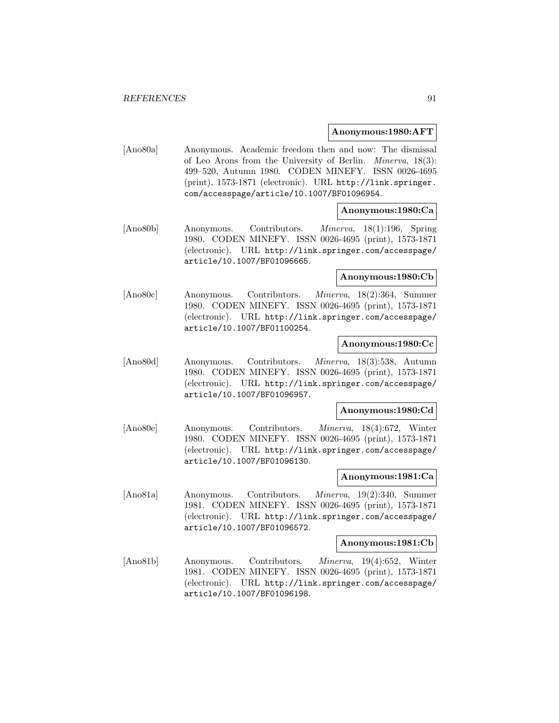### **Anonymous:1980:AFT**

[Ano80a] Anonymous. Academic freedom then and now: The dismissal of Leo Arons from the University of Berlin. Minerva, 18(3): 499–520, Autumn 1980. CODEN MINEFY. ISSN 0026-4695 (print), 1573-1871 (electronic). URL http://link.springer. com/accesspage/article/10.1007/BF01096954.

## **Anonymous:1980:Ca**

[Ano80b] Anonymous. Contributors. Minerva, 18(1):196, Spring 1980. CODEN MINEFY. ISSN 0026-4695 (print), 1573-1871 (electronic). URL http://link.springer.com/accesspage/ article/10.1007/BF01096665.

# **Anonymous:1980:Cb**

[Ano80c] Anonymous. Contributors. Minerva, 18(2):364, Summer 1980. CODEN MINEFY. ISSN 0026-4695 (print), 1573-1871 (electronic). URL http://link.springer.com/accesspage/ article/10.1007/BF01100254.

#### **Anonymous:1980:Cc**

[Ano80d] Anonymous. Contributors. Minerva, 18(3):538, Autumn 1980. CODEN MINEFY. ISSN 0026-4695 (print), 1573-1871 (electronic). URL http://link.springer.com/accesspage/ article/10.1007/BF01096957.

### **Anonymous:1980:Cd**

[Ano80e] Anonymous. Contributors. Minerva, 18(4):672, Winter 1980. CODEN MINEFY. ISSN 0026-4695 (print), 1573-1871 (electronic). URL http://link.springer.com/accesspage/ article/10.1007/BF01096130.

### **Anonymous:1981:Ca**

[Ano81a] Anonymous. Contributors. Minerva, 19(2):340, Summer 1981. CODEN MINEFY. ISSN 0026-4695 (print), 1573-1871 (electronic). URL http://link.springer.com/accesspage/ article/10.1007/BF01096572.

### **Anonymous:1981:Cb**

[Ano81b] Anonymous. Contributors. Minerva, 19(4):652, Winter 1981. CODEN MINEFY. ISSN 0026-4695 (print), 1573-1871 (electronic). URL http://link.springer.com/accesspage/ article/10.1007/BF01096198.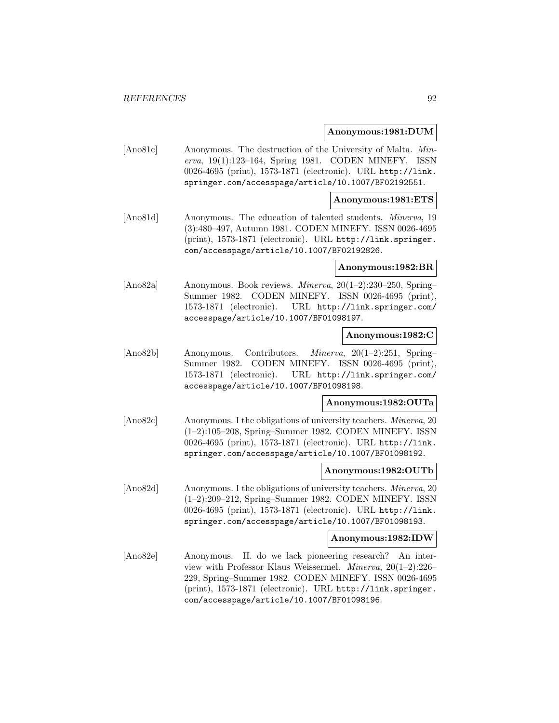### **Anonymous:1981:DUM**

[Ano81c] Anonymous. The destruction of the University of Malta. Minerva, 19(1):123–164, Spring 1981. CODEN MINEFY. ISSN 0026-4695 (print), 1573-1871 (electronic). URL http://link. springer.com/accesspage/article/10.1007/BF02192551.

### **Anonymous:1981:ETS**

[Ano81d] Anonymous. The education of talented students. Minerva, 19 (3):480–497, Autumn 1981. CODEN MINEFY. ISSN 0026-4695 (print), 1573-1871 (electronic). URL http://link.springer. com/accesspage/article/10.1007/BF02192826.

#### **Anonymous:1982:BR**

[Ano82a] Anonymous. Book reviews. Minerva, 20(1–2):230–250, Spring– Summer 1982. CODEN MINEFY. ISSN 0026-4695 (print), 1573-1871 (electronic). URL http://link.springer.com/ accesspage/article/10.1007/BF01098197.

### **Anonymous:1982:C**

[Ano82b] Anonymous. Contributors. Minerva, 20(1–2):251, Spring– Summer 1982. CODEN MINEFY. ISSN 0026-4695 (print), 1573-1871 (electronic). URL http://link.springer.com/ accesspage/article/10.1007/BF01098198.

### **Anonymous:1982:OUTa**

[Ano82c] Anonymous. I the obligations of university teachers. *Minerva*, 20 (1–2):105–208, Spring–Summer 1982. CODEN MINEFY. ISSN 0026-4695 (print), 1573-1871 (electronic). URL http://link. springer.com/accesspage/article/10.1007/BF01098192.

#### **Anonymous:1982:OUTb**

[Ano82d] Anonymous. I the obligations of university teachers. Minerva, 20 (1–2):209–212, Spring–Summer 1982. CODEN MINEFY. ISSN 0026-4695 (print), 1573-1871 (electronic). URL http://link. springer.com/accesspage/article/10.1007/BF01098193.

#### **Anonymous:1982:IDW**

[Ano82e] Anonymous. II. do we lack pioneering research? An interview with Professor Klaus Weissermel. Minerva, 20(1–2):226– 229, Spring–Summer 1982. CODEN MINEFY. ISSN 0026-4695 (print), 1573-1871 (electronic). URL http://link.springer. com/accesspage/article/10.1007/BF01098196.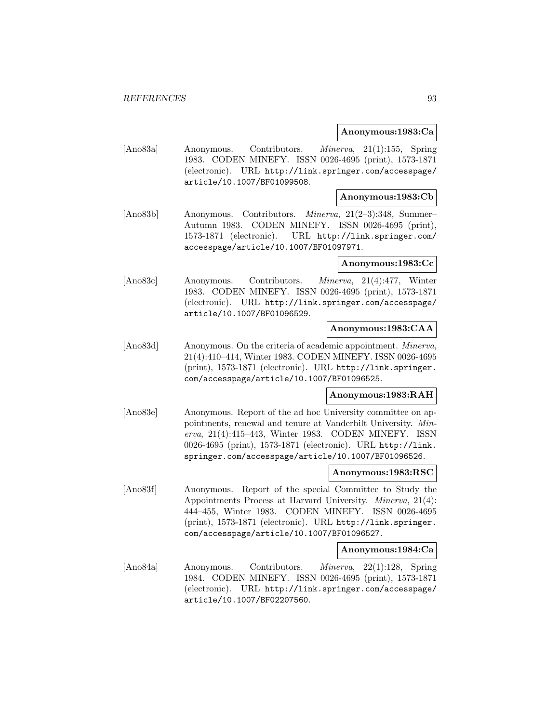### **Anonymous:1983:Ca**

[Ano83a] Anonymous. Contributors. Minerva, 21(1):155, Spring 1983. CODEN MINEFY. ISSN 0026-4695 (print), 1573-1871 (electronic). URL http://link.springer.com/accesspage/ article/10.1007/BF01099508.

### **Anonymous:1983:Cb**

[Ano83b] Anonymous. Contributors. Minerva, 21(2–3):348, Summer– Autumn 1983. CODEN MINEFY. ISSN 0026-4695 (print), 1573-1871 (electronic). URL http://link.springer.com/ accesspage/article/10.1007/BF01097971.

### **Anonymous:1983:Cc**

[Ano83c] Anonymous. Contributors. Minerva, 21(4):477, Winter 1983. CODEN MINEFY. ISSN 0026-4695 (print), 1573-1871 (electronic). URL http://link.springer.com/accesspage/ article/10.1007/BF01096529.

#### **Anonymous:1983:CAA**

[Ano83d] Anonymous. On the criteria of academic appointment. *Minerva*, 21(4):410–414, Winter 1983. CODEN MINEFY. ISSN 0026-4695 (print), 1573-1871 (electronic). URL http://link.springer. com/accesspage/article/10.1007/BF01096525.

## **Anonymous:1983:RAH**

[Ano83e] Anonymous. Report of the ad hoc University committee on appointments, renewal and tenure at Vanderbilt University. Minerva, 21(4):415–443, Winter 1983. CODEN MINEFY. ISSN 0026-4695 (print), 1573-1871 (electronic). URL http://link. springer.com/accesspage/article/10.1007/BF01096526.

### **Anonymous:1983:RSC**

[Ano83f] Anonymous. Report of the special Committee to Study the Appointments Process at Harvard University. Minerva, 21(4): 444–455, Winter 1983. CODEN MINEFY. ISSN 0026-4695 (print), 1573-1871 (electronic). URL http://link.springer. com/accesspage/article/10.1007/BF01096527.

#### **Anonymous:1984:Ca**

[Ano84a] Anonymous. Contributors. Minerva, 22(1):128, Spring 1984. CODEN MINEFY. ISSN 0026-4695 (print), 1573-1871 (electronic). URL http://link.springer.com/accesspage/ article/10.1007/BF02207560.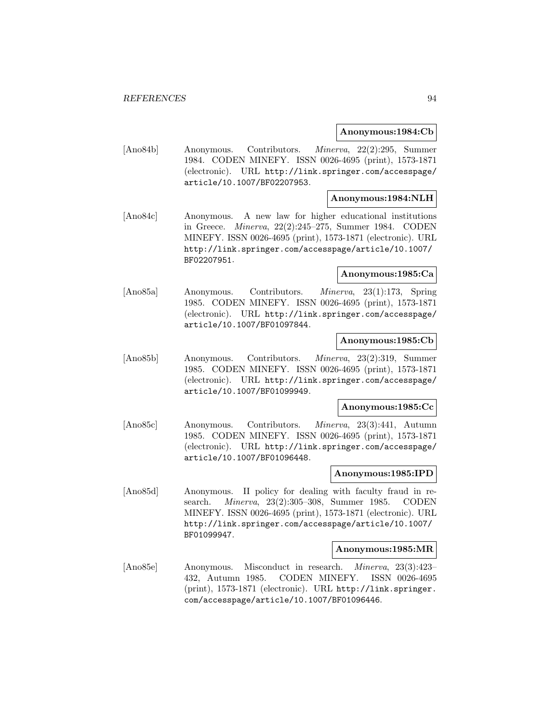### **Anonymous:1984:Cb**

[Ano84b] Anonymous. Contributors. Minerva, 22(2):295, Summer 1984. CODEN MINEFY. ISSN 0026-4695 (print), 1573-1871 (electronic). URL http://link.springer.com/accesspage/ article/10.1007/BF02207953.

# **Anonymous:1984:NLH**

[Ano84c] Anonymous. A new law for higher educational institutions in Greece. Minerva, 22(2):245–275, Summer 1984. CODEN MINEFY. ISSN 0026-4695 (print), 1573-1871 (electronic). URL http://link.springer.com/accesspage/article/10.1007/ BF02207951.

## **Anonymous:1985:Ca**

[Ano85a] Anonymous. Contributors. Minerva, 23(1):173, Spring 1985. CODEN MINEFY. ISSN 0026-4695 (print), 1573-1871 (electronic). URL http://link.springer.com/accesspage/ article/10.1007/BF01097844.

### **Anonymous:1985:Cb**

[Ano85b] Anonymous. Contributors. Minerva, 23(2):319, Summer 1985. CODEN MINEFY. ISSN 0026-4695 (print), 1573-1871 (electronic). URL http://link.springer.com/accesspage/ article/10.1007/BF01099949.

## **Anonymous:1985:Cc**

[Ano85c] Anonymous. Contributors. Minerva, 23(3):441, Autumn 1985. CODEN MINEFY. ISSN 0026-4695 (print), 1573-1871 (electronic). URL http://link.springer.com/accesspage/ article/10.1007/BF01096448.

#### **Anonymous:1985:IPD**

[Ano85d] Anonymous. II policy for dealing with faculty fraud in research. Minerva, 23(2):305–308, Summer 1985. CODEN MINEFY. ISSN 0026-4695 (print), 1573-1871 (electronic). URL http://link.springer.com/accesspage/article/10.1007/ BF01099947.

#### **Anonymous:1985:MR**

[Ano85e] Anonymous. Misconduct in research. Minerva, 23(3):423– 432, Autumn 1985. CODEN MINEFY. ISSN 0026-4695 (print), 1573-1871 (electronic). URL http://link.springer. com/accesspage/article/10.1007/BF01096446.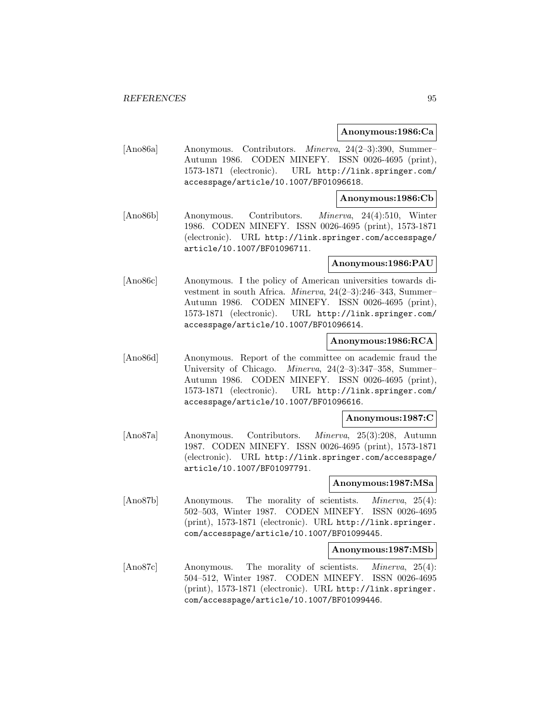### **Anonymous:1986:Ca**

[Ano86a] Anonymous. Contributors. Minerva, 24(2–3):390, Summer– Autumn 1986. CODEN MINEFY. ISSN 0026-4695 (print), 1573-1871 (electronic). URL http://link.springer.com/ accesspage/article/10.1007/BF01096618.

### **Anonymous:1986:Cb**

[Ano86b] Anonymous. Contributors. Minerva, 24(4):510, Winter 1986. CODEN MINEFY. ISSN 0026-4695 (print), 1573-1871 (electronic). URL http://link.springer.com/accesspage/ article/10.1007/BF01096711.

### **Anonymous:1986:PAU**

[Ano86c] Anonymous. I the policy of American universities towards divestment in south Africa. Minerva, 24(2–3):246–343, Summer– Autumn 1986. CODEN MINEFY. ISSN 0026-4695 (print), 1573-1871 (electronic). URL http://link.springer.com/ accesspage/article/10.1007/BF01096614.

## **Anonymous:1986:RCA**

[Ano86d] Anonymous. Report of the committee on academic fraud the University of Chicago. Minerva, 24(2–3):347–358, Summer– Autumn 1986. CODEN MINEFY. ISSN 0026-4695 (print), 1573-1871 (electronic). URL http://link.springer.com/ accesspage/article/10.1007/BF01096616.

### **Anonymous:1987:C**

[Ano87a] Anonymous. Contributors. Minerva, 25(3):208, Autumn 1987. CODEN MINEFY. ISSN 0026-4695 (print), 1573-1871 (electronic). URL http://link.springer.com/accesspage/ article/10.1007/BF01097791.

#### **Anonymous:1987:MSa**

[Ano87b] Anonymous. The morality of scientists. Minerva, 25(4): 502–503, Winter 1987. CODEN MINEFY. ISSN 0026-4695 (print), 1573-1871 (electronic). URL http://link.springer. com/accesspage/article/10.1007/BF01099445.

#### **Anonymous:1987:MSb**

[Ano87c] Anonymous. The morality of scientists. *Minerva*, 25(4): 504–512, Winter 1987. CODEN MINEFY. ISSN 0026-4695 (print), 1573-1871 (electronic). URL http://link.springer. com/accesspage/article/10.1007/BF01099446.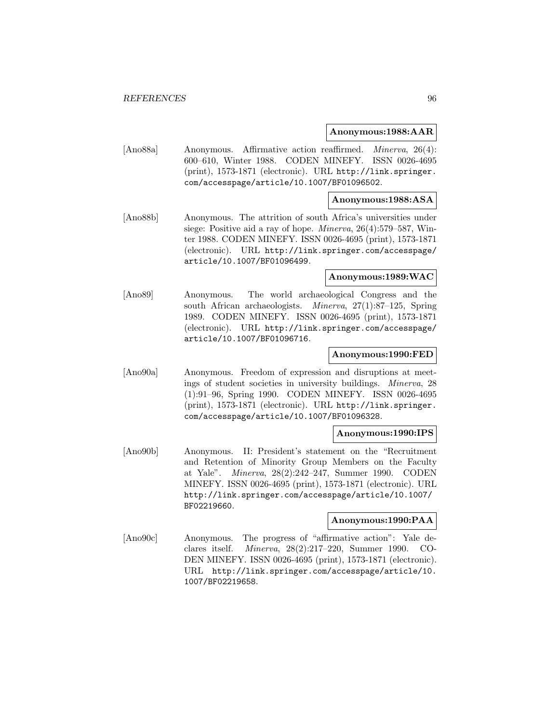### **Anonymous:1988:AAR**

[Ano88a] Anonymous. Affirmative action reaffirmed. Minerva, 26(4): 600–610, Winter 1988. CODEN MINEFY. ISSN 0026-4695 (print), 1573-1871 (electronic). URL http://link.springer. com/accesspage/article/10.1007/BF01096502.

## **Anonymous:1988:ASA**

[Ano88b] Anonymous. The attrition of south Africa's universities under siege: Positive aid a ray of hope. Minerva, 26(4):579–587, Winter 1988. CODEN MINEFY. ISSN 0026-4695 (print), 1573-1871 (electronic). URL http://link.springer.com/accesspage/ article/10.1007/BF01096499.

### **Anonymous:1989:WAC**

[Ano89] Anonymous. The world archaeological Congress and the south African archaeologists. Minerva, 27(1):87–125, Spring 1989. CODEN MINEFY. ISSN 0026-4695 (print), 1573-1871 (electronic). URL http://link.springer.com/accesspage/ article/10.1007/BF01096716.

#### **Anonymous:1990:FED**

[Ano90a] Anonymous. Freedom of expression and disruptions at meetings of student societies in university buildings. Minerva, 28 (1):91–96, Spring 1990. CODEN MINEFY. ISSN 0026-4695 (print), 1573-1871 (electronic). URL http://link.springer. com/accesspage/article/10.1007/BF01096328.

## **Anonymous:1990:IPS**

[Ano90b] Anonymous. II: President's statement on the "Recruitment and Retention of Minority Group Members on the Faculty at Yale". Minerva, 28(2):242–247, Summer 1990. CODEN MINEFY. ISSN 0026-4695 (print), 1573-1871 (electronic). URL http://link.springer.com/accesspage/article/10.1007/ BF02219660.

#### **Anonymous:1990:PAA**

[Ano90c] Anonymous. The progress of "affirmative action": Yale declares itself. Minerva, 28(2):217–220, Summer 1990. CO-DEN MINEFY. ISSN 0026-4695 (print), 1573-1871 (electronic). URL http://link.springer.com/accesspage/article/10. 1007/BF02219658.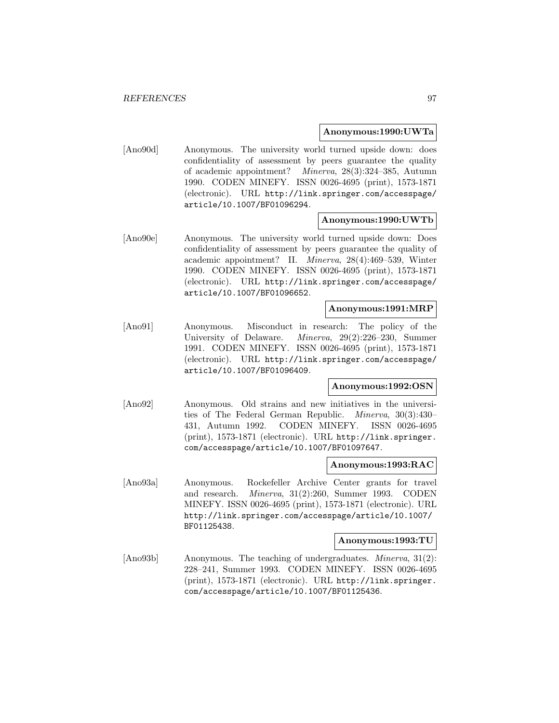### **Anonymous:1990:UWTa**

[Ano90d] Anonymous. The university world turned upside down: does confidentiality of assessment by peers guarantee the quality of academic appointment? Minerva, 28(3):324–385, Autumn 1990. CODEN MINEFY. ISSN 0026-4695 (print), 1573-1871 (electronic). URL http://link.springer.com/accesspage/ article/10.1007/BF01096294.

### **Anonymous:1990:UWTb**

[Ano90e] Anonymous. The university world turned upside down: Does confidentiality of assessment by peers guarantee the quality of academic appointment? II. Minerva, 28(4):469–539, Winter 1990. CODEN MINEFY. ISSN 0026-4695 (print), 1573-1871 (electronic). URL http://link.springer.com/accesspage/ article/10.1007/BF01096652.

#### **Anonymous:1991:MRP**

[Ano91] Anonymous. Misconduct in research: The policy of the University of Delaware. Minerva, 29(2):226–230, Summer 1991. CODEN MINEFY. ISSN 0026-4695 (print), 1573-1871 (electronic). URL http://link.springer.com/accesspage/ article/10.1007/BF01096409.

### **Anonymous:1992:OSN**

[Ano92] Anonymous. Old strains and new initiatives in the universities of The Federal German Republic. Minerva, 30(3):430– 431, Autumn 1992. CODEN MINEFY. ISSN 0026-4695 (print), 1573-1871 (electronic). URL http://link.springer. com/accesspage/article/10.1007/BF01097647.

### **Anonymous:1993:RAC**

[Ano93a] Anonymous. Rockefeller Archive Center grants for travel and research. Minerva, 31(2):260, Summer 1993. CODEN MINEFY. ISSN 0026-4695 (print), 1573-1871 (electronic). URL http://link.springer.com/accesspage/article/10.1007/ BF01125438.

## **Anonymous:1993:TU**

[Ano93b] Anonymous. The teaching of undergraduates. Minerva, 31(2): 228–241, Summer 1993. CODEN MINEFY. ISSN 0026-4695 (print), 1573-1871 (electronic). URL http://link.springer. com/accesspage/article/10.1007/BF01125436.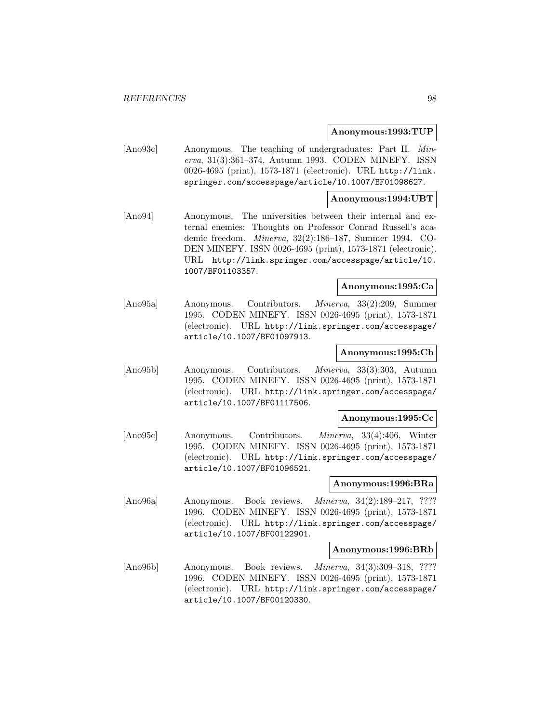## **Anonymous:1993:TUP**

[Ano93c] Anonymous. The teaching of undergraduates: Part II. Minerva, 31(3):361–374, Autumn 1993. CODEN MINEFY. ISSN 0026-4695 (print), 1573-1871 (electronic). URL http://link. springer.com/accesspage/article/10.1007/BF01098627.

### **Anonymous:1994:UBT**

[Ano94] Anonymous. The universities between their internal and external enemies: Thoughts on Professor Conrad Russell's academic freedom. Minerva, 32(2):186–187, Summer 1994. CO-DEN MINEFY. ISSN 0026-4695 (print), 1573-1871 (electronic). URL http://link.springer.com/accesspage/article/10. 1007/BF01103357.

# **Anonymous:1995:Ca**

[Ano95a] Anonymous. Contributors. Minerva, 33(2):209, Summer 1995. CODEN MINEFY. ISSN 0026-4695 (print), 1573-1871 (electronic). URL http://link.springer.com/accesspage/ article/10.1007/BF01097913.

# **Anonymous:1995:Cb**

[Ano95b] Anonymous. Contributors. Minerva, 33(3):303, Autumn 1995. CODEN MINEFY. ISSN 0026-4695 (print), 1573-1871 (electronic). URL http://link.springer.com/accesspage/ article/10.1007/BF01117506.

#### **Anonymous:1995:Cc**

[Ano95c] Anonymous. Contributors. Minerva, 33(4):406, Winter 1995. CODEN MINEFY. ISSN 0026-4695 (print), 1573-1871 (electronic). URL http://link.springer.com/accesspage/ article/10.1007/BF01096521.

### **Anonymous:1996:BRa**

[Ano96a] Anonymous. Book reviews. *Minerva*, 34(2):189–217, ???? 1996. CODEN MINEFY. ISSN 0026-4695 (print), 1573-1871 (electronic). URL http://link.springer.com/accesspage/ article/10.1007/BF00122901.

#### **Anonymous:1996:BRb**

[Ano96b] Anonymous. Book reviews. Minerva, 34(3):309–318, ???? 1996. CODEN MINEFY. ISSN 0026-4695 (print), 1573-1871 (electronic). URL http://link.springer.com/accesspage/ article/10.1007/BF00120330.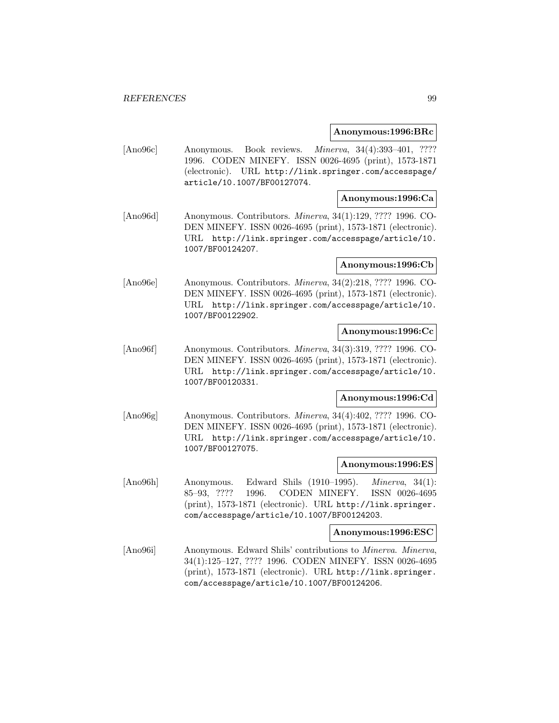### **Anonymous:1996:BRc**

[Ano96c] Anonymous. Book reviews. *Minerva*, 34(4):393-401, ???? 1996. CODEN MINEFY. ISSN 0026-4695 (print), 1573-1871 (electronic). URL http://link.springer.com/accesspage/ article/10.1007/BF00127074.

## **Anonymous:1996:Ca**

[Ano96d] Anonymous. Contributors. Minerva, 34(1):129, ???? 1996. CO-DEN MINEFY. ISSN 0026-4695 (print), 1573-1871 (electronic). URL http://link.springer.com/accesspage/article/10. 1007/BF00124207.

## **Anonymous:1996:Cb**

[Ano96e] Anonymous. Contributors. Minerva, 34(2):218, ???? 1996. CO-DEN MINEFY. ISSN 0026-4695 (print), 1573-1871 (electronic). URL http://link.springer.com/accesspage/article/10. 1007/BF00122902.

## **Anonymous:1996:Cc**

[Ano96f] Anonymous. Contributors. Minerva, 34(3):319, ???? 1996. CO-DEN MINEFY. ISSN 0026-4695 (print), 1573-1871 (electronic). URL http://link.springer.com/accesspage/article/10. 1007/BF00120331.

## **Anonymous:1996:Cd**

[Ano96g] Anonymous. Contributors. Minerva, 34(4):402, ???? 1996. CO-DEN MINEFY. ISSN 0026-4695 (print), 1573-1871 (electronic). URL http://link.springer.com/accesspage/article/10. 1007/BF00127075.

#### **Anonymous:1996:ES**

[Ano96h] Anonymous. Edward Shils (1910–1995). Minerva, 34(1): 85–93, ???? 1996. CODEN MINEFY. ISSN 0026-4695 (print), 1573-1871 (electronic). URL http://link.springer. com/accesspage/article/10.1007/BF00124203.

### **Anonymous:1996:ESC**

[Ano96i] Anonymous. Edward Shils' contributions to Minerva. Minerva, 34(1):125–127, ???? 1996. CODEN MINEFY. ISSN 0026-4695 (print), 1573-1871 (electronic). URL http://link.springer. com/accesspage/article/10.1007/BF00124206.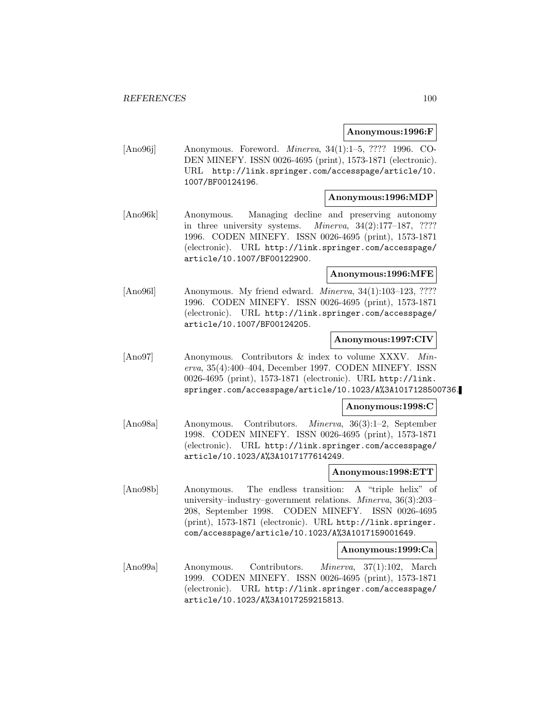### **Anonymous:1996:F**

[Ano96j] Anonymous. Foreword. Minerva, 34(1):1–5, ???? 1996. CO-DEN MINEFY. ISSN 0026-4695 (print), 1573-1871 (electronic). URL http://link.springer.com/accesspage/article/10. 1007/BF00124196.

## **Anonymous:1996:MDP**

[Ano96k] Anonymous. Managing decline and preserving autonomy in three university systems. Minerva, 34(2):177–187, ???? 1996. CODEN MINEFY. ISSN 0026-4695 (print), 1573-1871 (electronic). URL http://link.springer.com/accesspage/ article/10.1007/BF00122900.

## **Anonymous:1996:MFE**

[Ano961] Anonymous. My friend edward. *Minerva*, 34(1):103–123, ???? 1996. CODEN MINEFY. ISSN 0026-4695 (print), 1573-1871 (electronic). URL http://link.springer.com/accesspage/ article/10.1007/BF00124205.

## **Anonymous:1997:CIV**

[Ano97] Anonymous. Contributors & index to volume XXXV. Minerva, 35(4):400–404, December 1997. CODEN MINEFY. ISSN 0026-4695 (print), 1573-1871 (electronic). URL http://link. springer.com/accesspage/article/10.1023/A%3A1017128500736.

#### **Anonymous:1998:C**

[Ano98a] Anonymous. Contributors. Minerva, 36(3):1–2, September 1998. CODEN MINEFY. ISSN 0026-4695 (print), 1573-1871 (electronic). URL http://link.springer.com/accesspage/ article/10.1023/A%3A1017177614249.

#### **Anonymous:1998:ETT**

[Ano98b] Anonymous. The endless transition: A "triple helix" of university–industry–government relations. Minerva, 36(3):203– 208, September 1998. CODEN MINEFY. ISSN 0026-4695 (print), 1573-1871 (electronic). URL http://link.springer. com/accesspage/article/10.1023/A%3A1017159001649.

#### **Anonymous:1999:Ca**

[Ano99a] Anonymous. Contributors. Minerva, 37(1):102, March 1999. CODEN MINEFY. ISSN 0026-4695 (print), 1573-1871 (electronic). URL http://link.springer.com/accesspage/ article/10.1023/A%3A1017259215813.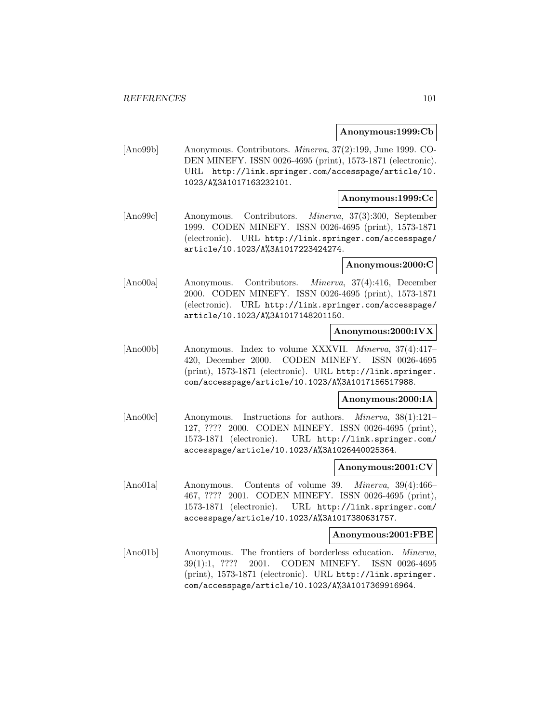### **Anonymous:1999:Cb**

[Ano99b] Anonymous. Contributors. Minerva, 37(2):199, June 1999. CO-DEN MINEFY. ISSN 0026-4695 (print), 1573-1871 (electronic). URL http://link.springer.com/accesspage/article/10. 1023/A%3A1017163232101.

### **Anonymous:1999:Cc**

[Ano99c] Anonymous. Contributors. Minerva, 37(3):300, September 1999. CODEN MINEFY. ISSN 0026-4695 (print), 1573-1871 (electronic). URL http://link.springer.com/accesspage/ article/10.1023/A%3A1017223424274.

## **Anonymous:2000:C**

[Ano00a] Anonymous. Contributors. Minerva, 37(4):416, December 2000. CODEN MINEFY. ISSN 0026-4695 (print), 1573-1871 (electronic). URL http://link.springer.com/accesspage/ article/10.1023/A%3A1017148201150.

## **Anonymous:2000:IVX**

[Ano00b] Anonymous. Index to volume XXXVII. Minerva, 37(4):417– 420, December 2000. CODEN MINEFY. ISSN 0026-4695 (print), 1573-1871 (electronic). URL http://link.springer. com/accesspage/article/10.1023/A%3A1017156517988.

## **Anonymous:2000:IA**

[Ano00c] Anonymous. Instructions for authors. Minerva, 38(1):121– 127, ???? 2000. CODEN MINEFY. ISSN 0026-4695 (print), 1573-1871 (electronic). URL http://link.springer.com/ accesspage/article/10.1023/A%3A1026440025364.

### **Anonymous:2001:CV**

[Ano01a] Anonymous. Contents of volume 39. Minerva, 39(4):466– 467, ???? 2001. CODEN MINEFY. ISSN 0026-4695 (print), 1573-1871 (electronic). URL http://link.springer.com/ accesspage/article/10.1023/A%3A1017380631757.

#### **Anonymous:2001:FBE**

[Ano01b] Anonymous. The frontiers of borderless education. Minerva, 39(1):1, ???? 2001. CODEN MINEFY. ISSN 0026-4695 (print), 1573-1871 (electronic). URL http://link.springer. com/accesspage/article/10.1023/A%3A1017369916964.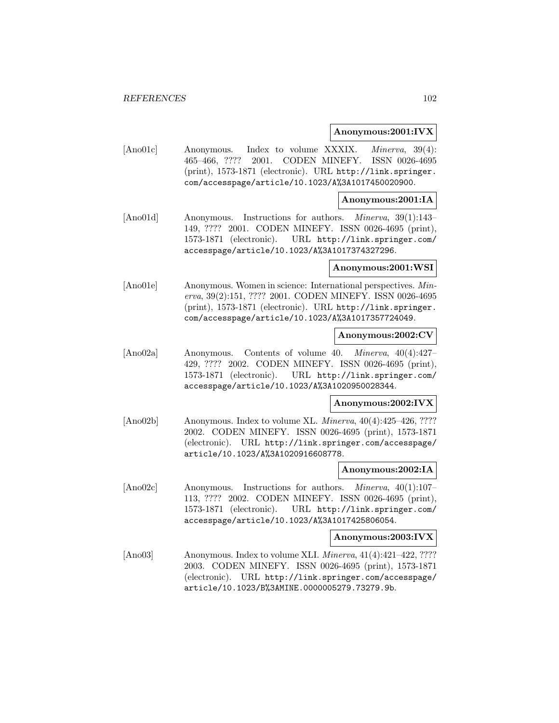### **Anonymous:2001:IVX**

[Ano01c] Anonymous. Index to volume XXXIX. Minerva, 39(4): 465–466, ???? 2001. CODEN MINEFY. ISSN 0026-4695 (print), 1573-1871 (electronic). URL http://link.springer. com/accesspage/article/10.1023/A%3A1017450020900.

### **Anonymous:2001:IA**

[Ano01d] Anonymous. Instructions for authors. Minerva, 39(1):143– 149, ???? 2001. CODEN MINEFY. ISSN 0026-4695 (print), 1573-1871 (electronic). URL http://link.springer.com/ accesspage/article/10.1023/A%3A1017374327296.

#### **Anonymous:2001:WSI**

[Ano01e] Anonymous. Women in science: International perspectives. Minerva, 39(2):151, ???? 2001. CODEN MINEFY. ISSN 0026-4695 (print), 1573-1871 (electronic). URL http://link.springer. com/accesspage/article/10.1023/A%3A1017357724049.

## **Anonymous:2002:CV**

[Ano02a] Anonymous. Contents of volume 40. Minerva, 40(4):427– 429, ???? 2002. CODEN MINEFY. ISSN 0026-4695 (print), 1573-1871 (electronic). URL http://link.springer.com/ accesspage/article/10.1023/A%3A1020950028344.

#### **Anonymous:2002:IVX**

[Ano02b] Anonymous. Index to volume XL. *Minerva*, 40(4):425–426, ???? 2002. CODEN MINEFY. ISSN 0026-4695 (print), 1573-1871 (electronic). URL http://link.springer.com/accesspage/ article/10.1023/A%3A1020916608778.

#### **Anonymous:2002:IA**

[Ano02c] Anonymous. Instructions for authors. Minerva, 40(1):107– 113, ???? 2002. CODEN MINEFY. ISSN 0026-4695 (print), 1573-1871 (electronic). URL http://link.springer.com/ accesspage/article/10.1023/A%3A1017425806054.

#### **Anonymous:2003:IVX**

[Ano03] Anonymous. Index to volume XLI. *Minerva*, 41(4):421–422, ???? 2003. CODEN MINEFY. ISSN 0026-4695 (print), 1573-1871 (electronic). URL http://link.springer.com/accesspage/ article/10.1023/B%3AMINE.0000005279.73279.9b.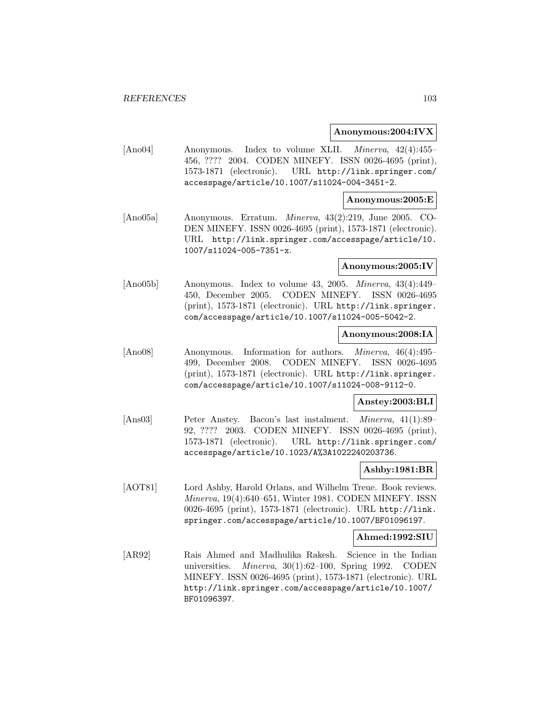### **Anonymous:2004:IVX**

[Ano04] Anonymous. Index to volume XLII. Minerva, 42(4):455– 456, ???? 2004. CODEN MINEFY. ISSN 0026-4695 (print), 1573-1871 (electronic). URL http://link.springer.com/ accesspage/article/10.1007/s11024-004-3451-2.

### **Anonymous:2005:E**

[Ano05a] Anonymous. Erratum. Minerva, 43(2):219, June 2005. CO-DEN MINEFY. ISSN 0026-4695 (print), 1573-1871 (electronic). URL http://link.springer.com/accesspage/article/10. 1007/s11024-005-7351-x.

### **Anonymous:2005:IV**

[Ano05b] Anonymous. Index to volume 43, 2005. Minerva, 43(4):449– 450, December 2005. CODEN MINEFY. ISSN 0026-4695 (print), 1573-1871 (electronic). URL http://link.springer. com/accesspage/article/10.1007/s11024-005-5042-2.

## **Anonymous:2008:IA**

[Ano08] Anonymous. Information for authors. Minerva, 46(4):495– 499, December 2008. CODEN MINEFY. ISSN 0026-4695 (print), 1573-1871 (electronic). URL http://link.springer. com/accesspage/article/10.1007/s11024-008-9112-0.

## **Anstey:2003:BLI**

[Ans03] Peter Anstey. Bacon's last instalment. Minerva, 41(1):89– 92, ???? 2003. CODEN MINEFY. ISSN 0026-4695 (print), 1573-1871 (electronic). URL http://link.springer.com/ accesspage/article/10.1023/A%3A1022240203736.

#### **Ashby:1981:BR**

[AOT81] Lord Ashby, Harold Orlans, and Wilhelm Treue. Book reviews. Minerva, 19(4):640–651, Winter 1981. CODEN MINEFY. ISSN 0026-4695 (print), 1573-1871 (electronic). URL http://link. springer.com/accesspage/article/10.1007/BF01096197.

### **Ahmed:1992:SIU**

[AR92] Rais Ahmed and Madhulika Rakesh. Science in the Indian universities. Minerva, 30(1):62–100, Spring 1992. CODEN MINEFY. ISSN 0026-4695 (print), 1573-1871 (electronic). URL http://link.springer.com/accesspage/article/10.1007/ BF01096397.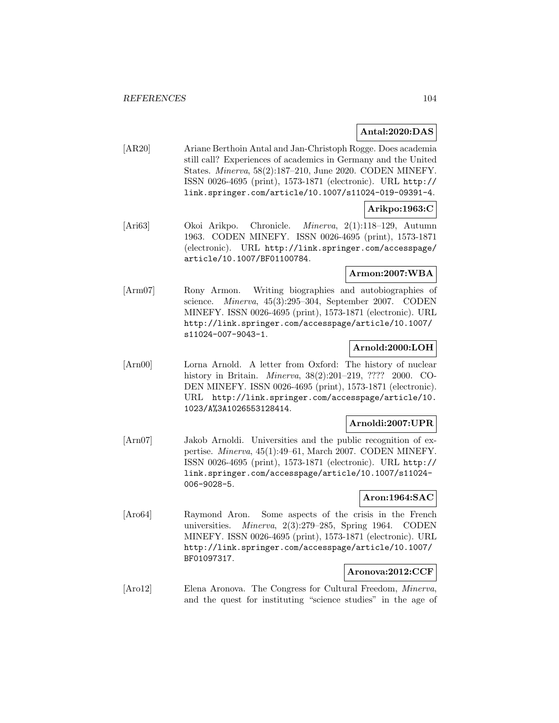# **Antal:2020:DAS**

[AR20] Ariane Berthoin Antal and Jan-Christoph Rogge. Does academia still call? Experiences of academics in Germany and the United States. Minerva, 58(2):187–210, June 2020. CODEN MINEFY. ISSN 0026-4695 (print), 1573-1871 (electronic). URL http:// link.springer.com/article/10.1007/s11024-019-09391-4.

# **Arikpo:1963:C**

[Ari63] Okoi Arikpo. Chronicle. Minerva, 2(1):118–129, Autumn 1963. CODEN MINEFY. ISSN 0026-4695 (print), 1573-1871 (electronic). URL http://link.springer.com/accesspage/ article/10.1007/BF01100784.

# **Armon:2007:WBA**

[Arm07] Rony Armon. Writing biographies and autobiographies of science. Minerva, 45(3):295–304, September 2007. CODEN MINEFY. ISSN 0026-4695 (print), 1573-1871 (electronic). URL http://link.springer.com/accesspage/article/10.1007/ s11024-007-9043-1.

# **Arnold:2000:LOH**

[Arn00] Lorna Arnold. A letter from Oxford: The history of nuclear history in Britain. Minerva, 38(2):201–219, ???? 2000. CO-DEN MINEFY. ISSN 0026-4695 (print), 1573-1871 (electronic). URL http://link.springer.com/accesspage/article/10. 1023/A%3A1026553128414.

## **Arnoldi:2007:UPR**

[Arn07] Jakob Arnoldi. Universities and the public recognition of expertise. Minerva, 45(1):49–61, March 2007. CODEN MINEFY. ISSN 0026-4695 (print), 1573-1871 (electronic). URL http:// link.springer.com/accesspage/article/10.1007/s11024- 006-9028-5.

# **Aron:1964:SAC**

[Aro64] Raymond Aron. Some aspects of the crisis in the French universities. Minerva, 2(3):279–285, Spring 1964. CODEN MINEFY. ISSN 0026-4695 (print), 1573-1871 (electronic). URL http://link.springer.com/accesspage/article/10.1007/ BF01097317.

# **Aronova:2012:CCF**

[Aro12] Elena Aronova. The Congress for Cultural Freedom, Minerva, and the quest for instituting "science studies" in the age of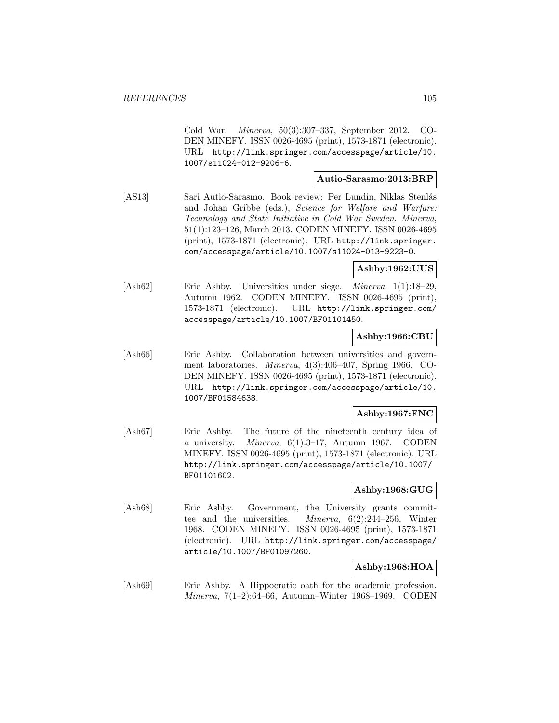Cold War. Minerva, 50(3):307–337, September 2012. CO-DEN MINEFY. ISSN 0026-4695 (print), 1573-1871 (electronic). URL http://link.springer.com/accesspage/article/10. 1007/s11024-012-9206-6.

### **Autio-Sarasmo:2013:BRP**

[AS13] Sari Autio-Sarasmo. Book review: Per Lundin, Niklas Stenlås and Johan Gribbe (eds.), Science for Welfare and Warfare: Technology and State Initiative in Cold War Sweden. Minerva, 51(1):123–126, March 2013. CODEN MINEFY. ISSN 0026-4695 (print), 1573-1871 (electronic). URL http://link.springer. com/accesspage/article/10.1007/s11024-013-9223-0.

**Ashby:1962:UUS**

[Ash62] Eric Ashby. Universities under siege. Minerva, 1(1):18–29, Autumn 1962. CODEN MINEFY. ISSN 0026-4695 (print), 1573-1871 (electronic). URL http://link.springer.com/ accesspage/article/10.1007/BF01101450.

## **Ashby:1966:CBU**

[Ash66] Eric Ashby. Collaboration between universities and government laboratories. Minerva, 4(3):406–407, Spring 1966. CO-DEN MINEFY. ISSN 0026-4695 (print), 1573-1871 (electronic). URL http://link.springer.com/accesspage/article/10. 1007/BF01584638.

## **Ashby:1967:FNC**

[Ash67] Eric Ashby. The future of the nineteenth century idea of a university. *Minerva*,  $6(1):3-17$ , Autumn 1967. CODEN MINEFY. ISSN 0026-4695 (print), 1573-1871 (electronic). URL http://link.springer.com/accesspage/article/10.1007/ BF01101602.

## **Ashby:1968:GUG**

[Ash68] Eric Ashby. Government, the University grants committee and the universities. Minerva, 6(2):244–256, Winter 1968. CODEN MINEFY. ISSN 0026-4695 (print), 1573-1871 (electronic). URL http://link.springer.com/accesspage/ article/10.1007/BF01097260.

# **Ashby:1968:HOA**

[Ash69] Eric Ashby. A Hippocratic oath for the academic profession. Minerva, 7(1–2):64–66, Autumn–Winter 1968–1969. CODEN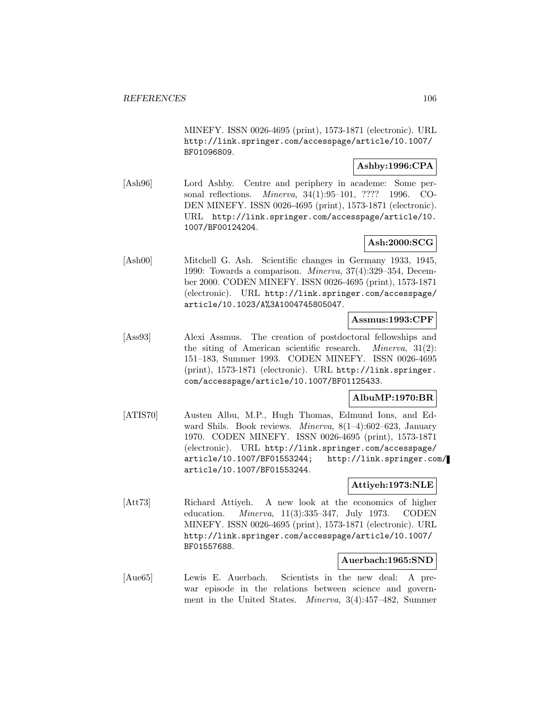MINEFY. ISSN 0026-4695 (print), 1573-1871 (electronic). URL http://link.springer.com/accesspage/article/10.1007/ BF01096809.

# **Ashby:1996:CPA**

[Ash96] Lord Ashby. Centre and periphery in academe: Some personal reflections. Minerva, 34(1):95–101, ???? 1996. CO-DEN MINEFY. ISSN 0026-4695 (print), 1573-1871 (electronic). URL http://link.springer.com/accesspage/article/10. 1007/BF00124204.

# **Ash:2000:SCG**

[Ash00] Mitchell G. Ash. Scientific changes in Germany 1933, 1945, 1990: Towards a comparison. Minerva, 37(4):329–354, December 2000. CODEN MINEFY. ISSN 0026-4695 (print), 1573-1871 (electronic). URL http://link.springer.com/accesspage/ article/10.1023/A%3A1004745805047.

# **Assmus:1993:CPF**

[Ass93] Alexi Assmus. The creation of postdoctoral fellowships and the siting of American scientific research. Minerva, 31(2): 151–183, Summer 1993. CODEN MINEFY. ISSN 0026-4695 (print), 1573-1871 (electronic). URL http://link.springer. com/accesspage/article/10.1007/BF01125433.

# **AlbuMP:1970:BR**

[ATIS70] Austen Albu, M.P., Hugh Thomas, Edmund Ions, and Edward Shils. Book reviews. Minerva, 8(1–4):602–623, January 1970. CODEN MINEFY. ISSN 0026-4695 (print), 1573-1871 (electronic). URL http://link.springer.com/accesspage/ article/10.1007/BF01553244; http://link.springer.com/ article/10.1007/BF01553244.

## **Attiyeh:1973:NLE**

[Att73] Richard Attiyeh. A new look at the economics of higher education. Minerva, 11(3):335–347, July 1973. CODEN MINEFY. ISSN 0026-4695 (print), 1573-1871 (electronic). URL http://link.springer.com/accesspage/article/10.1007/ BF01557688.

## **Auerbach:1965:SND**

[Aue65] Lewis E. Auerbach. Scientists in the new deal: A prewar episode in the relations between science and government in the United States. Minerva, 3(4):457–482, Summer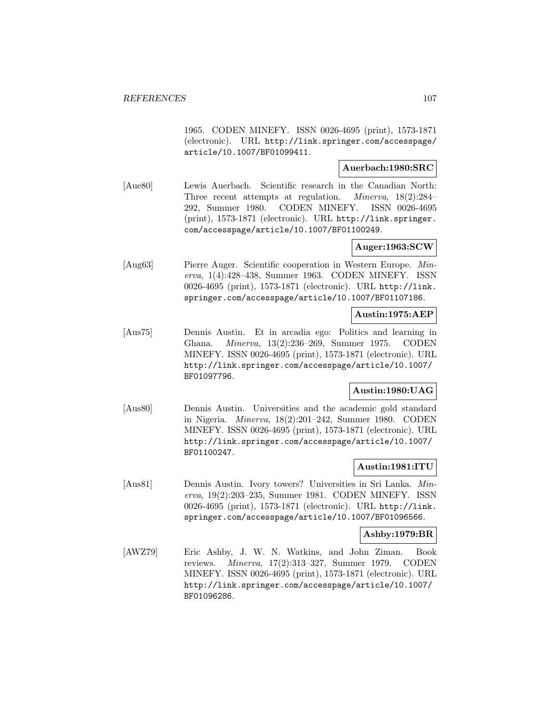1965. CODEN MINEFY. ISSN 0026-4695 (print), 1573-1871 (electronic). URL http://link.springer.com/accesspage/ article/10.1007/BF01099411.

## **Auerbach:1980:SRC**

[Aue80] Lewis Auerbach. Scientific research in the Canadian North: Three recent attempts at regulation. Minerva, 18(2):284– 292, Summer 1980. CODEN MINEFY. ISSN 0026-4695 (print), 1573-1871 (electronic). URL http://link.springer. com/accesspage/article/10.1007/BF01100249.

## **Auger:1963:SCW**

[Aug63] Pierre Auger. Scientific cooperation in Western Europe. Minerva, 1(4):428–438, Summer 1963. CODEN MINEFY. ISSN 0026-4695 (print), 1573-1871 (electronic). URL http://link. springer.com/accesspage/article/10.1007/BF01107186.

## **Austin:1975:AEP**

[Aus75] Dennis Austin. Et in arcadia ego: Politics and learning in Ghana. Minerva, 13(2):236–269, Summer 1975. CODEN MINEFY. ISSN 0026-4695 (print), 1573-1871 (electronic). URL http://link.springer.com/accesspage/article/10.1007/ BF01097796.

# **Austin:1980:UAG**

[Aus80] Dennis Austin. Universities and the academic gold standard in Nigeria. Minerva, 18(2):201–242, Summer 1980. CODEN MINEFY. ISSN 0026-4695 (print), 1573-1871 (electronic). URL http://link.springer.com/accesspage/article/10.1007/ BF01100247.

# **Austin:1981:ITU**

[Aus81] Dennis Austin. Ivory towers? Universities in Sri Lanka. Minerva, 19(2):203–235, Summer 1981. CODEN MINEFY. ISSN 0026-4695 (print), 1573-1871 (electronic). URL http://link. springer.com/accesspage/article/10.1007/BF01096566.

## **Ashby:1979:BR**

[AWZ79] Eric Ashby, J. W. N. Watkins, and John Ziman. Book reviews. Minerva, 17(2):313–327, Summer 1979. CODEN MINEFY. ISSN 0026-4695 (print), 1573-1871 (electronic). URL http://link.springer.com/accesspage/article/10.1007/ BF01096286.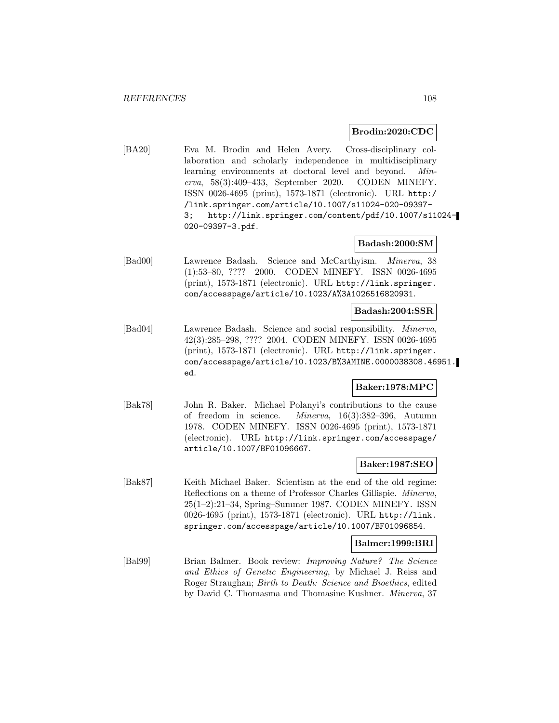#### **Brodin:2020:CDC**

[BA20] Eva M. Brodin and Helen Avery. Cross-disciplinary collaboration and scholarly independence in multidisciplinary learning environments at doctoral level and beyond. Minerva, 58(3):409–433, September 2020. CODEN MINEFY. ISSN 0026-4695 (print), 1573-1871 (electronic). URL http:/ /link.springer.com/article/10.1007/s11024-020-09397- 3; http://link.springer.com/content/pdf/10.1007/s11024- 020-09397-3.pdf.

# **Badash:2000:SM**

[Bad00] Lawrence Badash. Science and McCarthyism. Minerva, 38 (1):53–80, ???? 2000. CODEN MINEFY. ISSN 0026-4695 (print), 1573-1871 (electronic). URL http://link.springer. com/accesspage/article/10.1023/A%3A1026516820931.

### **Badash:2004:SSR**

[Bad04] Lawrence Badash. Science and social responsibility. Minerva, 42(3):285–298, ???? 2004. CODEN MINEFY. ISSN 0026-4695 (print), 1573-1871 (electronic). URL http://link.springer. com/accesspage/article/10.1023/B%3AMINE.0000038308.46951. ed.

## **Baker:1978:MPC**

[Bak78] John R. Baker. Michael Polanyi's contributions to the cause of freedom in science. Minerva, 16(3):382–396, Autumn 1978. CODEN MINEFY. ISSN 0026-4695 (print), 1573-1871 (electronic). URL http://link.springer.com/accesspage/ article/10.1007/BF01096667.

## **Baker:1987:SEO**

[Bak87] Keith Michael Baker. Scientism at the end of the old regime: Reflections on a theme of Professor Charles Gillispie. Minerva, 25(1–2):21–34, Spring–Summer 1987. CODEN MINEFY. ISSN 0026-4695 (print), 1573-1871 (electronic). URL http://link. springer.com/accesspage/article/10.1007/BF01096854.

# **Balmer:1999:BRI**

[Bal99] Brian Balmer. Book review: Improving Nature? The Science and Ethics of Genetic Engineering, by Michael J. Reiss and Roger Straughan; Birth to Death: Science and Bioethics, edited by David C. Thomasma and Thomasine Kushner. Minerva, 37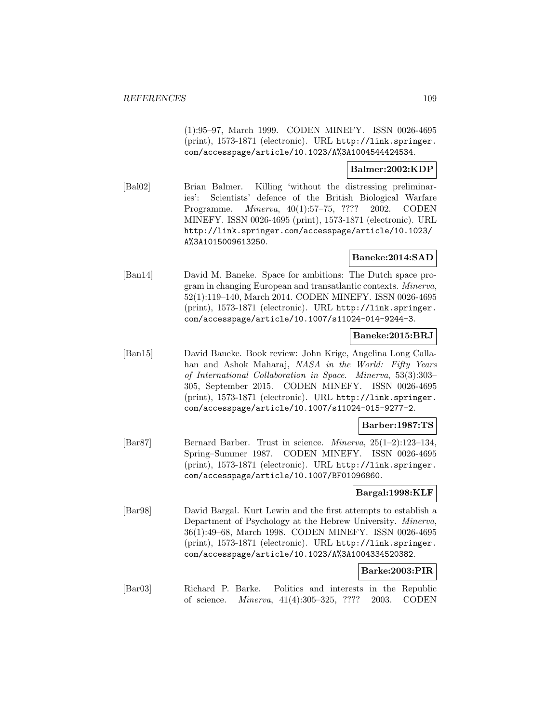(1):95–97, March 1999. CODEN MINEFY. ISSN 0026-4695 (print), 1573-1871 (electronic). URL http://link.springer. com/accesspage/article/10.1023/A%3A1004544424534.

# **Balmer:2002:KDP**

[Bal02] Brian Balmer. Killing 'without the distressing preliminaries': Scientists' defence of the British Biological Warfare Programme. Minerva, 40(1):57–75, ???? 2002. CODEN MINEFY. ISSN 0026-4695 (print), 1573-1871 (electronic). URL http://link.springer.com/accesspage/article/10.1023/ A%3A1015009613250.

# **Baneke:2014:SAD**

[Ban14] David M. Baneke. Space for ambitions: The Dutch space program in changing European and transatlantic contexts. Minerva, 52(1):119–140, March 2014. CODEN MINEFY. ISSN 0026-4695 (print), 1573-1871 (electronic). URL http://link.springer. com/accesspage/article/10.1007/s11024-014-9244-3.

# **Baneke:2015:BRJ**

[Ban15] David Baneke. Book review: John Krige, Angelina Long Callahan and Ashok Maharaj, NASA in the World: Fifty Years of International Collaboration in Space. Minerva, 53(3):303– 305, September 2015. CODEN MINEFY. ISSN 0026-4695 (print), 1573-1871 (electronic). URL http://link.springer. com/accesspage/article/10.1007/s11024-015-9277-2.

# **Barber:1987:TS**

[Bar87] Bernard Barber. Trust in science. Minerva, 25(1–2):123–134, Spring–Summer 1987. CODEN MINEFY. ISSN 0026-4695 (print), 1573-1871 (electronic). URL http://link.springer. com/accesspage/article/10.1007/BF01096860.

# **Bargal:1998:KLF**

[Bar98] David Bargal. Kurt Lewin and the first attempts to establish a Department of Psychology at the Hebrew University. Minerva, 36(1):49–68, March 1998. CODEN MINEFY. ISSN 0026-4695 (print), 1573-1871 (electronic). URL http://link.springer. com/accesspage/article/10.1023/A%3A1004334520382.

# **Barke:2003:PIR**

[Bar03] Richard P. Barke. Politics and interests in the Republic of science. Minerva, 41(4):305–325, ???? 2003. CODEN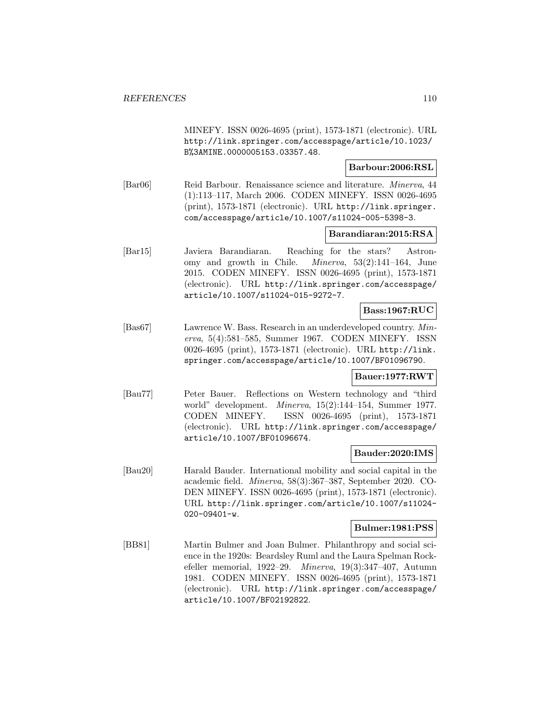MINEFY. ISSN 0026-4695 (print), 1573-1871 (electronic). URL http://link.springer.com/accesspage/article/10.1023/ B%3AMINE.0000005153.03357.48.

# **Barbour:2006:RSL**

[Bar06] Reid Barbour. Renaissance science and literature. *Minerva*, 44 (1):113–117, March 2006. CODEN MINEFY. ISSN 0026-4695 (print), 1573-1871 (electronic). URL http://link.springer. com/accesspage/article/10.1007/s11024-005-5398-3.

# **Barandiaran:2015:RSA**

[Bar15] Javiera Barandiaran. Reaching for the stars? Astronomy and growth in Chile. Minerva, 53(2):141–164, June 2015. CODEN MINEFY. ISSN 0026-4695 (print), 1573-1871 (electronic). URL http://link.springer.com/accesspage/ article/10.1007/s11024-015-9272-7.

#### **Bass:1967:RUC**

[Bas67] Lawrence W. Bass. Research in an underdeveloped country. Minerva, 5(4):581–585, Summer 1967. CODEN MINEFY. ISSN 0026-4695 (print), 1573-1871 (electronic). URL http://link. springer.com/accesspage/article/10.1007/BF01096790.

# **Bauer:1977:RWT**

[Bau77] Peter Bauer. Reflections on Western technology and "third world" development. Minerva, 15(2):144–154, Summer 1977. CODEN MINEFY. ISSN 0026-4695 (print), 1573-1871 (electronic). URL http://link.springer.com/accesspage/ article/10.1007/BF01096674.

# **Bauder:2020:IMS**

[Bau20] Harald Bauder. International mobility and social capital in the academic field. Minerva, 58(3):367–387, September 2020. CO-DEN MINEFY. ISSN 0026-4695 (print), 1573-1871 (electronic). URL http://link.springer.com/article/10.1007/s11024- 020-09401-w.

# **Bulmer:1981:PSS**

[BB81] Martin Bulmer and Joan Bulmer. Philanthropy and social science in the 1920s: Beardsley Ruml and the Laura Spelman Rockefeller memorial, 1922–29. Minerva, 19(3):347–407, Autumn 1981. CODEN MINEFY. ISSN 0026-4695 (print), 1573-1871 (electronic). URL http://link.springer.com/accesspage/ article/10.1007/BF02192822.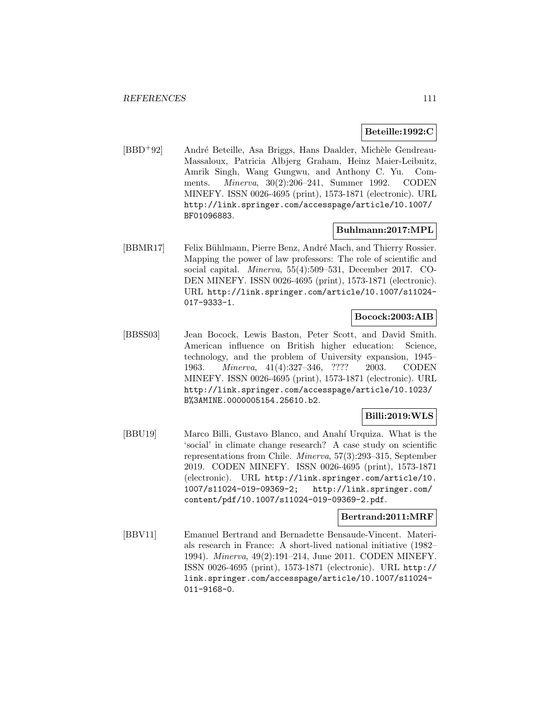# **Beteille:1992:C**

[BBD<sup>+</sup>92] André Beteille, Asa Briggs, Hans Daalder, Michèle Gendreau-Massaloux, Patricia Albjerg Graham, Heinz Maier-Leibnitz, Amrik Singh, Wang Gungwu, and Anthony C. Yu. Comments. Minerva, 30(2):206–241, Summer 1992. CODEN MINEFY. ISSN 0026-4695 (print), 1573-1871 (electronic). URL http://link.springer.com/accesspage/article/10.1007/ BF01096883.

# **Buhlmann:2017:MPL**

[BBMR17] Felix Bühlmann, Pierre Benz, André Mach, and Thierry Rossier. Mapping the power of law professors: The role of scientific and social capital. Minerva, 55(4):509–531, December 2017. CO-DEN MINEFY. ISSN 0026-4695 (print), 1573-1871 (electronic). URL http://link.springer.com/article/10.1007/s11024- 017-9333-1.

# **Bocock:2003:AIB**

[BBSS03] Jean Bocock, Lewis Baston, Peter Scott, and David Smith. American influence on British higher education: Science, technology, and the problem of University expansion, 1945– 1963. Minerva, 41(4):327–346, ???? 2003. CODEN MINEFY. ISSN 0026-4695 (print), 1573-1871 (electronic). URL http://link.springer.com/accesspage/article/10.1023/ B%3AMINE.0000005154.25610.b2.

# **Billi:2019:WLS**

[BBU19] Marco Billi, Gustavo Blanco, and Anahí Urquiza. What is the 'social' in climate change research? A case study on scientific representations from Chile. Minerva, 57(3):293–315, September 2019. CODEN MINEFY. ISSN 0026-4695 (print), 1573-1871 (electronic). URL http://link.springer.com/article/10. 1007/s11024-019-09369-2; http://link.springer.com/ content/pdf/10.1007/s11024-019-09369-2.pdf.

# **Bertrand:2011:MRF**

[BBV11] Emanuel Bertrand and Bernadette Bensaude-Vincent. Materials research in France: A short-lived national initiative (1982– 1994). Minerva, 49(2):191–214, June 2011. CODEN MINEFY. ISSN 0026-4695 (print), 1573-1871 (electronic). URL http:// link.springer.com/accesspage/article/10.1007/s11024- 011-9168-0.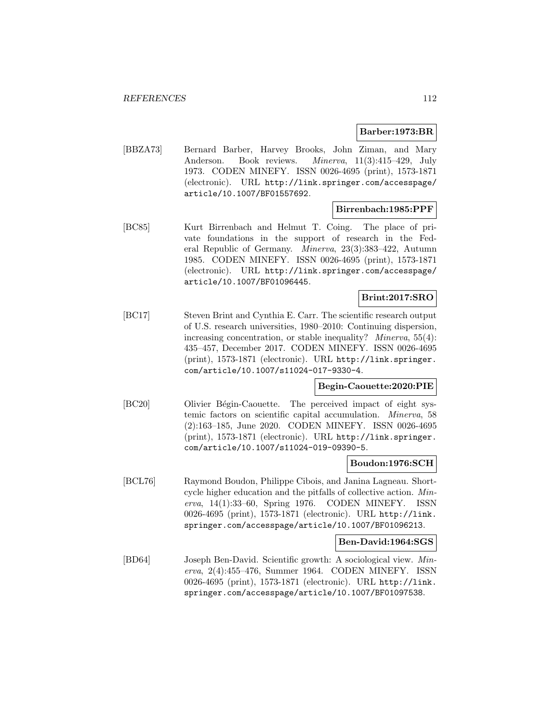# **Barber:1973:BR**

[BBZA73] Bernard Barber, Harvey Brooks, John Ziman, and Mary Anderson. Book reviews. *Minerva*, 11(3):415–429, July 1973. CODEN MINEFY. ISSN 0026-4695 (print), 1573-1871 (electronic). URL http://link.springer.com/accesspage/ article/10.1007/BF01557692.

#### **Birrenbach:1985:PPF**

[BC85] Kurt Birrenbach and Helmut T. Coing. The place of private foundations in the support of research in the Federal Republic of Germany. Minerva, 23(3):383–422, Autumn 1985. CODEN MINEFY. ISSN 0026-4695 (print), 1573-1871 (electronic). URL http://link.springer.com/accesspage/ article/10.1007/BF01096445.

# **Brint:2017:SRO**

[BC17] Steven Brint and Cynthia E. Carr. The scientific research output of U.S. research universities, 1980–2010: Continuing dispersion, increasing concentration, or stable inequality? *Minerva*, 55(4): 435–457, December 2017. CODEN MINEFY. ISSN 0026-4695 (print), 1573-1871 (electronic). URL http://link.springer. com/article/10.1007/s11024-017-9330-4.

# **Begin-Caouette:2020:PIE**

[BC20] Olivier Bégin-Caouette. The perceived impact of eight systemic factors on scientific capital accumulation. Minerva, 58 (2):163–185, June 2020. CODEN MINEFY. ISSN 0026-4695 (print), 1573-1871 (electronic). URL http://link.springer. com/article/10.1007/s11024-019-09390-5.

#### **Boudon:1976:SCH**

[BCL76] Raymond Boudon, Philippe Cibois, and Janina Lagneau. Shortcycle higher education and the pitfalls of collective action. Minerva,  $14(1):33-60$ , Spring 1976. CODEN MINEFY. ISSN 0026-4695 (print), 1573-1871 (electronic). URL http://link. springer.com/accesspage/article/10.1007/BF01096213.

# **Ben-David:1964:SGS**

[BD64] Joseph Ben-David. Scientific growth: A sociological view. Minerva, 2(4):455–476, Summer 1964. CODEN MINEFY. ISSN 0026-4695 (print), 1573-1871 (electronic). URL http://link. springer.com/accesspage/article/10.1007/BF01097538.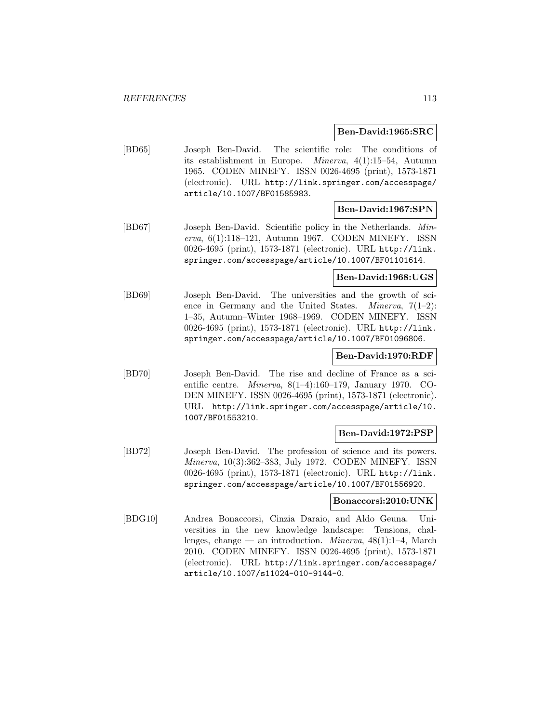#### **Ben-David:1965:SRC**

[BD65] Joseph Ben-David. The scientific role: The conditions of its establishment in Europe. Minerva, 4(1):15–54, Autumn 1965. CODEN MINEFY. ISSN 0026-4695 (print), 1573-1871 (electronic). URL http://link.springer.com/accesspage/ article/10.1007/BF01585983.

#### **Ben-David:1967:SPN**

[BD67] Joseph Ben-David. Scientific policy in the Netherlands. Minerva, 6(1):118–121, Autumn 1967. CODEN MINEFY. ISSN 0026-4695 (print), 1573-1871 (electronic). URL http://link. springer.com/accesspage/article/10.1007/BF01101614.

#### **Ben-David:1968:UGS**

[BD69] Joseph Ben-David. The universities and the growth of science in Germany and the United States. *Minerva*,  $7(1-2)$ : 1–35, Autumn–Winter 1968–1969. CODEN MINEFY. ISSN 0026-4695 (print), 1573-1871 (electronic). URL http://link. springer.com/accesspage/article/10.1007/BF01096806.

# **Ben-David:1970:RDF**

[BD70] Joseph Ben-David. The rise and decline of France as a scientific centre. Minerva, 8(1–4):160–179, January 1970. CO-DEN MINEFY. ISSN 0026-4695 (print), 1573-1871 (electronic). URL http://link.springer.com/accesspage/article/10. 1007/BF01553210.

#### **Ben-David:1972:PSP**

[BD72] Joseph Ben-David. The profession of science and its powers. Minerva, 10(3):362–383, July 1972. CODEN MINEFY. ISSN 0026-4695 (print), 1573-1871 (electronic). URL http://link. springer.com/accesspage/article/10.1007/BF01556920.

#### **Bonaccorsi:2010:UNK**

[BDG10] Andrea Bonaccorsi, Cinzia Daraio, and Aldo Geuna. Universities in the new knowledge landscape: Tensions, challenges, change — an introduction. *Minerva*,  $48(1):1-4$ , March 2010. CODEN MINEFY. ISSN 0026-4695 (print), 1573-1871 (electronic). URL http://link.springer.com/accesspage/ article/10.1007/s11024-010-9144-0.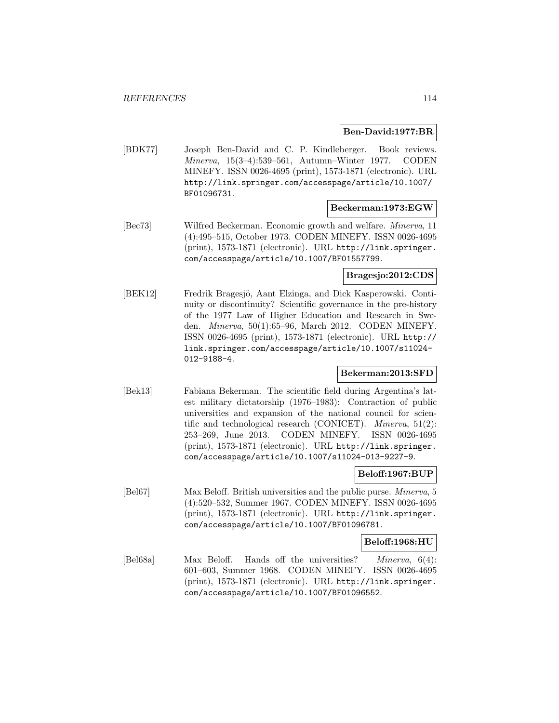#### **Ben-David:1977:BR**

[BDK77] Joseph Ben-David and C. P. Kindleberger. Book reviews. Minerva, 15(3–4):539–561, Autumn–Winter 1977. CODEN MINEFY. ISSN 0026-4695 (print), 1573-1871 (electronic). URL http://link.springer.com/accesspage/article/10.1007/ BF01096731.

#### **Beckerman:1973:EGW**

[Bec73] Wilfred Beckerman. Economic growth and welfare. Minerva, 11 (4):495–515, October 1973. CODEN MINEFY. ISSN 0026-4695 (print), 1573-1871 (electronic). URL http://link.springer. com/accesspage/article/10.1007/BF01557799.

# **Bragesjo:2012:CDS**

[BEK12] Fredrik Bragesjö, Aant Elzinga, and Dick Kasperowski. Continuity or discontinuity? Scientific governance in the pre-history of the 1977 Law of Higher Education and Research in Sweden. Minerva, 50(1):65–96, March 2012. CODEN MINEFY. ISSN 0026-4695 (print), 1573-1871 (electronic). URL http:// link.springer.com/accesspage/article/10.1007/s11024- 012-9188-4.

#### **Bekerman:2013:SFD**

[Bek13] Fabiana Bekerman. The scientific field during Argentina's latest military dictatorship (1976–1983): Contraction of public universities and expansion of the national council for scientific and technological research (CONICET). Minerva, 51(2): 253–269, June 2013. CODEN MINEFY. ISSN 0026-4695 (print), 1573-1871 (electronic). URL http://link.springer. com/accesspage/article/10.1007/s11024-013-9227-9.

# **Beloff:1967:BUP**

[Bel67] Max Beloff. British universities and the public purse. Minerva, 5 (4):520–532, Summer 1967. CODEN MINEFY. ISSN 0026-4695 (print), 1573-1871 (electronic). URL http://link.springer. com/accesspage/article/10.1007/BF01096781.

# **Beloff:1968:HU**

[Bel68a] Max Beloff. Hands off the universities? Minerva, 6(4): 601–603, Summer 1968. CODEN MINEFY. ISSN 0026-4695 (print), 1573-1871 (electronic). URL http://link.springer. com/accesspage/article/10.1007/BF01096552.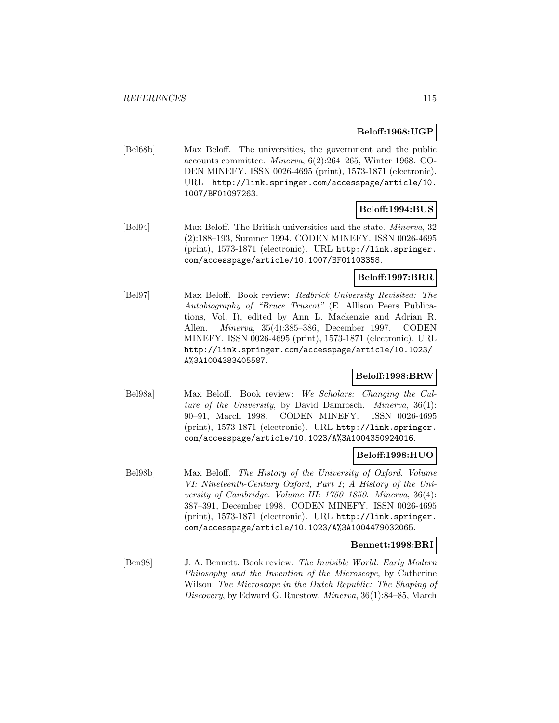#### **Beloff:1968:UGP**

[Bel68b] Max Beloff. The universities, the government and the public accounts committee. Minerva, 6(2):264–265, Winter 1968. CO-DEN MINEFY. ISSN 0026-4695 (print), 1573-1871 (electronic). URL http://link.springer.com/accesspage/article/10. 1007/BF01097263.

# **Beloff:1994:BUS**

[Bel94] Max Beloff. The British universities and the state. Minerva, 32 (2):188–193, Summer 1994. CODEN MINEFY. ISSN 0026-4695 (print), 1573-1871 (electronic). URL http://link.springer. com/accesspage/article/10.1007/BF01103358.

# **Beloff:1997:BRR**

[Bel97] Max Beloff. Book review: Redbrick University Revisited: The Autobiography of "Bruce Truscot" (E. Allison Peers Publications, Vol. I), edited by Ann L. Mackenzie and Adrian R. Allen. Minerva, 35(4):385–386, December 1997. CODEN MINEFY. ISSN 0026-4695 (print), 1573-1871 (electronic). URL http://link.springer.com/accesspage/article/10.1023/ A%3A1004383405587.

# **Beloff:1998:BRW**

[Bel98a] Max Beloff. Book review: We Scholars: Changing the Culture of the University, by David Damrosch. Minerva, 36(1): 90–91, March 1998. CODEN MINEFY. ISSN 0026-4695 (print), 1573-1871 (electronic). URL http://link.springer. com/accesspage/article/10.1023/A%3A1004350924016.

# **Beloff:1998:HUO**

[Bel98b] Max Beloff. The History of the University of Oxford. Volume VI: Nineteenth-Century Oxford, Part 1; A History of the University of Cambridge. Volume III: 1750–1850. Minerva, 36(4): 387–391, December 1998. CODEN MINEFY. ISSN 0026-4695 (print), 1573-1871 (electronic). URL http://link.springer. com/accesspage/article/10.1023/A%3A1004479032065.

# **Bennett:1998:BRI**

[Ben98] J. A. Bennett. Book review: The Invisible World: Early Modern Philosophy and the Invention of the Microscope, by Catherine Wilson; The Microscope in the Dutch Republic: The Shaping of Discovery, by Edward G. Ruestow. Minerva, 36(1):84–85, March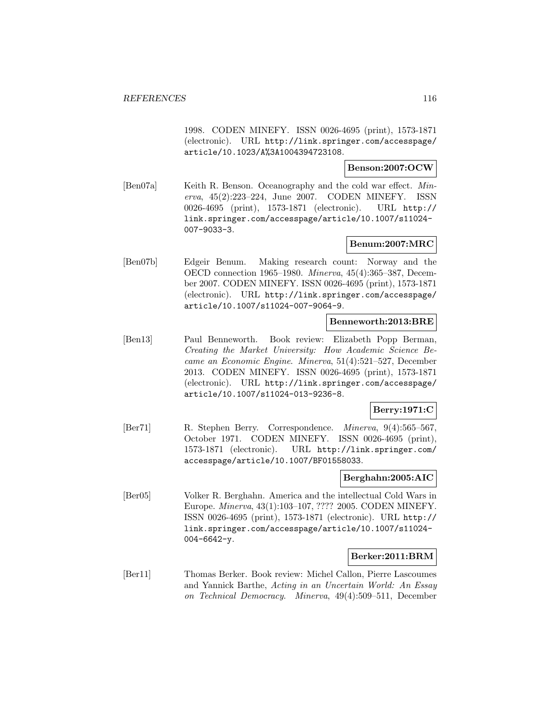1998. CODEN MINEFY. ISSN 0026-4695 (print), 1573-1871 (electronic). URL http://link.springer.com/accesspage/ article/10.1023/A%3A1004394723108.

# **Benson:2007:OCW**

[Ben07a] Keith R. Benson. Oceanography and the cold war effect. Minerva, 45(2):223–224, June 2007. CODEN MINEFY. ISSN 0026-4695 (print), 1573-1871 (electronic). URL http:// link.springer.com/accesspage/article/10.1007/s11024- 007-9033-3.

# **Benum:2007:MRC**

[Ben07b] Edgeir Benum. Making research count: Norway and the OECD connection 1965–1980. Minerva, 45(4):365–387, December 2007. CODEN MINEFY. ISSN 0026-4695 (print), 1573-1871 (electronic). URL http://link.springer.com/accesspage/ article/10.1007/s11024-007-9064-9.

# **Benneworth:2013:BRE**

[Ben13] Paul Benneworth. Book review: Elizabeth Popp Berman, Creating the Market University: How Academic Science Became an Economic Engine. Minerva, 51(4):521–527, December 2013. CODEN MINEFY. ISSN 0026-4695 (print), 1573-1871 (electronic). URL http://link.springer.com/accesspage/ article/10.1007/s11024-013-9236-8.

# **Berry:1971:C**

[Ber71] R. Stephen Berry. Correspondence. Minerva, 9(4):565–567, October 1971. CODEN MINEFY. ISSN 0026-4695 (print), 1573-1871 (electronic). URL http://link.springer.com/ accesspage/article/10.1007/BF01558033.

#### **Berghahn:2005:AIC**

[Ber05] Volker R. Berghahn. America and the intellectual Cold Wars in Europe. Minerva, 43(1):103–107, ???? 2005. CODEN MINEFY. ISSN 0026-4695 (print), 1573-1871 (electronic). URL http:// link.springer.com/accesspage/article/10.1007/s11024- 004-6642-y.

#### **Berker:2011:BRM**

[Ber11] Thomas Berker. Book review: Michel Callon, Pierre Lascoumes and Yannick Barthe, Acting in an Uncertain World: An Essay on Technical Democracy. Minerva, 49(4):509–511, December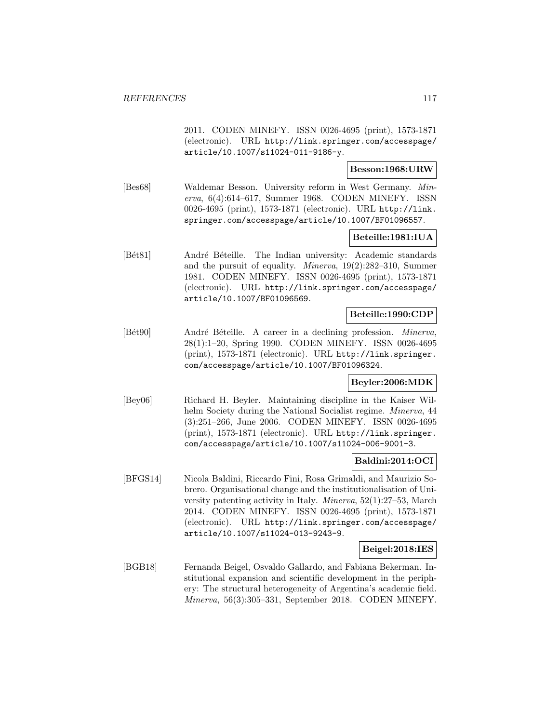2011. CODEN MINEFY. ISSN 0026-4695 (print), 1573-1871 (electronic). URL http://link.springer.com/accesspage/ article/10.1007/s11024-011-9186-y.

# **Besson:1968:URW**

[Bes68] Waldemar Besson. University reform in West Germany. Minerva, 6(4):614–617, Summer 1968. CODEN MINEFY. ISSN 0026-4695 (print), 1573-1871 (electronic). URL http://link. springer.com/accesspage/article/10.1007/BF01096557.

# **Beteille:1981:IUA**

[Bét81] André Béteille. The Indian university: Academic standards and the pursuit of equality. Minerva, 19(2):282–310, Summer 1981. CODEN MINEFY. ISSN 0026-4695 (print), 1573-1871 (electronic). URL http://link.springer.com/accesspage/ article/10.1007/BF01096569.

#### **Beteille:1990:CDP**

[Bét90] André Béteille. A career in a declining profession. *Minerva*, 28(1):1–20, Spring 1990. CODEN MINEFY. ISSN 0026-4695 (print), 1573-1871 (electronic). URL http://link.springer. com/accesspage/article/10.1007/BF01096324.

# **Beyler:2006:MDK**

[Bey06] Richard H. Beyler. Maintaining discipline in the Kaiser Wilhelm Society during the National Socialist regime. *Minerva*, 44 (3):251–266, June 2006. CODEN MINEFY. ISSN 0026-4695 (print), 1573-1871 (electronic). URL http://link.springer. com/accesspage/article/10.1007/s11024-006-9001-3.

# **Baldini:2014:OCI**

[BFGS14] Nicola Baldini, Riccardo Fini, Rosa Grimaldi, and Maurizio Sobrero. Organisational change and the institutionalisation of University patenting activity in Italy. Minerva, 52(1):27–53, March 2014. CODEN MINEFY. ISSN 0026-4695 (print), 1573-1871 (electronic). URL http://link.springer.com/accesspage/ article/10.1007/s11024-013-9243-9.

#### **Beigel:2018:IES**

[BGB18] Fernanda Beigel, Osvaldo Gallardo, and Fabiana Bekerman. Institutional expansion and scientific development in the periphery: The structural heterogeneity of Argentina's academic field. Minerva, 56(3):305–331, September 2018. CODEN MINEFY.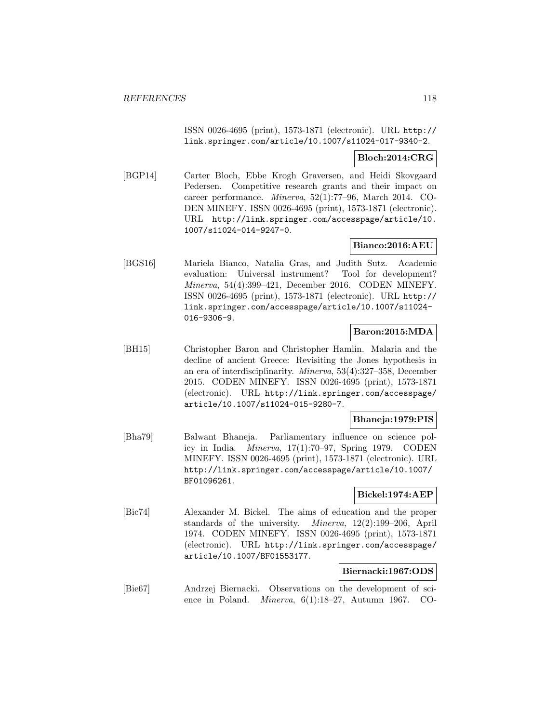ISSN 0026-4695 (print), 1573-1871 (electronic). URL http:// link.springer.com/article/10.1007/s11024-017-9340-2.

# **Bloch:2014:CRG**

[BGP14] Carter Bloch, Ebbe Krogh Graversen, and Heidi Skovgaard Pedersen. Competitive research grants and their impact on career performance. Minerva, 52(1):77–96, March 2014. CO-DEN MINEFY. ISSN 0026-4695 (print), 1573-1871 (electronic). URL http://link.springer.com/accesspage/article/10. 1007/s11024-014-9247-0.

# **Bianco:2016:AEU**

[BGS16] Mariela Bianco, Natalia Gras, and Judith Sutz. Academic evaluation: Universal instrument? Tool for development? Minerva, 54(4):399–421, December 2016. CODEN MINEFY. ISSN 0026-4695 (print), 1573-1871 (electronic). URL http:// link.springer.com/accesspage/article/10.1007/s11024- 016-9306-9.

# **Baron:2015:MDA**

[BH15] Christopher Baron and Christopher Hamlin. Malaria and the decline of ancient Greece: Revisiting the Jones hypothesis in an era of interdisciplinarity. Minerva, 53(4):327–358, December 2015. CODEN MINEFY. ISSN 0026-4695 (print), 1573-1871 (electronic). URL http://link.springer.com/accesspage/ article/10.1007/s11024-015-9280-7.

# **Bhaneja:1979:PIS**

[Bha79] Balwant Bhaneja. Parliamentary influence on science policy in India. Minerva, 17(1):70–97, Spring 1979. CODEN MINEFY. ISSN 0026-4695 (print), 1573-1871 (electronic). URL http://link.springer.com/accesspage/article/10.1007/ BF01096261.

# **Bickel:1974:AEP**

[Bic74] Alexander M. Bickel. The aims of education and the proper standards of the university. Minerva, 12(2):199–206, April 1974. CODEN MINEFY. ISSN 0026-4695 (print), 1573-1871 (electronic). URL http://link.springer.com/accesspage/ article/10.1007/BF01553177.

# **Biernacki:1967:ODS**

[Bie67] Andrzej Biernacki. Observations on the development of science in Poland. Minerva, 6(1):18–27, Autumn 1967. CO-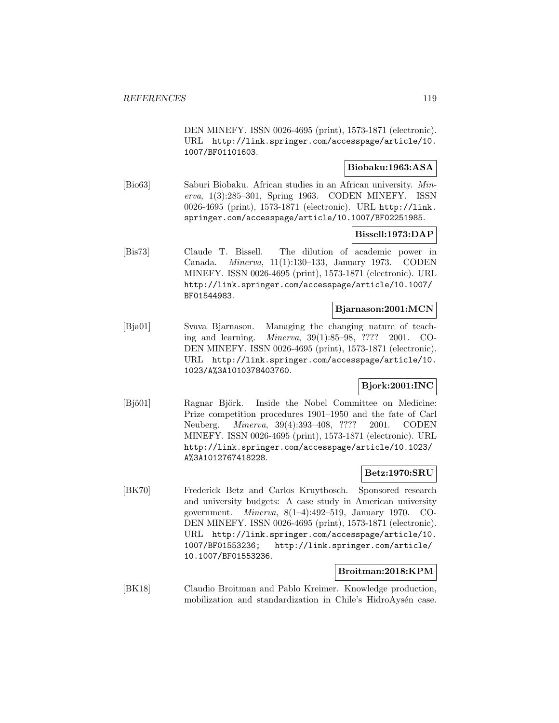DEN MINEFY. ISSN 0026-4695 (print), 1573-1871 (electronic). URL http://link.springer.com/accesspage/article/10. 1007/BF01101603.

#### **Biobaku:1963:ASA**

[Bio63] Saburi Biobaku. African studies in an African university. Minerva, 1(3):285–301, Spring 1963. CODEN MINEFY. ISSN 0026-4695 (print), 1573-1871 (electronic). URL http://link. springer.com/accesspage/article/10.1007/BF02251985.

# **Bissell:1973:DAP**

[Bis73] Claude T. Bissell. The dilution of academic power in Canada. Minerva, 11(1):130–133, January 1973. CODEN MINEFY. ISSN 0026-4695 (print), 1573-1871 (electronic). URL http://link.springer.com/accesspage/article/10.1007/ BF01544983.

#### **Bjarnason:2001:MCN**

[Bja01] Svava Bjarnason. Managing the changing nature of teaching and learning. Minerva, 39(1):85–98, ???? 2001. CO-DEN MINEFY. ISSN 0026-4695 (print), 1573-1871 (electronic). URL http://link.springer.com/accesspage/article/10. 1023/A%3A1010378403760.

# **Bjork:2001:INC**

[Bjö01] Ragnar Björk. Inside the Nobel Committee on Medicine: Prize competition procedures 1901–1950 and the fate of Carl Neuberg. Minerva, 39(4):393–408, ???? 2001. CODEN MINEFY. ISSN 0026-4695 (print), 1573-1871 (electronic). URL http://link.springer.com/accesspage/article/10.1023/ A%3A1012767418228.

# **Betz:1970:SRU**

[BK70] Frederick Betz and Carlos Kruytbosch. Sponsored research and university budgets: A case study in American university government. Minerva, 8(1–4):492–519, January 1970. CO-DEN MINEFY. ISSN 0026-4695 (print), 1573-1871 (electronic). URL http://link.springer.com/accesspage/article/10. 1007/BF01553236; http://link.springer.com/article/ 10.1007/BF01553236.

# **Broitman:2018:KPM**

[BK18] Claudio Broitman and Pablo Kreimer. Knowledge production, mobilization and standardization in Chile's HidroAysen case.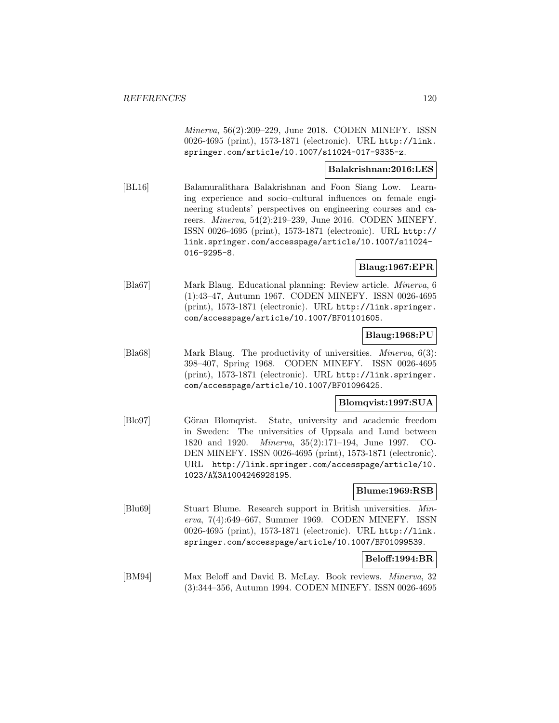Minerva, 56(2):209–229, June 2018. CODEN MINEFY. ISSN 0026-4695 (print), 1573-1871 (electronic). URL http://link. springer.com/article/10.1007/s11024-017-9335-z.

# **Balakrishnan:2016:LES**

[BL16] Balamuralithara Balakrishnan and Foon Siang Low. Learning experience and socio–cultural influences on female engineering students' perspectives on engineering courses and careers. Minerva, 54(2):219–239, June 2016. CODEN MINEFY. ISSN 0026-4695 (print), 1573-1871 (electronic). URL http:// link.springer.com/accesspage/article/10.1007/s11024- 016-9295-8.

# **Blaug:1967:EPR**

[Bla67] Mark Blaug. Educational planning: Review article. Minerva, 6 (1):43–47, Autumn 1967. CODEN MINEFY. ISSN 0026-4695 (print), 1573-1871 (electronic). URL http://link.springer. com/accesspage/article/10.1007/BF01101605.

# **Blaug:1968:PU**

[Bla68] Mark Blaug. The productivity of universities. Minerva, 6(3): 398–407, Spring 1968. CODEN MINEFY. ISSN 0026-4695 (print), 1573-1871 (electronic). URL http://link.springer. com/accesspage/article/10.1007/BF01096425.

# **Blomqvist:1997:SUA**

[Blo97] Göran Blomqvist. State, university and academic freedom in Sweden: The universities of Uppsala and Lund between 1820 and 1920. Minerva, 35(2):171–194, June 1997. CO-DEN MINEFY. ISSN 0026-4695 (print), 1573-1871 (electronic). URL http://link.springer.com/accesspage/article/10. 1023/A%3A1004246928195.

# **Blume:1969:RSB**

[Blu69] Stuart Blume. Research support in British universities. Minerva, 7(4):649–667, Summer 1969. CODEN MINEFY. ISSN 0026-4695 (print), 1573-1871 (electronic). URL http://link. springer.com/accesspage/article/10.1007/BF01099539.

# **Beloff:1994:BR**

[BM94] Max Beloff and David B. McLay. Book reviews. Minerva, 32 (3):344–356, Autumn 1994. CODEN MINEFY. ISSN 0026-4695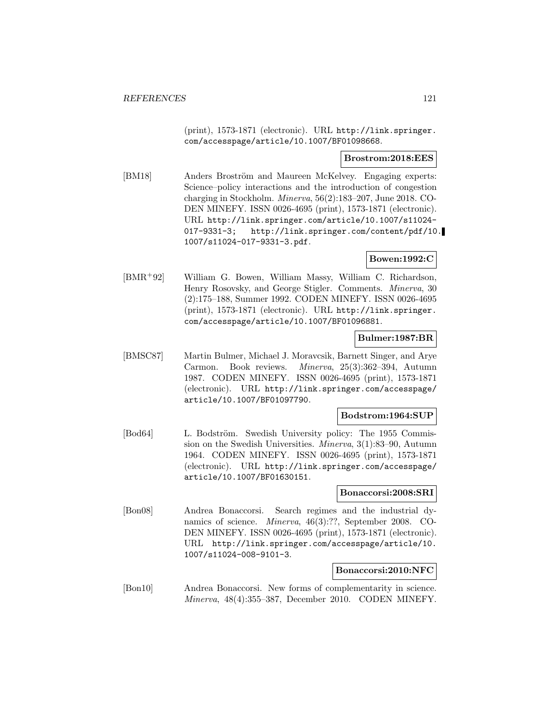(print), 1573-1871 (electronic). URL http://link.springer. com/accesspage/article/10.1007/BF01098668.

#### **Brostrom:2018:EES**

[BM18] Anders Broström and Maureen McKelvey. Engaging experts: Science–policy interactions and the introduction of congestion charging in Stockholm. Minerva, 56(2):183–207, June 2018. CO-DEN MINEFY. ISSN 0026-4695 (print), 1573-1871 (electronic). URL http://link.springer.com/article/10.1007/s11024- 017-9331-3; http://link.springer.com/content/pdf/10. 1007/s11024-017-9331-3.pdf.

# **Bowen:1992:C**

[BMR<sup>+</sup>92] William G. Bowen, William Massy, William C. Richardson, Henry Rosovsky, and George Stigler. Comments. Minerva, 30 (2):175–188, Summer 1992. CODEN MINEFY. ISSN 0026-4695 (print), 1573-1871 (electronic). URL http://link.springer. com/accesspage/article/10.1007/BF01096881.

# **Bulmer:1987:BR**

[BMSC87] Martin Bulmer, Michael J. Moravcsik, Barnett Singer, and Arye Carmon. Book reviews. Minerva, 25(3):362–394, Autumn 1987. CODEN MINEFY. ISSN 0026-4695 (print), 1573-1871 (electronic). URL http://link.springer.com/accesspage/ article/10.1007/BF01097790.

# **Bodstrom:1964:SUP**

[Bod64] L. Bodström. Swedish University policy: The 1955 Commission on the Swedish Universities. Minerva, 3(1):83–90, Autumn 1964. CODEN MINEFY. ISSN 0026-4695 (print), 1573-1871 (electronic). URL http://link.springer.com/accesspage/ article/10.1007/BF01630151.

#### **Bonaccorsi:2008:SRI**

[Bon08] Andrea Bonaccorsi. Search regimes and the industrial dynamics of science. Minerva, 46(3):??, September 2008. CO-DEN MINEFY. ISSN 0026-4695 (print), 1573-1871 (electronic). URL http://link.springer.com/accesspage/article/10. 1007/s11024-008-9101-3.

#### **Bonaccorsi:2010:NFC**

[Bon10] Andrea Bonaccorsi. New forms of complementarity in science. Minerva, 48(4):355–387, December 2010. CODEN MINEFY.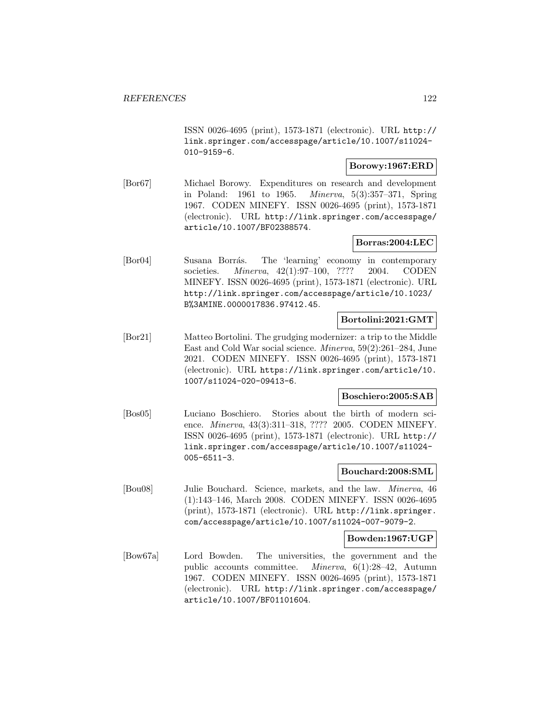ISSN 0026-4695 (print), 1573-1871 (electronic). URL http:// link.springer.com/accesspage/article/10.1007/s11024- 010-9159-6.

#### **Borowy:1967:ERD**

[Bor67] Michael Borowy. Expenditures on research and development in Poland: 1961 to 1965. Minerva, 5(3):357–371, Spring 1967. CODEN MINEFY. ISSN 0026-4695 (print), 1573-1871 (electronic). URL http://link.springer.com/accesspage/ article/10.1007/BF02388574.

# **Borras:2004:LEC**

[Bor04] Susana Borrás. The 'learning' economy in contemporary societies. Minerva, 42(1):97–100, ???? 2004. CODEN MINEFY. ISSN 0026-4695 (print), 1573-1871 (electronic). URL http://link.springer.com/accesspage/article/10.1023/ B%3AMINE.0000017836.97412.45.

# **Bortolini:2021:GMT**

[Bor21] Matteo Bortolini. The grudging modernizer: a trip to the Middle East and Cold War social science. Minerva, 59(2):261–284, June 2021. CODEN MINEFY. ISSN 0026-4695 (print), 1573-1871 (electronic). URL https://link.springer.com/article/10. 1007/s11024-020-09413-6.

# **Boschiero:2005:SAB**

[Bos05] Luciano Boschiero. Stories about the birth of modern science. Minerva, 43(3):311–318, ???? 2005. CODEN MINEFY. ISSN 0026-4695 (print), 1573-1871 (electronic). URL http:// link.springer.com/accesspage/article/10.1007/s11024- 005-6511-3.

#### **Bouchard:2008:SML**

[Bou08] Julie Bouchard. Science, markets, and the law. Minerva, 46 (1):143–146, March 2008. CODEN MINEFY. ISSN 0026-4695 (print), 1573-1871 (electronic). URL http://link.springer. com/accesspage/article/10.1007/s11024-007-9079-2.

#### **Bowden:1967:UGP**

[Bow67a] Lord Bowden. The universities, the government and the public accounts committee. Minerva, 6(1):28–42, Autumn 1967. CODEN MINEFY. ISSN 0026-4695 (print), 1573-1871 (electronic). URL http://link.springer.com/accesspage/ article/10.1007/BF01101604.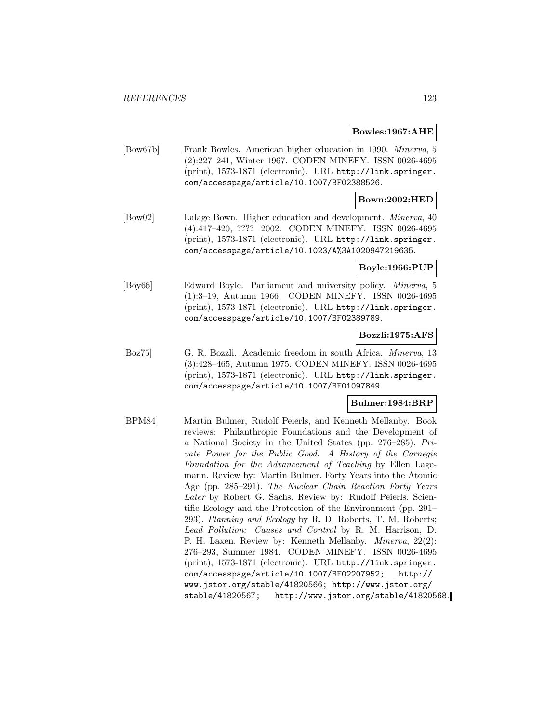#### **Bowles:1967:AHE**

[Bow67b] Frank Bowles. American higher education in 1990. Minerva, 5 (2):227–241, Winter 1967. CODEN MINEFY. ISSN 0026-4695 (print), 1573-1871 (electronic). URL http://link.springer. com/accesspage/article/10.1007/BF02388526.

# **Bown:2002:HED**

[Bow02] Lalage Bown. Higher education and development. Minerva, 40 (4):417–420, ???? 2002. CODEN MINEFY. ISSN 0026-4695 (print), 1573-1871 (electronic). URL http://link.springer. com/accesspage/article/10.1023/A%3A1020947219635.

# **Boyle:1966:PUP**

[Boy66] Edward Boyle. Parliament and university policy. Minerva, 5 (1):3–19, Autumn 1966. CODEN MINEFY. ISSN 0026-4695 (print), 1573-1871 (electronic). URL http://link.springer. com/accesspage/article/10.1007/BF02389789.

#### **Bozzli:1975:AFS**

[Boz75] G. R. Bozzli. Academic freedom in south Africa. Minerva, 13 (3):428–465, Autumn 1975. CODEN MINEFY. ISSN 0026-4695 (print), 1573-1871 (electronic). URL http://link.springer. com/accesspage/article/10.1007/BF01097849.

# **Bulmer:1984:BRP**

[BPM84] Martin Bulmer, Rudolf Peierls, and Kenneth Mellanby. Book reviews: Philanthropic Foundations and the Development of a National Society in the United States (pp. 276–285). Private Power for the Public Good: A History of the Carnegie Foundation for the Advancement of Teaching by Ellen Lagemann. Review by: Martin Bulmer. Forty Years into the Atomic Age (pp. 285–291). The Nuclear Chain Reaction Forty Years Later by Robert G. Sachs. Review by: Rudolf Peierls. Scientific Ecology and the Protection of the Environment (pp. 291– 293). Planning and Ecology by R. D. Roberts, T. M. Roberts; Lead Pollution: Causes and Control by R. M. Harrison, D. P. H. Laxen. Review by: Kenneth Mellanby. Minerva, 22(2): 276–293, Summer 1984. CODEN MINEFY. ISSN 0026-4695 (print), 1573-1871 (electronic). URL http://link.springer. com/accesspage/article/10.1007/BF02207952; http:// www.jstor.org/stable/41820566; http://www.jstor.org/ stable/41820567; http://www.jstor.org/stable/41820568.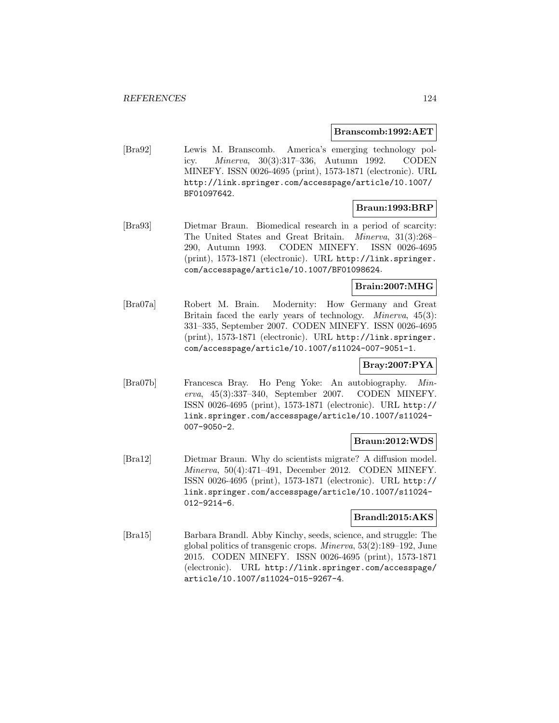#### **Branscomb:1992:AET**

[Bra92] Lewis M. Branscomb. America's emerging technology policy. Minerva, 30(3):317–336, Autumn 1992. CODEN MINEFY. ISSN 0026-4695 (print), 1573-1871 (electronic). URL http://link.springer.com/accesspage/article/10.1007/ BF01097642.

# **Braun:1993:BRP**

[Bra93] Dietmar Braun. Biomedical research in a period of scarcity: The United States and Great Britain. Minerva, 31(3):268– 290, Autumn 1993. CODEN MINEFY. ISSN 0026-4695 (print), 1573-1871 (electronic). URL http://link.springer. com/accesspage/article/10.1007/BF01098624.

# **Brain:2007:MHG**

[Bra07a] Robert M. Brain. Modernity: How Germany and Great Britain faced the early years of technology. *Minerva*, 45(3): 331–335, September 2007. CODEN MINEFY. ISSN 0026-4695 (print), 1573-1871 (electronic). URL http://link.springer. com/accesspage/article/10.1007/s11024-007-9051-1.

# **Bray:2007:PYA**

[Bra07b] Francesca Bray. Ho Peng Yoke: An autobiography. Minerva, 45(3):337–340, September 2007. CODEN MINEFY. ISSN 0026-4695 (print), 1573-1871 (electronic). URL http:// link.springer.com/accesspage/article/10.1007/s11024- 007-9050-2.

# **Braun:2012:WDS**

[Bra12] Dietmar Braun. Why do scientists migrate? A diffusion model. Minerva, 50(4):471–491, December 2012. CODEN MINEFY. ISSN 0026-4695 (print), 1573-1871 (electronic). URL http:// link.springer.com/accesspage/article/10.1007/s11024- 012-9214-6.

# **Brandl:2015:AKS**

[Bra15] Barbara Brandl. Abby Kinchy, seeds, science, and struggle: The global politics of transgenic crops. Minerva, 53(2):189–192, June 2015. CODEN MINEFY. ISSN 0026-4695 (print), 1573-1871 (electronic). URL http://link.springer.com/accesspage/ article/10.1007/s11024-015-9267-4.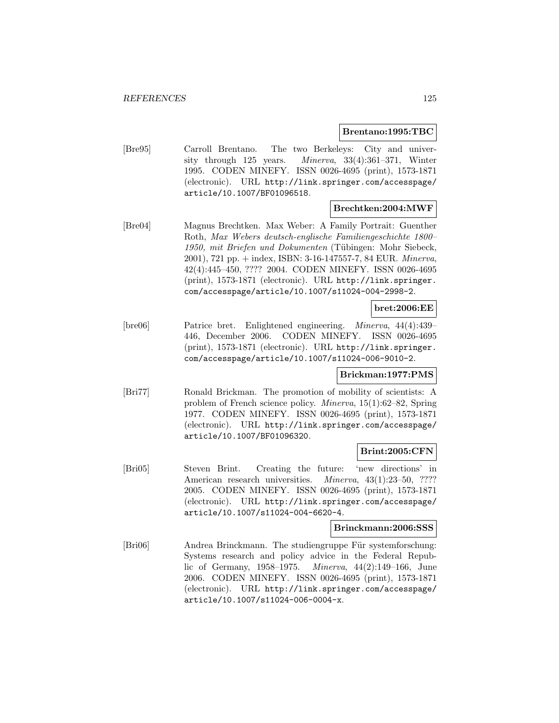#### **Brentano:1995:TBC**

[Bre95] Carroll Brentano. The two Berkeleys: City and university through 125 years. Minerva, 33(4):361–371, Winter 1995. CODEN MINEFY. ISSN 0026-4695 (print), 1573-1871 (electronic). URL http://link.springer.com/accesspage/ article/10.1007/BF01096518.

# **Brechtken:2004:MWF**

[Bre04] Magnus Brechtken. Max Weber: A Family Portrait: Guenther Roth, Max Webers deutsch-englische Familiengeschichte 1800– 1950, mit Briefen und Dokumenten (Tübingen: Mohr Siebeck, 2001), 721 pp. + index, ISBN: 3-16-147557-7, 84 EUR. Minerva, 42(4):445–450, ???? 2004. CODEN MINEFY. ISSN 0026-4695 (print), 1573-1871 (electronic). URL http://link.springer. com/accesspage/article/10.1007/s11024-004-2998-2.

#### **bret:2006:EE**

[bre06] Patrice bret. Enlightened engineering. Minerva, 44(4):439– 446, December 2006. CODEN MINEFY. ISSN 0026-4695 (print), 1573-1871 (electronic). URL http://link.springer. com/accesspage/article/10.1007/s11024-006-9010-2.

# **Brickman:1977:PMS**

[Bri77] Ronald Brickman. The promotion of mobility of scientists: A problem of French science policy. Minerva, 15(1):62–82, Spring 1977. CODEN MINEFY. ISSN 0026-4695 (print), 1573-1871 (electronic). URL http://link.springer.com/accesspage/ article/10.1007/BF01096320.

#### **Brint:2005:CFN**

[Bri05] Steven Brint. Creating the future: 'new directions' in American research universities. *Minerva*, 43(1):23–50, ???? 2005. CODEN MINEFY. ISSN 0026-4695 (print), 1573-1871 (electronic). URL http://link.springer.com/accesspage/ article/10.1007/s11024-004-6620-4.

#### **Brinckmann:2006:SSS**

[Bri06] Andrea Brinckmann. The studiengruppe Für systemforschung: Systems research and policy advice in the Federal Republic of Germany, 1958–1975. Minerva, 44(2):149–166, June 2006. CODEN MINEFY. ISSN 0026-4695 (print), 1573-1871 (electronic). URL http://link.springer.com/accesspage/ article/10.1007/s11024-006-0004-x.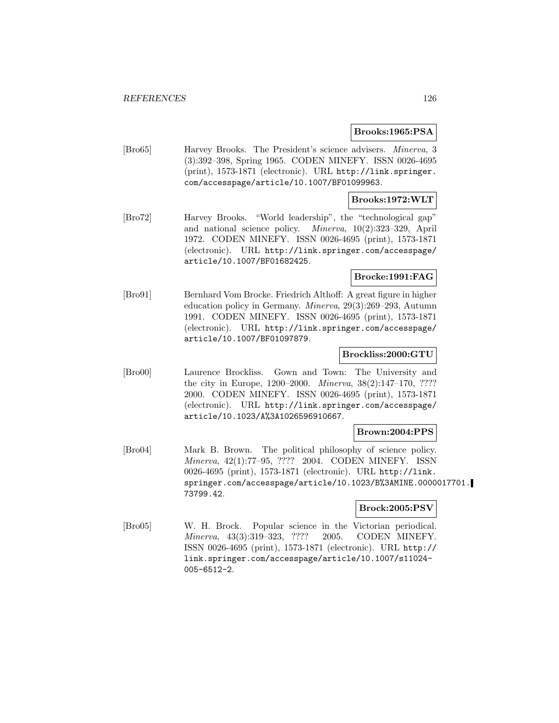#### **Brooks:1965:PSA**

[Bro65] Harvey Brooks. The President's science advisers. Minerva, 3 (3):392–398, Spring 1965. CODEN MINEFY. ISSN 0026-4695 (print), 1573-1871 (electronic). URL http://link.springer. com/accesspage/article/10.1007/BF01099963.

# **Brooks:1972:WLT**

[Bro72] Harvey Brooks. "World leadership", the "technological gap" and national science policy. Minerva, 10(2):323–329, April 1972. CODEN MINEFY. ISSN 0026-4695 (print), 1573-1871 (electronic). URL http://link.springer.com/accesspage/ article/10.1007/BF01682425.

# **Brocke:1991:FAG**

[Bro91] Bernhard Vom Brocke. Friedrich Althoff: A great figure in higher education policy in Germany. Minerva, 29(3):269–293, Autumn 1991. CODEN MINEFY. ISSN 0026-4695 (print), 1573-1871 (electronic). URL http://link.springer.com/accesspage/ article/10.1007/BF01097879.

#### **Brockliss:2000:GTU**

[Bro00] Laurence Brockliss. Gown and Town: The University and the city in Europe, 1200–2000. Minerva, 38(2):147–170, ???? 2000. CODEN MINEFY. ISSN 0026-4695 (print), 1573-1871 (electronic). URL http://link.springer.com/accesspage/ article/10.1023/A%3A1026596910667.

# **Brown:2004:PPS**

[Bro04] Mark B. Brown. The political philosophy of science policy. Minerva, 42(1):77–95, ???? 2004. CODEN MINEFY. ISSN 0026-4695 (print), 1573-1871 (electronic). URL http://link. springer.com/accesspage/article/10.1023/B%3AMINE.0000017701. 73799.42.

# **Brock:2005:PSV**

[Bro05] W. H. Brock. Popular science in the Victorian periodical. Minerva, 43(3):319–323, ???? 2005. CODEN MINEFY. ISSN 0026-4695 (print), 1573-1871 (electronic). URL http:// link.springer.com/accesspage/article/10.1007/s11024- 005-6512-2.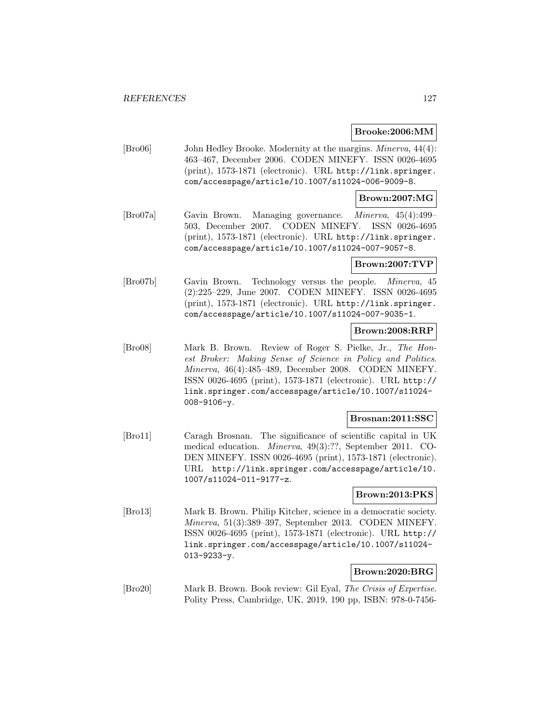#### **Brooke:2006:MM**

[Bro06] John Hedley Brooke. Modernity at the margins. Minerva, 44(4): 463–467, December 2006. CODEN MINEFY. ISSN 0026-4695 (print), 1573-1871 (electronic). URL http://link.springer. com/accesspage/article/10.1007/s11024-006-9009-8.

# **Brown:2007:MG**

[Bro07a] Gavin Brown. Managing governance. Minerva, 45(4):499– 503, December 2007. CODEN MINEFY. ISSN 0026-4695 (print), 1573-1871 (electronic). URL http://link.springer. com/accesspage/article/10.1007/s11024-007-9057-8.

#### **Brown:2007:TVP**

[Bro07b] Gavin Brown. Technology versus the people. Minerva, 45 (2):225–229, June 2007. CODEN MINEFY. ISSN 0026-4695 (print), 1573-1871 (electronic). URL http://link.springer. com/accesspage/article/10.1007/s11024-007-9035-1.

# **Brown:2008:RRP**

[Bro08] Mark B. Brown. Review of Roger S. Pielke, Jr., The Honest Broker: Making Sense of Science in Policy and Politics. Minerva, 46(4):485–489, December 2008. CODEN MINEFY. ISSN 0026-4695 (print), 1573-1871 (electronic). URL http:// link.springer.com/accesspage/article/10.1007/s11024- 008-9106-y.

#### **Brosnan:2011:SSC**

[Bro11] Caragh Brosnan. The significance of scientific capital in UK medical education. Minerva, 49(3):??, September 2011. CO-DEN MINEFY. ISSN 0026-4695 (print), 1573-1871 (electronic). URL http://link.springer.com/accesspage/article/10. 1007/s11024-011-9177-z.

# **Brown:2013:PKS**

[Bro13] Mark B. Brown. Philip Kitcher, science in a democratic society. Minerva, 51(3):389–397, September 2013. CODEN MINEFY. ISSN 0026-4695 (print), 1573-1871 (electronic). URL http:// link.springer.com/accesspage/article/10.1007/s11024- 013-9233-y.

# **Brown:2020:BRG**

[Bro20] Mark B. Brown. Book review: Gil Eyal, The Crisis of Expertise. Polity Press, Cambridge, UK, 2019, 190 pp, ISBN: 978-0-7456-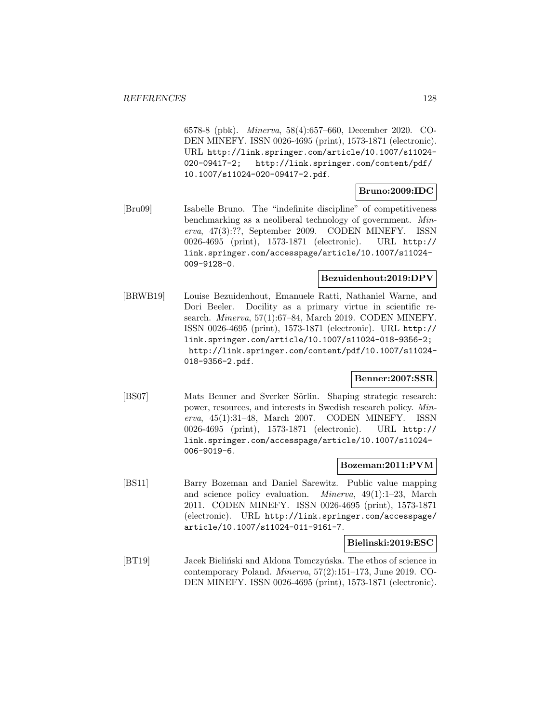6578-8 (pbk). Minerva, 58(4):657–660, December 2020. CO-DEN MINEFY. ISSN 0026-4695 (print), 1573-1871 (electronic). URL http://link.springer.com/article/10.1007/s11024- 020-09417-2; http://link.springer.com/content/pdf/ 10.1007/s11024-020-09417-2.pdf.

# **Bruno:2009:IDC**

[Bru09] Isabelle Bruno. The "indefinite discipline" of competitiveness benchmarking as a neoliberal technology of government. Minerva, 47(3):??, September 2009. CODEN MINEFY. ISSN 0026-4695 (print), 1573-1871 (electronic). URL http:// link.springer.com/accesspage/article/10.1007/s11024- 009-9128-0.

# **Bezuidenhout:2019:DPV**

[BRWB19] Louise Bezuidenhout, Emanuele Ratti, Nathaniel Warne, and Dori Beeler. Docility as a primary virtue in scientific research. Minerva, 57(1):67–84, March 2019. CODEN MINEFY. ISSN 0026-4695 (print), 1573-1871 (electronic). URL http:// link.springer.com/article/10.1007/s11024-018-9356-2; http://link.springer.com/content/pdf/10.1007/s11024- 018-9356-2.pdf.

# **Benner:2007:SSR**

[BS07] Mats Benner and Sverker Sörlin. Shaping strategic research: power, resources, and interests in Swedish research policy. Minerva, 45(1):31–48, March 2007. CODEN MINEFY. ISSN 0026-4695 (print), 1573-1871 (electronic). URL http:// link.springer.com/accesspage/article/10.1007/s11024- 006-9019-6.

# **Bozeman:2011:PVM**

[BS11] Barry Bozeman and Daniel Sarewitz. Public value mapping and science policy evaluation. Minerva, 49(1):1–23, March 2011. CODEN MINEFY. ISSN 0026-4695 (print), 1573-1871 (electronic). URL http://link.springer.com/accesspage/ article/10.1007/s11024-011-9161-7.

**Bielinski:2019:ESC**

[BT19] Jacek Bieliński and Aldona Tomczyńska. The ethos of science in contemporary Poland. Minerva, 57(2):151–173, June 2019. CO-DEN MINEFY. ISSN 0026-4695 (print), 1573-1871 (electronic).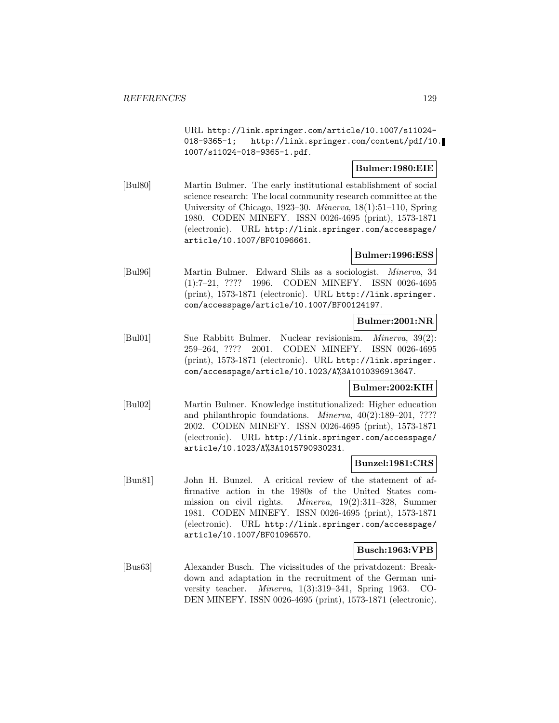URL http://link.springer.com/article/10.1007/s11024- 018-9365-1; http://link.springer.com/content/pdf/10. 1007/s11024-018-9365-1.pdf.

# **Bulmer:1980:EIE**

[Bul80] Martin Bulmer. The early institutional establishment of social science research: The local community research committee at the University of Chicago, 1923–30. Minerva, 18(1):51–110, Spring 1980. CODEN MINEFY. ISSN 0026-4695 (print), 1573-1871 (electronic). URL http://link.springer.com/accesspage/ article/10.1007/BF01096661.

# **Bulmer:1996:ESS**

[Bul96] Martin Bulmer. Edward Shils as a sociologist. Minerva, 34 (1):7–21, ???? 1996. CODEN MINEFY. ISSN 0026-4695 (print), 1573-1871 (electronic). URL http://link.springer. com/accesspage/article/10.1007/BF00124197.

# **Bulmer:2001:NR**

[Bul01] Sue Rabbitt Bulmer. Nuclear revisionism. Minerva, 39(2): 259–264, ???? 2001. CODEN MINEFY. ISSN 0026-4695 (print), 1573-1871 (electronic). URL http://link.springer. com/accesspage/article/10.1023/A%3A1010396913647.

# **Bulmer:2002:KIH**

[Bul02] Martin Bulmer. Knowledge institutionalized: Higher education and philanthropic foundations. Minerva, 40(2):189–201, ???? 2002. CODEN MINEFY. ISSN 0026-4695 (print), 1573-1871 (electronic). URL http://link.springer.com/accesspage/ article/10.1023/A%3A1015790930231.

# **Bunzel:1981:CRS**

[Bun81] John H. Bunzel. A critical review of the statement of affirmative action in the 1980s of the United States commission on civil rights. Minerva, 19(2):311–328, Summer 1981. CODEN MINEFY. ISSN 0026-4695 (print), 1573-1871 (electronic). URL http://link.springer.com/accesspage/ article/10.1007/BF01096570.

# **Busch:1963:VPB**

[Bus63] Alexander Busch. The vicissitudes of the privatdozent: Breakdown and adaptation in the recruitment of the German university teacher. Minerva, 1(3):319–341, Spring 1963. CO-DEN MINEFY. ISSN 0026-4695 (print), 1573-1871 (electronic).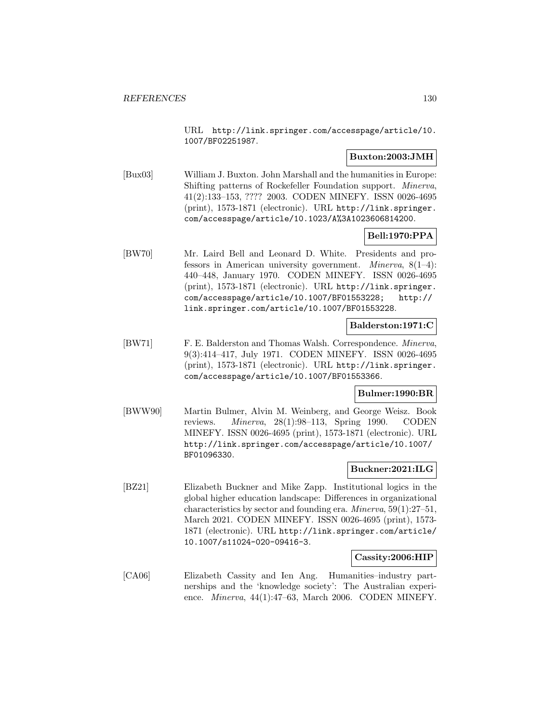URL http://link.springer.com/accesspage/article/10. 1007/BF02251987.

# **Buxton:2003:JMH**

[Bux03] William J. Buxton. John Marshall and the humanities in Europe: Shifting patterns of Rockefeller Foundation support. Minerva, 41(2):133–153, ???? 2003. CODEN MINEFY. ISSN 0026-4695 (print), 1573-1871 (electronic). URL http://link.springer. com/accesspage/article/10.1023/A%3A1023606814200.

# **Bell:1970:PPA**

[BW70] Mr. Laird Bell and Leonard D. White. Presidents and professors in American university government. Minerva, 8(1–4): 440–448, January 1970. CODEN MINEFY. ISSN 0026-4695 (print), 1573-1871 (electronic). URL http://link.springer. com/accesspage/article/10.1007/BF01553228; http:// link.springer.com/article/10.1007/BF01553228.

# **Balderston:1971:C**

[BW71] F. E. Balderston and Thomas Walsh. Correspondence. Minerva, 9(3):414–417, July 1971. CODEN MINEFY. ISSN 0026-4695 (print), 1573-1871 (electronic). URL http://link.springer. com/accesspage/article/10.1007/BF01553366.

# **Bulmer:1990:BR**

[BWW90] Martin Bulmer, Alvin M. Weinberg, and George Weisz. Book reviews. Minerva, 28(1):98–113, Spring 1990. CODEN MINEFY. ISSN 0026-4695 (print), 1573-1871 (electronic). URL http://link.springer.com/accesspage/article/10.1007/ BF01096330.

# **Buckner:2021:ILG**

[BZ21] Elizabeth Buckner and Mike Zapp. Institutional logics in the global higher education landscape: Differences in organizational characteristics by sector and founding era. Minerva, 59(1):27–51, March 2021. CODEN MINEFY. ISSN 0026-4695 (print), 1573- 1871 (electronic). URL http://link.springer.com/article/ 10.1007/s11024-020-09416-3.

# **Cassity:2006:HIP**

[CA06] Elizabeth Cassity and Ien Ang. Humanities–industry partnerships and the 'knowledge society': The Australian experience. Minerva, 44(1):47–63, March 2006. CODEN MINEFY.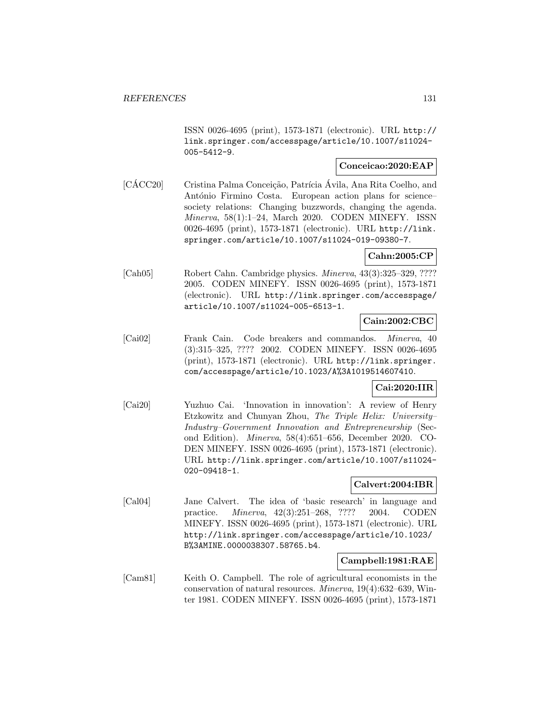ISSN 0026-4695 (print), 1573-1871 (electronic). URL http:// link.springer.com/accesspage/article/10.1007/s11024- 005-5412-9.

# **Conceicao:2020:EAP**

 $[C\angle ACC20]$  Cristina Palma Conceição, Patrícia Ávila, Ana Rita Coelho, and António Firmino Costa. European action plans for sciencesociety relations: Changing buzzwords, changing the agenda. Minerva, 58(1):1–24, March 2020. CODEN MINEFY. ISSN 0026-4695 (print), 1573-1871 (electronic). URL http://link. springer.com/article/10.1007/s11024-019-09380-7.

# **Cahn:2005:CP**

[Cah05] Robert Cahn. Cambridge physics. Minerva, 43(3):325–329, ???? 2005. CODEN MINEFY. ISSN 0026-4695 (print), 1573-1871 (electronic). URL http://link.springer.com/accesspage/ article/10.1007/s11024-005-6513-1.

# **Cain:2002:CBC**

[Cai02] Frank Cain. Code breakers and commandos. Minerva, 40 (3):315–325, ???? 2002. CODEN MINEFY. ISSN 0026-4695 (print), 1573-1871 (electronic). URL http://link.springer. com/accesspage/article/10.1023/A%3A1019514607410.

# **Cai:2020:IIR**

[Cai20] Yuzhuo Cai. 'Innovation in innovation': A review of Henry Etzkowitz and Chunyan Zhou, The Triple Helix: University– Industry–Government Innovation and Entrepreneurship (Second Edition). Minerva, 58(4):651–656, December 2020. CO-DEN MINEFY. ISSN 0026-4695 (print), 1573-1871 (electronic). URL http://link.springer.com/article/10.1007/s11024- 020-09418-1.

# **Calvert:2004:IBR**

[Cal04] Jane Calvert. The idea of 'basic research' in language and practice. Minerva, 42(3):251–268, ???? 2004. CODEN MINEFY. ISSN 0026-4695 (print), 1573-1871 (electronic). URL http://link.springer.com/accesspage/article/10.1023/ B%3AMINE.0000038307.58765.b4.

# **Campbell:1981:RAE**

[Cam81] Keith O. Campbell. The role of agricultural economists in the conservation of natural resources. Minerva, 19(4):632–639, Winter 1981. CODEN MINEFY. ISSN 0026-4695 (print), 1573-1871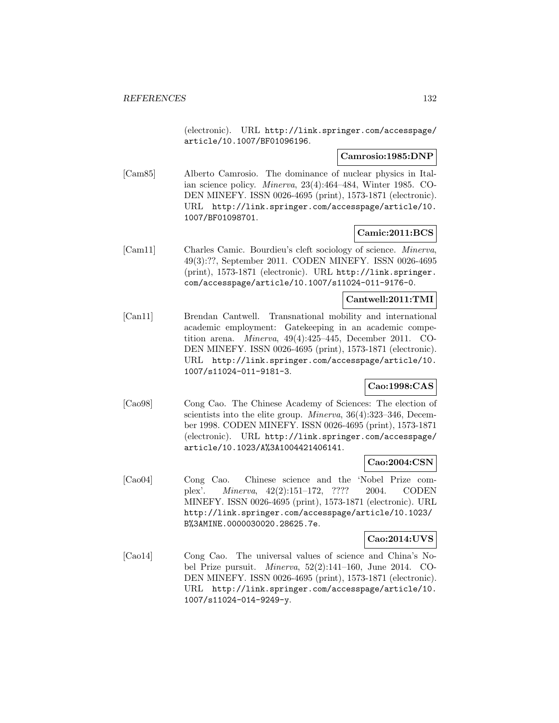(electronic). URL http://link.springer.com/accesspage/ article/10.1007/BF01096196.

#### **Camrosio:1985:DNP**

[Cam85] Alberto Camrosio. The dominance of nuclear physics in Italian science policy. Minerva, 23(4):464–484, Winter 1985. CO-DEN MINEFY. ISSN 0026-4695 (print), 1573-1871 (electronic). URL http://link.springer.com/accesspage/article/10. 1007/BF01098701.

# **Camic:2011:BCS**

[Cam11] Charles Camic. Bourdieu's cleft sociology of science. Minerva, 49(3):??, September 2011. CODEN MINEFY. ISSN 0026-4695 (print), 1573-1871 (electronic). URL http://link.springer. com/accesspage/article/10.1007/s11024-011-9176-0.

# **Cantwell:2011:TMI**

[Can11] Brendan Cantwell. Transnational mobility and international academic employment: Gatekeeping in an academic competition arena. Minerva, 49(4):425–445, December 2011. CO-DEN MINEFY. ISSN 0026-4695 (print), 1573-1871 (electronic). URL http://link.springer.com/accesspage/article/10. 1007/s11024-011-9181-3.

# **Cao:1998:CAS**

[Cao98] Cong Cao. The Chinese Academy of Sciences: The election of scientists into the elite group. *Minerva*, 36(4):323-346, December 1998. CODEN MINEFY. ISSN 0026-4695 (print), 1573-1871 (electronic). URL http://link.springer.com/accesspage/ article/10.1023/A%3A1004421406141.

# **Cao:2004:CSN**

[Cao04] Cong Cao. Chinese science and the 'Nobel Prize complex'. Minerva, 42(2):151–172, ???? 2004. CODEN MINEFY. ISSN 0026-4695 (print), 1573-1871 (electronic). URL http://link.springer.com/accesspage/article/10.1023/ B%3AMINE.0000030020.28625.7e.

# **Cao:2014:UVS**

[Cao14] Cong Cao. The universal values of science and China's Nobel Prize pursuit. Minerva, 52(2):141–160, June 2014. CO-DEN MINEFY. ISSN 0026-4695 (print), 1573-1871 (electronic). URL http://link.springer.com/accesspage/article/10. 1007/s11024-014-9249-y.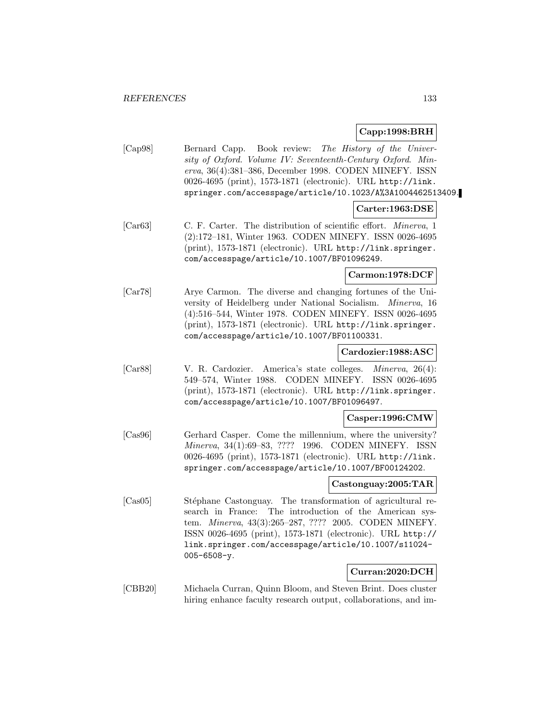# **Capp:1998:BRH**

[Cap98] Bernard Capp. Book review: The History of the University of Oxford. Volume IV: Seventeenth-Century Oxford. Minerva, 36(4):381–386, December 1998. CODEN MINEFY. ISSN 0026-4695 (print), 1573-1871 (electronic). URL http://link. springer.com/accesspage/article/10.1023/A%3A1004462513409.

#### **Carter:1963:DSE**

[Car63] C. F. Carter. The distribution of scientific effort. Minerva, 1 (2):172–181, Winter 1963. CODEN MINEFY. ISSN 0026-4695 (print), 1573-1871 (electronic). URL http://link.springer. com/accesspage/article/10.1007/BF01096249.

# **Carmon:1978:DCF**

[Car78] Arye Carmon. The diverse and changing fortunes of the University of Heidelberg under National Socialism. Minerva, 16 (4):516–544, Winter 1978. CODEN MINEFY. ISSN 0026-4695 (print), 1573-1871 (electronic). URL http://link.springer. com/accesspage/article/10.1007/BF01100331.

# **Cardozier:1988:ASC**

[Car88] V. R. Cardozier. America's state colleges. Minerva, 26(4): 549–574, Winter 1988. CODEN MINEFY. ISSN 0026-4695 (print), 1573-1871 (electronic). URL http://link.springer. com/accesspage/article/10.1007/BF01096497.

# **Casper:1996:CMW**

[Cas96] Gerhard Casper. Come the millennium, where the university? Minerva, 34(1):69–83, ???? 1996. CODEN MINEFY. ISSN 0026-4695 (print), 1573-1871 (electronic). URL http://link. springer.com/accesspage/article/10.1007/BF00124202.

# **Castonguay:2005:TAR**

[Cas05] Stéphane Castonguay. The transformation of agricultural research in France: The introduction of the American system. Minerva, 43(3):265–287, ???? 2005. CODEN MINEFY. ISSN 0026-4695 (print), 1573-1871 (electronic). URL http:// link.springer.com/accesspage/article/10.1007/s11024- 005-6508-y.

# **Curran:2020:DCH**

[CBB20] Michaela Curran, Quinn Bloom, and Steven Brint. Does cluster hiring enhance faculty research output, collaborations, and im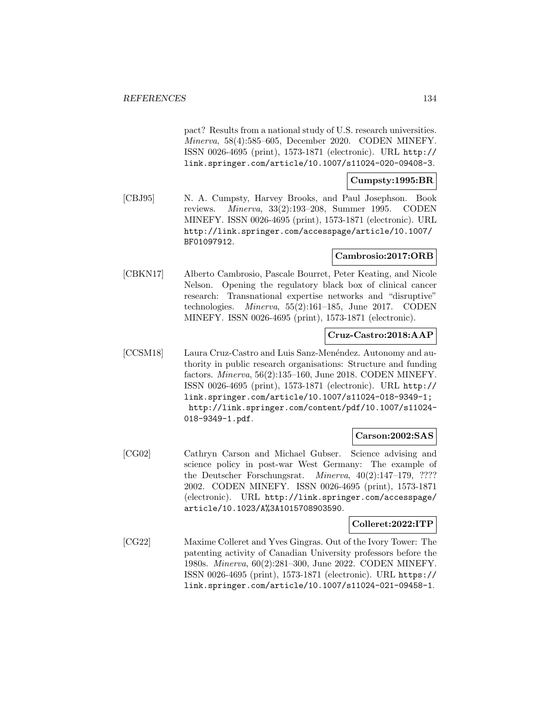pact? Results from a national study of U.S. research universities. Minerva, 58(4):585–605, December 2020. CODEN MINEFY. ISSN 0026-4695 (print), 1573-1871 (electronic). URL http:// link.springer.com/article/10.1007/s11024-020-09408-3.

# **Cumpsty:1995:BR**

[CBJ95] N. A. Cumpsty, Harvey Brooks, and Paul Josephson. Book reviews. Minerva, 33(2):193–208, Summer 1995. CODEN MINEFY. ISSN 0026-4695 (print), 1573-1871 (electronic). URL http://link.springer.com/accesspage/article/10.1007/ BF01097912.

# **Cambrosio:2017:ORB**

[CBKN17] Alberto Cambrosio, Pascale Bourret, Peter Keating, and Nicole Nelson. Opening the regulatory black box of clinical cancer research: Transnational expertise networks and "disruptive" technologies. Minerva, 55(2):161–185, June 2017. CODEN MINEFY. ISSN 0026-4695 (print), 1573-1871 (electronic).

# **Cruz-Castro:2018:AAP**

[CCSM18] Laura Cruz-Castro and Luis Sanz-Menéndez. Autonomy and authority in public research organisations: Structure and funding factors. Minerva, 56(2):135–160, June 2018. CODEN MINEFY. ISSN 0026-4695 (print), 1573-1871 (electronic). URL http:// link.springer.com/article/10.1007/s11024-018-9349-1; http://link.springer.com/content/pdf/10.1007/s11024- 018-9349-1.pdf.

# **Carson:2002:SAS**

[CG02] Cathryn Carson and Michael Gubser. Science advising and science policy in post-war West Germany: The example of the Deutscher Forschungsrat. Minerva, 40(2):147–179, ???? 2002. CODEN MINEFY. ISSN 0026-4695 (print), 1573-1871 (electronic). URL http://link.springer.com/accesspage/ article/10.1023/A%3A1015708903590.

#### **Colleret:2022:ITP**

[CG22] Maxime Colleret and Yves Gingras. Out of the Ivory Tower: The patenting activity of Canadian University professors before the 1980s. Minerva, 60(2):281–300, June 2022. CODEN MINEFY. ISSN 0026-4695 (print), 1573-1871 (electronic). URL https:// link.springer.com/article/10.1007/s11024-021-09458-1.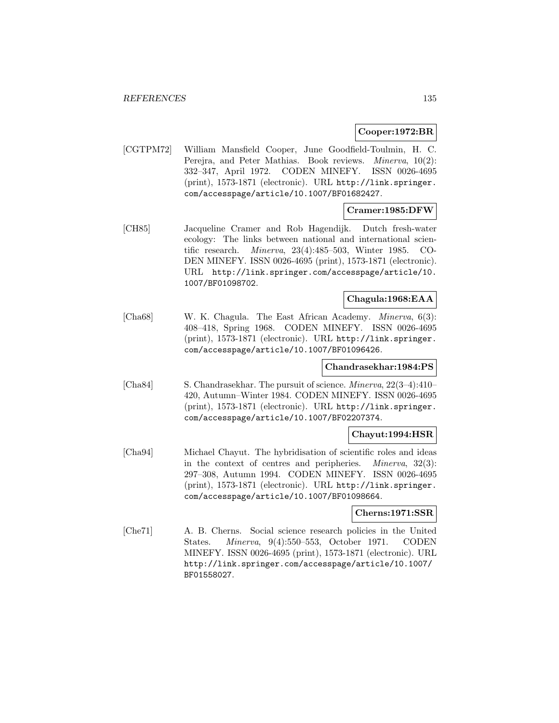# **Cooper:1972:BR**

[CGTPM72] William Mansfield Cooper, June Goodfield-Toulmin, H. C. Perejra, and Peter Mathias. Book reviews. *Minerva*, 10(2): 332–347, April 1972. CODEN MINEFY. ISSN 0026-4695 (print), 1573-1871 (electronic). URL http://link.springer. com/accesspage/article/10.1007/BF01682427.

# **Cramer:1985:DFW**

[CH85] Jacqueline Cramer and Rob Hagendijk. Dutch fresh-water ecology: The links between national and international scientific research. Minerva, 23(4):485–503, Winter 1985. CO-DEN MINEFY. ISSN 0026-4695 (print), 1573-1871 (electronic). URL http://link.springer.com/accesspage/article/10. 1007/BF01098702.

# **Chagula:1968:EAA**

[Cha68] W. K. Chagula. The East African Academy. Minerva, 6(3): 408–418, Spring 1968. CODEN MINEFY. ISSN 0026-4695 (print), 1573-1871 (electronic). URL http://link.springer. com/accesspage/article/10.1007/BF01096426.

# **Chandrasekhar:1984:PS**

[Cha84] S. Chandrasekhar. The pursuit of science. Minerva, 22(3–4):410– 420, Autumn–Winter 1984. CODEN MINEFY. ISSN 0026-4695 (print), 1573-1871 (electronic). URL http://link.springer. com/accesspage/article/10.1007/BF02207374.

# **Chayut:1994:HSR**

[Cha94] Michael Chayut. The hybridisation of scientific roles and ideas in the context of centres and peripheries. Minerva, 32(3): 297–308, Autumn 1994. CODEN MINEFY. ISSN 0026-4695 (print), 1573-1871 (electronic). URL http://link.springer. com/accesspage/article/10.1007/BF01098664.

#### **Cherns:1971:SSR**

[Che71] A. B. Cherns. Social science research policies in the United States. Minerva, 9(4):550–553, October 1971. CODEN MINEFY. ISSN 0026-4695 (print), 1573-1871 (electronic). URL http://link.springer.com/accesspage/article/10.1007/ BF01558027.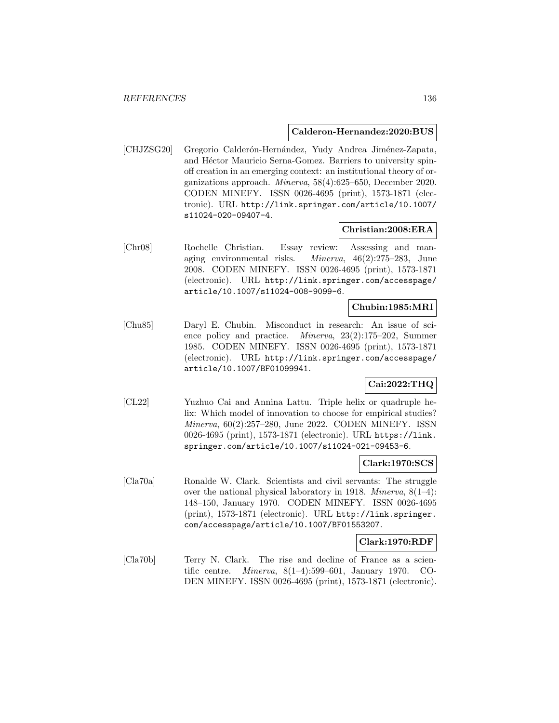#### **Calderon-Hernandez:2020:BUS**

[CHJZSG20] Gregorio Calderón-Hernández, Yudy Andrea Jiménez-Zapata, and Héctor Mauricio Serna-Gomez. Barriers to university spinoff creation in an emerging context: an institutional theory of organizations approach. Minerva, 58(4):625–650, December 2020. CODEN MINEFY. ISSN 0026-4695 (print), 1573-1871 (electronic). URL http://link.springer.com/article/10.1007/ s11024-020-09407-4.

# **Christian:2008:ERA**

[Chr08] Rochelle Christian. Essay review: Assessing and managing environmental risks. Minerva, 46(2):275–283, June 2008. CODEN MINEFY. ISSN 0026-4695 (print), 1573-1871 (electronic). URL http://link.springer.com/accesspage/ article/10.1007/s11024-008-9099-6.

# **Chubin:1985:MRI**

[Chu85] Daryl E. Chubin. Misconduct in research: An issue of science policy and practice. Minerva, 23(2):175–202, Summer 1985. CODEN MINEFY. ISSN 0026-4695 (print), 1573-1871 (electronic). URL http://link.springer.com/accesspage/ article/10.1007/BF01099941.

# **Cai:2022:THQ**

[CL22] Yuzhuo Cai and Annina Lattu. Triple helix or quadruple helix: Which model of innovation to choose for empirical studies? Minerva, 60(2):257–280, June 2022. CODEN MINEFY. ISSN 0026-4695 (print), 1573-1871 (electronic). URL https://link. springer.com/article/10.1007/s11024-021-09453-6.

# **Clark:1970:SCS**

[Cla70a] Ronalde W. Clark. Scientists and civil servants: The struggle over the national physical laboratory in 1918. Minerva, 8(1–4): 148–150, January 1970. CODEN MINEFY. ISSN 0026-4695 (print), 1573-1871 (electronic). URL http://link.springer. com/accesspage/article/10.1007/BF01553207.

# **Clark:1970:RDF**

[Cla70b] Terry N. Clark. The rise and decline of France as a scientific centre. Minerva, 8(1–4):599–601, January 1970. CO-DEN MINEFY. ISSN 0026-4695 (print), 1573-1871 (electronic).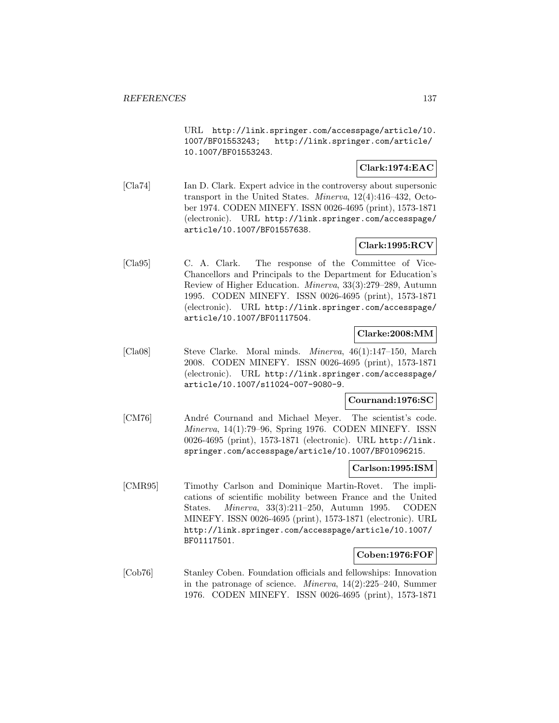URL http://link.springer.com/accesspage/article/10. 1007/BF01553243; http://link.springer.com/article/ 10.1007/BF01553243.

# **Clark:1974:EAC**

[Cla74] Ian D. Clark. Expert advice in the controversy about supersonic transport in the United States. Minerva, 12(4):416–432, October 1974. CODEN MINEFY. ISSN 0026-4695 (print), 1573-1871 (electronic). URL http://link.springer.com/accesspage/ article/10.1007/BF01557638.

# **Clark:1995:RCV**

[Cla95] C. A. Clark. The response of the Committee of Vice-Chancellors and Principals to the Department for Education's Review of Higher Education. Minerva, 33(3):279–289, Autumn 1995. CODEN MINEFY. ISSN 0026-4695 (print), 1573-1871 (electronic). URL http://link.springer.com/accesspage/ article/10.1007/BF01117504.

# **Clarke:2008:MM**

[Cla08] Steve Clarke. Moral minds. Minerva, 46(1):147–150, March 2008. CODEN MINEFY. ISSN 0026-4695 (print), 1573-1871 (electronic). URL http://link.springer.com/accesspage/ article/10.1007/s11024-007-9080-9.

# **Cournand:1976:SC**

[CM76] André Cournand and Michael Meyer. The scientist's code. Minerva, 14(1):79–96, Spring 1976. CODEN MINEFY. ISSN 0026-4695 (print), 1573-1871 (electronic). URL http://link. springer.com/accesspage/article/10.1007/BF01096215.

#### **Carlson:1995:ISM**

[CMR95] Timothy Carlson and Dominique Martin-Rovet. The implications of scientific mobility between France and the United States. Minerva, 33(3):211–250, Autumn 1995. CODEN MINEFY. ISSN 0026-4695 (print), 1573-1871 (electronic). URL http://link.springer.com/accesspage/article/10.1007/ BF01117501.

# **Coben:1976:FOF**

[Cob76] Stanley Coben. Foundation officials and fellowships: Innovation in the patronage of science. Minerva, 14(2):225–240, Summer 1976. CODEN MINEFY. ISSN 0026-4695 (print), 1573-1871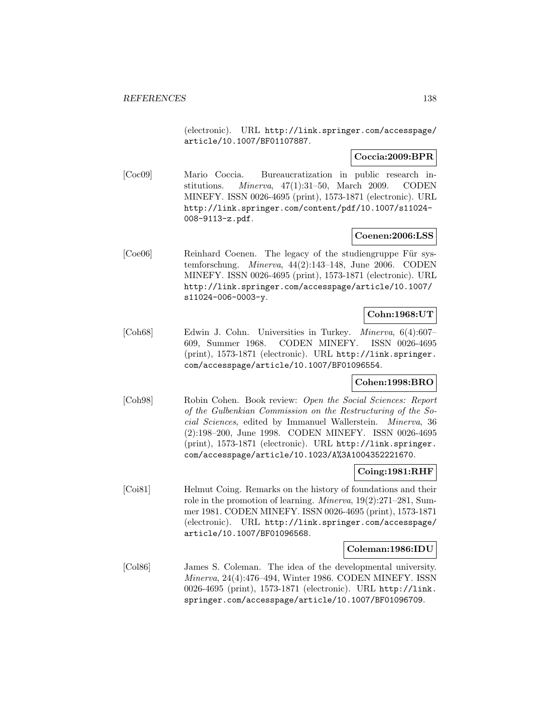(electronic). URL http://link.springer.com/accesspage/ article/10.1007/BF01107887.

# **Coccia:2009:BPR**

[Coc09] Mario Coccia. Bureaucratization in public research institutions. Minerva, 47(1):31–50, March 2009. CODEN MINEFY. ISSN 0026-4695 (print), 1573-1871 (electronic). URL http://link.springer.com/content/pdf/10.1007/s11024- 008-9113-z.pdf.

# **Coenen:2006:LSS**

[Coe06] Reinhard Coenen. The legacy of the studiengruppe Für systemforschung. Minerva, 44(2):143–148, June 2006. CODEN MINEFY. ISSN 0026-4695 (print), 1573-1871 (electronic). URL http://link.springer.com/accesspage/article/10.1007/ s11024-006-0003-y.

# **Cohn:1968:UT**

[Coh68] Edwin J. Cohn. Universities in Turkey. Minerva, 6(4):607– 609, Summer 1968. CODEN MINEFY. ISSN 0026-4695 (print), 1573-1871 (electronic). URL http://link.springer. com/accesspage/article/10.1007/BF01096554.

# **Cohen:1998:BRO**

[Coh98] Robin Cohen. Book review: Open the Social Sciences: Report of the Gulbenkian Commission on the Restructuring of the Social Sciences, edited by Immanuel Wallerstein. Minerva, 36 (2):198–200, June 1998. CODEN MINEFY. ISSN 0026-4695 (print), 1573-1871 (electronic). URL http://link.springer. com/accesspage/article/10.1023/A%3A1004352221670.

#### **Coing:1981:RHF**

[Coi81] Helmut Coing. Remarks on the history of foundations and their role in the promotion of learning. Minerva, 19(2):271–281, Summer 1981. CODEN MINEFY. ISSN 0026-4695 (print), 1573-1871 (electronic). URL http://link.springer.com/accesspage/ article/10.1007/BF01096568.

#### **Coleman:1986:IDU**

[Col86] James S. Coleman. The idea of the developmental university. Minerva, 24(4):476–494, Winter 1986. CODEN MINEFY. ISSN 0026-4695 (print), 1573-1871 (electronic). URL http://link. springer.com/accesspage/article/10.1007/BF01096709.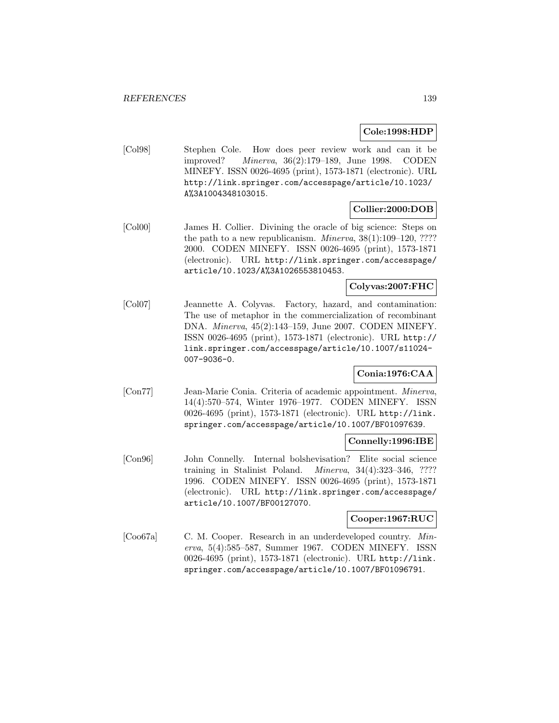# **Cole:1998:HDP**

[Col98] Stephen Cole. How does peer review work and can it be improved? Minerva, 36(2):179–189, June 1998. CODEN MINEFY. ISSN 0026-4695 (print), 1573-1871 (electronic). URL http://link.springer.com/accesspage/article/10.1023/ A%3A1004348103015.

# **Collier:2000:DOB**

[Col00] James H. Collier. Divining the oracle of big science: Steps on the path to a new republicanism. *Minerva*,  $38(1):109-120$ , ???? 2000. CODEN MINEFY. ISSN 0026-4695 (print), 1573-1871 (electronic). URL http://link.springer.com/accesspage/ article/10.1023/A%3A1026553810453.

# **Colyvas:2007:FHC**

[Col07] Jeannette A. Colyvas. Factory, hazard, and contamination: The use of metaphor in the commercialization of recombinant DNA. Minerva, 45(2):143–159, June 2007. CODEN MINEFY. ISSN 0026-4695 (print), 1573-1871 (electronic). URL http:// link.springer.com/accesspage/article/10.1007/s11024- 007-9036-0.

# **Conia:1976:CAA**

[Con77] Jean-Marie Conia. Criteria of academic appointment. Minerva, 14(4):570–574, Winter 1976–1977. CODEN MINEFY. ISSN 0026-4695 (print), 1573-1871 (electronic). URL http://link. springer.com/accesspage/article/10.1007/BF01097639.

# **Connelly:1996:IBE**

[Con96] John Connelly. Internal bolshevisation? Elite social science training in Stalinist Poland. Minerva, 34(4):323–346, ???? 1996. CODEN MINEFY. ISSN 0026-4695 (print), 1573-1871 (electronic). URL http://link.springer.com/accesspage/ article/10.1007/BF00127070.

# **Cooper:1967:RUC**

[Coo67a] C. M. Cooper. Research in an underdeveloped country. Minerva, 5(4):585–587, Summer 1967. CODEN MINEFY. ISSN 0026-4695 (print), 1573-1871 (electronic). URL http://link. springer.com/accesspage/article/10.1007/BF01096791.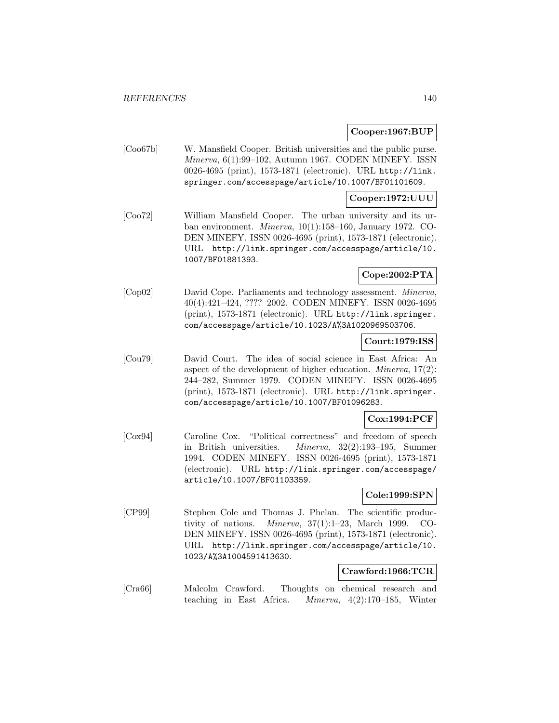# **Cooper:1967:BUP**

[Coo67b] W. Mansfield Cooper. British universities and the public purse. Minerva, 6(1):99–102, Autumn 1967. CODEN MINEFY. ISSN 0026-4695 (print), 1573-1871 (electronic). URL http://link. springer.com/accesspage/article/10.1007/BF01101609.

# **Cooper:1972:UUU**

[Coo72] William Mansfield Cooper. The urban university and its urban environment. Minerva, 10(1):158–160, January 1972. CO-DEN MINEFY. ISSN 0026-4695 (print), 1573-1871 (electronic). URL http://link.springer.com/accesspage/article/10. 1007/BF01881393.

# **Cope:2002:PTA**

[Cop02] David Cope. Parliaments and technology assessment. Minerva, 40(4):421–424, ???? 2002. CODEN MINEFY. ISSN 0026-4695 (print), 1573-1871 (electronic). URL http://link.springer. com/accesspage/article/10.1023/A%3A1020969503706.

# **Court:1979:ISS**

[Cou79] David Court. The idea of social science in East Africa: An aspect of the development of higher education. Minerva, 17(2): 244–282, Summer 1979. CODEN MINEFY. ISSN 0026-4695 (print), 1573-1871 (electronic). URL http://link.springer. com/accesspage/article/10.1007/BF01096283.

# **Cox:1994:PCF**

[Cox94] Caroline Cox. "Political correctness" and freedom of speech in British universities. Minerva, 32(2):193–195, Summer 1994. CODEN MINEFY. ISSN 0026-4695 (print), 1573-1871 (electronic). URL http://link.springer.com/accesspage/ article/10.1007/BF01103359.

# **Cole:1999:SPN**

[CP99] Stephen Cole and Thomas J. Phelan. The scientific productivity of nations. Minerva, 37(1):1–23, March 1999. CO-DEN MINEFY. ISSN 0026-4695 (print), 1573-1871 (electronic). URL http://link.springer.com/accesspage/article/10. 1023/A%3A1004591413630.

# **Crawford:1966:TCR**

[Cra66] Malcolm Crawford. Thoughts on chemical research and teaching in East Africa. Minerva, 4(2):170–185, Winter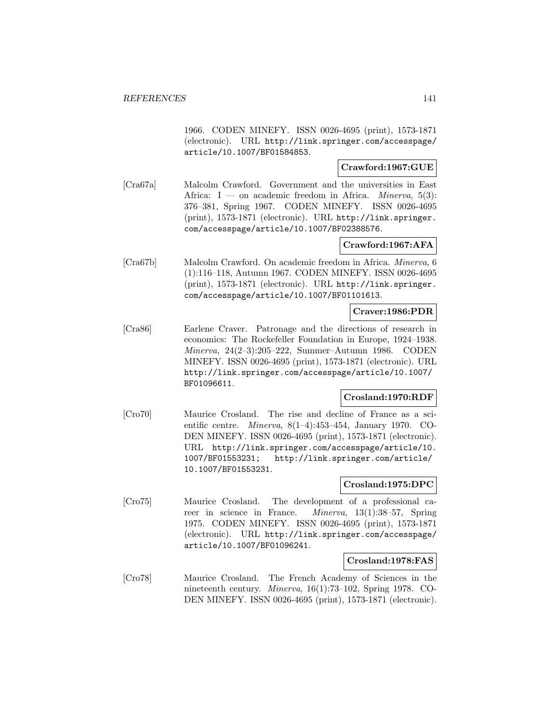1966. CODEN MINEFY. ISSN 0026-4695 (print), 1573-1871 (electronic). URL http://link.springer.com/accesspage/ article/10.1007/BF01584853.

#### **Crawford:1967:GUE**

[Cra67a] Malcolm Crawford. Government and the universities in East Africa: I — on academic freedom in Africa. *Minerva*,  $5(3)$ : 376–381, Spring 1967. CODEN MINEFY. ISSN 0026-4695 (print), 1573-1871 (electronic). URL http://link.springer. com/accesspage/article/10.1007/BF02388576.

# **Crawford:1967:AFA**

[Cra67b] Malcolm Crawford. On academic freedom in Africa. Minerva, 6 (1):116–118, Autumn 1967. CODEN MINEFY. ISSN 0026-4695 (print), 1573-1871 (electronic). URL http://link.springer. com/accesspage/article/10.1007/BF01101613.

# **Craver:1986:PDR**

[Cra86] Earlene Craver. Patronage and the directions of research in economics: The Rockefeller Foundation in Europe, 1924–1938. Minerva, 24(2–3):205–222, Summer–Autumn 1986. CODEN MINEFY. ISSN 0026-4695 (print), 1573-1871 (electronic). URL http://link.springer.com/accesspage/article/10.1007/ BF01096611.

# **Crosland:1970:RDF**

[Cro70] Maurice Crosland. The rise and decline of France as a scientific centre. Minerva, 8(1–4):453–454, January 1970. CO-DEN MINEFY. ISSN 0026-4695 (print), 1573-1871 (electronic). URL http://link.springer.com/accesspage/article/10. 1007/BF01553231; http://link.springer.com/article/ 10.1007/BF01553231.

# **Crosland:1975:DPC**

[Cro75] Maurice Crosland. The development of a professional career in science in France. Minerva, 13(1):38–57, Spring 1975. CODEN MINEFY. ISSN 0026-4695 (print), 1573-1871 (electronic). URL http://link.springer.com/accesspage/ article/10.1007/BF01096241.

# **Crosland:1978:FAS**

[Cro78] Maurice Crosland. The French Academy of Sciences in the nineteenth century. Minerva, 16(1):73–102, Spring 1978. CO-DEN MINEFY. ISSN 0026-4695 (print), 1573-1871 (electronic).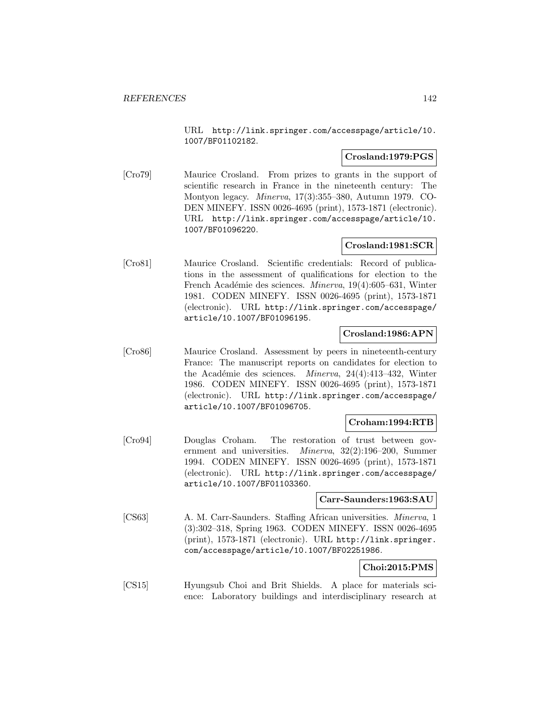URL http://link.springer.com/accesspage/article/10. 1007/BF01102182.

# **Crosland:1979:PGS**

[Cro79] Maurice Crosland. From prizes to grants in the support of scientific research in France in the nineteenth century: The Montyon legacy. Minerva, 17(3):355–380, Autumn 1979. CO-DEN MINEFY. ISSN 0026-4695 (print), 1573-1871 (electronic). URL http://link.springer.com/accesspage/article/10. 1007/BF01096220.

# **Crosland:1981:SCR**

[Cro81] Maurice Crosland. Scientific credentials: Record of publications in the assessment of qualifications for election to the French Académie des sciences. Minerva, 19(4):605–631, Winter 1981. CODEN MINEFY. ISSN 0026-4695 (print), 1573-1871 (electronic). URL http://link.springer.com/accesspage/ article/10.1007/BF01096195.

# **Crosland:1986:APN**

[Cro86] Maurice Crosland. Assessment by peers in nineteenth-century France: The manuscript reports on candidates for election to the Académie des sciences. *Minerva*,  $24(4):413-432$ , Winter 1986. CODEN MINEFY. ISSN 0026-4695 (print), 1573-1871 (electronic). URL http://link.springer.com/accesspage/ article/10.1007/BF01096705.

# **Croham:1994:RTB**

[Cro94] Douglas Croham. The restoration of trust between government and universities. Minerva, 32(2):196–200, Summer 1994. CODEN MINEFY. ISSN 0026-4695 (print), 1573-1871 (electronic). URL http://link.springer.com/accesspage/ article/10.1007/BF01103360.

# **Carr-Saunders:1963:SAU**

[CS63] A. M. Carr-Saunders. Staffing African universities. Minerva, 1 (3):302–318, Spring 1963. CODEN MINEFY. ISSN 0026-4695 (print), 1573-1871 (electronic). URL http://link.springer. com/accesspage/article/10.1007/BF02251986.

# **Choi:2015:PMS**

[CS15] Hyungsub Choi and Brit Shields. A place for materials science: Laboratory buildings and interdisciplinary research at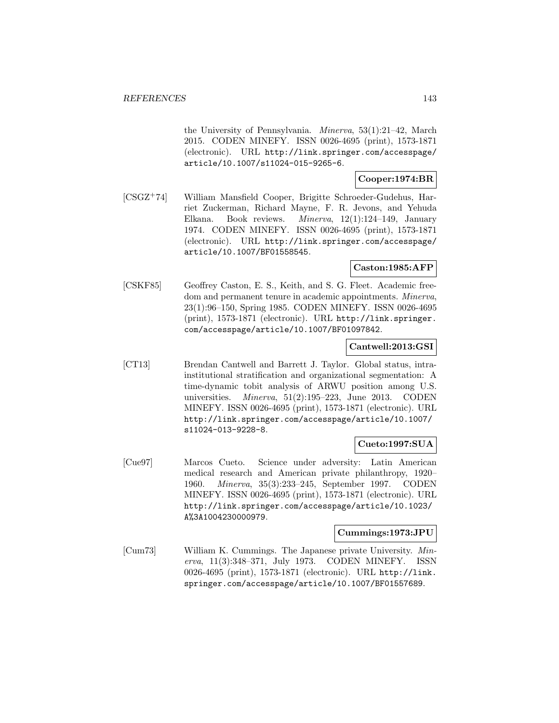the University of Pennsylvania. Minerva, 53(1):21–42, March 2015. CODEN MINEFY. ISSN 0026-4695 (print), 1573-1871 (electronic). URL http://link.springer.com/accesspage/ article/10.1007/s11024-015-9265-6.

# **Cooper:1974:BR**

[CSGZ<sup>+</sup>74] William Mansfield Cooper, Brigitte Schroeder-Gudehus, Harriet Zuckerman, Richard Mayne, F. R. Jevons, and Yehuda Elkana. Book reviews. Minerva, 12(1):124–149, January 1974. CODEN MINEFY. ISSN 0026-4695 (print), 1573-1871 (electronic). URL http://link.springer.com/accesspage/ article/10.1007/BF01558545.

# **Caston:1985:AFP**

[CSKF85] Geoffrey Caston, E. S., Keith, and S. G. Fleet. Academic freedom and permanent tenure in academic appointments. Minerva, 23(1):96–150, Spring 1985. CODEN MINEFY. ISSN 0026-4695 (print), 1573-1871 (electronic). URL http://link.springer. com/accesspage/article/10.1007/BF01097842.

#### **Cantwell:2013:GSI**

[CT13] Brendan Cantwell and Barrett J. Taylor. Global status, intrainstitutional stratification and organizational segmentation: A time-dynamic tobit analysis of ARWU position among U.S. universities. *Minerva*,  $51(2):195-223$ , June 2013. CODEN MINEFY. ISSN 0026-4695 (print), 1573-1871 (electronic). URL http://link.springer.com/accesspage/article/10.1007/ s11024-013-9228-8.

# **Cueto:1997:SUA**

[Cue97] Marcos Cueto. Science under adversity: Latin American medical research and American private philanthropy, 1920– 1960. Minerva, 35(3):233–245, September 1997. CODEN MINEFY. ISSN 0026-4695 (print), 1573-1871 (electronic). URL http://link.springer.com/accesspage/article/10.1023/ A%3A1004230000979.

# **Cummings:1973:JPU**

[Cum73] William K. Cummings. The Japanese private University. Minerva, 11(3):348–371, July 1973. CODEN MINEFY. ISSN 0026-4695 (print), 1573-1871 (electronic). URL http://link. springer.com/accesspage/article/10.1007/BF01557689.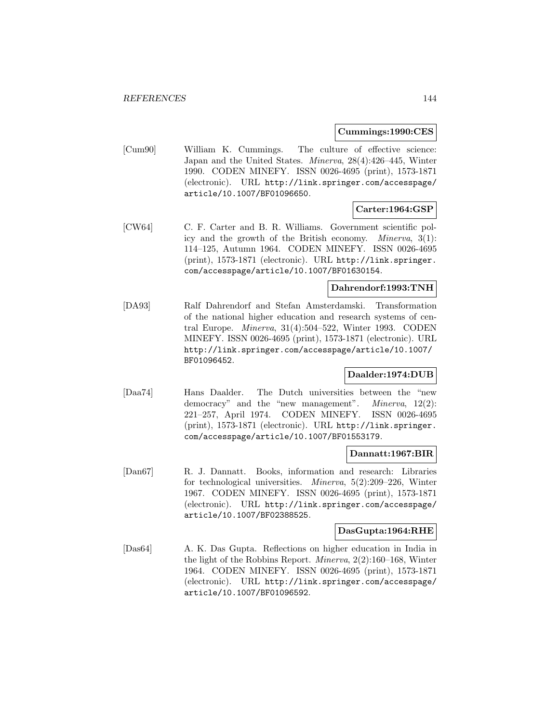#### **Cummings:1990:CES**

[Cum90] William K. Cummings. The culture of effective science: Japan and the United States. Minerva, 28(4):426–445, Winter 1990. CODEN MINEFY. ISSN 0026-4695 (print), 1573-1871 (electronic). URL http://link.springer.com/accesspage/ article/10.1007/BF01096650.

# **Carter:1964:GSP**

[CW64] C. F. Carter and B. R. Williams. Government scientific policy and the growth of the British economy. Minerva, 3(1): 114–125, Autumn 1964. CODEN MINEFY. ISSN 0026-4695 (print), 1573-1871 (electronic). URL http://link.springer. com/accesspage/article/10.1007/BF01630154.

# **Dahrendorf:1993:TNH**

[DA93] Ralf Dahrendorf and Stefan Amsterdamski. Transformation of the national higher education and research systems of central Europe. Minerva, 31(4):504–522, Winter 1993. CODEN MINEFY. ISSN 0026-4695 (print), 1573-1871 (electronic). URL http://link.springer.com/accesspage/article/10.1007/ BF01096452.

# **Daalder:1974:DUB**

[Daa74] Hans Daalder. The Dutch universities between the "new democracy" and the "new management". Minerva, 12(2): 221–257, April 1974. CODEN MINEFY. ISSN 0026-4695 (print), 1573-1871 (electronic). URL http://link.springer. com/accesspage/article/10.1007/BF01553179.

# **Dannatt:1967:BIR**

[Dan67] R. J. Dannatt. Books, information and research: Libraries for technological universities. Minerva, 5(2):209–226, Winter 1967. CODEN MINEFY. ISSN 0026-4695 (print), 1573-1871 (electronic). URL http://link.springer.com/accesspage/ article/10.1007/BF02388525.

#### **DasGupta:1964:RHE**

[Das64] A. K. Das Gupta. Reflections on higher education in India in the light of the Robbins Report. Minerva, 2(2):160–168, Winter 1964. CODEN MINEFY. ISSN 0026-4695 (print), 1573-1871 (electronic). URL http://link.springer.com/accesspage/ article/10.1007/BF01096592.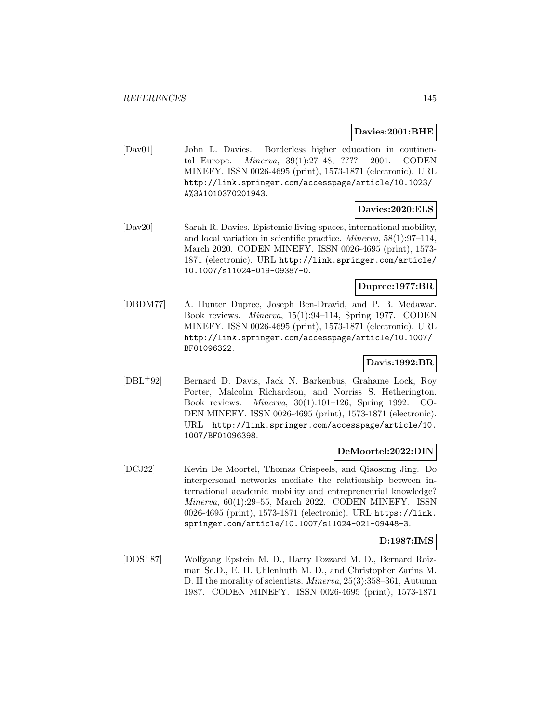**Davies:2001:BHE**

[Dav01] John L. Davies. Borderless higher education in continental Europe. Minerva, 39(1):27–48, ???? 2001. CODEN MINEFY. ISSN 0026-4695 (print), 1573-1871 (electronic). URL http://link.springer.com/accesspage/article/10.1023/ A%3A1010370201943.

# **Davies:2020:ELS**

[Dav20] Sarah R. Davies. Epistemic living spaces, international mobility, and local variation in scientific practice. Minerva, 58(1):97–114, March 2020. CODEN MINEFY. ISSN 0026-4695 (print), 1573- 1871 (electronic). URL http://link.springer.com/article/ 10.1007/s11024-019-09387-0.

# **Dupree:1977:BR**

[DBDM77] A. Hunter Dupree, Joseph Ben-Dravid, and P. B. Medawar. Book reviews. Minerva, 15(1):94–114, Spring 1977. CODEN MINEFY. ISSN 0026-4695 (print), 1573-1871 (electronic). URL http://link.springer.com/accesspage/article/10.1007/ BF01096322.

# **Davis:1992:BR**

[DBL<sup>+</sup>92] Bernard D. Davis, Jack N. Barkenbus, Grahame Lock, Roy Porter, Malcolm Richardson, and Norriss S. Hetherington. Book reviews. Minerva, 30(1):101–126, Spring 1992. CO-DEN MINEFY. ISSN 0026-4695 (print), 1573-1871 (electronic). URL http://link.springer.com/accesspage/article/10. 1007/BF01096398.

# **DeMoortel:2022:DIN**

[DCJ22] Kevin De Moortel, Thomas Crispeels, and Qiaosong Jing. Do interpersonal networks mediate the relationship between international academic mobility and entrepreneurial knowledge? Minerva, 60(1):29–55, March 2022. CODEN MINEFY. ISSN 0026-4695 (print), 1573-1871 (electronic). URL https://link. springer.com/article/10.1007/s11024-021-09448-3.

# **D:1987:IMS**

[DDS<sup>+</sup>87] Wolfgang Epstein M. D., Harry Fozzard M. D., Bernard Roizman Sc.D., E. H. Uhlenhuth M. D., and Christopher Zarins M. D. II the morality of scientists. Minerva, 25(3):358–361, Autumn 1987. CODEN MINEFY. ISSN 0026-4695 (print), 1573-1871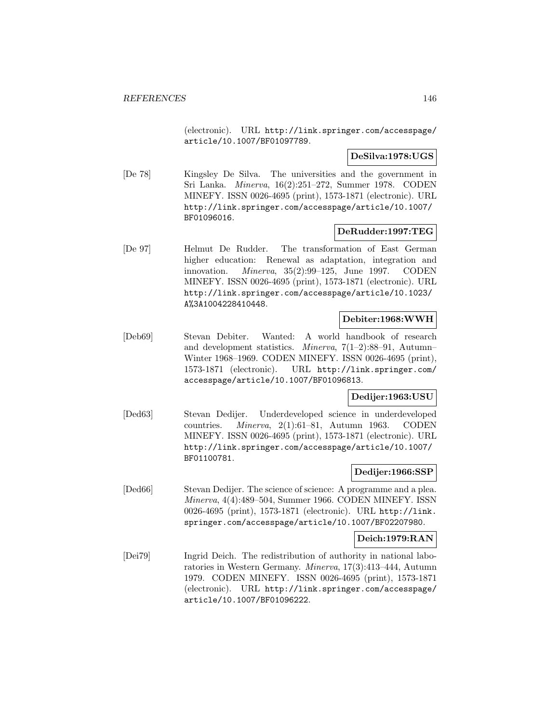(electronic). URL http://link.springer.com/accesspage/ article/10.1007/BF01097789.

# **DeSilva:1978:UGS**

[De 78] Kingsley De Silva. The universities and the government in Sri Lanka. Minerva, 16(2):251–272, Summer 1978. CODEN MINEFY. ISSN 0026-4695 (print), 1573-1871 (electronic). URL http://link.springer.com/accesspage/article/10.1007/ BF01096016.

# **DeRudder:1997:TEG**

[De 97] Helmut De Rudder. The transformation of East German higher education: Renewal as adaptation, integration and innovation. Minerva, 35(2):99–125, June 1997. CODEN MINEFY. ISSN 0026-4695 (print), 1573-1871 (electronic). URL http://link.springer.com/accesspage/article/10.1023/ A%3A1004228410448.

# **Debiter:1968:WWH**

[Deb69] Stevan Debiter. Wanted: A world handbook of research and development statistics. Minerva, 7(1–2):88–91, Autumn– Winter 1968–1969. CODEN MINEFY. ISSN 0026-4695 (print), 1573-1871 (electronic). URL http://link.springer.com/ accesspage/article/10.1007/BF01096813.

# **Dedijer:1963:USU**

[Ded63] Stevan Dedijer. Underdeveloped science in underdeveloped countries. Minerva, 2(1):61–81, Autumn 1963. CODEN MINEFY. ISSN 0026-4695 (print), 1573-1871 (electronic). URL http://link.springer.com/accesspage/article/10.1007/ BF01100781.

# **Dedijer:1966:SSP**

[Ded66] Stevan Dedijer. The science of science: A programme and a plea. Minerva, 4(4):489–504, Summer 1966. CODEN MINEFY. ISSN 0026-4695 (print), 1573-1871 (electronic). URL http://link. springer.com/accesspage/article/10.1007/BF02207980.

# **Deich:1979:RAN**

[Dei79] Ingrid Deich. The redistribution of authority in national laboratories in Western Germany. Minerva, 17(3):413–444, Autumn 1979. CODEN MINEFY. ISSN 0026-4695 (print), 1573-1871 (electronic). URL http://link.springer.com/accesspage/ article/10.1007/BF01096222.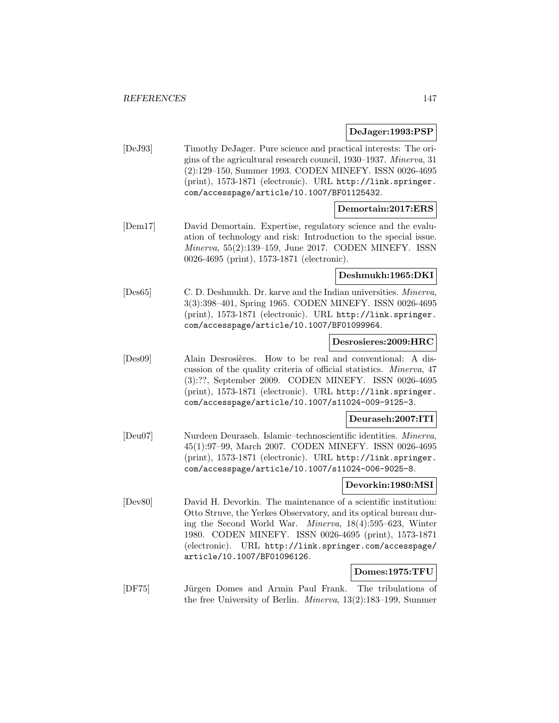#### **DeJager:1993:PSP**

[DeJ93] Timothy DeJager. Pure science and practical interests: The origins of the agricultural research council, 1930–1937. Minerva, 31 (2):129–150, Summer 1993. CODEN MINEFY. ISSN 0026-4695 (print), 1573-1871 (electronic). URL http://link.springer. com/accesspage/article/10.1007/BF01125432.

# **Demortain:2017:ERS**

[Dem17] David Demortain. Expertise, regulatory science and the evaluation of technology and risk: Introduction to the special issue. Minerva, 55(2):139–159, June 2017. CODEN MINEFY. ISSN 0026-4695 (print), 1573-1871 (electronic).

# **Deshmukh:1965:DKI**

[Des65] C. D. Deshmukh. Dr. karve and the Indian universities. Minerva, 3(3):398–401, Spring 1965. CODEN MINEFY. ISSN 0026-4695 (print), 1573-1871 (electronic). URL http://link.springer. com/accesspage/article/10.1007/BF01099964.

# **Desrosieres:2009:HRC**

[Des09] Alain Desrosières. How to be real and conventional: A discussion of the quality criteria of official statistics. Minerva, 47 (3):??, September 2009. CODEN MINEFY. ISSN 0026-4695 (print), 1573-1871 (electronic). URL http://link.springer. com/accesspage/article/10.1007/s11024-009-9125-3.

# **Deuraseh:2007:ITI**

[Deu07] Nurdeen Deuraseh. Islamic–technoscientific identities. Minerva, 45(1):97–99, March 2007. CODEN MINEFY. ISSN 0026-4695 (print), 1573-1871 (electronic). URL http://link.springer. com/accesspage/article/10.1007/s11024-006-9025-8.

# **Devorkin:1980:MSI**

[Dev80] David H. Devorkin. The maintenance of a scientific institution: Otto Struve, the Yerkes Observatory, and its optical bureau during the Second World War. Minerva, 18(4):595–623, Winter 1980. CODEN MINEFY. ISSN 0026-4695 (print), 1573-1871 (electronic). URL http://link.springer.com/accesspage/ article/10.1007/BF01096126.

#### **Domes:1975:TFU**

[DF75] Jürgen Domes and Armin Paul Frank. The tribulations of the free University of Berlin. Minerva, 13(2):183–199, Summer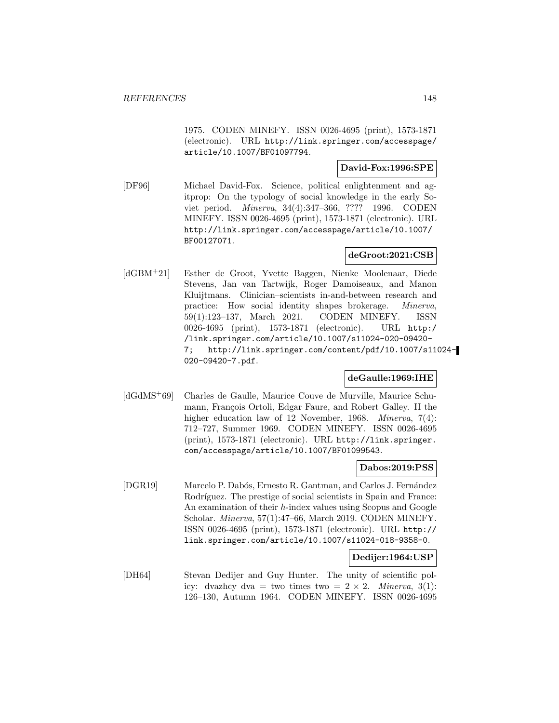1975. CODEN MINEFY. ISSN 0026-4695 (print), 1573-1871 (electronic). URL http://link.springer.com/accesspage/ article/10.1007/BF01097794.

# **David-Fox:1996:SPE**

[DF96] Michael David-Fox. Science, political enlightenment and agitprop: On the typology of social knowledge in the early Soviet period. Minerva, 34(4):347–366, ???? 1996. CODEN MINEFY. ISSN 0026-4695 (print), 1573-1871 (electronic). URL http://link.springer.com/accesspage/article/10.1007/ BF00127071.

# **deGroot:2021:CSB**

[dGBM<sup>+</sup>21] Esther de Groot, Yvette Baggen, Nienke Moolenaar, Diede Stevens, Jan van Tartwijk, Roger Damoiseaux, and Manon Kluijtmans. Clinician–scientists in-and-between research and practice: How social identity shapes brokerage. Minerva, 59(1):123–137, March 2021. CODEN MINEFY. ISSN 0026-4695 (print), 1573-1871 (electronic). URL http:/ /link.springer.com/article/10.1007/s11024-020-09420- 7; http://link.springer.com/content/pdf/10.1007/s11024- 020-09420-7.pdf.

# **deGaulle:1969:IHE**

[dGdMS<sup>+</sup>69] Charles de Gaulle, Maurice Couve de Murville, Maurice Schumann, François Ortoli, Edgar Faure, and Robert Galley. II the higher education law of 12 November, 1968. Minerva, 7(4): 712–727, Summer 1969. CODEN MINEFY. ISSN 0026-4695 (print), 1573-1871 (electronic). URL http://link.springer. com/accesspage/article/10.1007/BF01099543.

# **Dabos:2019:PSS**

[DGR19] Marcelo P. Dabós, Ernesto R. Gantman, and Carlos J. Fernández Rodríguez. The prestige of social scientists in Spain and France: An examination of their h-index values using Scopus and Google Scholar. Minerva, 57(1):47–66, March 2019. CODEN MINEFY. ISSN 0026-4695 (print), 1573-1871 (electronic). URL http:// link.springer.com/article/10.1007/s11024-018-9358-0.

#### **Dedijer:1964:USP**

[DH64] Stevan Dedijer and Guy Hunter. The unity of scientific policy: dvazhcy dva = two times two =  $2 \times 2$ . Minerva, 3(1): 126–130, Autumn 1964. CODEN MINEFY. ISSN 0026-4695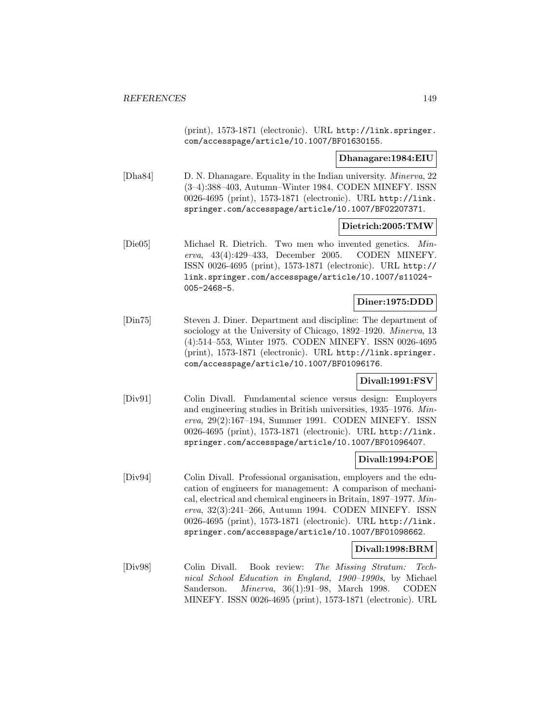(print), 1573-1871 (electronic). URL http://link.springer. com/accesspage/article/10.1007/BF01630155.

**Dhanagare:1984:EIU**

[Dha84] D. N. Dhanagare. Equality in the Indian university. Minerva, 22 (3–4):388–403, Autumn–Winter 1984. CODEN MINEFY. ISSN 0026-4695 (print), 1573-1871 (electronic). URL http://link. springer.com/accesspage/article/10.1007/BF02207371.

#### **Dietrich:2005:TMW**

[Die05] Michael R. Dietrich. Two men who invented genetics. Minerva, 43(4):429–433, December 2005. CODEN MINEFY. ISSN 0026-4695 (print), 1573-1871 (electronic). URL http:// link.springer.com/accesspage/article/10.1007/s11024- 005-2468-5.

# **Diner:1975:DDD**

[Din75] Steven J. Diner. Department and discipline: The department of sociology at the University of Chicago, 1892–1920. Minerva, 13 (4):514–553, Winter 1975. CODEN MINEFY. ISSN 0026-4695 (print), 1573-1871 (electronic). URL http://link.springer. com/accesspage/article/10.1007/BF01096176.

#### **Divall:1991:FSV**

[Div91] Colin Divall. Fundamental science versus design: Employers and engineering studies in British universities, 1935–1976. Minerva, 29(2):167–194, Summer 1991. CODEN MINEFY. ISSN 0026-4695 (print), 1573-1871 (electronic). URL http://link. springer.com/accesspage/article/10.1007/BF01096407.

# **Divall:1994:POE**

[Div94] Colin Divall. Professional organisation, employers and the education of engineers for management: A comparison of mechanical, electrical and chemical engineers in Britain, 1897–1977. Minerva, 32(3):241–266, Autumn 1994. CODEN MINEFY. ISSN 0026-4695 (print), 1573-1871 (electronic). URL http://link. springer.com/accesspage/article/10.1007/BF01098662.

# **Divall:1998:BRM**

[Div98] Colin Divall. Book review: The Missing Stratum: Technical School Education in England, 1900–1990s, by Michael Sanderson. Minerva, 36(1):91–98, March 1998. CODEN MINEFY. ISSN 0026-4695 (print), 1573-1871 (electronic). URL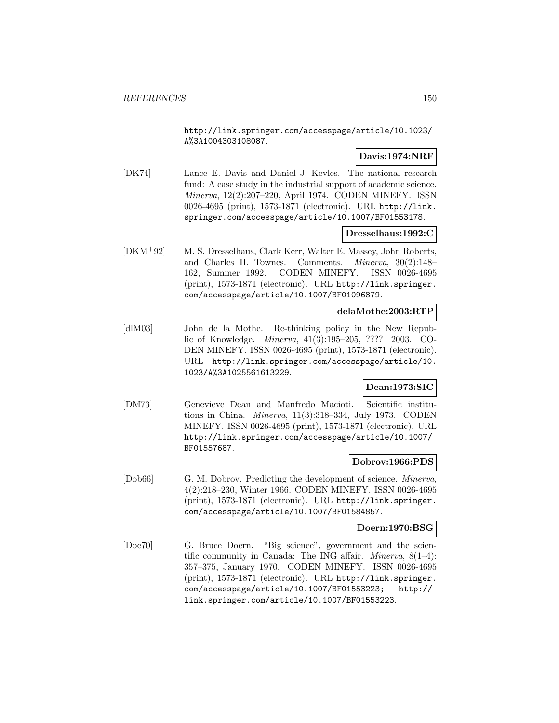http://link.springer.com/accesspage/article/10.1023/ A%3A1004303108087.

# **Davis:1974:NRF**

[DK74] Lance E. Davis and Daniel J. Kevles. The national research fund: A case study in the industrial support of academic science. Minerva, 12(2):207–220, April 1974. CODEN MINEFY. ISSN 0026-4695 (print), 1573-1871 (electronic). URL http://link. springer.com/accesspage/article/10.1007/BF01553178.

#### **Dresselhaus:1992:C**

[DKM<sup>+</sup>92] M. S. Dresselhaus, Clark Kerr, Walter E. Massey, John Roberts, and Charles H. Townes. Comments. Minerva, 30(2):148– 162, Summer 1992. CODEN MINEFY. ISSN 0026-4695 (print), 1573-1871 (electronic). URL http://link.springer. com/accesspage/article/10.1007/BF01096879.

# **delaMothe:2003:RTP**

[dlM03] John de la Mothe. Re-thinking policy in the New Republic of Knowledge. Minerva, 41(3):195–205, ???? 2003. CO-DEN MINEFY. ISSN 0026-4695 (print), 1573-1871 (electronic). URL http://link.springer.com/accesspage/article/10. 1023/A%3A1025561613229.

# **Dean:1973:SIC**

[DM73] Genevieve Dean and Manfredo Macioti. Scientific institutions in China. Minerva, 11(3):318–334, July 1973. CODEN MINEFY. ISSN 0026-4695 (print), 1573-1871 (electronic). URL http://link.springer.com/accesspage/article/10.1007/ BF01557687.

# **Dobrov:1966:PDS**

[Dob66] G. M. Dobrov. Predicting the development of science. *Minerva*, 4(2):218–230, Winter 1966. CODEN MINEFY. ISSN 0026-4695 (print), 1573-1871 (electronic). URL http://link.springer. com/accesspage/article/10.1007/BF01584857.

# **Doern:1970:BSG**

[Doe70] G. Bruce Doern. "Big science", government and the scientific community in Canada: The ING affair. Minerva, 8(1–4): 357–375, January 1970. CODEN MINEFY. ISSN 0026-4695 (print), 1573-1871 (electronic). URL http://link.springer. com/accesspage/article/10.1007/BF01553223; http:// link.springer.com/article/10.1007/BF01553223.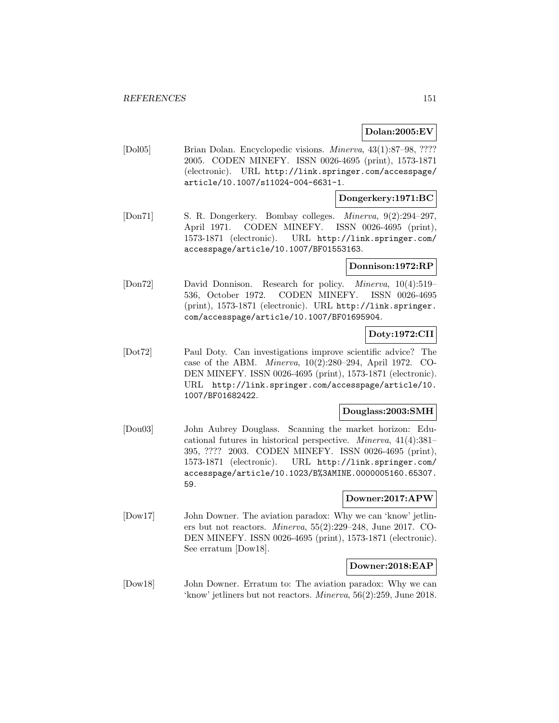# **Dolan:2005:EV**

[Dol05] Brian Dolan. Encyclopedic visions. Minerva, 43(1):87–98, ???? 2005. CODEN MINEFY. ISSN 0026-4695 (print), 1573-1871 (electronic). URL http://link.springer.com/accesspage/ article/10.1007/s11024-004-6631-1.

# **Dongerkery:1971:BC**

[Don71] S. R. Dongerkery. Bombay colleges. Minerva, 9(2):294–297, April 1971. CODEN MINEFY. ISSN 0026-4695 (print), 1573-1871 (electronic). URL http://link.springer.com/ accesspage/article/10.1007/BF01553163.

# **Donnison:1972:RP**

[Don72] David Donnison. Research for policy. Minerva, 10(4):519– 536, October 1972. CODEN MINEFY. ISSN 0026-4695 (print), 1573-1871 (electronic). URL http://link.springer. com/accesspage/article/10.1007/BF01695904.

# **Doty:1972:CII**

[Dot72] Paul Doty. Can investigations improve scientific advice? The case of the ABM. Minerva, 10(2):280–294, April 1972. CO-DEN MINEFY. ISSN 0026-4695 (print), 1573-1871 (electronic). URL http://link.springer.com/accesspage/article/10. 1007/BF01682422.

# **Douglass:2003:SMH**

[Dou03] John Aubrey Douglass. Scanning the market horizon: Educational futures in historical perspective. Minerva, 41(4):381– 395, ???? 2003. CODEN MINEFY. ISSN 0026-4695 (print), 1573-1871 (electronic). URL http://link.springer.com/ accesspage/article/10.1023/B%3AMINE.0000005160.65307. 59.

# **Downer:2017:APW**

[Dow17] John Downer. The aviation paradox: Why we can 'know' jetliners but not reactors. Minerva, 55(2):229–248, June 2017. CO-DEN MINEFY. ISSN 0026-4695 (print), 1573-1871 (electronic). See erratum [Dow18].

#### **Downer:2018:EAP**

[Dow18] John Downer. Erratum to: The aviation paradox: Why we can 'know' jetliners but not reactors. Minerva, 56(2):259, June 2018.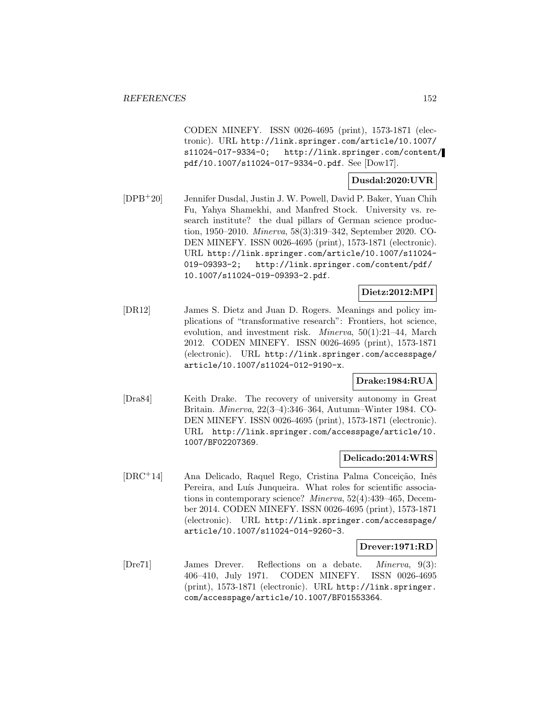CODEN MINEFY. ISSN 0026-4695 (print), 1573-1871 (electronic). URL http://link.springer.com/article/10.1007/ s11024-017-9334-0; http://link.springer.com/content/ pdf/10.1007/s11024-017-9334-0.pdf. See [Dow17].

# **Dusdal:2020:UVR**

[DPB<sup>+</sup>20] Jennifer Dusdal, Justin J. W. Powell, David P. Baker, Yuan Chih Fu, Yahya Shamekhi, and Manfred Stock. University vs. research institute? the dual pillars of German science production, 1950–2010. Minerva, 58(3):319–342, September 2020. CO-DEN MINEFY. ISSN 0026-4695 (print), 1573-1871 (electronic). URL http://link.springer.com/article/10.1007/s11024- 019-09393-2; http://link.springer.com/content/pdf/ 10.1007/s11024-019-09393-2.pdf.

# **Dietz:2012:MPI**

[DR12] James S. Dietz and Juan D. Rogers. Meanings and policy implications of "transformative research": Frontiers, hot science, evolution, and investment risk. Minerva, 50(1):21–44, March 2012. CODEN MINEFY. ISSN 0026-4695 (print), 1573-1871 (electronic). URL http://link.springer.com/accesspage/ article/10.1007/s11024-012-9190-x.

# **Drake:1984:RUA**

[Dra84] Keith Drake. The recovery of university autonomy in Great Britain. Minerva, 22(3–4):346–364, Autumn–Winter 1984. CO-DEN MINEFY. ISSN 0026-4695 (print), 1573-1871 (electronic). URL http://link.springer.com/accesspage/article/10. 1007/BF02207369.

# **Delicado:2014:WRS**

[DRC+14] Ana Delicado, Raquel Rego, Cristina Palma Conceição, Inês Pereira, and Luís Junqueira. What roles for scientific associations in contemporary science? Minerva, 52(4):439–465, December 2014. CODEN MINEFY. ISSN 0026-4695 (print), 1573-1871 (electronic). URL http://link.springer.com/accesspage/ article/10.1007/s11024-014-9260-3.

# **Drever:1971:RD**

[Dre71] James Drever. Reflections on a debate. Minerva, 9(3): 406–410, July 1971. CODEN MINEFY. ISSN 0026-4695 (print), 1573-1871 (electronic). URL http://link.springer. com/accesspage/article/10.1007/BF01553364.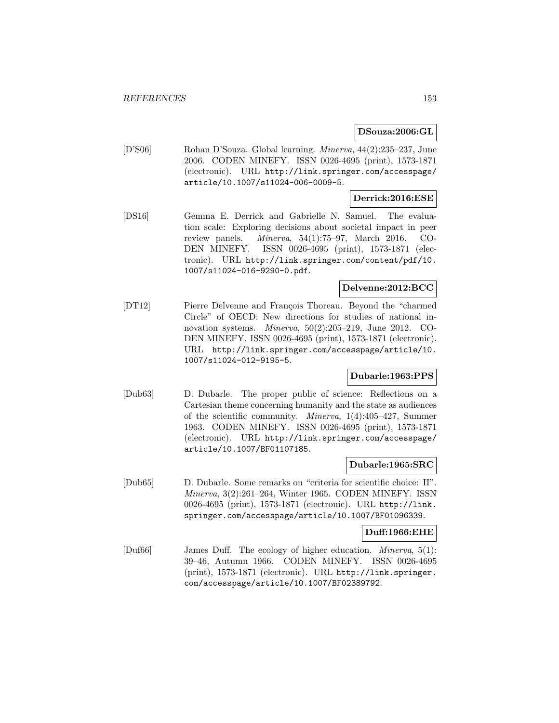# **DSouza:2006:GL**

[D'S06] Rohan D'Souza. Global learning. Minerva, 44(2):235–237, June 2006. CODEN MINEFY. ISSN 0026-4695 (print), 1573-1871 (electronic). URL http://link.springer.com/accesspage/ article/10.1007/s11024-006-0009-5.

# **Derrick:2016:ESE**

[DS16] Gemma E. Derrick and Gabrielle N. Samuel. The evaluation scale: Exploring decisions about societal impact in peer review panels. Minerva, 54(1):75–97, March 2016. CO-DEN MINEFY. ISSN 0026-4695 (print), 1573-1871 (electronic). URL http://link.springer.com/content/pdf/10. 1007/s11024-016-9290-0.pdf.

# **Delvenne:2012:BCC**

[DT12] Pierre Delvenne and François Thoreau. Beyond the "charmed" Circle" of OECD: New directions for studies of national innovation systems. Minerva, 50(2):205–219, June 2012. CO-DEN MINEFY. ISSN 0026-4695 (print), 1573-1871 (electronic). URL http://link.springer.com/accesspage/article/10. 1007/s11024-012-9195-5.

# **Dubarle:1963:PPS**

[Dub63] D. Dubarle. The proper public of science: Reflections on a Cartesian theme concerning humanity and the state as audiences of the scientific community. Minerva, 1(4):405–427, Summer 1963. CODEN MINEFY. ISSN 0026-4695 (print), 1573-1871 (electronic). URL http://link.springer.com/accesspage/ article/10.1007/BF01107185.

# **Dubarle:1965:SRC**

[Dub65] D. Dubarle. Some remarks on "criteria for scientific choice: II". Minerva, 3(2):261–264, Winter 1965. CODEN MINEFY. ISSN 0026-4695 (print), 1573-1871 (electronic). URL http://link. springer.com/accesspage/article/10.1007/BF01096339.

#### **Duff:1966:EHE**

[Duf66] James Duff. The ecology of higher education. Minerva, 5(1): 39–46, Autumn 1966. CODEN MINEFY. ISSN 0026-4695 (print), 1573-1871 (electronic). URL http://link.springer. com/accesspage/article/10.1007/BF02389792.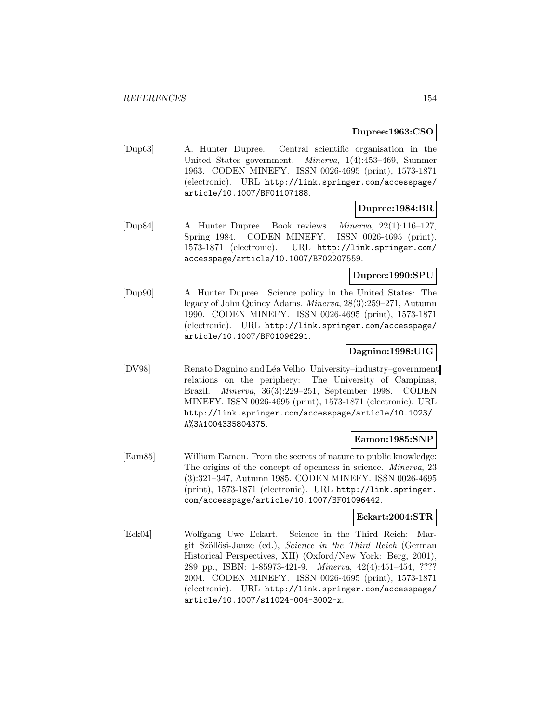# **Dupree:1963:CSO**

[Dup63] A. Hunter Dupree. Central scientific organisation in the United States government. Minerva, 1(4):453–469, Summer 1963. CODEN MINEFY. ISSN 0026-4695 (print), 1573-1871 (electronic). URL http://link.springer.com/accesspage/ article/10.1007/BF01107188.

# **Dupree:1984:BR**

[Dup84] A. Hunter Dupree. Book reviews. Minerva, 22(1):116–127, Spring 1984. CODEN MINEFY. ISSN 0026-4695 (print), 1573-1871 (electronic). URL http://link.springer.com/ accesspage/article/10.1007/BF02207559.

# **Dupree:1990:SPU**

[Dup90] A. Hunter Dupree. Science policy in the United States: The legacy of John Quincy Adams. Minerva, 28(3):259–271, Autumn 1990. CODEN MINEFY. ISSN 0026-4695 (print), 1573-1871 (electronic). URL http://link.springer.com/accesspage/ article/10.1007/BF01096291.

# **Dagnino:1998:UIG**

[DV98] Renato Dagnino and L´ea Velho. University–industry–government relations on the periphery: The University of Campinas, Brazil. Minerva, 36(3):229–251, September 1998. CODEN MINEFY. ISSN 0026-4695 (print), 1573-1871 (electronic). URL http://link.springer.com/accesspage/article/10.1023/ A%3A1004335804375.

# **Eamon:1985:SNP**

[Eam85] William Eamon. From the secrets of nature to public knowledge: The origins of the concept of openness in science. Minerva, 23 (3):321–347, Autumn 1985. CODEN MINEFY. ISSN 0026-4695 (print), 1573-1871 (electronic). URL http://link.springer. com/accesspage/article/10.1007/BF01096442.

# **Eckart:2004:STR**

[Eck04] Wolfgang Uwe Eckart. Science in the Third Reich: Margit Szöllösi-Janze (ed.), Science in the Third Reich (German Historical Perspectives, XII) (Oxford/New York: Berg, 2001), 289 pp., ISBN: 1-85973-421-9. Minerva, 42(4):451–454, ???? 2004. CODEN MINEFY. ISSN 0026-4695 (print), 1573-1871 (electronic). URL http://link.springer.com/accesspage/ article/10.1007/s11024-004-3002-x.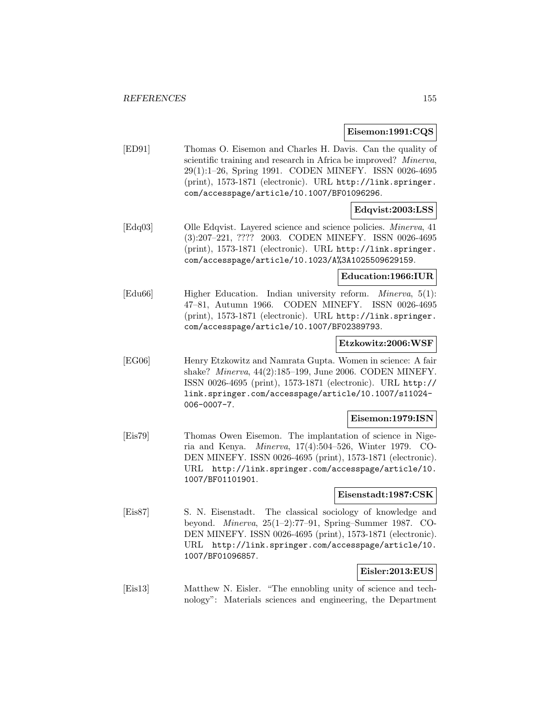#### **Eisemon:1991:CQS**

[ED91] Thomas O. Eisemon and Charles H. Davis. Can the quality of scientific training and research in Africa be improved? Minerva, 29(1):1–26, Spring 1991. CODEN MINEFY. ISSN 0026-4695 (print), 1573-1871 (electronic). URL http://link.springer. com/accesspage/article/10.1007/BF01096296.

# **Edqvist:2003:LSS**

[Edq03] Olle Edqvist. Layered science and science policies. Minerva, 41 (3):207–221, ???? 2003. CODEN MINEFY. ISSN 0026-4695 (print), 1573-1871 (electronic). URL http://link.springer. com/accesspage/article/10.1023/A%3A1025509629159.

# **Education:1966:IUR**

[Edu66] Higher Education. Indian university reform. Minerva, 5(1): 47–81, Autumn 1966. CODEN MINEFY. ISSN 0026-4695 (print), 1573-1871 (electronic). URL http://link.springer. com/accesspage/article/10.1007/BF02389793.

#### **Etzkowitz:2006:WSF**

[EG06] Henry Etzkowitz and Namrata Gupta. Women in science: A fair shake? Minerva, 44(2):185–199, June 2006. CODEN MINEFY. ISSN 0026-4695 (print), 1573-1871 (electronic). URL http:// link.springer.com/accesspage/article/10.1007/s11024- 006-0007-7.

#### **Eisemon:1979:ISN**

[Eis79] Thomas Owen Eisemon. The implantation of science in Nigeria and Kenya. Minerva, 17(4):504–526, Winter 1979. CO-DEN MINEFY. ISSN 0026-4695 (print), 1573-1871 (electronic). URL http://link.springer.com/accesspage/article/10. 1007/BF01101901.

#### **Eisenstadt:1987:CSK**

[Eis87] S. N. Eisenstadt. The classical sociology of knowledge and beyond. Minerva, 25(1–2):77–91, Spring–Summer 1987. CO-DEN MINEFY. ISSN 0026-4695 (print), 1573-1871 (electronic). URL http://link.springer.com/accesspage/article/10. 1007/BF01096857.

# **Eisler:2013:EUS**

[Eis13] Matthew N. Eisler. "The ennobling unity of science and technology": Materials sciences and engineering, the Department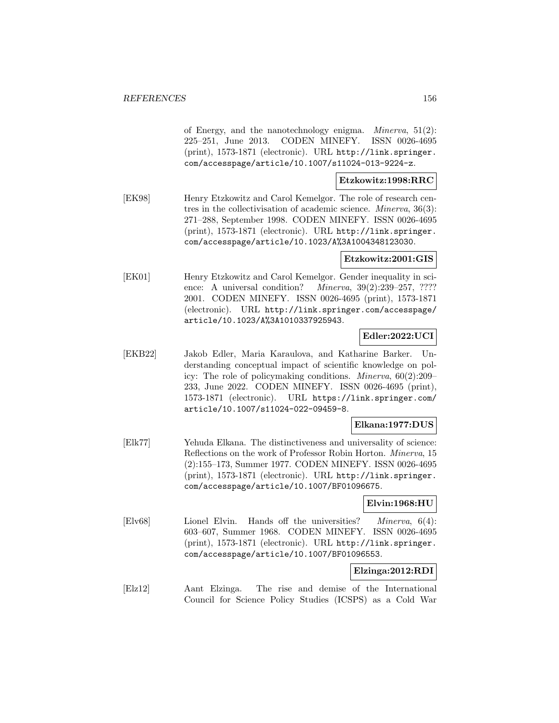of Energy, and the nanotechnology enigma. *Minerva*,  $51(2)$ : 225–251, June 2013. CODEN MINEFY. ISSN 0026-4695 (print), 1573-1871 (electronic). URL http://link.springer. com/accesspage/article/10.1007/s11024-013-9224-z.

# **Etzkowitz:1998:RRC**

[EK98] Henry Etzkowitz and Carol Kemelgor. The role of research centres in the collectivisation of academic science. Minerva, 36(3): 271–288, September 1998. CODEN MINEFY. ISSN 0026-4695 (print), 1573-1871 (electronic). URL http://link.springer. com/accesspage/article/10.1023/A%3A1004348123030.

#### **Etzkowitz:2001:GIS**

[EK01] Henry Etzkowitz and Carol Kemelgor. Gender inequality in science: A universal condition? *Minerva*,  $39(2):239-257, ????$ 2001. CODEN MINEFY. ISSN 0026-4695 (print), 1573-1871 (electronic). URL http://link.springer.com/accesspage/ article/10.1023/A%3A1010337925943.

# **Edler:2022:UCI**

[EKB22] Jakob Edler, Maria Karaulova, and Katharine Barker. Understanding conceptual impact of scientific knowledge on policy: The role of policymaking conditions. Minerva, 60(2):209– 233, June 2022. CODEN MINEFY. ISSN 0026-4695 (print), 1573-1871 (electronic). URL https://link.springer.com/ article/10.1007/s11024-022-09459-8.

# **Elkana:1977:DUS**

[Elk77] Yehuda Elkana. The distinctiveness and universality of science: Reflections on the work of Professor Robin Horton. Minerva, 15 (2):155–173, Summer 1977. CODEN MINEFY. ISSN 0026-4695 (print), 1573-1871 (electronic). URL http://link.springer. com/accesspage/article/10.1007/BF01096675.

#### **Elvin:1968:HU**

[Elv68] Lionel Elvin. Hands off the universities? Minerva, 6(4): 603–607, Summer 1968. CODEN MINEFY. ISSN 0026-4695 (print), 1573-1871 (electronic). URL http://link.springer. com/accesspage/article/10.1007/BF01096553.

# **Elzinga:2012:RDI**

[Elz12] Aant Elzinga. The rise and demise of the International Council for Science Policy Studies (ICSPS) as a Cold War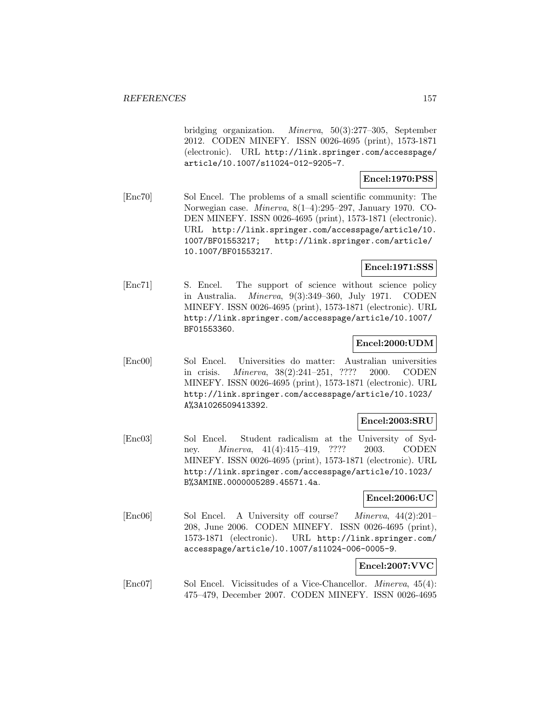bridging organization. Minerva, 50(3):277–305, September 2012. CODEN MINEFY. ISSN 0026-4695 (print), 1573-1871 (electronic). URL http://link.springer.com/accesspage/ article/10.1007/s11024-012-9205-7.

#### **Encel:1970:PSS**

[Enc70] Sol Encel. The problems of a small scientific community: The Norwegian case. Minerva, 8(1–4):295–297, January 1970. CO-DEN MINEFY. ISSN 0026-4695 (print), 1573-1871 (electronic). URL http://link.springer.com/accesspage/article/10. 1007/BF01553217; http://link.springer.com/article/ 10.1007/BF01553217.

# **Encel:1971:SSS**

[Enc71] S. Encel. The support of science without science policy in Australia. Minerva, 9(3):349–360, July 1971. CODEN MINEFY. ISSN 0026-4695 (print), 1573-1871 (electronic). URL http://link.springer.com/accesspage/article/10.1007/ BF01553360.

# **Encel:2000:UDM**

[Enc00] Sol Encel. Universities do matter: Australian universities in crisis. Minerva, 38(2):241–251, ???? 2000. CODEN MINEFY. ISSN 0026-4695 (print), 1573-1871 (electronic). URL http://link.springer.com/accesspage/article/10.1023/ A%3A1026509413392.

# **Encel:2003:SRU**

[Enc03] Sol Encel. Student radicalism at the University of Sydney. *Minerva*, 41(4):415–419, ???? 2003. CODEN MINEFY. ISSN 0026-4695 (print), 1573-1871 (electronic). URL http://link.springer.com/accesspage/article/10.1023/ B%3AMINE.0000005289.45571.4a.

#### **Encel:2006:UC**

[Enc06] Sol Encel. A University off course? Minerva, 44(2):201– 208, June 2006. CODEN MINEFY. ISSN 0026-4695 (print), 1573-1871 (electronic). URL http://link.springer.com/ accesspage/article/10.1007/s11024-006-0005-9.

# **Encel:2007:VVC**

[Enc07] Sol Encel. Vicissitudes of a Vice-Chancellor. *Minerva*, 45(4): 475–479, December 2007. CODEN MINEFY. ISSN 0026-4695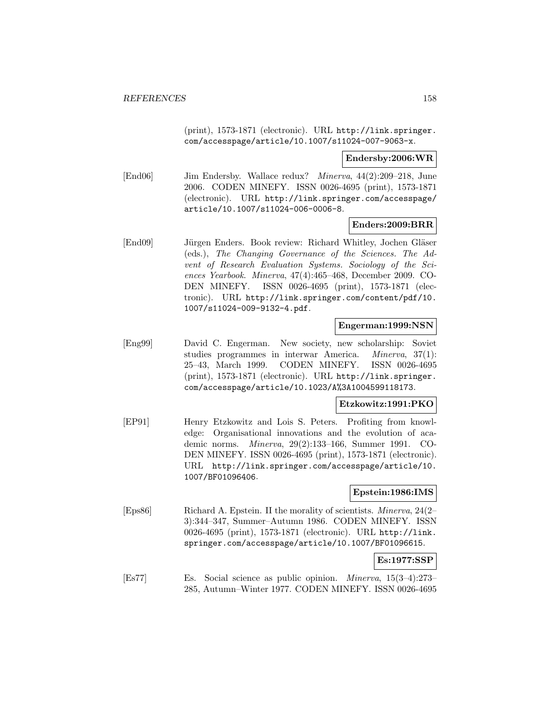(print), 1573-1871 (electronic). URL http://link.springer. com/accesspage/article/10.1007/s11024-007-9063-x.

#### **Endersby:2006:WR**

[End06] Jim Endersby. Wallace redux? Minerva, 44(2):209–218, June 2006. CODEN MINEFY. ISSN 0026-4695 (print), 1573-1871 (electronic). URL http://link.springer.com/accesspage/ article/10.1007/s11024-006-0006-8.

# **Enders:2009:BRR**

[End09] Jürgen Enders. Book review: Richard Whitley, Jochen Gläser (eds.), The Changing Governance of the Sciences. The Advent of Research Evaluation Systems. Sociology of the Sciences Yearbook. Minerva, 47(4):465–468, December 2009. CO-DEN MINEFY. ISSN 0026-4695 (print), 1573-1871 (electronic). URL http://link.springer.com/content/pdf/10. 1007/s11024-009-9132-4.pdf.

#### **Engerman:1999:NSN**

[Eng99] David C. Engerman. New society, new scholarship: Soviet studies programmes in interwar America. Minerva, 37(1): 25–43, March 1999. CODEN MINEFY. ISSN 0026-4695 (print), 1573-1871 (electronic). URL http://link.springer. com/accesspage/article/10.1023/A%3A1004599118173.

#### **Etzkowitz:1991:PKO**

[EP91] Henry Etzkowitz and Lois S. Peters. Profiting from knowledge: Organisational innovations and the evolution of academic norms. Minerva, 29(2):133–166, Summer 1991. CO-DEN MINEFY. ISSN 0026-4695 (print), 1573-1871 (electronic). URL http://link.springer.com/accesspage/article/10. 1007/BF01096406.

# **Epstein:1986:IMS**

[Eps86] Richard A. Epstein. II the morality of scientists. Minerva, 24(2– 3):344–347, Summer–Autumn 1986. CODEN MINEFY. ISSN 0026-4695 (print), 1573-1871 (electronic). URL http://link. springer.com/accesspage/article/10.1007/BF01096615.

#### **Es:1977:SSP**

[Es77] Es. Social science as public opinion. Minerva, 15(3–4):273– 285, Autumn–Winter 1977. CODEN MINEFY. ISSN 0026-4695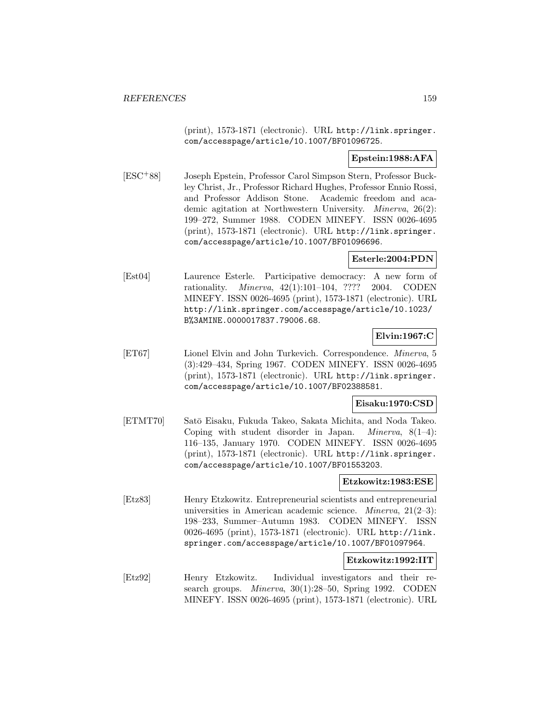(print), 1573-1871 (electronic). URL http://link.springer. com/accesspage/article/10.1007/BF01096725.

#### **Epstein:1988:AFA**

[ESC<sup>+</sup>88] Joseph Epstein, Professor Carol Simpson Stern, Professor Buckley Christ, Jr., Professor Richard Hughes, Professor Ennio Rossi, and Professor Addison Stone. Academic freedom and academic agitation at Northwestern University. Minerva, 26(2): 199–272, Summer 1988. CODEN MINEFY. ISSN 0026-4695 (print), 1573-1871 (electronic). URL http://link.springer. com/accesspage/article/10.1007/BF01096696.

# **Esterle:2004:PDN**

[Est04] Laurence Esterle. Participative democracy: A new form of rationality. Minerva, 42(1):101–104, ???? 2004. CODEN MINEFY. ISSN 0026-4695 (print), 1573-1871 (electronic). URL http://link.springer.com/accesspage/article/10.1023/ B%3AMINE.0000017837.79006.68.

# **Elvin:1967:C**

[ET67] Lionel Elvin and John Turkevich. Correspondence. Minerva, 5 (3):429–434, Spring 1967. CODEN MINEFY. ISSN 0026-4695 (print), 1573-1871 (electronic). URL http://link.springer. com/accesspage/article/10.1007/BF02388581.

# **Eisaku:1970:CSD**

[ETMT70] Satō Eisaku, Fukuda Takeo, Sakata Michita, and Noda Takeo. Coping with student disorder in Japan. *Minerva*,  $8(1-4)$ : 116–135, January 1970. CODEN MINEFY. ISSN 0026-4695 (print), 1573-1871 (electronic). URL http://link.springer. com/accesspage/article/10.1007/BF01553203.

# **Etzkowitz:1983:ESE**

[Etz83] Henry Etzkowitz. Entrepreneurial scientists and entrepreneurial universities in American academic science. Minerva, 21(2–3): 198–233, Summer–Autumn 1983. CODEN MINEFY. ISSN 0026-4695 (print), 1573-1871 (electronic). URL http://link. springer.com/accesspage/article/10.1007/BF01097964.

# **Etzkowitz:1992:IIT**

[Etz92] Henry Etzkowitz. Individual investigators and their research groups. *Minerva*, 30(1):28–50, Spring 1992. CODEN MINEFY. ISSN 0026-4695 (print), 1573-1871 (electronic). URL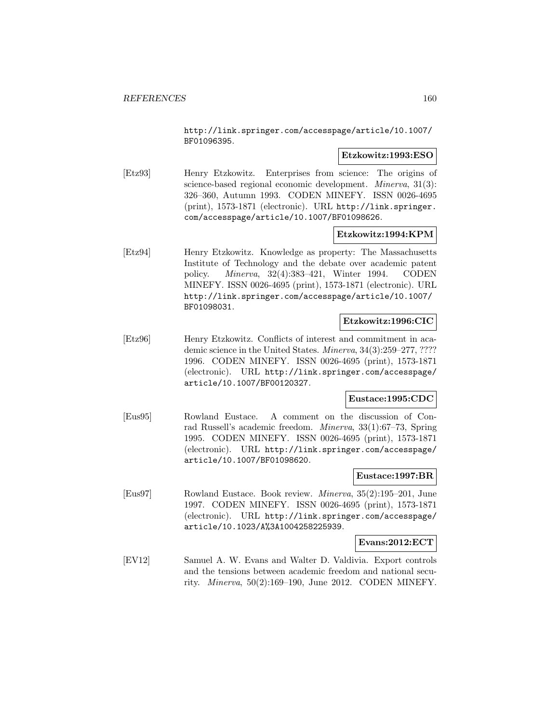http://link.springer.com/accesspage/article/10.1007/ BF01096395.

#### **Etzkowitz:1993:ESO**

[Etz93] Henry Etzkowitz. Enterprises from science: The origins of science-based regional economic development. *Minerva*, 31(3): 326–360, Autumn 1993. CODEN MINEFY. ISSN 0026-4695 (print), 1573-1871 (electronic). URL http://link.springer. com/accesspage/article/10.1007/BF01098626.

# **Etzkowitz:1994:KPM**

[Etz94] Henry Etzkowitz. Knowledge as property: The Massachusetts Institute of Technology and the debate over academic patent policy. Minerva, 32(4):383–421, Winter 1994. CODEN MINEFY. ISSN 0026-4695 (print), 1573-1871 (electronic). URL http://link.springer.com/accesspage/article/10.1007/ BF01098031.

# **Etzkowitz:1996:CIC**

[Etz96] Henry Etzkowitz. Conflicts of interest and commitment in academic science in the United States. Minerva, 34(3):259–277, ???? 1996. CODEN MINEFY. ISSN 0026-4695 (print), 1573-1871 (electronic). URL http://link.springer.com/accesspage/ article/10.1007/BF00120327.

# **Eustace:1995:CDC**

[Eus95] Rowland Eustace. A comment on the discussion of Conrad Russell's academic freedom. Minerva, 33(1):67–73, Spring 1995. CODEN MINEFY. ISSN 0026-4695 (print), 1573-1871 (electronic). URL http://link.springer.com/accesspage/ article/10.1007/BF01098620.

#### **Eustace:1997:BR**

[Eus97] Rowland Eustace. Book review. Minerva, 35(2):195–201, June 1997. CODEN MINEFY. ISSN 0026-4695 (print), 1573-1871 (electronic). URL http://link.springer.com/accesspage/ article/10.1023/A%3A1004258225939.

**Evans:2012:ECT**

[EV12] Samuel A. W. Evans and Walter D. Valdivia. Export controls and the tensions between academic freedom and national security. Minerva, 50(2):169–190, June 2012. CODEN MINEFY.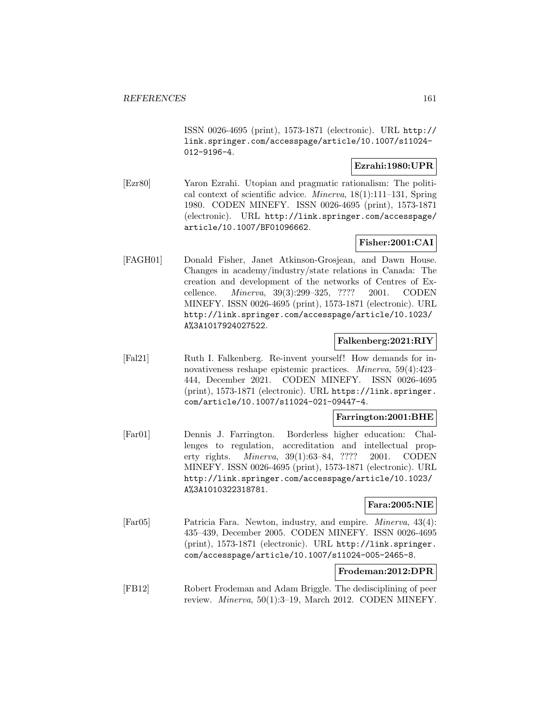ISSN 0026-4695 (print), 1573-1871 (electronic). URL http:// link.springer.com/accesspage/article/10.1007/s11024- 012-9196-4.

# **Ezrahi:1980:UPR**

[Ezr80] Yaron Ezrahi. Utopian and pragmatic rationalism: The political context of scientific advice. Minerva, 18(1):111–131, Spring 1980. CODEN MINEFY. ISSN 0026-4695 (print), 1573-1871 (electronic). URL http://link.springer.com/accesspage/ article/10.1007/BF01096662.

# **Fisher:2001:CAI**

[FAGH01] Donald Fisher, Janet Atkinson-Grosjean, and Dawn House. Changes in academy/industry/state relations in Canada: The creation and development of the networks of Centres of Excellence. Minerva, 39(3):299–325, ???? 2001. CODEN MINEFY. ISSN 0026-4695 (print), 1573-1871 (electronic). URL http://link.springer.com/accesspage/article/10.1023/ A%3A1017924027522.

# **Falkenberg:2021:RIY**

[Fal21] Ruth I. Falkenberg. Re-invent yourself! How demands for innovativeness reshape epistemic practices. Minerva, 59(4):423– 444, December 2021. CODEN MINEFY. ISSN 0026-4695 (print), 1573-1871 (electronic). URL https://link.springer. com/article/10.1007/s11024-021-09447-4.

# **Farrington:2001:BHE**

[Far01] Dennis J. Farrington. Borderless higher education: Challenges to regulation, accreditation and intellectual property rights. Minerva, 39(1):63–84, ???? 2001. CODEN MINEFY. ISSN 0026-4695 (print), 1573-1871 (electronic). URL http://link.springer.com/accesspage/article/10.1023/ A%3A1010322318781.

# **Fara:2005:NIE**

[Far05] Patricia Fara. Newton, industry, and empire. Minerva, 43(4): 435–439, December 2005. CODEN MINEFY. ISSN 0026-4695 (print), 1573-1871 (electronic). URL http://link.springer. com/accesspage/article/10.1007/s11024-005-2465-8.

# **Frodeman:2012:DPR**

[FB12] Robert Frodeman and Adam Briggle. The dedisciplining of peer review. Minerva, 50(1):3–19, March 2012. CODEN MINEFY.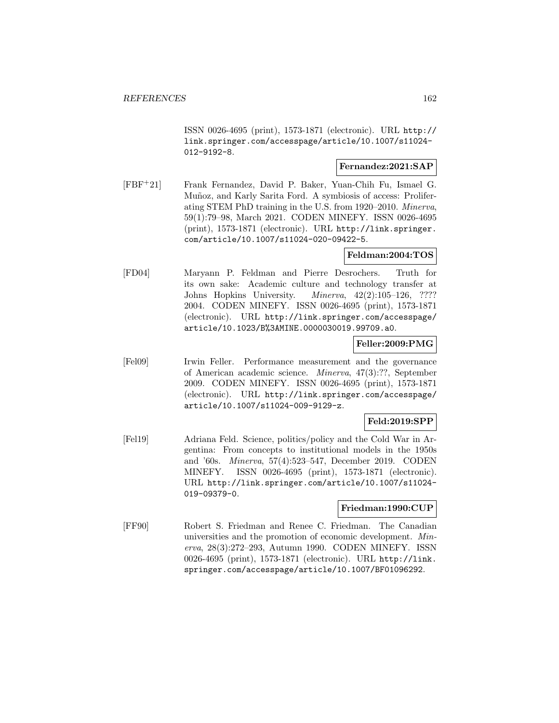ISSN 0026-4695 (print), 1573-1871 (electronic). URL http:// link.springer.com/accesspage/article/10.1007/s11024- 012-9192-8.

# **Fernandez:2021:SAP**

[FBF<sup>+</sup>21] Frank Fernandez, David P. Baker, Yuan-Chih Fu, Ismael G. Muñoz, and Karly Sarita Ford. A symbiosis of access: Proliferating STEM PhD training in the U.S. from 1920–2010. Minerva, 59(1):79–98, March 2021. CODEN MINEFY. ISSN 0026-4695 (print), 1573-1871 (electronic). URL http://link.springer. com/article/10.1007/s11024-020-09422-5.

# **Feldman:2004:TOS**

[FD04] Maryann P. Feldman and Pierre Desrochers. Truth for its own sake: Academic culture and technology transfer at Johns Hopkins University. Minerva, 42(2):105–126, ???? 2004. CODEN MINEFY. ISSN 0026-4695 (print), 1573-1871 (electronic). URL http://link.springer.com/accesspage/ article/10.1023/B%3AMINE.0000030019.99709.a0.

# **Feller:2009:PMG**

[Fel09] Irwin Feller. Performance measurement and the governance of American academic science. Minerva, 47(3):??, September 2009. CODEN MINEFY. ISSN 0026-4695 (print), 1573-1871 (electronic). URL http://link.springer.com/accesspage/ article/10.1007/s11024-009-9129-z.

# **Feld:2019:SPP**

[Fel19] Adriana Feld. Science, politics/policy and the Cold War in Argentina: From concepts to institutional models in the 1950s and '60s. Minerva, 57(4):523–547, December 2019. CODEN MINEFY. ISSN 0026-4695 (print), 1573-1871 (electronic). URL http://link.springer.com/article/10.1007/s11024- 019-09379-0.

#### **Friedman:1990:CUP**

[FF90] Robert S. Friedman and Renee C. Friedman. The Canadian universities and the promotion of economic development. Minerva, 28(3):272–293, Autumn 1990. CODEN MINEFY. ISSN 0026-4695 (print), 1573-1871 (electronic). URL http://link. springer.com/accesspage/article/10.1007/BF01096292.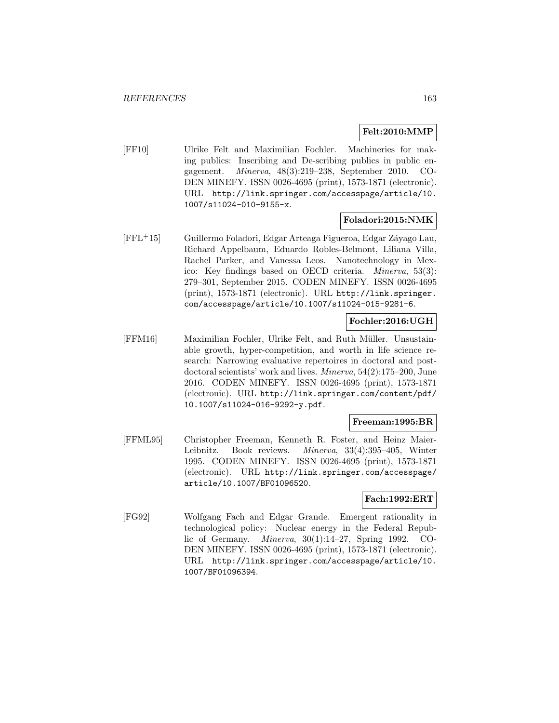# **Felt:2010:MMP**

[FF10] Ulrike Felt and Maximilian Fochler. Machineries for making publics: Inscribing and De-scribing publics in public engagement. Minerva, 48(3):219–238, September 2010. CO-DEN MINEFY. ISSN 0026-4695 (print), 1573-1871 (electronic). URL http://link.springer.com/accesspage/article/10. 1007/s11024-010-9155-x.

#### **Foladori:2015:NMK**

[FFL+15] Guillermo Foladori, Edgar Arteaga Figueroa, Edgar Záyago Lau, Richard Appelbaum, Eduardo Robles-Belmont, Liliana Villa, Rachel Parker, and Vanessa Leos. Nanotechnology in Mexico: Key findings based on OECD criteria. Minerva, 53(3): 279–301, September 2015. CODEN MINEFY. ISSN 0026-4695 (print), 1573-1871 (electronic). URL http://link.springer. com/accesspage/article/10.1007/s11024-015-9281-6.

# **Fochler:2016:UGH**

[FFM16] Maximilian Fochler, Ulrike Felt, and Ruth M¨uller. Unsustainable growth, hyper-competition, and worth in life science research: Narrowing evaluative repertoires in doctoral and postdoctoral scientists' work and lives. Minerva, 54(2):175–200, June 2016. CODEN MINEFY. ISSN 0026-4695 (print), 1573-1871 (electronic). URL http://link.springer.com/content/pdf/ 10.1007/s11024-016-9292-y.pdf.

# **Freeman:1995:BR**

[FFML95] Christopher Freeman, Kenneth R. Foster, and Heinz Maier-Leibnitz. Book reviews. Minerva, 33(4):395–405, Winter 1995. CODEN MINEFY. ISSN 0026-4695 (print), 1573-1871 (electronic). URL http://link.springer.com/accesspage/ article/10.1007/BF01096520.

# **Fach:1992:ERT**

[FG92] Wolfgang Fach and Edgar Grande. Emergent rationality in technological policy: Nuclear energy in the Federal Republic of Germany. Minerva, 30(1):14–27, Spring 1992. CO-DEN MINEFY. ISSN 0026-4695 (print), 1573-1871 (electronic). URL http://link.springer.com/accesspage/article/10. 1007/BF01096394.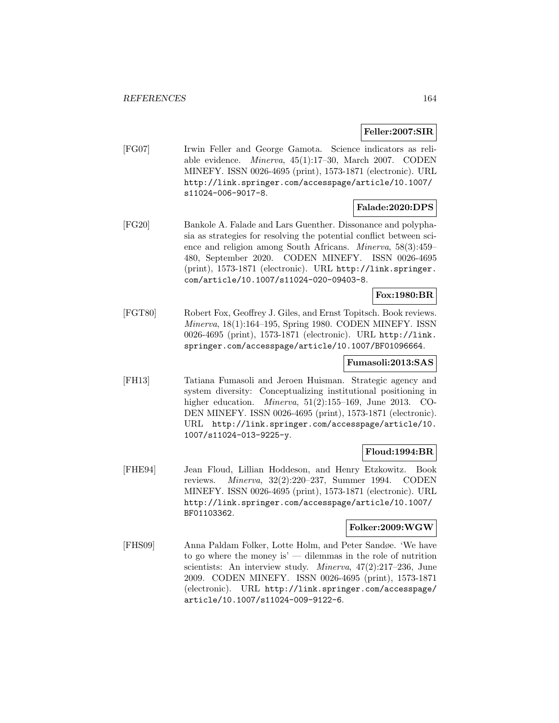# **Feller:2007:SIR**

[FG07] Irwin Feller and George Gamota. Science indicators as reliable evidence. Minerva, 45(1):17–30, March 2007. CODEN MINEFY. ISSN 0026-4695 (print), 1573-1871 (electronic). URL http://link.springer.com/accesspage/article/10.1007/ s11024-006-9017-8.

# **Falade:2020:DPS**

[FG20] Bankole A. Falade and Lars Guenther. Dissonance and polyphasia as strategies for resolving the potential conflict between science and religion among South Africans. Minerva, 58(3):459– 480, September 2020. CODEN MINEFY. ISSN 0026-4695 (print), 1573-1871 (electronic). URL http://link.springer. com/article/10.1007/s11024-020-09403-8.

# **Fox:1980:BR**

[FGT80] Robert Fox, Geoffrey J. Giles, and Ernst Topitsch. Book reviews. Minerva, 18(1):164–195, Spring 1980. CODEN MINEFY. ISSN 0026-4695 (print), 1573-1871 (electronic). URL http://link. springer.com/accesspage/article/10.1007/BF01096664.

# **Fumasoli:2013:SAS**

[FH13] Tatiana Fumasoli and Jeroen Huisman. Strategic agency and system diversity: Conceptualizing institutional positioning in higher education. Minerva, 51(2):155–169, June 2013. CO-DEN MINEFY. ISSN 0026-4695 (print), 1573-1871 (electronic). URL http://link.springer.com/accesspage/article/10. 1007/s11024-013-9225-y.

# **Floud:1994:BR**

[FHE94] Jean Floud, Lillian Hoddeson, and Henry Etzkowitz. Book reviews. Minerva, 32(2):220–237, Summer 1994. CODEN MINEFY. ISSN 0026-4695 (print), 1573-1871 (electronic). URL http://link.springer.com/accesspage/article/10.1007/ BF01103362.

# **Folker:2009:WGW**

[FHS09] Anna Paldam Folker, Lotte Holm, and Peter Sandøe. 'We have to go where the money is'  $-$  dilemmas in the role of nutrition scientists: An interview study. Minerva, 47(2):217–236, June 2009. CODEN MINEFY. ISSN 0026-4695 (print), 1573-1871 (electronic). URL http://link.springer.com/accesspage/ article/10.1007/s11024-009-9122-6.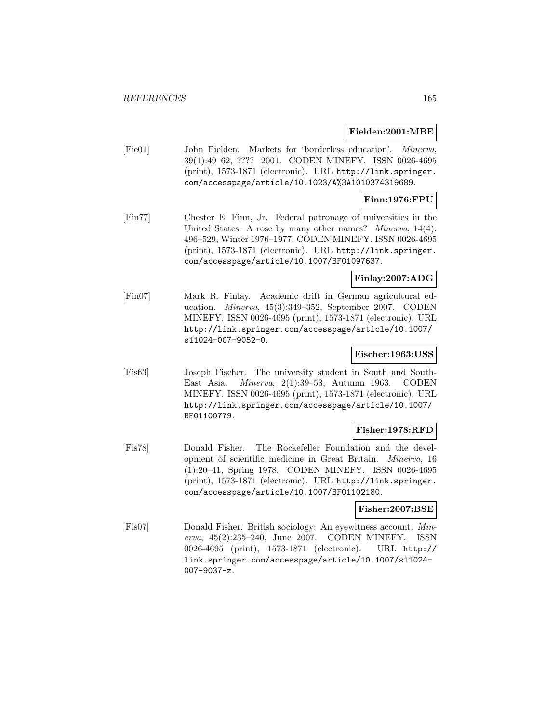#### **Fielden:2001:MBE**

[Fie01] John Fielden. Markets for 'borderless education'. Minerva, 39(1):49–62, ???? 2001. CODEN MINEFY. ISSN 0026-4695 (print), 1573-1871 (electronic). URL http://link.springer. com/accesspage/article/10.1023/A%3A1010374319689.

#### **Finn:1976:FPU**

[Fin77] Chester E. Finn, Jr. Federal patronage of universities in the United States: A rose by many other names? *Minerva*, 14(4): 496–529, Winter 1976–1977. CODEN MINEFY. ISSN 0026-4695 (print), 1573-1871 (electronic). URL http://link.springer. com/accesspage/article/10.1007/BF01097637.

# **Finlay:2007:ADG**

[Fin07] Mark R. Finlay. Academic drift in German agricultural education. Minerva, 45(3):349–352, September 2007. CODEN MINEFY. ISSN 0026-4695 (print), 1573-1871 (electronic). URL http://link.springer.com/accesspage/article/10.1007/ s11024-007-9052-0.

# **Fischer:1963:USS**

[Fis63] Joseph Fischer. The university student in South and South-East Asia. Minerva, 2(1):39–53, Autumn 1963. CODEN MINEFY. ISSN 0026-4695 (print), 1573-1871 (electronic). URL http://link.springer.com/accesspage/article/10.1007/ BF01100779.

# **Fisher:1978:RFD**

[Fis78] Donald Fisher. The Rockefeller Foundation and the development of scientific medicine in Great Britain. Minerva, 16 (1):20–41, Spring 1978. CODEN MINEFY. ISSN 0026-4695 (print), 1573-1871 (electronic). URL http://link.springer. com/accesspage/article/10.1007/BF01102180.

# **Fisher:2007:BSE**

[Fis07] Donald Fisher. British sociology: An eyewitness account. Minerva, 45(2):235–240, June 2007. CODEN MINEFY. ISSN 0026-4695 (print), 1573-1871 (electronic). URL http:// link.springer.com/accesspage/article/10.1007/s11024- 007-9037-z.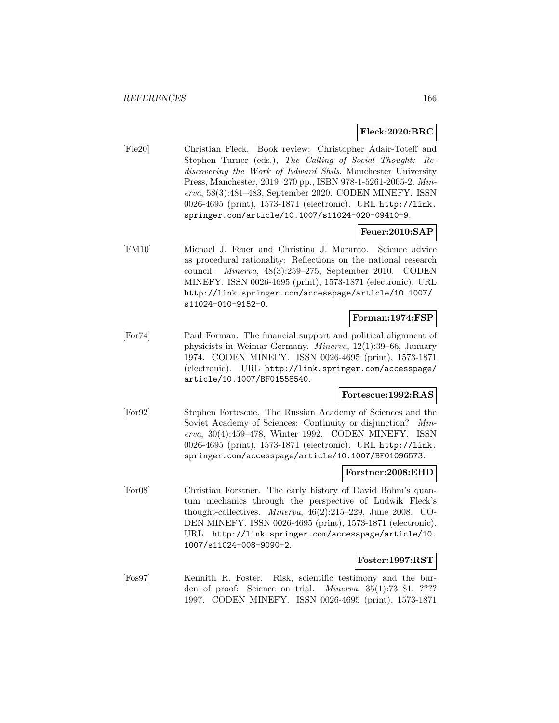# **Fleck:2020:BRC**

[Fle20] Christian Fleck. Book review: Christopher Adair-Toteff and Stephen Turner (eds.), The Calling of Social Thought: Rediscovering the Work of Edward Shils. Manchester University Press, Manchester, 2019, 270 pp., ISBN 978-1-5261-2005-2. Minerva, 58(3):481–483, September 2020. CODEN MINEFY. ISSN 0026-4695 (print), 1573-1871 (electronic). URL http://link. springer.com/article/10.1007/s11024-020-09410-9.

# **Feuer:2010:SAP**

[FM10] Michael J. Feuer and Christina J. Maranto. Science advice as procedural rationality: Reflections on the national research council. Minerva, 48(3):259–275, September 2010. CODEN MINEFY. ISSN 0026-4695 (print), 1573-1871 (electronic). URL http://link.springer.com/accesspage/article/10.1007/ s11024-010-9152-0.

# **Forman:1974:FSP**

[For74] Paul Forman. The financial support and political alignment of physicists in Weimar Germany. Minerva, 12(1):39–66, January 1974. CODEN MINEFY. ISSN 0026-4695 (print), 1573-1871 (electronic). URL http://link.springer.com/accesspage/ article/10.1007/BF01558540.

# **Fortescue:1992:RAS**

[For92] Stephen Fortescue. The Russian Academy of Sciences and the Soviet Academy of Sciences: Continuity or disjunction? Minerva, 30(4):459–478, Winter 1992. CODEN MINEFY. ISSN 0026-4695 (print), 1573-1871 (electronic). URL http://link. springer.com/accesspage/article/10.1007/BF01096573.

#### **Forstner:2008:EHD**

[For08] Christian Forstner. The early history of David Bohm's quantum mechanics through the perspective of Ludwik Fleck's thought-collectives. Minerva, 46(2):215–229, June 2008. CO-DEN MINEFY. ISSN 0026-4695 (print), 1573-1871 (electronic). URL http://link.springer.com/accesspage/article/10. 1007/s11024-008-9090-2.

#### **Foster:1997:RST**

[Fos97] Kennith R. Foster. Risk, scientific testimony and the burden of proof: Science on trial. Minerva, 35(1):73–81, ???? 1997. CODEN MINEFY. ISSN 0026-4695 (print), 1573-1871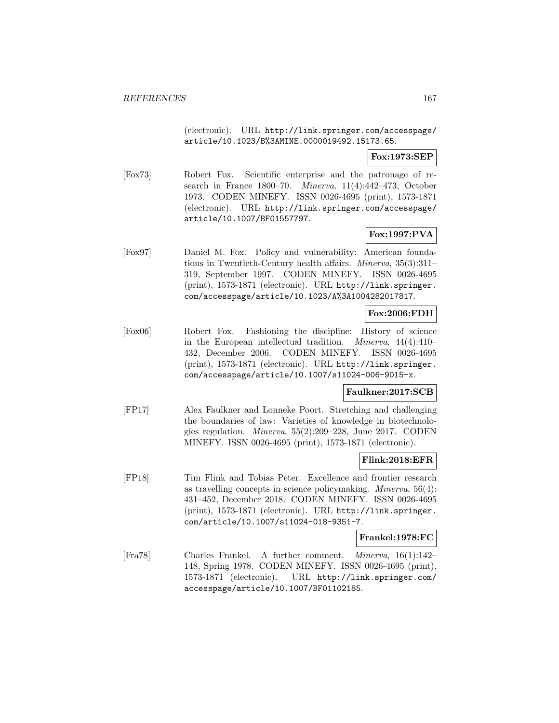(electronic). URL http://link.springer.com/accesspage/ article/10.1023/B%3AMINE.0000019492.15173.65.

# **Fox:1973:SEP**

[Fox73] Robert Fox. Scientific enterprise and the patronage of research in France 1800–70. Minerva, 11(4):442–473, October 1973. CODEN MINEFY. ISSN 0026-4695 (print), 1573-1871 (electronic). URL http://link.springer.com/accesspage/ article/10.1007/BF01557797.

# **Fox:1997:PVA**

[Fox97] Daniel M. Fox. Policy and vulnerability: American foundations in Twentieth-Century health affairs. Minerva, 35(3):311– 319, September 1997. CODEN MINEFY. ISSN 0026-4695 (print), 1573-1871 (electronic). URL http://link.springer. com/accesspage/article/10.1023/A%3A1004282017817.

# **Fox:2006:FDH**

[Fox06] Robert Fox. Fashioning the discipline: History of science in the European intellectual tradition. Minerva, 44(4):410– 432, December 2006. CODEN MINEFY. ISSN 0026-4695 (print), 1573-1871 (electronic). URL http://link.springer. com/accesspage/article/10.1007/s11024-006-9015-x.

# **Faulkner:2017:SCB**

[FP17] Alex Faulkner and Lonneke Poort. Stretching and challenging the boundaries of law: Varieties of knowledge in biotechnologies regulation. Minerva, 55(2):209–228, June 2017. CODEN MINEFY. ISSN 0026-4695 (print), 1573-1871 (electronic).

# **Flink:2018:EFR**

[FP18] Tim Flink and Tobias Peter. Excellence and frontier research as travelling concepts in science policymaking. Minerva, 56(4): 431–452, December 2018. CODEN MINEFY. ISSN 0026-4695 (print), 1573-1871 (electronic). URL http://link.springer. com/article/10.1007/s11024-018-9351-7.

# **Frankel:1978:FC**

[Fra78] Charles Frankel. A further comment. Minerva, 16(1):142– 148, Spring 1978. CODEN MINEFY. ISSN 0026-4695 (print), 1573-1871 (electronic). URL http://link.springer.com/ accesspage/article/10.1007/BF01102185.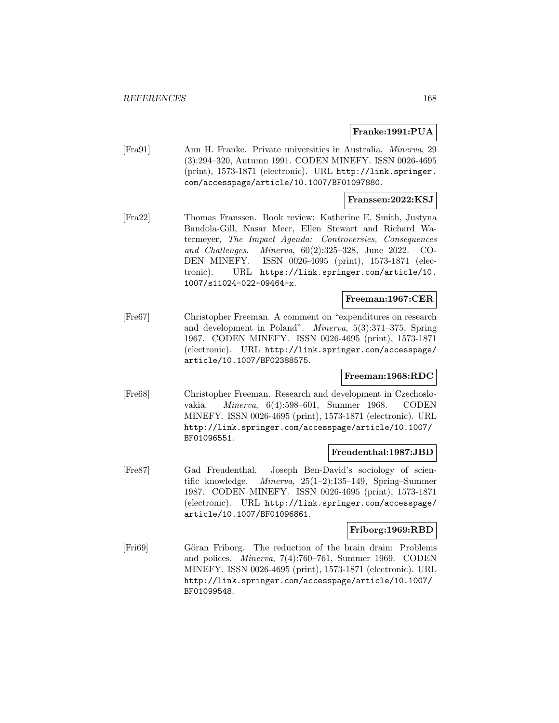# **Franke:1991:PUA**

[Fra91] Ann H. Franke. Private universities in Australia. Minerva, 29 (3):294–320, Autumn 1991. CODEN MINEFY. ISSN 0026-4695 (print), 1573-1871 (electronic). URL http://link.springer. com/accesspage/article/10.1007/BF01097880.

# **Franssen:2022:KSJ**

[Fra22] Thomas Franssen. Book review: Katherine E. Smith, Justyna Bandola-Gill, Nasar Meer, Ellen Stewart and Richard Watermeyer, The Impact Agenda: Controversies, Consequences and Challenges. Minerva, 60(2):325–328, June 2022. CO-DEN MINEFY. ISSN 0026-4695 (print), 1573-1871 (electronic). URL https://link.springer.com/article/10. 1007/s11024-022-09464-x.

# **Freeman:1967:CER**

[Fre67] Christopher Freeman. A comment on "expenditures on research and development in Poland". Minerva, 5(3):371–375, Spring 1967. CODEN MINEFY. ISSN 0026-4695 (print), 1573-1871 (electronic). URL http://link.springer.com/accesspage/ article/10.1007/BF02388575.

# **Freeman:1968:RDC**

[Fre68] Christopher Freeman. Research and development in Czechoslovakia. Minerva, 6(4):598–601, Summer 1968. CODEN MINEFY. ISSN 0026-4695 (print), 1573-1871 (electronic). URL http://link.springer.com/accesspage/article/10.1007/ BF01096551.

# **Freudenthal:1987:JBD**

[Fre87] Gad Freudenthal. Joseph Ben-David's sociology of scientific knowledge. Minerva, 25(1–2):135–149, Spring–Summer 1987. CODEN MINEFY. ISSN 0026-4695 (print), 1573-1871 (electronic). URL http://link.springer.com/accesspage/ article/10.1007/BF01096861.

# **Friborg:1969:RBD**

[Fri69] Göran Friborg. The reduction of the brain drain: Problems and polices. Minerva, 7(4):760–761, Summer 1969. CODEN MINEFY. ISSN 0026-4695 (print), 1573-1871 (electronic). URL http://link.springer.com/accesspage/article/10.1007/ BF01099548.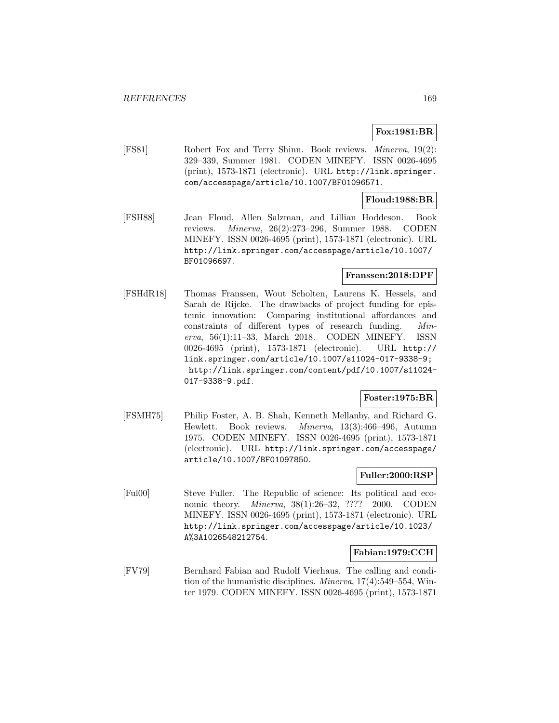# **Fox:1981:BR**

[FS81] Robert Fox and Terry Shinn. Book reviews. Minerva, 19(2): 329–339, Summer 1981. CODEN MINEFY. ISSN 0026-4695 (print), 1573-1871 (electronic). URL http://link.springer. com/accesspage/article/10.1007/BF01096571.

# **Floud:1988:BR**

[FSH88] Jean Floud, Allen Salzman, and Lillian Hoddeson. Book reviews. Minerva, 26(2):273–296, Summer 1988. CODEN MINEFY. ISSN 0026-4695 (print), 1573-1871 (electronic). URL http://link.springer.com/accesspage/article/10.1007/ BF01096697.

# **Franssen:2018:DPF**

[FSHdR18] Thomas Franssen, Wout Scholten, Laurens K. Hessels, and Sarah de Rijcke. The drawbacks of project funding for epistemic innovation: Comparing institutional affordances and constraints of different types of research funding. Minerva, 56(1):11–33, March 2018. CODEN MINEFY. ISSN 0026-4695 (print), 1573-1871 (electronic). URL http:// link.springer.com/article/10.1007/s11024-017-9338-9; http://link.springer.com/content/pdf/10.1007/s11024- 017-9338-9.pdf.

# **Foster:1975:BR**

[FSMH75] Philip Foster, A. B. Shah, Kenneth Mellanby, and Richard G. Hewlett. Book reviews. Minerva, 13(3):466–496, Autumn 1975. CODEN MINEFY. ISSN 0026-4695 (print), 1573-1871 (electronic). URL http://link.springer.com/accesspage/ article/10.1007/BF01097850.

# **Fuller:2000:RSP**

[Ful00] Steve Fuller. The Republic of science: Its political and economic theory. *Minerva*, 38(1):26–32, ???? 2000. CODEN MINEFY. ISSN 0026-4695 (print), 1573-1871 (electronic). URL http://link.springer.com/accesspage/article/10.1023/ A%3A1026548212754.

# **Fabian:1979:CCH**

[FV79] Bernhard Fabian and Rudolf Vierhaus. The calling and condition of the humanistic disciplines. Minerva, 17(4):549–554, Winter 1979. CODEN MINEFY. ISSN 0026-4695 (print), 1573-1871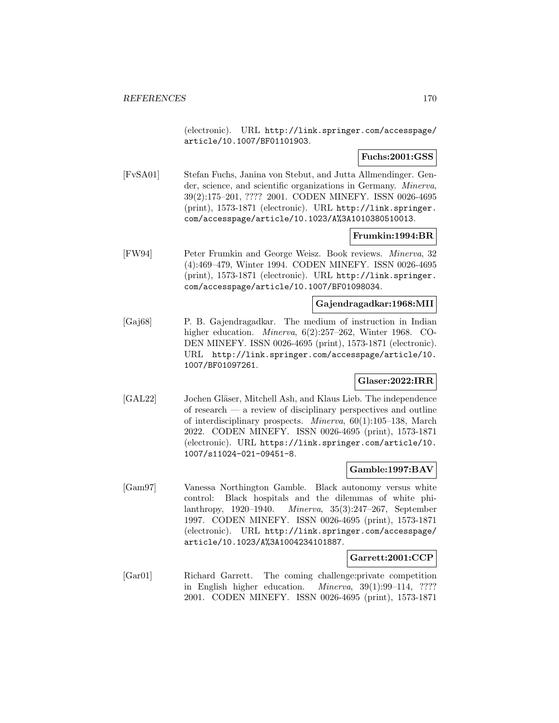(electronic). URL http://link.springer.com/accesspage/ article/10.1007/BF01101903.

# **Fuchs:2001:GSS**

[FvSA01] Stefan Fuchs, Janina von Stebut, and Jutta Allmendinger. Gender, science, and scientific organizations in Germany. Minerva, 39(2):175–201, ???? 2001. CODEN MINEFY. ISSN 0026-4695 (print), 1573-1871 (electronic). URL http://link.springer. com/accesspage/article/10.1023/A%3A1010380510013.

# **Frumkin:1994:BR**

[FW94] Peter Frumkin and George Weisz. Book reviews. Minerva, 32 (4):469–479, Winter 1994. CODEN MINEFY. ISSN 0026-4695 (print), 1573-1871 (electronic). URL http://link.springer. com/accesspage/article/10.1007/BF01098034.

# **Gajendragadkar:1968:MII**

[Gaj68] P. B. Gajendragadkar. The medium of instruction in Indian higher education. *Minerva*, 6(2):257–262, Winter 1968. CO-DEN MINEFY. ISSN 0026-4695 (print), 1573-1871 (electronic). URL http://link.springer.com/accesspage/article/10. 1007/BF01097261.

# **Glaser:2022:IRR**

[GAL22] Jochen Gläser, Mitchell Ash, and Klaus Lieb. The independence of research — a review of disciplinary perspectives and outline of interdisciplinary prospects. Minerva, 60(1):105–138, March 2022. CODEN MINEFY. ISSN 0026-4695 (print), 1573-1871 (electronic). URL https://link.springer.com/article/10. 1007/s11024-021-09451-8.

# **Gamble:1997:BAV**

[Gam97] Vanessa Northington Gamble. Black autonomy versus white control: Black hospitals and the dilemmas of white philanthropy, 1920–1940. Minerva, 35(3):247–267, September 1997. CODEN MINEFY. ISSN 0026-4695 (print), 1573-1871 (electronic). URL http://link.springer.com/accesspage/ article/10.1023/A%3A1004234101887.

#### **Garrett:2001:CCP**

[Gar01] Richard Garrett. The coming challenge:private competition in English higher education. Minerva, 39(1):99–114, ???? 2001. CODEN MINEFY. ISSN 0026-4695 (print), 1573-1871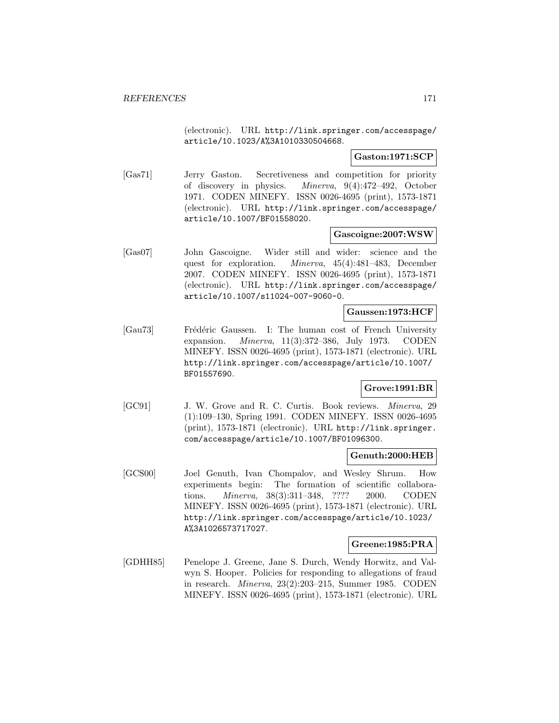(electronic). URL http://link.springer.com/accesspage/ article/10.1023/A%3A1010330504668.

# **Gaston:1971:SCP**

[Gas71] Jerry Gaston. Secretiveness and competition for priority of discovery in physics. Minerva, 9(4):472–492, October 1971. CODEN MINEFY. ISSN 0026-4695 (print), 1573-1871 (electronic). URL http://link.springer.com/accesspage/ article/10.1007/BF01558020.

# **Gascoigne:2007:WSW**

[Gas07] John Gascoigne. Wider still and wider: science and the quest for exploration. Minerva, 45(4):481–483, December 2007. CODEN MINEFY. ISSN 0026-4695 (print), 1573-1871 (electronic). URL http://link.springer.com/accesspage/ article/10.1007/s11024-007-9060-0.

# **Gaussen:1973:HCF**

[Gau73] Frédéric Gaussen. I: The human cost of French University expansion. Minerva, 11(3):372–386, July 1973. CODEN MINEFY. ISSN 0026-4695 (print), 1573-1871 (electronic). URL http://link.springer.com/accesspage/article/10.1007/ BF01557690.

# **Grove:1991:BR**

[GC91] J. W. Grove and R. C. Curtis. Book reviews. Minerva, 29 (1):109–130, Spring 1991. CODEN MINEFY. ISSN 0026-4695 (print), 1573-1871 (electronic). URL http://link.springer. com/accesspage/article/10.1007/BF01096300.

# **Genuth:2000:HEB**

[GCS00] Joel Genuth, Ivan Chompalov, and Wesley Shrum. How experiments begin: The formation of scientific collaborations. Minerva, 38(3):311–348, ???? 2000. CODEN MINEFY. ISSN 0026-4695 (print), 1573-1871 (electronic). URL http://link.springer.com/accesspage/article/10.1023/ A%3A1026573717027.

# **Greene:1985:PRA**

[GDHH85] Penelope J. Greene, Jane S. Durch, Wendy Horwitz, and Valwyn S. Hooper. Policies for responding to allegations of fraud in research. Minerva, 23(2):203–215, Summer 1985. CODEN MINEFY. ISSN 0026-4695 (print), 1573-1871 (electronic). URL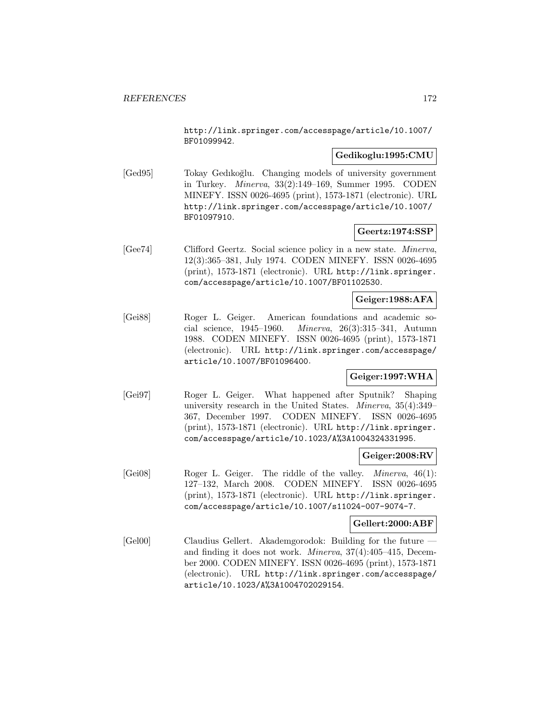http://link.springer.com/accesspage/article/10.1007/ BF01099942.

# **Gedikoglu:1995:CMU**

[Ged95] Tokay Gedikoğlu. Changing models of university government in Turkey. Minerva, 33(2):149–169, Summer 1995. CODEN MINEFY. ISSN 0026-4695 (print), 1573-1871 (electronic). URL http://link.springer.com/accesspage/article/10.1007/ BF01097910.

# **Geertz:1974:SSP**

[Gee74] Clifford Geertz. Social science policy in a new state. Minerva, 12(3):365–381, July 1974. CODEN MINEFY. ISSN 0026-4695 (print), 1573-1871 (electronic). URL http://link.springer. com/accesspage/article/10.1007/BF01102530.

# **Geiger:1988:AFA**

[Gei88] Roger L. Geiger. American foundations and academic social science, 1945–1960. Minerva, 26(3):315–341, Autumn 1988. CODEN MINEFY. ISSN 0026-4695 (print), 1573-1871 (electronic). URL http://link.springer.com/accesspage/ article/10.1007/BF01096400.

# **Geiger:1997:WHA**

[Gei97] Roger L. Geiger. What happened after Sputnik? Shaping university research in the United States. Minerva, 35(4):349– 367, December 1997. CODEN MINEFY. ISSN 0026-4695 (print), 1573-1871 (electronic). URL http://link.springer. com/accesspage/article/10.1023/A%3A1004324331995.

#### **Geiger:2008:RV**

[Gei08] Roger L. Geiger. The riddle of the valley. Minerva, 46(1): 127–132, March 2008. CODEN MINEFY. ISSN 0026-4695 (print), 1573-1871 (electronic). URL http://link.springer. com/accesspage/article/10.1007/s11024-007-9074-7.

#### **Gellert:2000:ABF**

[Gel00] Claudius Gellert. Akademgorodok: Building for the future and finding it does not work. Minerva, 37(4):405–415, December 2000. CODEN MINEFY. ISSN 0026-4695 (print), 1573-1871 (electronic). URL http://link.springer.com/accesspage/ article/10.1023/A%3A1004702029154.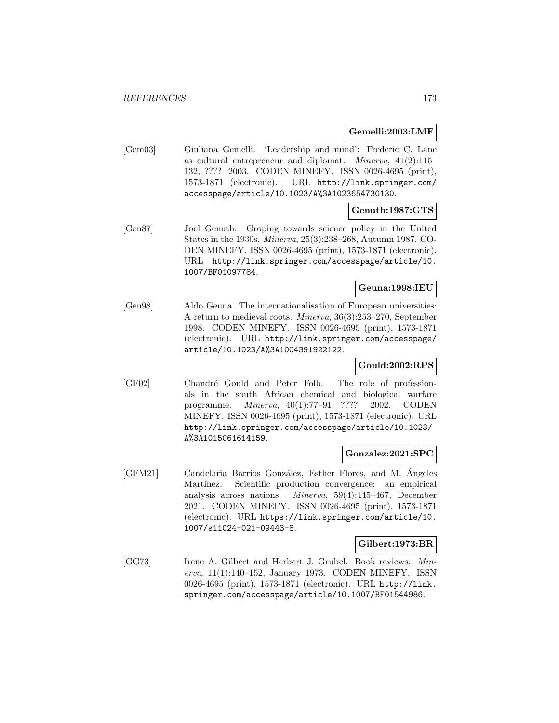#### **Gemelli:2003:LMF**

[Gem03] Giuliana Gemelli. 'Leadership and mind': Frederic C. Lane as cultural entrepreneur and diplomat. Minerva, 41(2):115– 132, ???? 2003. CODEN MINEFY. ISSN 0026-4695 (print), 1573-1871 (electronic). URL http://link.springer.com/ accesspage/article/10.1023/A%3A1023654730130.

# **Genuth:1987:GTS**

[Gen87] Joel Genuth. Groping towards science policy in the United States in the 1930s. Minerva, 25(3):238–268, Autumn 1987. CO-DEN MINEFY. ISSN 0026-4695 (print), 1573-1871 (electronic). URL http://link.springer.com/accesspage/article/10. 1007/BF01097784.

#### **Geuna:1998:IEU**

[Geu98] Aldo Geuna. The internationalisation of European universities: A return to medieval roots. Minerva, 36(3):253–270, September 1998. CODEN MINEFY. ISSN 0026-4695 (print), 1573-1871 (electronic). URL http://link.springer.com/accesspage/ article/10.1023/A%3A1004391922122.

# **Gould:2002:RPS**

[GF02] Chandré Gould and Peter Folb. The role of professionals in the south African chemical and biological warfare programme. Minerva, 40(1):77–91, ???? 2002. CODEN MINEFY. ISSN 0026-4695 (print), 1573-1871 (electronic). URL http://link.springer.com/accesspage/article/10.1023/ A%3A1015061614159.

# **Gonzalez:2021:SPC**

[GFM21] Candelaria Barrios González, Esther Flores, and M. Angeles Martínez. Scientific production convergence: an empirical analysis across nations. Minerva, 59(4):445–467, December 2021. CODEN MINEFY. ISSN 0026-4695 (print), 1573-1871 (electronic). URL https://link.springer.com/article/10. 1007/s11024-021-09443-8.

# **Gilbert:1973:BR**

[GG73] Irene A. Gilbert and Herbert J. Grubel. Book reviews. Minerva, 11(1):140–152, January 1973. CODEN MINEFY. ISSN 0026-4695 (print), 1573-1871 (electronic). URL http://link. springer.com/accesspage/article/10.1007/BF01544986.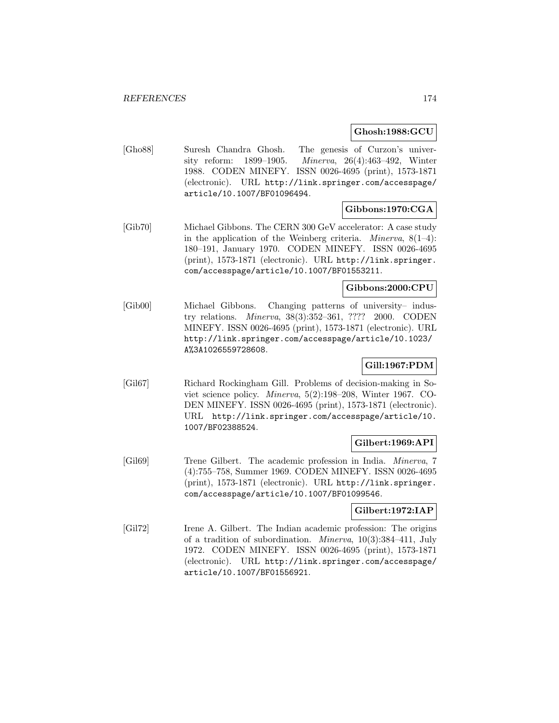#### **Ghosh:1988:GCU**

[Gho88] Suresh Chandra Ghosh. The genesis of Curzon's university reform: 1899–1905. Minerva, 26(4):463–492, Winter 1988. CODEN MINEFY. ISSN 0026-4695 (print), 1573-1871 (electronic). URL http://link.springer.com/accesspage/ article/10.1007/BF01096494.

# **Gibbons:1970:CGA**

[Gib70] Michael Gibbons. The CERN 300 GeV accelerator: A case study in the application of the Weinberg criteria. *Minerva*,  $8(1-4)$ : 180–191, January 1970. CODEN MINEFY. ISSN 0026-4695 (print), 1573-1871 (electronic). URL http://link.springer. com/accesspage/article/10.1007/BF01553211.

#### **Gibbons:2000:CPU**

[Gib00] Michael Gibbons. Changing patterns of university– industry relations. Minerva, 38(3):352–361, ???? 2000. CODEN MINEFY. ISSN 0026-4695 (print), 1573-1871 (electronic). URL http://link.springer.com/accesspage/article/10.1023/ A%3A1026559728608.

# **Gill:1967:PDM**

[Gil67] Richard Rockingham Gill. Problems of decision-making in Soviet science policy. Minerva, 5(2):198–208, Winter 1967. CO-DEN MINEFY. ISSN 0026-4695 (print), 1573-1871 (electronic). URL http://link.springer.com/accesspage/article/10. 1007/BF02388524.

# **Gilbert:1969:API**

[Gil69] Trene Gilbert. The academic profession in India. Minerva, 7 (4):755–758, Summer 1969. CODEN MINEFY. ISSN 0026-4695 (print), 1573-1871 (electronic). URL http://link.springer. com/accesspage/article/10.1007/BF01099546.

# **Gilbert:1972:IAP**

[Gil72] Irene A. Gilbert. The Indian academic profession: The origins of a tradition of subordination. Minerva, 10(3):384–411, July 1972. CODEN MINEFY. ISSN 0026-4695 (print), 1573-1871 (electronic). URL http://link.springer.com/accesspage/ article/10.1007/BF01556921.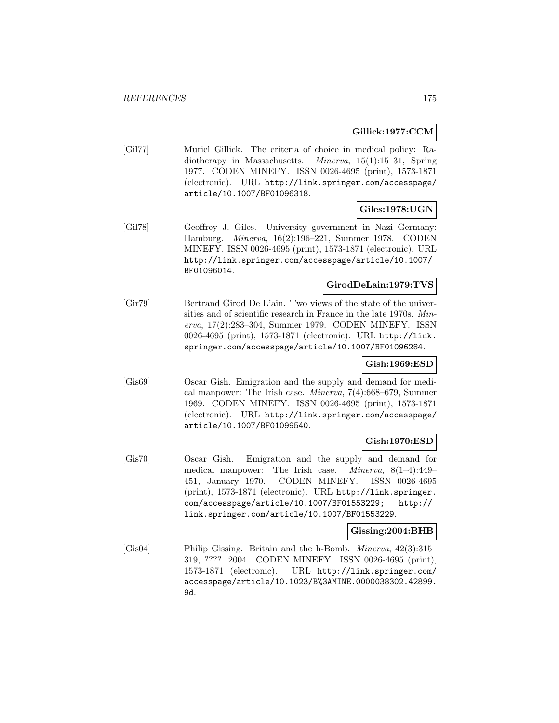# **Gillick:1977:CCM**

[Gil77] Muriel Gillick. The criteria of choice in medical policy: Radiotherapy in Massachusetts. Minerva, 15(1):15–31, Spring 1977. CODEN MINEFY. ISSN 0026-4695 (print), 1573-1871 (electronic). URL http://link.springer.com/accesspage/ article/10.1007/BF01096318.

# **Giles:1978:UGN**

[Gil78] Geoffrey J. Giles. University government in Nazi Germany: Hamburg. Minerva, 16(2):196–221, Summer 1978. CODEN MINEFY. ISSN 0026-4695 (print), 1573-1871 (electronic). URL http://link.springer.com/accesspage/article/10.1007/ BF01096014.

# **GirodDeLain:1979:TVS**

[Gir79] Bertrand Girod De L'ain. Two views of the state of the universities and of scientific research in France in the late 1970s. Minerva, 17(2):283–304, Summer 1979. CODEN MINEFY. ISSN 0026-4695 (print), 1573-1871 (electronic). URL http://link. springer.com/accesspage/article/10.1007/BF01096284.

# **Gish:1969:ESD**

[Gis69] Oscar Gish. Emigration and the supply and demand for medical manpower: The Irish case. Minerva, 7(4):668–679, Summer 1969. CODEN MINEFY. ISSN 0026-4695 (print), 1573-1871 (electronic). URL http://link.springer.com/accesspage/ article/10.1007/BF01099540.

# **Gish:1970:ESD**

[Gis70] Oscar Gish. Emigration and the supply and demand for medical manpower: The Irish case. Minerva, 8(1–4):449– 451, January 1970. CODEN MINEFY. ISSN 0026-4695 (print), 1573-1871 (electronic). URL http://link.springer. com/accesspage/article/10.1007/BF01553229; http:// link.springer.com/article/10.1007/BF01553229.

# **Gissing:2004:BHB**

[Gis04] Philip Gissing. Britain and the h-Bomb. Minerva, 42(3):315– 319, ???? 2004. CODEN MINEFY. ISSN 0026-4695 (print), 1573-1871 (electronic). URL http://link.springer.com/ accesspage/article/10.1023/B%3AMINE.0000038302.42899. 9d.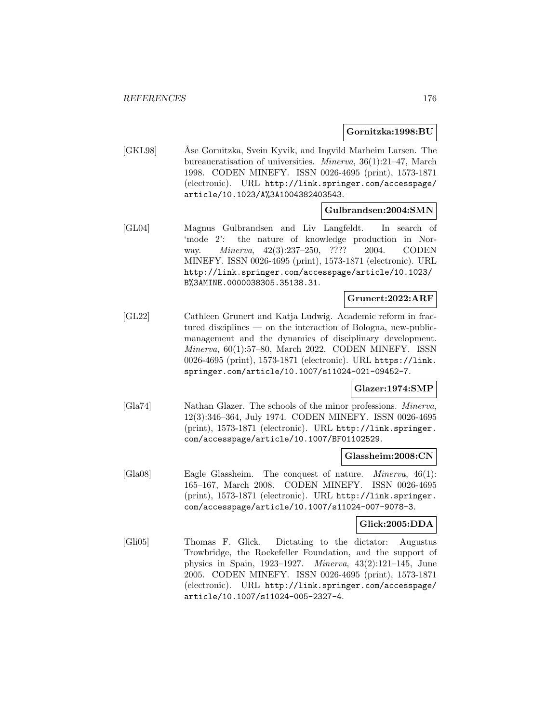#### **Gornitzka:1998:BU**

[GKL98] ••• Åse Gornitzka, Svein Kyvik, and Ingvild Marheim Larsen. The bureaucratisation of universities. Minerva, 36(1):21–47, March 1998. CODEN MINEFY. ISSN 0026-4695 (print), 1573-1871 (electronic). URL http://link.springer.com/accesspage/ article/10.1023/A%3A1004382403543.

# **Gulbrandsen:2004:SMN**

[GL04] Magnus Gulbrandsen and Liv Langfeldt. In search of 'mode 2': the nature of knowledge production in Norway. *Minerva*, 42(3):237-250, ???? 2004. CODEN MINEFY. ISSN 0026-4695 (print), 1573-1871 (electronic). URL http://link.springer.com/accesspage/article/10.1023/ B%3AMINE.0000038305.35138.31.

# **Grunert:2022:ARF**

[GL22] Cathleen Grunert and Katja Ludwig. Academic reform in fractured disciplines — on the interaction of Bologna, new-publicmanagement and the dynamics of disciplinary development. Minerva, 60(1):57–80, March 2022. CODEN MINEFY. ISSN 0026-4695 (print), 1573-1871 (electronic). URL https://link. springer.com/article/10.1007/s11024-021-09452-7.

#### **Glazer:1974:SMP**

[Gla74] Nathan Glazer. The schools of the minor professions. Minerva, 12(3):346–364, July 1974. CODEN MINEFY. ISSN 0026-4695 (print), 1573-1871 (electronic). URL http://link.springer. com/accesspage/article/10.1007/BF01102529.

#### **Glassheim:2008:CN**

[Gla08] Eagle Glassheim. The conquest of nature. Minerva, 46(1): 165–167, March 2008. CODEN MINEFY. ISSN 0026-4695 (print), 1573-1871 (electronic). URL http://link.springer. com/accesspage/article/10.1007/s11024-007-9078-3.

# **Glick:2005:DDA**

[Gli05] Thomas F. Glick. Dictating to the dictator: Augustus Trowbridge, the Rockefeller Foundation, and the support of physics in Spain, 1923–1927. Minerva, 43(2):121–145, June 2005. CODEN MINEFY. ISSN 0026-4695 (print), 1573-1871 (electronic). URL http://link.springer.com/accesspage/ article/10.1007/s11024-005-2327-4.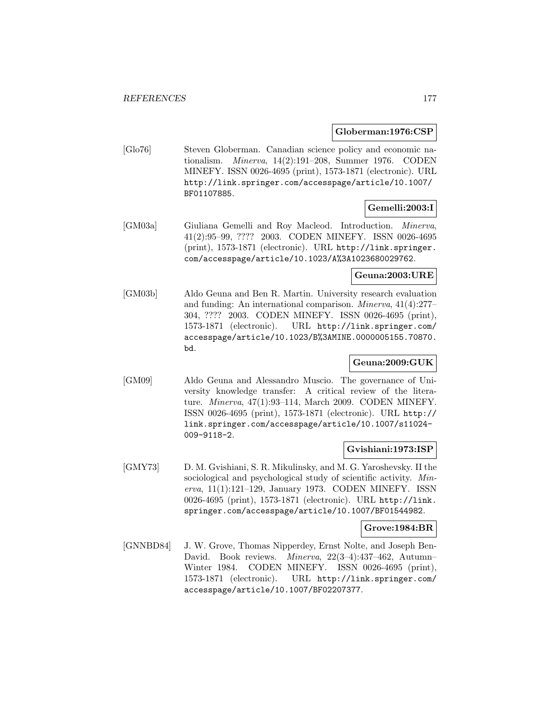#### **Globerman:1976:CSP**

[Glo76] Steven Globerman. Canadian science policy and economic nationalism. Minerva, 14(2):191–208, Summer 1976. CODEN MINEFY. ISSN 0026-4695 (print), 1573-1871 (electronic). URL http://link.springer.com/accesspage/article/10.1007/ BF01107885.

# **Gemelli:2003:I**

[GM03a] Giuliana Gemelli and Roy Macleod. Introduction. Minerva, 41(2):95–99, ???? 2003. CODEN MINEFY. ISSN 0026-4695 (print), 1573-1871 (electronic). URL http://link.springer. com/accesspage/article/10.1023/A%3A1023680029762.

# **Geuna:2003:URE**

[GM03b] Aldo Geuna and Ben R. Martin. University research evaluation and funding: An international comparison. Minerva, 41(4):277– 304, ???? 2003. CODEN MINEFY. ISSN 0026-4695 (print), 1573-1871 (electronic). URL http://link.springer.com/ accesspage/article/10.1023/B%3AMINE.0000005155.70870. bd.

# **Geuna:2009:GUK**

[GM09] Aldo Geuna and Alessandro Muscio. The governance of University knowledge transfer: A critical review of the literature. Minerva, 47(1):93–114, March 2009. CODEN MINEFY. ISSN 0026-4695 (print), 1573-1871 (electronic). URL http:// link.springer.com/accesspage/article/10.1007/s11024- 009-9118-2.

# **Gvishiani:1973:ISP**

[GMY73] D. M. Gvishiani, S. R. Mikulinsky, and M. G. Yaroshevsky. II the sociological and psychological study of scientific activity. Minerva, 11(1):121–129, January 1973. CODEN MINEFY. ISSN 0026-4695 (print), 1573-1871 (electronic). URL http://link. springer.com/accesspage/article/10.1007/BF01544982.

#### **Grove:1984:BR**

[GNNBD84] J. W. Grove, Thomas Nipperdey, Ernst Nolte, and Joseph Ben-David. Book reviews. Minerva, 22(3–4):437–462, Autumn– Winter 1984. CODEN MINEFY. ISSN 0026-4695 (print), 1573-1871 (electronic). URL http://link.springer.com/ accesspage/article/10.1007/BF02207377.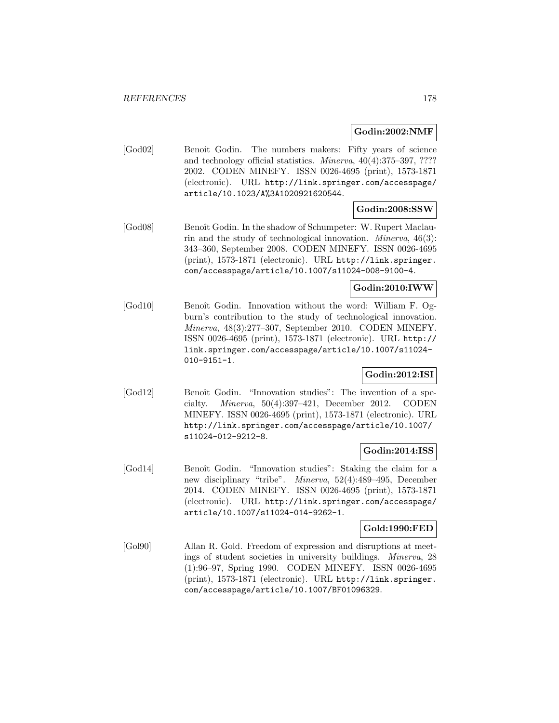**Godin:2002:NMF**

[God02] Benoit Godin. The numbers makers: Fifty years of science and technology official statistics. Minerva, 40(4):375–397, ???? 2002. CODEN MINEFY. ISSN 0026-4695 (print), 1573-1871 (electronic). URL http://link.springer.com/accesspage/ article/10.1023/A%3A1020921620544.

# **Godin:2008:SSW**

[God08] Benoît Godin. In the shadow of Schumpeter: W. Rupert Maclaurin and the study of technological innovation. Minerva, 46(3): 343–360, September 2008. CODEN MINEFY. ISSN 0026-4695 (print), 1573-1871 (electronic). URL http://link.springer. com/accesspage/article/10.1007/s11024-008-9100-4.

#### **Godin:2010:IWW**

[God10] Benoît Godin. Innovation without the word: William F. Ogburn's contribution to the study of technological innovation. Minerva, 48(3):277–307, September 2010. CODEN MINEFY. ISSN 0026-4695 (print), 1573-1871 (electronic). URL http:// link.springer.com/accesspage/article/10.1007/s11024- 010-9151-1.

# **Godin:2012:ISI**

[God12] Benoît Godin. "Innovation studies": The invention of a specialty. Minerva, 50(4):397–421, December 2012. CODEN MINEFY. ISSN 0026-4695 (print), 1573-1871 (electronic). URL http://link.springer.com/accesspage/article/10.1007/ s11024-012-9212-8.

# **Godin:2014:ISS**

[God14] Benoît Godin. "Innovation studies": Staking the claim for a new disciplinary "tribe". Minerva, 52(4):489–495, December 2014. CODEN MINEFY. ISSN 0026-4695 (print), 1573-1871 (electronic). URL http://link.springer.com/accesspage/ article/10.1007/s11024-014-9262-1.

#### **Gold:1990:FED**

[Gol90] Allan R. Gold. Freedom of expression and disruptions at meetings of student societies in university buildings. Minerva, 28 (1):96–97, Spring 1990. CODEN MINEFY. ISSN 0026-4695 (print), 1573-1871 (electronic). URL http://link.springer. com/accesspage/article/10.1007/BF01096329.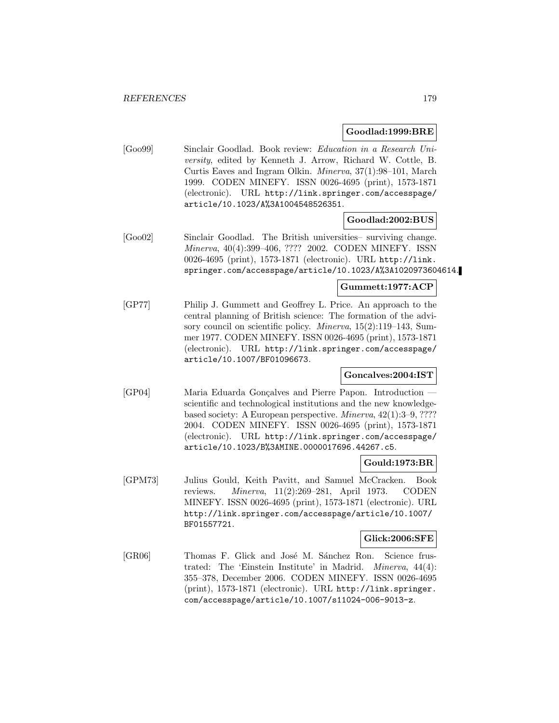# **Goodlad:1999:BRE**

[Goo99] Sinclair Goodlad. Book review: Education in a Research University, edited by Kenneth J. Arrow, Richard W. Cottle, B. Curtis Eaves and Ingram Olkin. Minerva, 37(1):98–101, March 1999. CODEN MINEFY. ISSN 0026-4695 (print), 1573-1871 (electronic). URL http://link.springer.com/accesspage/ article/10.1023/A%3A1004548526351.

# **Goodlad:2002:BUS**

[Goo02] Sinclair Goodlad. The British universities– surviving change. Minerva, 40(4):399–406, ???? 2002. CODEN MINEFY. ISSN 0026-4695 (print), 1573-1871 (electronic). URL http://link. springer.com/accesspage/article/10.1023/A%3A1020973604614.

# **Gummett:1977:ACP**

[GP77] Philip J. Gummett and Geoffrey L. Price. An approach to the central planning of British science: The formation of the advisory council on scientific policy. Minerva, 15(2):119–143, Summer 1977. CODEN MINEFY. ISSN 0026-4695 (print), 1573-1871 (electronic). URL http://link.springer.com/accesspage/ article/10.1007/BF01096673.

# **Goncalves:2004:IST**

[GP04] Maria Eduarda Gonçalves and Pierre Papon. Introduction scientific and technological institutions and the new knowledgebased society: A European perspective. Minerva, 42(1):3–9, ???? 2004. CODEN MINEFY. ISSN 0026-4695 (print), 1573-1871 (electronic). URL http://link.springer.com/accesspage/ article/10.1023/B%3AMINE.0000017696.44267.c5.

# **Gould:1973:BR**

[GPM73] Julius Gould, Keith Pavitt, and Samuel McCracken. Book reviews. Minerva, 11(2):269–281, April 1973. CODEN MINEFY. ISSN 0026-4695 (print), 1573-1871 (electronic). URL http://link.springer.com/accesspage/article/10.1007/ BF01557721.

# **Glick:2006:SFE**

[GR06] Thomas F. Glick and José M. Sánchez Ron. Science frustrated: The 'Einstein Institute' in Madrid. Minerva, 44(4): 355–378, December 2006. CODEN MINEFY. ISSN 0026-4695 (print), 1573-1871 (electronic). URL http://link.springer. com/accesspage/article/10.1007/s11024-006-9013-z.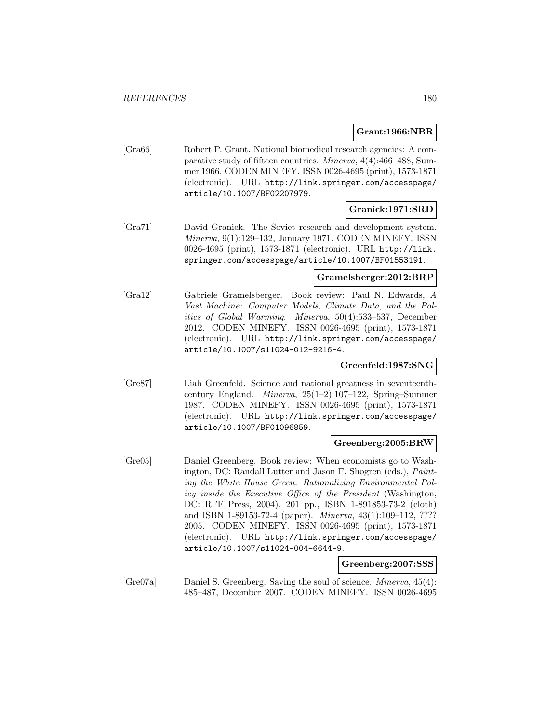#### **Grant:1966:NBR**

[Gra66] Robert P. Grant. National biomedical research agencies: A comparative study of fifteen countries. Minerva, 4(4):466–488, Summer 1966. CODEN MINEFY. ISSN 0026-4695 (print), 1573-1871 (electronic). URL http://link.springer.com/accesspage/ article/10.1007/BF02207979.

#### **Granick:1971:SRD**

[Gra71] David Granick. The Soviet research and development system. Minerva, 9(1):129–132, January 1971. CODEN MINEFY. ISSN 0026-4695 (print), 1573-1871 (electronic). URL http://link. springer.com/accesspage/article/10.1007/BF01553191.

#### **Gramelsberger:2012:BRP**

[Gra12] Gabriele Gramelsberger. Book review: Paul N. Edwards, A Vast Machine: Computer Models, Climate Data, and the Politics of Global Warming. Minerva, 50(4):533–537, December 2012. CODEN MINEFY. ISSN 0026-4695 (print), 1573-1871 (electronic). URL http://link.springer.com/accesspage/ article/10.1007/s11024-012-9216-4.

# **Greenfeld:1987:SNG**

[Gre87] Liah Greenfeld. Science and national greatness in seventeenthcentury England. Minerva, 25(1–2):107–122, Spring–Summer 1987. CODEN MINEFY. ISSN 0026-4695 (print), 1573-1871 (electronic). URL http://link.springer.com/accesspage/ article/10.1007/BF01096859.

#### **Greenberg:2005:BRW**

[Gre05] Daniel Greenberg. Book review: When economists go to Washington, DC: Randall Lutter and Jason F. Shogren (eds.), Painting the White House Green: Rationalizing Environmental Policy inside the Executive Office of the President (Washington, DC: RFF Press, 2004), 201 pp., ISBN 1-891853-73-2 (cloth) and ISBN 1-89153-72-4 (paper). Minerva, 43(1):109–112, ???? 2005. CODEN MINEFY. ISSN 0026-4695 (print), 1573-1871 (electronic). URL http://link.springer.com/accesspage/ article/10.1007/s11024-004-6644-9.

#### **Greenberg:2007:SSS**

[Gre07a] Daniel S. Greenberg. Saving the soul of science. Minerva, 45(4): 485–487, December 2007. CODEN MINEFY. ISSN 0026-4695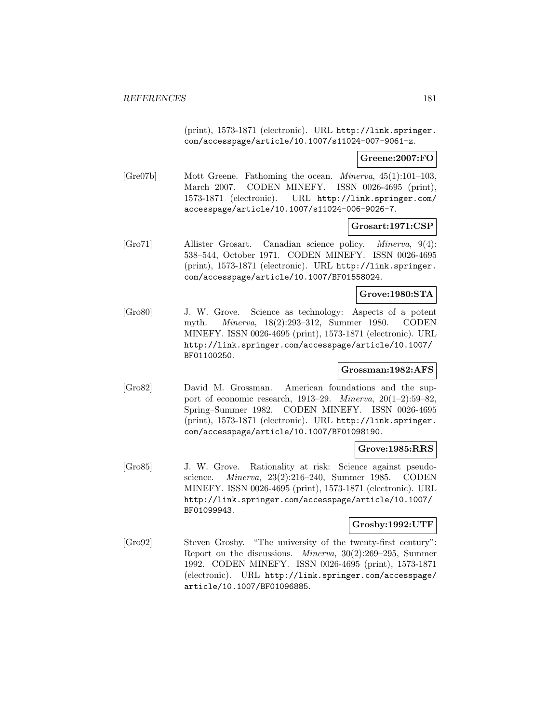(print), 1573-1871 (electronic). URL http://link.springer. com/accesspage/article/10.1007/s11024-007-9061-z.

### **Greene:2007:FO**

[Gre07b] Mott Greene. Fathoming the ocean. Minerva, 45(1):101–103, March 2007. CODEN MINEFY. ISSN 0026-4695 (print), 1573-1871 (electronic). URL http://link.springer.com/ accesspage/article/10.1007/s11024-006-9026-7.

#### **Grosart:1971:CSP**

[Gro71] Allister Grosart. Canadian science policy. Minerva, 9(4): 538–544, October 1971. CODEN MINEFY. ISSN 0026-4695 (print), 1573-1871 (electronic). URL http://link.springer. com/accesspage/article/10.1007/BF01558024.

# **Grove:1980:STA**

[Gro80] J. W. Grove. Science as technology: Aspects of a potent myth. Minerva, 18(2):293–312, Summer 1980. CODEN MINEFY. ISSN 0026-4695 (print), 1573-1871 (electronic). URL http://link.springer.com/accesspage/article/10.1007/ BF01100250.

## **Grossman:1982:AFS**

[Gro82] David M. Grossman. American foundations and the support of economic research, 1913–29. Minerva, 20(1–2):59–82, Spring–Summer 1982. CODEN MINEFY. ISSN 0026-4695 (print), 1573-1871 (electronic). URL http://link.springer. com/accesspage/article/10.1007/BF01098190.

### **Grove:1985:RRS**

[Gro85] J. W. Grove. Rationality at risk: Science against pseudoscience. Minerva, 23(2):216–240, Summer 1985. CODEN MINEFY. ISSN 0026-4695 (print), 1573-1871 (electronic). URL http://link.springer.com/accesspage/article/10.1007/ BF01099943.

#### **Grosby:1992:UTF**

[Gro92] Steven Grosby. "The university of the twenty-first century": Report on the discussions. Minerva, 30(2):269–295, Summer 1992. CODEN MINEFY. ISSN 0026-4695 (print), 1573-1871 (electronic). URL http://link.springer.com/accesspage/ article/10.1007/BF01096885.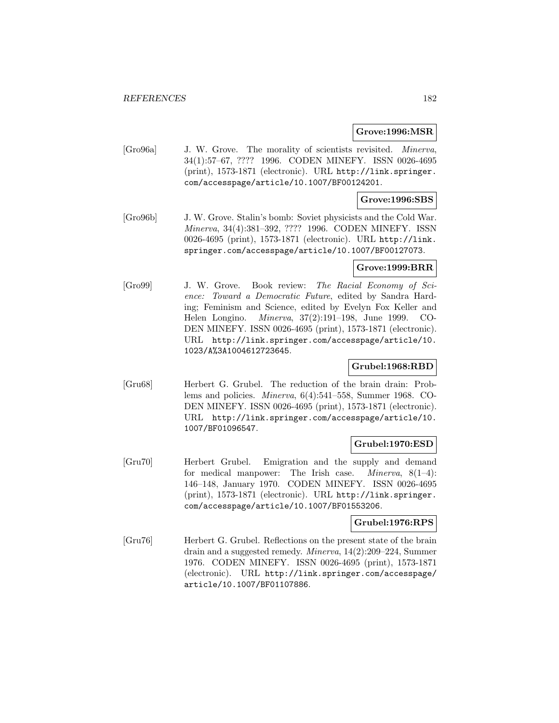#### **Grove:1996:MSR**

[Gro96a] J. W. Grove. The morality of scientists revisited. Minerva, 34(1):57–67, ???? 1996. CODEN MINEFY. ISSN 0026-4695 (print), 1573-1871 (electronic). URL http://link.springer. com/accesspage/article/10.1007/BF00124201.

## **Grove:1996:SBS**

[Gro96b] J. W. Grove. Stalin's bomb: Soviet physicists and the Cold War. Minerva, 34(4):381–392, ???? 1996. CODEN MINEFY. ISSN 0026-4695 (print), 1573-1871 (electronic). URL http://link. springer.com/accesspage/article/10.1007/BF00127073.

## **Grove:1999:BRR**

[Gro99] J. W. Grove. Book review: The Racial Economy of Science: Toward a Democratic Future, edited by Sandra Harding; Feminism and Science, edited by Evelyn Fox Keller and Helen Longino. Minerva, 37(2):191–198, June 1999. CO-DEN MINEFY. ISSN 0026-4695 (print), 1573-1871 (electronic). URL http://link.springer.com/accesspage/article/10. 1023/A%3A1004612723645.

### **Grubel:1968:RBD**

[Gru68] Herbert G. Grubel. The reduction of the brain drain: Problems and policies. Minerva, 6(4):541–558, Summer 1968. CO-DEN MINEFY. ISSN 0026-4695 (print), 1573-1871 (electronic). URL http://link.springer.com/accesspage/article/10. 1007/BF01096547.

### **Grubel:1970:ESD**

[Gru70] Herbert Grubel. Emigration and the supply and demand for medical manpower: The Irish case. Minerva, 8(1–4): 146–148, January 1970. CODEN MINEFY. ISSN 0026-4695 (print), 1573-1871 (electronic). URL http://link.springer. com/accesspage/article/10.1007/BF01553206.

#### **Grubel:1976:RPS**

[Gru76] Herbert G. Grubel. Reflections on the present state of the brain drain and a suggested remedy. Minerva, 14(2):209–224, Summer 1976. CODEN MINEFY. ISSN 0026-4695 (print), 1573-1871 (electronic). URL http://link.springer.com/accesspage/ article/10.1007/BF01107886.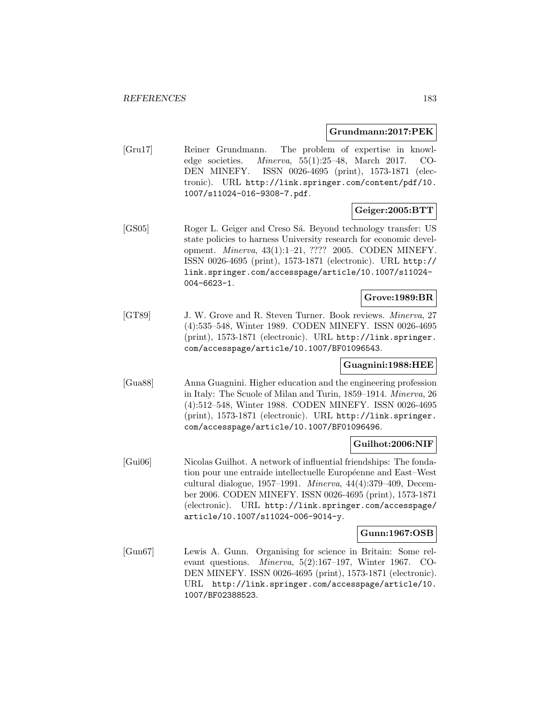### **Grundmann:2017:PEK**

[Gru17] Reiner Grundmann. The problem of expertise in knowledge societies. Minerva, 55(1):25–48, March 2017. CO-DEN MINEFY. ISSN 0026-4695 (print), 1573-1871 (electronic). URL http://link.springer.com/content/pdf/10. 1007/s11024-016-9308-7.pdf.

# **Geiger:2005:BTT**

[GS05] Roger L. Geiger and Creso Sá. Beyond technology transfer: US state policies to harness University research for economic development. Minerva, 43(1):1–21, ???? 2005. CODEN MINEFY. ISSN 0026-4695 (print), 1573-1871 (electronic). URL http:// link.springer.com/accesspage/article/10.1007/s11024- 004-6623-1.

## **Grove:1989:BR**

[GT89] J. W. Grove and R. Steven Turner. Book reviews. Minerva, 27 (4):535–548, Winter 1989. CODEN MINEFY. ISSN 0026-4695 (print), 1573-1871 (electronic). URL http://link.springer. com/accesspage/article/10.1007/BF01096543.

## **Guagnini:1988:HEE**

[Gua88] Anna Guagnini. Higher education and the engineering profession in Italy: The Scuole of Milan and Turin, 1859–1914. Minerva, 26 (4):512–548, Winter 1988. CODEN MINEFY. ISSN 0026-4695 (print), 1573-1871 (electronic). URL http://link.springer. com/accesspage/article/10.1007/BF01096496.

# **Guilhot:2006:NIF**

[Gui06] Nicolas Guilhot. A network of influential friendships: The fondation pour une entraide intellectuelle Européenne and East–West cultural dialogue, 1957–1991. *Minerva*,  $44(4):379-409$ , December 2006. CODEN MINEFY. ISSN 0026-4695 (print), 1573-1871 (electronic). URL http://link.springer.com/accesspage/ article/10.1007/s11024-006-9014-y.

### **Gunn:1967:OSB**

[Gun67] Lewis A. Gunn. Organising for science in Britain: Some relevant questions. Minerva, 5(2):167–197, Winter 1967. CO-DEN MINEFY. ISSN 0026-4695 (print), 1573-1871 (electronic). URL http://link.springer.com/accesspage/article/10. 1007/BF02388523.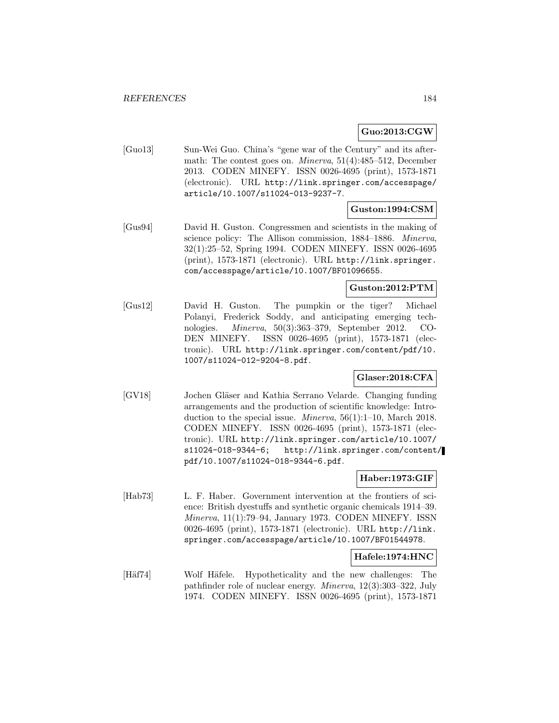## **Guo:2013:CGW**

[Guo13] Sun-Wei Guo. China's "gene war of the Century" and its aftermath: The contest goes on. Minerva, 51(4):485–512, December 2013. CODEN MINEFY. ISSN 0026-4695 (print), 1573-1871 (electronic). URL http://link.springer.com/accesspage/ article/10.1007/s11024-013-9237-7.

#### **Guston:1994:CSM**

[Gus94] David H. Guston. Congressmen and scientists in the making of science policy: The Allison commission, 1884–1886. Minerva, 32(1):25–52, Spring 1994. CODEN MINEFY. ISSN 0026-4695 (print), 1573-1871 (electronic). URL http://link.springer. com/accesspage/article/10.1007/BF01096655.

#### **Guston:2012:PTM**

[Gus12] David H. Guston. The pumpkin or the tiger? Michael Polanyi, Frederick Soddy, and anticipating emerging technologies. Minerva, 50(3):363–379, September 2012. CO-DEN MINEFY. ISSN 0026-4695 (print), 1573-1871 (electronic). URL http://link.springer.com/content/pdf/10. 1007/s11024-012-9204-8.pdf.

### **Glaser:2018:CFA**

[GV18] Jochen Gläser and Kathia Serrano Velarde. Changing funding arrangements and the production of scientific knowledge: Introduction to the special issue. Minerva, 56(1):1–10, March 2018. CODEN MINEFY. ISSN 0026-4695 (print), 1573-1871 (electronic). URL http://link.springer.com/article/10.1007/ s11024-018-9344-6; http://link.springer.com/content/ pdf/10.1007/s11024-018-9344-6.pdf.

# **Haber:1973:GIF**

[Hab73] L. F. Haber. Government intervention at the frontiers of science: British dyestuffs and synthetic organic chemicals 1914–39. Minerva, 11(1):79–94, January 1973. CODEN MINEFY. ISSN 0026-4695 (print), 1573-1871 (electronic). URL http://link. springer.com/accesspage/article/10.1007/BF01544978.

# **Hafele:1974:HNC**

[Häf74] Wolf Häfele. Hypotheticality and the new challenges: The pathfinder role of nuclear energy. Minerva, 12(3):303–322, July 1974. CODEN MINEFY. ISSN 0026-4695 (print), 1573-1871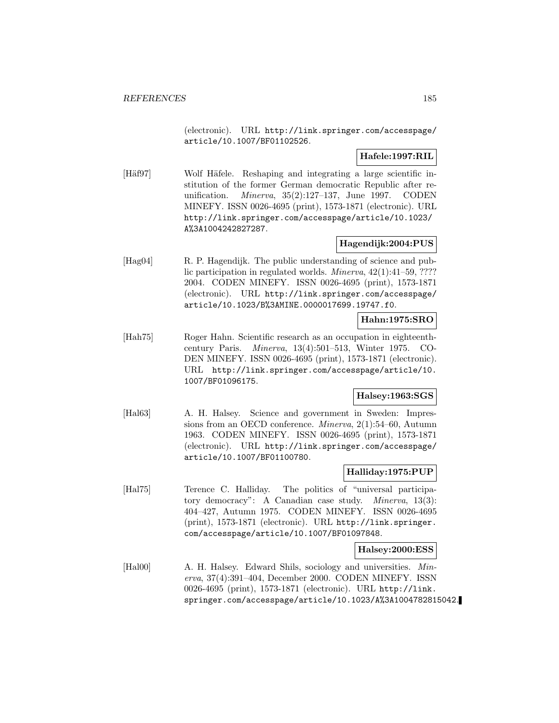(electronic). URL http://link.springer.com/accesspage/ article/10.1007/BF01102526.

# **Hafele:1997:RIL**

[Häf97] Wolf Häfele. Reshaping and integrating a large scientific institution of the former German democratic Republic after reunification. Minerva, 35(2):127–137, June 1997. CODEN MINEFY. ISSN 0026-4695 (print), 1573-1871 (electronic). URL http://link.springer.com/accesspage/article/10.1023/ A%3A1004242827287.

# **Hagendijk:2004:PUS**

[Hag04] R. P. Hagendijk. The public understanding of science and public participation in regulated worlds. Minerva, 42(1):41–59, ???? 2004. CODEN MINEFY. ISSN 0026-4695 (print), 1573-1871 (electronic). URL http://link.springer.com/accesspage/ article/10.1023/B%3AMINE.0000017699.19747.f0.

## **Hahn:1975:SRO**

[Hah75] Roger Hahn. Scientific research as an occupation in eighteenthcentury Paris. Minerva, 13(4):501–513, Winter 1975. CO-DEN MINEFY. ISSN 0026-4695 (print), 1573-1871 (electronic). URL http://link.springer.com/accesspage/article/10. 1007/BF01096175.

# **Halsey:1963:SGS**

[Hal63] A. H. Halsey. Science and government in Sweden: Impressions from an OECD conference. Minerva, 2(1):54–60, Autumn 1963. CODEN MINEFY. ISSN 0026-4695 (print), 1573-1871 (electronic). URL http://link.springer.com/accesspage/ article/10.1007/BF01100780.

## **Halliday:1975:PUP**

[Hal75] Terence C. Halliday. The politics of "universal participatory democracy": A Canadian case study. Minerva, 13(3): 404–427, Autumn 1975. CODEN MINEFY. ISSN 0026-4695 (print), 1573-1871 (electronic). URL http://link.springer. com/accesspage/article/10.1007/BF01097848.

### **Halsey:2000:ESS**

[Hal00] A. H. Halsey. Edward Shils, sociology and universities. Minerva, 37(4):391–404, December 2000. CODEN MINEFY. ISSN 0026-4695 (print), 1573-1871 (electronic). URL http://link. springer.com/accesspage/article/10.1023/A%3A1004782815042.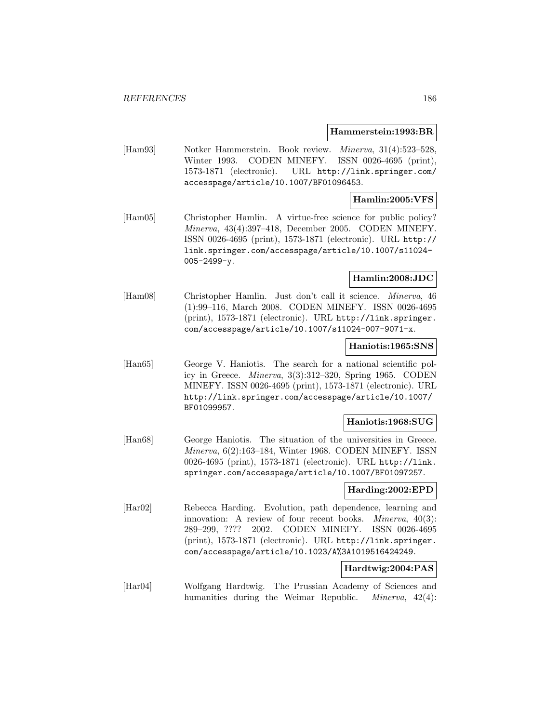#### **Hammerstein:1993:BR**

[Ham93] Notker Hammerstein. Book review. Minerva, 31(4):523–528, Winter 1993. CODEN MINEFY. ISSN 0026-4695 (print), 1573-1871 (electronic). URL http://link.springer.com/ accesspage/article/10.1007/BF01096453.

## **Hamlin:2005:VFS**

[Ham05] Christopher Hamlin. A virtue-free science for public policy? Minerva, 43(4):397–418, December 2005. CODEN MINEFY. ISSN 0026-4695 (print), 1573-1871 (electronic). URL http:// link.springer.com/accesspage/article/10.1007/s11024- 005-2499-y.

### **Hamlin:2008:JDC**

[Ham08] Christopher Hamlin. Just don't call it science. Minerva, 46 (1):99–116, March 2008. CODEN MINEFY. ISSN 0026-4695 (print), 1573-1871 (electronic). URL http://link.springer. com/accesspage/article/10.1007/s11024-007-9071-x.

#### **Haniotis:1965:SNS**

[Han65] George V. Haniotis. The search for a national scientific policy in Greece. Minerva, 3(3):312–320, Spring 1965. CODEN MINEFY. ISSN 0026-4695 (print), 1573-1871 (electronic). URL http://link.springer.com/accesspage/article/10.1007/ BF01099957.

# **Haniotis:1968:SUG**

[Han68] George Haniotis. The situation of the universities in Greece. Minerva, 6(2):163–184, Winter 1968. CODEN MINEFY. ISSN 0026-4695 (print), 1573-1871 (electronic). URL http://link. springer.com/accesspage/article/10.1007/BF01097257.

### **Harding:2002:EPD**

[Har02] Rebecca Harding. Evolution, path dependence, learning and innovation: A review of four recent books. *Minerva*, 40(3): 289–299, ???? 2002. CODEN MINEFY. ISSN 0026-4695 (print), 1573-1871 (electronic). URL http://link.springer. com/accesspage/article/10.1023/A%3A1019516424249.

#### **Hardtwig:2004:PAS**

[Har04] Wolfgang Hardtwig. The Prussian Academy of Sciences and humanities during the Weimar Republic. *Minerva*, 42(4):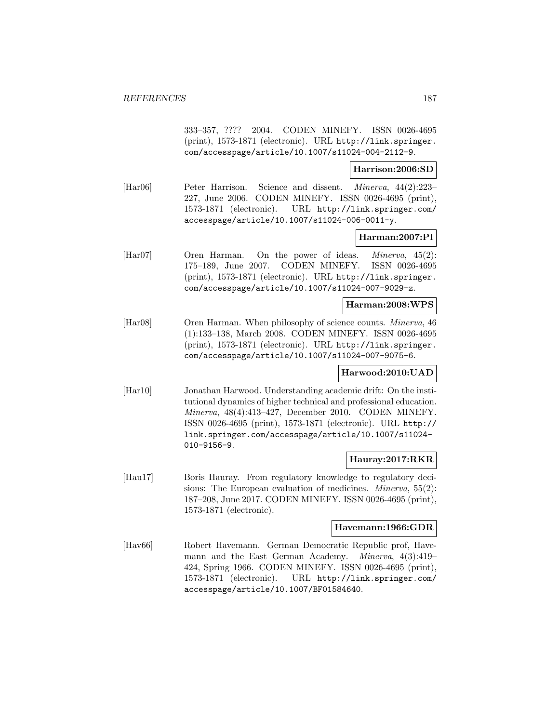333–357, ???? 2004. CODEN MINEFY. ISSN 0026-4695 (print), 1573-1871 (electronic). URL http://link.springer. com/accesspage/article/10.1007/s11024-004-2112-9.

### **Harrison:2006:SD**

[Har06] Peter Harrison. Science and dissent. Minerva, 44(2):223– 227, June 2006. CODEN MINEFY. ISSN 0026-4695 (print), 1573-1871 (electronic). URL http://link.springer.com/ accesspage/article/10.1007/s11024-006-0011-y.

# **Harman:2007:PI**

[Har07] Oren Harman. On the power of ideas. Minerva, 45(2): 175–189, June 2007. CODEN MINEFY. ISSN 0026-4695 (print), 1573-1871 (electronic). URL http://link.springer. com/accesspage/article/10.1007/s11024-007-9029-z.

#### **Harman:2008:WPS**

[Har08] Oren Harman. When philosophy of science counts. Minerva, 46 (1):133–138, March 2008. CODEN MINEFY. ISSN 0026-4695 (print), 1573-1871 (electronic). URL http://link.springer. com/accesspage/article/10.1007/s11024-007-9075-6.

### **Harwood:2010:UAD**

[Har10] Jonathan Harwood. Understanding academic drift: On the institutional dynamics of higher technical and professional education. Minerva, 48(4):413–427, December 2010. CODEN MINEFY. ISSN 0026-4695 (print), 1573-1871 (electronic). URL http:// link.springer.com/accesspage/article/10.1007/s11024- 010-9156-9.

### **Hauray:2017:RKR**

[Hau17] Boris Hauray. From regulatory knowledge to regulatory decisions: The European evaluation of medicines. *Minerva*, 55(2): 187–208, June 2017. CODEN MINEFY. ISSN 0026-4695 (print), 1573-1871 (electronic).

## **Havemann:1966:GDR**

[Hav66] Robert Havemann. German Democratic Republic prof, Havemann and the East German Academy. Minerva, 4(3):419– 424, Spring 1966. CODEN MINEFY. ISSN 0026-4695 (print), 1573-1871 (electronic). URL http://link.springer.com/ accesspage/article/10.1007/BF01584640.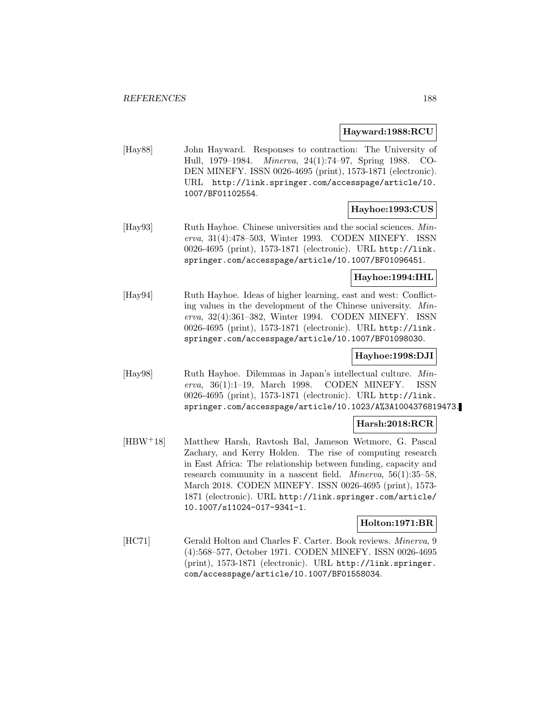**Hayward:1988:RCU**

[Hay88] John Hayward. Responses to contraction: The University of Hull, 1979–1984. Minerva, 24(1):74–97, Spring 1988. CO-DEN MINEFY. ISSN 0026-4695 (print), 1573-1871 (electronic). URL http://link.springer.com/accesspage/article/10. 1007/BF01102554.

### **Hayhoe:1993:CUS**

[Hay93] Ruth Hayhoe. Chinese universities and the social sciences. Minerva, 31(4):478–503, Winter 1993. CODEN MINEFY. ISSN 0026-4695 (print), 1573-1871 (electronic). URL http://link. springer.com/accesspage/article/10.1007/BF01096451.

# **Hayhoe:1994:IHL**

[Hay94] Ruth Hayhoe. Ideas of higher learning, east and west: Conflicting values in the development of the Chinese university. Minerva, 32(4):361–382, Winter 1994. CODEN MINEFY. ISSN 0026-4695 (print), 1573-1871 (electronic). URL http://link. springer.com/accesspage/article/10.1007/BF01098030.

### **Hayhoe:1998:DJI**

[Hay98] Ruth Hayhoe. Dilemmas in Japan's intellectual culture. Minerva, 36(1):1–19, March 1998. CODEN MINEFY. ISSN 0026-4695 (print), 1573-1871 (electronic). URL http://link. springer.com/accesspage/article/10.1023/A%3A1004376819473.

### **Harsh:2018:RCR**

[HBW<sup>+</sup>18] Matthew Harsh, Ravtosh Bal, Jameson Wetmore, G. Pascal Zachary, and Kerry Holden. The rise of computing research in East Africa: The relationship between funding, capacity and research community in a nascent field. *Minerva*, 56(1):35–58, March 2018. CODEN MINEFY. ISSN 0026-4695 (print), 1573- 1871 (electronic). URL http://link.springer.com/article/ 10.1007/s11024-017-9341-1.

### **Holton:1971:BR**

[HC71] Gerald Holton and Charles F. Carter. Book reviews. Minerva, 9 (4):568–577, October 1971. CODEN MINEFY. ISSN 0026-4695 (print), 1573-1871 (electronic). URL http://link.springer. com/accesspage/article/10.1007/BF01558034.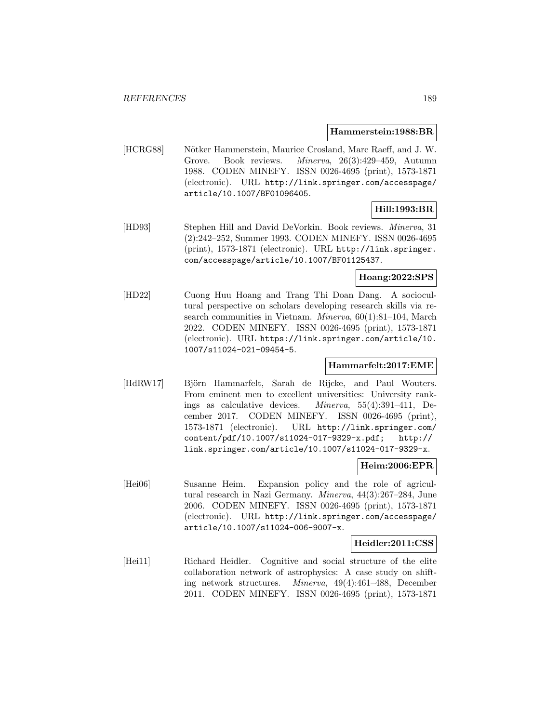#### **Hammerstein:1988:BR**

[HCRG88] Nötker Hammerstein, Maurice Crosland, Marc Raeff, and J. W. Grove. Book reviews. Minerva, 26(3):429–459, Autumn 1988. CODEN MINEFY. ISSN 0026-4695 (print), 1573-1871 (electronic). URL http://link.springer.com/accesspage/ article/10.1007/BF01096405.

### **Hill:1993:BR**

[HD93] Stephen Hill and David DeVorkin. Book reviews. Minerva, 31 (2):242–252, Summer 1993. CODEN MINEFY. ISSN 0026-4695 (print), 1573-1871 (electronic). URL http://link.springer. com/accesspage/article/10.1007/BF01125437.

## **Hoang:2022:SPS**

[HD22] Cuong Huu Hoang and Trang Thi Doan Dang. A sociocultural perspective on scholars developing research skills via research communities in Vietnam. Minerva, 60(1):81-104, March 2022. CODEN MINEFY. ISSN 0026-4695 (print), 1573-1871 (electronic). URL https://link.springer.com/article/10. 1007/s11024-021-09454-5.

# **Hammarfelt:2017:EME**

[HdRW17] Björn Hammarfelt, Sarah de Rijcke, and Paul Wouters. From eminent men to excellent universities: University rankings as calculative devices. Minerva, 55(4):391–411, December 2017. CODEN MINEFY. ISSN 0026-4695 (print), 1573-1871 (electronic). URL http://link.springer.com/ content/pdf/10.1007/s11024-017-9329-x.pdf; http:// link.springer.com/article/10.1007/s11024-017-9329-x.

# **Heim:2006:EPR**

[Hei06] Susanne Heim. Expansion policy and the role of agricultural research in Nazi Germany. Minerva, 44(3):267–284, June 2006. CODEN MINEFY. ISSN 0026-4695 (print), 1573-1871 (electronic). URL http://link.springer.com/accesspage/ article/10.1007/s11024-006-9007-x.

#### **Heidler:2011:CSS**

[Hei11] Richard Heidler. Cognitive and social structure of the elite collaboration network of astrophysics: A case study on shifting network structures. Minerva, 49(4):461–488, December 2011. CODEN MINEFY. ISSN 0026-4695 (print), 1573-1871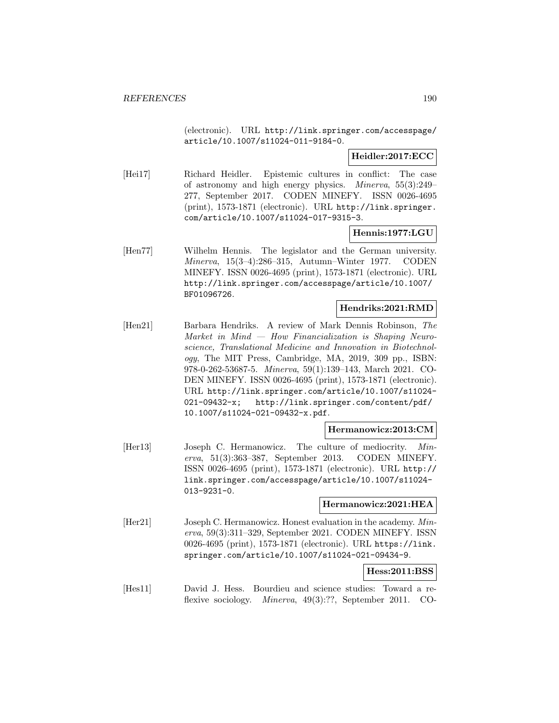(electronic). URL http://link.springer.com/accesspage/ article/10.1007/s11024-011-9184-0.

**Heidler:2017:ECC**

[Hei17] Richard Heidler. Epistemic cultures in conflict: The case of astronomy and high energy physics. Minerva, 55(3):249– 277, September 2017. CODEN MINEFY. ISSN 0026-4695 (print), 1573-1871 (electronic). URL http://link.springer. com/article/10.1007/s11024-017-9315-3.

# **Hennis:1977:LGU**

[Hen77] Wilhelm Hennis. The legislator and the German university. Minerva, 15(3–4):286–315, Autumn–Winter 1977. CODEN MINEFY. ISSN 0026-4695 (print), 1573-1871 (electronic). URL http://link.springer.com/accesspage/article/10.1007/ BF01096726.

#### **Hendriks:2021:RMD**

[Hen21] Barbara Hendriks. A review of Mark Dennis Robinson, The Market in Mind — How Financialization is Shaping Neuroscience, Translational Medicine and Innovation in Biotechnology, The MIT Press, Cambridge, MA, 2019, 309 pp., ISBN: 978-0-262-53687-5. Minerva, 59(1):139–143, March 2021. CO-DEN MINEFY. ISSN 0026-4695 (print), 1573-1871 (electronic). URL http://link.springer.com/article/10.1007/s11024- 021-09432-x; http://link.springer.com/content/pdf/ 10.1007/s11024-021-09432-x.pdf.

### **Hermanowicz:2013:CM**

[Her13] Joseph C. Hermanowicz. The culture of mediocrity. Minerva, 51(3):363–387, September 2013. CODEN MINEFY. ISSN 0026-4695 (print), 1573-1871 (electronic). URL http:// link.springer.com/accesspage/article/10.1007/s11024- 013-9231-0.

### **Hermanowicz:2021:HEA**

[Her21] Joseph C. Hermanowicz. Honest evaluation in the academy. Minerva, 59(3):311–329, September 2021. CODEN MINEFY. ISSN 0026-4695 (print), 1573-1871 (electronic). URL https://link. springer.com/article/10.1007/s11024-021-09434-9.

### **Hess:2011:BSS**

[Hes11] David J. Hess. Bourdieu and science studies: Toward a reflexive sociology. Minerva, 49(3):??, September 2011. CO-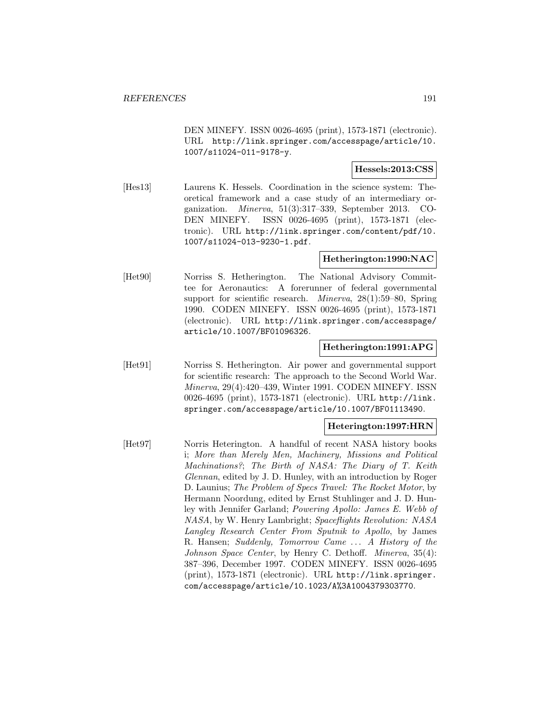DEN MINEFY. ISSN 0026-4695 (print), 1573-1871 (electronic). URL http://link.springer.com/accesspage/article/10. 1007/s11024-011-9178-y.

### **Hessels:2013:CSS**

[Hes13] Laurens K. Hessels. Coordination in the science system: Theoretical framework and a case study of an intermediary organization. Minerva, 51(3):317–339, September 2013. CO-DEN MINEFY. ISSN 0026-4695 (print), 1573-1871 (electronic). URL http://link.springer.com/content/pdf/10. 1007/s11024-013-9230-1.pdf.

### **Hetherington:1990:NAC**

[Het90] Norriss S. Hetherington. The National Advisory Committee for Aeronautics: A forerunner of federal governmental support for scientific research. Minerva, 28(1):59–80, Spring 1990. CODEN MINEFY. ISSN 0026-4695 (print), 1573-1871 (electronic). URL http://link.springer.com/accesspage/ article/10.1007/BF01096326.

## **Hetherington:1991:APG**

[Het91] Norriss S. Hetherington. Air power and governmental support for scientific research: The approach to the Second World War. Minerva, 29(4):420–439, Winter 1991. CODEN MINEFY. ISSN 0026-4695 (print), 1573-1871 (electronic). URL http://link. springer.com/accesspage/article/10.1007/BF01113490.

### **Heterington:1997:HRN**

[Het97] Norris Heterington. A handful of recent NASA history books i; More than Merely Men, Machinery, Missions and Political Machinations?; The Birth of NASA: The Diary of T. Keith Glennan, edited by J. D. Hunley, with an introduction by Roger D. Launius; The Problem of Specs Travel: The Rocket Motor, by Hermann Noordung, edited by Ernst Stuhlinger and J. D. Hunley with Jennifer Garland; Powering Apollo: James E. Webb of NASA, by W. Henry Lambright; Spaceflights Revolution: NASA Langley Research Center From Sputnik to Apollo, by James R. Hansen; Suddenly, Tomorrow Came ... A History of the Johnson Space Center, by Henry C. Dethoff. Minerva, 35(4): 387–396, December 1997. CODEN MINEFY. ISSN 0026-4695 (print), 1573-1871 (electronic). URL http://link.springer. com/accesspage/article/10.1023/A%3A1004379303770.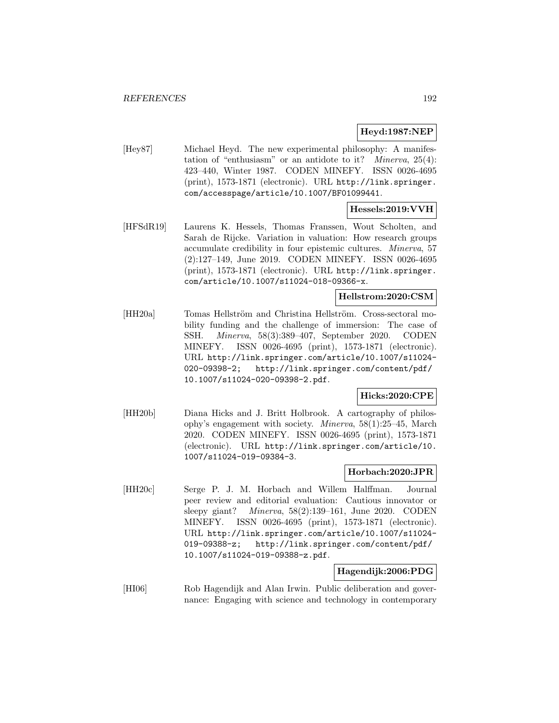# **Heyd:1987:NEP**

[Hey87] Michael Heyd. The new experimental philosophy: A manifestation of "enthusiasm" or an antidote to it? *Minerva*,  $25(4)$ : 423–440, Winter 1987. CODEN MINEFY. ISSN 0026-4695 (print), 1573-1871 (electronic). URL http://link.springer. com/accesspage/article/10.1007/BF01099441.

## **Hessels:2019:VVH**

[HFSdR19] Laurens K. Hessels, Thomas Franssen, Wout Scholten, and Sarah de Rijcke. Variation in valuation: How research groups accumulate credibility in four epistemic cultures. Minerva, 57 (2):127–149, June 2019. CODEN MINEFY. ISSN 0026-4695 (print), 1573-1871 (electronic). URL http://link.springer. com/article/10.1007/s11024-018-09366-x.

# **Hellstrom:2020:CSM**

[HH20a] Tomas Hellström and Christina Hellström. Cross-sectoral mobility funding and the challenge of immersion: The case of SSH. Minerva, 58(3):389–407, September 2020. CODEN MINEFY. ISSN 0026-4695 (print), 1573-1871 (electronic). URL http://link.springer.com/article/10.1007/s11024- 020-09398-2; http://link.springer.com/content/pdf/ 10.1007/s11024-020-09398-2.pdf.

### **Hicks:2020:CPE**

[HH20b] Diana Hicks and J. Britt Holbrook. A cartography of philosophy's engagement with society. Minerva, 58(1):25–45, March 2020. CODEN MINEFY. ISSN 0026-4695 (print), 1573-1871 (electronic). URL http://link.springer.com/article/10. 1007/s11024-019-09384-3.

#### **Horbach:2020:JPR**

[HH20c] Serge P. J. M. Horbach and Willem Halffman. Journal peer review and editorial evaluation: Cautious innovator or sleepy giant? Minerva, 58(2):139–161, June 2020. CODEN MINEFY. ISSN 0026-4695 (print), 1573-1871 (electronic). URL http://link.springer.com/article/10.1007/s11024- 019-09388-z; http://link.springer.com/content/pdf/ 10.1007/s11024-019-09388-z.pdf.

#### **Hagendijk:2006:PDG**

[HI06] Rob Hagendijk and Alan Irwin. Public deliberation and governance: Engaging with science and technology in contemporary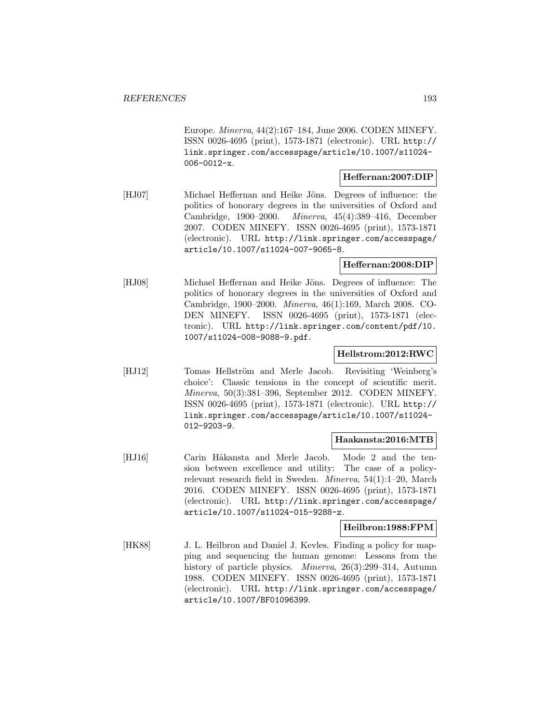Europe. Minerva, 44(2):167–184, June 2006. CODEN MINEFY. ISSN 0026-4695 (print), 1573-1871 (electronic). URL http:// link.springer.com/accesspage/article/10.1007/s11024- 006-0012-x.

#### **Heffernan:2007:DIP**

[HJ07] Michael Heffernan and Heike Jöns. Degrees of influence: the politics of honorary degrees in the universities of Oxford and Cambridge, 1900–2000. Minerva, 45(4):389–416, December 2007. CODEN MINEFY. ISSN 0026-4695 (print), 1573-1871 (electronic). URL http://link.springer.com/accesspage/ article/10.1007/s11024-007-9065-8.

### **Heffernan:2008:DIP**

[HJ08] Michael Heffernan and Heike Jöns. Degrees of influence: The politics of honorary degrees in the universities of Oxford and Cambridge, 1900–2000. Minerva, 46(1):169, March 2008. CO-DEN MINEFY. ISSN 0026-4695 (print), 1573-1871 (electronic). URL http://link.springer.com/content/pdf/10. 1007/s11024-008-9088-9.pdf.

# **Hellstrom:2012:RWC**

[HJ12] Tomas Hellström and Merle Jacob. Revisiting 'Weinberg's choice': Classic tensions in the concept of scientific merit. Minerva, 50(3):381–396, September 2012. CODEN MINEFY. ISSN 0026-4695 (print), 1573-1871 (electronic). URL http:// link.springer.com/accesspage/article/10.1007/s11024- 012-9203-9.

### **Haakansta:2016:MTB**

[HJ16] Carin Håkansta and Merle Jacob. Mode 2 and the tension between excellence and utility: The case of a policyrelevant research field in Sweden. Minerva, 54(1):1–20, March 2016. CODEN MINEFY. ISSN 0026-4695 (print), 1573-1871 (electronic). URL http://link.springer.com/accesspage/ article/10.1007/s11024-015-9288-z.

#### **Heilbron:1988:FPM**

[HK88] J. L. Heilbron and Daniel J. Kevles. Finding a policy for mapping and sequencing the human genome: Lessons from the history of particle physics. *Minerva*, 26(3):299–314, Autumn 1988. CODEN MINEFY. ISSN 0026-4695 (print), 1573-1871 (electronic). URL http://link.springer.com/accesspage/ article/10.1007/BF01096399.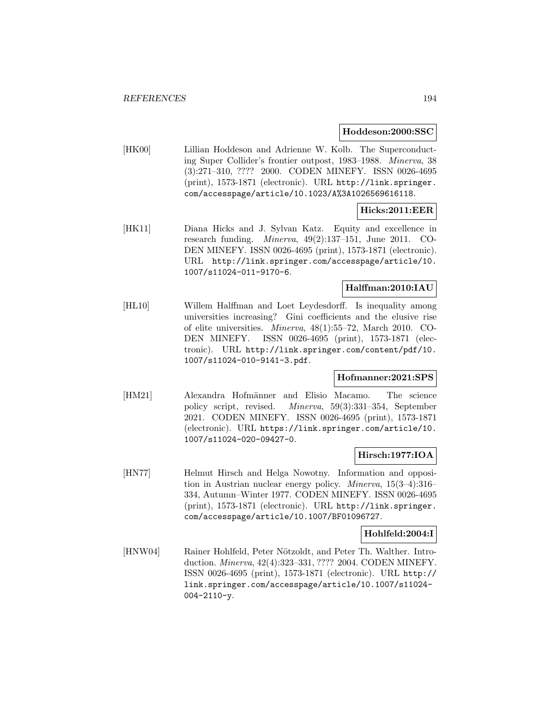#### **Hoddeson:2000:SSC**

[HK00] Lillian Hoddeson and Adrienne W. Kolb. The Superconducting Super Collider's frontier outpost, 1983–1988. Minerva, 38 (3):271–310, ???? 2000. CODEN MINEFY. ISSN 0026-4695 (print), 1573-1871 (electronic). URL http://link.springer. com/accesspage/article/10.1023/A%3A1026569616118.

# **Hicks:2011:EER**

[HK11] Diana Hicks and J. Sylvan Katz. Equity and excellence in research funding. Minerva, 49(2):137–151, June 2011. CO-DEN MINEFY. ISSN 0026-4695 (print), 1573-1871 (electronic). URL http://link.springer.com/accesspage/article/10. 1007/s11024-011-9170-6.

### **Halffman:2010:IAU**

[HL10] Willem Halffman and Loet Leydesdorff. Is inequality among universities increasing? Gini coefficients and the elusive rise of elite universities. Minerva, 48(1):55–72, March 2010. CO-DEN MINEFY. ISSN 0026-4695 (print), 1573-1871 (electronic). URL http://link.springer.com/content/pdf/10. 1007/s11024-010-9141-3.pdf.

### **Hofmanner:2021:SPS**

[HM21] Alexandra Hofmänner and Elisio Macamo. The science policy script, revised. Minerva, 59(3):331–354, September 2021. CODEN MINEFY. ISSN 0026-4695 (print), 1573-1871 (electronic). URL https://link.springer.com/article/10. 1007/s11024-020-09427-0.

# **Hirsch:1977:IOA**

[HN77] Helmut Hirsch and Helga Nowotny. Information and opposition in Austrian nuclear energy policy. Minerva, 15(3–4):316– 334, Autumn–Winter 1977. CODEN MINEFY. ISSN 0026-4695 (print), 1573-1871 (electronic). URL http://link.springer. com/accesspage/article/10.1007/BF01096727.

### **Hohlfeld:2004:I**

[HNW04] Rainer Hohlfeld, Peter Nötzoldt, and Peter Th. Walther. Introduction. Minerva, 42(4):323–331, ???? 2004. CODEN MINEFY. ISSN 0026-4695 (print), 1573-1871 (electronic). URL http:// link.springer.com/accesspage/article/10.1007/s11024- 004-2110-y.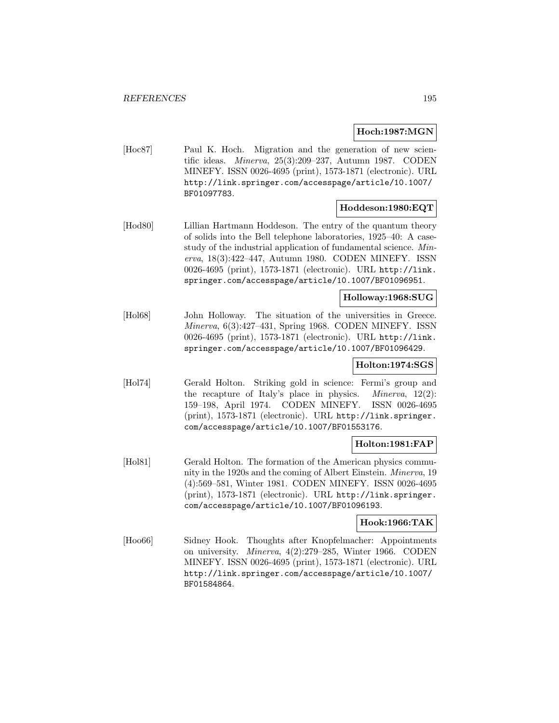#### **Hoch:1987:MGN**

[Hoc87] Paul K. Hoch. Migration and the generation of new scientific ideas. Minerva, 25(3):209–237, Autumn 1987. CODEN MINEFY. ISSN 0026-4695 (print), 1573-1871 (electronic). URL http://link.springer.com/accesspage/article/10.1007/ BF01097783.

### **Hoddeson:1980:EQT**

[Hod80] Lillian Hartmann Hoddeson. The entry of the quantum theory of solids into the Bell telephone laboratories, 1925–40: A casestudy of the industrial application of fundamental science. Minerva, 18(3):422–447, Autumn 1980. CODEN MINEFY. ISSN 0026-4695 (print), 1573-1871 (electronic). URL http://link. springer.com/accesspage/article/10.1007/BF01096951.

#### **Holloway:1968:SUG**

[Hol68] John Holloway. The situation of the universities in Greece. Minerva, 6(3):427–431, Spring 1968. CODEN MINEFY. ISSN 0026-4695 (print), 1573-1871 (electronic). URL http://link. springer.com/accesspage/article/10.1007/BF01096429.

### **Holton:1974:SGS**

[Hol74] Gerald Holton. Striking gold in science: Fermi's group and the recapture of Italy's place in physics. Minerva, 12(2): 159–198, April 1974. CODEN MINEFY. ISSN 0026-4695 (print), 1573-1871 (electronic). URL http://link.springer. com/accesspage/article/10.1007/BF01553176.

### **Holton:1981:FAP**

[Hol81] Gerald Holton. The formation of the American physics community in the 1920s and the coming of Albert Einstein. Minerva, 19 (4):569–581, Winter 1981. CODEN MINEFY. ISSN 0026-4695 (print), 1573-1871 (electronic). URL http://link.springer. com/accesspage/article/10.1007/BF01096193.

# **Hook:1966:TAK**

[Hoo66] Sidney Hook. Thoughts after Knopfelmacher: Appointments on university. Minerva, 4(2):279–285, Winter 1966. CODEN MINEFY. ISSN 0026-4695 (print), 1573-1871 (electronic). URL http://link.springer.com/accesspage/article/10.1007/ BF01584864.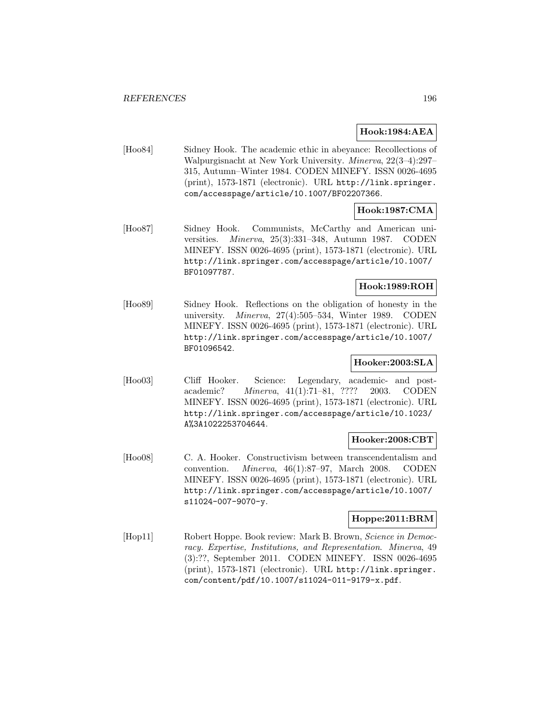## **Hook:1984:AEA**

[Hoo84] Sidney Hook. The academic ethic in abeyance: Recollections of Walpurgisnacht at New York University. Minerva, 22(3–4):297– 315, Autumn–Winter 1984. CODEN MINEFY. ISSN 0026-4695 (print), 1573-1871 (electronic). URL http://link.springer. com/accesspage/article/10.1007/BF02207366.

# **Hook:1987:CMA**

[Hoo87] Sidney Hook. Communists, McCarthy and American universities. Minerva, 25(3):331–348, Autumn 1987. CODEN MINEFY. ISSN 0026-4695 (print), 1573-1871 (electronic). URL http://link.springer.com/accesspage/article/10.1007/ BF01097787.

# **Hook:1989:ROH**

[Hoo89] Sidney Hook. Reflections on the obligation of honesty in the university. Minerva, 27(4):505–534, Winter 1989. CODEN MINEFY. ISSN 0026-4695 (print), 1573-1871 (electronic). URL http://link.springer.com/accesspage/article/10.1007/ BF01096542.

# **Hooker:2003:SLA**

[Hoo03] Cliff Hooker. Science: Legendary, academic- and postacademic? Minerva, 41(1):71–81, ???? 2003. CODEN MINEFY. ISSN 0026-4695 (print), 1573-1871 (electronic). URL http://link.springer.com/accesspage/article/10.1023/ A%3A1022253704644.

### **Hooker:2008:CBT**

[Hoo08] C. A. Hooker. Constructivism between transcendentalism and convention. Minerva, 46(1):87–97, March 2008. CODEN MINEFY. ISSN 0026-4695 (print), 1573-1871 (electronic). URL http://link.springer.com/accesspage/article/10.1007/ s11024-007-9070-y.

### **Hoppe:2011:BRM**

[Hop11] Robert Hoppe. Book review: Mark B. Brown, Science in Democracy. Expertise, Institutions, and Representation. Minerva, 49 (3):??, September 2011. CODEN MINEFY. ISSN 0026-4695 (print), 1573-1871 (electronic). URL http://link.springer. com/content/pdf/10.1007/s11024-011-9179-x.pdf.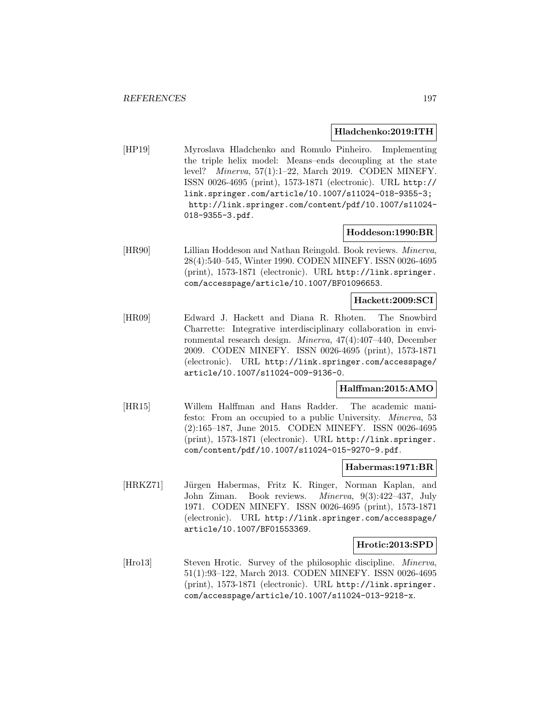#### **Hladchenko:2019:ITH**

[HP19] Myroslava Hladchenko and Romulo Pinheiro. Implementing the triple helix model: Means–ends decoupling at the state level? Minerva, 57(1):1–22, March 2019. CODEN MINEFY. ISSN 0026-4695 (print), 1573-1871 (electronic). URL http:// link.springer.com/article/10.1007/s11024-018-9355-3; http://link.springer.com/content/pdf/10.1007/s11024- 018-9355-3.pdf.

#### **Hoddeson:1990:BR**

[HR90] Lillian Hoddeson and Nathan Reingold. Book reviews. Minerva, 28(4):540–545, Winter 1990. CODEN MINEFY. ISSN 0026-4695 (print), 1573-1871 (electronic). URL http://link.springer. com/accesspage/article/10.1007/BF01096653.

### **Hackett:2009:SCI**

[HR09] Edward J. Hackett and Diana R. Rhoten. The Snowbird Charrette: Integrative interdisciplinary collaboration in environmental research design. Minerva, 47(4):407–440, December 2009. CODEN MINEFY. ISSN 0026-4695 (print), 1573-1871 (electronic). URL http://link.springer.com/accesspage/ article/10.1007/s11024-009-9136-0.

### **Halffman:2015:AMO**

[HR15] Willem Halffman and Hans Radder. The academic manifesto: From an occupied to a public University. Minerva, 53 (2):165–187, June 2015. CODEN MINEFY. ISSN 0026-4695 (print), 1573-1871 (electronic). URL http://link.springer. com/content/pdf/10.1007/s11024-015-9270-9.pdf.

#### **Habermas:1971:BR**

[HRKZ71] Jürgen Habermas, Fritz K. Ringer, Norman Kaplan, and John Ziman. Book reviews. Minerva, 9(3):422–437, July 1971. CODEN MINEFY. ISSN 0026-4695 (print), 1573-1871 (electronic). URL http://link.springer.com/accesspage/ article/10.1007/BF01553369.

### **Hrotic:2013:SPD**

[Hro13] Steven Hrotic. Survey of the philosophic discipline. *Minerva*, 51(1):93–122, March 2013. CODEN MINEFY. ISSN 0026-4695 (print), 1573-1871 (electronic). URL http://link.springer. com/accesspage/article/10.1007/s11024-013-9218-x.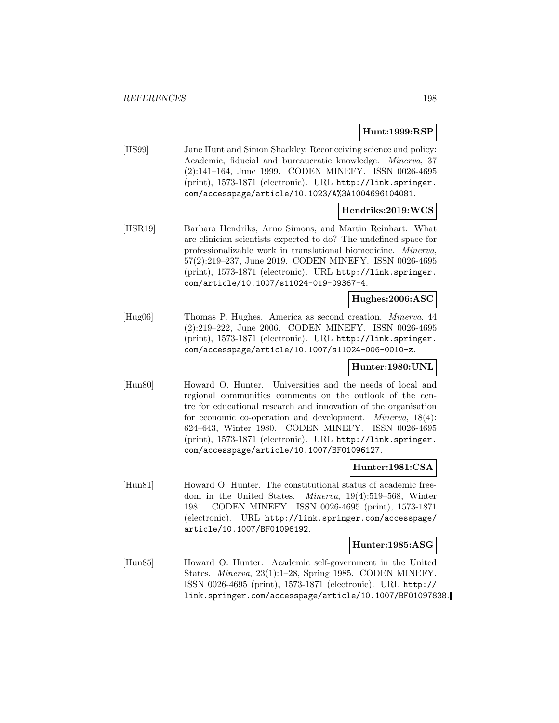## **Hunt:1999:RSP**

[HS99] Jane Hunt and Simon Shackley. Reconceiving science and policy: Academic, fiducial and bureaucratic knowledge. Minerva, 37 (2):141–164, June 1999. CODEN MINEFY. ISSN 0026-4695 (print), 1573-1871 (electronic). URL http://link.springer. com/accesspage/article/10.1023/A%3A1004696104081.

# **Hendriks:2019:WCS**

[HSR19] Barbara Hendriks, Arno Simons, and Martin Reinhart. What are clinician scientists expected to do? The undefined space for professionalizable work in translational biomedicine. Minerva, 57(2):219–237, June 2019. CODEN MINEFY. ISSN 0026-4695 (print), 1573-1871 (electronic). URL http://link.springer. com/article/10.1007/s11024-019-09367-4.

## **Hughes:2006:ASC**

[Hug06] Thomas P. Hughes. America as second creation. Minerva, 44 (2):219–222, June 2006. CODEN MINEFY. ISSN 0026-4695 (print), 1573-1871 (electronic). URL http://link.springer. com/accesspage/article/10.1007/s11024-006-0010-z.

### **Hunter:1980:UNL**

[Hun80] Howard O. Hunter. Universities and the needs of local and regional communities comments on the outlook of the centre for educational research and innovation of the organisation for economic co-operation and development. Minerva, 18(4): 624–643, Winter 1980. CODEN MINEFY. ISSN 0026-4695 (print), 1573-1871 (electronic). URL http://link.springer. com/accesspage/article/10.1007/BF01096127.

### **Hunter:1981:CSA**

[Hun81] Howard O. Hunter. The constitutional status of academic freedom in the United States. Minerva, 19(4):519–568, Winter 1981. CODEN MINEFY. ISSN 0026-4695 (print), 1573-1871 (electronic). URL http://link.springer.com/accesspage/ article/10.1007/BF01096192.

# **Hunter:1985:ASG**

[Hun85] Howard O. Hunter. Academic self-government in the United States. Minerva, 23(1):1–28, Spring 1985. CODEN MINEFY. ISSN 0026-4695 (print), 1573-1871 (electronic). URL http:// link.springer.com/accesspage/article/10.1007/BF01097838.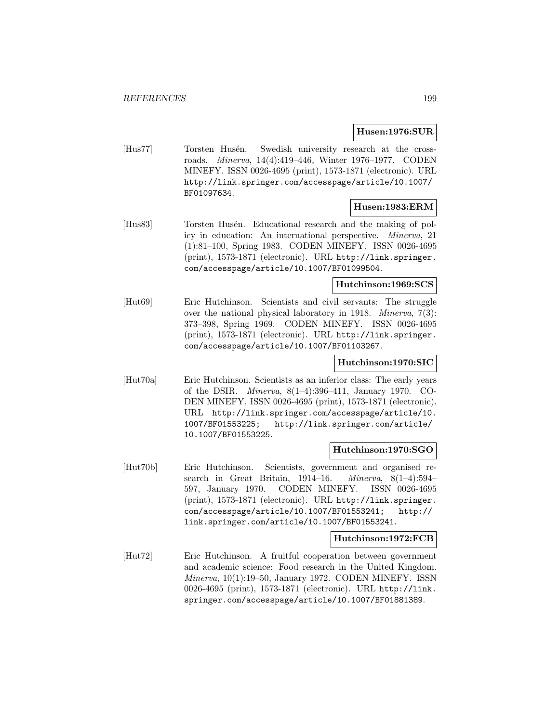# **Husen:1976:SUR**

[Hus77] Torsten Husén. Swedish university research at the crossroads. Minerva, 14(4):419–446, Winter 1976–1977. CODEN MINEFY. ISSN 0026-4695 (print), 1573-1871 (electronic). URL http://link.springer.com/accesspage/article/10.1007/ BF01097634.

### **Husen:1983:ERM**

[Hus83] Torsten Husén. Educational research and the making of policy in education: An international perspective. Minerva, 21 (1):81–100, Spring 1983. CODEN MINEFY. ISSN 0026-4695 (print), 1573-1871 (electronic). URL http://link.springer. com/accesspage/article/10.1007/BF01099504.

# **Hutchinson:1969:SCS**

[Hut69] Eric Hutchinson. Scientists and civil servants: The struggle over the national physical laboratory in 1918. Minerva, 7(3): 373–398, Spring 1969. CODEN MINEFY. ISSN 0026-4695 (print), 1573-1871 (electronic). URL http://link.springer. com/accesspage/article/10.1007/BF01103267.

# **Hutchinson:1970:SIC**

[Hut70a] Eric Hutchinson. Scientists as an inferior class: The early years of the DSIR. Minerva, 8(1–4):396–411, January 1970. CO-DEN MINEFY. ISSN 0026-4695 (print), 1573-1871 (electronic). URL http://link.springer.com/accesspage/article/10. 1007/BF01553225; http://link.springer.com/article/ 10.1007/BF01553225.

### **Hutchinson:1970:SGO**

[Hut70b] Eric Hutchinson. Scientists, government and organised research in Great Britain, 1914–16. Minerva, 8(1–4):594– 597, January 1970. CODEN MINEFY. ISSN 0026-4695 (print), 1573-1871 (electronic). URL http://link.springer. com/accesspage/article/10.1007/BF01553241; http:// link.springer.com/article/10.1007/BF01553241.

### **Hutchinson:1972:FCB**

[Hut72] Eric Hutchinson. A fruitful cooperation between government and academic science: Food research in the United Kingdom. Minerva, 10(1):19–50, January 1972. CODEN MINEFY. ISSN 0026-4695 (print), 1573-1871 (electronic). URL http://link. springer.com/accesspage/article/10.1007/BF01881389.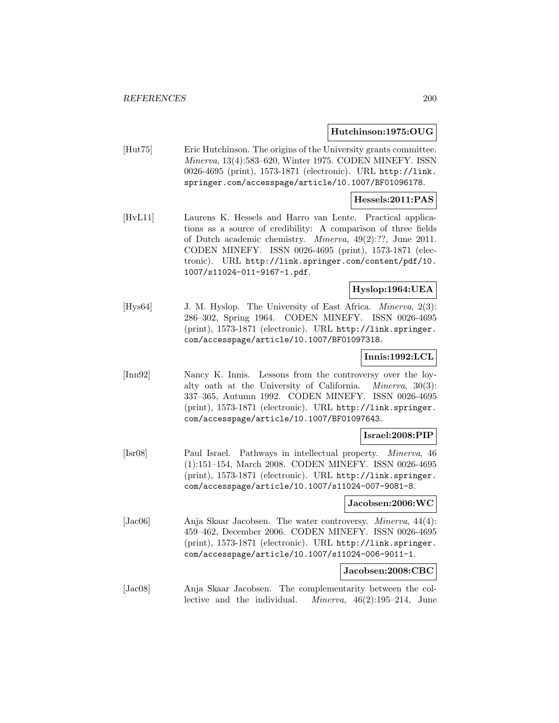#### **Hutchinson:1975:OUG**

[Hut75] Eric Hutchinson. The origins of the University grants committee. Minerva, 13(4):583–620, Winter 1975. CODEN MINEFY. ISSN 0026-4695 (print), 1573-1871 (electronic). URL http://link. springer.com/accesspage/article/10.1007/BF01096178.

#### **Hessels:2011:PAS**

[HvL11] Laurens K. Hessels and Harro van Lente. Practical applications as a source of credibility: A comparison of three fields of Dutch academic chemistry. Minerva, 49(2):??, June 2011. CODEN MINEFY. ISSN 0026-4695 (print), 1573-1871 (electronic). URL http://link.springer.com/content/pdf/10. 1007/s11024-011-9167-1.pdf.

# **Hyslop:1964:UEA**

[Hys64] J. M. Hyslop. The University of East Africa. *Minerva*, 2(3): 286–302, Spring 1964. CODEN MINEFY. ISSN 0026-4695 (print), 1573-1871 (electronic). URL http://link.springer. com/accesspage/article/10.1007/BF01097318.

### **Innis:1992:LCL**

[Inn92] Nancy K. Innis. Lessons from the controversy over the loyalty oath at the University of California. Minerva, 30(3): 337–365, Autumn 1992. CODEN MINEFY. ISSN 0026-4695 (print), 1573-1871 (electronic). URL http://link.springer. com/accesspage/article/10.1007/BF01097643.

# **Israel:2008:PIP**

[Isr08] Paul Israel. Pathways in intellectual property. Minerva, 46 (1):151–154, March 2008. CODEN MINEFY. ISSN 0026-4695 (print), 1573-1871 (electronic). URL http://link.springer. com/accesspage/article/10.1007/s11024-007-9081-8.

#### **Jacobsen:2006:WC**

[Jac06] Anja Skaar Jacobsen. The water controversy. Minerva, 44(4): 459–462, December 2006. CODEN MINEFY. ISSN 0026-4695 (print), 1573-1871 (electronic). URL http://link.springer. com/accesspage/article/10.1007/s11024-006-9011-1.

### **Jacobsen:2008:CBC**

[Jac08] Anja Skaar Jacobsen. The complementarity between the collective and the individual. Minerva, 46(2):195–214, June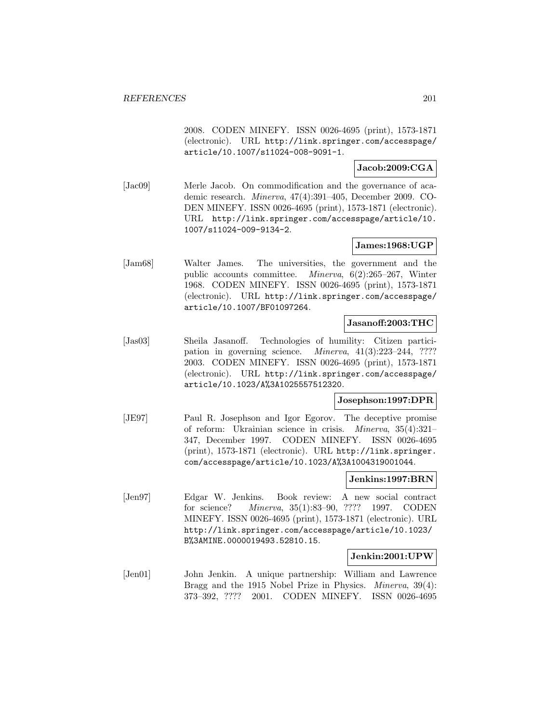2008. CODEN MINEFY. ISSN 0026-4695 (print), 1573-1871 (electronic). URL http://link.springer.com/accesspage/ article/10.1007/s11024-008-9091-1.

## **Jacob:2009:CGA**

[Jac09] Merle Jacob. On commodification and the governance of academic research. Minerva, 47(4):391–405, December 2009. CO-DEN MINEFY. ISSN 0026-4695 (print), 1573-1871 (electronic). URL http://link.springer.com/accesspage/article/10. 1007/s11024-009-9134-2.

# **James:1968:UGP**

[Jam68] Walter James. The universities, the government and the public accounts committee. Minerva, 6(2):265–267, Winter 1968. CODEN MINEFY. ISSN 0026-4695 (print), 1573-1871 (electronic). URL http://link.springer.com/accesspage/ article/10.1007/BF01097264.

### **Jasanoff:2003:THC**

[Jas03] Sheila Jasanoff. Technologies of humility: Citizen participation in governing science. Minerva, 41(3):223–244, ???? 2003. CODEN MINEFY. ISSN 0026-4695 (print), 1573-1871 (electronic). URL http://link.springer.com/accesspage/ article/10.1023/A%3A1025557512320.

### **Josephson:1997:DPR**

[JE97] Paul R. Josephson and Igor Egorov. The deceptive promise of reform: Ukrainian science in crisis. Minerva, 35(4):321– 347, December 1997. CODEN MINEFY. ISSN 0026-4695 (print), 1573-1871 (electronic). URL http://link.springer. com/accesspage/article/10.1023/A%3A1004319001044.

#### **Jenkins:1997:BRN**

[Jen97] Edgar W. Jenkins. Book review: A new social contract for science? Minerva, 35(1):83–90, ???? 1997. CODEN MINEFY. ISSN 0026-4695 (print), 1573-1871 (electronic). URL http://link.springer.com/accesspage/article/10.1023/ B%3AMINE.0000019493.52810.15.

### **Jenkin:2001:UPW**

[Jen01] John Jenkin. A unique partnership: William and Lawrence Bragg and the 1915 Nobel Prize in Physics. Minerva, 39(4): 373–392, ???? 2001. CODEN MINEFY. ISSN 0026-4695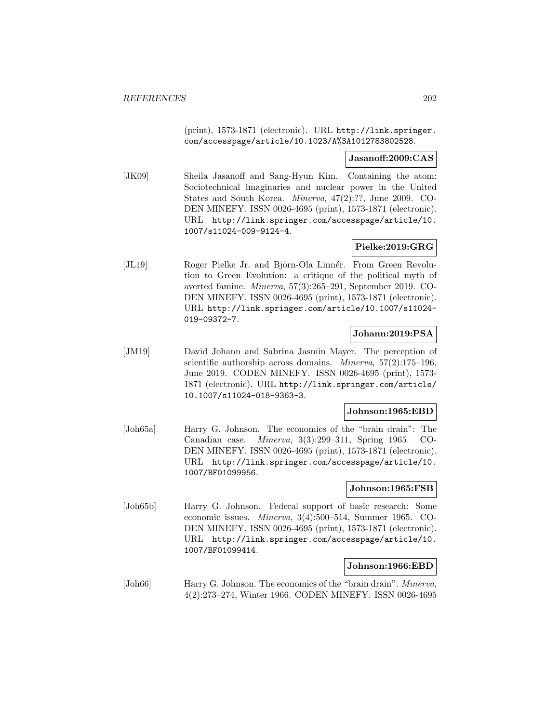(print), 1573-1871 (electronic). URL http://link.springer. com/accesspage/article/10.1023/A%3A1012783802528.

#### **Jasanoff:2009:CAS**

[JK09] Sheila Jasanoff and Sang-Hyun Kim. Containing the atom: Sociotechnical imaginaries and nuclear power in the United States and South Korea. Minerva, 47(2):??, June 2009. CO-DEN MINEFY. ISSN 0026-4695 (print), 1573-1871 (electronic). URL http://link.springer.com/accesspage/article/10. 1007/s11024-009-9124-4.

## **Pielke:2019:GRG**

[JL19] Roger Pielke Jr. and Björn-Ola Linnér. From Green Revolution to Green Evolution: a critique of the political myth of averted famine. Minerva, 57(3):265–291, September 2019. CO-DEN MINEFY. ISSN 0026-4695 (print), 1573-1871 (electronic). URL http://link.springer.com/article/10.1007/s11024- 019-09372-7.

# **Johann:2019:PSA**

[JM19] David Johann and Sabrina Jasmin Mayer. The perception of scientific authorship across domains. *Minerva*, 57(2):175–196, June 2019. CODEN MINEFY. ISSN 0026-4695 (print), 1573- 1871 (electronic). URL http://link.springer.com/article/ 10.1007/s11024-018-9363-3.

# **Johnson:1965:EBD**

[Joh65a] Harry G. Johnson. The economics of the "brain drain": The Canadian case. Minerva, 3(3):299–311, Spring 1965. CO-DEN MINEFY. ISSN 0026-4695 (print), 1573-1871 (electronic). URL http://link.springer.com/accesspage/article/10. 1007/BF01099956.

### **Johnson:1965:FSB**

[Joh65b] Harry G. Johnson. Federal support of basic research: Some economic issues. Minerva, 3(4):500–514, Summer 1965. CO-DEN MINEFY. ISSN 0026-4695 (print), 1573-1871 (electronic). URL http://link.springer.com/accesspage/article/10. 1007/BF01099414.

#### **Johnson:1966:EBD**

[Joh66] Harry G. Johnson. The economics of the "brain drain". Minerva, 4(2):273–274, Winter 1966. CODEN MINEFY. ISSN 0026-4695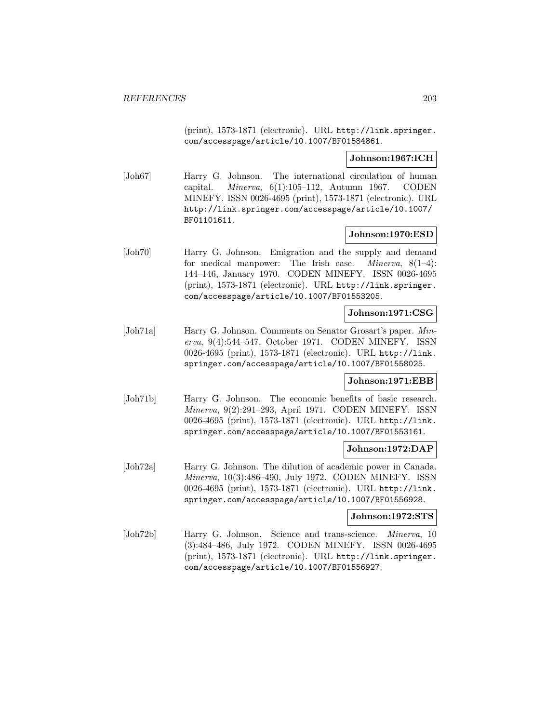(print), 1573-1871 (electronic). URL http://link.springer. com/accesspage/article/10.1007/BF01584861.

## **Johnson:1967:ICH**

[Joh67] Harry G. Johnson. The international circulation of human capital. *Minerva*,  $6(1):105-112$ , Autumn 1967. CODEN MINEFY. ISSN 0026-4695 (print), 1573-1871 (electronic). URL http://link.springer.com/accesspage/article/10.1007/ BF01101611.

### **Johnson:1970:ESD**

[Joh70] Harry G. Johnson. Emigration and the supply and demand for medical manpower: The Irish case. *Minerva*,  $8(1-4)$ : 144–146, January 1970. CODEN MINEFY. ISSN 0026-4695 (print), 1573-1871 (electronic). URL http://link.springer. com/accesspage/article/10.1007/BF01553205.

# **Johnson:1971:CSG**

[Joh71a] Harry G. Johnson. Comments on Senator Grosart's paper. Minerva, 9(4):544–547, October 1971. CODEN MINEFY. ISSN 0026-4695 (print), 1573-1871 (electronic). URL http://link. springer.com/accesspage/article/10.1007/BF01558025.

### **Johnson:1971:EBB**

[Joh71b] Harry G. Johnson. The economic benefits of basic research. Minerva, 9(2):291–293, April 1971. CODEN MINEFY. ISSN 0026-4695 (print), 1573-1871 (electronic). URL http://link. springer.com/accesspage/article/10.1007/BF01553161.

### **Johnson:1972:DAP**

[Joh72a] Harry G. Johnson. The dilution of academic power in Canada. Minerva, 10(3):486–490, July 1972. CODEN MINEFY. ISSN 0026-4695 (print), 1573-1871 (electronic). URL http://link. springer.com/accesspage/article/10.1007/BF01556928.

#### **Johnson:1972:STS**

[Joh72b] Harry G. Johnson. Science and trans-science. Minerva, 10 (3):484–486, July 1972. CODEN MINEFY. ISSN 0026-4695 (print), 1573-1871 (electronic). URL http://link.springer. com/accesspage/article/10.1007/BF01556927.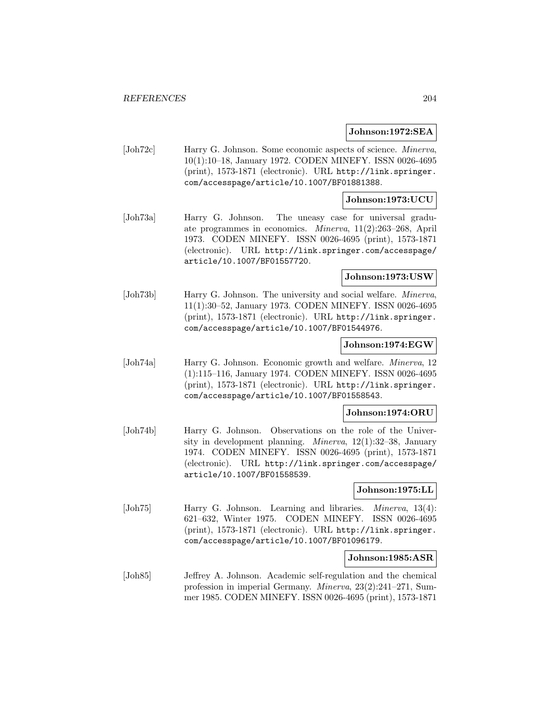#### **Johnson:1972:SEA**

[Joh72c] Harry G. Johnson. Some economic aspects of science. Minerva, 10(1):10–18, January 1972. CODEN MINEFY. ISSN 0026-4695 (print), 1573-1871 (electronic). URL http://link.springer. com/accesspage/article/10.1007/BF01881388.

#### **Johnson:1973:UCU**

[Joh73a] Harry G. Johnson. The uneasy case for universal graduate programmes in economics. Minerva, 11(2):263–268, April 1973. CODEN MINEFY. ISSN 0026-4695 (print), 1573-1871 (electronic). URL http://link.springer.com/accesspage/ article/10.1007/BF01557720.

## **Johnson:1973:USW**

[Joh73b] Harry G. Johnson. The university and social welfare. Minerva, 11(1):30–52, January 1973. CODEN MINEFY. ISSN 0026-4695 (print), 1573-1871 (electronic). URL http://link.springer. com/accesspage/article/10.1007/BF01544976.

## **Johnson:1974:EGW**

[Joh74a] Harry G. Johnson. Economic growth and welfare. Minerva, 12 (1):115–116, January 1974. CODEN MINEFY. ISSN 0026-4695 (print), 1573-1871 (electronic). URL http://link.springer. com/accesspage/article/10.1007/BF01558543.

#### **Johnson:1974:ORU**

[Joh74b] Harry G. Johnson. Observations on the role of the University in development planning. Minerva, 12(1):32–38, January 1974. CODEN MINEFY. ISSN 0026-4695 (print), 1573-1871 (electronic). URL http://link.springer.com/accesspage/ article/10.1007/BF01558539.

### **Johnson:1975:LL**

[Joh75] Harry G. Johnson. Learning and libraries. *Minerva*, 13(4): 621–632, Winter 1975. CODEN MINEFY. ISSN 0026-4695 (print), 1573-1871 (electronic). URL http://link.springer. com/accesspage/article/10.1007/BF01096179.

#### **Johnson:1985:ASR**

[Joh85] Jeffrey A. Johnson. Academic self-regulation and the chemical profession in imperial Germany. Minerva, 23(2):241–271, Summer 1985. CODEN MINEFY. ISSN 0026-4695 (print), 1573-1871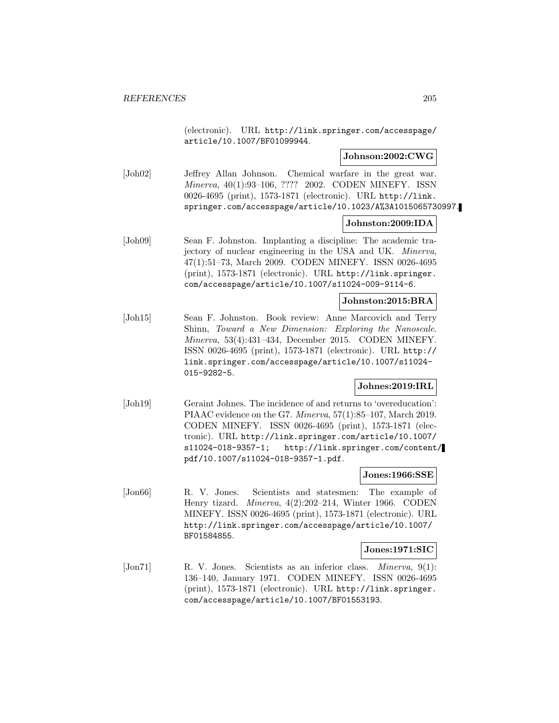(electronic). URL http://link.springer.com/accesspage/ article/10.1007/BF01099944.

#### **Johnson:2002:CWG**

[Joh02] Jeffrey Allan Johnson. Chemical warfare in the great war. Minerva, 40(1):93–106, ???? 2002. CODEN MINEFY. ISSN 0026-4695 (print), 1573-1871 (electronic). URL http://link. springer.com/accesspage/article/10.1023/A%3A1015065730997.

#### **Johnston:2009:IDA**

[Joh09] Sean F. Johnston. Implanting a discipline: The academic trajectory of nuclear engineering in the USA and UK. Minerva, 47(1):51–73, March 2009. CODEN MINEFY. ISSN 0026-4695 (print), 1573-1871 (electronic). URL http://link.springer. com/accesspage/article/10.1007/s11024-009-9114-6.

# **Johnston:2015:BRA**

[Joh15] Sean F. Johnston. Book review: Anne Marcovich and Terry Shinn, Toward a New Dimension: Exploring the Nanoscale. Minerva, 53(4):431–434, December 2015. CODEN MINEFY. ISSN 0026-4695 (print), 1573-1871 (electronic). URL http:// link.springer.com/accesspage/article/10.1007/s11024- 015-9282-5.

### **Johnes:2019:IRL**

[Joh19] Geraint Johnes. The incidence of and returns to 'overeducation': PIAAC evidence on the G7. Minerva, 57(1):85–107, March 2019. CODEN MINEFY. ISSN 0026-4695 (print), 1573-1871 (electronic). URL http://link.springer.com/article/10.1007/ s11024-018-9357-1; http://link.springer.com/content/ pdf/10.1007/s11024-018-9357-1.pdf.

#### **Jones:1966:SSE**

[Jon66] R. V. Jones. Scientists and statesmen: The example of Henry tizard. Minerva, 4(2):202–214, Winter 1966. CODEN MINEFY. ISSN 0026-4695 (print), 1573-1871 (electronic). URL http://link.springer.com/accesspage/article/10.1007/ BF01584855.

#### **Jones:1971:SIC**

[Jon71] R. V. Jones. Scientists as an inferior class. *Minerva*, 9(1): 136–140, January 1971. CODEN MINEFY. ISSN 0026-4695 (print), 1573-1871 (electronic). URL http://link.springer. com/accesspage/article/10.1007/BF01553193.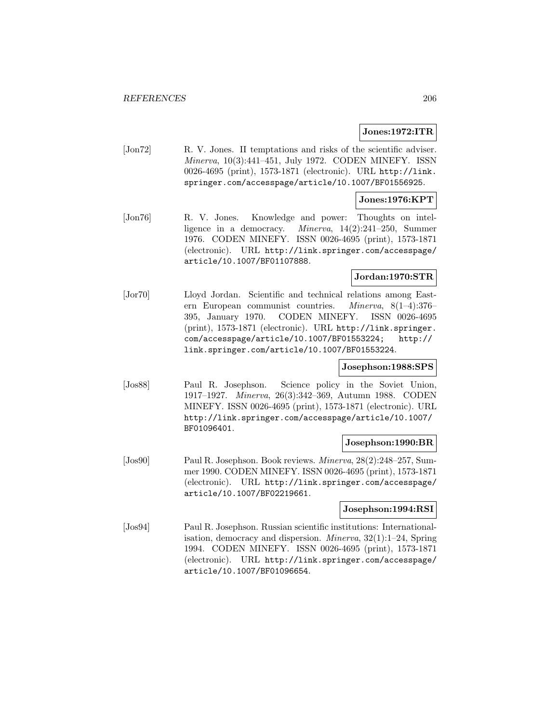### **Jones:1972:ITR**

[Jon72] R. V. Jones. II temptations and risks of the scientific adviser. Minerva, 10(3):441–451, July 1972. CODEN MINEFY. ISSN 0026-4695 (print), 1573-1871 (electronic). URL http://link. springer.com/accesspage/article/10.1007/BF01556925.

## **Jones:1976:KPT**

[Jon76] R. V. Jones. Knowledge and power: Thoughts on intelligence in a democracy. Minerva, 14(2):241–250, Summer 1976. CODEN MINEFY. ISSN 0026-4695 (print), 1573-1871 (electronic). URL http://link.springer.com/accesspage/ article/10.1007/BF01107888.

# **Jordan:1970:STR**

[Jor70] Lloyd Jordan. Scientific and technical relations among Eastern European communist countries. Minerva, 8(1–4):376– 395, January 1970. CODEN MINEFY. ISSN 0026-4695 (print), 1573-1871 (electronic). URL http://link.springer. com/accesspage/article/10.1007/BF01553224; http:// link.springer.com/article/10.1007/BF01553224.

### **Josephson:1988:SPS**

[Jos88] Paul R. Josephson. Science policy in the Soviet Union, 1917–1927. Minerva, 26(3):342–369, Autumn 1988. CODEN MINEFY. ISSN 0026-4695 (print), 1573-1871 (electronic). URL http://link.springer.com/accesspage/article/10.1007/ BF01096401.

#### **Josephson:1990:BR**

[Jos90] Paul R. Josephson. Book reviews. Minerva, 28(2):248–257, Summer 1990. CODEN MINEFY. ISSN 0026-4695 (print), 1573-1871 (electronic). URL http://link.springer.com/accesspage/ article/10.1007/BF02219661.

#### **Josephson:1994:RSI**

[Jos94] Paul R. Josephson. Russian scientific institutions: Internationalisation, democracy and dispersion. Minerva, 32(1):1–24, Spring 1994. CODEN MINEFY. ISSN 0026-4695 (print), 1573-1871 (electronic). URL http://link.springer.com/accesspage/ article/10.1007/BF01096654.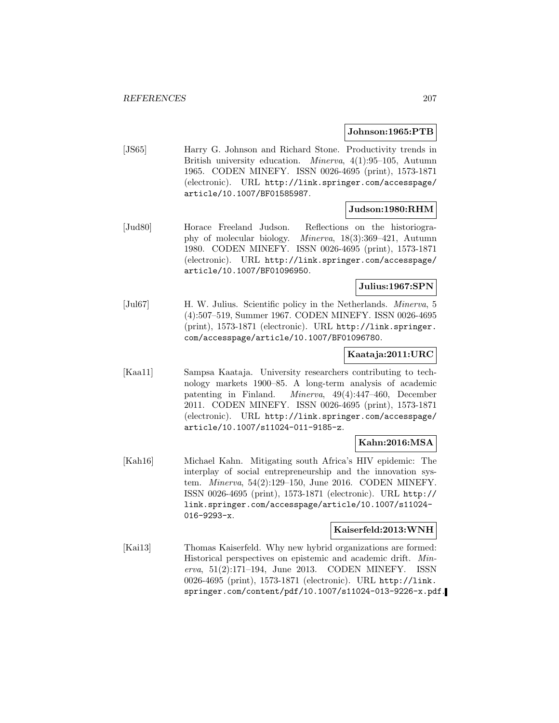#### **Johnson:1965:PTB**

[JS65] Harry G. Johnson and Richard Stone. Productivity trends in British university education. Minerva, 4(1):95–105, Autumn 1965. CODEN MINEFY. ISSN 0026-4695 (print), 1573-1871 (electronic). URL http://link.springer.com/accesspage/ article/10.1007/BF01585987.

#### **Judson:1980:RHM**

[Jud80] Horace Freeland Judson. Reflections on the historiography of molecular biology. Minerva, 18(3):369–421, Autumn 1980. CODEN MINEFY. ISSN 0026-4695 (print), 1573-1871 (electronic). URL http://link.springer.com/accesspage/ article/10.1007/BF01096950.

# **Julius:1967:SPN**

[Jul67] H. W. Julius. Scientific policy in the Netherlands. Minerva, 5 (4):507–519, Summer 1967. CODEN MINEFY. ISSN 0026-4695 (print), 1573-1871 (electronic). URL http://link.springer. com/accesspage/article/10.1007/BF01096780.

### **Kaataja:2011:URC**

[Kaa11] Sampsa Kaataja. University researchers contributing to technology markets 1900–85. A long-term analysis of academic patenting in Finland. Minerva, 49(4):447–460, December 2011. CODEN MINEFY. ISSN 0026-4695 (print), 1573-1871 (electronic). URL http://link.springer.com/accesspage/ article/10.1007/s11024-011-9185-z.

### **Kahn:2016:MSA**

[Kah16] Michael Kahn. Mitigating south Africa's HIV epidemic: The interplay of social entrepreneurship and the innovation system. Minerva, 54(2):129–150, June 2016. CODEN MINEFY. ISSN 0026-4695 (print), 1573-1871 (electronic). URL http:// link.springer.com/accesspage/article/10.1007/s11024- 016-9293-x.

## **Kaiserfeld:2013:WNH**

[Kai13] Thomas Kaiserfeld. Why new hybrid organizations are formed: Historical perspectives on epistemic and academic drift. Minerva, 51(2):171–194, June 2013. CODEN MINEFY. ISSN 0026-4695 (print), 1573-1871 (electronic). URL http://link. springer.com/content/pdf/10.1007/s11024-013-9226-x.pdf.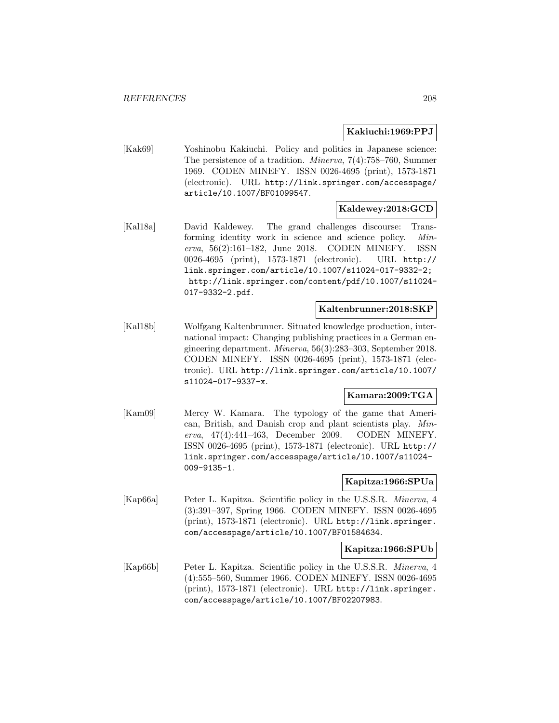# **Kakiuchi:1969:PPJ**

[Kak69] Yoshinobu Kakiuchi. Policy and politics in Japanese science: The persistence of a tradition. Minerva, 7(4):758–760, Summer 1969. CODEN MINEFY. ISSN 0026-4695 (print), 1573-1871 (electronic). URL http://link.springer.com/accesspage/ article/10.1007/BF01099547.

### **Kaldewey:2018:GCD**

[Kal18a] David Kaldewey. The grand challenges discourse: Transforming identity work in science and science policy. Minerva, 56(2):161–182, June 2018. CODEN MINEFY. ISSN 0026-4695 (print), 1573-1871 (electronic). URL http:// link.springer.com/article/10.1007/s11024-017-9332-2; http://link.springer.com/content/pdf/10.1007/s11024- 017-9332-2.pdf.

### **Kaltenbrunner:2018:SKP**

[Kal18b] Wolfgang Kaltenbrunner. Situated knowledge production, international impact: Changing publishing practices in a German engineering department. Minerva, 56(3):283–303, September 2018. CODEN MINEFY. ISSN 0026-4695 (print), 1573-1871 (electronic). URL http://link.springer.com/article/10.1007/ s11024-017-9337-x.

### **Kamara:2009:TGA**

[Kam09] Mercy W. Kamara. The typology of the game that American, British, and Danish crop and plant scientists play. Minerva, 47(4):441–463, December 2009. CODEN MINEFY. ISSN 0026-4695 (print), 1573-1871 (electronic). URL http:// link.springer.com/accesspage/article/10.1007/s11024- 009-9135-1.

# **Kapitza:1966:SPUa**

[Kap66a] Peter L. Kapitza. Scientific policy in the U.S.S.R. Minerva, 4 (3):391–397, Spring 1966. CODEN MINEFY. ISSN 0026-4695 (print), 1573-1871 (electronic). URL http://link.springer. com/accesspage/article/10.1007/BF01584634.

#### **Kapitza:1966:SPUb**

[Kap66b] Peter L. Kapitza. Scientific policy in the U.S.S.R. Minerva, 4 (4):555–560, Summer 1966. CODEN MINEFY. ISSN 0026-4695 (print), 1573-1871 (electronic). URL http://link.springer. com/accesspage/article/10.1007/BF02207983.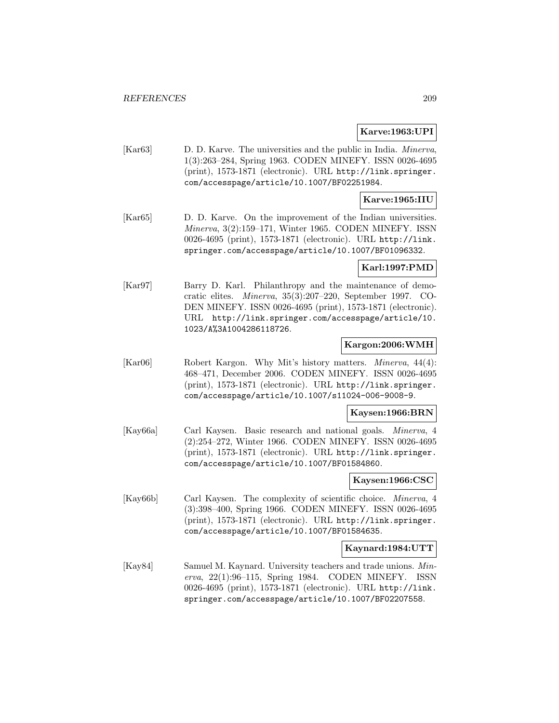## **Karve:1963:UPI**

[Kar63] D. D. Karve. The universities and the public in India. Minerva, 1(3):263–284, Spring 1963. CODEN MINEFY. ISSN 0026-4695 (print), 1573-1871 (electronic). URL http://link.springer. com/accesspage/article/10.1007/BF02251984.

## **Karve:1965:IIU**

[Kar65] D. D. Karve. On the improvement of the Indian universities. Minerva, 3(2):159–171, Winter 1965. CODEN MINEFY. ISSN 0026-4695 (print), 1573-1871 (electronic). URL http://link. springer.com/accesspage/article/10.1007/BF01096332.

### **Karl:1997:PMD**

[Kar97] Barry D. Karl. Philanthropy and the maintenance of democratic elites. Minerva, 35(3):207–220, September 1997. CO-DEN MINEFY. ISSN 0026-4695 (print), 1573-1871 (electronic). URL http://link.springer.com/accesspage/article/10. 1023/A%3A1004286118726.

### **Kargon:2006:WMH**

[Kar06] Robert Kargon. Why Mit's history matters. Minerva, 44(4): 468–471, December 2006. CODEN MINEFY. ISSN 0026-4695 (print), 1573-1871 (electronic). URL http://link.springer. com/accesspage/article/10.1007/s11024-006-9008-9.

#### **Kaysen:1966:BRN**

[Kay66a] Carl Kaysen. Basic research and national goals. Minerva, 4 (2):254–272, Winter 1966. CODEN MINEFY. ISSN 0026-4695 (print), 1573-1871 (electronic). URL http://link.springer. com/accesspage/article/10.1007/BF01584860.

### **Kaysen:1966:CSC**

[Kay66b] Carl Kaysen. The complexity of scientific choice. Minerva, 4 (3):398–400, Spring 1966. CODEN MINEFY. ISSN 0026-4695 (print), 1573-1871 (electronic). URL http://link.springer. com/accesspage/article/10.1007/BF01584635.

### **Kaynard:1984:UTT**

[Kay84] Samuel M. Kaynard. University teachers and trade unions. Minerva, 22(1):96–115, Spring 1984. CODEN MINEFY. ISSN 0026-4695 (print), 1573-1871 (electronic). URL http://link. springer.com/accesspage/article/10.1007/BF02207558.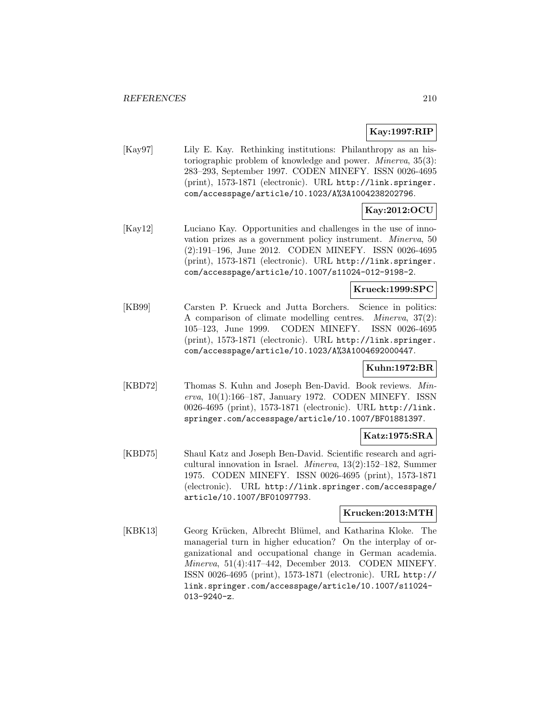# **Kay:1997:RIP**

[Kay97] Lily E. Kay. Rethinking institutions: Philanthropy as an historiographic problem of knowledge and power. Minerva, 35(3): 283–293, September 1997. CODEN MINEFY. ISSN 0026-4695 (print), 1573-1871 (electronic). URL http://link.springer. com/accesspage/article/10.1023/A%3A1004238202796.

# **Kay:2012:OCU**

[Kay12] Luciano Kay. Opportunities and challenges in the use of innovation prizes as a government policy instrument. Minerva, 50 (2):191–196, June 2012. CODEN MINEFY. ISSN 0026-4695 (print), 1573-1871 (electronic). URL http://link.springer. com/accesspage/article/10.1007/s11024-012-9198-2.

# **Krueck:1999:SPC**

[KB99] Carsten P. Krueck and Jutta Borchers. Science in politics: A comparison of climate modelling centres. Minerva, 37(2): 105–123, June 1999. CODEN MINEFY. ISSN 0026-4695 (print), 1573-1871 (electronic). URL http://link.springer. com/accesspage/article/10.1023/A%3A1004692000447.

### **Kuhn:1972:BR**

[KBD72] Thomas S. Kuhn and Joseph Ben-David. Book reviews. Minerva, 10(1):166–187, January 1972. CODEN MINEFY. ISSN 0026-4695 (print), 1573-1871 (electronic). URL http://link. springer.com/accesspage/article/10.1007/BF01881397.

### **Katz:1975:SRA**

[KBD75] Shaul Katz and Joseph Ben-David. Scientific research and agricultural innovation in Israel. Minerva, 13(2):152–182, Summer 1975. CODEN MINEFY. ISSN 0026-4695 (print), 1573-1871 (electronic). URL http://link.springer.com/accesspage/ article/10.1007/BF01097793.

# **Krucken:2013:MTH**

[KBK13] Georg Krücken, Albrecht Blümel, and Katharina Kloke. The managerial turn in higher education? On the interplay of organizational and occupational change in German academia. Minerva, 51(4):417–442, December 2013. CODEN MINEFY. ISSN 0026-4695 (print), 1573-1871 (electronic). URL http:// link.springer.com/accesspage/article/10.1007/s11024- 013-9240-z.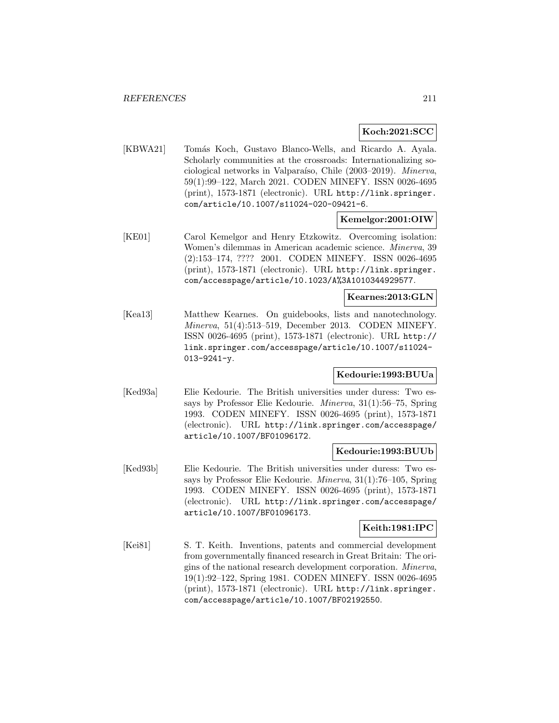# **Koch:2021:SCC**

[KBWA21] Tomás Koch, Gustavo Blanco-Wells, and Ricardo A. Ayala. Scholarly communities at the crossroads: Internationalizing sociological networks in Valparaíso, Chile (2003–2019). Minerva, 59(1):99–122, March 2021. CODEN MINEFY. ISSN 0026-4695 (print), 1573-1871 (electronic). URL http://link.springer. com/article/10.1007/s11024-020-09421-6.

# **Kemelgor:2001:OIW**

[KE01] Carol Kemelgor and Henry Etzkowitz. Overcoming isolation: Women's dilemmas in American academic science. Minerva, 39 (2):153–174, ???? 2001. CODEN MINEFY. ISSN 0026-4695 (print), 1573-1871 (electronic). URL http://link.springer. com/accesspage/article/10.1023/A%3A1010344929577.

# **Kearnes:2013:GLN**

[Kea13] Matthew Kearnes. On guidebooks, lists and nanotechnology. Minerva, 51(4):513–519, December 2013. CODEN MINEFY. ISSN 0026-4695 (print), 1573-1871 (electronic). URL http:// link.springer.com/accesspage/article/10.1007/s11024- 013-9241-y.

### **Kedourie:1993:BUUa**

[Ked93a] Elie Kedourie. The British universities under duress: Two essays by Professor Elie Kedourie. Minerva, 31(1):56–75, Spring 1993. CODEN MINEFY. ISSN 0026-4695 (print), 1573-1871 (electronic). URL http://link.springer.com/accesspage/ article/10.1007/BF01096172.

## **Kedourie:1993:BUUb**

[Ked93b] Elie Kedourie. The British universities under duress: Two essays by Professor Elie Kedourie. Minerva, 31(1):76–105, Spring 1993. CODEN MINEFY. ISSN 0026-4695 (print), 1573-1871 (electronic). URL http://link.springer.com/accesspage/ article/10.1007/BF01096173.

# **Keith:1981:IPC**

[Kei81] S. T. Keith. Inventions, patents and commercial development from governmentally financed research in Great Britain: The origins of the national research development corporation. Minerva, 19(1):92–122, Spring 1981. CODEN MINEFY. ISSN 0026-4695 (print), 1573-1871 (electronic). URL http://link.springer. com/accesspage/article/10.1007/BF02192550.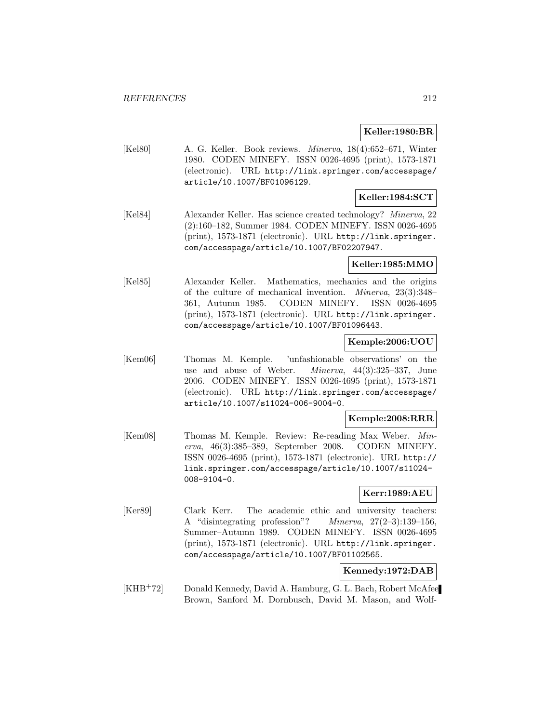## **Keller:1980:BR**

[Kel80] A. G. Keller. Book reviews. Minerva, 18(4):652–671, Winter 1980. CODEN MINEFY. ISSN 0026-4695 (print), 1573-1871 (electronic). URL http://link.springer.com/accesspage/ article/10.1007/BF01096129.

# **Keller:1984:SCT**

[Kel84] Alexander Keller. Has science created technology? Minerva, 22 (2):160–182, Summer 1984. CODEN MINEFY. ISSN 0026-4695 (print), 1573-1871 (electronic). URL http://link.springer. com/accesspage/article/10.1007/BF02207947.

### **Keller:1985:MMO**

[Kel85] Alexander Keller. Mathematics, mechanics and the origins of the culture of mechanical invention. Minerva, 23(3):348– 361, Autumn 1985. CODEN MINEFY. ISSN 0026-4695 (print), 1573-1871 (electronic). URL http://link.springer. com/accesspage/article/10.1007/BF01096443.

# **Kemple:2006:UOU**

[Kem06] Thomas M. Kemple. 'unfashionable observations' on the use and abuse of Weber. Minerva, 44(3):325–337, June 2006. CODEN MINEFY. ISSN 0026-4695 (print), 1573-1871 (electronic). URL http://link.springer.com/accesspage/ article/10.1007/s11024-006-9004-0.

### **Kemple:2008:RRR**

[Kem08] Thomas M. Kemple. Review: Re-reading Max Weber. Minerva, 46(3):385–389, September 2008. CODEN MINEFY. ISSN 0026-4695 (print), 1573-1871 (electronic). URL http:// link.springer.com/accesspage/article/10.1007/s11024- 008-9104-0.

## **Kerr:1989:AEU**

[Ker89] Clark Kerr. The academic ethic and university teachers: A "disintegrating profession"? Minerva, 27(2–3):139–156, Summer–Autumn 1989. CODEN MINEFY. ISSN 0026-4695 (print), 1573-1871 (electronic). URL http://link.springer. com/accesspage/article/10.1007/BF01102565.

### **Kennedy:1972:DAB**

[KHB<sup>+</sup>72] Donald Kennedy, David A. Hamburg, G. L. Bach, Robert McAfee Brown, Sanford M. Dornbusch, David M. Mason, and Wolf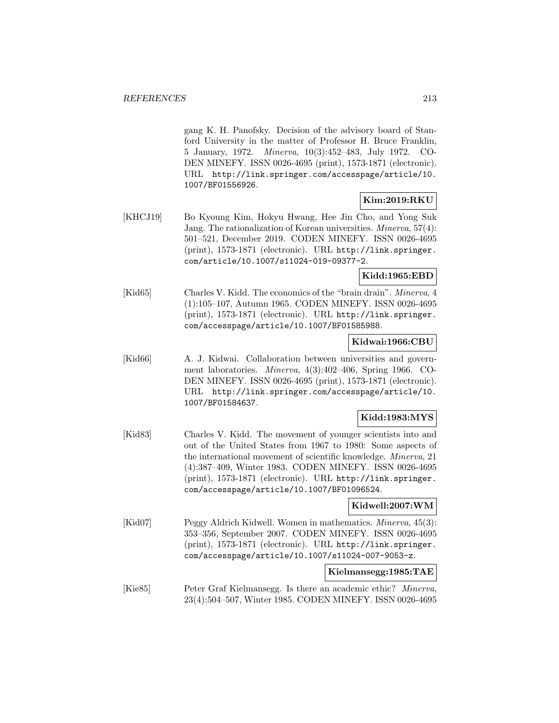gang K. H. Panofsky. Decision of the advisory board of Stanford University in the matter of Professor H. Bruce Franklin, 5 January, 1972. Minerva, 10(3):452–483, July 1972. CO-DEN MINEFY. ISSN 0026-4695 (print), 1573-1871 (electronic). URL http://link.springer.com/accesspage/article/10. 1007/BF01556926.

# **Kim:2019:RKU**

[KHCJ19] Bo Kyoung Kim, Hokyu Hwang, Hee Jin Cho, and Yong Suk Jang. The rationalization of Korean universities. Minerva, 57(4): 501–521, December 2019. CODEN MINEFY. ISSN 0026-4695 (print), 1573-1871 (electronic). URL http://link.springer. com/article/10.1007/s11024-019-09377-2.

# **Kidd:1965:EBD**

[Kid65] Charles V. Kidd. The economics of the "brain drain". Minerva, 4 (1):105–107, Autumn 1965. CODEN MINEFY. ISSN 0026-4695 (print), 1573-1871 (electronic). URL http://link.springer. com/accesspage/article/10.1007/BF01585988.

#### **Kidwai:1966:CBU**

[Kid66] A. J. Kidwai. Collaboration between universities and government laboratories. Minerva, 4(3):402–406, Spring 1966. CO-DEN MINEFY. ISSN 0026-4695 (print), 1573-1871 (electronic). URL http://link.springer.com/accesspage/article/10. 1007/BF01584637.

## **Kidd:1983:MYS**

[Kid83] Charles V. Kidd. The movement of younger scientists into and out of the United States from 1967 to 1980: Some aspects of the international movement of scientific knowledge. Minerva, 21 (4):387–409, Winter 1983. CODEN MINEFY. ISSN 0026-4695 (print), 1573-1871 (electronic). URL http://link.springer. com/accesspage/article/10.1007/BF01096524.

#### **Kidwell:2007:WM**

[Kid07] Peggy Aldrich Kidwell. Women in mathematics. *Minerva*, 45(3): 353–356, September 2007. CODEN MINEFY. ISSN 0026-4695 (print), 1573-1871 (electronic). URL http://link.springer. com/accesspage/article/10.1007/s11024-007-9053-z.

**Kielmansegg:1985:TAE**

[Kie85] Peter Graf Kielmansegg. Is there an academic ethic? *Minerva*, 23(4):504–507, Winter 1985. CODEN MINEFY. ISSN 0026-4695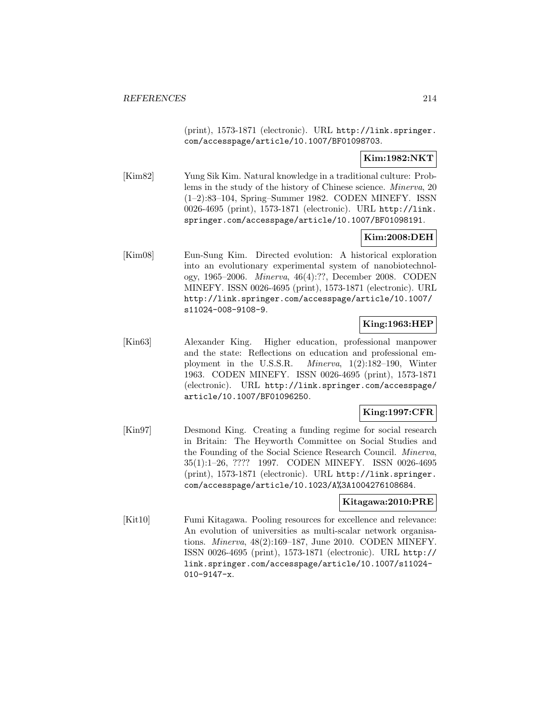(print), 1573-1871 (electronic). URL http://link.springer. com/accesspage/article/10.1007/BF01098703.

# **Kim:1982:NKT**

[Kim82] Yung Sik Kim. Natural knowledge in a traditional culture: Problems in the study of the history of Chinese science. Minerva, 20 (1–2):83–104, Spring–Summer 1982. CODEN MINEFY. ISSN 0026-4695 (print), 1573-1871 (electronic). URL http://link. springer.com/accesspage/article/10.1007/BF01098191.

# **Kim:2008:DEH**

[Kim08] Eun-Sung Kim. Directed evolution: A historical exploration into an evolutionary experimental system of nanobiotechnology, 1965–2006. Minerva, 46(4):??, December 2008. CODEN MINEFY. ISSN 0026-4695 (print), 1573-1871 (electronic). URL http://link.springer.com/accesspage/article/10.1007/ s11024-008-9108-9.

# **King:1963:HEP**

[Kin63] Alexander King. Higher education, professional manpower and the state: Reflections on education and professional employment in the U.S.S.R. Minerva, 1(2):182–190, Winter 1963. CODEN MINEFY. ISSN 0026-4695 (print), 1573-1871 (electronic). URL http://link.springer.com/accesspage/ article/10.1007/BF01096250.

### **King:1997:CFR**

[Kin97] Desmond King. Creating a funding regime for social research in Britain: The Heyworth Committee on Social Studies and the Founding of the Social Science Research Council. Minerva, 35(1):1–26, ???? 1997. CODEN MINEFY. ISSN 0026-4695 (print), 1573-1871 (electronic). URL http://link.springer. com/accesspage/article/10.1023/A%3A1004276108684.

#### **Kitagawa:2010:PRE**

[Kit10] Fumi Kitagawa. Pooling resources for excellence and relevance: An evolution of universities as multi-scalar network organisations. Minerva, 48(2):169–187, June 2010. CODEN MINEFY. ISSN 0026-4695 (print), 1573-1871 (electronic). URL http:// link.springer.com/accesspage/article/10.1007/s11024- 010-9147-x.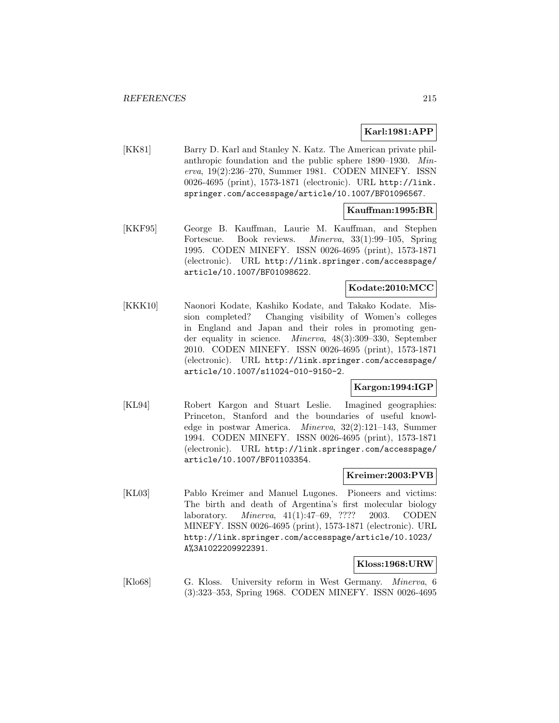# **Karl:1981:APP**

[KK81] Barry D. Karl and Stanley N. Katz. The American private philanthropic foundation and the public sphere 1890–1930. Minerva, 19(2):236–270, Summer 1981. CODEN MINEFY. ISSN 0026-4695 (print), 1573-1871 (electronic). URL http://link. springer.com/accesspage/article/10.1007/BF01096567.

# **Kauffman:1995:BR**

[KKF95] George B. Kauffman, Laurie M. Kauffman, and Stephen Fortescue. Book reviews. Minerva, 33(1):99–105, Spring 1995. CODEN MINEFY. ISSN 0026-4695 (print), 1573-1871 (electronic). URL http://link.springer.com/accesspage/ article/10.1007/BF01098622.

# **Kodate:2010:MCC**

[KKK10] Naonori Kodate, Kashiko Kodate, and Takako Kodate. Mission completed? Changing visibility of Women's colleges in England and Japan and their roles in promoting gender equality in science. Minerva, 48(3):309–330, September 2010. CODEN MINEFY. ISSN 0026-4695 (print), 1573-1871 (electronic). URL http://link.springer.com/accesspage/ article/10.1007/s11024-010-9150-2.

### **Kargon:1994:IGP**

[KL94] Robert Kargon and Stuart Leslie. Imagined geographies: Princeton, Stanford and the boundaries of useful knowledge in postwar America. Minerva, 32(2):121–143, Summer 1994. CODEN MINEFY. ISSN 0026-4695 (print), 1573-1871 (electronic). URL http://link.springer.com/accesspage/ article/10.1007/BF01103354.

### **Kreimer:2003:PVB**

[KL03] Pablo Kreimer and Manuel Lugones. Pioneers and victims: The birth and death of Argentina's first molecular biology laboratory. Minerva, 41(1):47–69, ???? 2003. CODEN MINEFY. ISSN 0026-4695 (print), 1573-1871 (electronic). URL http://link.springer.com/accesspage/article/10.1023/ A%3A1022209922391.

#### **Kloss:1968:URW**

[Klo68] G. Kloss. University reform in West Germany. Minerva, 6 (3):323–353, Spring 1968. CODEN MINEFY. ISSN 0026-4695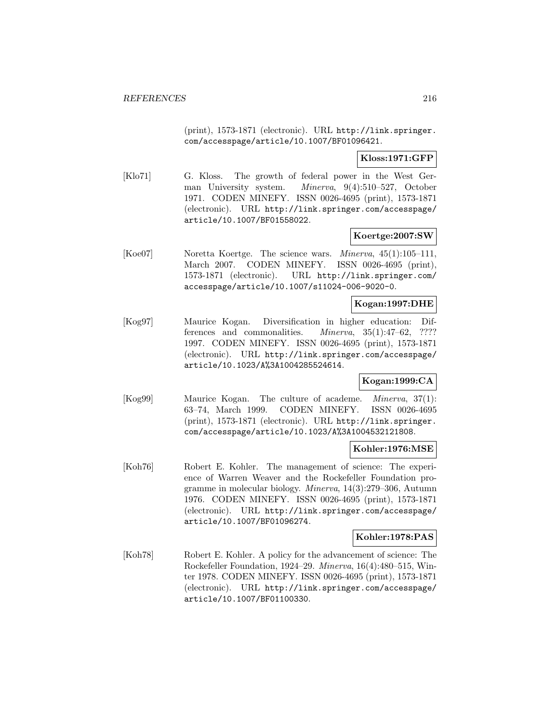(print), 1573-1871 (electronic). URL http://link.springer. com/accesspage/article/10.1007/BF01096421.

# **Kloss:1971:GFP**

[Klo71] G. Kloss. The growth of federal power in the West German University system. Minerva, 9(4):510–527, October 1971. CODEN MINEFY. ISSN 0026-4695 (print), 1573-1871 (electronic). URL http://link.springer.com/accesspage/ article/10.1007/BF01558022.

### **Koertge:2007:SW**

[Koe07] Noretta Koertge. The science wars. *Minerva*, 45(1):105–111, March 2007. CODEN MINEFY. ISSN 0026-4695 (print), 1573-1871 (electronic). URL http://link.springer.com/ accesspage/article/10.1007/s11024-006-9020-0.

### **Kogan:1997:DHE**

[Kog97] Maurice Kogan. Diversification in higher education: Differences and commonalities. Minerva, 35(1):47–62, ???? 1997. CODEN MINEFY. ISSN 0026-4695 (print), 1573-1871 (electronic). URL http://link.springer.com/accesspage/ article/10.1023/A%3A1004285524614.

# **Kogan:1999:CA**

[Kog99] Maurice Kogan. The culture of academe. Minerva, 37(1): 63–74, March 1999. CODEN MINEFY. ISSN 0026-4695 (print), 1573-1871 (electronic). URL http://link.springer. com/accesspage/article/10.1023/A%3A1004532121808.

#### **Kohler:1976:MSE**

[Koh76] Robert E. Kohler. The management of science: The experience of Warren Weaver and the Rockefeller Foundation programme in molecular biology. Minerva, 14(3):279–306, Autumn 1976. CODEN MINEFY. ISSN 0026-4695 (print), 1573-1871 (electronic). URL http://link.springer.com/accesspage/ article/10.1007/BF01096274.

### **Kohler:1978:PAS**

[Koh78] Robert E. Kohler. A policy for the advancement of science: The Rockefeller Foundation, 1924–29. Minerva, 16(4):480–515, Winter 1978. CODEN MINEFY. ISSN 0026-4695 (print), 1573-1871 (electronic). URL http://link.springer.com/accesspage/ article/10.1007/BF01100330.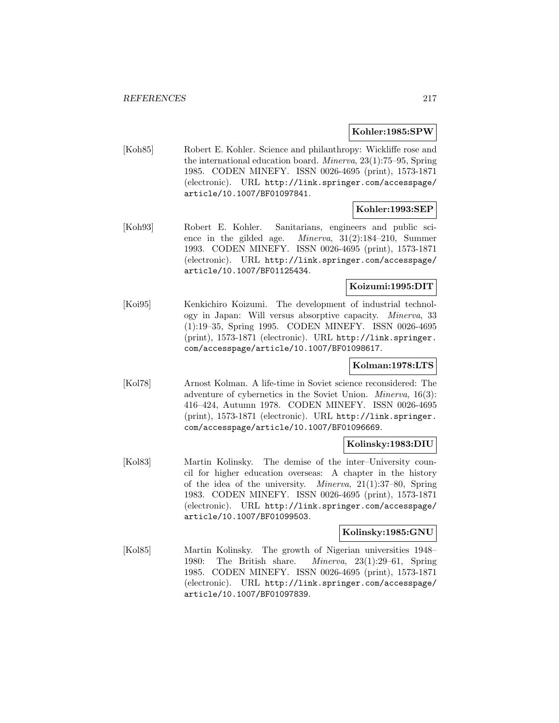#### **Kohler:1985:SPW**

[Koh85] Robert E. Kohler. Science and philanthropy: Wickliffe rose and the international education board. Minerva, 23(1):75–95, Spring 1985. CODEN MINEFY. ISSN 0026-4695 (print), 1573-1871 (electronic). URL http://link.springer.com/accesspage/ article/10.1007/BF01097841.

## **Kohler:1993:SEP**

[Koh93] Robert E. Kohler. Sanitarians, engineers and public science in the gilded age. Minerva, 31(2):184–210, Summer 1993. CODEN MINEFY. ISSN 0026-4695 (print), 1573-1871 (electronic). URL http://link.springer.com/accesspage/ article/10.1007/BF01125434.

# **Koizumi:1995:DIT**

[Koi95] Kenkichiro Koizumi. The development of industrial technology in Japan: Will versus absorptive capacity. Minerva, 33 (1):19–35, Spring 1995. CODEN MINEFY. ISSN 0026-4695 (print), 1573-1871 (electronic). URL http://link.springer. com/accesspage/article/10.1007/BF01098617.

## **Kolman:1978:LTS**

[Kol78] Arnost Kolman. A life-time in Soviet science reconsidered: The adventure of cybernetics in the Soviet Union. Minerva, 16(3): 416–424, Autumn 1978. CODEN MINEFY. ISSN 0026-4695 (print), 1573-1871 (electronic). URL http://link.springer. com/accesspage/article/10.1007/BF01096669.

## **Kolinsky:1983:DIU**

[Kol83] Martin Kolinsky. The demise of the inter–University council for higher education overseas: A chapter in the history of the idea of the university. Minerva, 21(1):37–80, Spring 1983. CODEN MINEFY. ISSN 0026-4695 (print), 1573-1871 (electronic). URL http://link.springer.com/accesspage/ article/10.1007/BF01099503.

# **Kolinsky:1985:GNU**

[Kol85] Martin Kolinsky. The growth of Nigerian universities 1948– 1980: The British share. Minerva, 23(1):29–61, Spring 1985. CODEN MINEFY. ISSN 0026-4695 (print), 1573-1871 (electronic). URL http://link.springer.com/accesspage/ article/10.1007/BF01097839.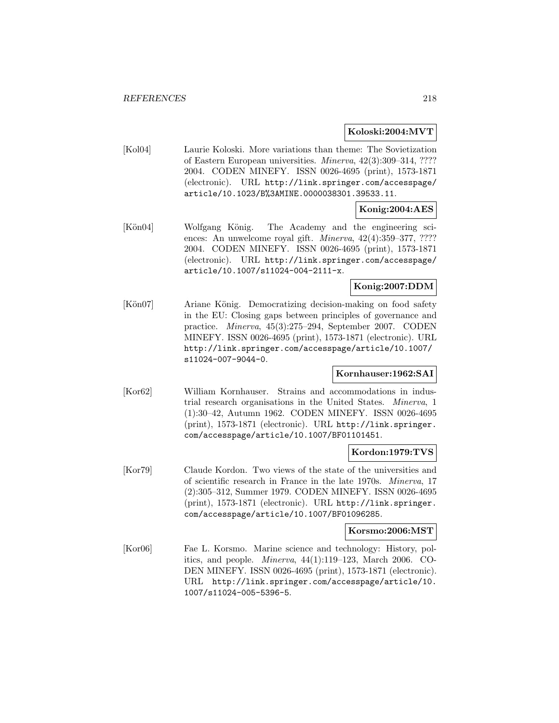## **Koloski:2004:MVT**

[Kol04] Laurie Koloski. More variations than theme: The Sovietization of Eastern European universities. Minerva, 42(3):309–314, ???? 2004. CODEN MINEFY. ISSN 0026-4695 (print), 1573-1871 (electronic). URL http://link.springer.com/accesspage/ article/10.1023/B%3AMINE.0000038301.39533.11.

# **Konig:2004:AES**

[Kön04] Wolfgang König. The Academy and the engineering sciences: An unwelcome royal gift. *Minerva*,  $42(4):359-377, ????$ 2004. CODEN MINEFY. ISSN 0026-4695 (print), 1573-1871 (electronic). URL http://link.springer.com/accesspage/ article/10.1007/s11024-004-2111-x.

# **Konig:2007:DDM**

[Kön07] Ariane König. Democratizing decision-making on food safety in the EU: Closing gaps between principles of governance and practice. Minerva, 45(3):275–294, September 2007. CODEN MINEFY. ISSN 0026-4695 (print), 1573-1871 (electronic). URL http://link.springer.com/accesspage/article/10.1007/ s11024-007-9044-0.

## **Kornhauser:1962:SAI**

[Kor62] William Kornhauser. Strains and accommodations in industrial research organisations in the United States. Minerva, 1 (1):30–42, Autumn 1962. CODEN MINEFY. ISSN 0026-4695 (print), 1573-1871 (electronic). URL http://link.springer. com/accesspage/article/10.1007/BF01101451.

## **Kordon:1979:TVS**

[Kor79] Claude Kordon. Two views of the state of the universities and of scientific research in France in the late 1970s. Minerva, 17 (2):305–312, Summer 1979. CODEN MINEFY. ISSN 0026-4695 (print), 1573-1871 (electronic). URL http://link.springer. com/accesspage/article/10.1007/BF01096285.

# **Korsmo:2006:MST**

[Kor06] Fae L. Korsmo. Marine science and technology: History, politics, and people. Minerva, 44(1):119–123, March 2006. CO-DEN MINEFY. ISSN 0026-4695 (print), 1573-1871 (electronic). URL http://link.springer.com/accesspage/article/10. 1007/s11024-005-5396-5.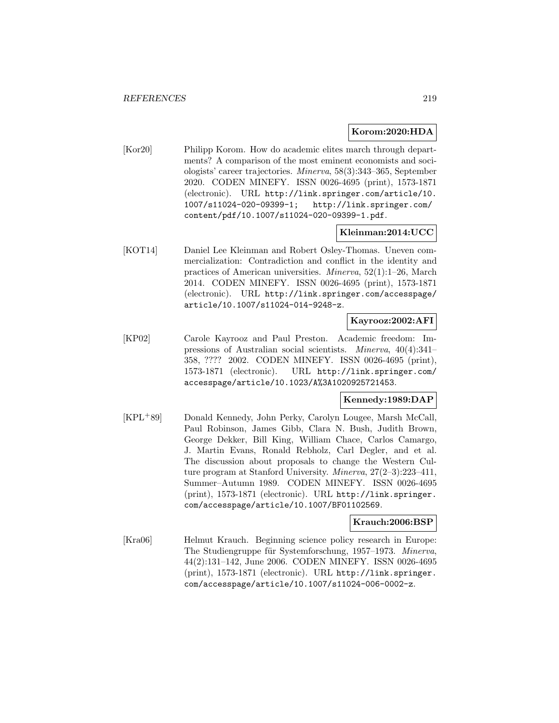#### **Korom:2020:HDA**

[Kor20] Philipp Korom. How do academic elites march through departments? A comparison of the most eminent economists and sociologists' career trajectories. Minerva, 58(3):343–365, September 2020. CODEN MINEFY. ISSN 0026-4695 (print), 1573-1871 (electronic). URL http://link.springer.com/article/10. 1007/s11024-020-09399-1; http://link.springer.com/ content/pdf/10.1007/s11024-020-09399-1.pdf.

# **Kleinman:2014:UCC**

[KOT14] Daniel Lee Kleinman and Robert Osley-Thomas. Uneven commercialization: Contradiction and conflict in the identity and practices of American universities. Minerva, 52(1):1–26, March 2014. CODEN MINEFY. ISSN 0026-4695 (print), 1573-1871 (electronic). URL http://link.springer.com/accesspage/ article/10.1007/s11024-014-9248-z.

## **Kayrooz:2002:AFI**

[KP02] Carole Kayrooz and Paul Preston. Academic freedom: Impressions of Australian social scientists. Minerva, 40(4):341– 358, ???? 2002. CODEN MINEFY. ISSN 0026-4695 (print), 1573-1871 (electronic). URL http://link.springer.com/ accesspage/article/10.1023/A%3A1020925721453.

## **Kennedy:1989:DAP**

[KPL<sup>+</sup>89] Donald Kennedy, John Perky, Carolyn Lougee, Marsh McCall, Paul Robinson, James Gibb, Clara N. Bush, Judith Brown, George Dekker, Bill King, William Chace, Carlos Camargo, J. Martin Evans, Ronald Rebholz, Carl Degler, and et al. The discussion about proposals to change the Western Culture program at Stanford University. Minerva, 27(2–3):223–411, Summer–Autumn 1989. CODEN MINEFY. ISSN 0026-4695 (print), 1573-1871 (electronic). URL http://link.springer. com/accesspage/article/10.1007/BF01102569.

#### **Krauch:2006:BSP**

[Kra06] Helmut Krauch. Beginning science policy research in Europe: The Studiengruppe für Systemforschung, 1957–1973. Minerva, 44(2):131–142, June 2006. CODEN MINEFY. ISSN 0026-4695 (print), 1573-1871 (electronic). URL http://link.springer. com/accesspage/article/10.1007/s11024-006-0002-z.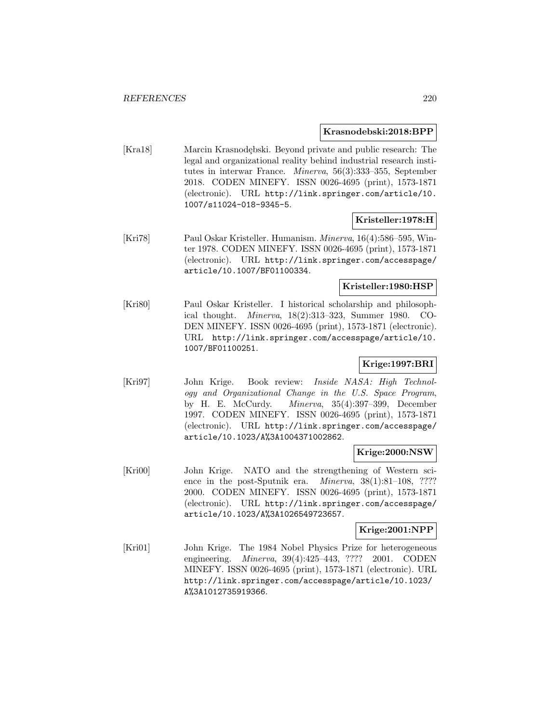## **Krasnodebski:2018:BPP**

[Kra18] Marcin Krasnodębski. Beyond private and public research: The legal and organizational reality behind industrial research institutes in interwar France. Minerva, 56(3):333–355, September 2018. CODEN MINEFY. ISSN 0026-4695 (print), 1573-1871 (electronic). URL http://link.springer.com/article/10. 1007/s11024-018-9345-5.

# **Kristeller:1978:H**

[Kri78] Paul Oskar Kristeller. Humanism. Minerva, 16(4):586–595, Winter 1978. CODEN MINEFY. ISSN 0026-4695 (print), 1573-1871 (electronic). URL http://link.springer.com/accesspage/ article/10.1007/BF01100334.

# **Kristeller:1980:HSP**

[Kri80] Paul Oskar Kristeller. I historical scholarship and philosophical thought. Minerva, 18(2):313–323, Summer 1980. CO-DEN MINEFY. ISSN 0026-4695 (print), 1573-1871 (electronic). URL http://link.springer.com/accesspage/article/10. 1007/BF01100251.

# **Krige:1997:BRI**

[Kri97] John Krige. Book review: Inside NASA: High Technology and Organizational Change in the U.S. Space Program, by H. E. McCurdy. Minerva, 35(4):397–399, December 1997. CODEN MINEFY. ISSN 0026-4695 (print), 1573-1871 (electronic). URL http://link.springer.com/accesspage/ article/10.1023/A%3A1004371002862.

# **Krige:2000:NSW**

[Kri00] John Krige. NATO and the strengthening of Western science in the post-Sputnik era. *Minerva*, 38(1):81-108, ???? 2000. CODEN MINEFY. ISSN 0026-4695 (print), 1573-1871 (electronic). URL http://link.springer.com/accesspage/ article/10.1023/A%3A1026549723657.

## **Krige:2001:NPP**

[Kri01] John Krige. The 1984 Nobel Physics Prize for heterogeneous engineering. *Minerva*, 39(4):425–443, ???? 2001. CODEN MINEFY. ISSN 0026-4695 (print), 1573-1871 (electronic). URL http://link.springer.com/accesspage/article/10.1023/ A%3A1012735919366.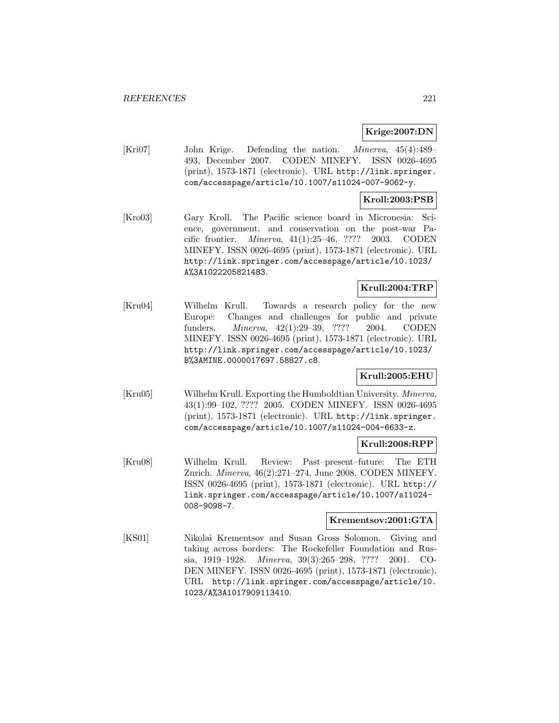# **Krige:2007:DN**

[Kri07] John Krige. Defending the nation. Minerva, 45(4):489– 493, December 2007. CODEN MINEFY. ISSN 0026-4695 (print), 1573-1871 (electronic). URL http://link.springer. com/accesspage/article/10.1007/s11024-007-9062-y.

#### **Kroll:2003:PSB**

[Kro03] Gary Kroll. The Pacific science board in Micronesia: Science, government, and conservation on the post-war Pacific frontier. Minerva, 41(1):25–46, ???? 2003. CODEN MINEFY. ISSN 0026-4695 (print), 1573-1871 (electronic). URL http://link.springer.com/accesspage/article/10.1023/ A%3A1022205821483.

## **Krull:2004:TRP**

[Kru04] Wilhelm Krull. Towards a research policy for the new Europe: Changes and challenges for public and private funders. Minerva, 42(1):29–39, ???? 2004. CODEN MINEFY. ISSN 0026-4695 (print), 1573-1871 (electronic). URL http://link.springer.com/accesspage/article/10.1023/ B%3AMINE.0000017697.58827.c8.

# **Krull:2005:EHU**

[Kru05] Wilhelm Krull. Exporting the Humboldtian University. Minerva, 43(1):99–102, ???? 2005. CODEN MINEFY. ISSN 0026-4695 (print), 1573-1871 (electronic). URL http://link.springer. com/accesspage/article/10.1007/s11024-004-6633-z.

## **Krull:2008:RPP**

[Kru08] Wilhelm Krull. Review: Past–present–future: The ETH Zurich. Minerva, 46(2):271–274, June 2008. CODEN MINEFY. ISSN 0026-4695 (print), 1573-1871 (electronic). URL http:// link.springer.com/accesspage/article/10.1007/s11024- 008-9098-7.

#### **Krementsov:2001:GTA**

[KS01] Nikolai Krementsov and Susan Gross Solomon. Giving and taking across borders: The Rockefeller Foundation and Russia, 1919–1928. Minerva, 39(3):265–298, ???? 2001. CO-DEN MINEFY. ISSN 0026-4695 (print), 1573-1871 (electronic). URL http://link.springer.com/accesspage/article/10. 1023/A%3A1017909113410.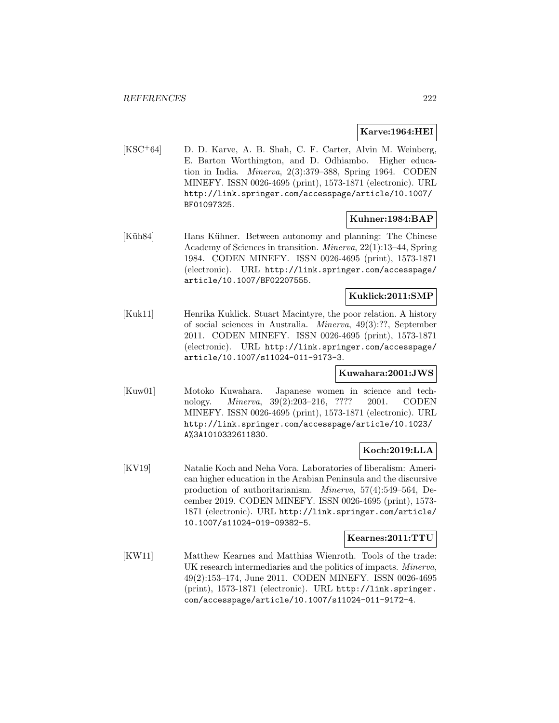## **Karve:1964:HEI**

[KSC<sup>+</sup>64] D. D. Karve, A. B. Shah, C. F. Carter, Alvin M. Weinberg, E. Barton Worthington, and D. Odhiambo. Higher education in India. Minerva, 2(3):379–388, Spring 1964. CODEN MINEFY. ISSN 0026-4695 (print), 1573-1871 (electronic). URL http://link.springer.com/accesspage/article/10.1007/ BF01097325.

# **Kuhner:1984:BAP**

[Küh84] Hans Kühner. Between autonomy and planning: The Chinese Academy of Sciences in transition. Minerva, 22(1):13–44, Spring 1984. CODEN MINEFY. ISSN 0026-4695 (print), 1573-1871 (electronic). URL http://link.springer.com/accesspage/ article/10.1007/BF02207555.

## **Kuklick:2011:SMP**

[Kuk11] Henrika Kuklick. Stuart Macintyre, the poor relation. A history of social sciences in Australia. Minerva, 49(3):??, September 2011. CODEN MINEFY. ISSN 0026-4695 (print), 1573-1871 (electronic). URL http://link.springer.com/accesspage/ article/10.1007/s11024-011-9173-3.

#### **Kuwahara:2001:JWS**

[Kuw01] Motoko Kuwahara. Japanese women in science and technology. Minerva, 39(2):203–216, ???? 2001. CODEN MINEFY. ISSN 0026-4695 (print), 1573-1871 (electronic). URL http://link.springer.com/accesspage/article/10.1023/ A%3A1010332611830.

## **Koch:2019:LLA**

[KV19] Natalie Koch and Neha Vora. Laboratories of liberalism: American higher education in the Arabian Peninsula and the discursive production of authoritarianism. Minerva, 57(4):549–564, December 2019. CODEN MINEFY. ISSN 0026-4695 (print), 1573- 1871 (electronic). URL http://link.springer.com/article/ 10.1007/s11024-019-09382-5.

#### **Kearnes:2011:TTU**

[KW11] Matthew Kearnes and Matthias Wienroth. Tools of the trade: UK research intermediaries and the politics of impacts. Minerva, 49(2):153–174, June 2011. CODEN MINEFY. ISSN 0026-4695 (print), 1573-1871 (electronic). URL http://link.springer. com/accesspage/article/10.1007/s11024-011-9172-4.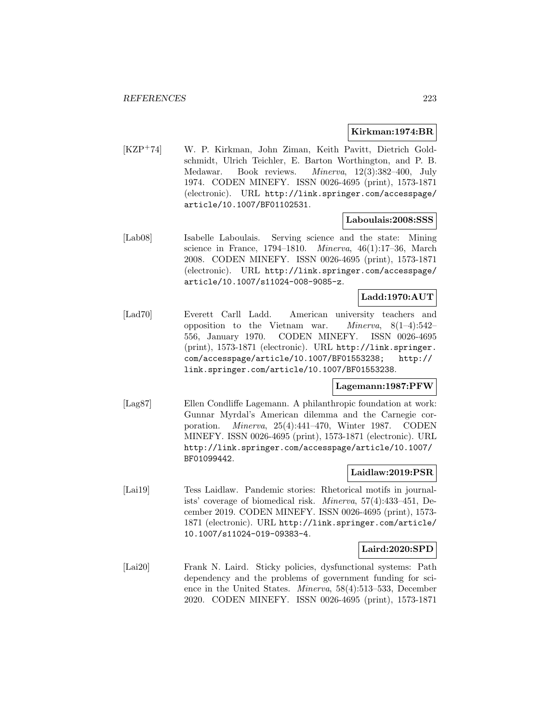#### **Kirkman:1974:BR**

[KZP<sup>+</sup>74] W. P. Kirkman, John Ziman, Keith Pavitt, Dietrich Goldschmidt, Ulrich Teichler, E. Barton Worthington, and P. B. Medawar. Book reviews. Minerva, 12(3):382–400, July 1974. CODEN MINEFY. ISSN 0026-4695 (print), 1573-1871 (electronic). URL http://link.springer.com/accesspage/ article/10.1007/BF01102531.

# **Laboulais:2008:SSS**

[Lab08] Isabelle Laboulais. Serving science and the state: Mining science in France, 1794–1810. Minerva, 46(1):17–36, March 2008. CODEN MINEFY. ISSN 0026-4695 (print), 1573-1871 (electronic). URL http://link.springer.com/accesspage/ article/10.1007/s11024-008-9085-z.

## **Ladd:1970:AUT**

[Lad70] Everett Carll Ladd. American university teachers and opposition to the Vietnam war. *Minerva*,  $8(1-4):542-$ 556, January 1970. CODEN MINEFY. ISSN 0026-4695 (print), 1573-1871 (electronic). URL http://link.springer. com/accesspage/article/10.1007/BF01553238; http:// link.springer.com/article/10.1007/BF01553238.

#### **Lagemann:1987:PFW**

[Lag87] Ellen Condliffe Lagemann. A philanthropic foundation at work: Gunnar Myrdal's American dilemma and the Carnegie corporation. Minerva, 25(4):441–470, Winter 1987. CODEN MINEFY. ISSN 0026-4695 (print), 1573-1871 (electronic). URL http://link.springer.com/accesspage/article/10.1007/ BF01099442.

## **Laidlaw:2019:PSR**

[Lai19] Tess Laidlaw. Pandemic stories: Rhetorical motifs in journalists' coverage of biomedical risk. Minerva, 57(4):433–451, December 2019. CODEN MINEFY. ISSN 0026-4695 (print), 1573- 1871 (electronic). URL http://link.springer.com/article/ 10.1007/s11024-019-09383-4.

## **Laird:2020:SPD**

[Lai20] Frank N. Laird. Sticky policies, dysfunctional systems: Path dependency and the problems of government funding for science in the United States. Minerva, 58(4):513–533, December 2020. CODEN MINEFY. ISSN 0026-4695 (print), 1573-1871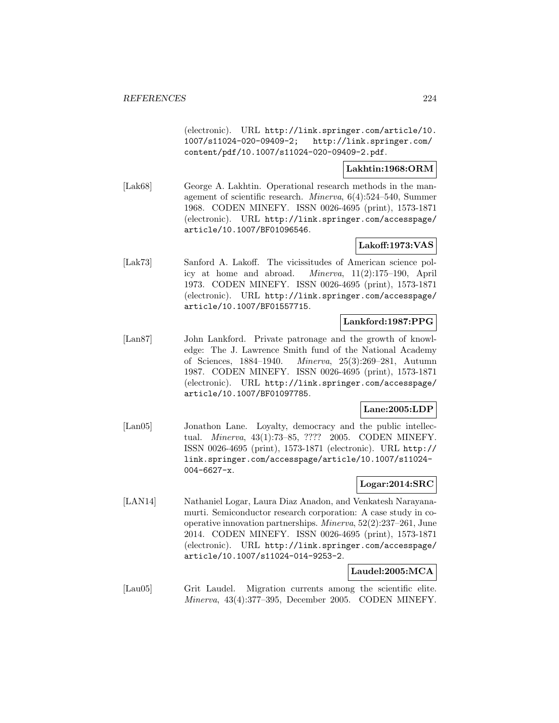(electronic). URL http://link.springer.com/article/10. 1007/s11024-020-09409-2; http://link.springer.com/ content/pdf/10.1007/s11024-020-09409-2.pdf.

# **Lakhtin:1968:ORM**

[Lak68] George A. Lakhtin. Operational research methods in the management of scientific research. Minerva, 6(4):524–540, Summer 1968. CODEN MINEFY. ISSN 0026-4695 (print), 1573-1871 (electronic). URL http://link.springer.com/accesspage/ article/10.1007/BF01096546.

# **Lakoff:1973:VAS**

[Lak73] Sanford A. Lakoff. The vicissitudes of American science policy at home and abroad. Minerva, 11(2):175–190, April 1973. CODEN MINEFY. ISSN 0026-4695 (print), 1573-1871 (electronic). URL http://link.springer.com/accesspage/ article/10.1007/BF01557715.

# **Lankford:1987:PPG**

[Lan87] John Lankford. Private patronage and the growth of knowledge: The J. Lawrence Smith fund of the National Academy of Sciences, 1884–1940. Minerva, 25(3):269–281, Autumn 1987. CODEN MINEFY. ISSN 0026-4695 (print), 1573-1871 (electronic). URL http://link.springer.com/accesspage/ article/10.1007/BF01097785.

## **Lane:2005:LDP**

[Lan05] Jonathon Lane. Loyalty, democracy and the public intellectual. Minerva, 43(1):73–85, ???? 2005. CODEN MINEFY. ISSN 0026-4695 (print), 1573-1871 (electronic). URL http:// link.springer.com/accesspage/article/10.1007/s11024- 004-6627-x.

## **Logar:2014:SRC**

[LAN14] Nathaniel Logar, Laura Diaz Anadon, and Venkatesh Narayanamurti. Semiconductor research corporation: A case study in cooperative innovation partnerships. Minerva, 52(2):237–261, June 2014. CODEN MINEFY. ISSN 0026-4695 (print), 1573-1871 (electronic). URL http://link.springer.com/accesspage/ article/10.1007/s11024-014-9253-2.

# **Laudel:2005:MCA**

[Lau05] Grit Laudel. Migration currents among the scientific elite. Minerva, 43(4):377–395, December 2005. CODEN MINEFY.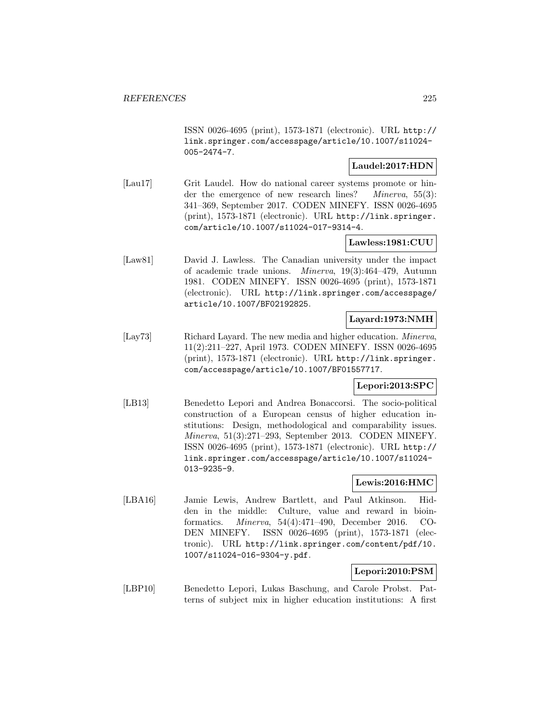ISSN 0026-4695 (print), 1573-1871 (electronic). URL http:// link.springer.com/accesspage/article/10.1007/s11024- 005-2474-7.

# **Laudel:2017:HDN**

[Lau17] Grit Laudel. How do national career systems promote or hinder the emergence of new research lines? *Minerva*, 55(3): 341–369, September 2017. CODEN MINEFY. ISSN 0026-4695 (print), 1573-1871 (electronic). URL http://link.springer. com/article/10.1007/s11024-017-9314-4.

# **Lawless:1981:CUU**

[Law81] David J. Lawless. The Canadian university under the impact of academic trade unions. Minerva, 19(3):464–479, Autumn 1981. CODEN MINEFY. ISSN 0026-4695 (print), 1573-1871 (electronic). URL http://link.springer.com/accesspage/ article/10.1007/BF02192825.

# **Layard:1973:NMH**

[Lay73] Richard Layard. The new media and higher education. *Minerva*, 11(2):211–227, April 1973. CODEN MINEFY. ISSN 0026-4695 (print), 1573-1871 (electronic). URL http://link.springer. com/accesspage/article/10.1007/BF01557717.

## **Lepori:2013:SPC**

[LB13] Benedetto Lepori and Andrea Bonaccorsi. The socio-political construction of a European census of higher education institutions: Design, methodological and comparability issues. Minerva, 51(3):271–293, September 2013. CODEN MINEFY. ISSN 0026-4695 (print), 1573-1871 (electronic). URL http:// link.springer.com/accesspage/article/10.1007/s11024- 013-9235-9.

# **Lewis:2016:HMC**

[LBA16] Jamie Lewis, Andrew Bartlett, and Paul Atkinson. Hidden in the middle: Culture, value and reward in bioinformatics. Minerva, 54(4):471–490, December 2016. CO-DEN MINEFY. ISSN 0026-4695 (print), 1573-1871 (electronic). URL http://link.springer.com/content/pdf/10. 1007/s11024-016-9304-y.pdf.

# **Lepori:2010:PSM**

[LBP10] Benedetto Lepori, Lukas Baschung, and Carole Probst. Patterns of subject mix in higher education institutions: A first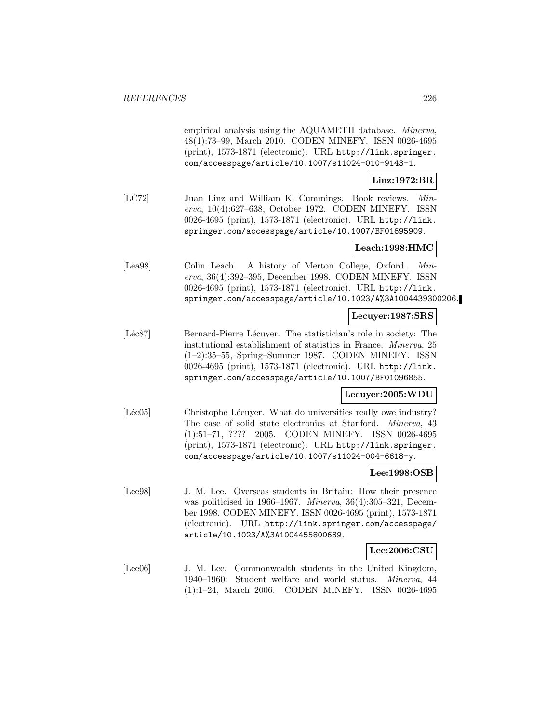empirical analysis using the AQUAMETH database. Minerva, 48(1):73–99, March 2010. CODEN MINEFY. ISSN 0026-4695 (print), 1573-1871 (electronic). URL http://link.springer. com/accesspage/article/10.1007/s11024-010-9143-1.

## **Linz:1972:BR**

[LC72] Juan Linz and William K. Cummings. Book reviews. Minerva, 10(4):627–638, October 1972. CODEN MINEFY. ISSN 0026-4695 (print), 1573-1871 (electronic). URL http://link. springer.com/accesspage/article/10.1007/BF01695909.

## **Leach:1998:HMC**

[Lea98] Colin Leach. A history of Merton College, Oxford. Minerva, 36(4):392–395, December 1998. CODEN MINEFY. ISSN 0026-4695 (print), 1573-1871 (electronic). URL http://link. springer.com/accesspage/article/10.1023/A%3A1004439300206.

## **Lecuyer:1987:SRS**

[Léc87] Bernard-Pierre Lécuyer. The statistician's role in society: The institutional establishment of statistics in France. Minerva, 25 (1–2):35–55, Spring–Summer 1987. CODEN MINEFY. ISSN 0026-4695 (print), 1573-1871 (electronic). URL http://link. springer.com/accesspage/article/10.1007/BF01096855.

## **Lecuyer:2005:WDU**

[Léc05] Christophe Lécuyer. What do universities really owe industry? The case of solid state electronics at Stanford. Minerva, 43 (1):51–71, ???? 2005. CODEN MINEFY. ISSN 0026-4695 (print), 1573-1871 (electronic). URL http://link.springer. com/accesspage/article/10.1007/s11024-004-6618-y.

## **Lee:1998:OSB**

[Lee98] J. M. Lee. Overseas students in Britain: How their presence was politicised in 1966–1967. Minerva, 36(4):305–321, December 1998. CODEN MINEFY. ISSN 0026-4695 (print), 1573-1871 (electronic). URL http://link.springer.com/accesspage/ article/10.1023/A%3A1004455800689.

## **Lee:2006:CSU**

[Lee06] J. M. Lee. Commonwealth students in the United Kingdom, 1940–1960: Student welfare and world status. Minerva, 44 (1):1–24, March 2006. CODEN MINEFY. ISSN 0026-4695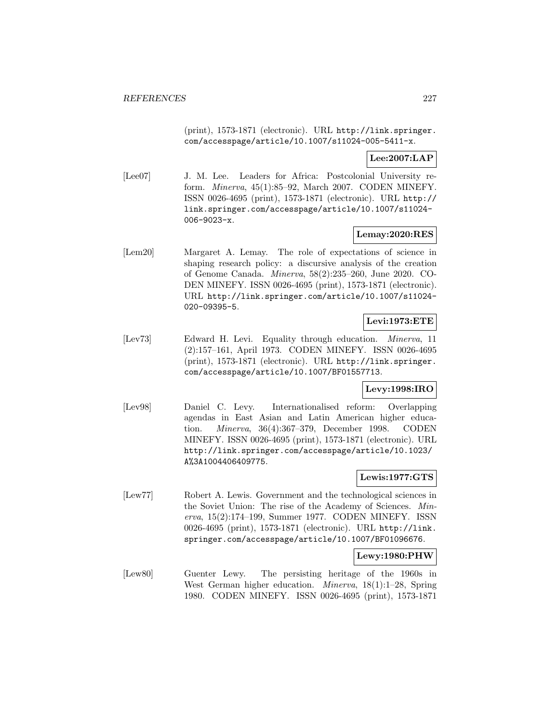(print), 1573-1871 (electronic). URL http://link.springer. com/accesspage/article/10.1007/s11024-005-5411-x.

**Lee:2007:LAP**

[Lee07] J. M. Lee. Leaders for Africa: Postcolonial University reform. Minerva, 45(1):85–92, March 2007. CODEN MINEFY. ISSN 0026-4695 (print), 1573-1871 (electronic). URL http:// link.springer.com/accesspage/article/10.1007/s11024- 006-9023-x.

## **Lemay:2020:RES**

[Lem20] Margaret A. Lemay. The role of expectations of science in shaping research policy: a discursive analysis of the creation of Genome Canada. Minerva, 58(2):235–260, June 2020. CO-DEN MINEFY. ISSN 0026-4695 (print), 1573-1871 (electronic). URL http://link.springer.com/article/10.1007/s11024- 020-09395-5.

# **Levi:1973:ETE**

[Lev73] Edward H. Levi. Equality through education. Minerva, 11 (2):157–161, April 1973. CODEN MINEFY. ISSN 0026-4695 (print), 1573-1871 (electronic). URL http://link.springer. com/accesspage/article/10.1007/BF01557713.

# **Levy:1998:IRO**

[Lev98] Daniel C. Levy. Internationalised reform: Overlapping agendas in East Asian and Latin American higher education. Minerva, 36(4):367–379, December 1998. CODEN MINEFY. ISSN 0026-4695 (print), 1573-1871 (electronic). URL http://link.springer.com/accesspage/article/10.1023/ A%3A1004406409775.

# **Lewis:1977:GTS**

[Lew77] Robert A. Lewis. Government and the technological sciences in the Soviet Union: The rise of the Academy of Sciences. Minerva, 15(2):174–199, Summer 1977. CODEN MINEFY. ISSN 0026-4695 (print), 1573-1871 (electronic). URL http://link. springer.com/accesspage/article/10.1007/BF01096676.

## **Lewy:1980:PHW**

[Lew80] Guenter Lewy. The persisting heritage of the 1960s in West German higher education. Minerva, 18(1):1–28, Spring 1980. CODEN MINEFY. ISSN 0026-4695 (print), 1573-1871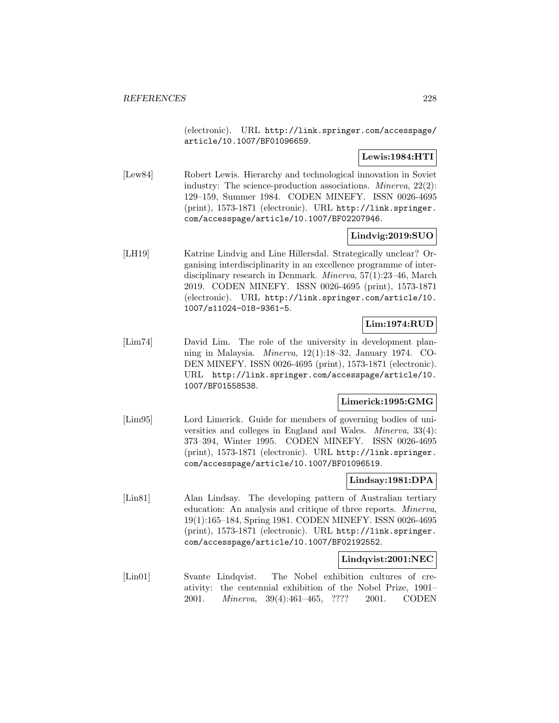(electronic). URL http://link.springer.com/accesspage/ article/10.1007/BF01096659.

# **Lewis:1984:HTI**

[Lew84] Robert Lewis. Hierarchy and technological innovation in Soviet industry: The science-production associations. *Minerva*, 22(2): 129–159, Summer 1984. CODEN MINEFY. ISSN 0026-4695 (print), 1573-1871 (electronic). URL http://link.springer. com/accesspage/article/10.1007/BF02207946.

# **Lindvig:2019:SUO**

[LH19] Katrine Lindvig and Line Hillersdal. Strategically unclear? Organising interdisciplinarity in an excellence programme of interdisciplinary research in Denmark. Minerva, 57(1):23–46, March 2019. CODEN MINEFY. ISSN 0026-4695 (print), 1573-1871 (electronic). URL http://link.springer.com/article/10. 1007/s11024-018-9361-5.

# **Lim:1974:RUD**

[Lim74] David Lim. The role of the university in development planning in Malaysia. Minerva, 12(1):18–32, January 1974. CO-DEN MINEFY. ISSN 0026-4695 (print), 1573-1871 (electronic). URL http://link.springer.com/accesspage/article/10. 1007/BF01558538.

## **Limerick:1995:GMG**

[Lim95] Lord Limerick. Guide for members of governing bodies of universities and colleges in England and Wales. Minerva, 33(4): 373–394, Winter 1995. CODEN MINEFY. ISSN 0026-4695 (print), 1573-1871 (electronic). URL http://link.springer. com/accesspage/article/10.1007/BF01096519.

# **Lindsay:1981:DPA**

[Lin81] Alan Lindsay. The developing pattern of Australian tertiary education: An analysis and critique of three reports. Minerva, 19(1):165–184, Spring 1981. CODEN MINEFY. ISSN 0026-4695 (print), 1573-1871 (electronic). URL http://link.springer. com/accesspage/article/10.1007/BF02192552.

## **Lindqvist:2001:NEC**

[Lin01] Svante Lindqvist. The Nobel exhibition cultures of creativity: the centennial exhibition of the Nobel Prize, 1901– 2001. Minerva, 39(4):461–465, ???? 2001. CODEN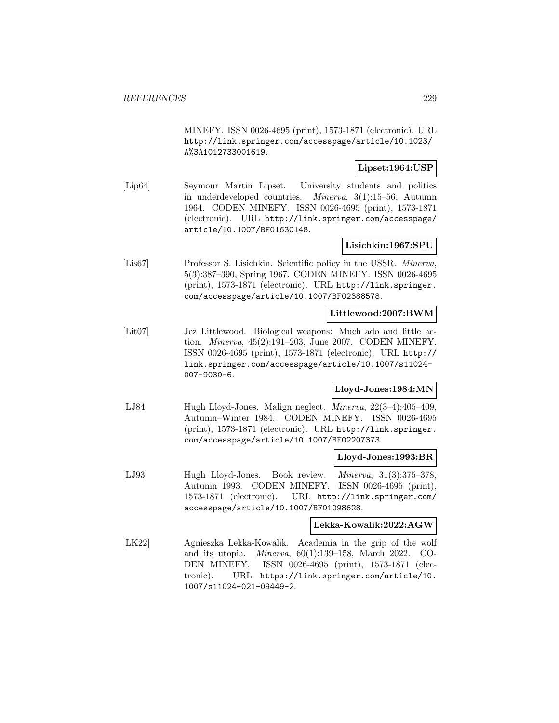MINEFY. ISSN 0026-4695 (print), 1573-1871 (electronic). URL http://link.springer.com/accesspage/article/10.1023/ A%3A1012733001619.

# **Lipset:1964:USP**

[Lip64] Seymour Martin Lipset. University students and politics in underdeveloped countries. Minerva, 3(1):15–56, Autumn 1964. CODEN MINEFY. ISSN 0026-4695 (print), 1573-1871 (electronic). URL http://link.springer.com/accesspage/ article/10.1007/BF01630148.

# **Lisichkin:1967:SPU**

[Lis67] Professor S. Lisichkin. Scientific policy in the USSR. Minerva, 5(3):387–390, Spring 1967. CODEN MINEFY. ISSN 0026-4695 (print), 1573-1871 (electronic). URL http://link.springer. com/accesspage/article/10.1007/BF02388578.

## **Littlewood:2007:BWM**

[Lit07] Jez Littlewood. Biological weapons: Much ado and little action. Minerva, 45(2):191–203, June 2007. CODEN MINEFY. ISSN 0026-4695 (print), 1573-1871 (electronic). URL http:// link.springer.com/accesspage/article/10.1007/s11024- 007-9030-6.

## **Lloyd-Jones:1984:MN**

[LJ84] Hugh Lloyd-Jones. Malign neglect. Minerva, 22(3–4):405–409, Autumn–Winter 1984. CODEN MINEFY. ISSN 0026-4695 (print), 1573-1871 (electronic). URL http://link.springer. com/accesspage/article/10.1007/BF02207373.

## **Lloyd-Jones:1993:BR**

[LJ93] Hugh Lloyd-Jones. Book review. *Minerva*, 31(3):375–378, Autumn 1993. CODEN MINEFY. ISSN 0026-4695 (print), 1573-1871 (electronic). URL http://link.springer.com/ accesspage/article/10.1007/BF01098628.

## **Lekka-Kowalik:2022:AGW**

[LK22] Agnieszka Lekka-Kowalik. Academia in the grip of the wolf and its utopia. Minerva, 60(1):139–158, March 2022. CO-DEN MINEFY. ISSN 0026-4695 (print), 1573-1871 (electronic). URL https://link.springer.com/article/10. 1007/s11024-021-09449-2.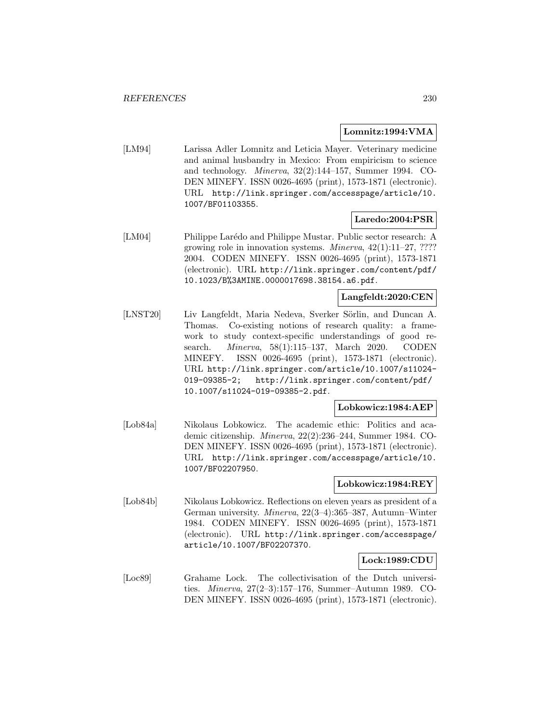# **Lomnitz:1994:VMA**

[LM94] Larissa Adler Lomnitz and Leticia Mayer. Veterinary medicine and animal husbandry in Mexico: From empiricism to science and technology. Minerva, 32(2):144–157, Summer 1994. CO-DEN MINEFY. ISSN 0026-4695 (print), 1573-1871 (electronic). URL http://link.springer.com/accesspage/article/10. 1007/BF01103355.

# **Laredo:2004:PSR**

[LM04] Philippe Larédo and Philippe Mustar. Public sector research: A growing role in innovation systems. *Minerva*,  $42(1):11-27$ , ???? 2004. CODEN MINEFY. ISSN 0026-4695 (print), 1573-1871 (electronic). URL http://link.springer.com/content/pdf/ 10.1023/B%3AMINE.0000017698.38154.a6.pdf.

# **Langfeldt:2020:CEN**

[LNST20] Liv Langfeldt, Maria Nedeva, Sverker Sörlin, and Duncan A. Thomas. Co-existing notions of research quality: a framework to study context-specific understandings of good research. Minerva, 58(1):115–137, March 2020. CODEN MINEFY. ISSN 0026-4695 (print), 1573-1871 (electronic). URL http://link.springer.com/article/10.1007/s11024- 019-09385-2; http://link.springer.com/content/pdf/ 10.1007/s11024-019-09385-2.pdf.

# **Lobkowicz:1984:AEP**

[Lob84a] Nikolaus Lobkowicz. The academic ethic: Politics and academic citizenship. Minerva, 22(2):236–244, Summer 1984. CO-DEN MINEFY. ISSN 0026-4695 (print), 1573-1871 (electronic). URL http://link.springer.com/accesspage/article/10. 1007/BF02207950.

## **Lobkowicz:1984:REY**

[Lob84b] Nikolaus Lobkowicz. Reflections on eleven years as president of a German university. Minerva, 22(3–4):365–387, Autumn–Winter 1984. CODEN MINEFY. ISSN 0026-4695 (print), 1573-1871 (electronic). URL http://link.springer.com/accesspage/ article/10.1007/BF02207370.

## **Lock:1989:CDU**

[Loc89] Grahame Lock. The collectivisation of the Dutch universities. Minerva, 27(2–3):157–176, Summer–Autumn 1989. CO-DEN MINEFY. ISSN 0026-4695 (print), 1573-1871 (electronic).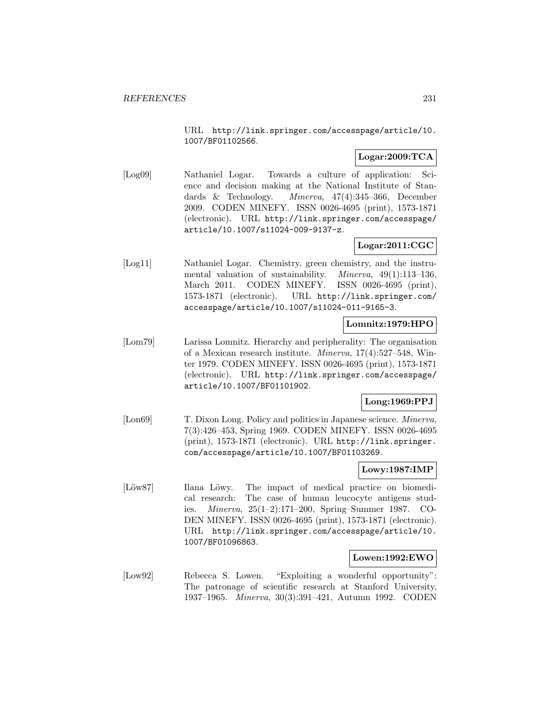URL http://link.springer.com/accesspage/article/10. 1007/BF01102566.

# **Logar:2009:TCA**

[Log09] Nathaniel Logar. Towards a culture of application: Science and decision making at the National Institute of Standards & Technology. Minerva, 47(4):345–366, December 2009. CODEN MINEFY. ISSN 0026-4695 (print), 1573-1871 (electronic). URL http://link.springer.com/accesspage/ article/10.1007/s11024-009-9137-z.

# **Logar:2011:CGC**

[Log11] Nathaniel Logar. Chemistry, green chemistry, and the instrumental valuation of sustainability. Minerva, 49(1):113–136, March 2011. CODEN MINEFY. ISSN 0026-4695 (print), 1573-1871 (electronic). URL http://link.springer.com/ accesspage/article/10.1007/s11024-011-9165-3.

# **Lomnitz:1979:HPO**

[Lom79] Larissa Lomnitz. Hierarchy and peripherality: The organisation of a Mexican research institute. Minerva, 17(4):527–548, Winter 1979. CODEN MINEFY. ISSN 0026-4695 (print), 1573-1871 (electronic). URL http://link.springer.com/accesspage/ article/10.1007/BF01101902.

# **Long:1969:PPJ**

[Lon69] T. Dixon Long. Policy and politics in Japanese science. *Minerva*, 7(3):426–453, Spring 1969. CODEN MINEFY. ISSN 0026-4695 (print), 1573-1871 (electronic). URL http://link.springer. com/accesspage/article/10.1007/BF01103269.

## **Lowy:1987:IMP**

[Löw87] Ilana Löwy. The impact of medical practice on biomedical research: The case of human leucocyte antigens studies. Minerva, 25(1–2):171–200, Spring–Summer 1987. CO-DEN MINEFY. ISSN 0026-4695 (print), 1573-1871 (electronic). URL http://link.springer.com/accesspage/article/10. 1007/BF01096863.

# **Lowen:1992:EWO**

[Low92] Rebecca S. Lowen. "Exploiting a wonderful opportunity": The patronage of scientific research at Stanford University, 1937–1965. Minerva, 30(3):391–421, Autumn 1992. CODEN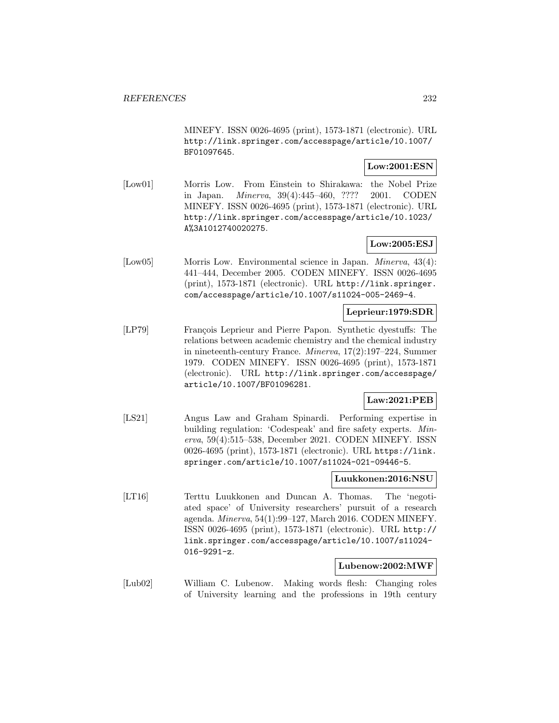MINEFY. ISSN 0026-4695 (print), 1573-1871 (electronic). URL http://link.springer.com/accesspage/article/10.1007/ BF01097645.

# **Low:2001:ESN**

[Low01] Morris Low. From Einstein to Shirakawa: the Nobel Prize in Japan. Minerva, 39(4):445–460, ???? 2001. CODEN MINEFY. ISSN 0026-4695 (print), 1573-1871 (electronic). URL http://link.springer.com/accesspage/article/10.1023/ A%3A1012740020275.

# **Low:2005:ESJ**

[Low05] Morris Low. Environmental science in Japan. Minerva, 43(4): 441–444, December 2005. CODEN MINEFY. ISSN 0026-4695 (print), 1573-1871 (electronic). URL http://link.springer. com/accesspage/article/10.1007/s11024-005-2469-4.

# **Leprieur:1979:SDR**

[LP79] François Leprieur and Pierre Papon. Synthetic dyestuffs: The relations between academic chemistry and the chemical industry in nineteenth-century France. Minerva, 17(2):197–224, Summer 1979. CODEN MINEFY. ISSN 0026-4695 (print), 1573-1871 (electronic). URL http://link.springer.com/accesspage/ article/10.1007/BF01096281.

# **Law:2021:PEB**

[LS21] Angus Law and Graham Spinardi. Performing expertise in building regulation: 'Codespeak' and fire safety experts. Minerva, 59(4):515–538, December 2021. CODEN MINEFY. ISSN 0026-4695 (print), 1573-1871 (electronic). URL https://link. springer.com/article/10.1007/s11024-021-09446-5.

## **Luukkonen:2016:NSU**

[LT16] Terttu Luukkonen and Duncan A. Thomas. The 'negotiated space' of University researchers' pursuit of a research agenda. Minerva, 54(1):99–127, March 2016. CODEN MINEFY. ISSN 0026-4695 (print), 1573-1871 (electronic). URL http:// link.springer.com/accesspage/article/10.1007/s11024- 016-9291-z.

#### **Lubenow:2002:MWF**

[Lub02] William C. Lubenow. Making words flesh: Changing roles of University learning and the professions in 19th century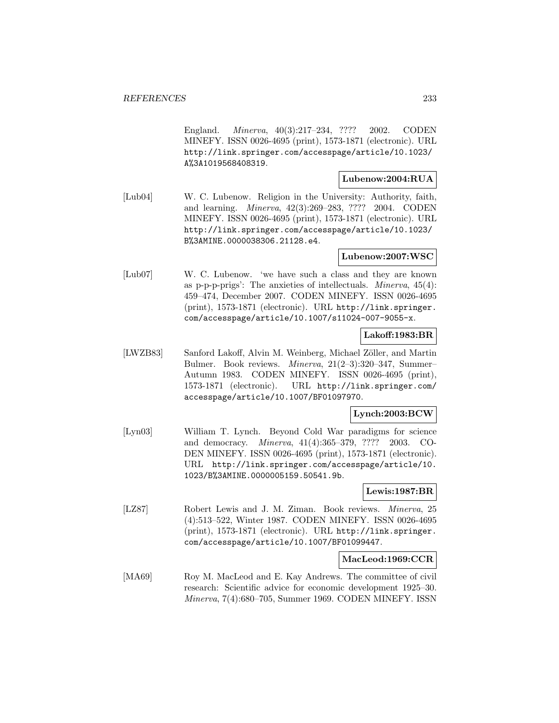England. Minerva, 40(3):217–234, ???? 2002. CODEN MINEFY. ISSN 0026-4695 (print), 1573-1871 (electronic). URL http://link.springer.com/accesspage/article/10.1023/ A%3A1019568408319.

#### **Lubenow:2004:RUA**

[Lub04] W. C. Lubenow. Religion in the University: Authority, faith, and learning. Minerva, 42(3):269–283, ???? 2004. CODEN MINEFY. ISSN 0026-4695 (print), 1573-1871 (electronic). URL http://link.springer.com/accesspage/article/10.1023/ B%3AMINE.0000038306.21128.e4.

## **Lubenow:2007:WSC**

[Lub07] W. C. Lubenow. 'we have such a class and they are known as p-p-p-prigs': The anxieties of intellectuals. Minerva, 45(4): 459–474, December 2007. CODEN MINEFY. ISSN 0026-4695 (print), 1573-1871 (electronic). URL http://link.springer. com/accesspage/article/10.1007/s11024-007-9055-x.

#### **Lakoff:1983:BR**

[LWZB83] Sanford Lakoff, Alvin M. Weinberg, Michael Zöller, and Martin Bulmer. Book reviews. Minerva, 21(2–3):320–347, Summer– Autumn 1983. CODEN MINEFY. ISSN 0026-4695 (print), 1573-1871 (electronic). URL http://link.springer.com/ accesspage/article/10.1007/BF01097970.

## **Lynch:2003:BCW**

[Lyn03] William T. Lynch. Beyond Cold War paradigms for science and democracy. Minerva, 41(4):365–379, ???? 2003. CO-DEN MINEFY. ISSN 0026-4695 (print), 1573-1871 (electronic). URL http://link.springer.com/accesspage/article/10. 1023/B%3AMINE.0000005159.50541.9b.

#### **Lewis:1987:BR**

[LZ87] Robert Lewis and J. M. Ziman. Book reviews. Minerva, 25 (4):513–522, Winter 1987. CODEN MINEFY. ISSN 0026-4695 (print), 1573-1871 (electronic). URL http://link.springer. com/accesspage/article/10.1007/BF01099447.

## **MacLeod:1969:CCR**

[MA69] Roy M. MacLeod and E. Kay Andrews. The committee of civil research: Scientific advice for economic development 1925–30. Minerva, 7(4):680–705, Summer 1969. CODEN MINEFY. ISSN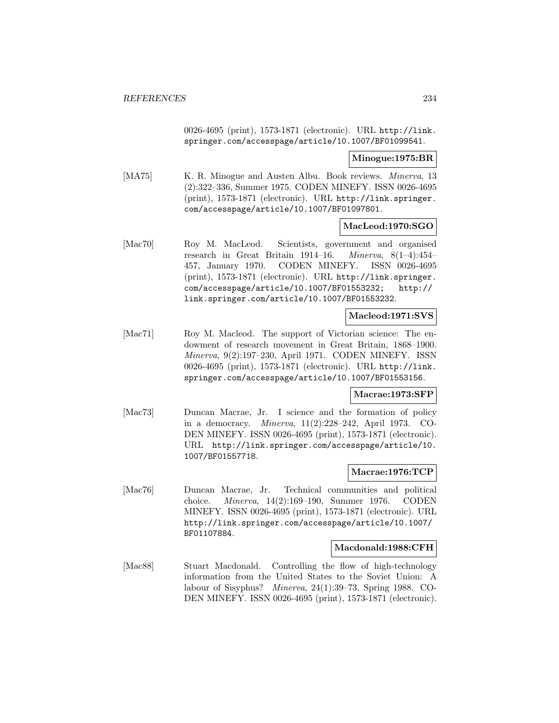0026-4695 (print), 1573-1871 (electronic). URL http://link. springer.com/accesspage/article/10.1007/BF01099541.

**Minogue:1975:BR**

[MA75] K. R. Minogue and Austen Albu. Book reviews. *Minerva*, 13 (2):322–336, Summer 1975. CODEN MINEFY. ISSN 0026-4695 (print), 1573-1871 (electronic). URL http://link.springer. com/accesspage/article/10.1007/BF01097801.

## **MacLeod:1970:SGO**

[Mac70] Roy M. MacLeod. Scientists, government and organised research in Great Britain 1914–16. Minerva, 8(1–4):454– 457, January 1970. CODEN MINEFY. ISSN 0026-4695 (print), 1573-1871 (electronic). URL http://link.springer. com/accesspage/article/10.1007/BF01553232; http:// link.springer.com/article/10.1007/BF01553232.

# **Macleod:1971:SVS**

[Mac71] Roy M. Macleod. The support of Victorian science: The endowment of research movement in Great Britain, 1868–1900. Minerva, 9(2):197–230, April 1971. CODEN MINEFY. ISSN 0026-4695 (print), 1573-1871 (electronic). URL http://link. springer.com/accesspage/article/10.1007/BF01553156.

## **Macrae:1973:SFP**

[Mac73] Duncan Macrae, Jr. I science and the formation of policy in a democracy. Minerva, 11(2):228–242, April 1973. CO-DEN MINEFY. ISSN 0026-4695 (print), 1573-1871 (electronic). URL http://link.springer.com/accesspage/article/10. 1007/BF01557718.

## **Macrae:1976:TCP**

[Mac76] Duncan Macrae, Jr. Technical communities and political choice. Minerva, 14(2):169–190, Summer 1976. CODEN MINEFY. ISSN 0026-4695 (print), 1573-1871 (electronic). URL http://link.springer.com/accesspage/article/10.1007/ BF01107884.

#### **Macdonald:1988:CFH**

[Mac88] Stuart Macdonald. Controlling the flow of high-technology information from the United States to the Soviet Union: A labour of Sisyphus? Minerva, 24(1):39–73, Spring 1988. CO-DEN MINEFY. ISSN 0026-4695 (print), 1573-1871 (electronic).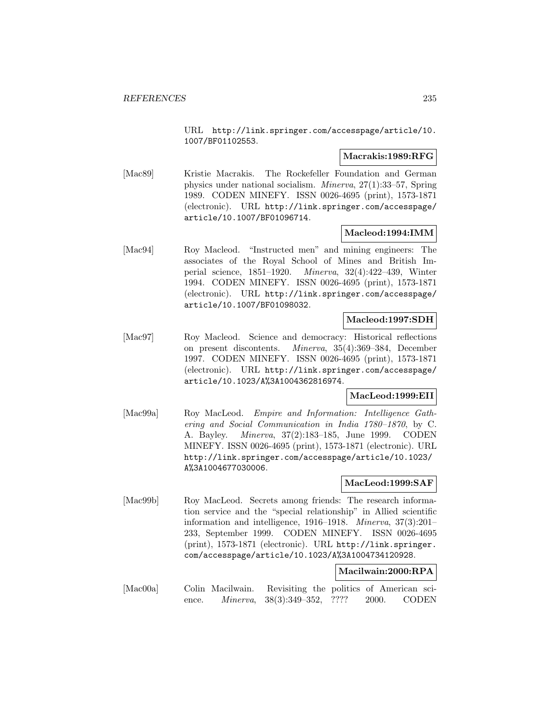URL http://link.springer.com/accesspage/article/10. 1007/BF01102553.

## **Macrakis:1989:RFG**

[Mac89] Kristie Macrakis. The Rockefeller Foundation and German physics under national socialism. Minerva, 27(1):33–57, Spring 1989. CODEN MINEFY. ISSN 0026-4695 (print), 1573-1871 (electronic). URL http://link.springer.com/accesspage/ article/10.1007/BF01096714.

# **Macleod:1994:IMM**

[Mac94] Roy Macleod. "Instructed men" and mining engineers: The associates of the Royal School of Mines and British Imperial science, 1851–1920. Minerva, 32(4):422–439, Winter 1994. CODEN MINEFY. ISSN 0026-4695 (print), 1573-1871 (electronic). URL http://link.springer.com/accesspage/ article/10.1007/BF01098032.

# **Macleod:1997:SDH**

[Mac97] Roy Macleod. Science and democracy: Historical reflections on present discontents. Minerva, 35(4):369–384, December 1997. CODEN MINEFY. ISSN 0026-4695 (print), 1573-1871 (electronic). URL http://link.springer.com/accesspage/ article/10.1023/A%3A1004362816974.

## **MacLeod:1999:EII**

[Mac99a] Roy MacLeod. Empire and Information: Intelligence Gathering and Social Communication in India 1780–1870, by C. A. Bayley. Minerva, 37(2):183–185, June 1999. CODEN MINEFY. ISSN 0026-4695 (print), 1573-1871 (electronic). URL http://link.springer.com/accesspage/article/10.1023/ A%3A1004677030006.

# **MacLeod:1999:SAF**

[Mac99b] Roy MacLeod. Secrets among friends: The research information service and the "special relationship" in Allied scientific information and intelligence, 1916–1918. Minerva, 37(3):201– 233, September 1999. CODEN MINEFY. ISSN 0026-4695 (print), 1573-1871 (electronic). URL http://link.springer. com/accesspage/article/10.1023/A%3A1004734120928.

# **Macilwain:2000:RPA**

[Mac00a] Colin Macilwain. Revisiting the politics of American science. *Minerva*, 38(3):349–352, ???? 2000. CODEN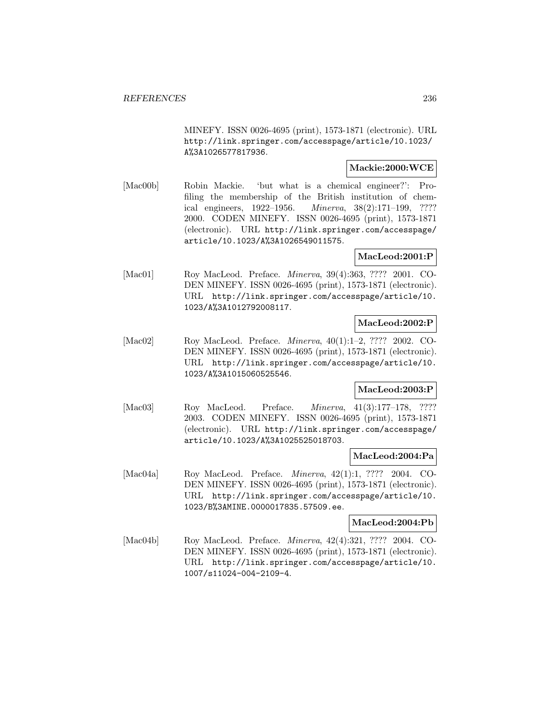MINEFY. ISSN 0026-4695 (print), 1573-1871 (electronic). URL http://link.springer.com/accesspage/article/10.1023/ A%3A1026577817936.

## **Mackie:2000:WCE**

[Mac00b] Robin Mackie. 'but what is a chemical engineer?': Profiling the membership of the British institution of chemical engineers, 1922–1956. Minerva, 38(2):171–199, ???? 2000. CODEN MINEFY. ISSN 0026-4695 (print), 1573-1871 (electronic). URL http://link.springer.com/accesspage/ article/10.1023/A%3A1026549011575.

# **MacLeod:2001:P**

[Mac01] Roy MacLeod. Preface. Minerva, 39(4):363, ???? 2001. CO-DEN MINEFY. ISSN 0026-4695 (print), 1573-1871 (electronic). URL http://link.springer.com/accesspage/article/10. 1023/A%3A1012792008117.

# **MacLeod:2002:P**

[Mac02] Roy MacLeod. Preface. Minerva, 40(1):1–2, ???? 2002. CO-DEN MINEFY. ISSN 0026-4695 (print), 1573-1871 (electronic). URL http://link.springer.com/accesspage/article/10. 1023/A%3A1015060525546.

# **MacLeod:2003:P**

[Mac03] Roy MacLeod. Preface. *Minerva*, 41(3):177-178, ???? 2003. CODEN MINEFY. ISSN 0026-4695 (print), 1573-1871 (electronic). URL http://link.springer.com/accesspage/ article/10.1023/A%3A1025525018703.

## **MacLeod:2004:Pa**

[Mac04a] Roy MacLeod. Preface. Minerva, 42(1):1, ???? 2004. CO-DEN MINEFY. ISSN 0026-4695 (print), 1573-1871 (electronic). URL http://link.springer.com/accesspage/article/10. 1023/B%3AMINE.0000017835.57509.ee.

## **MacLeod:2004:Pb**

[Mac04b] Roy MacLeod. Preface. Minerva, 42(4):321, ???? 2004. CO-DEN MINEFY. ISSN 0026-4695 (print), 1573-1871 (electronic). URL http://link.springer.com/accesspage/article/10. 1007/s11024-004-2109-4.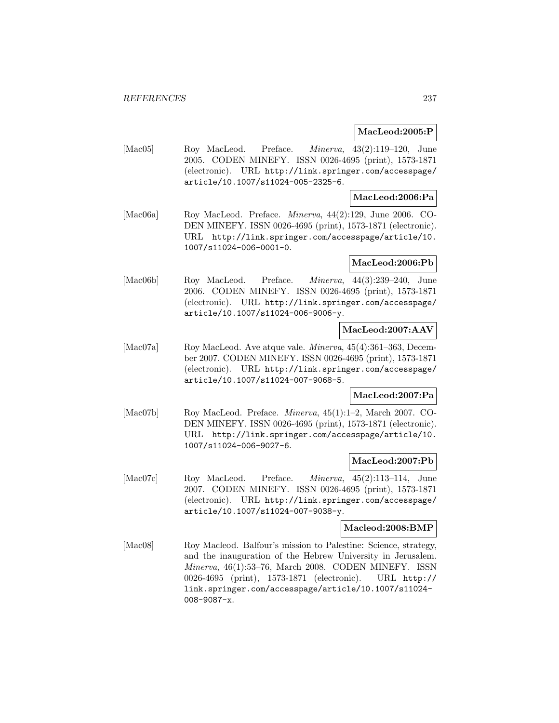# **MacLeod:2005:P**

[Mac05] Roy MacLeod. Preface. Minerva, 43(2):119–120, June 2005. CODEN MINEFY. ISSN 0026-4695 (print), 1573-1871 (electronic). URL http://link.springer.com/accesspage/ article/10.1007/s11024-005-2325-6.

# **MacLeod:2006:Pa**

[Mac06a] Roy MacLeod. Preface. *Minerva*, 44(2):129, June 2006. CO-DEN MINEFY. ISSN 0026-4695 (print), 1573-1871 (electronic). URL http://link.springer.com/accesspage/article/10. 1007/s11024-006-0001-0.

## **MacLeod:2006:Pb**

[Mac06b] Roy MacLeod. Preface. Minerva, 44(3):239–240, June 2006. CODEN MINEFY. ISSN 0026-4695 (print), 1573-1871 (electronic). URL http://link.springer.com/accesspage/ article/10.1007/s11024-006-9006-y.

# **MacLeod:2007:AAV**

[Mac07a] Roy MacLeod. Ave atque vale. *Minerva*, 45(4):361–363, December 2007. CODEN MINEFY. ISSN 0026-4695 (print), 1573-1871 (electronic). URL http://link.springer.com/accesspage/ article/10.1007/s11024-007-9068-5.

# **MacLeod:2007:Pa**

[Mac07b] Roy MacLeod. Preface. Minerva, 45(1):1–2, March 2007. CO-DEN MINEFY. ISSN 0026-4695 (print), 1573-1871 (electronic). URL http://link.springer.com/accesspage/article/10. 1007/s11024-006-9027-6.

# **MacLeod:2007:Pb**

[Mac07c] Roy MacLeod. Preface. Minerva, 45(2):113–114, June 2007. CODEN MINEFY. ISSN 0026-4695 (print), 1573-1871 (electronic). URL http://link.springer.com/accesspage/ article/10.1007/s11024-007-9038-y.

## **Macleod:2008:BMP**

[Mac08] Roy Macleod. Balfour's mission to Palestine: Science, strategy, and the inauguration of the Hebrew University in Jerusalem. Minerva, 46(1):53–76, March 2008. CODEN MINEFY. ISSN 0026-4695 (print), 1573-1871 (electronic). URL http:// link.springer.com/accesspage/article/10.1007/s11024- 008-9087-x.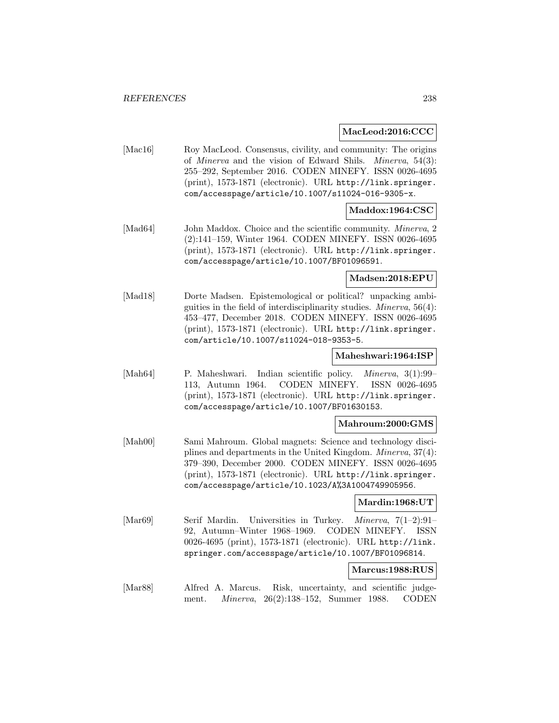#### **MacLeod:2016:CCC**

[Mac16] Roy MacLeod. Consensus, civility, and community: The origins of Minerva and the vision of Edward Shils. Minerva, 54(3): 255–292, September 2016. CODEN MINEFY. ISSN 0026-4695 (print), 1573-1871 (electronic). URL http://link.springer. com/accesspage/article/10.1007/s11024-016-9305-x.

# **Maddox:1964:CSC**

[Mad64] John Maddox. Choice and the scientific community. *Minerva*, 2 (2):141–159, Winter 1964. CODEN MINEFY. ISSN 0026-4695 (print), 1573-1871 (electronic). URL http://link.springer. com/accesspage/article/10.1007/BF01096591.

## **Madsen:2018:EPU**

[Mad18] Dorte Madsen. Epistemological or political? unpacking ambiguities in the field of interdisciplinarity studies. Minerva, 56(4): 453–477, December 2018. CODEN MINEFY. ISSN 0026-4695 (print), 1573-1871 (electronic). URL http://link.springer. com/article/10.1007/s11024-018-9353-5.

#### **Maheshwari:1964:ISP**

[Mah64] P. Maheshwari. Indian scientific policy. Minerva, 3(1):99– 113, Autumn 1964. CODEN MINEFY. ISSN 0026-4695 (print), 1573-1871 (electronic). URL http://link.springer. com/accesspage/article/10.1007/BF01630153.

## **Mahroum:2000:GMS**

[Mah00] Sami Mahroum. Global magnets: Science and technology disciplines and departments in the United Kingdom. Minerva, 37(4): 379–390, December 2000. CODEN MINEFY. ISSN 0026-4695 (print), 1573-1871 (electronic). URL http://link.springer. com/accesspage/article/10.1023/A%3A1004749905956.

#### **Mardin:1968:UT**

[Mar69] Serif Mardin. Universities in Turkey. *Minerva*,  $7(1-2):91-$ 92, Autumn–Winter 1968–1969. CODEN MINEFY. ISSN 0026-4695 (print), 1573-1871 (electronic). URL http://link. springer.com/accesspage/article/10.1007/BF01096814.

#### **Marcus:1988:RUS**

[Mar88] Alfred A. Marcus. Risk, uncertainty, and scientific judgement. Minerva, 26(2):138–152, Summer 1988. CODEN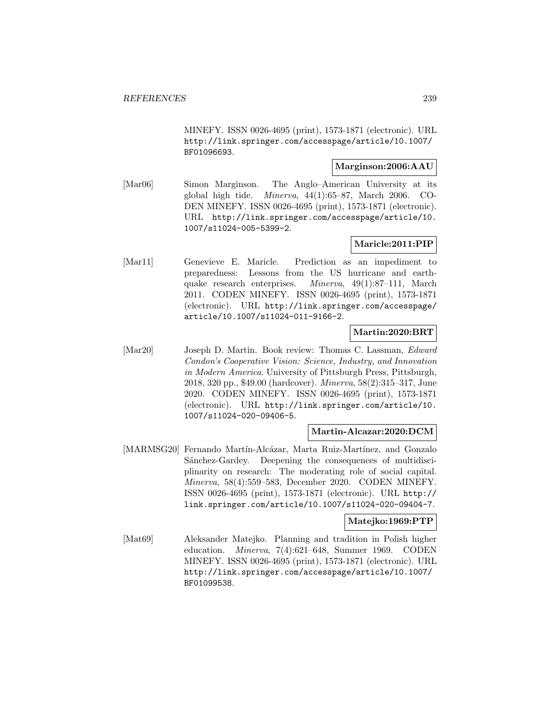MINEFY. ISSN 0026-4695 (print), 1573-1871 (electronic). URL http://link.springer.com/accesspage/article/10.1007/ BF01096693.

## **Marginson:2006:AAU**

[Mar06] Simon Marginson. The Anglo–American University at its global high tide. Minerva, 44(1):65–87, March 2006. CO-DEN MINEFY. ISSN 0026-4695 (print), 1573-1871 (electronic). URL http://link.springer.com/accesspage/article/10. 1007/s11024-005-5399-2.

# **Maricle:2011:PIP**

[Mar11] Genevieve E. Maricle. Prediction as an impediment to preparedness: Lessons from the US hurricane and earthquake research enterprises. Minerva, 49(1):87–111, March 2011. CODEN MINEFY. ISSN 0026-4695 (print), 1573-1871 (electronic). URL http://link.springer.com/accesspage/ article/10.1007/s11024-011-9166-2.

# **Martin:2020:BRT**

[Mar20] Joseph D. Martin. Book review: Thomas C. Lassman, *Edward* Condon's Cooperative Vision: Science, Industry, and Innovation in Modern America. University of Pittsburgh Press, Pittsburgh, 2018, 320 pp., \$49.00 (hardcover). Minerva, 58(2):315–317, June 2020. CODEN MINEFY. ISSN 0026-4695 (print), 1573-1871 (electronic). URL http://link.springer.com/article/10. 1007/s11024-020-09406-5.

## **Martin-Alcazar:2020:DCM**

[MARMSG20] Fernando Martín-Alcázar, Marta Ruiz-Martínez, and Gonzalo Sánchez-Gardey. Deepening the consequences of multidisciplinarity on research: The moderating role of social capital. Minerva, 58(4):559–583, December 2020. CODEN MINEFY. ISSN 0026-4695 (print), 1573-1871 (electronic). URL http:// link.springer.com/article/10.1007/s11024-020-09404-7.

## **Matejko:1969:PTP**

[Mat69] Aleksander Matejko. Planning and tradition in Polish higher education. Minerva, 7(4):621–648, Summer 1969. CODEN MINEFY. ISSN 0026-4695 (print), 1573-1871 (electronic). URL http://link.springer.com/accesspage/article/10.1007/ BF01099538.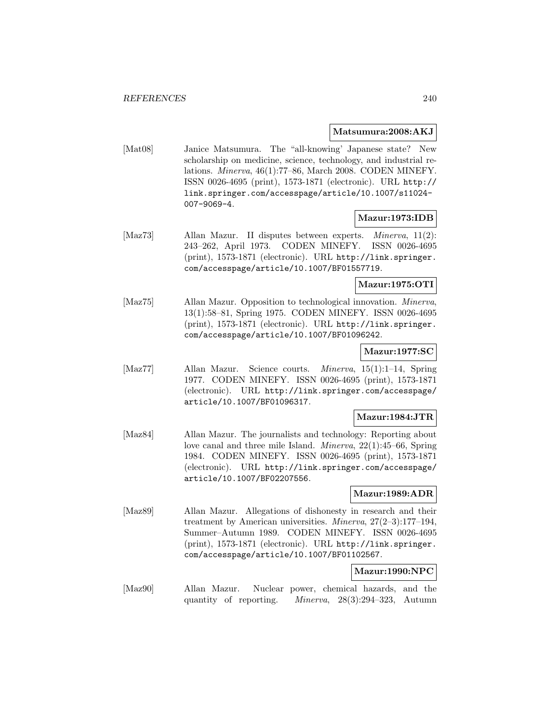#### **Matsumura:2008:AKJ**

[Mat08] Janice Matsumura. The "all-knowing' Japanese state? New scholarship on medicine, science, technology, and industrial relations. Minerva, 46(1):77–86, March 2008. CODEN MINEFY. ISSN 0026-4695 (print), 1573-1871 (electronic). URL http:// link.springer.com/accesspage/article/10.1007/s11024- 007-9069-4.

# **Mazur:1973:IDB**

[Maz73] Allan Mazur. II disputes between experts. Minerva, 11(2): 243–262, April 1973. CODEN MINEFY. ISSN 0026-4695 (print), 1573-1871 (electronic). URL http://link.springer. com/accesspage/article/10.1007/BF01557719.

# **Mazur:1975:OTI**

[Maz75] Allan Mazur. Opposition to technological innovation. Minerva, 13(1):58–81, Spring 1975. CODEN MINEFY. ISSN 0026-4695 (print), 1573-1871 (electronic). URL http://link.springer. com/accesspage/article/10.1007/BF01096242.

## **Mazur:1977:SC**

[Maz77] Allan Mazur. Science courts. Minerva, 15(1):1–14, Spring 1977. CODEN MINEFY. ISSN 0026-4695 (print), 1573-1871 (electronic). URL http://link.springer.com/accesspage/ article/10.1007/BF01096317.

## **Mazur:1984:JTR**

[Maz84] Allan Mazur. The journalists and technology: Reporting about love canal and three mile Island. Minerva, 22(1):45–66, Spring 1984. CODEN MINEFY. ISSN 0026-4695 (print), 1573-1871 (electronic). URL http://link.springer.com/accesspage/ article/10.1007/BF02207556.

#### **Mazur:1989:ADR**

[Maz89] Allan Mazur. Allegations of dishonesty in research and their treatment by American universities. Minerva, 27(2–3):177–194, Summer–Autumn 1989. CODEN MINEFY. ISSN 0026-4695 (print), 1573-1871 (electronic). URL http://link.springer. com/accesspage/article/10.1007/BF01102567.

# **Mazur:1990:NPC**

[Maz90] Allan Mazur. Nuclear power, chemical hazards, and the quantity of reporting. Minerva, 28(3):294–323, Autumn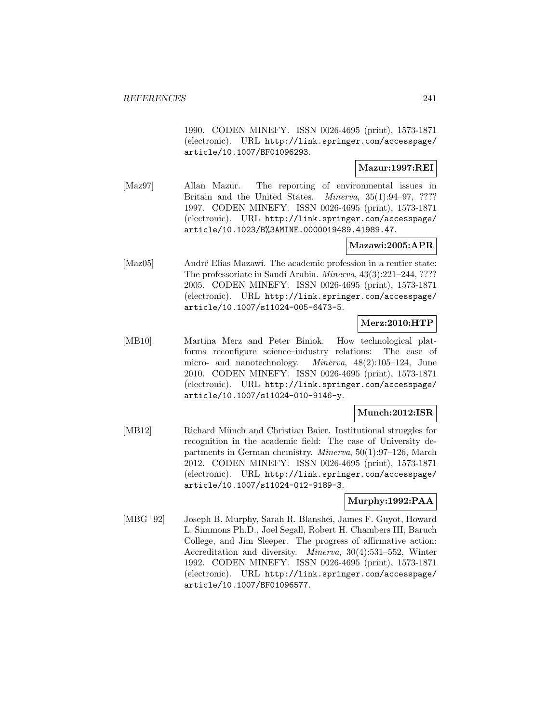1990. CODEN MINEFY. ISSN 0026-4695 (print), 1573-1871 (electronic). URL http://link.springer.com/accesspage/ article/10.1007/BF01096293.

## **Mazur:1997:REI**

[Maz97] Allan Mazur. The reporting of environmental issues in Britain and the United States. *Minerva*, 35(1):94–97, ???? 1997. CODEN MINEFY. ISSN 0026-4695 (print), 1573-1871 (electronic). URL http://link.springer.com/accesspage/ article/10.1023/B%3AMINE.0000019489.41989.47.

# **Mazawi:2005:APR**

[Maz05] André Elias Mazawi. The academic profession in a rentier state: The professoriate in Saudi Arabia. Minerva, 43(3):221–244, ???? 2005. CODEN MINEFY. ISSN 0026-4695 (print), 1573-1871 (electronic). URL http://link.springer.com/accesspage/ article/10.1007/s11024-005-6473-5.

# **Merz:2010:HTP**

[MB10] Martina Merz and Peter Biniok. How technological platforms reconfigure science–industry relations: The case of micro- and nanotechnology. Minerva, 48(2):105–124, June 2010. CODEN MINEFY. ISSN 0026-4695 (print), 1573-1871 (electronic). URL http://link.springer.com/accesspage/ article/10.1007/s11024-010-9146-y.

## **Munch:2012:ISR**

[MB12] Richard Münch and Christian Baier. Institutional struggles for recognition in the academic field: The case of University departments in German chemistry. Minerva, 50(1):97–126, March 2012. CODEN MINEFY. ISSN 0026-4695 (print), 1573-1871 (electronic). URL http://link.springer.com/accesspage/ article/10.1007/s11024-012-9189-3.

# **Murphy:1992:PAA**

[MBG<sup>+</sup>92] Joseph B. Murphy, Sarah R. Blanshei, James F. Guyot, Howard L. Simmons Ph.D., Joel Segall, Robert H. Chambers III, Baruch College, and Jim Sleeper. The progress of affirmative action: Accreditation and diversity. Minerva, 30(4):531–552, Winter 1992. CODEN MINEFY. ISSN 0026-4695 (print), 1573-1871 (electronic). URL http://link.springer.com/accesspage/ article/10.1007/BF01096577.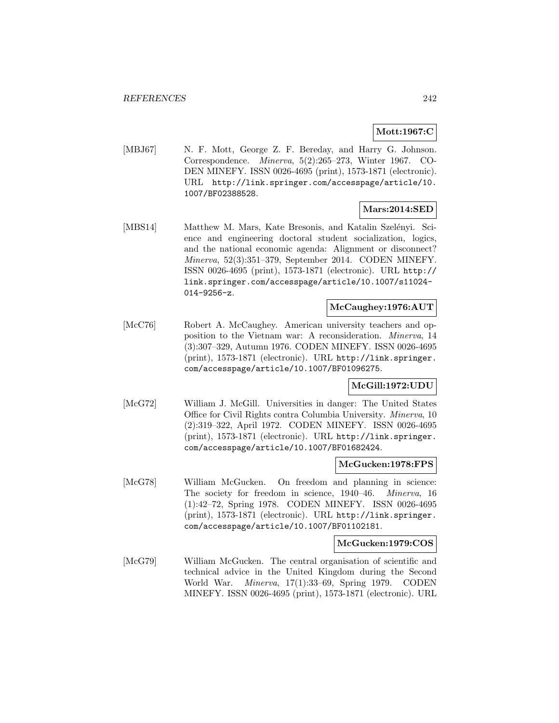# **Mott:1967:C**

[MBJ67] N. F. Mott, George Z. F. Bereday, and Harry G. Johnson. Correspondence. Minerva, 5(2):265–273, Winter 1967. CO-DEN MINEFY. ISSN 0026-4695 (print), 1573-1871 (electronic). URL http://link.springer.com/accesspage/article/10. 1007/BF02388528.

# **Mars:2014:SED**

[MBS14] Matthew M. Mars, Kate Bresonis, and Katalin Szelényi. Science and engineering doctoral student socialization, logics, and the national economic agenda: Alignment or disconnect? Minerva, 52(3):351–379, September 2014. CODEN MINEFY. ISSN 0026-4695 (print), 1573-1871 (electronic). URL http:// link.springer.com/accesspage/article/10.1007/s11024- 014-9256-z.

## **McCaughey:1976:AUT**

[McC76] Robert A. McCaughey. American university teachers and opposition to the Vietnam war: A reconsideration. Minerva, 14 (3):307–329, Autumn 1976. CODEN MINEFY. ISSN 0026-4695 (print), 1573-1871 (electronic). URL http://link.springer. com/accesspage/article/10.1007/BF01096275.

## **McGill:1972:UDU**

[McG72] William J. McGill. Universities in danger: The United States Office for Civil Rights contra Columbia University. Minerva, 10 (2):319–322, April 1972. CODEN MINEFY. ISSN 0026-4695 (print), 1573-1871 (electronic). URL http://link.springer. com/accesspage/article/10.1007/BF01682424.

## **McGucken:1978:FPS**

[McG78] William McGucken. On freedom and planning in science: The society for freedom in science, 1940–46. Minerva, 16 (1):42–72, Spring 1978. CODEN MINEFY. ISSN 0026-4695 (print), 1573-1871 (electronic). URL http://link.springer. com/accesspage/article/10.1007/BF01102181.

## **McGucken:1979:COS**

[McG79] William McGucken. The central organisation of scientific and technical advice in the United Kingdom during the Second World War. Minerva, 17(1):33–69, Spring 1979. CODEN MINEFY. ISSN 0026-4695 (print), 1573-1871 (electronic). URL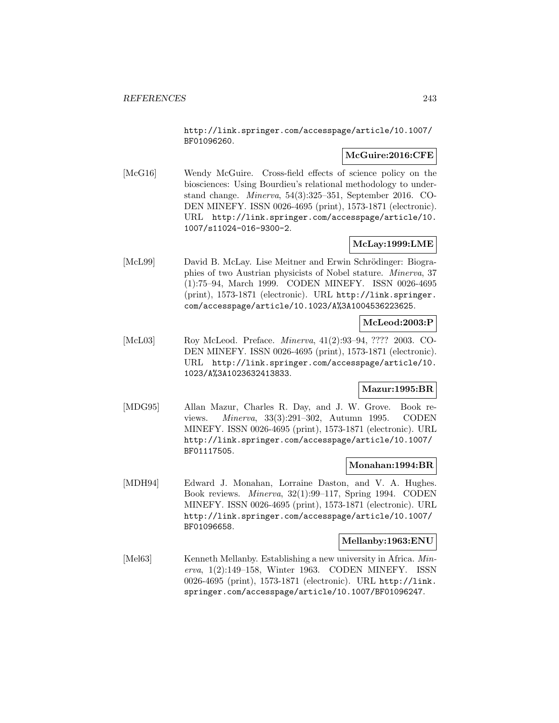http://link.springer.com/accesspage/article/10.1007/ BF01096260.

# **McGuire:2016:CFE**

[McG16] Wendy McGuire. Cross-field effects of science policy on the biosciences: Using Bourdieu's relational methodology to understand change. Minerva, 54(3):325–351, September 2016. CO-DEN MINEFY. ISSN 0026-4695 (print), 1573-1871 (electronic). URL http://link.springer.com/accesspage/article/10. 1007/s11024-016-9300-2.

# **McLay:1999:LME**

[McL99] David B. McLay. Lise Meitner and Erwin Schrödinger: Biographies of two Austrian physicists of Nobel stature. Minerva, 37 (1):75–94, March 1999. CODEN MINEFY. ISSN 0026-4695 (print), 1573-1871 (electronic). URL http://link.springer. com/accesspage/article/10.1023/A%3A1004536223625.

# **McLeod:2003:P**

[McL03] Roy McLeod. Preface. Minerva, 41(2):93–94, ???? 2003. CO-DEN MINEFY. ISSN 0026-4695 (print), 1573-1871 (electronic). URL http://link.springer.com/accesspage/article/10. 1023/A%3A1023632413833.

## **Mazur:1995:BR**

[MDG95] Allan Mazur, Charles R. Day, and J. W. Grove. Book reviews. Minerva, 33(3):291–302, Autumn 1995. CODEN MINEFY. ISSN 0026-4695 (print), 1573-1871 (electronic). URL http://link.springer.com/accesspage/article/10.1007/ BF01117505.

# **Monahan:1994:BR**

[MDH94] Edward J. Monahan, Lorraine Daston, and V. A. Hughes. Book reviews. Minerva, 32(1):99–117, Spring 1994. CODEN MINEFY. ISSN 0026-4695 (print), 1573-1871 (electronic). URL http://link.springer.com/accesspage/article/10.1007/ BF01096658.

## **Mellanby:1963:ENU**

[Mel63] Kenneth Mellanby. Establishing a new university in Africa. Minerva, 1(2):149–158, Winter 1963. CODEN MINEFY. ISSN 0026-4695 (print), 1573-1871 (electronic). URL http://link. springer.com/accesspage/article/10.1007/BF01096247.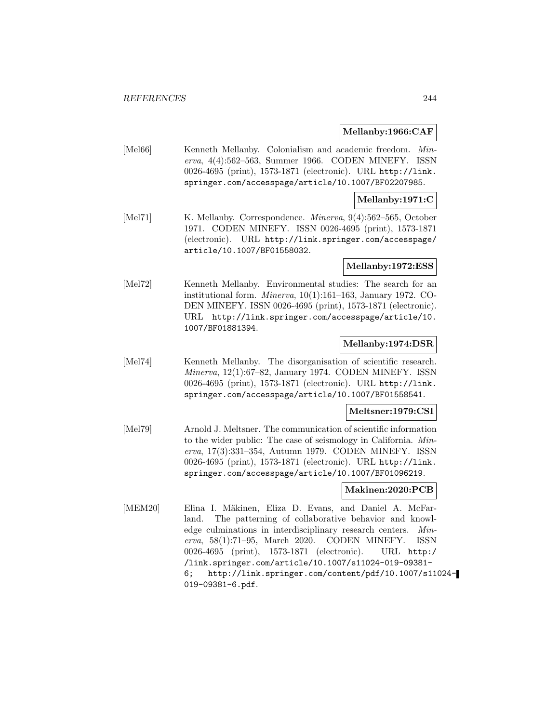#### **Mellanby:1966:CAF**

[Mel66] Kenneth Mellanby. Colonialism and academic freedom. Minerva, 4(4):562–563, Summer 1966. CODEN MINEFY. ISSN 0026-4695 (print), 1573-1871 (electronic). URL http://link. springer.com/accesspage/article/10.1007/BF02207985.

## **Mellanby:1971:C**

[Mel71] K. Mellanby. Correspondence. *Minerva*, 9(4):562-565, October 1971. CODEN MINEFY. ISSN 0026-4695 (print), 1573-1871 (electronic). URL http://link.springer.com/accesspage/ article/10.1007/BF01558032.

#### **Mellanby:1972:ESS**

[Mel72] Kenneth Mellanby. Environmental studies: The search for an institutional form. Minerva, 10(1):161–163, January 1972. CO-DEN MINEFY. ISSN 0026-4695 (print), 1573-1871 (electronic). URL http://link.springer.com/accesspage/article/10. 1007/BF01881394.

## **Mellanby:1974:DSR**

[Mel74] Kenneth Mellanby. The disorganisation of scientific research. Minerva, 12(1):67–82, January 1974. CODEN MINEFY. ISSN 0026-4695 (print), 1573-1871 (electronic). URL http://link. springer.com/accesspage/article/10.1007/BF01558541.

#### **Meltsner:1979:CSI**

[Mel79] Arnold J. Meltsner. The communication of scientific information to the wider public: The case of seismology in California. Minerva, 17(3):331–354, Autumn 1979. CODEN MINEFY. ISSN 0026-4695 (print), 1573-1871 (electronic). URL http://link. springer.com/accesspage/article/10.1007/BF01096219.

## **Makinen:2020:PCB**

[MEM20] Elina I. Mäkinen, Eliza D. Evans, and Daniel A. McFarland. The patterning of collaborative behavior and knowledge culminations in interdisciplinary research centers. Minerva, 58(1):71–95, March 2020. CODEN MINEFY. ISSN 0026-4695 (print), 1573-1871 (electronic). URL http:/ /link.springer.com/article/10.1007/s11024-019-09381- 6; http://link.springer.com/content/pdf/10.1007/s11024- 019-09381-6.pdf.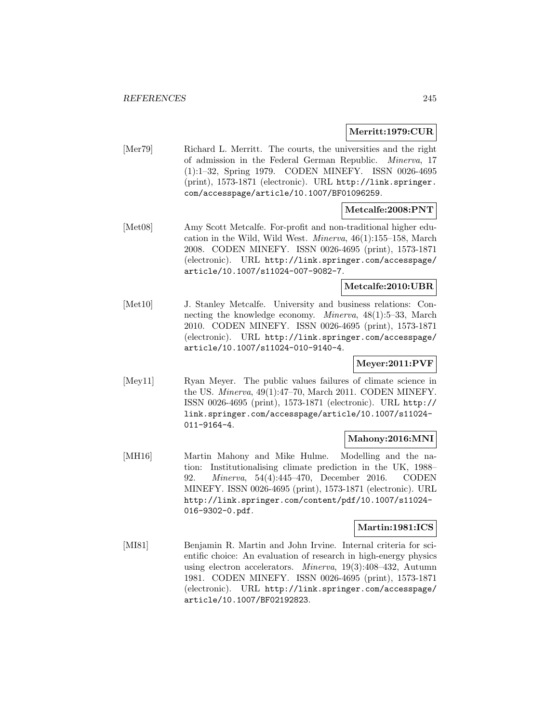## **Merritt:1979:CUR**

[Mer79] Richard L. Merritt. The courts, the universities and the right of admission in the Federal German Republic. Minerva, 17 (1):1–32, Spring 1979. CODEN MINEFY. ISSN 0026-4695 (print), 1573-1871 (electronic). URL http://link.springer. com/accesspage/article/10.1007/BF01096259.

## **Metcalfe:2008:PNT**

[Met08] Amy Scott Metcalfe. For-profit and non-traditional higher education in the Wild, Wild West. Minerva, 46(1):155–158, March 2008. CODEN MINEFY. ISSN 0026-4695 (print), 1573-1871 (electronic). URL http://link.springer.com/accesspage/ article/10.1007/s11024-007-9082-7.

# **Metcalfe:2010:UBR**

[Met10] J. Stanley Metcalfe. University and business relations: Connecting the knowledge economy. Minerva, 48(1):5–33, March 2010. CODEN MINEFY. ISSN 0026-4695 (print), 1573-1871 (electronic). URL http://link.springer.com/accesspage/ article/10.1007/s11024-010-9140-4.

# **Meyer:2011:PVF**

[Mey11] Ryan Meyer. The public values failures of climate science in the US. Minerva, 49(1):47–70, March 2011. CODEN MINEFY. ISSN 0026-4695 (print), 1573-1871 (electronic). URL http:// link.springer.com/accesspage/article/10.1007/s11024- 011-9164-4.

# **Mahony:2016:MNI**

[MH16] Martin Mahony and Mike Hulme. Modelling and the nation: Institutionalising climate prediction in the UK, 1988– 92. Minerva, 54(4):445–470, December 2016. CODEN MINEFY. ISSN 0026-4695 (print), 1573-1871 (electronic). URL http://link.springer.com/content/pdf/10.1007/s11024- 016-9302-0.pdf.

# **Martin:1981:ICS**

[MI81] Benjamin R. Martin and John Irvine. Internal criteria for scientific choice: An evaluation of research in high-energy physics using electron accelerators. Minerva, 19(3):408–432, Autumn 1981. CODEN MINEFY. ISSN 0026-4695 (print), 1573-1871 (electronic). URL http://link.springer.com/accesspage/ article/10.1007/BF02192823.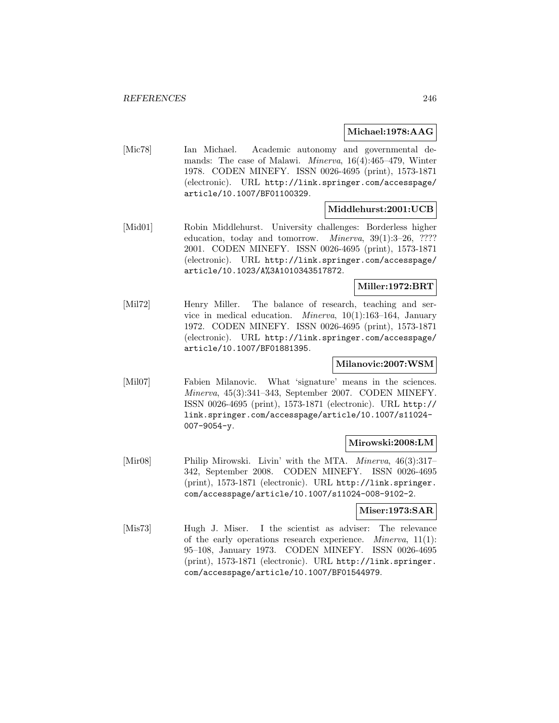## **Michael:1978:AAG**

[Mic78] Ian Michael. Academic autonomy and governmental demands: The case of Malawi. Minerva, 16(4):465–479, Winter 1978. CODEN MINEFY. ISSN 0026-4695 (print), 1573-1871 (electronic). URL http://link.springer.com/accesspage/ article/10.1007/BF01100329.

#### **Middlehurst:2001:UCB**

[Mid01] Robin Middlehurst. University challenges: Borderless higher education, today and tomorrow. *Minerva*, 39(1):3–26, ???? 2001. CODEN MINEFY. ISSN 0026-4695 (print), 1573-1871 (electronic). URL http://link.springer.com/accesspage/ article/10.1023/A%3A1010343517872.

## **Miller:1972:BRT**

[Mil72] Henry Miller. The balance of research, teaching and service in medical education. Minerva, 10(1):163–164, January 1972. CODEN MINEFY. ISSN 0026-4695 (print), 1573-1871 (electronic). URL http://link.springer.com/accesspage/ article/10.1007/BF01881395.

# **Milanovic:2007:WSM**

[Mil07] Fabien Milanovic. What 'signature' means in the sciences. Minerva, 45(3):341–343, September 2007. CODEN MINEFY. ISSN 0026-4695 (print), 1573-1871 (electronic). URL http:// link.springer.com/accesspage/article/10.1007/s11024- 007-9054-y.

## **Mirowski:2008:LM**

[Mir08] Philip Mirowski. Livin' with the MTA. *Minerva*, 46(3):317– 342, September 2008. CODEN MINEFY. ISSN 0026-4695 (print), 1573-1871 (electronic). URL http://link.springer. com/accesspage/article/10.1007/s11024-008-9102-2.

# **Miser:1973:SAR**

[Mis73] Hugh J. Miser. I the scientist as adviser: The relevance of the early operations research experience. *Minerva*,  $11(1)$ : 95–108, January 1973. CODEN MINEFY. ISSN 0026-4695 (print), 1573-1871 (electronic). URL http://link.springer. com/accesspage/article/10.1007/BF01544979.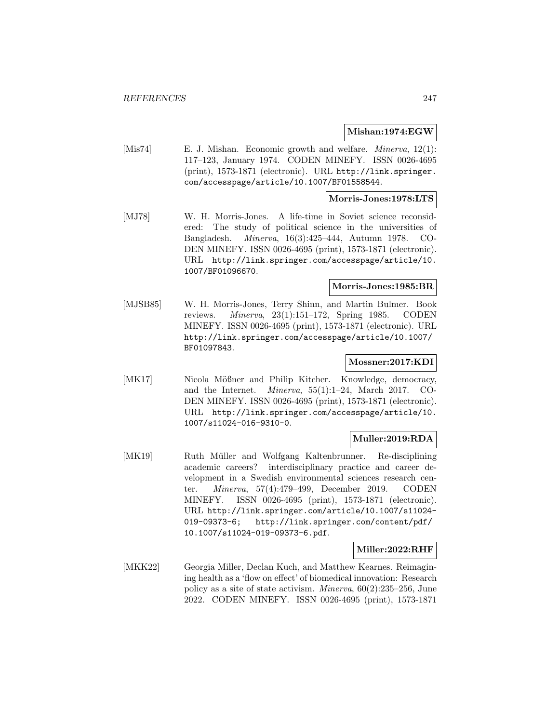## **Mishan:1974:EGW**

[Mis74] E. J. Mishan. Economic growth and welfare. *Minerva*, 12(1): 117–123, January 1974. CODEN MINEFY. ISSN 0026-4695 (print), 1573-1871 (electronic). URL http://link.springer. com/accesspage/article/10.1007/BF01558544.

#### **Morris-Jones:1978:LTS**

[MJ78] W. H. Morris-Jones. A life-time in Soviet science reconsidered: The study of political science in the universities of Bangladesh. Minerva, 16(3):425–444, Autumn 1978. CO-DEN MINEFY. ISSN 0026-4695 (print), 1573-1871 (electronic). URL http://link.springer.com/accesspage/article/10. 1007/BF01096670.

## **Morris-Jones:1985:BR**

[MJSB85] W. H. Morris-Jones, Terry Shinn, and Martin Bulmer. Book reviews. Minerva, 23(1):151–172, Spring 1985. CODEN MINEFY. ISSN 0026-4695 (print), 1573-1871 (electronic). URL http://link.springer.com/accesspage/article/10.1007/ BF01097843.

## **Mossner:2017:KDI**

[MK17] Nicola Mößner and Philip Kitcher. Knowledge, democracy, and the Internet. Minerva, 55(1):1–24, March 2017. CO-DEN MINEFY. ISSN 0026-4695 (print), 1573-1871 (electronic). URL http://link.springer.com/accesspage/article/10. 1007/s11024-016-9310-0.

## **Muller:2019:RDA**

[MK19] Ruth Müller and Wolfgang Kaltenbrunner. Re-disciplining academic careers? interdisciplinary practice and career development in a Swedish environmental sciences research center. Minerva, 57(4):479–499, December 2019. CODEN MINEFY. ISSN 0026-4695 (print), 1573-1871 (electronic). URL http://link.springer.com/article/10.1007/s11024- 019-09373-6; http://link.springer.com/content/pdf/ 10.1007/s11024-019-09373-6.pdf.

#### **Miller:2022:RHF**

[MKK22] Georgia Miller, Declan Kuch, and Matthew Kearnes. Reimagining health as a 'flow on effect' of biomedical innovation: Research policy as a site of state activism. Minerva, 60(2):235–256, June 2022. CODEN MINEFY. ISSN 0026-4695 (print), 1573-1871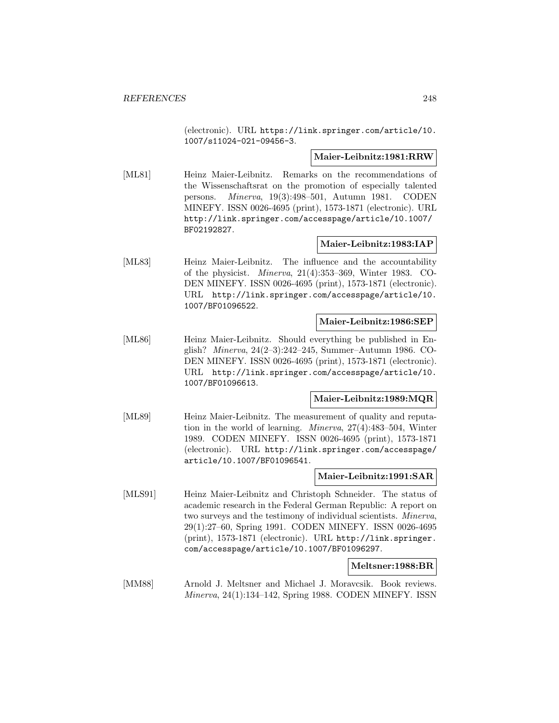(electronic). URL https://link.springer.com/article/10. 1007/s11024-021-09456-3.

#### **Maier-Leibnitz:1981:RRW**

[ML81] Heinz Maier-Leibnitz. Remarks on the recommendations of the Wissenschaftsrat on the promotion of especially talented persons. Minerva, 19(3):498–501, Autumn 1981. CODEN MINEFY. ISSN 0026-4695 (print), 1573-1871 (electronic). URL http://link.springer.com/accesspage/article/10.1007/ BF02192827.

# **Maier-Leibnitz:1983:IAP**

[ML83] Heinz Maier-Leibnitz. The influence and the accountability of the physicist. Minerva, 21(4):353–369, Winter 1983. CO-DEN MINEFY. ISSN 0026-4695 (print), 1573-1871 (electronic). URL http://link.springer.com/accesspage/article/10. 1007/BF01096522.

## **Maier-Leibnitz:1986:SEP**

[ML86] Heinz Maier-Leibnitz. Should everything be published in English? Minerva, 24(2–3):242–245, Summer–Autumn 1986. CO-DEN MINEFY. ISSN 0026-4695 (print), 1573-1871 (electronic). URL http://link.springer.com/accesspage/article/10. 1007/BF01096613.

#### **Maier-Leibnitz:1989:MQR**

[ML89] Heinz Maier-Leibnitz. The measurement of quality and reputation in the world of learning. Minerva, 27(4):483–504, Winter 1989. CODEN MINEFY. ISSN 0026-4695 (print), 1573-1871 (electronic). URL http://link.springer.com/accesspage/ article/10.1007/BF01096541.

#### **Maier-Leibnitz:1991:SAR**

[MLS91] Heinz Maier-Leibnitz and Christoph Schneider. The status of academic research in the Federal German Republic: A report on two surveys and the testimony of individual scientists. Minerva, 29(1):27–60, Spring 1991. CODEN MINEFY. ISSN 0026-4695 (print), 1573-1871 (electronic). URL http://link.springer. com/accesspage/article/10.1007/BF01096297.

#### **Meltsner:1988:BR**

[MM88] Arnold J. Meltsner and Michael J. Moravcsik. Book reviews. Minerva, 24(1):134–142, Spring 1988. CODEN MINEFY. ISSN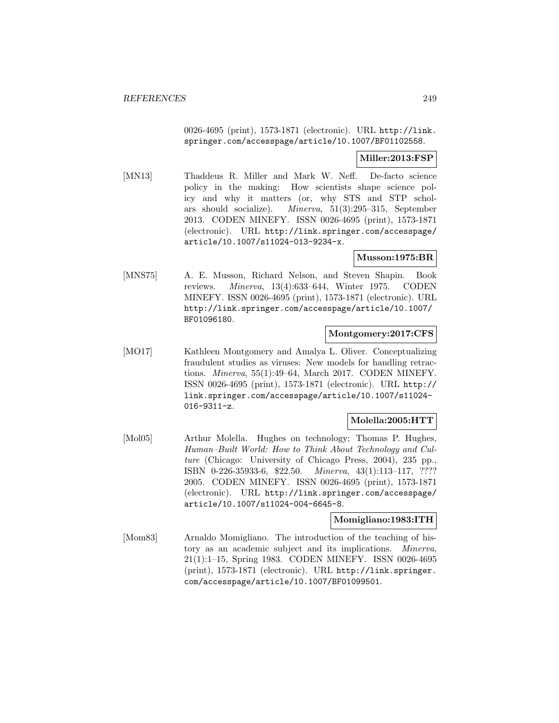0026-4695 (print), 1573-1871 (electronic). URL http://link. springer.com/accesspage/article/10.1007/BF01102558.

# **Miller:2013:FSP**

[MN13] Thaddeus R. Miller and Mark W. Neff. De-facto science policy in the making: How scientists shape science policy and why it matters (or, why STS and STP scholars should socialize). Minerva, 51(3):295–315, September 2013. CODEN MINEFY. ISSN 0026-4695 (print), 1573-1871 (electronic). URL http://link.springer.com/accesspage/ article/10.1007/s11024-013-9234-x.

# **Musson:1975:BR**

[MNS75] A. E. Musson, Richard Nelson, and Steven Shapin. Book reviews. Minerva, 13(4):633–644, Winter 1975. CODEN MINEFY. ISSN 0026-4695 (print), 1573-1871 (electronic). URL http://link.springer.com/accesspage/article/10.1007/ BF01096180.

# **Montgomery:2017:CFS**

[MO17] Kathleen Montgomery and Amalya L. Oliver. Conceptualizing fraudulent studies as viruses: New models for handling retractions. Minerva, 55(1):49–64, March 2017. CODEN MINEFY. ISSN 0026-4695 (print), 1573-1871 (electronic). URL http:// link.springer.com/accesspage/article/10.1007/s11024- 016-9311-z.

# **Molella:2005:HTT**

[Mol05] Arthur Molella. Hughes on technology; Thomas P. Hughes, Human–Built World: How to Think About Technology and Culture (Chicago: University of Chicago Press, 2004), 235 pp., ISBN 0-226-35933-6, \$22.50. Minerva, 43(1):113–117, ???? 2005. CODEN MINEFY. ISSN 0026-4695 (print), 1573-1871 (electronic). URL http://link.springer.com/accesspage/ article/10.1007/s11024-004-6645-8.

## **Momigliano:1983:ITH**

[Mom83] Arnaldo Momigliano. The introduction of the teaching of history as an academic subject and its implications. Minerva, 21(1):1–15, Spring 1983. CODEN MINEFY. ISSN 0026-4695 (print), 1573-1871 (electronic). URL http://link.springer. com/accesspage/article/10.1007/BF01099501.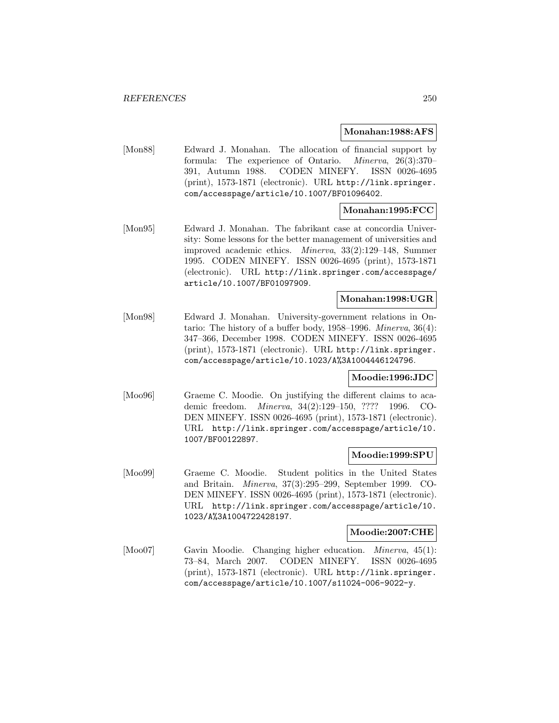#### **Monahan:1988:AFS**

[Mon88] Edward J. Monahan. The allocation of financial support by formula: The experience of Ontario. Minerva, 26(3):370– 391, Autumn 1988. CODEN MINEFY. ISSN 0026-4695 (print), 1573-1871 (electronic). URL http://link.springer. com/accesspage/article/10.1007/BF01096402.

# **Monahan:1995:FCC**

[Mon95] Edward J. Monahan. The fabrikant case at concordia University: Some lessons for the better management of universities and improved academic ethics. Minerva, 33(2):129–148, Summer 1995. CODEN MINEFY. ISSN 0026-4695 (print), 1573-1871 (electronic). URL http://link.springer.com/accesspage/ article/10.1007/BF01097909.

## **Monahan:1998:UGR**

[Mon98] Edward J. Monahan. University-government relations in Ontario: The history of a buffer body, 1958–1996. Minerva, 36(4): 347–366, December 1998. CODEN MINEFY. ISSN 0026-4695 (print), 1573-1871 (electronic). URL http://link.springer. com/accesspage/article/10.1023/A%3A1004446124796.

#### **Moodie:1996:JDC**

[Moo96] Graeme C. Moodie. On justifying the different claims to academic freedom. Minerva, 34(2):129–150, ???? 1996. CO-DEN MINEFY. ISSN 0026-4695 (print), 1573-1871 (electronic). URL http://link.springer.com/accesspage/article/10. 1007/BF00122897.

## **Moodie:1999:SPU**

[Moo99] Graeme C. Moodie. Student politics in the United States and Britain. Minerva, 37(3):295–299, September 1999. CO-DEN MINEFY. ISSN 0026-4695 (print), 1573-1871 (electronic). URL http://link.springer.com/accesspage/article/10. 1023/A%3A1004722428197.

## **Moodie:2007:CHE**

[Moo07] Gavin Moodie. Changing higher education. Minerva, 45(1): 73–84, March 2007. CODEN MINEFY. ISSN 0026-4695 (print), 1573-1871 (electronic). URL http://link.springer. com/accesspage/article/10.1007/s11024-006-9022-y.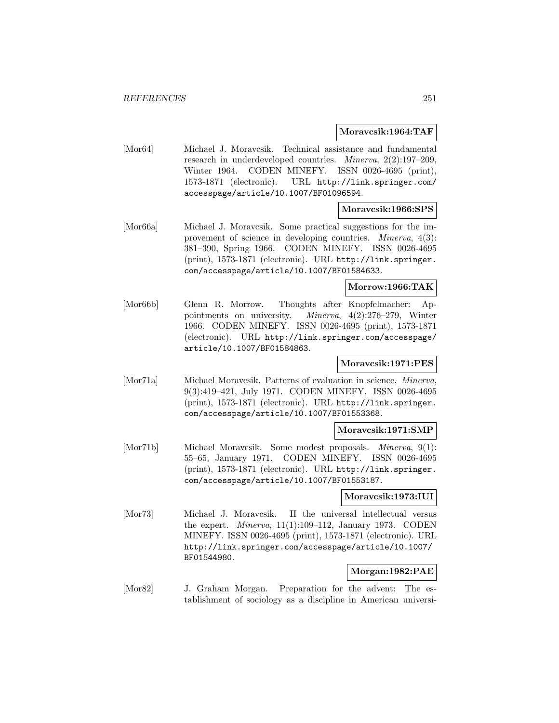#### **Moravcsik:1964:TAF**

[Mor64] Michael J. Moravcsik. Technical assistance and fundamental research in underdeveloped countries. Minerva, 2(2):197–209, Winter 1964. CODEN MINEFY. ISSN 0026-4695 (print), 1573-1871 (electronic). URL http://link.springer.com/ accesspage/article/10.1007/BF01096594.

## **Moravcsik:1966:SPS**

[Mor66a] Michael J. Moravcsik. Some practical suggestions for the improvement of science in developing countries. Minerva, 4(3): 381–390, Spring 1966. CODEN MINEFY. ISSN 0026-4695 (print), 1573-1871 (electronic). URL http://link.springer. com/accesspage/article/10.1007/BF01584633.

#### **Morrow:1966:TAK**

[Mor66b] Glenn R. Morrow. Thoughts after Knopfelmacher: Appointments on university. Minerva, 4(2):276–279, Winter 1966. CODEN MINEFY. ISSN 0026-4695 (print), 1573-1871 (electronic). URL http://link.springer.com/accesspage/ article/10.1007/BF01584863.

## **Moravcsik:1971:PES**

[Mor71a] Michael Moravcsik. Patterns of evaluation in science. Minerva, 9(3):419–421, July 1971. CODEN MINEFY. ISSN 0026-4695 (print), 1573-1871 (electronic). URL http://link.springer. com/accesspage/article/10.1007/BF01553368.

# **Moravcsik:1971:SMP**

[Mor71b] Michael Moravcsik. Some modest proposals. Minerva, 9(1): 55–65, January 1971. CODEN MINEFY. ISSN 0026-4695 (print), 1573-1871 (electronic). URL http://link.springer. com/accesspage/article/10.1007/BF01553187.

## **Moravcsik:1973:IUI**

[Mor73] Michael J. Moravcsik. II the universal intellectual versus the expert. Minerva, 11(1):109–112, January 1973. CODEN MINEFY. ISSN 0026-4695 (print), 1573-1871 (electronic). URL http://link.springer.com/accesspage/article/10.1007/ BF01544980.

# **Morgan:1982:PAE**

[Mor82] J. Graham Morgan. Preparation for the advent: The establishment of sociology as a discipline in American universi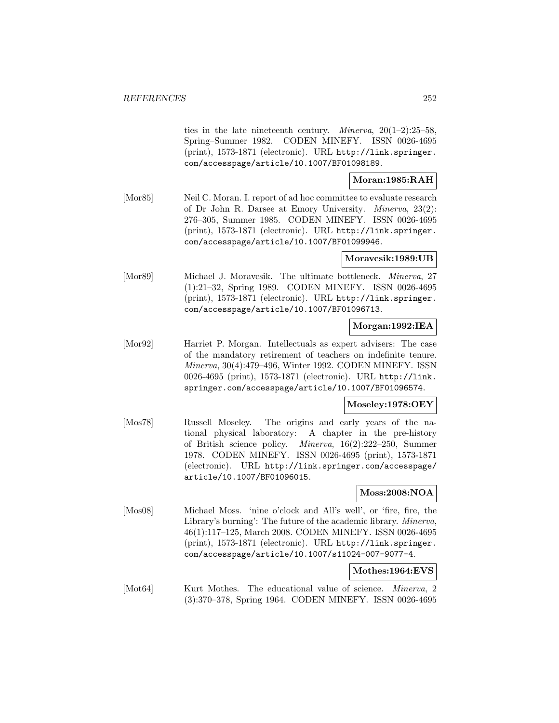ties in the late nineteenth century. *Minerva*,  $20(1-2):25-58$ , Spring–Summer 1982. CODEN MINEFY. ISSN 0026-4695 (print), 1573-1871 (electronic). URL http://link.springer. com/accesspage/article/10.1007/BF01098189.

## **Moran:1985:RAH**

[Mor85] Neil C. Moran. I. report of ad hoc committee to evaluate research of Dr John R. Darsee at Emory University. Minerva, 23(2): 276–305, Summer 1985. CODEN MINEFY. ISSN 0026-4695 (print), 1573-1871 (electronic). URL http://link.springer. com/accesspage/article/10.1007/BF01099946.

# **Moravcsik:1989:UB**

[Mor89] Michael J. Moravcsik. The ultimate bottleneck. *Minerva*, 27 (1):21–32, Spring 1989. CODEN MINEFY. ISSN 0026-4695 (print), 1573-1871 (electronic). URL http://link.springer. com/accesspage/article/10.1007/BF01096713.

## **Morgan:1992:IEA**

[Mor92] Harriet P. Morgan. Intellectuals as expert advisers: The case of the mandatory retirement of teachers on indefinite tenure. Minerva, 30(4):479–496, Winter 1992. CODEN MINEFY. ISSN 0026-4695 (print), 1573-1871 (electronic). URL http://link. springer.com/accesspage/article/10.1007/BF01096574.

# **Moseley:1978:OEY**

[Mos78] Russell Moseley. The origins and early years of the national physical laboratory: A chapter in the pre-history of British science policy. Minerva, 16(2):222–250, Summer 1978. CODEN MINEFY. ISSN 0026-4695 (print), 1573-1871 (electronic). URL http://link.springer.com/accesspage/ article/10.1007/BF01096015.

## **Moss:2008:NOA**

[Mos08] Michael Moss. 'nine o'clock and All's well', or 'fire, fire, the Library's burning': The future of the academic library. Minerva, 46(1):117–125, March 2008. CODEN MINEFY. ISSN 0026-4695 (print), 1573-1871 (electronic). URL http://link.springer. com/accesspage/article/10.1007/s11024-007-9077-4.

## **Mothes:1964:EVS**

[Mot64] Kurt Mothes. The educational value of science. *Minerva*, 2 (3):370–378, Spring 1964. CODEN MINEFY. ISSN 0026-4695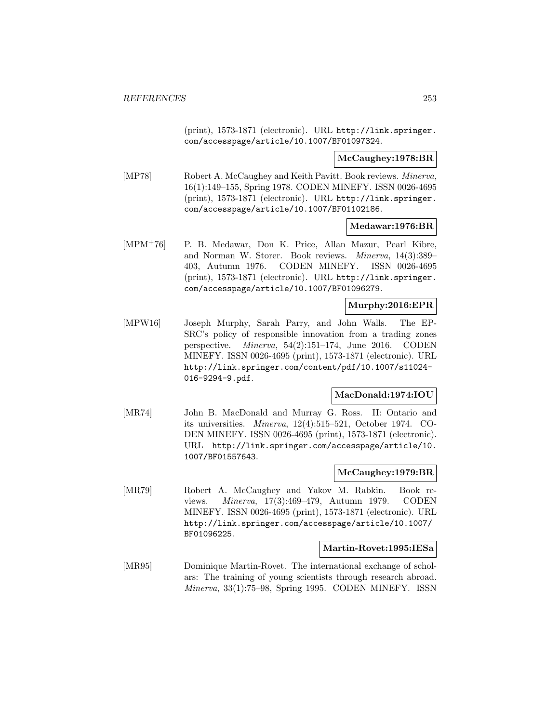(print), 1573-1871 (electronic). URL http://link.springer. com/accesspage/article/10.1007/BF01097324.

**McCaughey:1978:BR**

[MP78] Robert A. McCaughey and Keith Pavitt. Book reviews. Minerva, 16(1):149–155, Spring 1978. CODEN MINEFY. ISSN 0026-4695 (print), 1573-1871 (electronic). URL http://link.springer. com/accesspage/article/10.1007/BF01102186.

**Medawar:1976:BR**

[MPM<sup>+</sup>76] P. B. Medawar, Don K. Price, Allan Mazur, Pearl Kibre, and Norman W. Storer. Book reviews. Minerva, 14(3):389– 403, Autumn 1976. CODEN MINEFY. ISSN 0026-4695 (print), 1573-1871 (electronic). URL http://link.springer. com/accesspage/article/10.1007/BF01096279.

# **Murphy:2016:EPR**

[MPW16] Joseph Murphy, Sarah Parry, and John Walls. The EP-SRC's policy of responsible innovation from a trading zones perspective. Minerva, 54(2):151–174, June 2016. CODEN MINEFY. ISSN 0026-4695 (print), 1573-1871 (electronic). URL http://link.springer.com/content/pdf/10.1007/s11024- 016-9294-9.pdf.

# **MacDonald:1974:IOU**

[MR74] John B. MacDonald and Murray G. Ross. II: Ontario and its universities. Minerva, 12(4):515–521, October 1974. CO-DEN MINEFY. ISSN 0026-4695 (print), 1573-1871 (electronic). URL http://link.springer.com/accesspage/article/10. 1007/BF01557643.

# **McCaughey:1979:BR**

[MR79] Robert A. McCaughey and Yakov M. Rabkin. Book reviews. Minerva, 17(3):469–479, Autumn 1979. CODEN MINEFY. ISSN 0026-4695 (print), 1573-1871 (electronic). URL http://link.springer.com/accesspage/article/10.1007/ BF01096225.

#### **Martin-Rovet:1995:IESa**

[MR95] Dominique Martin-Rovet. The international exchange of scholars: The training of young scientists through research abroad. Minerva, 33(1):75–98, Spring 1995. CODEN MINEFY. ISSN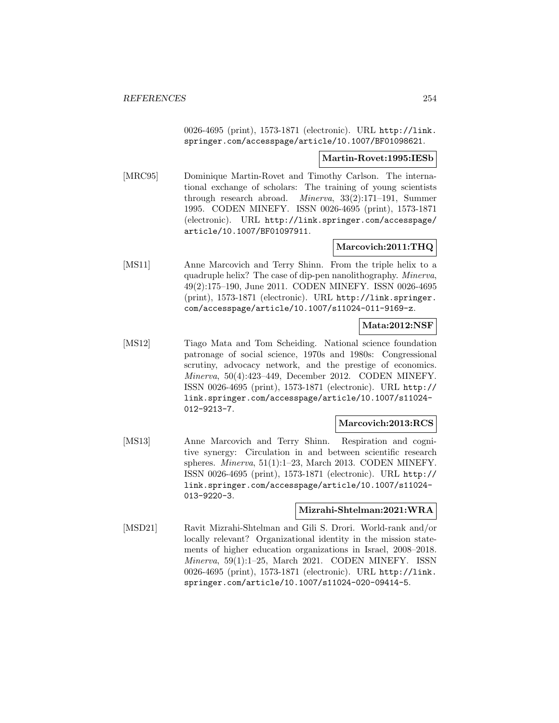0026-4695 (print), 1573-1871 (electronic). URL http://link. springer.com/accesspage/article/10.1007/BF01098621.

### **Martin-Rovet:1995:IESb**

[MRC95] Dominique Martin-Rovet and Timothy Carlson. The international exchange of scholars: The training of young scientists through research abroad. Minerva, 33(2):171–191, Summer 1995. CODEN MINEFY. ISSN 0026-4695 (print), 1573-1871 (electronic). URL http://link.springer.com/accesspage/ article/10.1007/BF01097911.

# **Marcovich:2011:THQ**

[MS11] Anne Marcovich and Terry Shinn. From the triple helix to a quadruple helix? The case of dip-pen nanolithography. Minerva, 49(2):175–190, June 2011. CODEN MINEFY. ISSN 0026-4695 (print), 1573-1871 (electronic). URL http://link.springer. com/accesspage/article/10.1007/s11024-011-9169-z.

# **Mata:2012:NSF**

[MS12] Tiago Mata and Tom Scheiding. National science foundation patronage of social science, 1970s and 1980s: Congressional scrutiny, advocacy network, and the prestige of economics. Minerva, 50(4):423–449, December 2012. CODEN MINEFY. ISSN 0026-4695 (print), 1573-1871 (electronic). URL http:// link.springer.com/accesspage/article/10.1007/s11024- 012-9213-7.

# **Marcovich:2013:RCS**

[MS13] Anne Marcovich and Terry Shinn. Respiration and cognitive synergy: Circulation in and between scientific research spheres. Minerva, 51(1):1–23, March 2013. CODEN MINEFY. ISSN 0026-4695 (print), 1573-1871 (electronic). URL http:// link.springer.com/accesspage/article/10.1007/s11024- 013-9220-3.

#### **Mizrahi-Shtelman:2021:WRA**

[MSD21] Ravit Mizrahi-Shtelman and Gili S. Drori. World-rank and/or locally relevant? Organizational identity in the mission statements of higher education organizations in Israel, 2008–2018. Minerva, 59(1):1–25, March 2021. CODEN MINEFY. ISSN 0026-4695 (print), 1573-1871 (electronic). URL http://link. springer.com/article/10.1007/s11024-020-09414-5.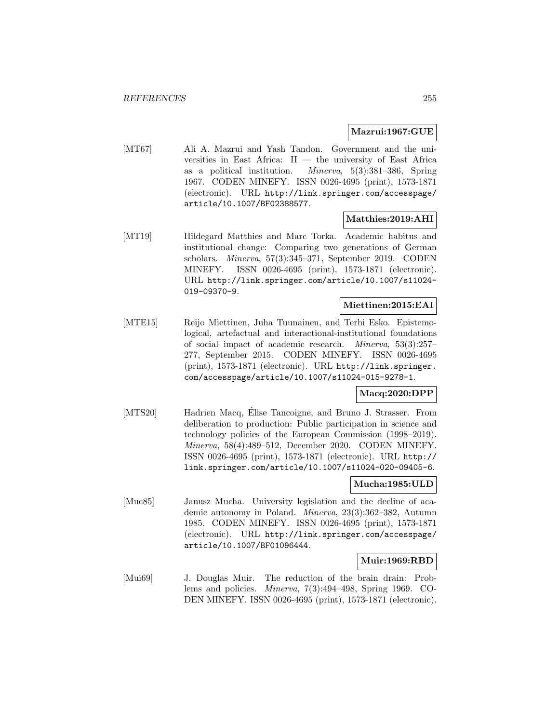# **Mazrui:1967:GUE**

[MT67] Ali A. Mazrui and Yash Tandon. Government and the universities in East Africa:  $II$  — the university of East Africa as a political institution. Minerva, 5(3):381–386, Spring 1967. CODEN MINEFY. ISSN 0026-4695 (print), 1573-1871 (electronic). URL http://link.springer.com/accesspage/ article/10.1007/BF02388577.

# **Matthies:2019:AHI**

[MT19] Hildegard Matthies and Marc Torka. Academic habitus and institutional change: Comparing two generations of German scholars. Minerva, 57(3):345–371, September 2019. CODEN MINEFY. ISSN 0026-4695 (print), 1573-1871 (electronic). URL http://link.springer.com/article/10.1007/s11024- 019-09370-9.

# **Miettinen:2015:EAI**

[MTE15] Reijo Miettinen, Juha Tuunainen, and Terhi Esko. Epistemological, artefactual and interactional-institutional foundations of social impact of academic research. Minerva, 53(3):257– 277, September 2015. CODEN MINEFY. ISSN 0026-4695 (print), 1573-1871 (electronic). URL http://link.springer. com/accesspage/article/10.1007/s11024-015-9278-1.

# **Macq:2020:DPP**

[MTS20] Hadrien Macq, Élise Tancoigne, and Bruno J. Strasser. From deliberation to production: Public participation in science and technology policies of the European Commission (1998–2019). Minerva, 58(4):489–512, December 2020. CODEN MINEFY. ISSN 0026-4695 (print), 1573-1871 (electronic). URL http:// link.springer.com/article/10.1007/s11024-020-09405-6.

# **Mucha:1985:ULD**

[Muc85] Janusz Mucha. University legislation and the decline of academic autonomy in Poland. Minerva, 23(3):362–382, Autumn 1985. CODEN MINEFY. ISSN 0026-4695 (print), 1573-1871 (electronic). URL http://link.springer.com/accesspage/ article/10.1007/BF01096444.

# **Muir:1969:RBD**

[Mui69] J. Douglas Muir. The reduction of the brain drain: Problems and policies. Minerva, 7(3):494–498, Spring 1969. CO-DEN MINEFY. ISSN 0026-4695 (print), 1573-1871 (electronic).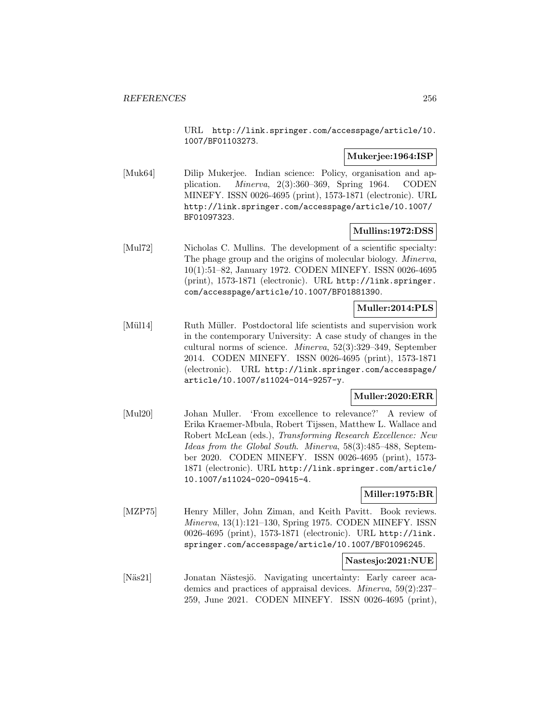URL http://link.springer.com/accesspage/article/10. 1007/BF01103273.

# **Mukerjee:1964:ISP**

[Muk64] Dilip Mukerjee. Indian science: Policy, organisation and application. Minerva, 2(3):360–369, Spring 1964. CODEN MINEFY. ISSN 0026-4695 (print), 1573-1871 (electronic). URL http://link.springer.com/accesspage/article/10.1007/ BF01097323.

# **Mullins:1972:DSS**

[Mul72] Nicholas C. Mullins. The development of a scientific specialty: The phage group and the origins of molecular biology. Minerva, 10(1):51–82, January 1972. CODEN MINEFY. ISSN 0026-4695 (print), 1573-1871 (electronic). URL http://link.springer. com/accesspage/article/10.1007/BF01881390.

# **Muller:2014:PLS**

[Mül14] Ruth Müller. Postdoctoral life scientists and supervision work in the contemporary University: A case study of changes in the cultural norms of science. Minerva, 52(3):329–349, September 2014. CODEN MINEFY. ISSN 0026-4695 (print), 1573-1871 (electronic). URL http://link.springer.com/accesspage/ article/10.1007/s11024-014-9257-y.

# **Muller:2020:ERR**

[Mul20] Johan Muller. 'From excellence to relevance?' A review of Erika Kraemer-Mbula, Robert Tijssen, Matthew L. Wallace and Robert McLean (eds.), Transforming Research Excellence: New Ideas from the Global South. Minerva, 58(3):485-488, September 2020. CODEN MINEFY. ISSN 0026-4695 (print), 1573- 1871 (electronic). URL http://link.springer.com/article/ 10.1007/s11024-020-09415-4.

# **Miller:1975:BR**

[MZP75] Henry Miller, John Ziman, and Keith Pavitt. Book reviews. Minerva, 13(1):121–130, Spring 1975. CODEN MINEFY. ISSN 0026-4695 (print), 1573-1871 (electronic). URL http://link. springer.com/accesspage/article/10.1007/BF01096245.

# **Nastesjo:2021:NUE**

[Näs21] Jonatan Nästesjö. Navigating uncertainty: Early career academics and practices of appraisal devices. Minerva, 59(2):237– 259, June 2021. CODEN MINEFY. ISSN 0026-4695 (print),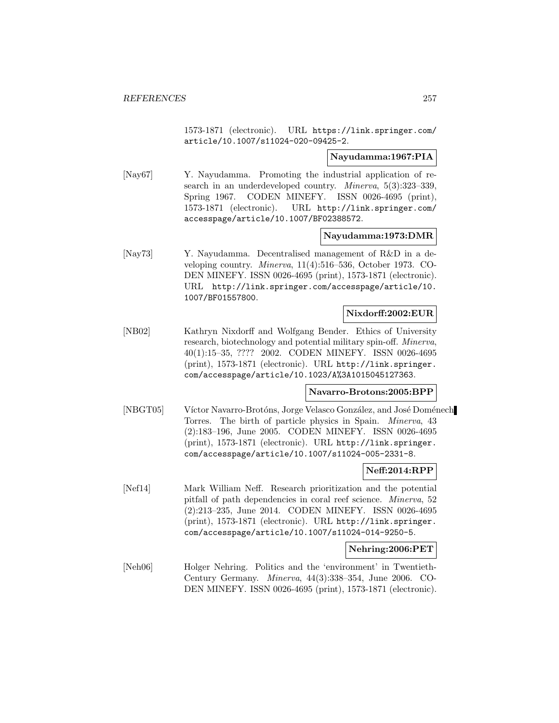1573-1871 (electronic). URL https://link.springer.com/ article/10.1007/s11024-020-09425-2.

### **Nayudamma:1967:PIA**

[Nay67] Y. Nayudamma. Promoting the industrial application of research in an underdeveloped country. *Minerva*, 5(3):323-339, Spring 1967. CODEN MINEFY. ISSN 0026-4695 (print), 1573-1871 (electronic). URL http://link.springer.com/ accesspage/article/10.1007/BF02388572.

### **Nayudamma:1973:DMR**

[Nay73] Y. Nayudamma. Decentralised management of R&D in a developing country. Minerva, 11(4):516–536, October 1973. CO-DEN MINEFY. ISSN 0026-4695 (print), 1573-1871 (electronic). URL http://link.springer.com/accesspage/article/10. 1007/BF01557800.

### **Nixdorff:2002:EUR**

[NB02] Kathryn Nixdorff and Wolfgang Bender. Ethics of University research, biotechnology and potential military spin-off. Minerva, 40(1):15–35, ???? 2002. CODEN MINEFY. ISSN 0026-4695 (print), 1573-1871 (electronic). URL http://link.springer. com/accesspage/article/10.1023/A%3A1015045127363.

#### **Navarro-Brotons:2005:BPP**

[NBGT05] Víctor Navarro-Brotóns, Jorge Velasco González, and José Doménech Torres. The birth of particle physics in Spain. Minerva, 43 (2):183–196, June 2005. CODEN MINEFY. ISSN 0026-4695 (print), 1573-1871 (electronic). URL http://link.springer. com/accesspage/article/10.1007/s11024-005-2331-8.

#### **Neff:2014:RPP**

[Nef14] Mark William Neff. Research prioritization and the potential pitfall of path dependencies in coral reef science. Minerva, 52 (2):213–235, June 2014. CODEN MINEFY. ISSN 0026-4695 (print), 1573-1871 (electronic). URL http://link.springer. com/accesspage/article/10.1007/s11024-014-9250-5.

# **Nehring:2006:PET**

[Neh06] Holger Nehring. Politics and the 'environment' in Twentieth-Century Germany. Minerva, 44(3):338–354, June 2006. CO-DEN MINEFY. ISSN 0026-4695 (print), 1573-1871 (electronic).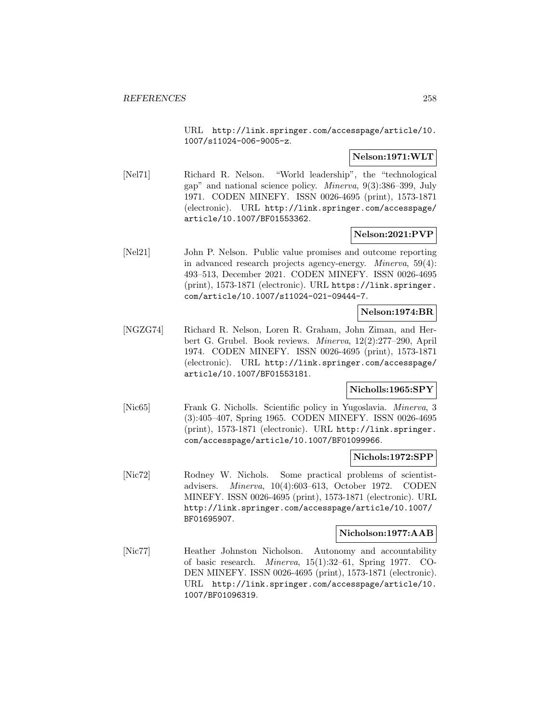URL http://link.springer.com/accesspage/article/10. 1007/s11024-006-9005-z.

# **Nelson:1971:WLT**

[Nel71] Richard R. Nelson. "World leadership", the "technological gap" and national science policy. Minerva, 9(3):386–399, July 1971. CODEN MINEFY. ISSN 0026-4695 (print), 1573-1871 (electronic). URL http://link.springer.com/accesspage/ article/10.1007/BF01553362.

# **Nelson:2021:PVP**

[Nel21] John P. Nelson. Public value promises and outcome reporting in advanced research projects agency-energy. Minerva, 59(4): 493–513, December 2021. CODEN MINEFY. ISSN 0026-4695 (print), 1573-1871 (electronic). URL https://link.springer. com/article/10.1007/s11024-021-09444-7.

**Nelson:1974:BR**

[NGZG74] Richard R. Nelson, Loren R. Graham, John Ziman, and Herbert G. Grubel. Book reviews. Minerva, 12(2):277–290, April 1974. CODEN MINEFY. ISSN 0026-4695 (print), 1573-1871 (electronic). URL http://link.springer.com/accesspage/ article/10.1007/BF01553181.

# **Nicholls:1965:SPY**

[Nic65] Frank G. Nicholls. Scientific policy in Yugoslavia. Minerva, 3 (3):405–407, Spring 1965. CODEN MINEFY. ISSN 0026-4695 (print), 1573-1871 (electronic). URL http://link.springer. com/accesspage/article/10.1007/BF01099966.

# **Nichols:1972:SPP**

[Nic72] Rodney W. Nichols. Some practical problems of scientistadvisers. Minerva, 10(4):603–613, October 1972. CODEN MINEFY. ISSN 0026-4695 (print), 1573-1871 (electronic). URL http://link.springer.com/accesspage/article/10.1007/ BF01695907.

#### **Nicholson:1977:AAB**

[Nic77] Heather Johnston Nicholson. Autonomy and accountability of basic research. Minerva, 15(1):32–61, Spring 1977. CO-DEN MINEFY. ISSN 0026-4695 (print), 1573-1871 (electronic). URL http://link.springer.com/accesspage/article/10. 1007/BF01096319.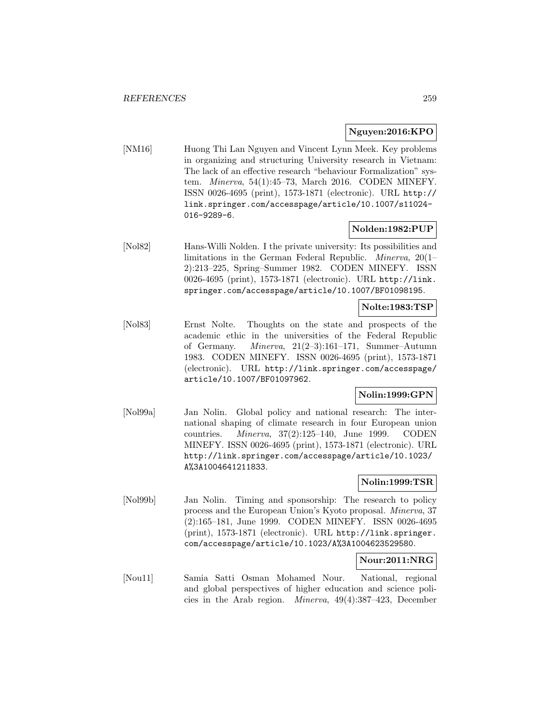# **Nguyen:2016:KPO**

[NM16] Huong Thi Lan Nguyen and Vincent Lynn Meek. Key problems in organizing and structuring University research in Vietnam: The lack of an effective research "behaviour Formalization" system. Minerva, 54(1):45–73, March 2016. CODEN MINEFY. ISSN 0026-4695 (print), 1573-1871 (electronic). URL http:// link.springer.com/accesspage/article/10.1007/s11024- 016-9289-6.

# **Nolden:1982:PUP**

[Nol82] Hans-Willi Nolden. I the private university: Its possibilities and limitations in the German Federal Republic. Minerva, 20(1– 2):213–225, Spring–Summer 1982. CODEN MINEFY. ISSN 0026-4695 (print), 1573-1871 (electronic). URL http://link. springer.com/accesspage/article/10.1007/BF01098195.

# **Nolte:1983:TSP**

[Nol83] Ernst Nolte. Thoughts on the state and prospects of the academic ethic in the universities of the Federal Republic of Germany. Minerva, 21(2–3):161–171, Summer–Autumn 1983. CODEN MINEFY. ISSN 0026-4695 (print), 1573-1871 (electronic). URL http://link.springer.com/accesspage/ article/10.1007/BF01097962.

# **Nolin:1999:GPN**

[Nol99a] Jan Nolin. Global policy and national research: The international shaping of climate research in four European union countries. Minerva, 37(2):125–140, June 1999. CODEN MINEFY. ISSN 0026-4695 (print), 1573-1871 (electronic). URL http://link.springer.com/accesspage/article/10.1023/ A%3A1004641211833.

# **Nolin:1999:TSR**

[Nol99b] Jan Nolin. Timing and sponsorship: The research to policy process and the European Union's Kyoto proposal. Minerva, 37 (2):165–181, June 1999. CODEN MINEFY. ISSN 0026-4695 (print), 1573-1871 (electronic). URL http://link.springer. com/accesspage/article/10.1023/A%3A1004623529580.

# **Nour:2011:NRG**

[Nou11] Samia Satti Osman Mohamed Nour. National, regional and global perspectives of higher education and science policies in the Arab region. Minerva, 49(4):387–423, December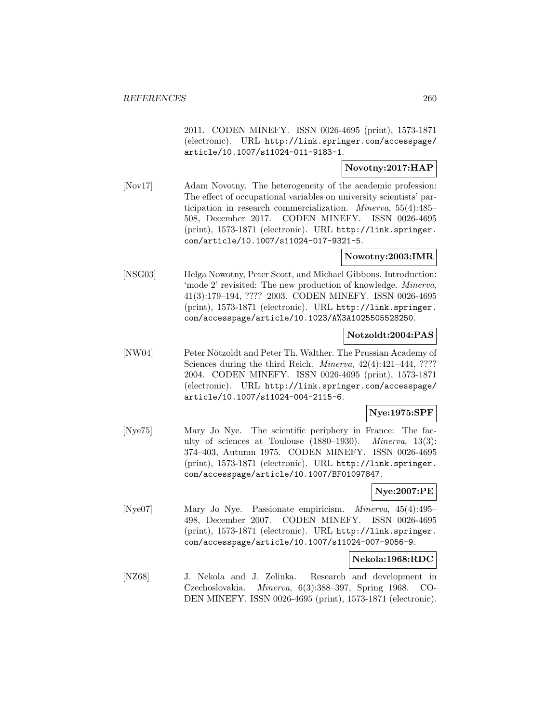2011. CODEN MINEFY. ISSN 0026-4695 (print), 1573-1871 (electronic). URL http://link.springer.com/accesspage/ article/10.1007/s11024-011-9183-1.

# **Novotny:2017:HAP**

[Nov17] Adam Novotny. The heterogeneity of the academic profession: The effect of occupational variables on university scientists' participation in research commercialization. Minerva, 55(4):485– 508, December 2017. CODEN MINEFY. ISSN 0026-4695 (print), 1573-1871 (electronic). URL http://link.springer. com/article/10.1007/s11024-017-9321-5.

# **Nowotny:2003:IMR**

[NSG03] Helga Nowotny, Peter Scott, and Michael Gibbons. Introduction: 'mode 2' revisited: The new production of knowledge. Minerva, 41(3):179–194, ???? 2003. CODEN MINEFY. ISSN 0026-4695 (print), 1573-1871 (electronic). URL http://link.springer. com/accesspage/article/10.1023/A%3A1025505528250.

# **Notzoldt:2004:PAS**

[NW04] Peter Nötzoldt and Peter Th. Walther. The Prussian Academy of Sciences during the third Reich. *Minerva*,  $42(4):421-444$ , ???? 2004. CODEN MINEFY. ISSN 0026-4695 (print), 1573-1871 (electronic). URL http://link.springer.com/accesspage/ article/10.1007/s11024-004-2115-6.

# **Nye:1975:SPF**

[Nye75] Mary Jo Nye. The scientific periphery in France: The faculty of sciences at Toulouse (1880–1930). Minerva, 13(3): 374–403, Autumn 1975. CODEN MINEFY. ISSN 0026-4695 (print), 1573-1871 (electronic). URL http://link.springer. com/accesspage/article/10.1007/BF01097847.

# **Nye:2007:PE**

[Nye07] Mary Jo Nye. Passionate empiricism. Minerva, 45(4):495– 498, December 2007. CODEN MINEFY. ISSN 0026-4695 (print), 1573-1871 (electronic). URL http://link.springer. com/accesspage/article/10.1007/s11024-007-9056-9.

#### **Nekola:1968:RDC**

[NZ68] J. Nekola and J. Zelinka. Research and development in Czechoslovakia. Minerva, 6(3):388–397, Spring 1968. CO-DEN MINEFY. ISSN 0026-4695 (print), 1573-1871 (electronic).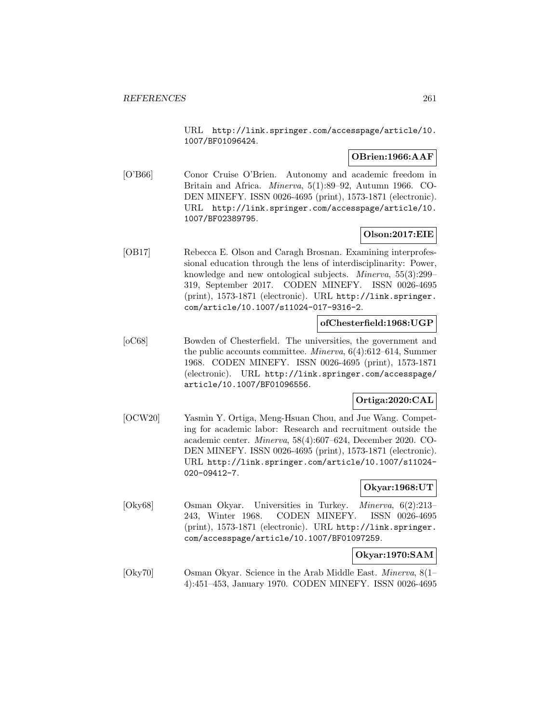URL http://link.springer.com/accesspage/article/10. 1007/BF01096424.

# **OBrien:1966:AAF**

[O'B66] Conor Cruise O'Brien. Autonomy and academic freedom in Britain and Africa. Minerva, 5(1):89–92, Autumn 1966. CO-DEN MINEFY. ISSN 0026-4695 (print), 1573-1871 (electronic). URL http://link.springer.com/accesspage/article/10. 1007/BF02389795.

# **Olson:2017:EIE**

[OB17] Rebecca E. Olson and Caragh Brosnan. Examining interprofessional education through the lens of interdisciplinarity: Power, knowledge and new ontological subjects. Minerva, 55(3):299– 319, September 2017. CODEN MINEFY. ISSN 0026-4695 (print), 1573-1871 (electronic). URL http://link.springer. com/article/10.1007/s11024-017-9316-2.

# **ofChesterfield:1968:UGP**

[oC68] Bowden of Chesterfield. The universities, the government and the public accounts committee. Minerva, 6(4):612–614, Summer 1968. CODEN MINEFY. ISSN 0026-4695 (print), 1573-1871 (electronic). URL http://link.springer.com/accesspage/ article/10.1007/BF01096556.

# **Ortiga:2020:CAL**

[OCW20] Yasmin Y. Ortiga, Meng-Hsuan Chou, and Jue Wang. Competing for academic labor: Research and recruitment outside the academic center. Minerva, 58(4):607–624, December 2020. CO-DEN MINEFY. ISSN 0026-4695 (print), 1573-1871 (electronic). URL http://link.springer.com/article/10.1007/s11024- 020-09412-7.

# **Okyar:1968:UT**

[Oky68] Osman Okyar. Universities in Turkey. Minerva, 6(2):213– 243, Winter 1968. CODEN MINEFY. ISSN 0026-4695 (print), 1573-1871 (electronic). URL http://link.springer. com/accesspage/article/10.1007/BF01097259.

# **Okyar:1970:SAM**

[Oky70] Osman Okyar. Science in the Arab Middle East. Minerva, 8(1– 4):451–453, January 1970. CODEN MINEFY. ISSN 0026-4695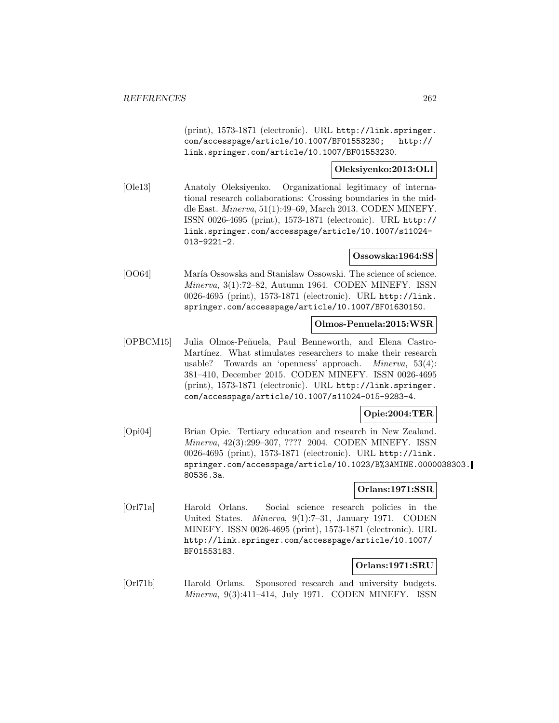(print), 1573-1871 (electronic). URL http://link.springer. com/accesspage/article/10.1007/BF01553230; http:// link.springer.com/article/10.1007/BF01553230.

# **Oleksiyenko:2013:OLI**

[Ole13] Anatoly Oleksiyenko. Organizational legitimacy of international research collaborations: Crossing boundaries in the middle East. Minerva, 51(1):49–69, March 2013. CODEN MINEFY. ISSN 0026-4695 (print), 1573-1871 (electronic). URL http:// link.springer.com/accesspage/article/10.1007/s11024- 013-9221-2.

### **Ossowska:1964:SS**

[OO64] María Ossowska and Stanislaw Ossowski. The science of science. Minerva, 3(1):72–82, Autumn 1964. CODEN MINEFY. ISSN 0026-4695 (print), 1573-1871 (electronic). URL http://link. springer.com/accesspage/article/10.1007/BF01630150.

### **Olmos-Penuela:2015:WSR**

[OPBCM15] Julia Olmos-Peñuela, Paul Benneworth, and Elena Castro-Martínez. What stimulates researchers to make their research usable? Towards an 'openness' approach. Minerva, 53(4): 381–410, December 2015. CODEN MINEFY. ISSN 0026-4695 (print), 1573-1871 (electronic). URL http://link.springer. com/accesspage/article/10.1007/s11024-015-9283-4.

#### **Opie:2004:TER**

[Opi04] Brian Opie. Tertiary education and research in New Zealand. Minerva, 42(3):299–307, ???? 2004. CODEN MINEFY. ISSN 0026-4695 (print), 1573-1871 (electronic). URL http://link. springer.com/accesspage/article/10.1023/B%3AMINE.0000038303. 80536.3a.

#### **Orlans:1971:SSR**

[Orl71a] Harold Orlans. Social science research policies in the United States. Minerva, 9(1):7–31, January 1971. CODEN MINEFY. ISSN 0026-4695 (print), 1573-1871 (electronic). URL http://link.springer.com/accesspage/article/10.1007/ BF01553183.

#### **Orlans:1971:SRU**

[Orl71b] Harold Orlans. Sponsored research and university budgets. Minerva, 9(3):411–414, July 1971. CODEN MINEFY. ISSN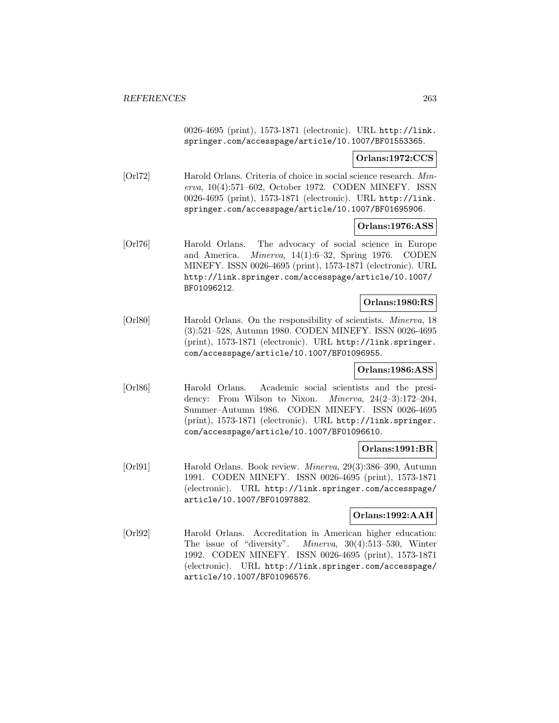0026-4695 (print), 1573-1871 (electronic). URL http://link. springer.com/accesspage/article/10.1007/BF01553365.

# **Orlans:1972:CCS**

[Orl72] Harold Orlans. Criteria of choice in social science research. Minerva, 10(4):571–602, October 1972. CODEN MINEFY. ISSN 0026-4695 (print), 1573-1871 (electronic). URL http://link. springer.com/accesspage/article/10.1007/BF01695906.

# **Orlans:1976:ASS**

[Orl76] Harold Orlans. The advocacy of social science in Europe and America. Minerva, 14(1):6–32, Spring 1976. CODEN MINEFY. ISSN 0026-4695 (print), 1573-1871 (electronic). URL http://link.springer.com/accesspage/article/10.1007/ BF01096212.

# **Orlans:1980:RS**

[Orl80] Harold Orlans. On the responsibility of scientists. *Minerva*, 18 (3):521–528, Autumn 1980. CODEN MINEFY. ISSN 0026-4695 (print), 1573-1871 (electronic). URL http://link.springer. com/accesspage/article/10.1007/BF01096955.

### **Orlans:1986:ASS**

[Orl86] Harold Orlans. Academic social scientists and the presidency: From Wilson to Nixon. *Minerva*,  $24(2-3):172-204$ , Summer–Autumn 1986. CODEN MINEFY. ISSN 0026-4695 (print), 1573-1871 (electronic). URL http://link.springer. com/accesspage/article/10.1007/BF01096610.

#### **Orlans:1991:BR**

[Orl91] Harold Orlans. Book review. Minerva, 29(3):386–390, Autumn 1991. CODEN MINEFY. ISSN 0026-4695 (print), 1573-1871 (electronic). URL http://link.springer.com/accesspage/ article/10.1007/BF01097882.

# **Orlans:1992:AAH**

[Orl92] Harold Orlans. Accreditation in American higher education: The issue of "diversity". Minerva, 30(4):513–530, Winter 1992. CODEN MINEFY. ISSN 0026-4695 (print), 1573-1871 (electronic). URL http://link.springer.com/accesspage/ article/10.1007/BF01096576.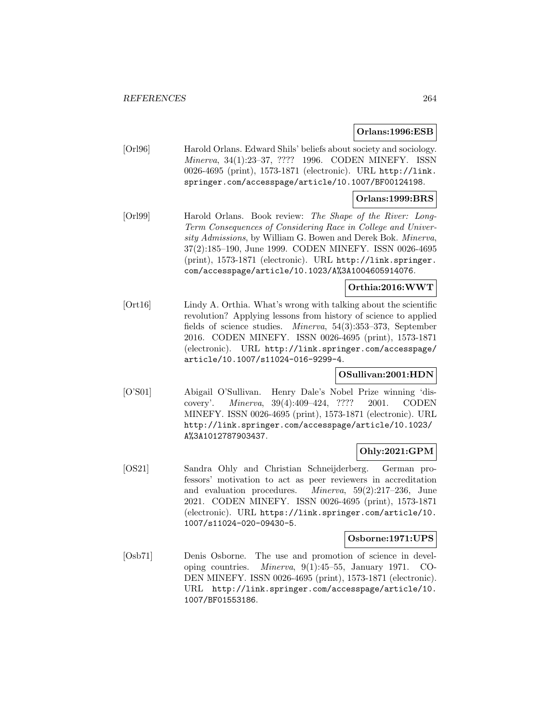# **Orlans:1996:ESB**

[Orl96] Harold Orlans. Edward Shils' beliefs about society and sociology. Minerva, 34(1):23–37, ???? 1996. CODEN MINEFY. ISSN 0026-4695 (print), 1573-1871 (electronic). URL http://link. springer.com/accesspage/article/10.1007/BF00124198.

# **Orlans:1999:BRS**

[Orl99] Harold Orlans. Book review: The Shape of the River: Long-Term Consequences of Considering Race in College and University Admissions, by William G. Bowen and Derek Bok. Minerva, 37(2):185–190, June 1999. CODEN MINEFY. ISSN 0026-4695 (print), 1573-1871 (electronic). URL http://link.springer. com/accesspage/article/10.1023/A%3A1004605914076.

# **Orthia:2016:WWT**

[Ort16] Lindy A. Orthia. What's wrong with talking about the scientific revolution? Applying lessons from history of science to applied fields of science studies. Minerva, 54(3):353–373, September 2016. CODEN MINEFY. ISSN 0026-4695 (print), 1573-1871 (electronic). URL http://link.springer.com/accesspage/ article/10.1007/s11024-016-9299-4.

# **OSullivan:2001:HDN**

[O'S01] Abigail O'Sullivan. Henry Dale's Nobel Prize winning 'discovery'. Minerva, 39(4):409–424, ???? 2001. CODEN MINEFY. ISSN 0026-4695 (print), 1573-1871 (electronic). URL http://link.springer.com/accesspage/article/10.1023/ A%3A1012787903437.

# **Ohly:2021:GPM**

[OS21] Sandra Ohly and Christian Schneijderberg. German professors' motivation to act as peer reviewers in accreditation and evaluation procedures. Minerva, 59(2):217–236, June 2021. CODEN MINEFY. ISSN 0026-4695 (print), 1573-1871 (electronic). URL https://link.springer.com/article/10. 1007/s11024-020-09430-5.

# **Osborne:1971:UPS**

[Osb71] Denis Osborne. The use and promotion of science in developing countries. Minerva, 9(1):45–55, January 1971. CO-DEN MINEFY. ISSN 0026-4695 (print), 1573-1871 (electronic). URL http://link.springer.com/accesspage/article/10. 1007/BF01553186.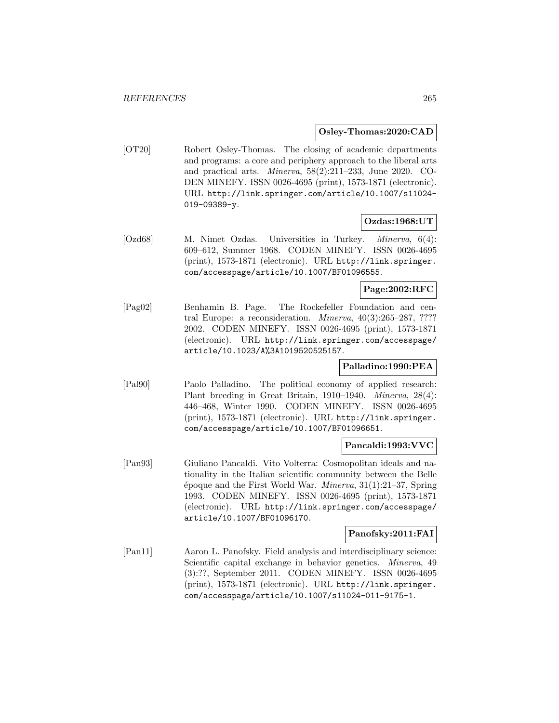### **Osley-Thomas:2020:CAD**

[OT20] Robert Osley-Thomas. The closing of academic departments and programs: a core and periphery approach to the liberal arts and practical arts. Minerva, 58(2):211–233, June 2020. CO-DEN MINEFY. ISSN 0026-4695 (print), 1573-1871 (electronic). URL http://link.springer.com/article/10.1007/s11024- 019-09389-y.

# **Ozdas:1968:UT**

[Ozd68] M. Nimet Ozdas. Universities in Turkey. Minerva, 6(4): 609–612, Summer 1968. CODEN MINEFY. ISSN 0026-4695 (print), 1573-1871 (electronic). URL http://link.springer. com/accesspage/article/10.1007/BF01096555.

# **Page:2002:RFC**

[Pag02] Benhamin B. Page. The Rockefeller Foundation and central Europe: a reconsideration. Minerva, 40(3):265–287, ???? 2002. CODEN MINEFY. ISSN 0026-4695 (print), 1573-1871 (electronic). URL http://link.springer.com/accesspage/ article/10.1023/A%3A1019520525157.

# **Palladino:1990:PEA**

[Pal90] Paolo Palladino. The political economy of applied research: Plant breeding in Great Britain, 1910–1940. Minerva, 28(4): 446–468, Winter 1990. CODEN MINEFY. ISSN 0026-4695 (print), 1573-1871 (electronic). URL http://link.springer. com/accesspage/article/10.1007/BF01096651.

#### **Pancaldi:1993:VVC**

[Pan93] Giuliano Pancaldi. Vito Volterra: Cosmopolitan ideals and nationality in the Italian scientific community between the Belle  $\epsilon$ poque and the First World War. *Minerva*, 31(1):21–37, Spring 1993. CODEN MINEFY. ISSN 0026-4695 (print), 1573-1871 (electronic). URL http://link.springer.com/accesspage/ article/10.1007/BF01096170.

# **Panofsky:2011:FAI**

[Pan11] Aaron L. Panofsky. Field analysis and interdisciplinary science: Scientific capital exchange in behavior genetics. *Minerva*, 49 (3):??, September 2011. CODEN MINEFY. ISSN 0026-4695 (print), 1573-1871 (electronic). URL http://link.springer. com/accesspage/article/10.1007/s11024-011-9175-1.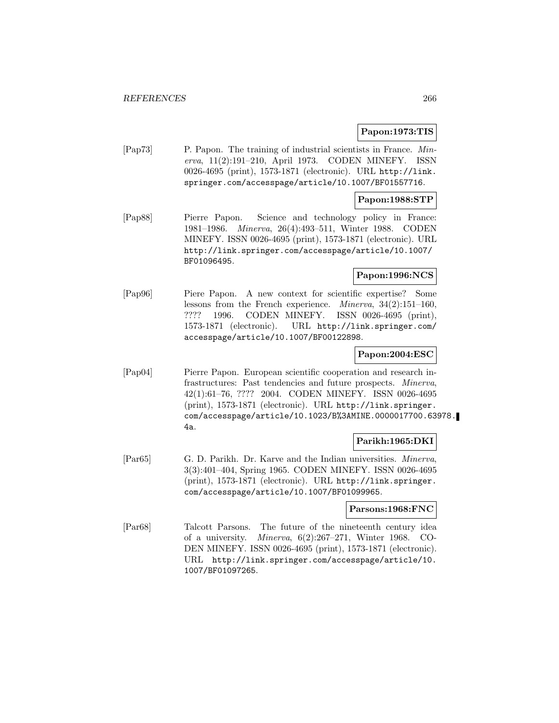# **Papon:1973:TIS**

[Pap73] P. Papon. The training of industrial scientists in France. Minerva, 11(2):191–210, April 1973. CODEN MINEFY. ISSN 0026-4695 (print), 1573-1871 (electronic). URL http://link. springer.com/accesspage/article/10.1007/BF01557716.

# **Papon:1988:STP**

[Pap88] Pierre Papon. Science and technology policy in France: 1981–1986. Minerva, 26(4):493–511, Winter 1988. CODEN MINEFY. ISSN 0026-4695 (print), 1573-1871 (electronic). URL http://link.springer.com/accesspage/article/10.1007/ BF01096495.

# **Papon:1996:NCS**

[Pap96] Piere Papon. A new context for scientific expertise? Some lessons from the French experience. Minerva, 34(2):151–160, ???? 1996. CODEN MINEFY. ISSN 0026-4695 (print), 1573-1871 (electronic). URL http://link.springer.com/ accesspage/article/10.1007/BF00122898.

# **Papon:2004:ESC**

[Pap04] Pierre Papon. European scientific cooperation and research infrastructures: Past tendencies and future prospects. Minerva, 42(1):61–76, ???? 2004. CODEN MINEFY. ISSN 0026-4695 (print), 1573-1871 (electronic). URL http://link.springer. com/accesspage/article/10.1023/B%3AMINE.0000017700.63978. 4a.

# **Parikh:1965:DKI**

[Par65] G. D. Parikh. Dr. Karve and the Indian universities. Minerva, 3(3):401–404, Spring 1965. CODEN MINEFY. ISSN 0026-4695 (print), 1573-1871 (electronic). URL http://link.springer. com/accesspage/article/10.1007/BF01099965.

# **Parsons:1968:FNC**

[Par68] Talcott Parsons. The future of the nineteenth century idea of a university. Minerva, 6(2):267–271, Winter 1968. CO-DEN MINEFY. ISSN 0026-4695 (print), 1573-1871 (electronic). URL http://link.springer.com/accesspage/article/10. 1007/BF01097265.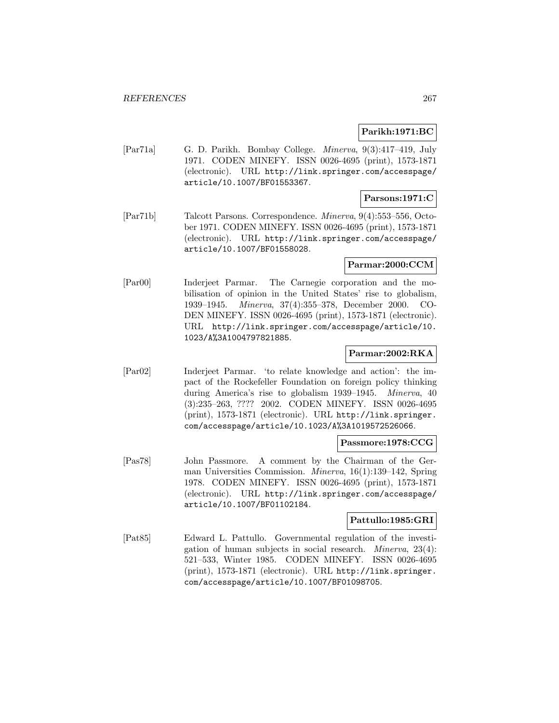# **Parikh:1971:BC**

[Par71a] G. D. Parikh. Bombay College. Minerva, 9(3):417–419, July 1971. CODEN MINEFY. ISSN 0026-4695 (print), 1573-1871 (electronic). URL http://link.springer.com/accesspage/ article/10.1007/BF01553367.

# **Parsons:1971:C**

[Par71b] Talcott Parsons. Correspondence. Minerva, 9(4):553–556, October 1971. CODEN MINEFY. ISSN 0026-4695 (print), 1573-1871 (electronic). URL http://link.springer.com/accesspage/ article/10.1007/BF01558028.

# **Parmar:2000:CCM**

[Par00] Inderjeet Parmar. The Carnegie corporation and the mobilisation of opinion in the United States' rise to globalism, 1939–1945. Minerva, 37(4):355–378, December 2000. CO-DEN MINEFY. ISSN 0026-4695 (print), 1573-1871 (electronic). URL http://link.springer.com/accesspage/article/10. 1023/A%3A1004797821885.

### **Parmar:2002:RKA**

[Par02] Inderjeet Parmar. 'to relate knowledge and action': the impact of the Rockefeller Foundation on foreign policy thinking during America's rise to globalism 1939–1945. Minerva, 40 (3):235–263, ???? 2002. CODEN MINEFY. ISSN 0026-4695 (print), 1573-1871 (electronic). URL http://link.springer. com/accesspage/article/10.1023/A%3A1019572526066.

#### **Passmore:1978:CCG**

[Pas78] John Passmore. A comment by the Chairman of the German Universities Commission. Minerva, 16(1):139–142, Spring 1978. CODEN MINEFY. ISSN 0026-4695 (print), 1573-1871 (electronic). URL http://link.springer.com/accesspage/ article/10.1007/BF01102184.

#### **Pattullo:1985:GRI**

[Pat85] Edward L. Pattullo. Governmental regulation of the investigation of human subjects in social research. Minerva, 23(4): 521–533, Winter 1985. CODEN MINEFY. ISSN 0026-4695 (print), 1573-1871 (electronic). URL http://link.springer. com/accesspage/article/10.1007/BF01098705.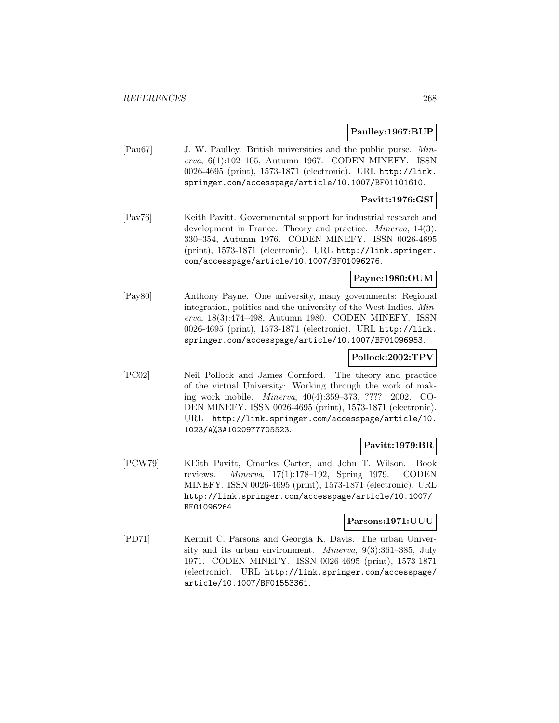# **Paulley:1967:BUP**

[Pau67] J. W. Paulley. British universities and the public purse. Minerva, 6(1):102–105, Autumn 1967. CODEN MINEFY. ISSN 0026-4695 (print), 1573-1871 (electronic). URL http://link. springer.com/accesspage/article/10.1007/BF01101610.

# **Pavitt:1976:GSI**

[Pav76] Keith Pavitt. Governmental support for industrial research and development in France: Theory and practice. *Minerva*, 14(3): 330–354, Autumn 1976. CODEN MINEFY. ISSN 0026-4695 (print), 1573-1871 (electronic). URL http://link.springer. com/accesspage/article/10.1007/BF01096276.

# **Payne:1980:OUM**

[Pay80] Anthony Payne. One university, many governments: Regional integration, politics and the university of the West Indies. Minerva, 18(3):474–498, Autumn 1980. CODEN MINEFY. ISSN 0026-4695 (print), 1573-1871 (electronic). URL http://link. springer.com/accesspage/article/10.1007/BF01096953.

# **Pollock:2002:TPV**

[PC02] Neil Pollock and James Cornford. The theory and practice of the virtual University: Working through the work of making work mobile. Minerva, 40(4):359–373, ???? 2002. CO-DEN MINEFY. ISSN 0026-4695 (print), 1573-1871 (electronic). URL http://link.springer.com/accesspage/article/10. 1023/A%3A1020977705523.

# **Pavitt:1979:BR**

[PCW79] KEith Pavitt, Cmarles Carter, and John T. Wilson. Book reviews. Minerva, 17(1):178–192, Spring 1979. CODEN MINEFY. ISSN 0026-4695 (print), 1573-1871 (electronic). URL http://link.springer.com/accesspage/article/10.1007/ BF01096264.

# **Parsons:1971:UUU**

[PD71] Kermit C. Parsons and Georgia K. Davis. The urban University and its urban environment. Minerva, 9(3):361–385, July 1971. CODEN MINEFY. ISSN 0026-4695 (print), 1573-1871 (electronic). URL http://link.springer.com/accesspage/ article/10.1007/BF01553361.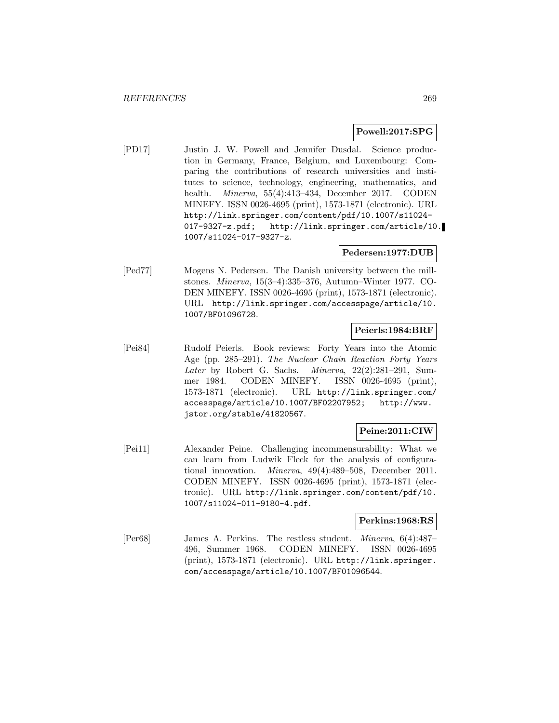# **Powell:2017:SPG**

[PD17] Justin J. W. Powell and Jennifer Dusdal. Science production in Germany, France, Belgium, and Luxembourg: Comparing the contributions of research universities and institutes to science, technology, engineering, mathematics, and health. Minerva, 55(4):413–434, December 2017. CODEN MINEFY. ISSN 0026-4695 (print), 1573-1871 (electronic). URL http://link.springer.com/content/pdf/10.1007/s11024- 017-9327-z.pdf; http://link.springer.com/article/10. 1007/s11024-017-9327-z.

# **Pedersen:1977:DUB**

[Ped77] Mogens N. Pedersen. The Danish university between the millstones. Minerva, 15(3–4):335–376, Autumn–Winter 1977. CO-DEN MINEFY. ISSN 0026-4695 (print), 1573-1871 (electronic). URL http://link.springer.com/accesspage/article/10. 1007/BF01096728.

# **Peierls:1984:BRF**

[Pei84] Rudolf Peierls. Book reviews: Forty Years into the Atomic Age (pp. 285–291). The Nuclear Chain Reaction Forty Years Later by Robert G. Sachs. Minerva, 22(2):281-291, Summer 1984. CODEN MINEFY. ISSN 0026-4695 (print), 1573-1871 (electronic). URL http://link.springer.com/ accesspage/article/10.1007/BF02207952; http://www. jstor.org/stable/41820567.

# **Peine:2011:CIW**

[Pei11] Alexander Peine. Challenging incommensurability: What we can learn from Ludwik Fleck for the analysis of configurational innovation. Minerva, 49(4):489–508, December 2011. CODEN MINEFY. ISSN 0026-4695 (print), 1573-1871 (electronic). URL http://link.springer.com/content/pdf/10. 1007/s11024-011-9180-4.pdf.

# **Perkins:1968:RS**

[Per68] James A. Perkins. The restless student. Minerva, 6(4):487– 496, Summer 1968. CODEN MINEFY. ISSN 0026-4695 (print), 1573-1871 (electronic). URL http://link.springer. com/accesspage/article/10.1007/BF01096544.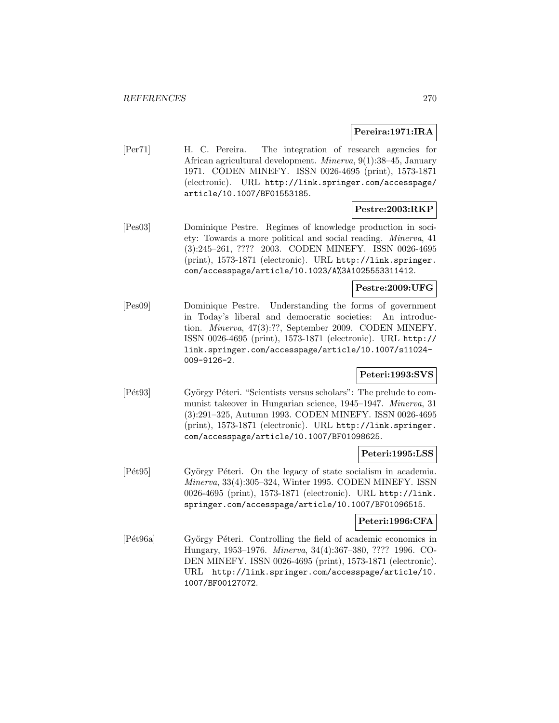### **Pereira:1971:IRA**

[Per71] H. C. Pereira. The integration of research agencies for African agricultural development. Minerva, 9(1):38–45, January 1971. CODEN MINEFY. ISSN 0026-4695 (print), 1573-1871 (electronic). URL http://link.springer.com/accesspage/ article/10.1007/BF01553185.

# **Pestre:2003:RKP**

[Pes03] Dominique Pestre. Regimes of knowledge production in society: Towards a more political and social reading. Minerva, 41 (3):245–261, ???? 2003. CODEN MINEFY. ISSN 0026-4695 (print), 1573-1871 (electronic). URL http://link.springer. com/accesspage/article/10.1023/A%3A1025553311412.

#### **Pestre:2009:UFG**

[Pes09] Dominique Pestre. Understanding the forms of government in Today's liberal and democratic societies: An introduction. Minerva, 47(3):??, September 2009. CODEN MINEFY. ISSN 0026-4695 (print), 1573-1871 (electronic). URL http:// link.springer.com/accesspage/article/10.1007/s11024- 009-9126-2.

# **Peteri:1993:SVS**

[P<sup> $et93$ ]</sup> György P $\acute{e}$ teri. "Scientists versus scholars": The prelude to communist takeover in Hungarian science, 1945–1947. Minerva, 31 (3):291–325, Autumn 1993. CODEN MINEFY. ISSN 0026-4695 (print), 1573-1871 (electronic). URL http://link.springer. com/accesspage/article/10.1007/BF01098625.

#### **Peteri:1995:LSS**

[Pét95] György Péteri. On the legacy of state socialism in academia. Minerva, 33(4):305–324, Winter 1995. CODEN MINEFY. ISSN 0026-4695 (print), 1573-1871 (electronic). URL http://link. springer.com/accesspage/article/10.1007/BF01096515.

# **Peteri:1996:CFA**

[Pét96a] György Péteri. Controlling the field of academic economics in Hungary, 1953–1976. Minerva, 34(4):367–380, ???? 1996. CO-DEN MINEFY. ISSN 0026-4695 (print), 1573-1871 (electronic). URL http://link.springer.com/accesspage/article/10. 1007/BF00127072.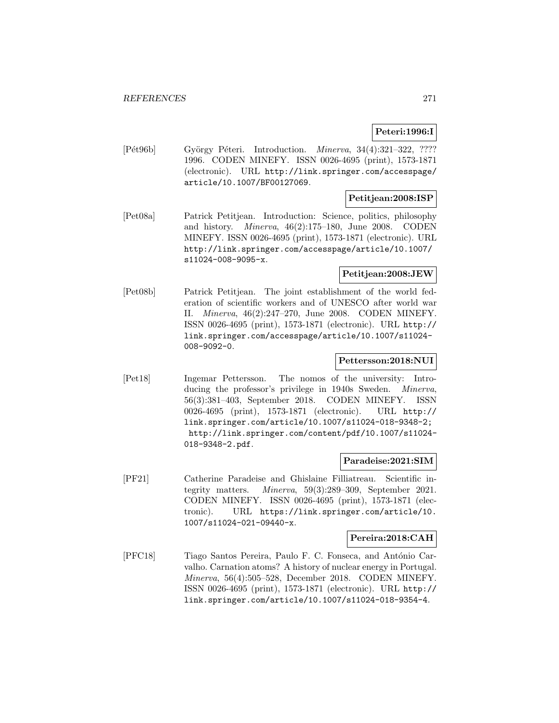# **Peteri:1996:I**

[Pét96b] György Péteri. Introduction. *Minerva*, 34(4):321-322, ???? 1996. CODEN MINEFY. ISSN 0026-4695 (print), 1573-1871 (electronic). URL http://link.springer.com/accesspage/ article/10.1007/BF00127069.

# **Petitjean:2008:ISP**

[Pet08a] Patrick Petitjean. Introduction: Science, politics, philosophy and history. Minerva, 46(2):175–180, June 2008. CODEN MINEFY. ISSN 0026-4695 (print), 1573-1871 (electronic). URL http://link.springer.com/accesspage/article/10.1007/ s11024-008-9095-x.

# **Petitjean:2008:JEW**

[Pet08b] Patrick Petitjean. The joint establishment of the world federation of scientific workers and of UNESCO after world war II. Minerva, 46(2):247–270, June 2008. CODEN MINEFY. ISSN 0026-4695 (print), 1573-1871 (electronic). URL http:// link.springer.com/accesspage/article/10.1007/s11024- 008-9092-0.

# **Pettersson:2018:NUI**

[Pet18] Ingemar Pettersson. The nomos of the university: Introducing the professor's privilege in 1940s Sweden. *Minerva*, 56(3):381–403, September 2018. CODEN MINEFY. ISSN 0026-4695 (print), 1573-1871 (electronic). URL http:// link.springer.com/article/10.1007/s11024-018-9348-2; http://link.springer.com/content/pdf/10.1007/s11024- 018-9348-2.pdf.

#### **Paradeise:2021:SIM**

[PF21] Catherine Paradeise and Ghislaine Filliatreau. Scientific integrity matters. Minerva, 59(3):289–309, September 2021. CODEN MINEFY. ISSN 0026-4695 (print), 1573-1871 (electronic). URL https://link.springer.com/article/10. 1007/s11024-021-09440-x.

#### **Pereira:2018:CAH**

[PFC18] Tiago Santos Pereira, Paulo F. C. Fonseca, and António Carvalho. Carnation atoms? A history of nuclear energy in Portugal. Minerva, 56(4):505–528, December 2018. CODEN MINEFY. ISSN 0026-4695 (print), 1573-1871 (electronic). URL http:// link.springer.com/article/10.1007/s11024-018-9354-4.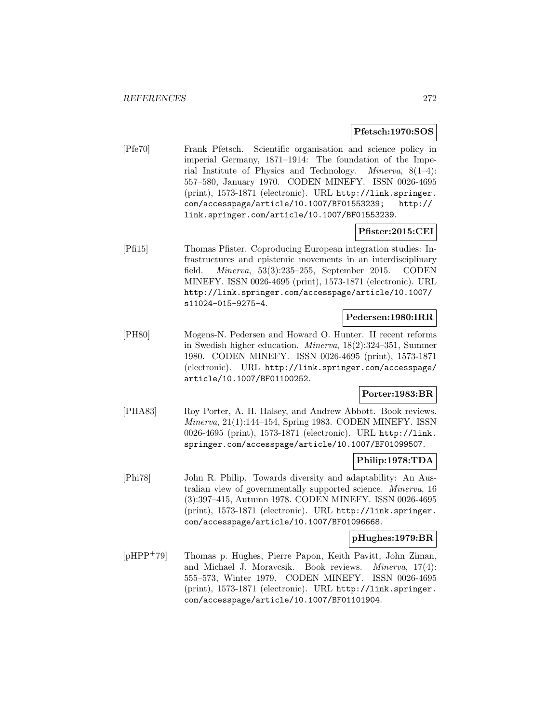### **Pfetsch:1970:SOS**

[Pfe70] Frank Pfetsch. Scientific organisation and science policy in imperial Germany, 1871–1914: The foundation of the Imperial Institute of Physics and Technology. Minerva, 8(1–4): 557–580, January 1970. CODEN MINEFY. ISSN 0026-4695 (print), 1573-1871 (electronic). URL http://link.springer. com/accesspage/article/10.1007/BF01553239; http:// link.springer.com/article/10.1007/BF01553239.

# **Pfister:2015:CEI**

[Pfi15] Thomas Pfister. Coproducing European integration studies: Infrastructures and epistemic movements in an interdisciplinary field. Minerva, 53(3):235–255, September 2015. CODEN MINEFY. ISSN 0026-4695 (print), 1573-1871 (electronic). URL http://link.springer.com/accesspage/article/10.1007/ s11024-015-9275-4.

## **Pedersen:1980:IRR**

[PH80] Mogens-N. Pedersen and Howard O. Hunter. II recent reforms in Swedish higher education. Minerva, 18(2):324–351, Summer 1980. CODEN MINEFY. ISSN 0026-4695 (print), 1573-1871 (electronic). URL http://link.springer.com/accesspage/ article/10.1007/BF01100252.

#### **Porter:1983:BR**

[PHA83] Roy Porter, A. H. Halsey, and Andrew Abbott. Book reviews. Minerva, 21(1):144–154, Spring 1983. CODEN MINEFY. ISSN 0026-4695 (print), 1573-1871 (electronic). URL http://link. springer.com/accesspage/article/10.1007/BF01099507.

# **Philip:1978:TDA**

[Phi78] John R. Philip. Towards diversity and adaptability: An Australian view of governmentally supported science. Minerva, 16 (3):397–415, Autumn 1978. CODEN MINEFY. ISSN 0026-4695 (print), 1573-1871 (electronic). URL http://link.springer. com/accesspage/article/10.1007/BF01096668.

### **pHughes:1979:BR**

[pHPP<sup>+</sup>79] Thomas p. Hughes, Pierre Papon, Keith Pavitt, John Ziman, and Michael J. Moravcsik. Book reviews. Minerva, 17(4): 555–573, Winter 1979. CODEN MINEFY. ISSN 0026-4695 (print), 1573-1871 (electronic). URL http://link.springer. com/accesspage/article/10.1007/BF01101904.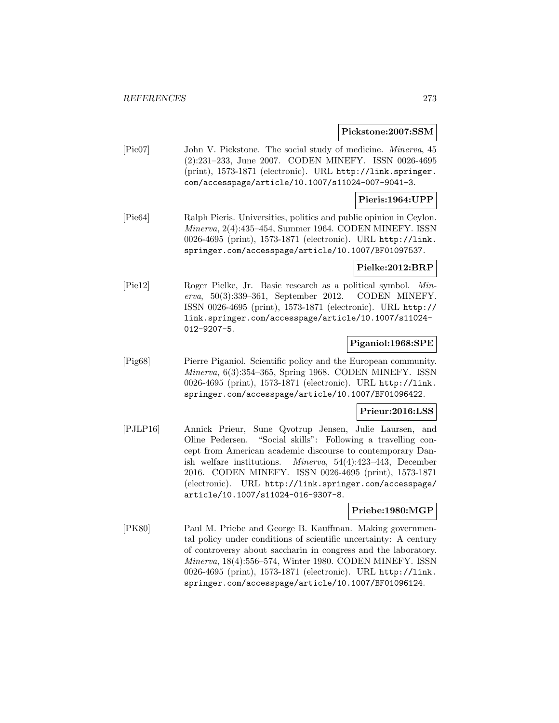#### **Pickstone:2007:SSM**

[Pic07] John V. Pickstone. The social study of medicine. Minerva, 45 (2):231–233, June 2007. CODEN MINEFY. ISSN 0026-4695 (print), 1573-1871 (electronic). URL http://link.springer. com/accesspage/article/10.1007/s11024-007-9041-3.

# **Pieris:1964:UPP**

[Pie64] Ralph Pieris. Universities, politics and public opinion in Ceylon. Minerva, 2(4):435–454, Summer 1964. CODEN MINEFY. ISSN 0026-4695 (print), 1573-1871 (electronic). URL http://link. springer.com/accesspage/article/10.1007/BF01097537.

### **Pielke:2012:BRP**

[Pie12] Roger Pielke, Jr. Basic research as a political symbol. Minerva, 50(3):339–361, September 2012. CODEN MINEFY. ISSN 0026-4695 (print), 1573-1871 (electronic). URL http:// link.springer.com/accesspage/article/10.1007/s11024- 012-9207-5.

#### **Piganiol:1968:SPE**

[Pig68] Pierre Piganiol. Scientific policy and the European community. Minerva, 6(3):354–365, Spring 1968. CODEN MINEFY. ISSN 0026-4695 (print), 1573-1871 (electronic). URL http://link. springer.com/accesspage/article/10.1007/BF01096422.

#### **Prieur:2016:LSS**

[PJLP16] Annick Prieur, Sune Qvotrup Jensen, Julie Laursen, and Oline Pedersen. "Social skills": Following a travelling concept from American academic discourse to contemporary Danish welfare institutions. Minerva, 54(4):423–443, December 2016. CODEN MINEFY. ISSN 0026-4695 (print), 1573-1871 (electronic). URL http://link.springer.com/accesspage/ article/10.1007/s11024-016-9307-8.

#### **Priebe:1980:MGP**

[PK80] Paul M. Priebe and George B. Kauffman. Making governmental policy under conditions of scientific uncertainty: A century of controversy about saccharin in congress and the laboratory. Minerva, 18(4):556–574, Winter 1980. CODEN MINEFY. ISSN 0026-4695 (print), 1573-1871 (electronic). URL http://link. springer.com/accesspage/article/10.1007/BF01096124.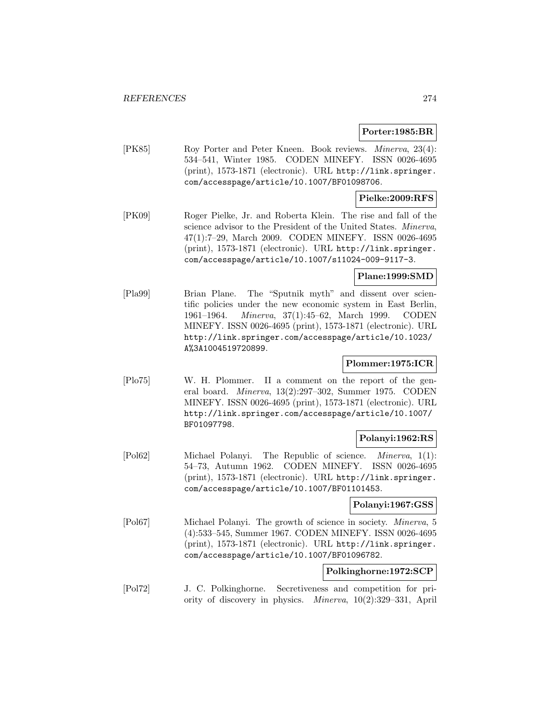# **Porter:1985:BR**

[PK85] Roy Porter and Peter Kneen. Book reviews. Minerva, 23(4): 534–541, Winter 1985. CODEN MINEFY. ISSN 0026-4695 (print), 1573-1871 (electronic). URL http://link.springer. com/accesspage/article/10.1007/BF01098706.

# **Pielke:2009:RFS**

[PK09] Roger Pielke, Jr. and Roberta Klein. The rise and fall of the science advisor to the President of the United States. Minerva, 47(1):7–29, March 2009. CODEN MINEFY. ISSN 0026-4695 (print), 1573-1871 (electronic). URL http://link.springer. com/accesspage/article/10.1007/s11024-009-9117-3.

# **Plane:1999:SMD**

[Pla99] Brian Plane. The "Sputnik myth" and dissent over scientific policies under the new economic system in East Berlin, 1961–1964. Minerva, 37(1):45–62, March 1999. CODEN MINEFY. ISSN 0026-4695 (print), 1573-1871 (electronic). URL http://link.springer.com/accesspage/article/10.1023/ A%3A1004519720899.

# **Plommer:1975:ICR**

[Plo75] W. H. Plommer. II a comment on the report of the general board. Minerva, 13(2):297–302, Summer 1975. CODEN MINEFY. ISSN 0026-4695 (print), 1573-1871 (electronic). URL http://link.springer.com/accesspage/article/10.1007/ BF01097798.

# **Polanyi:1962:RS**

[Pol62] Michael Polanyi. The Republic of science. Minerva, 1(1): 54–73, Autumn 1962. CODEN MINEFY. ISSN 0026-4695 (print), 1573-1871 (electronic). URL http://link.springer. com/accesspage/article/10.1007/BF01101453.

# **Polanyi:1967:GSS**

[Pol67] Michael Polanyi. The growth of science in society. Minerva, 5 (4):533–545, Summer 1967. CODEN MINEFY. ISSN 0026-4695 (print), 1573-1871 (electronic). URL http://link.springer. com/accesspage/article/10.1007/BF01096782.

### **Polkinghorne:1972:SCP**

[Pol72] J. C. Polkinghorne. Secretiveness and competition for priority of discovery in physics. Minerva, 10(2):329–331, April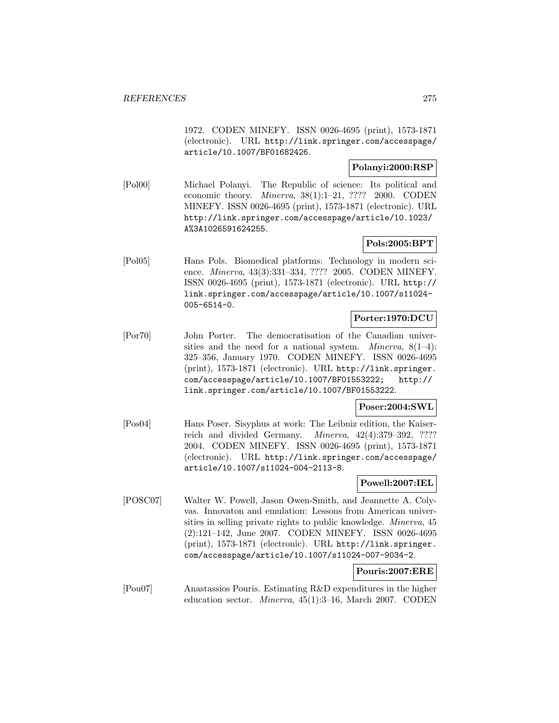1972. CODEN MINEFY. ISSN 0026-4695 (print), 1573-1871 (electronic). URL http://link.springer.com/accesspage/ article/10.1007/BF01682426.

# **Polanyi:2000:RSP**

[Pol00] Michael Polanyi. The Republic of science: Its political and economic theory. Minerva, 38(1):1–21, ???? 2000. CODEN MINEFY. ISSN 0026-4695 (print), 1573-1871 (electronic). URL http://link.springer.com/accesspage/article/10.1023/ A%3A1026591624255.

# **Pols:2005:BPT**

[Pol05] Hans Pols. Biomedical platforms: Technology in modern science. Minerva, 43(3):331–334, ???? 2005. CODEN MINEFY. ISSN 0026-4695 (print), 1573-1871 (electronic). URL http:// link.springer.com/accesspage/article/10.1007/s11024- 005-6514-0.

# **Porter:1970:DCU**

[Por70] John Porter. The democratisation of the Canadian universities and the need for a national system. *Minerva*,  $8(1-4)$ : 325–356, January 1970. CODEN MINEFY. ISSN 0026-4695 (print), 1573-1871 (electronic). URL http://link.springer. com/accesspage/article/10.1007/BF01553222; http:// link.springer.com/article/10.1007/BF01553222.

# **Poser:2004:SWL**

[Pos04] Hans Poser. Sisyphus at work: The Leibniz edition, the Kaiserreich and divided Germany. Minerva, 42(4):379–392, ???? 2004. CODEN MINEFY. ISSN 0026-4695 (print), 1573-1871 (electronic). URL http://link.springer.com/accesspage/ article/10.1007/s11024-004-2113-8.

# **Powell:2007:IEL**

[POSC07] Walter W. Powell, Jason Owen-Smith, and Jeannette A. Colyvas. Innovaton and emulation: Lessons from American universities in selling private rights to public knowledge. Minerva, 45 (2):121–142, June 2007. CODEN MINEFY. ISSN 0026-4695 (print), 1573-1871 (electronic). URL http://link.springer. com/accesspage/article/10.1007/s11024-007-9034-2.

# **Pouris:2007:ERE**

[Pou07] Anastassios Pouris. Estimating R&D expenditures in the higher education sector. Minerva, 45(1):3–16, March 2007. CODEN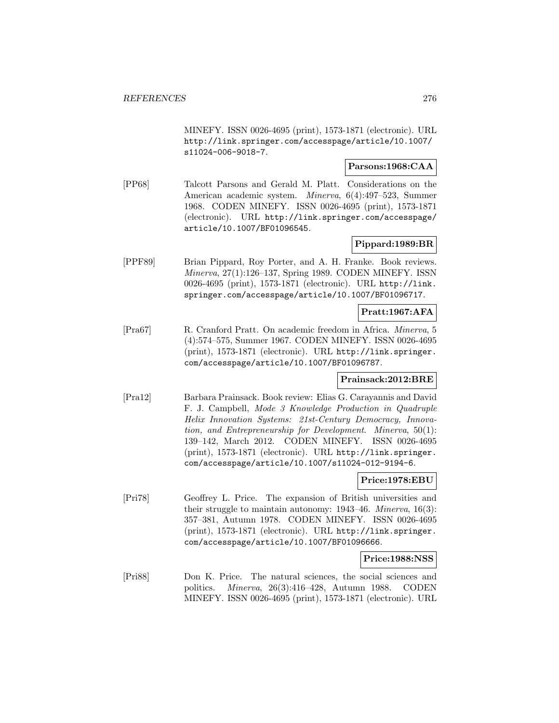MINEFY. ISSN 0026-4695 (print), 1573-1871 (electronic). URL http://link.springer.com/accesspage/article/10.1007/ s11024-006-9018-7.

# **Parsons:1968:CAA**

[PP68] Talcott Parsons and Gerald M. Platt. Considerations on the American academic system. Minerva, 6(4):497–523, Summer 1968. CODEN MINEFY. ISSN 0026-4695 (print), 1573-1871 (electronic). URL http://link.springer.com/accesspage/ article/10.1007/BF01096545.

# **Pippard:1989:BR**

[PPF89] Brian Pippard, Roy Porter, and A. H. Franke. Book reviews. Minerva, 27(1):126–137, Spring 1989. CODEN MINEFY. ISSN 0026-4695 (print), 1573-1871 (electronic). URL http://link. springer.com/accesspage/article/10.1007/BF01096717.

# **Pratt:1967:AFA**

[Pra67] R. Cranford Pratt. On academic freedom in Africa. Minerva, 5 (4):574–575, Summer 1967. CODEN MINEFY. ISSN 0026-4695 (print), 1573-1871 (electronic). URL http://link.springer. com/accesspage/article/10.1007/BF01096787.

# **Prainsack:2012:BRE**

[Pra12] Barbara Prainsack. Book review: Elias G. Carayannis and David F. J. Campbell, Mode 3 Knowledge Production in Quadruple Helix Innovation Systems: 21st-Century Democracy, Innovation, and Entrepreneurship for Development. Minerva, 50(1): 139–142, March 2012. CODEN MINEFY. ISSN 0026-4695 (print), 1573-1871 (electronic). URL http://link.springer. com/accesspage/article/10.1007/s11024-012-9194-6.

# **Price:1978:EBU**

[Pri78] Geoffrey L. Price. The expansion of British universities and their struggle to maintain autonomy: 1943–46. Minerva, 16(3): 357–381, Autumn 1978. CODEN MINEFY. ISSN 0026-4695 (print), 1573-1871 (electronic). URL http://link.springer. com/accesspage/article/10.1007/BF01096666.

#### **Price:1988:NSS**

[Pri88] Don K. Price. The natural sciences, the social sciences and politics. Minerva, 26(3):416–428, Autumn 1988. CODEN MINEFY. ISSN 0026-4695 (print), 1573-1871 (electronic). URL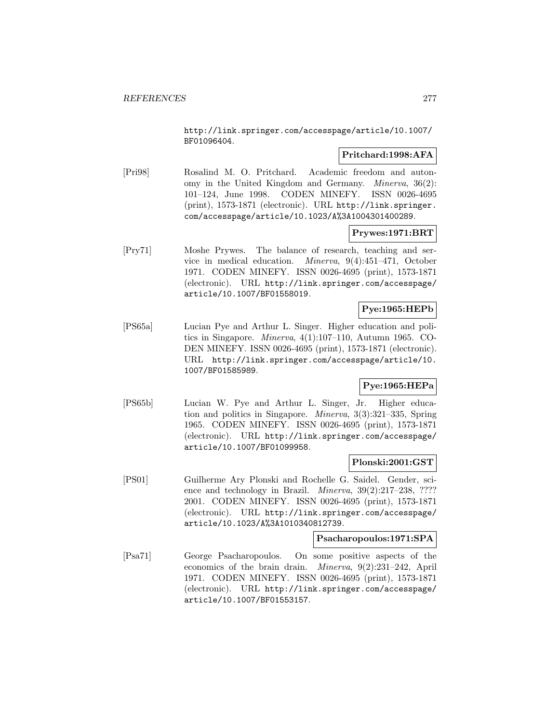http://link.springer.com/accesspage/article/10.1007/ BF01096404.

# **Pritchard:1998:AFA**

[Pri98] Rosalind M. O. Pritchard. Academic freedom and autonomy in the United Kingdom and Germany. Minerva, 36(2): 101–124, June 1998. CODEN MINEFY. ISSN 0026-4695 (print), 1573-1871 (electronic). URL http://link.springer. com/accesspage/article/10.1023/A%3A1004301400289.

# **Prywes:1971:BRT**

[Pry71] Moshe Prywes. The balance of research, teaching and service in medical education. Minerva, 9(4):451–471, October 1971. CODEN MINEFY. ISSN 0026-4695 (print), 1573-1871 (electronic). URL http://link.springer.com/accesspage/ article/10.1007/BF01558019.

# **Pye:1965:HEPb**

[PS65a] Lucian Pye and Arthur L. Singer. Higher education and politics in Singapore. Minerva, 4(1):107–110, Autumn 1965. CO-DEN MINEFY. ISSN 0026-4695 (print), 1573-1871 (electronic). URL http://link.springer.com/accesspage/article/10. 1007/BF01585989.

# **Pye:1965:HEPa**

[PS65b] Lucian W. Pye and Arthur L. Singer, Jr. Higher education and politics in Singapore. Minerva, 3(3):321–335, Spring 1965. CODEN MINEFY. ISSN 0026-4695 (print), 1573-1871 (electronic). URL http://link.springer.com/accesspage/ article/10.1007/BF01099958.

# **Plonski:2001:GST**

[PS01] Guilherme Ary Plonski and Rochelle G. Saidel. Gender, science and technology in Brazil. *Minerva*,  $39(2):217-238$ , ???? 2001. CODEN MINEFY. ISSN 0026-4695 (print), 1573-1871 (electronic). URL http://link.springer.com/accesspage/ article/10.1023/A%3A1010340812739.

# **Psacharopoulos:1971:SPA**

[Psa71] George Psacharopoulos. On some positive aspects of the economics of the brain drain. Minerva, 9(2):231–242, April 1971. CODEN MINEFY. ISSN 0026-4695 (print), 1573-1871 (electronic). URL http://link.springer.com/accesspage/ article/10.1007/BF01553157.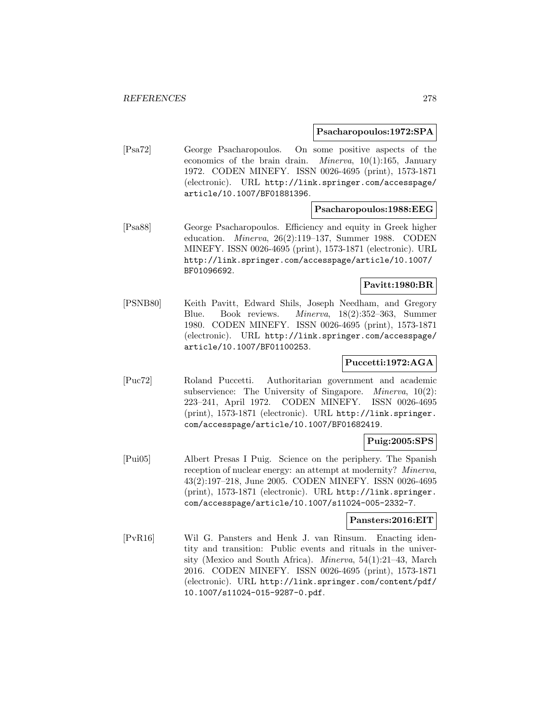### **Psacharopoulos:1972:SPA**

[Psa72] George Psacharopoulos. On some positive aspects of the economics of the brain drain. Minerva, 10(1):165, January 1972. CODEN MINEFY. ISSN 0026-4695 (print), 1573-1871 (electronic). URL http://link.springer.com/accesspage/ article/10.1007/BF01881396.

#### **Psacharopoulos:1988:EEG**

[Psa88] George Psacharopoulos. Efficiency and equity in Greek higher education. Minerva, 26(2):119–137, Summer 1988. CODEN MINEFY. ISSN 0026-4695 (print), 1573-1871 (electronic). URL http://link.springer.com/accesspage/article/10.1007/ BF01096692.

### **Pavitt:1980:BR**

[PSNB80] Keith Pavitt, Edward Shils, Joseph Needham, and Gregory Blue. Book reviews. Minerva, 18(2):352–363, Summer 1980. CODEN MINEFY. ISSN 0026-4695 (print), 1573-1871 (electronic). URL http://link.springer.com/accesspage/ article/10.1007/BF01100253.

# **Puccetti:1972:AGA**

[Puc72] Roland Puccetti. Authoritarian government and academic subservience: The University of Singapore. *Minerva*, 10(2): 223–241, April 1972. CODEN MINEFY. ISSN 0026-4695 (print), 1573-1871 (electronic). URL http://link.springer. com/accesspage/article/10.1007/BF01682419.

# **Puig:2005:SPS**

[Pui05] Albert Presas I Puig. Science on the periphery. The Spanish reception of nuclear energy: an attempt at modernity? Minerva, 43(2):197–218, June 2005. CODEN MINEFY. ISSN 0026-4695 (print), 1573-1871 (electronic). URL http://link.springer. com/accesspage/article/10.1007/s11024-005-2332-7.

#### **Pansters:2016:EIT**

[PvR16] Wil G. Pansters and Henk J. van Rinsum. Enacting identity and transition: Public events and rituals in the university (Mexico and South Africa). Minerva, 54(1):21–43, March 2016. CODEN MINEFY. ISSN 0026-4695 (print), 1573-1871 (electronic). URL http://link.springer.com/content/pdf/ 10.1007/s11024-015-9287-0.pdf.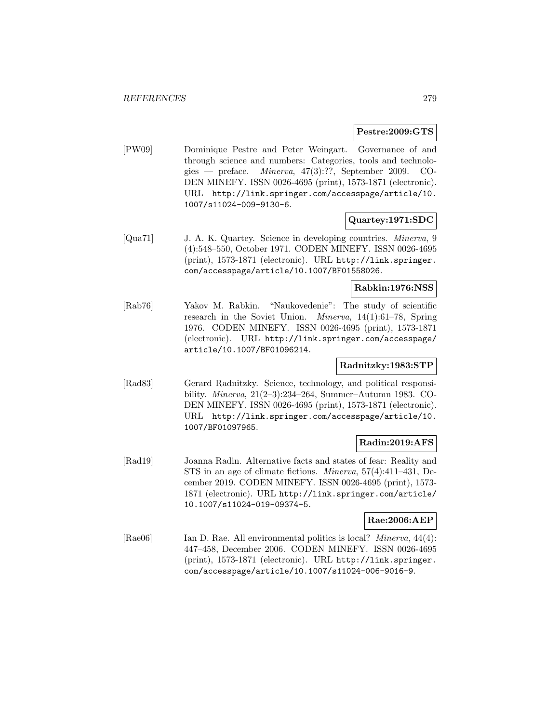### **Pestre:2009:GTS**

[PW09] Dominique Pestre and Peter Weingart. Governance of and through science and numbers: Categories, tools and technologies — preface. Minerva, 47(3):??, September 2009. CO-DEN MINEFY. ISSN 0026-4695 (print), 1573-1871 (electronic). URL http://link.springer.com/accesspage/article/10. 1007/s11024-009-9130-6.

# **Quartey:1971:SDC**

[Qua71] J. A. K. Quartey. Science in developing countries. Minerva, 9 (4):548–550, October 1971. CODEN MINEFY. ISSN 0026-4695 (print), 1573-1871 (electronic). URL http://link.springer. com/accesspage/article/10.1007/BF01558026.

### **Rabkin:1976:NSS**

[Rab76] Yakov M. Rabkin. "Naukovedenie": The study of scientific research in the Soviet Union. Minerva, 14(1):61–78, Spring 1976. CODEN MINEFY. ISSN 0026-4695 (print), 1573-1871 (electronic). URL http://link.springer.com/accesspage/ article/10.1007/BF01096214.

# **Radnitzky:1983:STP**

[Rad83] Gerard Radnitzky. Science, technology, and political responsibility. Minerva, 21(2–3):234–264, Summer–Autumn 1983. CO-DEN MINEFY. ISSN 0026-4695 (print), 1573-1871 (electronic). URL http://link.springer.com/accesspage/article/10. 1007/BF01097965.

# **Radin:2019:AFS**

[Rad19] Joanna Radin. Alternative facts and states of fear: Reality and STS in an age of climate fictions. Minerva, 57(4):411–431, December 2019. CODEN MINEFY. ISSN 0026-4695 (print), 1573- 1871 (electronic). URL http://link.springer.com/article/ 10.1007/s11024-019-09374-5.

# **Rae:2006:AEP**

[Rae06] Ian D. Rae. All environmental politics is local? *Minerva*, 44(4): 447–458, December 2006. CODEN MINEFY. ISSN 0026-4695 (print), 1573-1871 (electronic). URL http://link.springer. com/accesspage/article/10.1007/s11024-006-9016-9.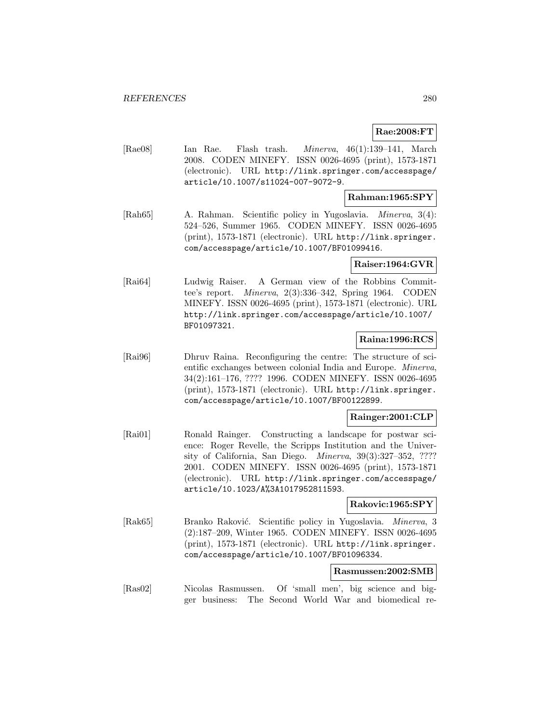# **Rae:2008:FT**

[Rae08] Ian Rae. Flash trash. Minerva, 46(1):139–141, March 2008. CODEN MINEFY. ISSN 0026-4695 (print), 1573-1871 (electronic). URL http://link.springer.com/accesspage/ article/10.1007/s11024-007-9072-9.

# **Rahman:1965:SPY**

[Rah65] A. Rahman. Scientific policy in Yugoslavia. Minerva, 3(4): 524–526, Summer 1965. CODEN MINEFY. ISSN 0026-4695 (print), 1573-1871 (electronic). URL http://link.springer. com/accesspage/article/10.1007/BF01099416.

# **Raiser:1964:GVR**

[Rai64] Ludwig Raiser. A German view of the Robbins Committee's report. Minerva, 2(3):336–342, Spring 1964. CODEN MINEFY. ISSN 0026-4695 (print), 1573-1871 (electronic). URL http://link.springer.com/accesspage/article/10.1007/ BF01097321.

# **Raina:1996:RCS**

[Rai96] Dhruv Raina. Reconfiguring the centre: The structure of scientific exchanges between colonial India and Europe. Minerva, 34(2):161–176, ???? 1996. CODEN MINEFY. ISSN 0026-4695 (print), 1573-1871 (electronic). URL http://link.springer. com/accesspage/article/10.1007/BF00122899.

# **Rainger:2001:CLP**

[Rai01] Ronald Rainger. Constructing a landscape for postwar science: Roger Revelle, the Scripps Institution and the University of California, San Diego. Minerva, 39(3):327–352, ???? 2001. CODEN MINEFY. ISSN 0026-4695 (print), 1573-1871 (electronic). URL http://link.springer.com/accesspage/ article/10.1023/A%3A1017952811593.

# **Rakovic:1965:SPY**

[Rak65] Branko Raković. Scientific policy in Yugoslavia. Minerva, 3 (2):187–209, Winter 1965. CODEN MINEFY. ISSN 0026-4695 (print), 1573-1871 (electronic). URL http://link.springer. com/accesspage/article/10.1007/BF01096334.

# **Rasmussen:2002:SMB**

[Ras02] Nicolas Rasmussen. Of 'small men', big science and bigger business: The Second World War and biomedical re-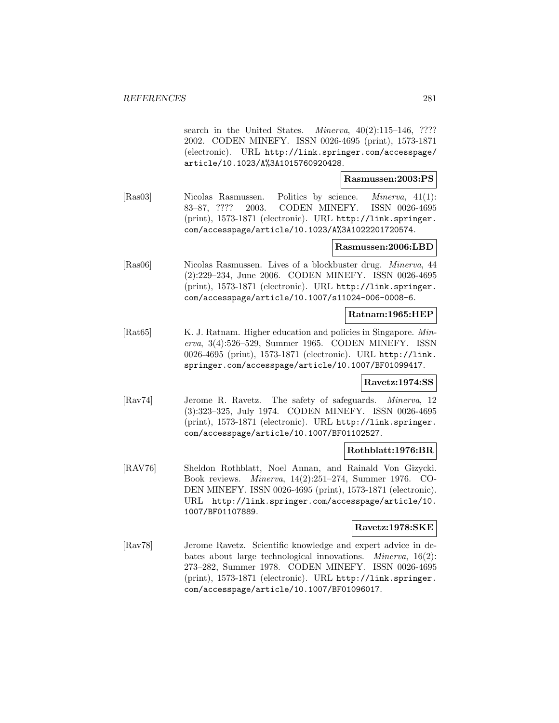search in the United States. *Minerva*,  $40(2):115-146$ , ???? 2002. CODEN MINEFY. ISSN 0026-4695 (print), 1573-1871 (electronic). URL http://link.springer.com/accesspage/ article/10.1023/A%3A1015760920428.

**Rasmussen:2003:PS**

[Ras03] Nicolas Rasmussen. Politics by science. Minerva, 41(1): 83–87, ???? 2003. CODEN MINEFY. ISSN 0026-4695 (print), 1573-1871 (electronic). URL http://link.springer. com/accesspage/article/10.1023/A%3A1022201720574.

### **Rasmussen:2006:LBD**

[Ras06] Nicolas Rasmussen. Lives of a blockbuster drug. Minerva, 44 (2):229–234, June 2006. CODEN MINEFY. ISSN 0026-4695 (print), 1573-1871 (electronic). URL http://link.springer. com/accesspage/article/10.1007/s11024-006-0008-6.

#### **Ratnam:1965:HEP**

[Rat65] K. J. Ratnam. Higher education and policies in Singapore. Minerva, 3(4):526–529, Summer 1965. CODEN MINEFY. ISSN 0026-4695 (print), 1573-1871 (electronic). URL http://link. springer.com/accesspage/article/10.1007/BF01099417.

#### **Ravetz:1974:SS**

[Rav74] Jerome R. Ravetz. The safety of safeguards. Minerva, 12 (3):323–325, July 1974. CODEN MINEFY. ISSN 0026-4695 (print), 1573-1871 (electronic). URL http://link.springer. com/accesspage/article/10.1007/BF01102527.

# **Rothblatt:1976:BR**

[RAV76] Sheldon Rothblatt, Noel Annan, and Rainald Von Gizycki. Book reviews. Minerva, 14(2):251–274, Summer 1976. CO-DEN MINEFY. ISSN 0026-4695 (print), 1573-1871 (electronic). URL http://link.springer.com/accesspage/article/10. 1007/BF01107889.

# **Ravetz:1978:SKE**

[Rav78] Jerome Ravetz. Scientific knowledge and expert advice in debates about large technological innovations. Minerva, 16(2): 273–282, Summer 1978. CODEN MINEFY. ISSN 0026-4695 (print), 1573-1871 (electronic). URL http://link.springer. com/accesspage/article/10.1007/BF01096017.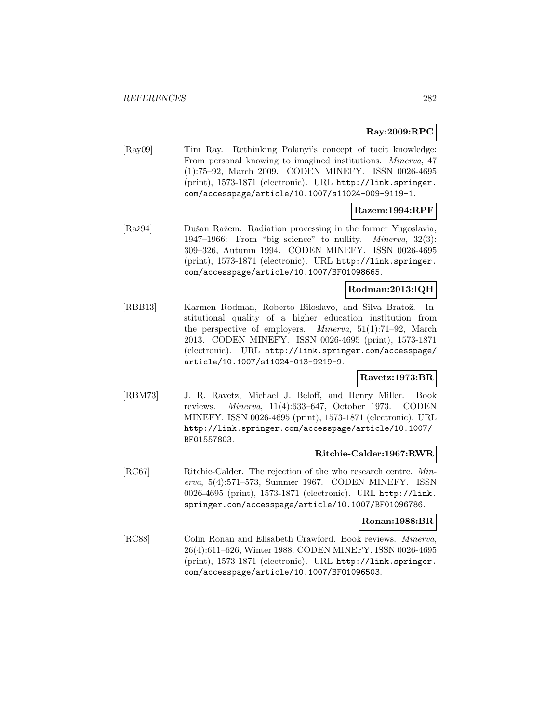# **Ray:2009:RPC**

[Ray09] Tim Ray. Rethinking Polanyi's concept of tacit knowledge: From personal knowing to imagined institutions. Minerva, 47 (1):75–92, March 2009. CODEN MINEFY. ISSN 0026-4695 (print), 1573-1871 (electronic). URL http://link.springer. com/accesspage/article/10.1007/s11024-009-9119-1.

# **Razem:1994:RPF**

[Raž94] Dušan Ražem. Radiation processing in the former Yugoslavia, 1947–1966: From "big science" to nullity. Minerva, 32(3): 309–326, Autumn 1994. CODEN MINEFY. ISSN 0026-4695 (print), 1573-1871 (electronic). URL http://link.springer. com/accesspage/article/10.1007/BF01098665.

# **Rodman:2013:IQH**

[RBB13] Karmen Rodman, Roberto Biloslavo, and Silva Bratož. Institutional quality of a higher education institution from the perspective of employers. Minerva, 51(1):71–92, March 2013. CODEN MINEFY. ISSN 0026-4695 (print), 1573-1871 (electronic). URL http://link.springer.com/accesspage/ article/10.1007/s11024-013-9219-9.

# **Ravetz:1973:BR**

[RBM73] J. R. Ravetz, Michael J. Beloff, and Henry Miller. Book reviews. Minerva, 11(4):633–647, October 1973. CODEN MINEFY. ISSN 0026-4695 (print), 1573-1871 (electronic). URL http://link.springer.com/accesspage/article/10.1007/ BF01557803.

# **Ritchie-Calder:1967:RWR**

[RC67] Ritchie-Calder. The rejection of the who research centre. Minerva, 5(4):571–573, Summer 1967. CODEN MINEFY. ISSN 0026-4695 (print), 1573-1871 (electronic). URL http://link. springer.com/accesspage/article/10.1007/BF01096786.

#### **Ronan:1988:BR**

[RC88] Colin Ronan and Elisabeth Crawford. Book reviews. Minerva, 26(4):611–626, Winter 1988. CODEN MINEFY. ISSN 0026-4695 (print), 1573-1871 (electronic). URL http://link.springer. com/accesspage/article/10.1007/BF01096503.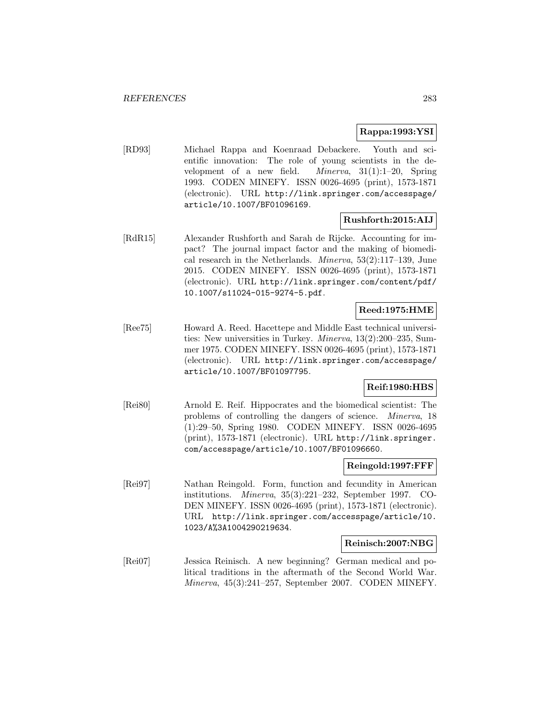# **Rappa:1993:YSI**

[RD93] Michael Rappa and Koenraad Debackere. Youth and scientific innovation: The role of young scientists in the development of a new field. Minerva, 31(1):1–20, Spring 1993. CODEN MINEFY. ISSN 0026-4695 (print), 1573-1871 (electronic). URL http://link.springer.com/accesspage/ article/10.1007/BF01096169.

# **Rushforth:2015:AIJ**

[RdR15] Alexander Rushforth and Sarah de Rijcke. Accounting for impact? The journal impact factor and the making of biomedical research in the Netherlands. Minerva, 53(2):117–139, June 2015. CODEN MINEFY. ISSN 0026-4695 (print), 1573-1871 (electronic). URL http://link.springer.com/content/pdf/ 10.1007/s11024-015-9274-5.pdf.

# **Reed:1975:HME**

[Ree75] Howard A. Reed. Hacettepe and Middle East technical universities: New universities in Turkey. Minerva, 13(2):200–235, Summer 1975. CODEN MINEFY. ISSN 0026-4695 (print), 1573-1871 (electronic). URL http://link.springer.com/accesspage/ article/10.1007/BF01097795.

# **Reif:1980:HBS**

[Rei80] Arnold E. Reif. Hippocrates and the biomedical scientist: The problems of controlling the dangers of science. Minerva, 18 (1):29–50, Spring 1980. CODEN MINEFY. ISSN 0026-4695 (print), 1573-1871 (electronic). URL http://link.springer. com/accesspage/article/10.1007/BF01096660.

# **Reingold:1997:FFF**

[Rei97] Nathan Reingold. Form, function and fecundity in American institutions. Minerva, 35(3):221–232, September 1997. CO-DEN MINEFY. ISSN 0026-4695 (print), 1573-1871 (electronic). URL http://link.springer.com/accesspage/article/10. 1023/A%3A1004290219634.

### **Reinisch:2007:NBG**

[Rei07] Jessica Reinisch. A new beginning? German medical and political traditions in the aftermath of the Second World War. Minerva, 45(3):241–257, September 2007. CODEN MINEFY.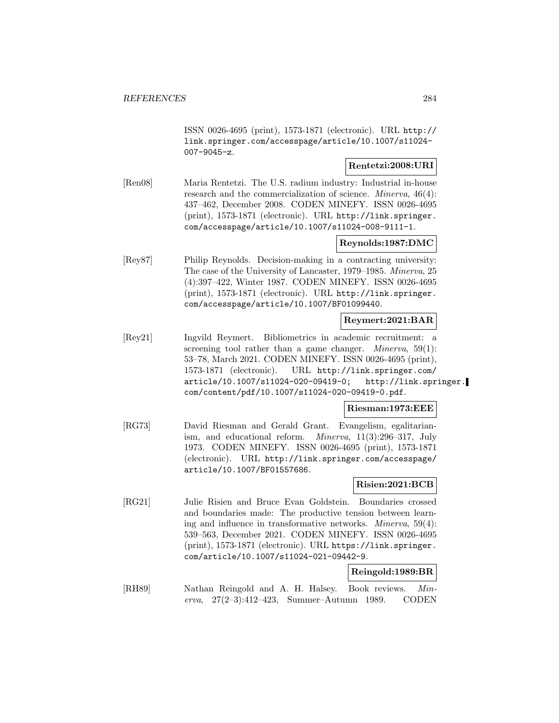ISSN 0026-4695 (print), 1573-1871 (electronic). URL http:// link.springer.com/accesspage/article/10.1007/s11024- 007-9045-z.

# **Rentetzi:2008:URI**

[Ren08] Maria Rentetzi. The U.S. radium industry: Industrial in-house research and the commercialization of science. *Minerva*, 46(4): 437–462, December 2008. CODEN MINEFY. ISSN 0026-4695 (print), 1573-1871 (electronic). URL http://link.springer. com/accesspage/article/10.1007/s11024-008-9111-1.

# **Reynolds:1987:DMC**

[Rey87] Philip Reynolds. Decision-making in a contracting university: The case of the University of Lancaster, 1979–1985. Minerva, 25 (4):397–422, Winter 1987. CODEN MINEFY. ISSN 0026-4695 (print), 1573-1871 (electronic). URL http://link.springer. com/accesspage/article/10.1007/BF01099440.

# **Reymert:2021:BAR**

[Rey21] Ingvild Reymert. Bibliometrics in academic recruitment: a screening tool rather than a game changer. *Minerva*,  $59(1)$ : 53–78, March 2021. CODEN MINEFY. ISSN 0026-4695 (print), 1573-1871 (electronic). URL http://link.springer.com/ article/10.1007/s11024-020-09419-0; http://link.springer. com/content/pdf/10.1007/s11024-020-09419-0.pdf.

#### **Riesman:1973:EEE**

[RG73] David Riesman and Gerald Grant. Evangelism, egalitarianism, and educational reform. Minerva, 11(3):296–317, July 1973. CODEN MINEFY. ISSN 0026-4695 (print), 1573-1871 (electronic). URL http://link.springer.com/accesspage/ article/10.1007/BF01557686.

# **Risien:2021:BCB**

[RG21] Julie Risien and Bruce Evan Goldstein. Boundaries crossed and boundaries made: The productive tension between learning and influence in transformative networks. *Minerva*,  $59(4)$ : 539–563, December 2021. CODEN MINEFY. ISSN 0026-4695 (print), 1573-1871 (electronic). URL https://link.springer. com/article/10.1007/s11024-021-09442-9.

# **Reingold:1989:BR**

[RH89] Nathan Reingold and A. H. Halsey. Book reviews. Minerva, 27(2–3):412–423, Summer–Autumn 1989. CODEN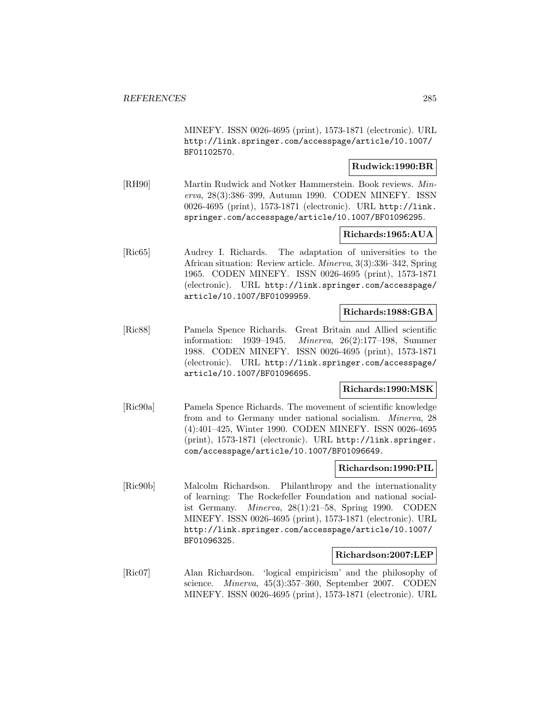MINEFY. ISSN 0026-4695 (print), 1573-1871 (electronic). URL http://link.springer.com/accesspage/article/10.1007/ BF01102570.

# **Rudwick:1990:BR**

[RH90] Martin Rudwick and Notker Hammerstein. Book reviews. Minerva, 28(3):386–399, Autumn 1990. CODEN MINEFY. ISSN 0026-4695 (print), 1573-1871 (electronic). URL http://link. springer.com/accesspage/article/10.1007/BF01096295.

# **Richards:1965:AUA**

[Ric65] Audrey I. Richards. The adaptation of universities to the African situation: Review article. Minerva, 3(3):336–342, Spring 1965. CODEN MINEFY. ISSN 0026-4695 (print), 1573-1871 (electronic). URL http://link.springer.com/accesspage/ article/10.1007/BF01099959.

### **Richards:1988:GBA**

[Ric88] Pamela Spence Richards. Great Britain and Allied scientific information: 1939–1945. Minerva, 26(2):177–198, Summer 1988. CODEN MINEFY. ISSN 0026-4695 (print), 1573-1871 (electronic). URL http://link.springer.com/accesspage/ article/10.1007/BF01096695.

# **Richards:1990:MSK**

[Ric90a] Pamela Spence Richards. The movement of scientific knowledge from and to Germany under national socialism. Minerva, 28 (4):401–425, Winter 1990. CODEN MINEFY. ISSN 0026-4695 (print), 1573-1871 (electronic). URL http://link.springer. com/accesspage/article/10.1007/BF01096649.

### **Richardson:1990:PIL**

[Ric90b] Malcolm Richardson. Philanthropy and the internationality of learning: The Rockefeller Foundation and national socialist Germany. Minerva, 28(1):21–58, Spring 1990. CODEN MINEFY. ISSN 0026-4695 (print), 1573-1871 (electronic). URL http://link.springer.com/accesspage/article/10.1007/ BF01096325.

#### **Richardson:2007:LEP**

[Ric07] Alan Richardson. 'logical empiricism' and the philosophy of science. Minerva, 45(3):357–360, September 2007. CODEN MINEFY. ISSN 0026-4695 (print), 1573-1871 (electronic). URL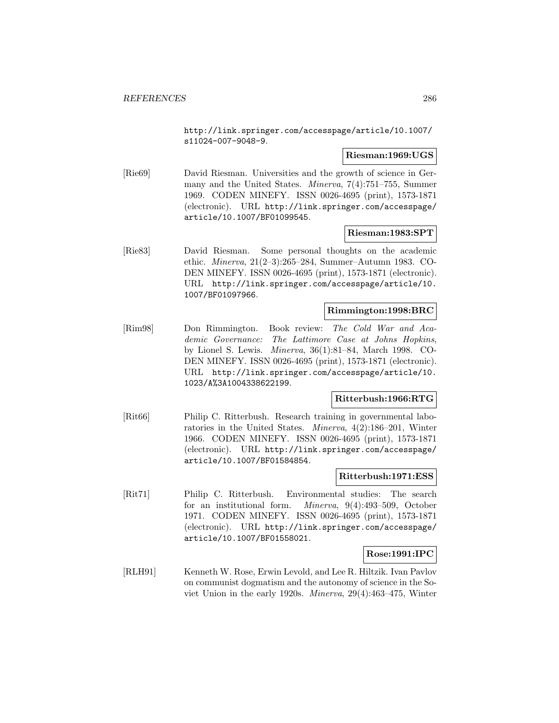http://link.springer.com/accesspage/article/10.1007/ s11024-007-9048-9.

# **Riesman:1969:UGS**

[Rie69] David Riesman. Universities and the growth of science in Germany and the United States. Minerva, 7(4):751–755, Summer 1969. CODEN MINEFY. ISSN 0026-4695 (print), 1573-1871 (electronic). URL http://link.springer.com/accesspage/ article/10.1007/BF01099545.

# **Riesman:1983:SPT**

[Rie83] David Riesman. Some personal thoughts on the academic ethic. Minerva, 21(2–3):265–284, Summer–Autumn 1983. CO-DEN MINEFY. ISSN 0026-4695 (print), 1573-1871 (electronic). URL http://link.springer.com/accesspage/article/10. 1007/BF01097966.

### **Rimmington:1998:BRC**

[Rim98] Don Rimmington. Book review: The Cold War and Academic Governance: The Lattimore Case at Johns Hopkins, by Lionel S. Lewis. Minerva, 36(1):81–84, March 1998. CO-DEN MINEFY. ISSN 0026-4695 (print), 1573-1871 (electronic). URL http://link.springer.com/accesspage/article/10. 1023/A%3A1004338622199.

#### **Ritterbush:1966:RTG**

[Rit66] Philip C. Ritterbush. Research training in governmental laboratories in the United States. Minerva, 4(2):186–201, Winter 1966. CODEN MINEFY. ISSN 0026-4695 (print), 1573-1871 (electronic). URL http://link.springer.com/accesspage/ article/10.1007/BF01584854.

#### **Ritterbush:1971:ESS**

[Rit71] Philip C. Ritterbush. Environmental studies: The search for an institutional form. Minerva, 9(4):493–509, October 1971. CODEN MINEFY. ISSN 0026-4695 (print), 1573-1871 (electronic). URL http://link.springer.com/accesspage/ article/10.1007/BF01558021.

#### **Rose:1991:IPC**

[RLH91] Kenneth W. Rose, Erwin Levold, and Lee R. Hiltzik. Ivan Pavlov on communist dogmatism and the autonomy of science in the Soviet Union in the early 1920s. Minerva, 29(4):463–475, Winter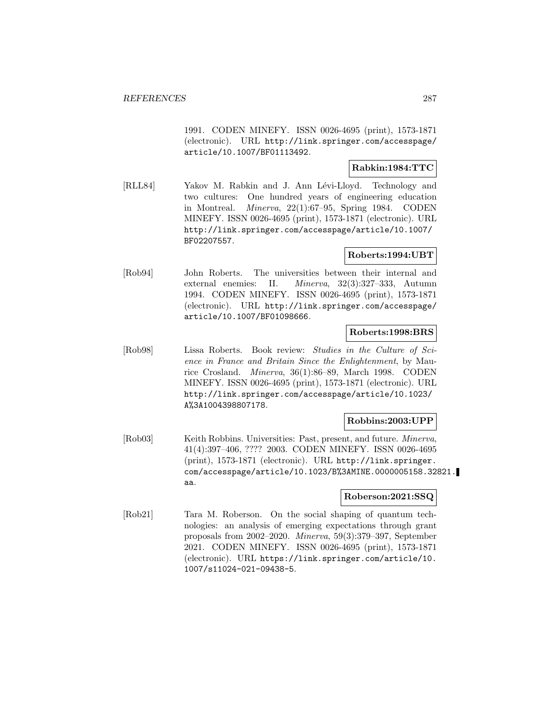1991. CODEN MINEFY. ISSN 0026-4695 (print), 1573-1871 (electronic). URL http://link.springer.com/accesspage/ article/10.1007/BF01113492.

# **Rabkin:1984:TTC**

[RLL84] Yakov M. Rabkin and J. Ann Lévi-Lloyd. Technology and two cultures: One hundred years of engineering education in Montreal. Minerva, 22(1):67–95, Spring 1984. CODEN MINEFY. ISSN 0026-4695 (print), 1573-1871 (electronic). URL http://link.springer.com/accesspage/article/10.1007/ BF02207557.

# **Roberts:1994:UBT**

[Rob94] John Roberts. The universities between their internal and external enemies: II. Minerva, 32(3):327–333, Autumn 1994. CODEN MINEFY. ISSN 0026-4695 (print), 1573-1871 (electronic). URL http://link.springer.com/accesspage/ article/10.1007/BF01098666.

# **Roberts:1998:BRS**

[Rob98] Lissa Roberts. Book review: Studies in the Culture of Science in France and Britain Since the Enlightenment, by Maurice Crosland. Minerva, 36(1):86–89, March 1998. CODEN MINEFY. ISSN 0026-4695 (print), 1573-1871 (electronic). URL http://link.springer.com/accesspage/article/10.1023/ A%3A1004398807178.

# **Robbins:2003:UPP**

[Rob03] Keith Robbins. Universities: Past, present, and future. Minerva, 41(4):397–406, ???? 2003. CODEN MINEFY. ISSN 0026-4695 (print), 1573-1871 (electronic). URL http://link.springer. com/accesspage/article/10.1023/B%3AMINE.0000005158.32821. aa.

# **Roberson:2021:SSQ**

[Rob21] Tara M. Roberson. On the social shaping of quantum technologies: an analysis of emerging expectations through grant proposals from 2002–2020. Minerva, 59(3):379–397, September 2021. CODEN MINEFY. ISSN 0026-4695 (print), 1573-1871 (electronic). URL https://link.springer.com/article/10. 1007/s11024-021-09438-5.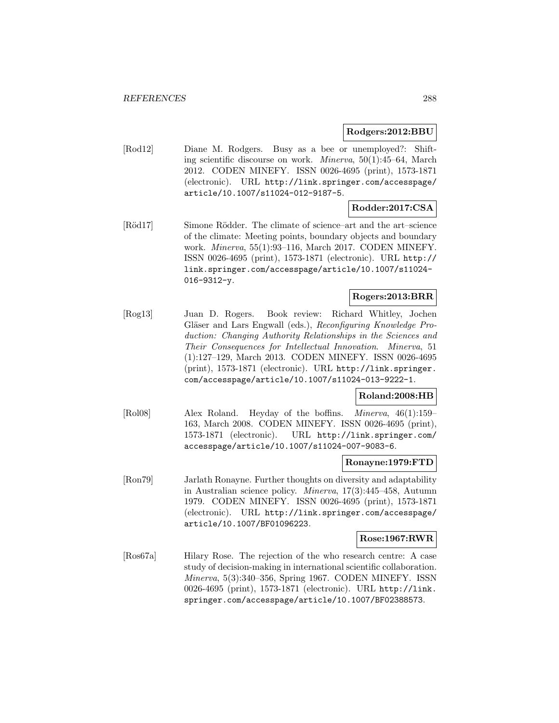# **Rodgers:2012:BBU**

[Rod12] Diane M. Rodgers. Busy as a bee or unemployed?: Shifting scientific discourse on work. Minerva, 50(1):45–64, March 2012. CODEN MINEFY. ISSN 0026-4695 (print), 1573-1871 (electronic). URL http://link.springer.com/accesspage/ article/10.1007/s11024-012-9187-5.

# **Rodder:2017:CSA**

[Röd17] Simone Rödder. The climate of science–art and the art–science of the climate: Meeting points, boundary objects and boundary work. Minerva, 55(1):93–116, March 2017. CODEN MINEFY. ISSN 0026-4695 (print), 1573-1871 (electronic). URL http:// link.springer.com/accesspage/article/10.1007/s11024- 016-9312-y.

# **Rogers:2013:BRR**

[Rog13] Juan D. Rogers. Book review: Richard Whitley, Jochen Gläser and Lars Engwall (eds.), Reconfiguring Knowledge Production: Changing Authority Relationships in the Sciences and Their Consequences for Intellectual Innovation. Minerva, 51 (1):127–129, March 2013. CODEN MINEFY. ISSN 0026-4695 (print), 1573-1871 (electronic). URL http://link.springer. com/accesspage/article/10.1007/s11024-013-9222-1.

# **Roland:2008:HB**

[Rol08] Alex Roland. Heyday of the boffins. Minerva, 46(1):159– 163, March 2008. CODEN MINEFY. ISSN 0026-4695 (print), 1573-1871 (electronic). URL http://link.springer.com/ accesspage/article/10.1007/s11024-007-9083-6.

#### **Ronayne:1979:FTD**

[Ron79] Jarlath Ronayne. Further thoughts on diversity and adaptability in Australian science policy. Minerva, 17(3):445–458, Autumn 1979. CODEN MINEFY. ISSN 0026-4695 (print), 1573-1871 (electronic). URL http://link.springer.com/accesspage/ article/10.1007/BF01096223.

#### **Rose:1967:RWR**

[Ros67a] Hilary Rose. The rejection of the who research centre: A case study of decision-making in international scientific collaboration. Minerva, 5(3):340–356, Spring 1967. CODEN MINEFY. ISSN 0026-4695 (print), 1573-1871 (electronic). URL http://link. springer.com/accesspage/article/10.1007/BF02388573.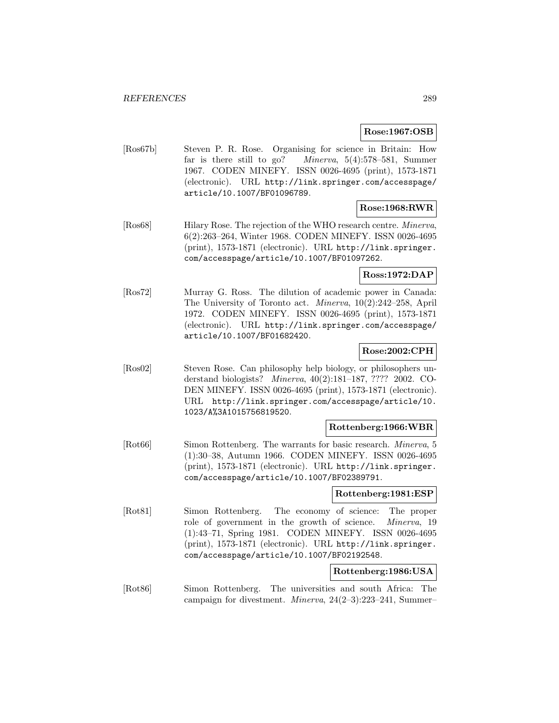# **Rose:1967:OSB**

[Ros67b] Steven P. R. Rose. Organising for science in Britain: How far is there still to go? Minerva, 5(4):578–581, Summer 1967. CODEN MINEFY. ISSN 0026-4695 (print), 1573-1871 (electronic). URL http://link.springer.com/accesspage/ article/10.1007/BF01096789.

# **Rose:1968:RWR**

[Ros68] Hilary Rose. The rejection of the WHO research centre. Minerva, 6(2):263–264, Winter 1968. CODEN MINEFY. ISSN 0026-4695 (print), 1573-1871 (electronic). URL http://link.springer. com/accesspage/article/10.1007/BF01097262.

# **Ross:1972:DAP**

[Ros72] Murray G. Ross. The dilution of academic power in Canada: The University of Toronto act. Minerva, 10(2):242–258, April 1972. CODEN MINEFY. ISSN 0026-4695 (print), 1573-1871 (electronic). URL http://link.springer.com/accesspage/ article/10.1007/BF01682420.

# **Rose:2002:CPH**

[Ros02] Steven Rose. Can philosophy help biology, or philosophers understand biologists? Minerva, 40(2):181–187, ???? 2002. CO-DEN MINEFY. ISSN 0026-4695 (print), 1573-1871 (electronic). URL http://link.springer.com/accesspage/article/10. 1023/A%3A1015756819520.

# **Rottenberg:1966:WBR**

[Rot66] Simon Rottenberg. The warrants for basic research. Minerva, 5 (1):30–38, Autumn 1966. CODEN MINEFY. ISSN 0026-4695 (print), 1573-1871 (electronic). URL http://link.springer. com/accesspage/article/10.1007/BF02389791.

#### **Rottenberg:1981:ESP**

[Rot81] Simon Rottenberg. The economy of science: The proper role of government in the growth of science. Minerva, 19 (1):43–71, Spring 1981. CODEN MINEFY. ISSN 0026-4695 (print), 1573-1871 (electronic). URL http://link.springer. com/accesspage/article/10.1007/BF02192548.

# **Rottenberg:1986:USA**

[Rot86] Simon Rottenberg. The universities and south Africa: The campaign for divestment. Minerva, 24(2–3):223–241, Summer–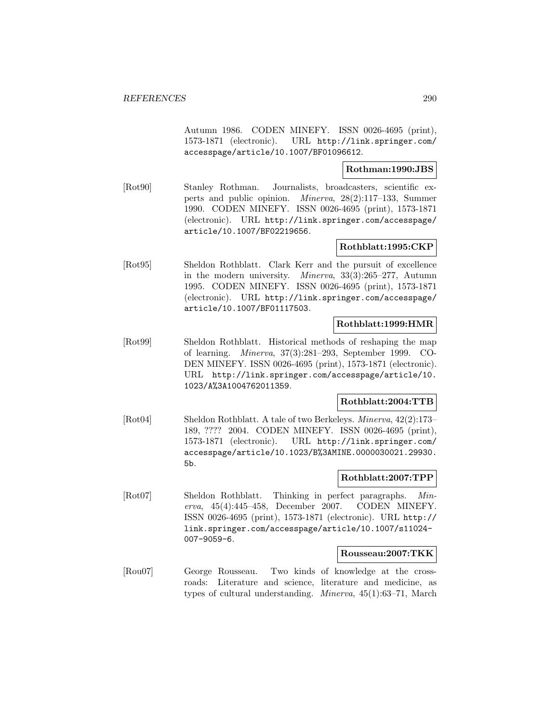Autumn 1986. CODEN MINEFY. ISSN 0026-4695 (print), 1573-1871 (electronic). URL http://link.springer.com/ accesspage/article/10.1007/BF01096612.

# **Rothman:1990:JBS**

[Rot90] Stanley Rothman. Journalists, broadcasters, scientific experts and public opinion. Minerva, 28(2):117–133, Summer 1990. CODEN MINEFY. ISSN 0026-4695 (print), 1573-1871 (electronic). URL http://link.springer.com/accesspage/ article/10.1007/BF02219656.

# **Rothblatt:1995:CKP**

[Rot95] Sheldon Rothblatt. Clark Kerr and the pursuit of excellence in the modern university. Minerva, 33(3):265–277, Autumn 1995. CODEN MINEFY. ISSN 0026-4695 (print), 1573-1871 (electronic). URL http://link.springer.com/accesspage/ article/10.1007/BF01117503.

# **Rothblatt:1999:HMR**

[Rot99] Sheldon Rothblatt. Historical methods of reshaping the map of learning. Minerva, 37(3):281–293, September 1999. CO-DEN MINEFY. ISSN 0026-4695 (print), 1573-1871 (electronic). URL http://link.springer.com/accesspage/article/10. 1023/A%3A1004762011359.

# **Rothblatt:2004:TTB**

[Rot04] Sheldon Rothblatt. A tale of two Berkeleys. Minerva, 42(2):173– 189, ???? 2004. CODEN MINEFY. ISSN 0026-4695 (print), 1573-1871 (electronic). URL http://link.springer.com/ accesspage/article/10.1023/B%3AMINE.0000030021.29930. 5b.

# **Rothblatt:2007:TPP**

[Rot07] Sheldon Rothblatt. Thinking in perfect paragraphs. Minerva, 45(4):445–458, December 2007. CODEN MINEFY. ISSN 0026-4695 (print), 1573-1871 (electronic). URL http:// link.springer.com/accesspage/article/10.1007/s11024- 007-9059-6.

#### **Rousseau:2007:TKK**

[Rou07] George Rousseau. Two kinds of knowledge at the crossroads: Literature and science, literature and medicine, as types of cultural understanding. Minerva, 45(1):63–71, March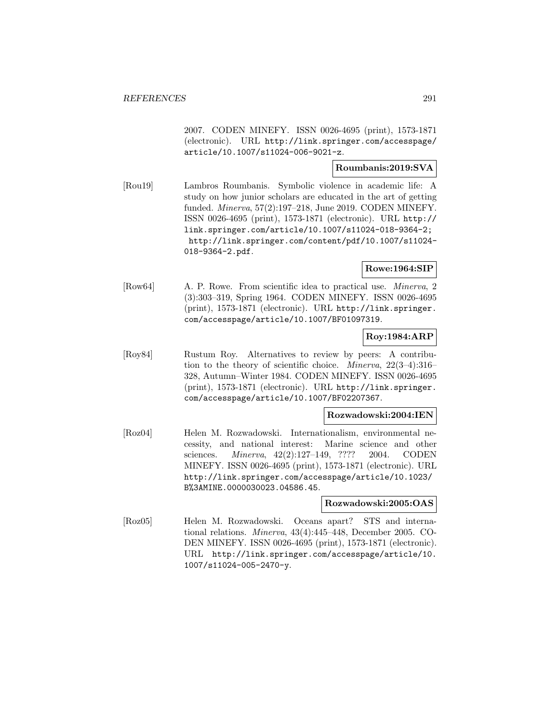2007. CODEN MINEFY. ISSN 0026-4695 (print), 1573-1871 (electronic). URL http://link.springer.com/accesspage/ article/10.1007/s11024-006-9021-z.

# **Roumbanis:2019:SVA**

[Rou19] Lambros Roumbanis. Symbolic violence in academic life: A study on how junior scholars are educated in the art of getting funded. Minerva, 57(2):197–218, June 2019. CODEN MINEFY. ISSN 0026-4695 (print), 1573-1871 (electronic). URL http:// link.springer.com/article/10.1007/s11024-018-9364-2; http://link.springer.com/content/pdf/10.1007/s11024- 018-9364-2.pdf.

**Rowe:1964:SIP**

[Row64] A. P. Rowe. From scientific idea to practical use. Minerva, 2 (3):303–319, Spring 1964. CODEN MINEFY. ISSN 0026-4695 (print), 1573-1871 (electronic). URL http://link.springer. com/accesspage/article/10.1007/BF01097319.

# **Roy:1984:ARP**

[Roy84] Rustum Roy. Alternatives to review by peers: A contribution to the theory of scientific choice. Minerva, 22(3–4):316– 328, Autumn–Winter 1984. CODEN MINEFY. ISSN 0026-4695 (print), 1573-1871 (electronic). URL http://link.springer. com/accesspage/article/10.1007/BF02207367.

# **Rozwadowski:2004:IEN**

[Roz04] Helen M. Rozwadowski. Internationalism, environmental necessity, and national interest: Marine science and other sciences. Minerva, 42(2):127–149, ???? 2004. CODEN MINEFY. ISSN 0026-4695 (print), 1573-1871 (electronic). URL http://link.springer.com/accesspage/article/10.1023/ B%3AMINE.0000030023.04586.45.

# **Rozwadowski:2005:OAS**

[Roz05] Helen M. Rozwadowski. Oceans apart? STS and international relations. Minerva, 43(4):445–448, December 2005. CO-DEN MINEFY. ISSN 0026-4695 (print), 1573-1871 (electronic). URL http://link.springer.com/accesspage/article/10. 1007/s11024-005-2470-y.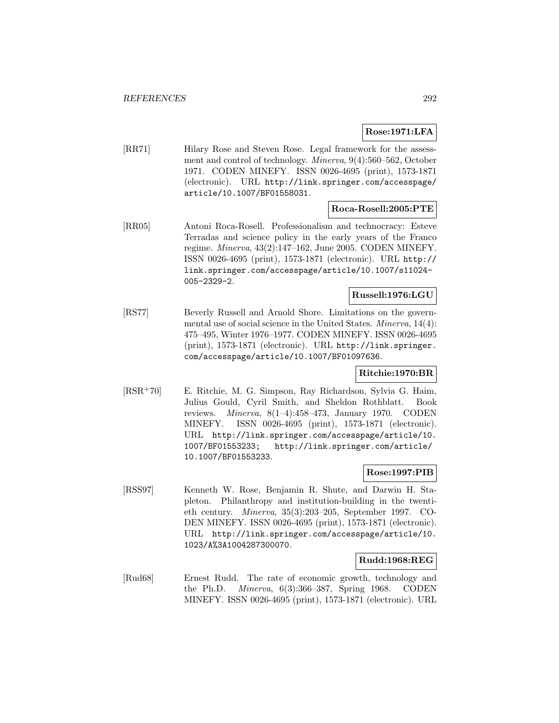**Rose:1971:LFA**

[RR71] Hilary Rose and Steven Rose. Legal framework for the assessment and control of technology. Minerva, 9(4):560–562, October 1971. CODEN MINEFY. ISSN 0026-4695 (print), 1573-1871 (electronic). URL http://link.springer.com/accesspage/ article/10.1007/BF01558031.

#### **Roca-Rosell:2005:PTE**

[RR05] Antoni Roca-Rosell. Professionalism and technocracy: Esteve Terradas and science policy in the early years of the Franco regime. Minerva, 43(2):147–162, June 2005. CODEN MINEFY. ISSN 0026-4695 (print), 1573-1871 (electronic). URL http:// link.springer.com/accesspage/article/10.1007/s11024- 005-2329-2.

#### **Russell:1976:LGU**

[RS77] Beverly Russell and Arnold Shore. Limitations on the governmental use of social science in the United States. Minerva, 14(4): 475–495, Winter 1976–1977. CODEN MINEFY. ISSN 0026-4695 (print), 1573-1871 (electronic). URL http://link.springer. com/accesspage/article/10.1007/BF01097636.

# **Ritchie:1970:BR**

[RSR<sup>+</sup>70] E. Ritchie, M. G. Simpson, Ray Richardson, Sylvia G. Haim, Julius Gould, Cyril Smith, and Sheldon Rothblatt. Book reviews. *Minerva*,  $8(1-4):458-473$ , January 1970. CODEN MINEFY. ISSN 0026-4695 (print), 1573-1871 (electronic). URL http://link.springer.com/accesspage/article/10. 1007/BF01553233; http://link.springer.com/article/ 10.1007/BF01553233.

# **Rose:1997:PIB**

[RSS97] Kenneth W. Rose, Benjamin R. Shute, and Darwin H. Stapleton. Philanthropy and institution-building in the twentieth century. Minerva, 35(3):203–205, September 1997. CO-DEN MINEFY. ISSN 0026-4695 (print), 1573-1871 (electronic). URL http://link.springer.com/accesspage/article/10. 1023/A%3A1004287300070.

# **Rudd:1968:REG**

[Rud68] Ernest Rudd. The rate of economic growth, technology and the Ph.D. Minerva, 6(3):366–387, Spring 1968. CODEN MINEFY. ISSN 0026-4695 (print), 1573-1871 (electronic). URL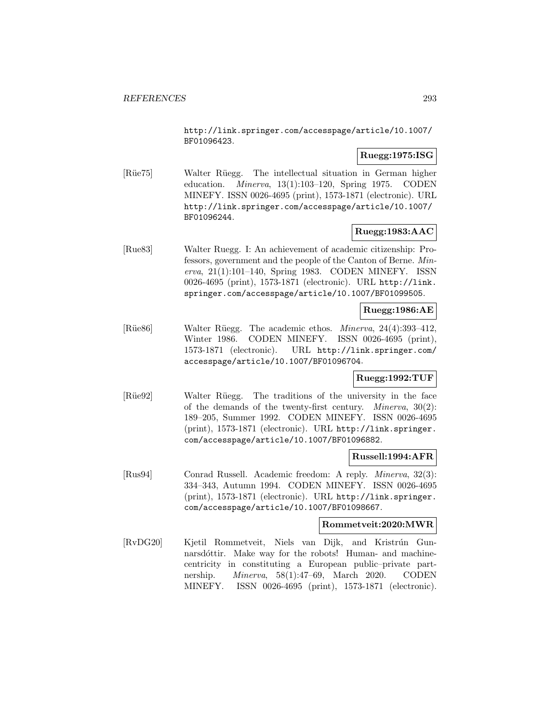http://link.springer.com/accesspage/article/10.1007/ BF01096423.

# **Ruegg:1975:ISG**

[R¨ue75] Walter R¨uegg. The intellectual situation in German higher education. Minerva, 13(1):103–120, Spring 1975. CODEN MINEFY. ISSN 0026-4695 (print), 1573-1871 (electronic). URL http://link.springer.com/accesspage/article/10.1007/ BF01096244.

# **Ruegg:1983:AAC**

[Rue83] Walter Ruegg. I: An achievement of academic citizenship: Professors, government and the people of the Canton of Berne. Minerva, 21(1):101–140, Spring 1983. CODEN MINEFY. ISSN 0026-4695 (print), 1573-1871 (electronic). URL http://link. springer.com/accesspage/article/10.1007/BF01099505.

# **Ruegg:1986:AE**

[Rüe86] Walter Rüegg. The academic ethos. *Minerva*, 24(4):393–412, Winter 1986. CODEN MINEFY. ISSN 0026-4695 (print), 1573-1871 (electronic). URL http://link.springer.com/ accesspage/article/10.1007/BF01096704.

# **Ruegg:1992:TUF**

[Rüe92] Walter Rüegg. The traditions of the university in the face of the demands of the twenty-first century. Minerva, 30(2): 189–205, Summer 1992. CODEN MINEFY. ISSN 0026-4695 (print), 1573-1871 (electronic). URL http://link.springer. com/accesspage/article/10.1007/BF01096882.

#### **Russell:1994:AFR**

[Rus94] Conrad Russell. Academic freedom: A reply. Minerva, 32(3): 334–343, Autumn 1994. CODEN MINEFY. ISSN 0026-4695 (print), 1573-1871 (electronic). URL http://link.springer. com/accesspage/article/10.1007/BF01098667.

# **Rommetveit:2020:MWR**

[RvDG20] Kjetil Rommetveit, Niels van Dijk, and Kristrún Gunnarsdóttir. Make way for the robots! Human- and machinecentricity in constituting a European public–private partnership. Minerva, 58(1):47–69, March 2020. CODEN MINEFY. ISSN 0026-4695 (print), 1573-1871 (electronic).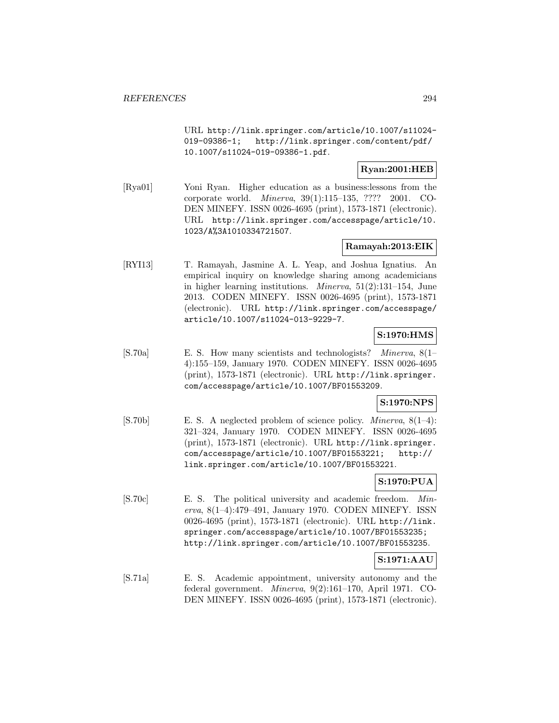URL http://link.springer.com/article/10.1007/s11024- 019-09386-1; http://link.springer.com/content/pdf/ 10.1007/s11024-019-09386-1.pdf.

# **Ryan:2001:HEB**

[Rya01] Yoni Ryan. Higher education as a business:lessons from the corporate world. Minerva, 39(1):115–135, ???? 2001. CO-DEN MINEFY. ISSN 0026-4695 (print), 1573-1871 (electronic). URL http://link.springer.com/accesspage/article/10. 1023/A%3A1010334721507.

# **Ramayah:2013:EIK**

[RYI13] T. Ramayah, Jasmine A. L. Yeap, and Joshua Ignatius. An empirical inquiry on knowledge sharing among academicians in higher learning institutions. Minerva, 51(2):131–154, June 2013. CODEN MINEFY. ISSN 0026-4695 (print), 1573-1871 (electronic). URL http://link.springer.com/accesspage/ article/10.1007/s11024-013-9229-7.

# **S:1970:HMS**

[S.70a] E. S. How many scientists and technologists? Minerva, 8(1– 4):155–159, January 1970. CODEN MINEFY. ISSN 0026-4695 (print), 1573-1871 (electronic). URL http://link.springer. com/accesspage/article/10.1007/BF01553209.

# **S:1970:NPS**

[S.70b] E. S. A neglected problem of science policy. Minerva, 8(1–4): 321–324, January 1970. CODEN MINEFY. ISSN 0026-4695 (print), 1573-1871 (electronic). URL http://link.springer. com/accesspage/article/10.1007/BF01553221; http:// link.springer.com/article/10.1007/BF01553221.

# **S:1970:PUA**

[S.70c] E. S. The political university and academic freedom. Minerva, 8(1–4):479–491, January 1970. CODEN MINEFY. ISSN 0026-4695 (print), 1573-1871 (electronic). URL http://link. springer.com/accesspage/article/10.1007/BF01553235; http://link.springer.com/article/10.1007/BF01553235.

# **S:1971:AAU**

[S.71a] E. S. Academic appointment, university autonomy and the federal government. Minerva, 9(2):161–170, April 1971. CO-DEN MINEFY. ISSN 0026-4695 (print), 1573-1871 (electronic).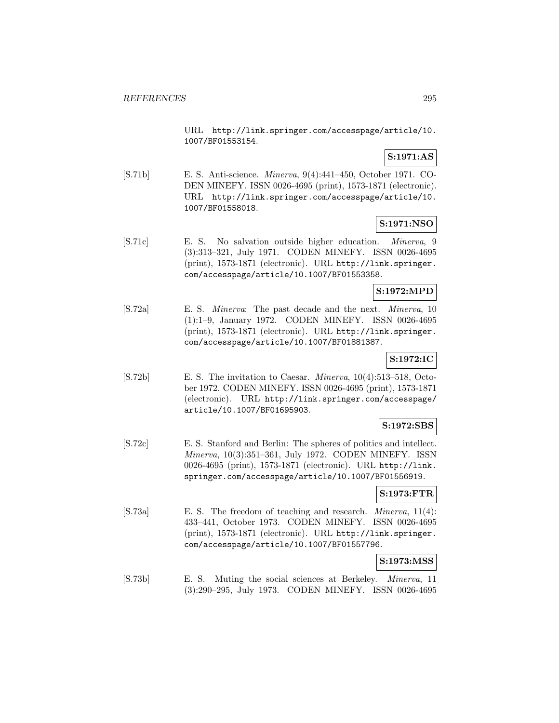URL http://link.springer.com/accesspage/article/10. 1007/BF01553154.

# **S:1971:AS**

[S.71b] E. S. Anti-science. Minerva, 9(4):441–450, October 1971. CO-DEN MINEFY. ISSN 0026-4695 (print), 1573-1871 (electronic). URL http://link.springer.com/accesspage/article/10. 1007/BF01558018.

# **S:1971:NSO**

[S.71c] E. S. No salvation outside higher education. Minerva, 9 (3):313–321, July 1971. CODEN MINEFY. ISSN 0026-4695 (print), 1573-1871 (electronic). URL http://link.springer. com/accesspage/article/10.1007/BF01553358.

# **S:1972:MPD**

[S.72a] E. S. Minerva: The past decade and the next. Minerva, 10 (1):1–9, January 1972. CODEN MINEFY. ISSN 0026-4695 (print), 1573-1871 (electronic). URL http://link.springer. com/accesspage/article/10.1007/BF01881387.

# **S:1972:IC**

[S.72b] E. S. The invitation to Caesar. Minerva, 10(4):513–518, October 1972. CODEN MINEFY. ISSN 0026-4695 (print), 1573-1871 (electronic). URL http://link.springer.com/accesspage/ article/10.1007/BF01695903.

# **S:1972:SBS**

[S.72c] E. S. Stanford and Berlin: The spheres of politics and intellect. Minerva, 10(3):351–361, July 1972. CODEN MINEFY. ISSN 0026-4695 (print), 1573-1871 (electronic). URL http://link. springer.com/accesspage/article/10.1007/BF01556919.

# **S:1973:FTR**

[S.73a] E. S. The freedom of teaching and research. Minerva, 11(4): 433–441, October 1973. CODEN MINEFY. ISSN 0026-4695 (print), 1573-1871 (electronic). URL http://link.springer. com/accesspage/article/10.1007/BF01557796.

# **S:1973:MSS**

[S.73b] E. S. Muting the social sciences at Berkeley. Minerva, 11 (3):290–295, July 1973. CODEN MINEFY. ISSN 0026-4695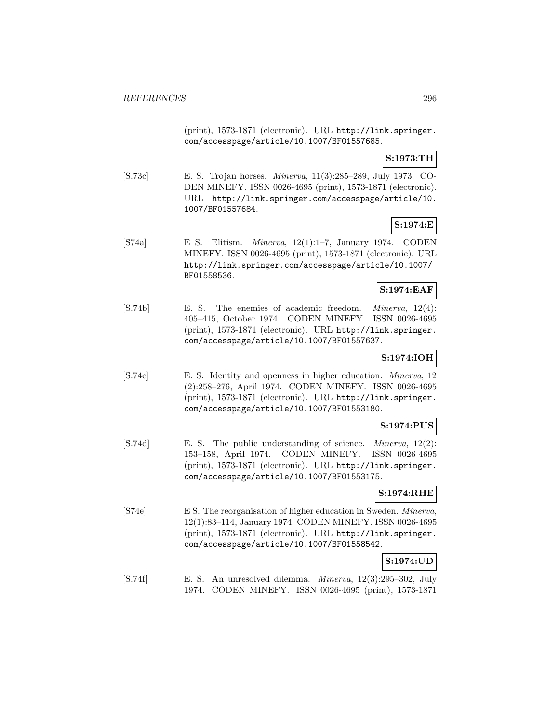(print), 1573-1871 (electronic). URL http://link.springer. com/accesspage/article/10.1007/BF01557685.

# **S:1973:TH**

[S.73c] E. S. Trojan horses. Minerva, 11(3):285–289, July 1973. CO-DEN MINEFY. ISSN 0026-4695 (print), 1573-1871 (electronic). URL http://link.springer.com/accesspage/article/10. 1007/BF01557684.

# **S:1974:E**

 $[S74a]$  E S. Elitism. *Minerva*, 12(1):1–7, January 1974. CODEN MINEFY. ISSN 0026-4695 (print), 1573-1871 (electronic). URL http://link.springer.com/accesspage/article/10.1007/ BF01558536.

# **S:1974:EAF**

[S.74b] E. S. The enemies of academic freedom. Minerva, 12(4): 405–415, October 1974. CODEN MINEFY. ISSN 0026-4695 (print), 1573-1871 (electronic). URL http://link.springer. com/accesspage/article/10.1007/BF01557637.

# **S:1974:IOH**

[S.74c] E. S. Identity and openness in higher education. Minerva, 12 (2):258–276, April 1974. CODEN MINEFY. ISSN 0026-4695 (print), 1573-1871 (electronic). URL http://link.springer. com/accesspage/article/10.1007/BF01553180.

# **S:1974:PUS**

[S.74d] E. S. The public understanding of science. Minerva, 12(2): 153–158, April 1974. CODEN MINEFY. ISSN 0026-4695 (print), 1573-1871 (electronic). URL http://link.springer. com/accesspage/article/10.1007/BF01553175.

# **S:1974:RHE**

[S74e] E S. The reorganisation of higher education in Sweden. Minerva, 12(1):83–114, January 1974. CODEN MINEFY. ISSN 0026-4695 (print), 1573-1871 (electronic). URL http://link.springer. com/accesspage/article/10.1007/BF01558542.

# **S:1974:UD**

[S.74f] E. S. An unresolved dilemma. Minerva, 12(3):295–302, July 1974. CODEN MINEFY. ISSN 0026-4695 (print), 1573-1871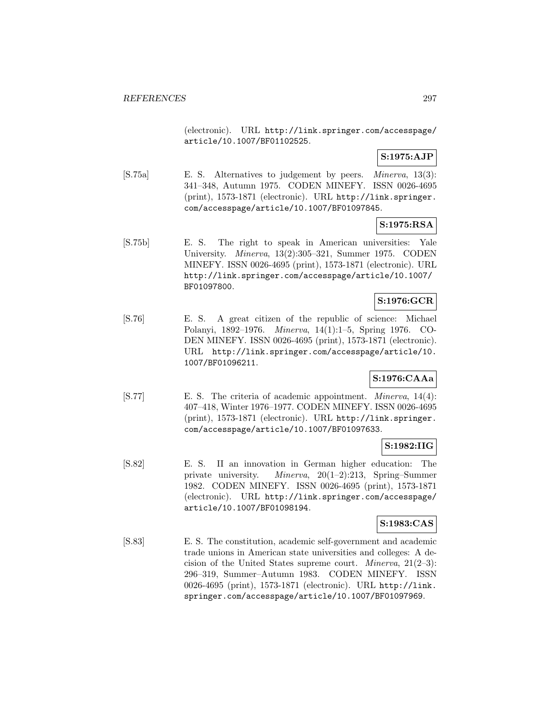(electronic). URL http://link.springer.com/accesspage/ article/10.1007/BF01102525.

# **S:1975:AJP**

[S.75a] E. S. Alternatives to judgement by peers. Minerva, 13(3): 341–348, Autumn 1975. CODEN MINEFY. ISSN 0026-4695 (print), 1573-1871 (electronic). URL http://link.springer. com/accesspage/article/10.1007/BF01097845.

# **S:1975:RSA**

[S.75b] E. S. The right to speak in American universities: Yale University. Minerva, 13(2):305–321, Summer 1975. CODEN MINEFY. ISSN 0026-4695 (print), 1573-1871 (electronic). URL http://link.springer.com/accesspage/article/10.1007/ BF01097800.

# **S:1976:GCR**

[S.76] E. S. A great citizen of the republic of science: Michael Polanyi, 1892–1976. Minerva, 14(1):1–5, Spring 1976. CO-DEN MINEFY. ISSN 0026-4695 (print), 1573-1871 (electronic). URL http://link.springer.com/accesspage/article/10. 1007/BF01096211.

# **S:1976:CAAa**

[S.77] E. S. The criteria of academic appointment. *Minerva*, 14(4): 407–418, Winter 1976–1977. CODEN MINEFY. ISSN 0026-4695 (print), 1573-1871 (electronic). URL http://link.springer. com/accesspage/article/10.1007/BF01097633.

# **S:1982:IIG**

[S.82] E. S. II an innovation in German higher education: The private university. Minerva, 20(1–2):213, Spring–Summer 1982. CODEN MINEFY. ISSN 0026-4695 (print), 1573-1871 (electronic). URL http://link.springer.com/accesspage/ article/10.1007/BF01098194.

# **S:1983:CAS**

[S.83] E. S. The constitution, academic self-government and academic trade unions in American state universities and colleges: A decision of the United States supreme court. *Minerva*,  $21(2-3)$ : 296–319, Summer–Autumn 1983. CODEN MINEFY. ISSN 0026-4695 (print), 1573-1871 (electronic). URL http://link. springer.com/accesspage/article/10.1007/BF01097969.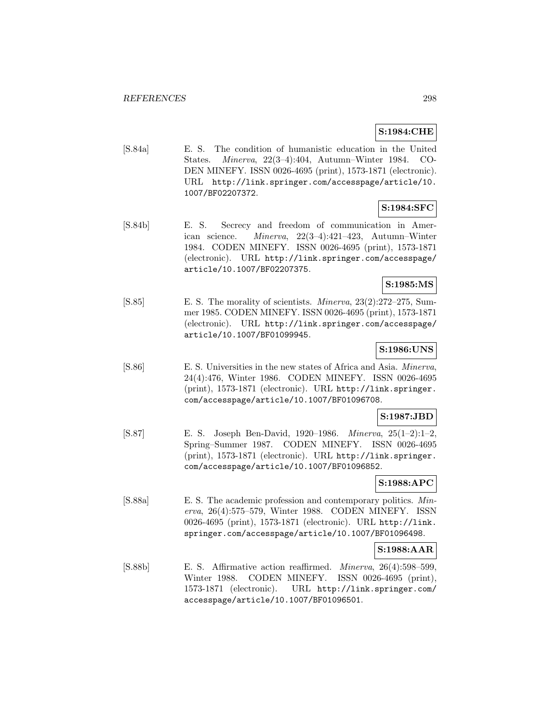# **S:1984:CHE**

[S.84a] E. S. The condition of humanistic education in the United States. Minerva, 22(3–4):404, Autumn–Winter 1984. CO-DEN MINEFY. ISSN 0026-4695 (print), 1573-1871 (electronic). URL http://link.springer.com/accesspage/article/10. 1007/BF02207372.

# **S:1984:SFC**

[S.84b] E. S. Secrecy and freedom of communication in American science. Minerva, 22(3–4):421–423, Autumn–Winter 1984. CODEN MINEFY. ISSN 0026-4695 (print), 1573-1871 (electronic). URL http://link.springer.com/accesspage/ article/10.1007/BF02207375.

# **S:1985:MS**

[S.85] E. S. The morality of scientists. Minerva, 23(2):272–275, Summer 1985. CODEN MINEFY. ISSN 0026-4695 (print), 1573-1871 (electronic). URL http://link.springer.com/accesspage/ article/10.1007/BF01099945.

# **S:1986:UNS**

[S.86] E. S. Universities in the new states of Africa and Asia. Minerva, 24(4):476, Winter 1986. CODEN MINEFY. ISSN 0026-4695 (print), 1573-1871 (electronic). URL http://link.springer. com/accesspage/article/10.1007/BF01096708.

# **S:1987:JBD**

[S.87] E. S. Joseph Ben-David, 1920–1986. Minerva, 25(1–2):1–2, Spring–Summer 1987. CODEN MINEFY. ISSN 0026-4695 (print), 1573-1871 (electronic). URL http://link.springer. com/accesspage/article/10.1007/BF01096852.

# **S:1988:APC**

[S.88a] E. S. The academic profession and contemporary politics. Minerva, 26(4):575–579, Winter 1988. CODEN MINEFY. ISSN 0026-4695 (print), 1573-1871 (electronic). URL http://link. springer.com/accesspage/article/10.1007/BF01096498.

# **S:1988:AAR**

[S.88b] E. S. Affirmative action reaffirmed. Minerva, 26(4):598–599, Winter 1988. CODEN MINEFY. ISSN 0026-4695 (print), 1573-1871 (electronic). URL http://link.springer.com/ accesspage/article/10.1007/BF01096501.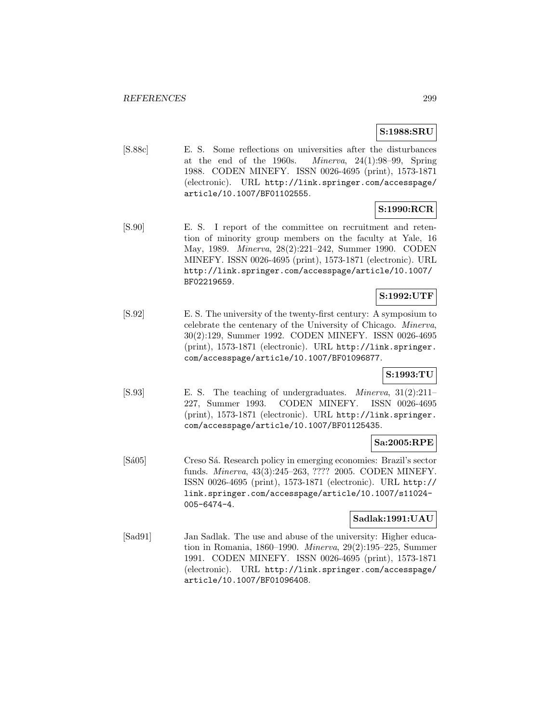# **S:1988:SRU**

[S.88c] E. S. Some reflections on universities after the disturbances at the end of the 1960s. *Minerva*,  $24(1):98-99$ , Spring 1988. CODEN MINEFY. ISSN 0026-4695 (print), 1573-1871 (electronic). URL http://link.springer.com/accesspage/ article/10.1007/BF01102555.

# **S:1990:RCR**

[S.90] E. S. I report of the committee on recruitment and retention of minority group members on the faculty at Yale, 16 May, 1989. Minerva, 28(2):221–242, Summer 1990. CODEN MINEFY. ISSN 0026-4695 (print), 1573-1871 (electronic). URL http://link.springer.com/accesspage/article/10.1007/ BF02219659.

# **S:1992:UTF**

[S.92] E. S. The university of the twenty-first century: A symposium to celebrate the centenary of the University of Chicago. Minerva, 30(2):129, Summer 1992. CODEN MINEFY. ISSN 0026-4695 (print), 1573-1871 (electronic). URL http://link.springer. com/accesspage/article/10.1007/BF01096877.

# **S:1993:TU**

[S.93] E. S. The teaching of undergraduates. Minerva, 31(2):211– 227, Summer 1993. CODEN MINEFY. ISSN 0026-4695 (print), 1573-1871 (electronic). URL http://link.springer. com/accesspage/article/10.1007/BF01125435.

#### **Sa:2005:RPE**

[Sá05] Creso Sá. Research policy in emerging economies: Brazil's sector funds. Minerva, 43(3):245–263, ???? 2005. CODEN MINEFY. ISSN 0026-4695 (print), 1573-1871 (electronic). URL http:// link.springer.com/accesspage/article/10.1007/s11024- 005-6474-4.

# **Sadlak:1991:UAU**

[Sad91] Jan Sadlak. The use and abuse of the university: Higher education in Romania, 1860–1990. Minerva, 29(2):195–225, Summer 1991. CODEN MINEFY. ISSN 0026-4695 (print), 1573-1871 (electronic). URL http://link.springer.com/accesspage/ article/10.1007/BF01096408.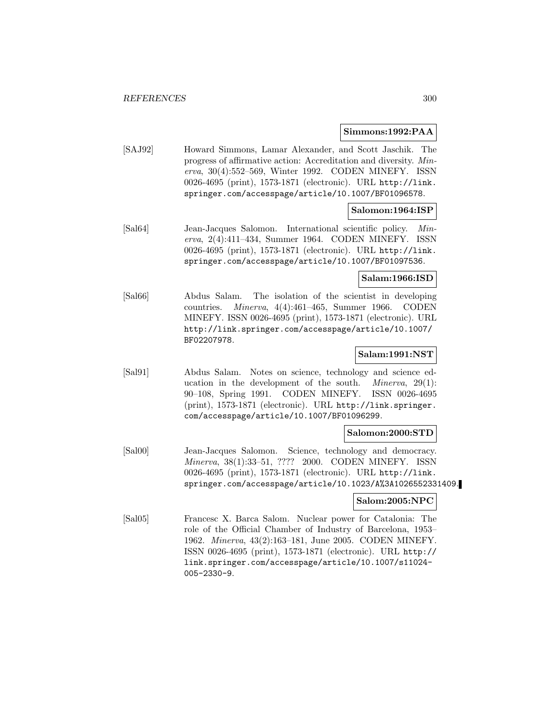#### **Simmons:1992:PAA**

[SAJ92] Howard Simmons, Lamar Alexander, and Scott Jaschik. The progress of affirmative action: Accreditation and diversity. Minerva, 30(4):552–569, Winter 1992. CODEN MINEFY. ISSN 0026-4695 (print), 1573-1871 (electronic). URL http://link. springer.com/accesspage/article/10.1007/BF01096578.

# **Salomon:1964:ISP**

[Sal64] Jean-Jacques Salomon. International scientific policy. Minerva, 2(4):411–434, Summer 1964. CODEN MINEFY. ISSN 0026-4695 (print), 1573-1871 (electronic). URL http://link. springer.com/accesspage/article/10.1007/BF01097536.

#### **Salam:1966:ISD**

[Sal66] Abdus Salam. The isolation of the scientist in developing countries. Minerva, 4(4):461–465, Summer 1966. CODEN MINEFY. ISSN 0026-4695 (print), 1573-1871 (electronic). URL http://link.springer.com/accesspage/article/10.1007/ BF02207978.

# **Salam:1991:NST**

[Sal91] Abdus Salam. Notes on science, technology and science education in the development of the south. *Minerva*,  $29(1)$ : 90–108, Spring 1991. CODEN MINEFY. ISSN 0026-4695 (print), 1573-1871 (electronic). URL http://link.springer. com/accesspage/article/10.1007/BF01096299.

# **Salomon:2000:STD**

[Sal00] Jean-Jacques Salomon. Science, technology and democracy. Minerva, 38(1):33–51, ???? 2000. CODEN MINEFY. ISSN 0026-4695 (print), 1573-1871 (electronic). URL http://link. springer.com/accesspage/article/10.1023/A%3A1026552331409.

#### **Salom:2005:NPC**

[Sal05] Francesc X. Barca Salom. Nuclear power for Catalonia: The role of the Official Chamber of Industry of Barcelona, 1953– 1962. Minerva, 43(2):163–181, June 2005. CODEN MINEFY. ISSN 0026-4695 (print), 1573-1871 (electronic). URL http:// link.springer.com/accesspage/article/10.1007/s11024- 005-2330-9.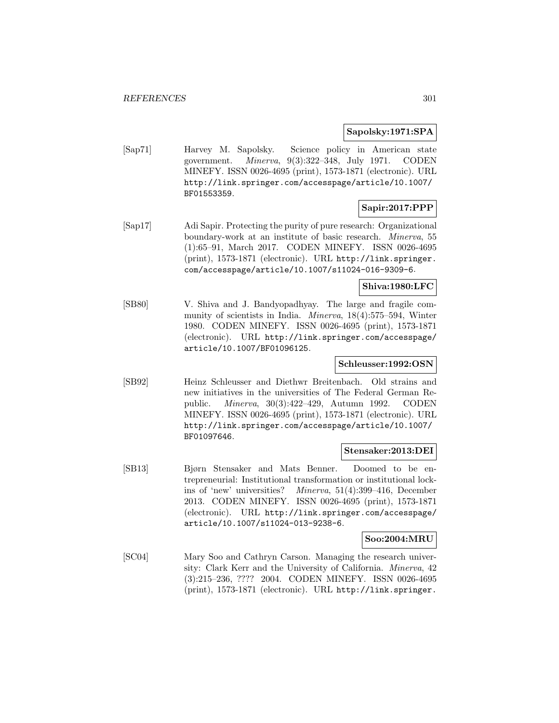### **Sapolsky:1971:SPA**

[Sap71] Harvey M. Sapolsky. Science policy in American state government. Minerva, 9(3):322–348, July 1971. CODEN MINEFY. ISSN 0026-4695 (print), 1573-1871 (electronic). URL http://link.springer.com/accesspage/article/10.1007/ BF01553359.

# **Sapir:2017:PPP**

[Sap17] Adi Sapir. Protecting the purity of pure research: Organizational boundary-work at an institute of basic research. Minerva, 55 (1):65–91, March 2017. CODEN MINEFY. ISSN 0026-4695 (print), 1573-1871 (electronic). URL http://link.springer. com/accesspage/article/10.1007/s11024-016-9309-6.

# **Shiva:1980:LFC**

[SB80] V. Shiva and J. Bandyopadhyay. The large and fragile community of scientists in India. Minerva, 18(4):575–594, Winter 1980. CODEN MINEFY. ISSN 0026-4695 (print), 1573-1871 (electronic). URL http://link.springer.com/accesspage/ article/10.1007/BF01096125.

# **Schleusser:1992:OSN**

[SB92] Heinz Schleusser and Diethwr Breitenbach. Old strains and new initiatives in the universities of The Federal German Republic. Minerva, 30(3):422–429, Autumn 1992. CODEN MINEFY. ISSN 0026-4695 (print), 1573-1871 (electronic). URL http://link.springer.com/accesspage/article/10.1007/ BF01097646.

#### **Stensaker:2013:DEI**

[SB13] Bjørn Stensaker and Mats Benner. Doomed to be entrepreneurial: Institutional transformation or institutional lockins of 'new' universities? Minerva, 51(4):399–416, December 2013. CODEN MINEFY. ISSN 0026-4695 (print), 1573-1871 (electronic). URL http://link.springer.com/accesspage/ article/10.1007/s11024-013-9238-6.

#### **Soo:2004:MRU**

[SC04] Mary Soo and Cathryn Carson. Managing the research university: Clark Kerr and the University of California. Minerva, 42 (3):215–236, ???? 2004. CODEN MINEFY. ISSN 0026-4695 (print), 1573-1871 (electronic). URL http://link.springer.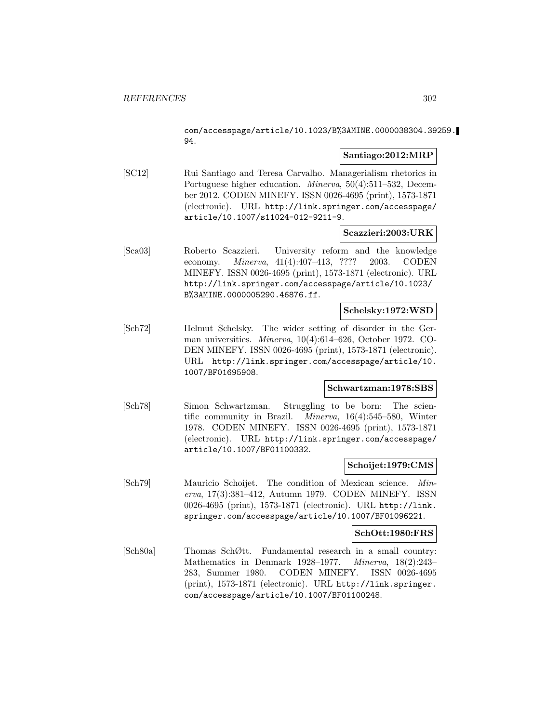com/accesspage/article/10.1023/B%3AMINE.0000038304.39259. 94.

# **Santiago:2012:MRP**

[SC12] Rui Santiago and Teresa Carvalho. Managerialism rhetorics in Portuguese higher education. Minerva, 50(4):511–532, December 2012. CODEN MINEFY. ISSN 0026-4695 (print), 1573-1871 (electronic). URL http://link.springer.com/accesspage/ article/10.1007/s11024-012-9211-9.

# **Scazzieri:2003:URK**

[Sca03] Roberto Scazzieri. University reform and the knowledge economy. Minerva, 41(4):407–413, ???? 2003. CODEN MINEFY. ISSN 0026-4695 (print), 1573-1871 (electronic). URL http://link.springer.com/accesspage/article/10.1023/ B%3AMINE.0000005290.46876.ff.

### **Schelsky:1972:WSD**

[Sch72] Helmut Schelsky. The wider setting of disorder in the German universities. Minerva, 10(4):614–626, October 1972. CO-DEN MINEFY. ISSN 0026-4695 (print), 1573-1871 (electronic). URL http://link.springer.com/accesspage/article/10. 1007/BF01695908.

# **Schwartzman:1978:SBS**

[Sch78] Simon Schwartzman. Struggling to be born: The scientific community in Brazil. Minerva, 16(4):545–580, Winter 1978. CODEN MINEFY. ISSN 0026-4695 (print), 1573-1871 (electronic). URL http://link.springer.com/accesspage/ article/10.1007/BF01100332.

# **Schoijet:1979:CMS**

[Sch79] Mauricio Schoijet. The condition of Mexican science. Minerva, 17(3):381–412, Autumn 1979. CODEN MINEFY. ISSN 0026-4695 (print), 1573-1871 (electronic). URL http://link. springer.com/accesspage/article/10.1007/BF01096221.

#### **SchOtt:1980:FRS**

[Sch80a] Thomas SchØtt. Fundamental research in a small country: Mathematics in Denmark 1928–1977. Minerva, 18(2):243– 283, Summer 1980. CODEN MINEFY. ISSN 0026-4695 (print), 1573-1871 (electronic). URL http://link.springer. com/accesspage/article/10.1007/BF01100248.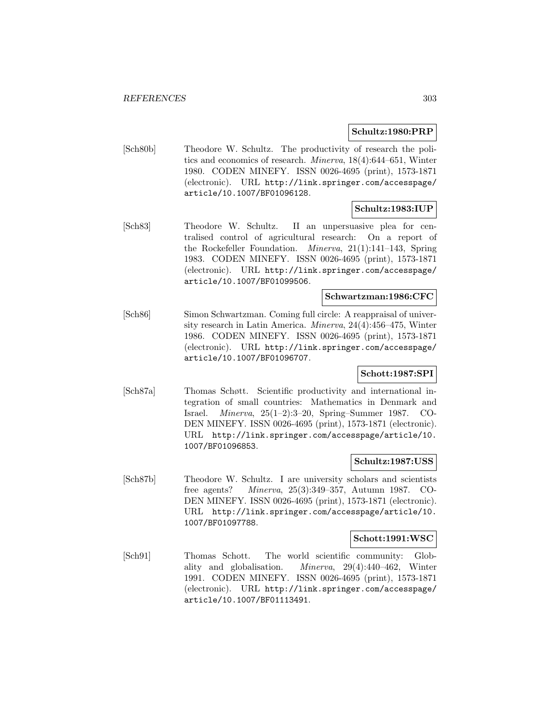### **Schultz:1980:PRP**

[Sch80b] Theodore W. Schultz. The productivity of research the politics and economics of research. Minerva, 18(4):644–651, Winter 1980. CODEN MINEFY. ISSN 0026-4695 (print), 1573-1871 (electronic). URL http://link.springer.com/accesspage/ article/10.1007/BF01096128.

# **Schultz:1983:IUP**

[Sch83] Theodore W. Schultz. II an unpersuasive plea for centralised control of agricultural research: On a report of the Rockefeller Foundation. Minerva, 21(1):141–143, Spring 1983. CODEN MINEFY. ISSN 0026-4695 (print), 1573-1871 (electronic). URL http://link.springer.com/accesspage/ article/10.1007/BF01099506.

# **Schwartzman:1986:CFC**

[Sch86] Simon Schwartzman. Coming full circle: A reappraisal of university research in Latin America. Minerva, 24(4):456–475, Winter 1986. CODEN MINEFY. ISSN 0026-4695 (print), 1573-1871 (electronic). URL http://link.springer.com/accesspage/ article/10.1007/BF01096707.

# **Schott:1987:SPI**

[Sch87a] Thomas Schøtt. Scientific productivity and international integration of small countries: Mathematics in Denmark and Israel. Minerva, 25(1–2):3–20, Spring–Summer 1987. CO-DEN MINEFY. ISSN 0026-4695 (print), 1573-1871 (electronic). URL http://link.springer.com/accesspage/article/10. 1007/BF01096853.

#### **Schultz:1987:USS**

[Sch87b] Theodore W. Schultz. I are university scholars and scientists free agents? Minerva, 25(3):349–357, Autumn 1987. CO-DEN MINEFY. ISSN 0026-4695 (print), 1573-1871 (electronic). URL http://link.springer.com/accesspage/article/10. 1007/BF01097788.

#### **Schott:1991:WSC**

[Sch91] Thomas Schott. The world scientific community: Globality and globalisation. Minerva, 29(4):440–462, Winter 1991. CODEN MINEFY. ISSN 0026-4695 (print), 1573-1871 (electronic). URL http://link.springer.com/accesspage/ article/10.1007/BF01113491.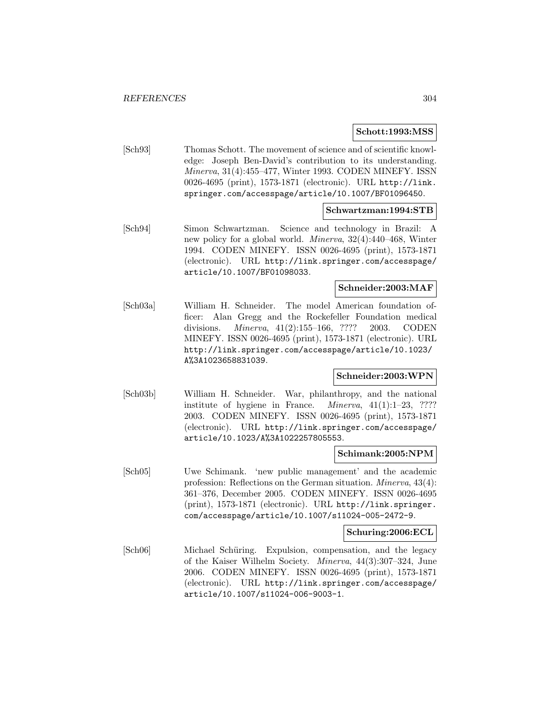#### **Schott:1993:MSS**

[Sch93] Thomas Schott. The movement of science and of scientific knowledge: Joseph Ben-David's contribution to its understanding. Minerva, 31(4):455–477, Winter 1993. CODEN MINEFY. ISSN 0026-4695 (print), 1573-1871 (electronic). URL http://link. springer.com/accesspage/article/10.1007/BF01096450.

# **Schwartzman:1994:STB**

[Sch94] Simon Schwartzman. Science and technology in Brazil: A new policy for a global world. Minerva, 32(4):440–468, Winter 1994. CODEN MINEFY. ISSN 0026-4695 (print), 1573-1871 (electronic). URL http://link.springer.com/accesspage/ article/10.1007/BF01098033.

#### **Schneider:2003:MAF**

[Sch03a] William H. Schneider. The model American foundation officer: Alan Gregg and the Rockefeller Foundation medical divisions. Minerva, 41(2):155–166, ???? 2003. CODEN MINEFY. ISSN 0026-4695 (print), 1573-1871 (electronic). URL http://link.springer.com/accesspage/article/10.1023/ A%3A1023658831039.

# **Schneider:2003:WPN**

[Sch03b] William H. Schneider. War, philanthropy, and the national institute of hygiene in France. Minerva, 41(1):1–23, ???? 2003. CODEN MINEFY. ISSN 0026-4695 (print), 1573-1871 (electronic). URL http://link.springer.com/accesspage/ article/10.1023/A%3A1022257805553.

# **Schimank:2005:NPM**

[Sch05] Uwe Schimank. 'new public management' and the academic profession: Reflections on the German situation. Minerva, 43(4): 361–376, December 2005. CODEN MINEFY. ISSN 0026-4695 (print), 1573-1871 (electronic). URL http://link.springer. com/accesspage/article/10.1007/s11024-005-2472-9.

#### **Schuring:2006:ECL**

[Sch06] Michael Schüring. Expulsion, compensation, and the legacy of the Kaiser Wilhelm Society. Minerva, 44(3):307–324, June 2006. CODEN MINEFY. ISSN 0026-4695 (print), 1573-1871 (electronic). URL http://link.springer.com/accesspage/ article/10.1007/s11024-006-9003-1.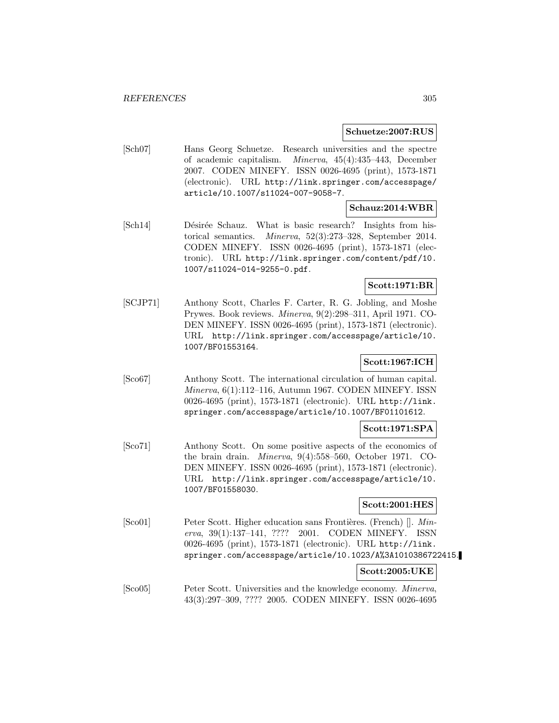### **Schuetze:2007:RUS**

[Sch07] Hans Georg Schuetze. Research universities and the spectre of academic capitalism. Minerva, 45(4):435–443, December 2007. CODEN MINEFY. ISSN 0026-4695 (print), 1573-1871 (electronic). URL http://link.springer.com/accesspage/ article/10.1007/s11024-007-9058-7.

#### **Schauz:2014:WBR**

[Sch14] Désirée Schauz. What is basic research? Insights from historical semantics. Minerva, 52(3):273–328, September 2014. CODEN MINEFY. ISSN 0026-4695 (print), 1573-1871 (electronic). URL http://link.springer.com/content/pdf/10. 1007/s11024-014-9255-0.pdf.

# **Scott:1971:BR**

[SCJP71] Anthony Scott, Charles F. Carter, R. G. Jobling, and Moshe Prywes. Book reviews. Minerva, 9(2):298–311, April 1971. CO-DEN MINEFY. ISSN 0026-4695 (print), 1573-1871 (electronic). URL http://link.springer.com/accesspage/article/10. 1007/BF01553164.

# **Scott:1967:ICH**

[Sco67] Anthony Scott. The international circulation of human capital. Minerva, 6(1):112–116, Autumn 1967. CODEN MINEFY. ISSN 0026-4695 (print), 1573-1871 (electronic). URL http://link. springer.com/accesspage/article/10.1007/BF01101612.

# **Scott:1971:SPA**

[Sco71] Anthony Scott. On some positive aspects of the economics of the brain drain. Minerva, 9(4):558–560, October 1971. CO-DEN MINEFY. ISSN 0026-4695 (print), 1573-1871 (electronic). URL http://link.springer.com/accesspage/article/10. 1007/BF01558030.

# **Scott:2001:HES**

[Sco01] Peter Scott. Higher education sans Frontières. (French)  $\parallel$ . Minerva, 39(1):137–141, ???? 2001. CODEN MINEFY. ISSN 0026-4695 (print), 1573-1871 (electronic). URL http://link. springer.com/accesspage/article/10.1023/A%3A1010386722415.

#### **Scott:2005:UKE**

[Sco05] Peter Scott. Universities and the knowledge economy. Minerva, 43(3):297–309, ???? 2005. CODEN MINEFY. ISSN 0026-4695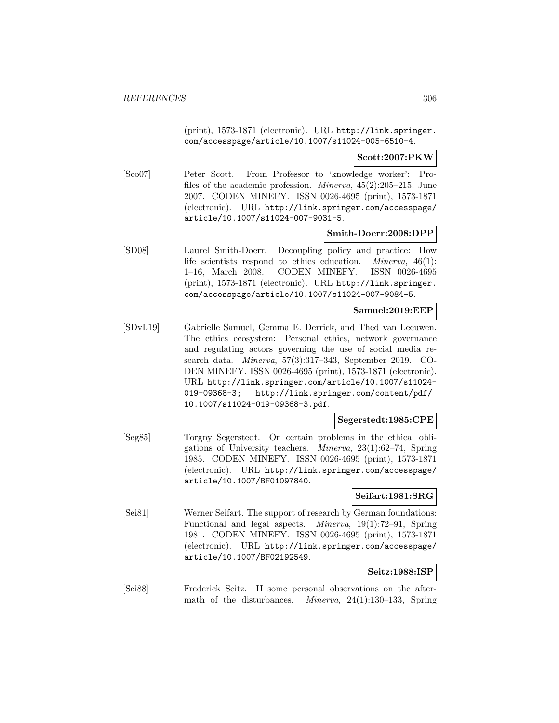(print), 1573-1871 (electronic). URL http://link.springer. com/accesspage/article/10.1007/s11024-005-6510-4.

### **Scott:2007:PKW**

[Sco07] Peter Scott. From Professor to 'knowledge worker': Profiles of the academic profession. Minerva, 45(2):205–215, June 2007. CODEN MINEFY. ISSN 0026-4695 (print), 1573-1871 (electronic). URL http://link.springer.com/accesspage/ article/10.1007/s11024-007-9031-5.

# **Smith-Doerr:2008:DPP**

[SD08] Laurel Smith-Doerr. Decoupling policy and practice: How life scientists respond to ethics education. Minerva, 46(1): 1–16, March 2008. CODEN MINEFY. ISSN 0026-4695 (print), 1573-1871 (electronic). URL http://link.springer. com/accesspage/article/10.1007/s11024-007-9084-5.

# **Samuel:2019:EEP**

[SDvL19] Gabrielle Samuel, Gemma E. Derrick, and Thed van Leeuwen. The ethics ecosystem: Personal ethics, network governance and regulating actors governing the use of social media research data. Minerva, 57(3):317–343, September 2019. CO-DEN MINEFY. ISSN 0026-4695 (print), 1573-1871 (electronic). URL http://link.springer.com/article/10.1007/s11024- 019-09368-3; http://link.springer.com/content/pdf/ 10.1007/s11024-019-09368-3.pdf.

# **Segerstedt:1985:CPE**

[Seg85] Torgny Segerstedt. On certain problems in the ethical obligations of University teachers. Minerva, 23(1):62–74, Spring 1985. CODEN MINEFY. ISSN 0026-4695 (print), 1573-1871 (electronic). URL http://link.springer.com/accesspage/ article/10.1007/BF01097840.

# **Seifart:1981:SRG**

[Sei81] Werner Seifart. The support of research by German foundations: Functional and legal aspects. Minerva, 19(1):72–91, Spring 1981. CODEN MINEFY. ISSN 0026-4695 (print), 1573-1871 (electronic). URL http://link.springer.com/accesspage/ article/10.1007/BF02192549.

# **Seitz:1988:ISP**

[Sei88] Frederick Seitz. II some personal observations on the aftermath of the disturbances. Minerva, 24(1):130–133, Spring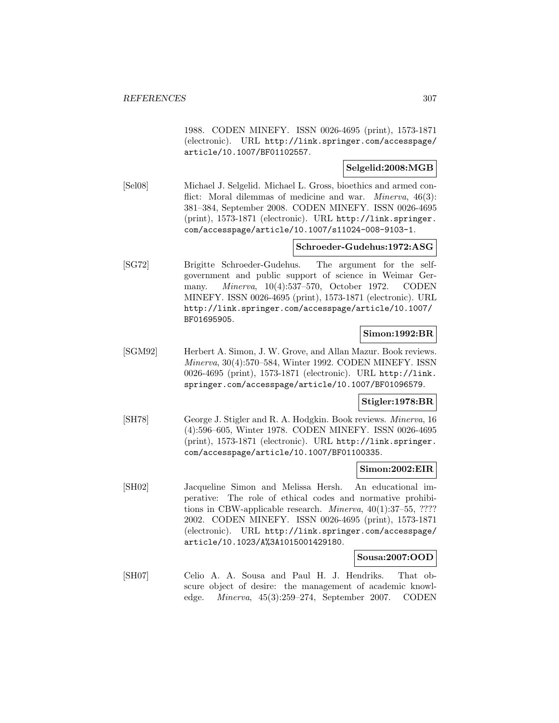1988. CODEN MINEFY. ISSN 0026-4695 (print), 1573-1871 (electronic). URL http://link.springer.com/accesspage/ article/10.1007/BF01102557.

# **Selgelid:2008:MGB**

[Sel08] Michael J. Selgelid. Michael L. Gross, bioethics and armed conflict: Moral dilemmas of medicine and war. *Minerva*, 46(3): 381–384, September 2008. CODEN MINEFY. ISSN 0026-4695 (print), 1573-1871 (electronic). URL http://link.springer. com/accesspage/article/10.1007/s11024-008-9103-1.

# **Schroeder-Gudehus:1972:ASG**

[SG72] Brigitte Schroeder-Gudehus. The argument for the selfgovernment and public support of science in Weimar Germany. Minerva, 10(4):537–570, October 1972. CODEN MINEFY. ISSN 0026-4695 (print), 1573-1871 (electronic). URL http://link.springer.com/accesspage/article/10.1007/ BF01695905.

# **Simon:1992:BR**

[SGM92] Herbert A. Simon, J. W. Grove, and Allan Mazur. Book reviews. Minerva, 30(4):570–584, Winter 1992. CODEN MINEFY. ISSN 0026-4695 (print), 1573-1871 (electronic). URL http://link. springer.com/accesspage/article/10.1007/BF01096579.

# **Stigler:1978:BR**

[SH78] George J. Stigler and R. A. Hodgkin. Book reviews. Minerva, 16 (4):596–605, Winter 1978. CODEN MINEFY. ISSN 0026-4695 (print), 1573-1871 (electronic). URL http://link.springer. com/accesspage/article/10.1007/BF01100335.

#### **Simon:2002:EIR**

[SH02] Jacqueline Simon and Melissa Hersh. An educational imperative: The role of ethical codes and normative prohibitions in CBW-applicable research. Minerva, 40(1):37–55, ???? 2002. CODEN MINEFY. ISSN 0026-4695 (print), 1573-1871 (electronic). URL http://link.springer.com/accesspage/ article/10.1023/A%3A1015001429180.

#### **Sousa:2007:OOD**

[SH07] Celio A. A. Sousa and Paul H. J. Hendriks. That obscure object of desire: the management of academic knowledge. Minerva, 45(3):259–274, September 2007. CODEN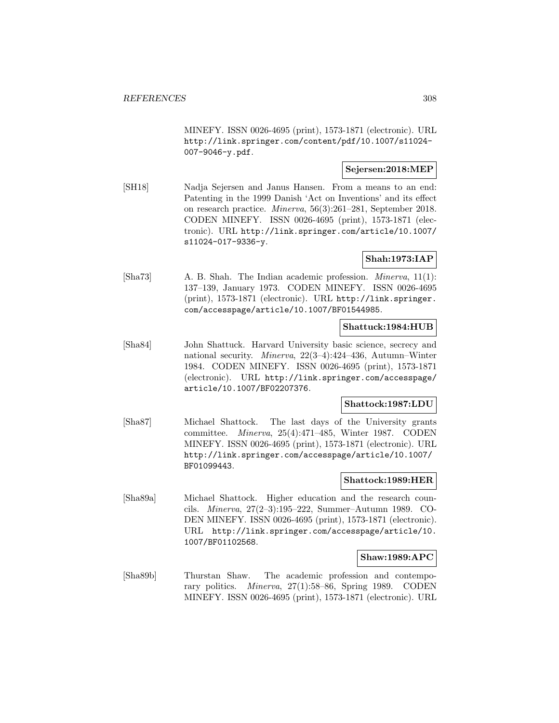MINEFY. ISSN 0026-4695 (print), 1573-1871 (electronic). URL http://link.springer.com/content/pdf/10.1007/s11024- 007-9046-y.pdf.

# **Sejersen:2018:MEP**

[SH18] Nadja Sejersen and Janus Hansen. From a means to an end: Patenting in the 1999 Danish 'Act on Inventions' and its effect on research practice. Minerva, 56(3):261–281, September 2018. CODEN MINEFY. ISSN 0026-4695 (print), 1573-1871 (electronic). URL http://link.springer.com/article/10.1007/ s11024-017-9336-y.

# **Shah:1973:IAP**

[Sha73] A. B. Shah. The Indian academic profession. Minerva, 11(1): 137–139, January 1973. CODEN MINEFY. ISSN 0026-4695 (print), 1573-1871 (electronic). URL http://link.springer. com/accesspage/article/10.1007/BF01544985.

#### **Shattuck:1984:HUB**

[Sha84] John Shattuck. Harvard University basic science, secrecy and national security. Minerva, 22(3–4):424–436, Autumn–Winter 1984. CODEN MINEFY. ISSN 0026-4695 (print), 1573-1871 (electronic). URL http://link.springer.com/accesspage/ article/10.1007/BF02207376.

# **Shattock:1987:LDU**

[Sha87] Michael Shattock. The last days of the University grants committee. Minerva, 25(4):471–485, Winter 1987. CODEN MINEFY. ISSN 0026-4695 (print), 1573-1871 (electronic). URL http://link.springer.com/accesspage/article/10.1007/ BF01099443.

#### **Shattock:1989:HER**

[Sha89a] Michael Shattock. Higher education and the research councils. Minerva, 27(2–3):195–222, Summer–Autumn 1989. CO-DEN MINEFY. ISSN 0026-4695 (print), 1573-1871 (electronic). URL http://link.springer.com/accesspage/article/10. 1007/BF01102568.

# **Shaw:1989:APC**

[Sha89b] Thurstan Shaw. The academic profession and contemporary politics. Minerva, 27(1):58–86, Spring 1989. CODEN MINEFY. ISSN 0026-4695 (print), 1573-1871 (electronic). URL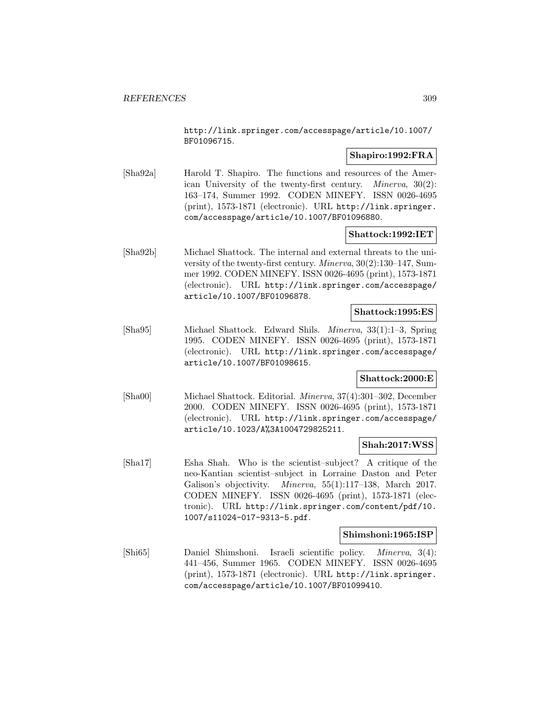http://link.springer.com/accesspage/article/10.1007/ BF01096715.

# **Shapiro:1992:FRA**

[Sha92a] Harold T. Shapiro. The functions and resources of the American University of the twenty-first century. Minerva, 30(2): 163–174, Summer 1992. CODEN MINEFY. ISSN 0026-4695 (print), 1573-1871 (electronic). URL http://link.springer. com/accesspage/article/10.1007/BF01096880.

# **Shattock:1992:IET**

[Sha92b] Michael Shattock. The internal and external threats to the university of the twenty-first century. Minerva, 30(2):130–147, Summer 1992. CODEN MINEFY. ISSN 0026-4695 (print), 1573-1871 (electronic). URL http://link.springer.com/accesspage/ article/10.1007/BF01096878.

#### **Shattock:1995:ES**

[Sha95] Michael Shattock. Edward Shils. Minerva, 33(1):1–3, Spring 1995. CODEN MINEFY. ISSN 0026-4695 (print), 1573-1871 (electronic). URL http://link.springer.com/accesspage/ article/10.1007/BF01098615.

# **Shattock:2000:E**

[Sha00] Michael Shattock. Editorial. Minerva, 37(4):301–302, December 2000. CODEN MINEFY. ISSN 0026-4695 (print), 1573-1871 (electronic). URL http://link.springer.com/accesspage/ article/10.1023/A%3A1004729825211.

# **Shah:2017:WSS**

[Sha17] Esha Shah. Who is the scientist–subject? A critique of the neo-Kantian scientist–subject in Lorraine Daston and Peter Galison's objectivity. Minerva, 55(1):117–138, March 2017. CODEN MINEFY. ISSN 0026-4695 (print), 1573-1871 (electronic). URL http://link.springer.com/content/pdf/10. 1007/s11024-017-9313-5.pdf.

# **Shimshoni:1965:ISP**

[Shi65] Daniel Shimshoni. Israeli scientific policy. Minerva, 3(4): 441–456, Summer 1965. CODEN MINEFY. ISSN 0026-4695 (print), 1573-1871 (electronic). URL http://link.springer. com/accesspage/article/10.1007/BF01099410.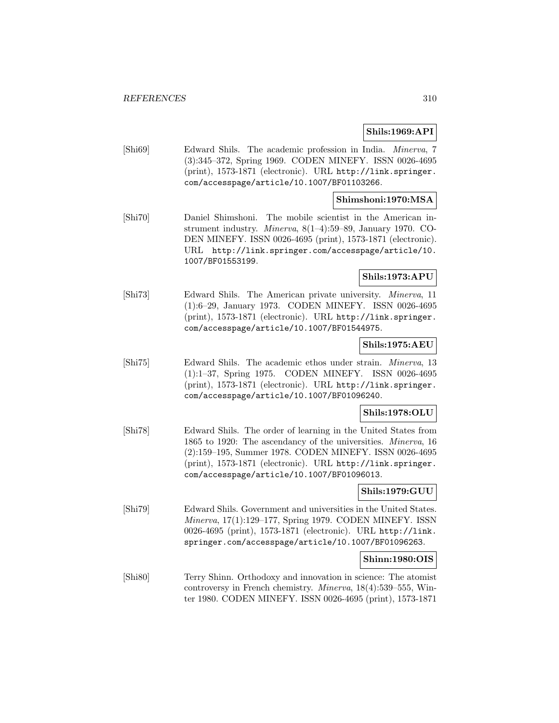# **Shils:1969:API**

[Shi69] Edward Shils. The academic profession in India. Minerva, 7 (3):345–372, Spring 1969. CODEN MINEFY. ISSN 0026-4695 (print), 1573-1871 (electronic). URL http://link.springer. com/accesspage/article/10.1007/BF01103266.

### **Shimshoni:1970:MSA**

[Shi70] Daniel Shimshoni. The mobile scientist in the American instrument industry. Minerva, 8(1–4):59–89, January 1970. CO-DEN MINEFY. ISSN 0026-4695 (print), 1573-1871 (electronic). URL http://link.springer.com/accesspage/article/10. 1007/BF01553199.

### **Shils:1973:APU**

[Shi73] Edward Shils. The American private university. Minerva, 11 (1):6–29, January 1973. CODEN MINEFY. ISSN 0026-4695 (print), 1573-1871 (electronic). URL http://link.springer. com/accesspage/article/10.1007/BF01544975.

# **Shils:1975:AEU**

[Shi75] Edward Shils. The academic ethos under strain. Minerva, 13 (1):1–37, Spring 1975. CODEN MINEFY. ISSN 0026-4695 (print), 1573-1871 (electronic). URL http://link.springer. com/accesspage/article/10.1007/BF01096240.

#### **Shils:1978:OLU**

[Shi78] Edward Shils. The order of learning in the United States from 1865 to 1920: The ascendancy of the universities. Minerva, 16 (2):159–195, Summer 1978. CODEN MINEFY. ISSN 0026-4695 (print), 1573-1871 (electronic). URL http://link.springer. com/accesspage/article/10.1007/BF01096013.

# **Shils:1979:GUU**

[Shi79] Edward Shils. Government and universities in the United States. Minerva, 17(1):129–177, Spring 1979. CODEN MINEFY. ISSN 0026-4695 (print), 1573-1871 (electronic). URL http://link. springer.com/accesspage/article/10.1007/BF01096263.

#### **Shinn:1980:OIS**

[Shi80] Terry Shinn. Orthodoxy and innovation in science: The atomist controversy in French chemistry. Minerva, 18(4):539–555, Winter 1980. CODEN MINEFY. ISSN 0026-4695 (print), 1573-1871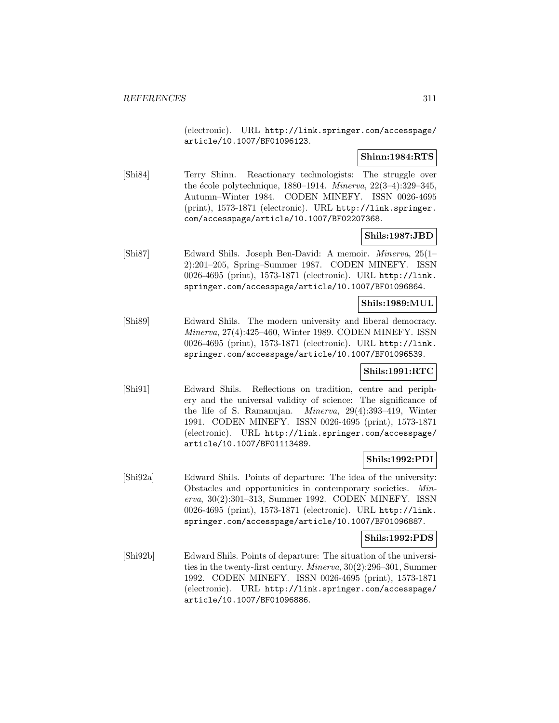(electronic). URL http://link.springer.com/accesspage/ article/10.1007/BF01096123.

# **Shinn:1984:RTS**

[Shi84] Terry Shinn. Reactionary technologists: The struggle over the école polytechnique, 1880–1914. Minerva,  $22(3-4):329-345$ , Autumn–Winter 1984. CODEN MINEFY. ISSN 0026-4695 (print), 1573-1871 (electronic). URL http://link.springer. com/accesspage/article/10.1007/BF02207368.

# **Shils:1987:JBD**

[Shi87] Edward Shils. Joseph Ben-David: A memoir. Minerva, 25(1– 2):201–205, Spring–Summer 1987. CODEN MINEFY. ISSN 0026-4695 (print), 1573-1871 (electronic). URL http://link. springer.com/accesspage/article/10.1007/BF01096864.

# **Shils:1989:MUL**

[Shi89] Edward Shils. The modern university and liberal democracy. Minerva, 27(4):425–460, Winter 1989. CODEN MINEFY. ISSN 0026-4695 (print), 1573-1871 (electronic). URL http://link. springer.com/accesspage/article/10.1007/BF01096539.

# **Shils:1991:RTC**

[Shi91] Edward Shils. Reflections on tradition, centre and periphery and the universal validity of science: The significance of the life of S. Ramanujan. Minerva, 29(4):393–419, Winter 1991. CODEN MINEFY. ISSN 0026-4695 (print), 1573-1871 (electronic). URL http://link.springer.com/accesspage/ article/10.1007/BF01113489.

# **Shils:1992:PDI**

[Shi92a] Edward Shils. Points of departure: The idea of the university: Obstacles and opportunities in contemporary societies. Minerva, 30(2):301–313, Summer 1992. CODEN MINEFY. ISSN 0026-4695 (print), 1573-1871 (electronic). URL http://link. springer.com/accesspage/article/10.1007/BF01096887.

# **Shils:1992:PDS**

[Shi92b] Edward Shils. Points of departure: The situation of the universities in the twenty-first century. Minerva, 30(2):296–301, Summer 1992. CODEN MINEFY. ISSN 0026-4695 (print), 1573-1871 (electronic). URL http://link.springer.com/accesspage/ article/10.1007/BF01096886.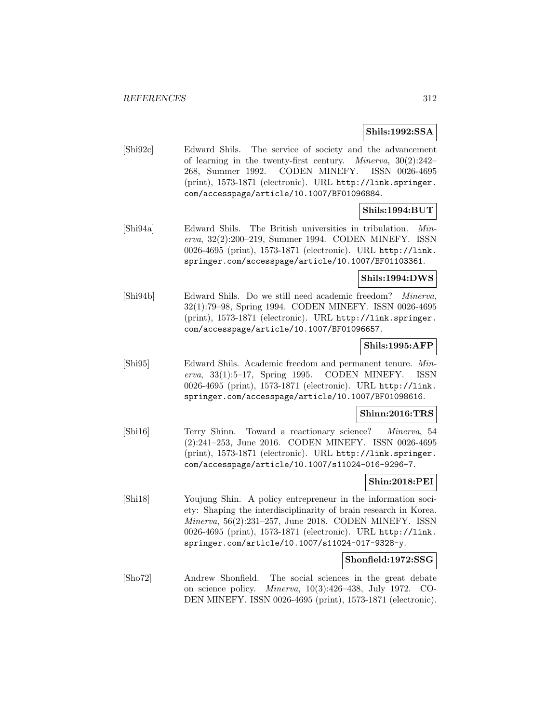### **Shils:1992:SSA**

[Shi92c] Edward Shils. The service of society and the advancement of learning in the twenty-first century. Minerva, 30(2):242– 268, Summer 1992. CODEN MINEFY. ISSN 0026-4695 (print), 1573-1871 (electronic). URL http://link.springer. com/accesspage/article/10.1007/BF01096884.

# **Shils:1994:BUT**

[Shi94a] Edward Shils. The British universities in tribulation. Minerva, 32(2):200–219, Summer 1994. CODEN MINEFY. ISSN 0026-4695 (print), 1573-1871 (electronic). URL http://link. springer.com/accesspage/article/10.1007/BF01103361.

# **Shils:1994:DWS**

[Shi94b] Edward Shils. Do we still need academic freedom? Minerva, 32(1):79–98, Spring 1994. CODEN MINEFY. ISSN 0026-4695 (print), 1573-1871 (electronic). URL http://link.springer. com/accesspage/article/10.1007/BF01096657.

# **Shils:1995:AFP**

[Shi95] Edward Shils. Academic freedom and permanent tenure. Minerva, 33(1):5–17, Spring 1995. CODEN MINEFY. ISSN 0026-4695 (print), 1573-1871 (electronic). URL http://link. springer.com/accesspage/article/10.1007/BF01098616.

# **Shinn:2016:TRS**

[Shi16] Terry Shinn. Toward a reactionary science? Minerva, 54 (2):241–253, June 2016. CODEN MINEFY. ISSN 0026-4695 (print), 1573-1871 (electronic). URL http://link.springer. com/accesspage/article/10.1007/s11024-016-9296-7.

# **Shin:2018:PEI**

[Shi18] Youjung Shin. A policy entrepreneur in the information society: Shaping the interdisciplinarity of brain research in Korea. Minerva, 56(2):231–257, June 2018. CODEN MINEFY. ISSN 0026-4695 (print), 1573-1871 (electronic). URL http://link. springer.com/article/10.1007/s11024-017-9328-y.

# **Shonfield:1972:SSG**

[Sho72] Andrew Shonfield. The social sciences in the great debate on science policy. Minerva, 10(3):426–438, July 1972. CO-DEN MINEFY. ISSN 0026-4695 (print), 1573-1871 (electronic).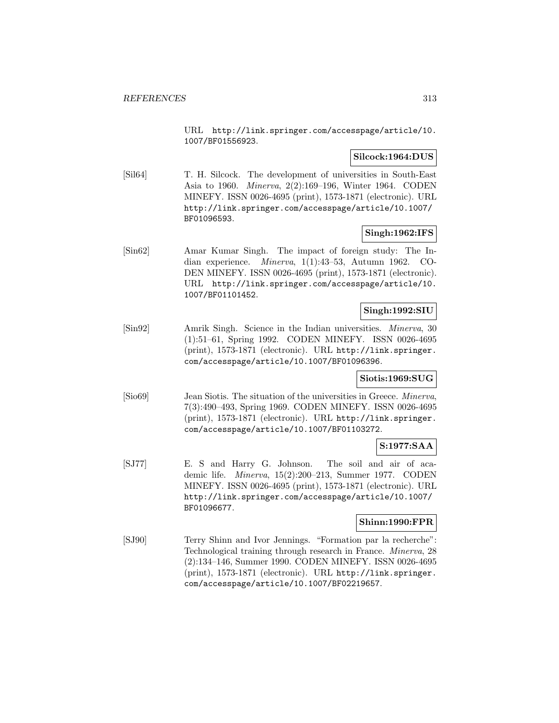URL http://link.springer.com/accesspage/article/10. 1007/BF01556923.

# **Silcock:1964:DUS**

[Sil64] T. H. Silcock. The development of universities in South-East Asia to 1960. Minerva, 2(2):169–196, Winter 1964. CODEN MINEFY. ISSN 0026-4695 (print), 1573-1871 (electronic). URL http://link.springer.com/accesspage/article/10.1007/ BF01096593.

# **Singh:1962:IFS**

[Sin62] Amar Kumar Singh. The impact of foreign study: The Indian experience. Minerva, 1(1):43–53, Autumn 1962. CO-DEN MINEFY. ISSN 0026-4695 (print), 1573-1871 (electronic). URL http://link.springer.com/accesspage/article/10. 1007/BF01101452.

#### **Singh:1992:SIU**

[Sin92] Amrik Singh. Science in the Indian universities. Minerva, 30 (1):51–61, Spring 1992. CODEN MINEFY. ISSN 0026-4695 (print), 1573-1871 (electronic). URL http://link.springer. com/accesspage/article/10.1007/BF01096396.

# **Siotis:1969:SUG**

[Sio69] Jean Siotis. The situation of the universities in Greece. Minerva, 7(3):490–493, Spring 1969. CODEN MINEFY. ISSN 0026-4695 (print), 1573-1871 (electronic). URL http://link.springer. com/accesspage/article/10.1007/BF01103272.

# **S:1977:SAA**

[SJ77] E. S and Harry G. Johnson. The soil and air of academic life. Minerva, 15(2):200–213, Summer 1977. CODEN MINEFY. ISSN 0026-4695 (print), 1573-1871 (electronic). URL http://link.springer.com/accesspage/article/10.1007/ BF01096677.

# **Shinn:1990:FPR**

[SJ90] Terry Shinn and Ivor Jennings. "Formation par la recherche": Technological training through research in France. Minerva, 28 (2):134–146, Summer 1990. CODEN MINEFY. ISSN 0026-4695 (print), 1573-1871 (electronic). URL http://link.springer. com/accesspage/article/10.1007/BF02219657.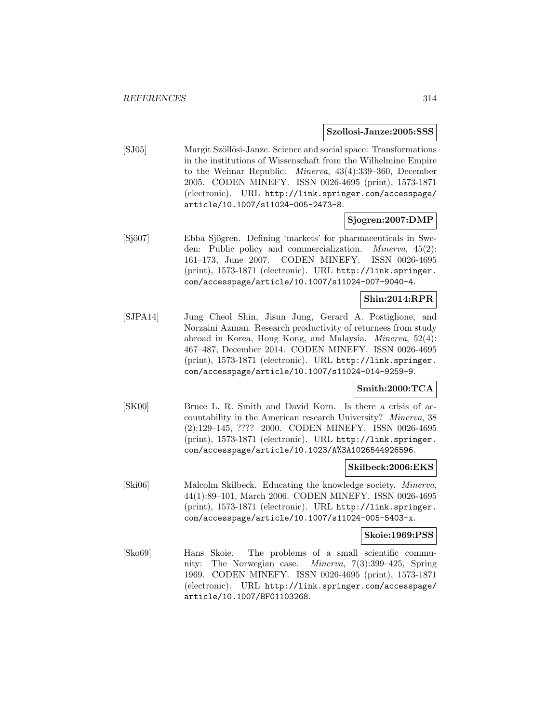#### **Szollosi-Janze:2005:SSS**

[SJ05] Margit Szöllösi-Janze. Science and social space: Transformations in the institutions of Wissenschaft from the Wilhelmine Empire to the Weimar Republic. Minerva, 43(4):339–360, December 2005. CODEN MINEFY. ISSN 0026-4695 (print), 1573-1871 (electronic). URL http://link.springer.com/accesspage/ article/10.1007/s11024-005-2473-8.

# **Sjogren:2007:DMP**

[Sjö07] Ebba Sjögren. Defining 'markets' for pharmaceuticals in Sweden: Public policy and commercialization. Minerva, 45(2): 161–173, June 2007. CODEN MINEFY. ISSN 0026-4695 (print), 1573-1871 (electronic). URL http://link.springer. com/accesspage/article/10.1007/s11024-007-9040-4.

# **Shin:2014:RPR**

[SJPA14] Jung Cheol Shin, Jisun Jung, Gerard A. Postiglione, and Norzaini Azman. Research productivity of returnees from study abroad in Korea, Hong Kong, and Malaysia. Minerva, 52(4): 467–487, December 2014. CODEN MINEFY. ISSN 0026-4695 (print), 1573-1871 (electronic). URL http://link.springer. com/accesspage/article/10.1007/s11024-014-9259-9.

# **Smith:2000:TCA**

[SK00] Bruce L. R. Smith and David Korn. Is there a crisis of accountability in the American research University? Minerva, 38 (2):129–145, ???? 2000. CODEN MINEFY. ISSN 0026-4695 (print), 1573-1871 (electronic). URL http://link.springer. com/accesspage/article/10.1023/A%3A1026544926596.

#### **Skilbeck:2006:EKS**

[Ski06] Malcolm Skilbeck. Educating the knowledge society. Minerva, 44(1):89–101, March 2006. CODEN MINEFY. ISSN 0026-4695 (print), 1573-1871 (electronic). URL http://link.springer. com/accesspage/article/10.1007/s11024-005-5403-x.

#### **Skoie:1969:PSS**

[Sko69] Hans Skoie. The problems of a small scientific community: The Norwegian case. Minerva, 7(3):399–425, Spring 1969. CODEN MINEFY. ISSN 0026-4695 (print), 1573-1871 (electronic). URL http://link.springer.com/accesspage/ article/10.1007/BF01103268.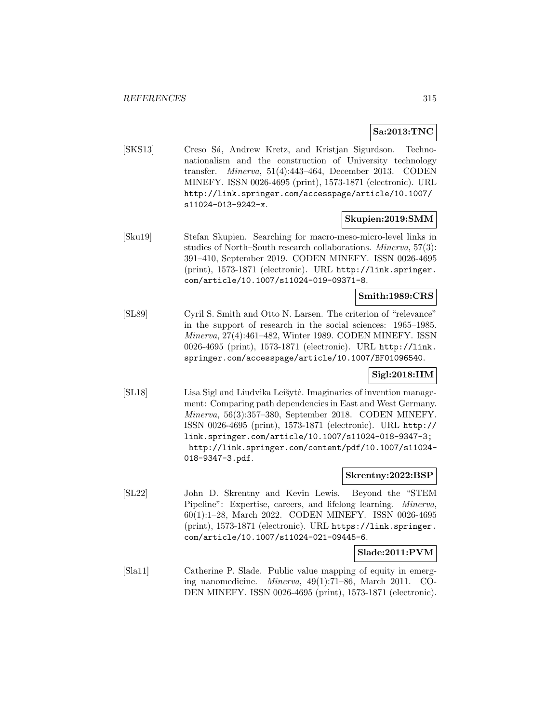# **Sa:2013:TNC**

[SKS13] Creso Sá, Andrew Kretz, and Kristjan Sigurdson. Technonationalism and the construction of University technology transfer. Minerva, 51(4):443–464, December 2013. CODEN MINEFY. ISSN 0026-4695 (print), 1573-1871 (electronic). URL http://link.springer.com/accesspage/article/10.1007/ s11024-013-9242-x.

# **Skupien:2019:SMM**

[Sku19] Stefan Skupien. Searching for macro-meso-micro-level links in studies of North–South research collaborations. Minerva, 57(3): 391–410, September 2019. CODEN MINEFY. ISSN 0026-4695 (print), 1573-1871 (electronic). URL http://link.springer. com/article/10.1007/s11024-019-09371-8.

# **Smith:1989:CRS**

[SL89] Cyril S. Smith and Otto N. Larsen. The criterion of "relevance" in the support of research in the social sciences: 1965–1985. Minerva, 27(4):461–482, Winter 1989. CODEN MINEFY. ISSN 0026-4695 (print), 1573-1871 (electronic). URL http://link. springer.com/accesspage/article/10.1007/BF01096540.

# **Sigl:2018:IIM**

[SL18] Lisa Sigl and Liudvika Leišytė. Imaginaries of invention management: Comparing path dependencies in East and West Germany. Minerva, 56(3):357–380, September 2018. CODEN MINEFY. ISSN 0026-4695 (print), 1573-1871 (electronic). URL http:// link.springer.com/article/10.1007/s11024-018-9347-3; http://link.springer.com/content/pdf/10.1007/s11024- 018-9347-3.pdf.

#### **Skrentny:2022:BSP**

[SL22] John D. Skrentny and Kevin Lewis. Beyond the "STEM Pipeline": Expertise, careers, and lifelong learning. Minerva, 60(1):1–28, March 2022. CODEN MINEFY. ISSN 0026-4695 (print), 1573-1871 (electronic). URL https://link.springer. com/article/10.1007/s11024-021-09445-6.

# **Slade:2011:PVM**

[Sla11] Catherine P. Slade. Public value mapping of equity in emerging nanomedicine. Minerva, 49(1):71–86, March 2011. CO-DEN MINEFY. ISSN 0026-4695 (print), 1573-1871 (electronic).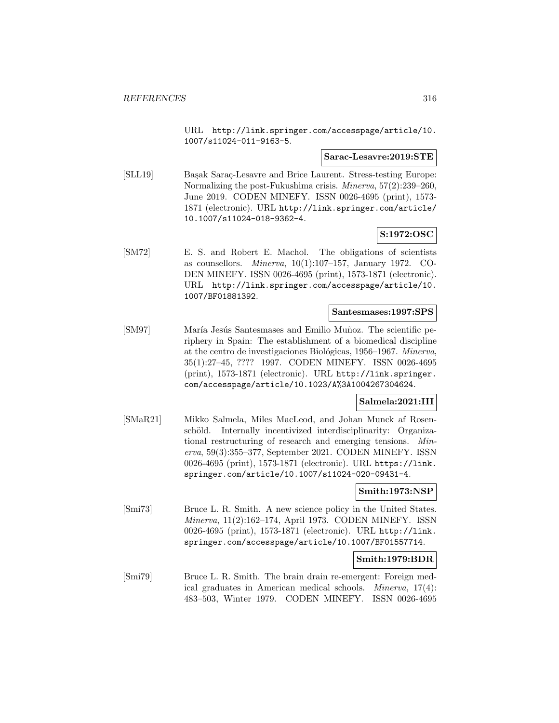URL http://link.springer.com/accesspage/article/10. 1007/s11024-011-9163-5.

#### **Sarac-Lesavre:2019:STE**

[SLL19] Başak Saraç-Lesavre and Brice Laurent. Stress-testing Europe: Normalizing the post-Fukushima crisis. Minerva, 57(2):239–260, June 2019. CODEN MINEFY. ISSN 0026-4695 (print), 1573- 1871 (electronic). URL http://link.springer.com/article/ 10.1007/s11024-018-9362-4.

# **S:1972:OSC**

[SM72] E. S. and Robert E. Machol. The obligations of scientists as counsellors. Minerva, 10(1):107–157, January 1972. CO-DEN MINEFY. ISSN 0026-4695 (print), 1573-1871 (electronic). URL http://link.springer.com/accesspage/article/10. 1007/BF01881392.

#### **Santesmases:1997:SPS**

[SM97] María Jesús Santesmases and Emilio Muñoz. The scientific periphery in Spain: The establishment of a biomedical discipline at the centro de investigaciones Biológicas, 1956–1967. Minerva, 35(1):27–45, ???? 1997. CODEN MINEFY. ISSN 0026-4695 (print), 1573-1871 (electronic). URL http://link.springer. com/accesspage/article/10.1023/A%3A1004267304624.

# **Salmela:2021:III**

[SMaR21] Mikko Salmela, Miles MacLeod, and Johan Munck af Rosenschöld. Internally incentivized interdisciplinarity: Organizational restructuring of research and emerging tensions. Minerva, 59(3):355–377, September 2021. CODEN MINEFY. ISSN 0026-4695 (print), 1573-1871 (electronic). URL https://link. springer.com/article/10.1007/s11024-020-09431-4.

# **Smith:1973:NSP**

[Smi73] Bruce L. R. Smith. A new science policy in the United States. Minerva, 11(2):162–174, April 1973. CODEN MINEFY. ISSN 0026-4695 (print), 1573-1871 (electronic). URL http://link. springer.com/accesspage/article/10.1007/BF01557714.

#### **Smith:1979:BDR**

[Smi79] Bruce L. R. Smith. The brain drain re-emergent: Foreign medical graduates in American medical schools. Minerva, 17(4): 483–503, Winter 1979. CODEN MINEFY. ISSN 0026-4695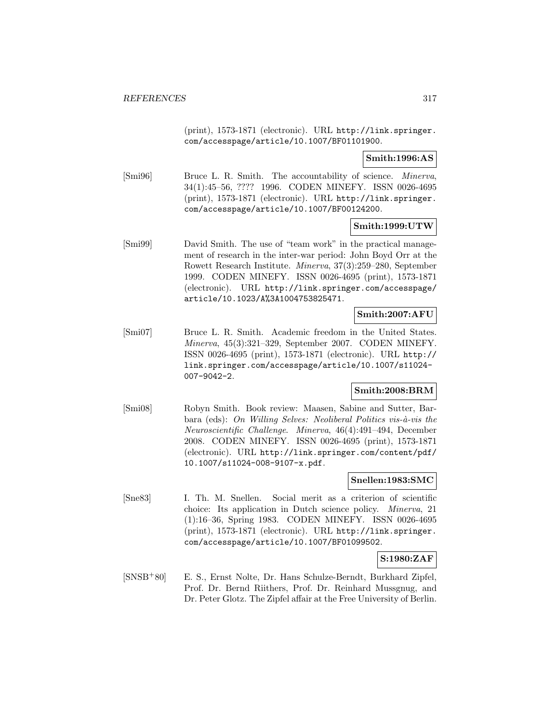(print), 1573-1871 (electronic). URL http://link.springer. com/accesspage/article/10.1007/BF01101900.

**Smith:1996:AS**

[Smi96] Bruce L. R. Smith. The accountability of science. Minerva, 34(1):45–56, ???? 1996. CODEN MINEFY. ISSN 0026-4695 (print), 1573-1871 (electronic). URL http://link.springer. com/accesspage/article/10.1007/BF00124200.

# **Smith:1999:UTW**

[Smi99] David Smith. The use of "team work" in the practical management of research in the inter-war period: John Boyd Orr at the Rowett Research Institute. Minerva, 37(3):259–280, September 1999. CODEN MINEFY. ISSN 0026-4695 (print), 1573-1871 (electronic). URL http://link.springer.com/accesspage/ article/10.1023/A%3A1004753825471.

# **Smith:2007:AFU**

[Smi07] Bruce L. R. Smith. Academic freedom in the United States. Minerva, 45(3):321–329, September 2007. CODEN MINEFY. ISSN 0026-4695 (print), 1573-1871 (electronic). URL http:// link.springer.com/accesspage/article/10.1007/s11024- 007-9042-2.

# **Smith:2008:BRM**

[Smi08] Robyn Smith. Book review: Maasen, Sabine and Sutter, Barbara (eds): On Willing Selves: Neoliberal Politics vis-à-vis the Neuroscientific Challenge. Minerva, 46(4):491–494, December 2008. CODEN MINEFY. ISSN 0026-4695 (print), 1573-1871 (electronic). URL http://link.springer.com/content/pdf/ 10.1007/s11024-008-9107-x.pdf.

#### **Snellen:1983:SMC**

[Sne83] I. Th. M. Snellen. Social merit as a criterion of scientific choice: Its application in Dutch science policy. Minerva, 21 (1):16–36, Spring 1983. CODEN MINEFY. ISSN 0026-4695 (print), 1573-1871 (electronic). URL http://link.springer. com/accesspage/article/10.1007/BF01099502.

# **S:1980:ZAF**

[SNSB<sup>+</sup>80] E. S., Ernst Nolte, Dr. Hans Schulze-Berndt, Burkhard Zipfel, Prof. Dr. Bernd Riithers, Prof. Dr. Reinhard Mussgnug, and Dr. Peter Glotz. The Zipfel affair at the Free University of Berlin.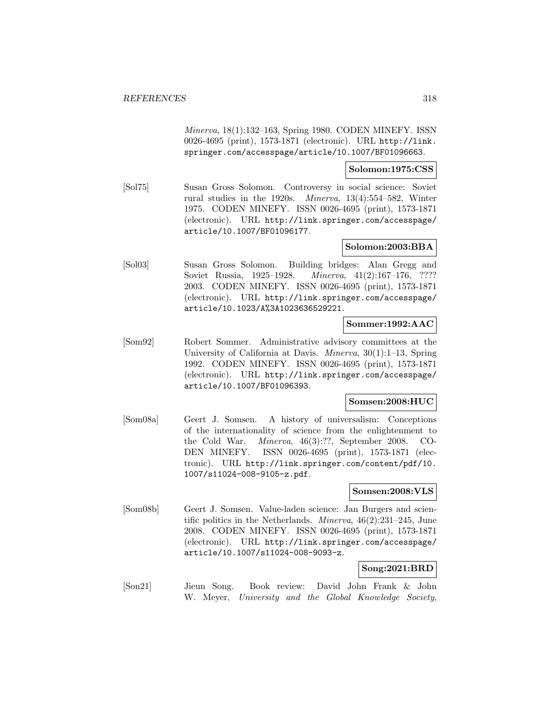Minerva, 18(1):132–163, Spring 1980. CODEN MINEFY. ISSN 0026-4695 (print), 1573-1871 (electronic). URL http://link. springer.com/accesspage/article/10.1007/BF01096663.

### **Solomon:1975:CSS**

[Sol75] Susan Gross Solomon. Controversy in social science: Soviet rural studies in the 1920s. Minerva, 13(4):554–582, Winter 1975. CODEN MINEFY. ISSN 0026-4695 (print), 1573-1871 (electronic). URL http://link.springer.com/accesspage/ article/10.1007/BF01096177.

# **Solomon:2003:BBA**

[Sol03] Susan Gross Solomon. Building bridges: Alan Gregg and Soviet Russia, 1925–1928. Minerva, 41(2):167–176, ???? 2003. CODEN MINEFY. ISSN 0026-4695 (print), 1573-1871 (electronic). URL http://link.springer.com/accesspage/ article/10.1023/A%3A1023636529221.

# **Sommer:1992:AAC**

[Som92] Robert Sommer. Administrative advisory committees at the University of California at Davis. *Minerva*, 30(1):1–13, Spring 1992. CODEN MINEFY. ISSN 0026-4695 (print), 1573-1871 (electronic). URL http://link.springer.com/accesspage/ article/10.1007/BF01096393.

# **Somsen:2008:HUC**

[Som08a] Geert J. Somsen. A history of universalism: Conceptions of the internationality of science from the enlightenment to the Cold War. Minerva, 46(3):??, September 2008. CO-DEN MINEFY. ISSN 0026-4695 (print), 1573-1871 (electronic). URL http://link.springer.com/content/pdf/10. 1007/s11024-008-9105-z.pdf.

# **Somsen:2008:VLS**

[Som08b] Geert J. Somsen. Value-laden science: Jan Burgers and scientific politics in the Netherlands. Minerva, 46(2):231–245, June 2008. CODEN MINEFY. ISSN 0026-4695 (print), 1573-1871 (electronic). URL http://link.springer.com/accesspage/ article/10.1007/s11024-008-9093-z.

# **Song:2021:BRD**

[Son21] Jieun Song. Book review: David John Frank & John W. Meyer, University and the Global Knowledge Society,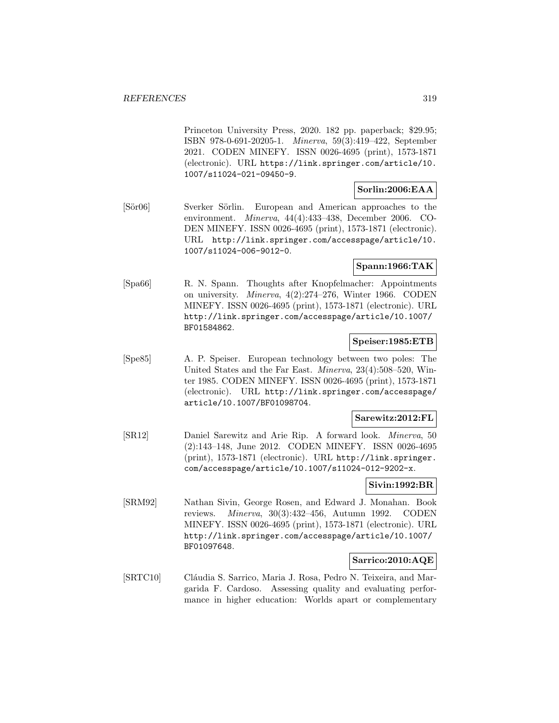Princeton University Press, 2020. 182 pp. paperback; \$29.95; ISBN 978-0-691-20205-1. Minerva, 59(3):419–422, September 2021. CODEN MINEFY. ISSN 0026-4695 (print), 1573-1871 (electronic). URL https://link.springer.com/article/10. 1007/s11024-021-09450-9.

# **Sorlin:2006:EAA**

[Sör06] Sverker Sörlin. European and American approaches to the environment. Minerva, 44(4):433–438, December 2006. CO-DEN MINEFY. ISSN 0026-4695 (print), 1573-1871 (electronic). URL http://link.springer.com/accesspage/article/10. 1007/s11024-006-9012-0.

# **Spann:1966:TAK**

[Spa66] R. N. Spann. Thoughts after Knopfelmacher: Appointments on university. Minerva, 4(2):274–276, Winter 1966. CODEN MINEFY. ISSN 0026-4695 (print), 1573-1871 (electronic). URL http://link.springer.com/accesspage/article/10.1007/ BF01584862.

# **Speiser:1985:ETB**

[Spe85] A. P. Speiser. European technology between two poles: The United States and the Far East. Minerva, 23(4):508–520, Winter 1985. CODEN MINEFY. ISSN 0026-4695 (print), 1573-1871 (electronic). URL http://link.springer.com/accesspage/ article/10.1007/BF01098704.

# **Sarewitz:2012:FL**

[SR12] Daniel Sarewitz and Arie Rip. A forward look. Minerva, 50 (2):143–148, June 2012. CODEN MINEFY. ISSN 0026-4695 (print), 1573-1871 (electronic). URL http://link.springer. com/accesspage/article/10.1007/s11024-012-9202-x.

# **Sivin:1992:BR**

[SRM92] Nathan Sivin, George Rosen, and Edward J. Monahan. Book reviews. Minerva, 30(3):432–456, Autumn 1992. CODEN MINEFY. ISSN 0026-4695 (print), 1573-1871 (electronic). URL http://link.springer.com/accesspage/article/10.1007/ BF01097648.

# **Sarrico:2010:AQE**

[SRTC10] Cláudia S. Sarrico, Maria J. Rosa, Pedro N. Teixeira, and Margarida F. Cardoso. Assessing quality and evaluating performance in higher education: Worlds apart or complementary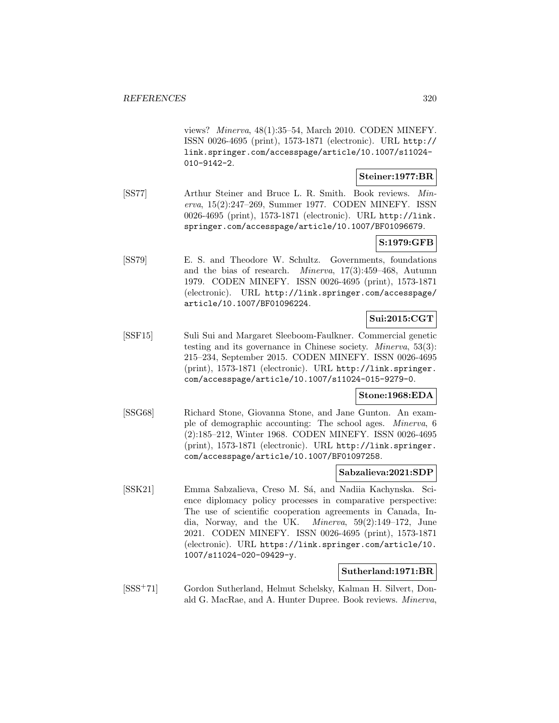views? Minerva, 48(1):35–54, March 2010. CODEN MINEFY. ISSN 0026-4695 (print), 1573-1871 (electronic). URL http:// link.springer.com/accesspage/article/10.1007/s11024- 010-9142-2.

# **Steiner:1977:BR**

[SS77] Arthur Steiner and Bruce L. R. Smith. Book reviews. Minerva, 15(2):247–269, Summer 1977. CODEN MINEFY. ISSN 0026-4695 (print), 1573-1871 (electronic). URL http://link. springer.com/accesspage/article/10.1007/BF01096679.

# **S:1979:GFB**

[SS79] E. S. and Theodore W. Schultz. Governments, foundations and the bias of research. Minerva, 17(3):459–468, Autumn 1979. CODEN MINEFY. ISSN 0026-4695 (print), 1573-1871 (electronic). URL http://link.springer.com/accesspage/ article/10.1007/BF01096224.

# **Sui:2015:CGT**

[SSF15] Suli Sui and Margaret Sleeboom-Faulkner. Commercial genetic testing and its governance in Chinese society. Minerva, 53(3): 215–234, September 2015. CODEN MINEFY. ISSN 0026-4695 (print), 1573-1871 (electronic). URL http://link.springer. com/accesspage/article/10.1007/s11024-015-9279-0.

# **Stone:1968:EDA**

[SSG68] Richard Stone, Giovanna Stone, and Jane Gunton. An example of demographic accounting: The school ages. Minerva, 6 (2):185–212, Winter 1968. CODEN MINEFY. ISSN 0026-4695 (print), 1573-1871 (electronic). URL http://link.springer. com/accesspage/article/10.1007/BF01097258.

# **Sabzalieva:2021:SDP**

[SSK21] Emma Sabzalieva, Creso M. Sá, and Nadiia Kachynska. Science diplomacy policy processes in comparative perspective: The use of scientific cooperation agreements in Canada, India, Norway, and the UK. Minerva, 59(2):149–172, June 2021. CODEN MINEFY. ISSN 0026-4695 (print), 1573-1871 (electronic). URL https://link.springer.com/article/10. 1007/s11024-020-09429-y.

# **Sutherland:1971:BR**

[SSS<sup>+</sup>71] Gordon Sutherland, Helmut Schelsky, Kalman H. Silvert, Donald G. MacRae, and A. Hunter Dupree. Book reviews. Minerva,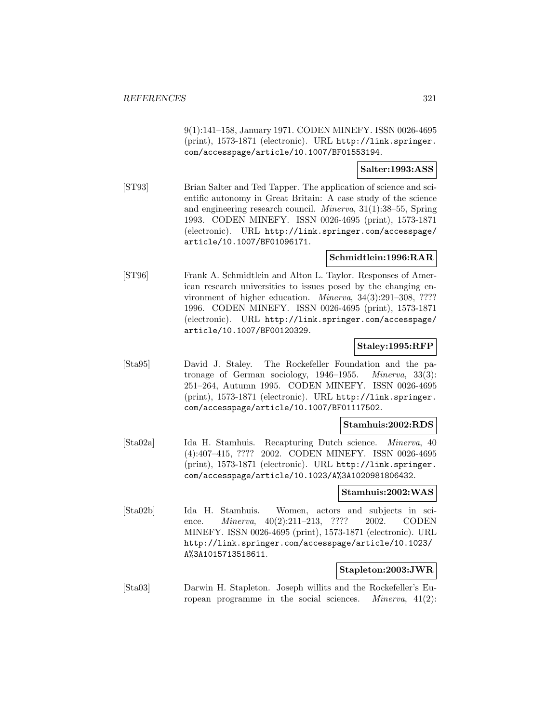9(1):141–158, January 1971. CODEN MINEFY. ISSN 0026-4695 (print), 1573-1871 (electronic). URL http://link.springer. com/accesspage/article/10.1007/BF01553194.

### **Salter:1993:ASS**

[ST93] Brian Salter and Ted Tapper. The application of science and scientific autonomy in Great Britain: A case study of the science and engineering research council. Minerva, 31(1):38–55, Spring 1993. CODEN MINEFY. ISSN 0026-4695 (print), 1573-1871 (electronic). URL http://link.springer.com/accesspage/ article/10.1007/BF01096171.

# **Schmidtlein:1996:RAR**

[ST96] Frank A. Schmidtlein and Alton L. Taylor. Responses of American research universities to issues posed by the changing environment of higher education. *Minerva*, 34(3):291–308, ???? 1996. CODEN MINEFY. ISSN 0026-4695 (print), 1573-1871 (electronic). URL http://link.springer.com/accesspage/ article/10.1007/BF00120329.

# **Staley:1995:RFP**

[Sta95] David J. Staley. The Rockefeller Foundation and the patronage of German sociology, 1946–1955. Minerva, 33(3): 251–264, Autumn 1995. CODEN MINEFY. ISSN 0026-4695 (print), 1573-1871 (electronic). URL http://link.springer. com/accesspage/article/10.1007/BF01117502.

# **Stamhuis:2002:RDS**

[Sta02a] Ida H. Stamhuis. Recapturing Dutch science. Minerva, 40 (4):407–415, ???? 2002. CODEN MINEFY. ISSN 0026-4695 (print), 1573-1871 (electronic). URL http://link.springer. com/accesspage/article/10.1023/A%3A1020981806432.

#### **Stamhuis:2002:WAS**

[Sta02b] Ida H. Stamhuis. Women, actors and subjects in science. *Minerva*, 40(2):211-213, ???? 2002. CODEN MINEFY. ISSN 0026-4695 (print), 1573-1871 (electronic). URL http://link.springer.com/accesspage/article/10.1023/ A%3A1015713518611.

# **Stapleton:2003:JWR**

[Sta03] Darwin H. Stapleton. Joseph willits and the Rockefeller's European programme in the social sciences. *Minerva*,  $41(2)$ :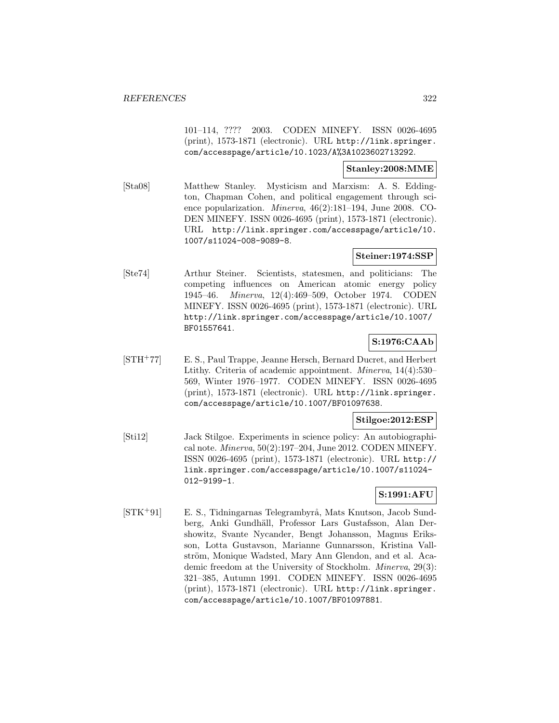101–114, ???? 2003. CODEN MINEFY. ISSN 0026-4695 (print), 1573-1871 (electronic). URL http://link.springer. com/accesspage/article/10.1023/A%3A1023602713292.

# **Stanley:2008:MME**

[Sta08] Matthew Stanley. Mysticism and Marxism: A. S. Eddington, Chapman Cohen, and political engagement through science popularization. Minerva, 46(2):181–194, June 2008. CO-DEN MINEFY. ISSN 0026-4695 (print), 1573-1871 (electronic). URL http://link.springer.com/accesspage/article/10. 1007/s11024-008-9089-8.

# **Steiner:1974:SSP**

[Ste74] Arthur Steiner. Scientists, statesmen, and politicians: The competing influences on American atomic energy policy 1945–46. Minerva, 12(4):469–509, October 1974. CODEN MINEFY. ISSN 0026-4695 (print), 1573-1871 (electronic). URL http://link.springer.com/accesspage/article/10.1007/ BF01557641.

# **S:1976:CAAb**

[STH<sup>+</sup>77] E. S., Paul Trappe, Jeanne Hersch, Bernard Ducret, and Herbert Ltithy. Criteria of academic appointment. Minerva, 14(4):530– 569, Winter 1976–1977. CODEN MINEFY. ISSN 0026-4695 (print), 1573-1871 (electronic). URL http://link.springer. com/accesspage/article/10.1007/BF01097638.

# **Stilgoe:2012:ESP**

[Sti12] Jack Stilgoe. Experiments in science policy: An autobiographical note. Minerva, 50(2):197–204, June 2012. CODEN MINEFY. ISSN 0026-4695 (print), 1573-1871 (electronic). URL http:// link.springer.com/accesspage/article/10.1007/s11024- 012-9199-1.

# **S:1991:AFU**

[STK+91] E. S., Tidningarnas Telegrambyrå, Mats Knutson, Jacob Sundberg, Anki Gundhäll, Professor Lars Gustafsson, Alan Dershowitz, Svante Nycander, Bengt Johansson, Magnus Eriksson, Lotta Gustavson, Marianne Gunnarsson, Kristina Vallström, Monique Wadsted, Mary Ann Glendon, and et al. Academic freedom at the University of Stockholm. Minerva, 29(3): 321–385, Autumn 1991. CODEN MINEFY. ISSN 0026-4695 (print), 1573-1871 (electronic). URL http://link.springer. com/accesspage/article/10.1007/BF01097881.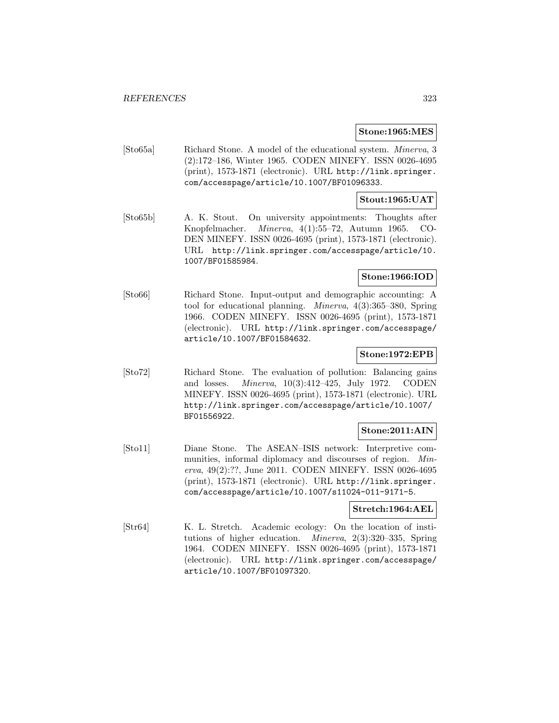# **Stone:1965:MES**

[Sto65a] Richard Stone. A model of the educational system. Minerva, 3 (2):172–186, Winter 1965. CODEN MINEFY. ISSN 0026-4695 (print), 1573-1871 (electronic). URL http://link.springer. com/accesspage/article/10.1007/BF01096333.

# **Stout:1965:UAT**

[Sto65b] A. K. Stout. On university appointments: Thoughts after Knopfelmacher. Minerva, 4(1):55–72, Autumn 1965. CO-DEN MINEFY. ISSN 0026-4695 (print), 1573-1871 (electronic). URL http://link.springer.com/accesspage/article/10. 1007/BF01585984.

# **Stone:1966:IOD**

[Sto66] Richard Stone. Input-output and demographic accounting: A tool for educational planning. Minerva, 4(3):365–380, Spring 1966. CODEN MINEFY. ISSN 0026-4695 (print), 1573-1871 (electronic). URL http://link.springer.com/accesspage/ article/10.1007/BF01584632.

# **Stone:1972:EPB**

[Sto72] Richard Stone. The evaluation of pollution: Balancing gains and losses. Minerva, 10(3):412–425, July 1972. CODEN MINEFY. ISSN 0026-4695 (print), 1573-1871 (electronic). URL http://link.springer.com/accesspage/article/10.1007/ BF01556922.

# **Stone:2011:AIN**

[Sto11] Diane Stone. The ASEAN–ISIS network: Interpretive communities, informal diplomacy and discourses of region. Minerva, 49(2):??, June 2011. CODEN MINEFY. ISSN 0026-4695 (print), 1573-1871 (electronic). URL http://link.springer. com/accesspage/article/10.1007/s11024-011-9171-5.

# **Stretch:1964:AEL**

[Str64] K. L. Stretch. Academic ecology: On the location of institutions of higher education. Minerva, 2(3):320–335, Spring 1964. CODEN MINEFY. ISSN 0026-4695 (print), 1573-1871 (electronic). URL http://link.springer.com/accesspage/ article/10.1007/BF01097320.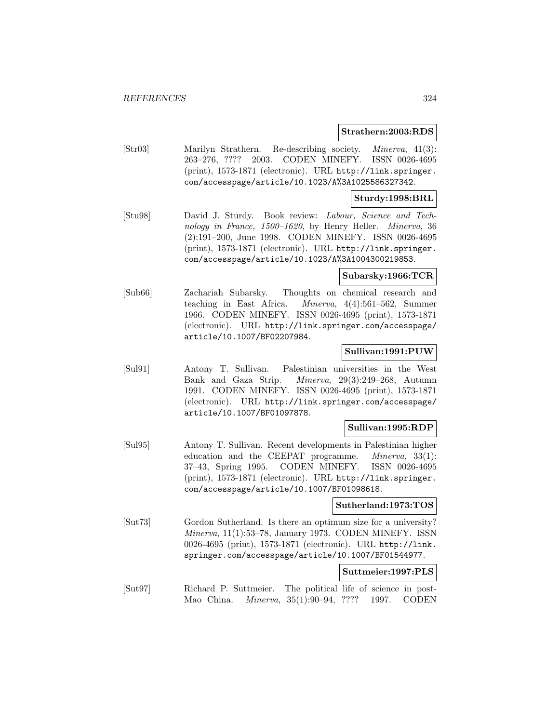#### **Strathern:2003:RDS**

[Str03] Marilyn Strathern. Re-describing society. Minerva, 41(3): 263–276, ???? 2003. CODEN MINEFY. ISSN 0026-4695 (print), 1573-1871 (electronic). URL http://link.springer. com/accesspage/article/10.1023/A%3A1025586327342.

# **Sturdy:1998:BRL**

[Stu98] David J. Sturdy. Book review: Labour, Science and Technology in France, 1500–1620, by Henry Heller. Minerva, 36 (2):191–200, June 1998. CODEN MINEFY. ISSN 0026-4695 (print), 1573-1871 (electronic). URL http://link.springer. com/accesspage/article/10.1023/A%3A1004300219853.

# **Subarsky:1966:TCR**

[Sub66] Zachariah Subarsky. Thoughts on chemical research and teaching in East Africa. Minerva, 4(4):561–562, Summer 1966. CODEN MINEFY. ISSN 0026-4695 (print), 1573-1871 (electronic). URL http://link.springer.com/accesspage/ article/10.1007/BF02207984.

# **Sullivan:1991:PUW**

[Sul91] Antony T. Sullivan. Palestinian universities in the West Bank and Gaza Strip. Minerva, 29(3):249–268, Autumn 1991. CODEN MINEFY. ISSN 0026-4695 (print), 1573-1871 (electronic). URL http://link.springer.com/accesspage/ article/10.1007/BF01097878.

# **Sullivan:1995:RDP**

[Sul95] Antony T. Sullivan. Recent developments in Palestinian higher education and the CEEPAT programme. *Minerva*, 33(1): 37–43, Spring 1995. CODEN MINEFY. ISSN 0026-4695 (print), 1573-1871 (electronic). URL http://link.springer. com/accesspage/article/10.1007/BF01098618.

# **Sutherland:1973:TOS**

[Sut73] Gordon Sutherland. Is there an optimum size for a university? Minerva, 11(1):53–78, January 1973. CODEN MINEFY. ISSN 0026-4695 (print), 1573-1871 (electronic). URL http://link. springer.com/accesspage/article/10.1007/BF01544977.

# **Suttmeier:1997:PLS**

[Sut97] Richard P. Suttmeier. The political life of science in post-Mao China. Minerva, 35(1):90–94, ???? 1997. CODEN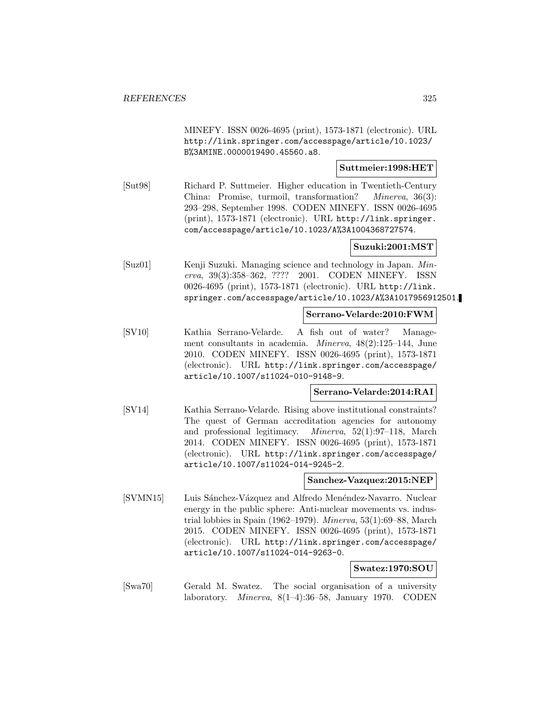MINEFY. ISSN 0026-4695 (print), 1573-1871 (electronic). URL http://link.springer.com/accesspage/article/10.1023/ B%3AMINE.0000019490.45560.a8.

## **Suttmeier:1998:HET**

[Sut98] Richard P. Suttmeier. Higher education in Twentieth-Century China: Promise, turmoil, transformation? Minerva, 36(3): 293–298, September 1998. CODEN MINEFY. ISSN 0026-4695 (print), 1573-1871 (electronic). URL http://link.springer. com/accesspage/article/10.1023/A%3A1004368727574.

### **Suzuki:2001:MST**

[Suz01] Kenji Suzuki. Managing science and technology in Japan. Minerva, 39(3):358–362, ???? 2001. CODEN MINEFY. ISSN 0026-4695 (print), 1573-1871 (electronic). URL http://link. springer.com/accesspage/article/10.1023/A%3A1017956912501.

### **Serrano-Velarde:2010:FWM**

[SV10] Kathia Serrano-Velarde. A fish out of water? Management consultants in academia. Minerva, 48(2):125–144, June 2010. CODEN MINEFY. ISSN 0026-4695 (print), 1573-1871 (electronic). URL http://link.springer.com/accesspage/ article/10.1007/s11024-010-9148-9.

## **Serrano-Velarde:2014:RAI**

[SV14] Kathia Serrano-Velarde. Rising above institutional constraints? The quest of German accreditation agencies for autonomy and professional legitimacy. Minerva, 52(1):97–118, March 2014. CODEN MINEFY. ISSN 0026-4695 (print), 1573-1871 (electronic). URL http://link.springer.com/accesspage/ article/10.1007/s11024-014-9245-2.

### **Sanchez-Vazquez:2015:NEP**

[SVMN15] Luis Sánchez-Vázquez and Alfredo Menéndez-Navarro. Nuclear energy in the public sphere: Anti-nuclear movements vs. industrial lobbies in Spain (1962–1979). *Minerva*,  $53(1):69-88$ , March 2015. CODEN MINEFY. ISSN 0026-4695 (print), 1573-1871 (electronic). URL http://link.springer.com/accesspage/ article/10.1007/s11024-014-9263-0.

#### **Swatez:1970:SOU**

[Swa70] Gerald M. Swatez. The social organisation of a university laboratory. Minerva, 8(1–4):36–58, January 1970. CODEN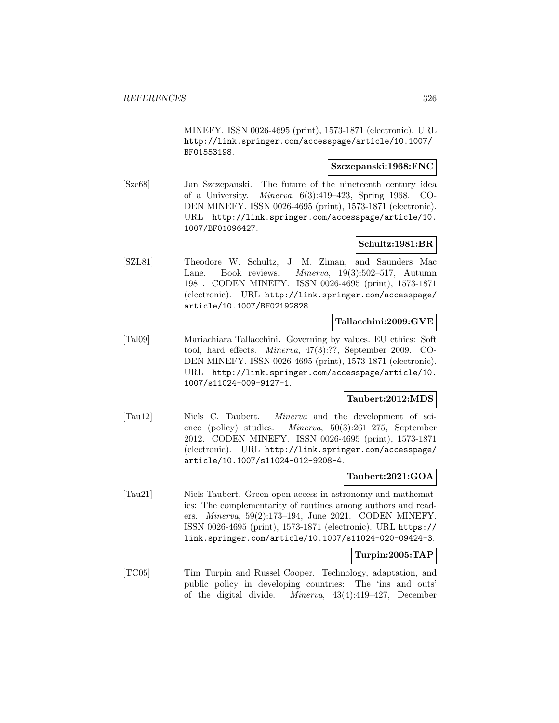MINEFY. ISSN 0026-4695 (print), 1573-1871 (electronic). URL http://link.springer.com/accesspage/article/10.1007/ BF01553198.

## **Szczepanski:1968:FNC**

[Szc68] Jan Szczepanski. The future of the nineteenth century idea of a University. Minerva, 6(3):419–423, Spring 1968. CO-DEN MINEFY. ISSN 0026-4695 (print), 1573-1871 (electronic). URL http://link.springer.com/accesspage/article/10. 1007/BF01096427.

## **Schultz:1981:BR**

[SZL81] Theodore W. Schultz, J. M. Ziman, and Saunders Mac Lane. Book reviews. Minerva, 19(3):502–517, Autumn 1981. CODEN MINEFY. ISSN 0026-4695 (print), 1573-1871 (electronic). URL http://link.springer.com/accesspage/ article/10.1007/BF02192828.

## **Tallacchini:2009:GVE**

[Tal09] Mariachiara Tallacchini. Governing by values. EU ethics: Soft tool, hard effects. Minerva, 47(3):??, September 2009. CO-DEN MINEFY. ISSN 0026-4695 (print), 1573-1871 (electronic). URL http://link.springer.com/accesspage/article/10. 1007/s11024-009-9127-1.

## **Taubert:2012:MDS**

[Tau12] Niels C. Taubert. Minerva and the development of science (policy) studies. Minerva, 50(3):261–275, September 2012. CODEN MINEFY. ISSN 0026-4695 (print), 1573-1871 (electronic). URL http://link.springer.com/accesspage/ article/10.1007/s11024-012-9208-4.

#### **Taubert:2021:GOA**

[Tau21] Niels Taubert. Green open access in astronomy and mathematics: The complementarity of routines among authors and readers. Minerva, 59(2):173–194, June 2021. CODEN MINEFY. ISSN 0026-4695 (print), 1573-1871 (electronic). URL https:// link.springer.com/article/10.1007/s11024-020-09424-3.

## **Turpin:2005:TAP**

[TC05] Tim Turpin and Russel Cooper. Technology, adaptation, and public policy in developing countries: The 'ins and outs' of the digital divide. Minerva, 43(4):419–427, December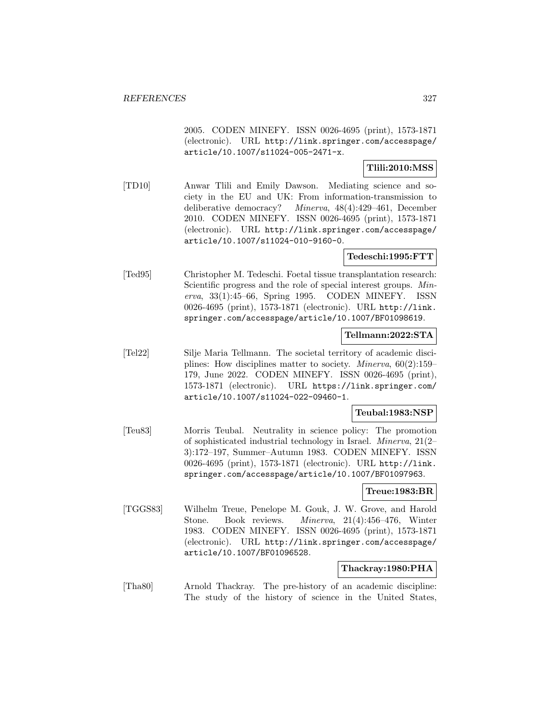2005. CODEN MINEFY. ISSN 0026-4695 (print), 1573-1871 (electronic). URL http://link.springer.com/accesspage/ article/10.1007/s11024-005-2471-x.

## **Tlili:2010:MSS**

[TD10] Anwar Tlili and Emily Dawson. Mediating science and society in the EU and UK: From information-transmission to deliberative democracy? Minerva, 48(4):429–461, December 2010. CODEN MINEFY. ISSN 0026-4695 (print), 1573-1871 (electronic). URL http://link.springer.com/accesspage/ article/10.1007/s11024-010-9160-0.

## **Tedeschi:1995:FTT**

[Ted95] Christopher M. Tedeschi. Foetal tissue transplantation research: Scientific progress and the role of special interest groups. Minerva, 33(1):45–66, Spring 1995. CODEN MINEFY. ISSN 0026-4695 (print), 1573-1871 (electronic). URL http://link. springer.com/accesspage/article/10.1007/BF01098619.

## **Tellmann:2022:STA**

[Tel22] Silje Maria Tellmann. The societal territory of academic disciplines: How disciplines matter to society. Minerva, 60(2):159– 179, June 2022. CODEN MINEFY. ISSN 0026-4695 (print), 1573-1871 (electronic). URL https://link.springer.com/ article/10.1007/s11024-022-09460-1.

## **Teubal:1983:NSP**

[Teu83] Morris Teubal. Neutrality in science policy: The promotion of sophisticated industrial technology in Israel. Minerva, 21(2– 3):172–197, Summer–Autumn 1983. CODEN MINEFY. ISSN 0026-4695 (print), 1573-1871 (electronic). URL http://link. springer.com/accesspage/article/10.1007/BF01097963.

#### **Treue:1983:BR**

[TGGS83] Wilhelm Treue, Penelope M. Gouk, J. W. Grove, and Harold Stone. Book reviews. Minerva, 21(4):456–476, Winter 1983. CODEN MINEFY. ISSN 0026-4695 (print), 1573-1871 (electronic). URL http://link.springer.com/accesspage/ article/10.1007/BF01096528.

#### **Thackray:1980:PHA**

[Tha80] Arnold Thackray. The pre-history of an academic discipline: The study of the history of science in the United States,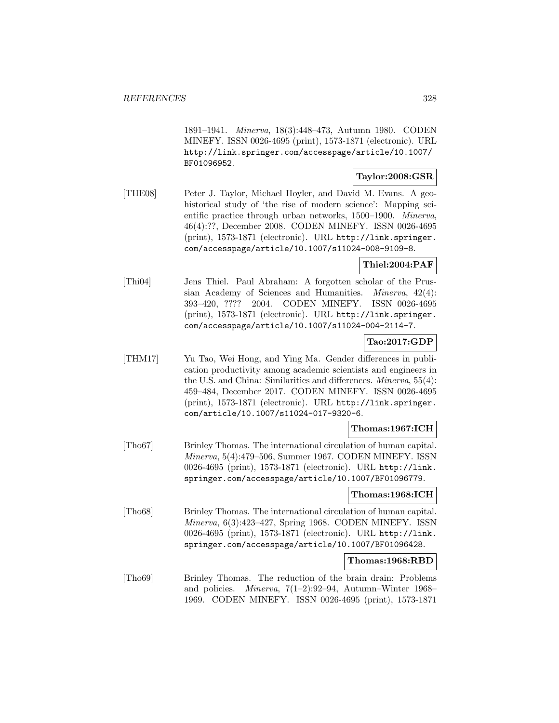1891–1941. Minerva, 18(3):448–473, Autumn 1980. CODEN MINEFY. ISSN 0026-4695 (print), 1573-1871 (electronic). URL http://link.springer.com/accesspage/article/10.1007/ BF01096952.

## **Taylor:2008:GSR**

[THE08] Peter J. Taylor, Michael Hoyler, and David M. Evans. A geohistorical study of 'the rise of modern science': Mapping scientific practice through urban networks, 1500–1900. Minerva, 46(4):??, December 2008. CODEN MINEFY. ISSN 0026-4695 (print), 1573-1871 (electronic). URL http://link.springer. com/accesspage/article/10.1007/s11024-008-9109-8.

## **Thiel:2004:PAF**

[Thi04] Jens Thiel. Paul Abraham: A forgotten scholar of the Prussian Academy of Sciences and Humanities. Minerva, 42(4): 393–420, ???? 2004. CODEN MINEFY. ISSN 0026-4695 (print), 1573-1871 (electronic). URL http://link.springer. com/accesspage/article/10.1007/s11024-004-2114-7.

# **Tao:2017:GDP**

[THM17] Yu Tao, Wei Hong, and Ying Ma. Gender differences in publication productivity among academic scientists and engineers in the U.S. and China: Similarities and differences. Minerva, 55(4): 459–484, December 2017. CODEN MINEFY. ISSN 0026-4695 (print), 1573-1871 (electronic). URL http://link.springer. com/article/10.1007/s11024-017-9320-6.

## **Thomas:1967:ICH**

[Tho67] Brinley Thomas. The international circulation of human capital. Minerva, 5(4):479–506, Summer 1967. CODEN MINEFY. ISSN 0026-4695 (print), 1573-1871 (electronic). URL http://link. springer.com/accesspage/article/10.1007/BF01096779.

## **Thomas:1968:ICH**

[Tho68] Brinley Thomas. The international circulation of human capital. Minerva, 6(3):423–427, Spring 1968. CODEN MINEFY. ISSN 0026-4695 (print), 1573-1871 (electronic). URL http://link. springer.com/accesspage/article/10.1007/BF01096428.

## **Thomas:1968:RBD**

[Tho69] Brinley Thomas. The reduction of the brain drain: Problems and policies. Minerva, 7(1–2):92–94, Autumn–Winter 1968– 1969. CODEN MINEFY. ISSN 0026-4695 (print), 1573-1871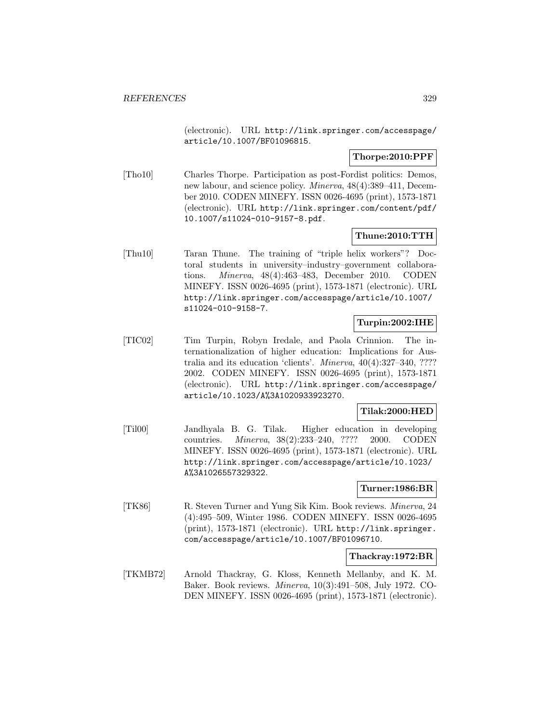(electronic). URL http://link.springer.com/accesspage/ article/10.1007/BF01096815.

## **Thorpe:2010:PPF**

[Tho10] Charles Thorpe. Participation as post-Fordist politics: Demos, new labour, and science policy. Minerva, 48(4):389–411, December 2010. CODEN MINEFY. ISSN 0026-4695 (print), 1573-1871 (electronic). URL http://link.springer.com/content/pdf/ 10.1007/s11024-010-9157-8.pdf.

## **Thune:2010:TTH**

[Thu10] Taran Thune. The training of "triple helix workers"? Doctoral students in university–industry–government collaborations. Minerva, 48(4):463–483, December 2010. CODEN MINEFY. ISSN 0026-4695 (print), 1573-1871 (electronic). URL http://link.springer.com/accesspage/article/10.1007/ s11024-010-9158-7.

## **Turpin:2002:IHE**

[TIC02] Tim Turpin, Robyn Iredale, and Paola Crinnion. The internationalization of higher education: Implications for Australia and its education 'clients'. Minerva, 40(4):327–340, ???? 2002. CODEN MINEFY. ISSN 0026-4695 (print), 1573-1871 (electronic). URL http://link.springer.com/accesspage/ article/10.1023/A%3A1020933923270.

## **Tilak:2000:HED**

[Til00] Jandhyala B. G. Tilak. Higher education in developing countries. Minerva, 38(2):233–240, ???? 2000. CODEN MINEFY. ISSN 0026-4695 (print), 1573-1871 (electronic). URL http://link.springer.com/accesspage/article/10.1023/ A%3A1026557329322.

## **Turner:1986:BR**

[TK86] R. Steven Turner and Yung Sik Kim. Book reviews. Minerva, 24 (4):495–509, Winter 1986. CODEN MINEFY. ISSN 0026-4695 (print), 1573-1871 (electronic). URL http://link.springer. com/accesspage/article/10.1007/BF01096710.

#### **Thackray:1972:BR**

[TKMB72] Arnold Thackray, G. Kloss, Kenneth Mellanby, and K. M. Baker. Book reviews. Minerva, 10(3):491–508, July 1972. CO-DEN MINEFY. ISSN 0026-4695 (print), 1573-1871 (electronic).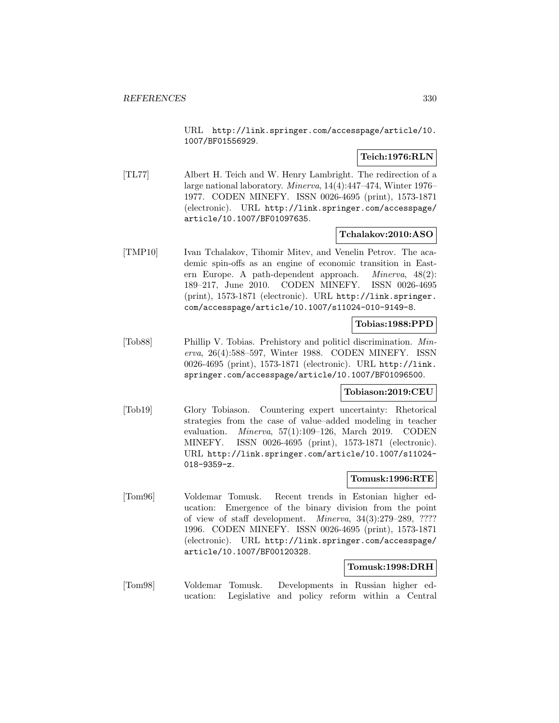URL http://link.springer.com/accesspage/article/10. 1007/BF01556929.

## **Teich:1976:RLN**

[TL77] Albert H. Teich and W. Henry Lambright. The redirection of a large national laboratory. Minerva, 14(4):447–474, Winter 1976– 1977. CODEN MINEFY. ISSN 0026-4695 (print), 1573-1871 (electronic). URL http://link.springer.com/accesspage/ article/10.1007/BF01097635.

## **Tchalakov:2010:ASO**

[TMP10] Ivan Tchalakov, Tihomir Mitev, and Venelin Petrov. The academic spin-offs as an engine of economic transition in Eastern Europe. A path-dependent approach. Minerva, 48(2): 189–217, June 2010. CODEN MINEFY. ISSN 0026-4695 (print), 1573-1871 (electronic). URL http://link.springer. com/accesspage/article/10.1007/s11024-010-9149-8.

## **Tobias:1988:PPD**

[Tob88] Phillip V. Tobias. Prehistory and politicl discrimination. Minerva, 26(4):588–597, Winter 1988. CODEN MINEFY. ISSN 0026-4695 (print), 1573-1871 (electronic). URL http://link. springer.com/accesspage/article/10.1007/BF01096500.

## **Tobiason:2019:CEU**

[Tob19] Glory Tobiason. Countering expert uncertainty: Rhetorical strategies from the case of value–added modeling in teacher evaluation. Minerva, 57(1):109–126, March 2019. CODEN MINEFY. ISSN 0026-4695 (print), 1573-1871 (electronic). URL http://link.springer.com/article/10.1007/s11024- 018-9359-z.

## **Tomusk:1996:RTE**

[Tom96] Voldemar Tomusk. Recent trends in Estonian higher education: Emergence of the binary division from the point of view of staff development. Minerva, 34(3):279–289, ???? 1996. CODEN MINEFY. ISSN 0026-4695 (print), 1573-1871 (electronic). URL http://link.springer.com/accesspage/ article/10.1007/BF00120328.

## **Tomusk:1998:DRH**

[Tom98] Voldemar Tomusk. Developments in Russian higher education: Legislative and policy reform within a Central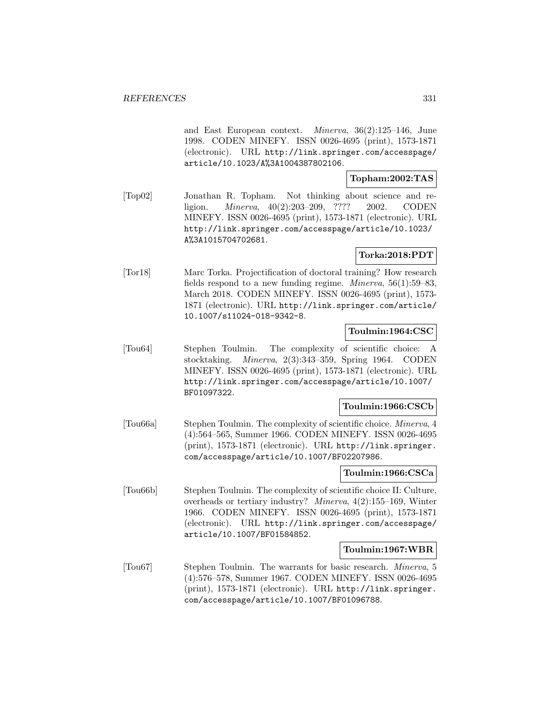and East European context. Minerva, 36(2):125–146, June 1998. CODEN MINEFY. ISSN 0026-4695 (print), 1573-1871 (electronic). URL http://link.springer.com/accesspage/ article/10.1023/A%3A1004387802106.

## **Topham:2002:TAS**

[Top02] Jonathan R. Topham. Not thinking about science and religion. Minerva, 40(2):203–209, ???? 2002. CODEN MINEFY. ISSN 0026-4695 (print), 1573-1871 (electronic). URL http://link.springer.com/accesspage/article/10.1023/ A%3A1015704702681.

## **Torka:2018:PDT**

[Tor18] Marc Torka. Projectification of doctoral training? How research fields respond to a new funding regime. *Minerva*,  $56(1):59-83$ , March 2018. CODEN MINEFY. ISSN 0026-4695 (print), 1573- 1871 (electronic). URL http://link.springer.com/article/ 10.1007/s11024-018-9342-8.

## **Toulmin:1964:CSC**

[Tou64] Stephen Toulmin. The complexity of scientific choice: A stocktaking. Minerva, 2(3):343–359, Spring 1964. CODEN MINEFY. ISSN 0026-4695 (print), 1573-1871 (electronic). URL http://link.springer.com/accesspage/article/10.1007/ BF01097322.

## **Toulmin:1966:CSCb**

[Tou66a] Stephen Toulmin. The complexity of scientific choice. Minerva, 4 (4):564–565, Summer 1966. CODEN MINEFY. ISSN 0026-4695 (print), 1573-1871 (electronic). URL http://link.springer. com/accesspage/article/10.1007/BF02207986.

### **Toulmin:1966:CSCa**

[Tou66b] Stephen Toulmin. The complexity of scientific choice II: Culture, overheads or tertiary industry? Minerva, 4(2):155–169, Winter 1966. CODEN MINEFY. ISSN 0026-4695 (print), 1573-1871 (electronic). URL http://link.springer.com/accesspage/ article/10.1007/BF01584852.

## **Toulmin:1967:WBR**

[Tou67] Stephen Toulmin. The warrants for basic research. Minerva, 5 (4):576–578, Summer 1967. CODEN MINEFY. ISSN 0026-4695 (print), 1573-1871 (electronic). URL http://link.springer. com/accesspage/article/10.1007/BF01096788.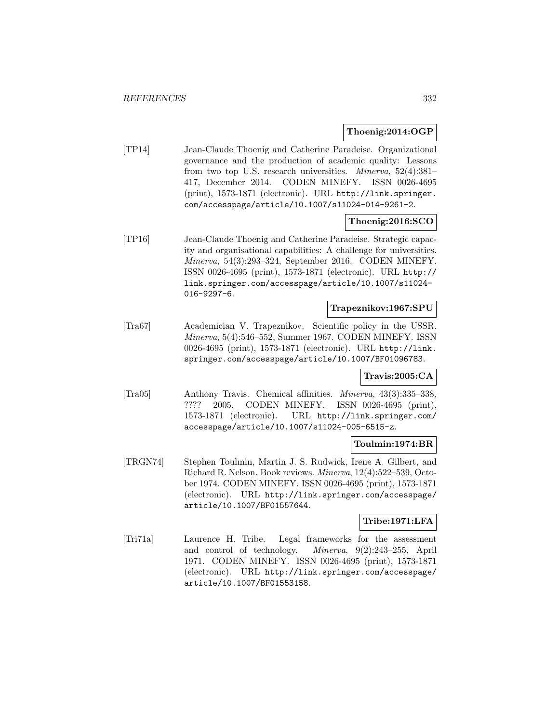## **Thoenig:2014:OGP**

[TP14] Jean-Claude Thoenig and Catherine Paradeise. Organizational governance and the production of academic quality: Lessons from two top U.S. research universities. Minerva, 52(4):381– 417, December 2014. CODEN MINEFY. ISSN 0026-4695 (print), 1573-1871 (electronic). URL http://link.springer. com/accesspage/article/10.1007/s11024-014-9261-2.

## **Thoenig:2016:SCO**

[TP16] Jean-Claude Thoenig and Catherine Paradeise. Strategic capacity and organisational capabilities: A challenge for universities. Minerva, 54(3):293–324, September 2016. CODEN MINEFY. ISSN 0026-4695 (print), 1573-1871 (electronic). URL http:// link.springer.com/accesspage/article/10.1007/s11024- 016-9297-6.

## **Trapeznikov:1967:SPU**

[Tra67] Academician V. Trapeznikov. Scientific policy in the USSR. Minerva, 5(4):546–552, Summer 1967. CODEN MINEFY. ISSN 0026-4695 (print), 1573-1871 (electronic). URL http://link. springer.com/accesspage/article/10.1007/BF01096783.

## **Travis:2005:CA**

[Tra05] Anthony Travis. Chemical affinities. Minerva, 43(3):335–338, ???? 2005. CODEN MINEFY. ISSN 0026-4695 (print), 1573-1871 (electronic). URL http://link.springer.com/ accesspage/article/10.1007/s11024-005-6515-z.

## **Toulmin:1974:BR**

[TRGN74] Stephen Toulmin, Martin J. S. Rudwick, Irene A. Gilbert, and Richard R. Nelson. Book reviews. Minerva, 12(4):522–539, October 1974. CODEN MINEFY. ISSN 0026-4695 (print), 1573-1871 (electronic). URL http://link.springer.com/accesspage/ article/10.1007/BF01557644.

## **Tribe:1971:LFA**

[Tri71a] Laurence H. Tribe. Legal frameworks for the assessment and control of technology. Minerva, 9(2):243–255, April 1971. CODEN MINEFY. ISSN 0026-4695 (print), 1573-1871 (electronic). URL http://link.springer.com/accesspage/ article/10.1007/BF01553158.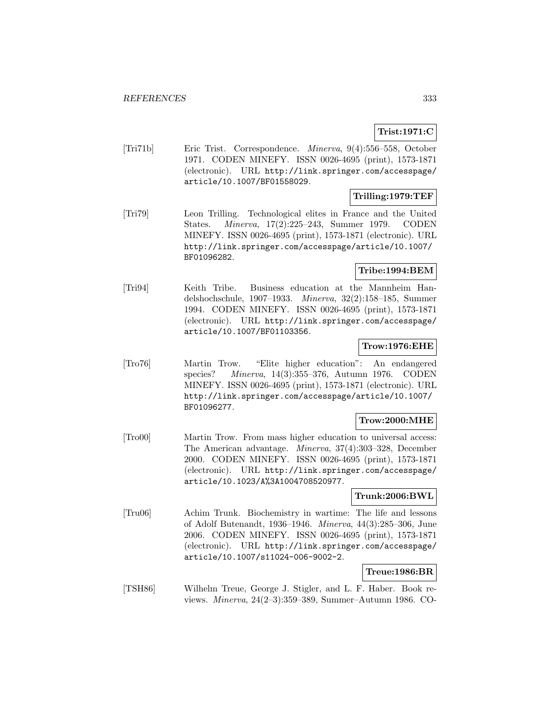# **Trist:1971:C**

[Tri71b] Eric Trist. Correspondence. Minerva, 9(4):556–558, October 1971. CODEN MINEFY. ISSN 0026-4695 (print), 1573-1871 (electronic). URL http://link.springer.com/accesspage/ article/10.1007/BF01558029.

# **Trilling:1979:TEF**

[Tri79] Leon Trilling. Technological elites in France and the United States. Minerva, 17(2):225–243, Summer 1979. CODEN MINEFY. ISSN 0026-4695 (print), 1573-1871 (electronic). URL http://link.springer.com/accesspage/article/10.1007/ BF01096282.

# **Tribe:1994:BEM**

[Tri94] Keith Tribe. Business education at the Mannheim Handelshochschule, 1907–1933. Minerva, 32(2):158–185, Summer 1994. CODEN MINEFY. ISSN 0026-4695 (print), 1573-1871 (electronic). URL http://link.springer.com/accesspage/ article/10.1007/BF01103356.

# **Trow:1976:EHE**

[Tro76] Martin Trow. "Elite higher education": An endangered species? Minerva, 14(3):355–376, Autumn 1976. CODEN MINEFY. ISSN 0026-4695 (print), 1573-1871 (electronic). URL http://link.springer.com/accesspage/article/10.1007/ BF01096277.

## **Trow:2000:MHE**

[Tro00] Martin Trow. From mass higher education to universal access: The American advantage. Minerva, 37(4):303–328, December 2000. CODEN MINEFY. ISSN 0026-4695 (print), 1573-1871 (electronic). URL http://link.springer.com/accesspage/ article/10.1023/A%3A1004708520977.

# **Trunk:2006:BWL**

[Tru06] Achim Trunk. Biochemistry in wartime: The life and lessons of Adolf Butenandt, 1936–1946. Minerva, 44(3):285–306, June 2006. CODEN MINEFY. ISSN 0026-4695 (print), 1573-1871 (electronic). URL http://link.springer.com/accesspage/ article/10.1007/s11024-006-9002-2.

# **Treue:1986:BR**

[TSH86] Wilhelm Treue, George J. Stigler, and L. F. Haber. Book reviews. Minerva, 24(2–3):359–389, Summer–Autumn 1986. CO-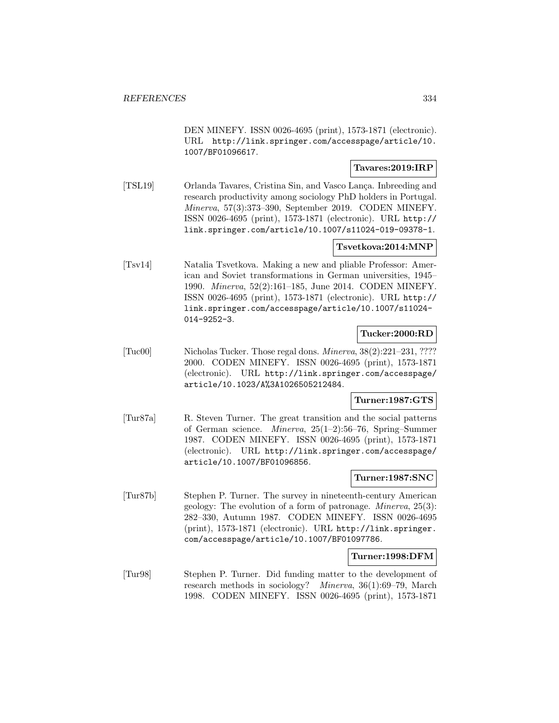DEN MINEFY. ISSN 0026-4695 (print), 1573-1871 (electronic). URL http://link.springer.com/accesspage/article/10. 1007/BF01096617.

## **Tavares:2019:IRP**

[TSL19] Orlanda Tavares, Cristina Sin, and Vasco Lança. Inbreeding and research productivity among sociology PhD holders in Portugal. Minerva, 57(3):373–390, September 2019. CODEN MINEFY. ISSN 0026-4695 (print), 1573-1871 (electronic). URL http:// link.springer.com/article/10.1007/s11024-019-09378-1.

## **Tsvetkova:2014:MNP**

[Tsv14] Natalia Tsvetkova. Making a new and pliable Professor: American and Soviet transformations in German universities, 1945– 1990. Minerva, 52(2):161–185, June 2014. CODEN MINEFY. ISSN 0026-4695 (print), 1573-1871 (electronic). URL http:// link.springer.com/accesspage/article/10.1007/s11024- 014-9252-3.

## **Tucker:2000:RD**

[Tuc00] Nicholas Tucker. Those regal dons. Minerva, 38(2):221–231, ???? 2000. CODEN MINEFY. ISSN 0026-4695 (print), 1573-1871 (electronic). URL http://link.springer.com/accesspage/ article/10.1023/A%3A1026505212484.

## **Turner:1987:GTS**

[Tur87a] R. Steven Turner. The great transition and the social patterns of German science. Minerva, 25(1–2):56–76, Spring–Summer 1987. CODEN MINEFY. ISSN 0026-4695 (print), 1573-1871 (electronic). URL http://link.springer.com/accesspage/ article/10.1007/BF01096856.

## **Turner:1987:SNC**

[Tur87b] Stephen P. Turner. The survey in nineteenth-century American geology: The evolution of a form of patronage. Minerva, 25(3): 282–330, Autumn 1987. CODEN MINEFY. ISSN 0026-4695 (print), 1573-1871 (electronic). URL http://link.springer. com/accesspage/article/10.1007/BF01097786.

#### **Turner:1998:DFM**

[Tur98] Stephen P. Turner. Did funding matter to the development of research methods in sociology? Minerva, 36(1):69–79, March 1998. CODEN MINEFY. ISSN 0026-4695 (print), 1573-1871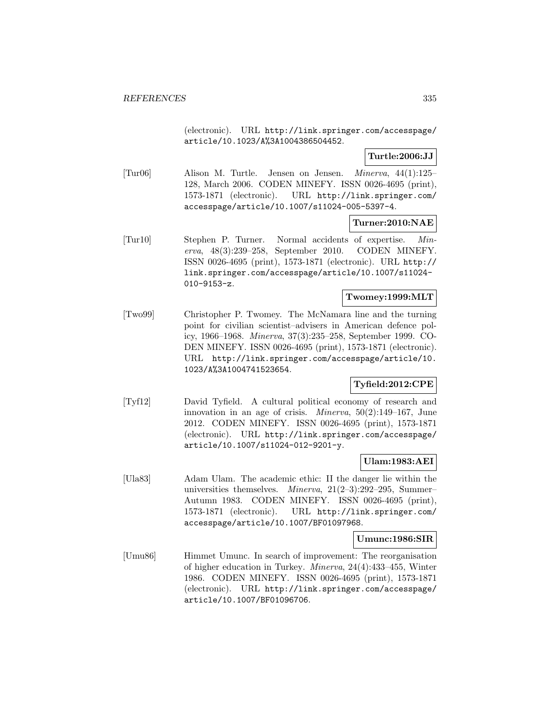(electronic). URL http://link.springer.com/accesspage/ article/10.1023/A%3A1004386504452.

## **Turtle:2006:JJ**

[Tur06] Alison M. Turtle. Jensen on Jensen. Minerva, 44(1):125– 128, March 2006. CODEN MINEFY. ISSN 0026-4695 (print), 1573-1871 (electronic). URL http://link.springer.com/ accesspage/article/10.1007/s11024-005-5397-4.

## **Turner:2010:NAE**

[Tur10] Stephen P. Turner. Normal accidents of expertise. Minerva, 48(3):239–258, September 2010. CODEN MINEFY. ISSN 0026-4695 (print), 1573-1871 (electronic). URL http:// link.springer.com/accesspage/article/10.1007/s11024- 010-9153-z.

## **Twomey:1999:MLT**

[Two99] Christopher P. Twomey. The McNamara line and the turning point for civilian scientist–advisers in American defence policy, 1966–1968. Minerva, 37(3):235–258, September 1999. CO-DEN MINEFY. ISSN 0026-4695 (print), 1573-1871 (electronic). URL http://link.springer.com/accesspage/article/10. 1023/A%3A1004741523654.

## **Tyfield:2012:CPE**

[Tyf12] David Tyfield. A cultural political economy of research and innovation in an age of crisis. *Minerva*,  $50(2):149-167$ , June 2012. CODEN MINEFY. ISSN 0026-4695 (print), 1573-1871 (electronic). URL http://link.springer.com/accesspage/ article/10.1007/s11024-012-9201-y.

## **Ulam:1983:AEI**

[Ula83] Adam Ulam. The academic ethic: II the danger lie within the universities themselves. Minerva, 21(2–3):292–295, Summer– Autumn 1983. CODEN MINEFY. ISSN 0026-4695 (print), 1573-1871 (electronic). URL http://link.springer.com/ accesspage/article/10.1007/BF01097968.

## **Umunc:1986:SIR**

[Umu86] Himmet Umunc. In search of improvement: The reorganisation of higher education in Turkey. Minerva, 24(4):433–455, Winter 1986. CODEN MINEFY. ISSN 0026-4695 (print), 1573-1871 (electronic). URL http://link.springer.com/accesspage/ article/10.1007/BF01096706.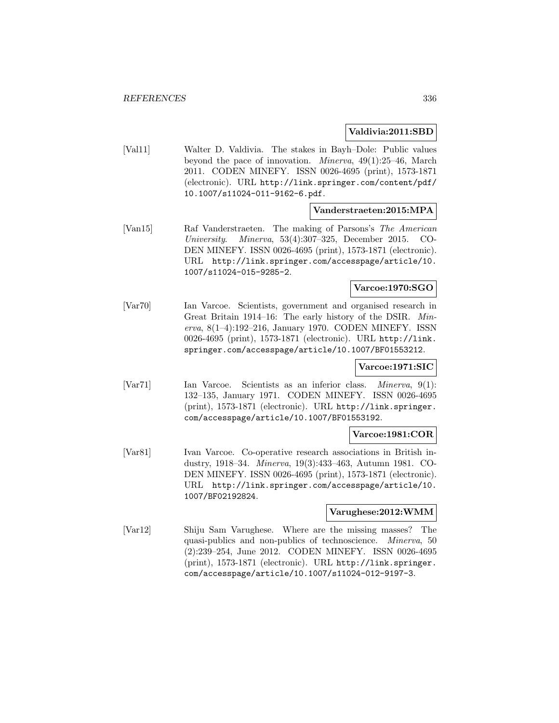### **Valdivia:2011:SBD**

[Val11] Walter D. Valdivia. The stakes in Bayh–Dole: Public values beyond the pace of innovation. Minerva, 49(1):25–46, March 2011. CODEN MINEFY. ISSN 0026-4695 (print), 1573-1871 (electronic). URL http://link.springer.com/content/pdf/ 10.1007/s11024-011-9162-6.pdf.

## **Vanderstraeten:2015:MPA**

[Van15] Raf Vanderstraeten. The making of Parsons's The American University. Minerva, 53(4):307–325, December 2015. CO-DEN MINEFY. ISSN 0026-4695 (print), 1573-1871 (electronic). URL http://link.springer.com/accesspage/article/10. 1007/s11024-015-9285-2.

## **Varcoe:1970:SGO**

[Var70] Ian Varcoe. Scientists, government and organised research in Great Britain 1914–16: The early history of the DSIR. Minerva, 8(1–4):192–216, January 1970. CODEN MINEFY. ISSN 0026-4695 (print), 1573-1871 (electronic). URL http://link. springer.com/accesspage/article/10.1007/BF01553212.

## **Varcoe:1971:SIC**

[Var71] Ian Varcoe. Scientists as an inferior class. *Minerva*, 9(1): 132–135, January 1971. CODEN MINEFY. ISSN 0026-4695 (print), 1573-1871 (electronic). URL http://link.springer. com/accesspage/article/10.1007/BF01553192.

## **Varcoe:1981:COR**

[Var81] Ivan Varcoe. Co-operative research associations in British industry, 1918–34. Minerva, 19(3):433–463, Autumn 1981. CO-DEN MINEFY. ISSN 0026-4695 (print), 1573-1871 (electronic). URL http://link.springer.com/accesspage/article/10. 1007/BF02192824.

## **Varughese:2012:WMM**

[Var12] Shiju Sam Varughese. Where are the missing masses? The quasi-publics and non-publics of technoscience. Minerva, 50 (2):239–254, June 2012. CODEN MINEFY. ISSN 0026-4695 (print), 1573-1871 (electronic). URL http://link.springer. com/accesspage/article/10.1007/s11024-012-9197-3.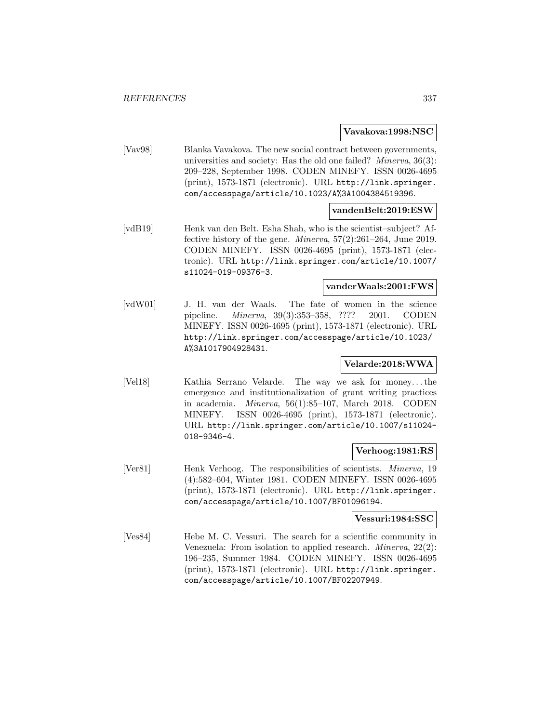#### **Vavakova:1998:NSC**

[Vav98] Blanka Vavakova. The new social contract between governments, universities and society: Has the old one failed? Minerva, 36(3): 209–228, September 1998. CODEN MINEFY. ISSN 0026-4695 (print), 1573-1871 (electronic). URL http://link.springer. com/accesspage/article/10.1023/A%3A1004384519396.

## **vandenBelt:2019:ESW**

[vdB19] Henk van den Belt. Esha Shah, who is the scientist–subject? Affective history of the gene. Minerva, 57(2):261–264, June 2019. CODEN MINEFY. ISSN 0026-4695 (print), 1573-1871 (electronic). URL http://link.springer.com/article/10.1007/ s11024-019-09376-3.

## **vanderWaals:2001:FWS**

[vdW01] J. H. van der Waals. The fate of women in the science pipeline. Minerva, 39(3):353–358, ???? 2001. CODEN MINEFY. ISSN 0026-4695 (print), 1573-1871 (electronic). URL http://link.springer.com/accesspage/article/10.1023/ A%3A1017904928431.

## **Velarde:2018:WWA**

[Vel18] Kathia Serrano Velarde. The way we ask for money...the emergence and institutionalization of grant writing practices in academia. Minerva, 56(1):85–107, March 2018. CODEN MINEFY. ISSN 0026-4695 (print), 1573-1871 (electronic). URL http://link.springer.com/article/10.1007/s11024- 018-9346-4.

## **Verhoog:1981:RS**

[Ver81] Henk Verhoog. The responsibilities of scientists. *Minerva*, 19 (4):582–604, Winter 1981. CODEN MINEFY. ISSN 0026-4695 (print), 1573-1871 (electronic). URL http://link.springer. com/accesspage/article/10.1007/BF01096194.

#### **Vessuri:1984:SSC**

[Ves84] Hebe M. C. Vessuri. The search for a scientific community in Venezuela: From isolation to applied research. Minerva, 22(2): 196–235, Summer 1984. CODEN MINEFY. ISSN 0026-4695 (print), 1573-1871 (electronic). URL http://link.springer. com/accesspage/article/10.1007/BF02207949.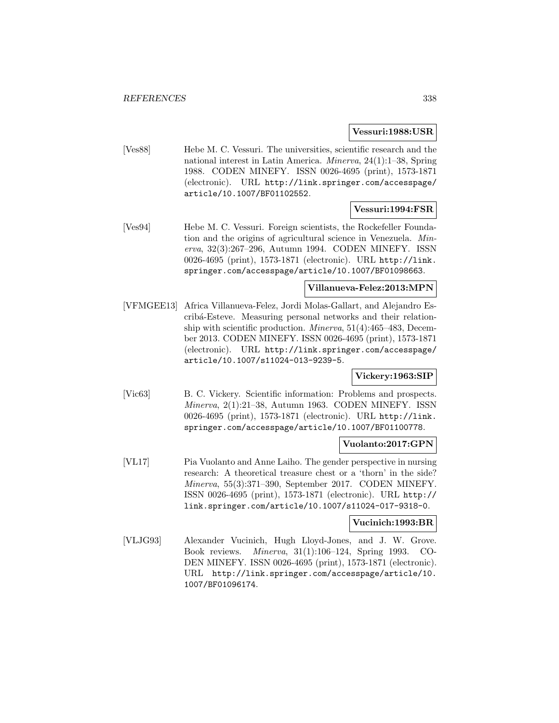### **Vessuri:1988:USR**

[Ves88] Hebe M. C. Vessuri. The universities, scientific research and the national interest in Latin America. Minerva, 24(1):1–38, Spring 1988. CODEN MINEFY. ISSN 0026-4695 (print), 1573-1871 (electronic). URL http://link.springer.com/accesspage/ article/10.1007/BF01102552.

## **Vessuri:1994:FSR**

[Ves94] Hebe M. C. Vessuri. Foreign scientists, the Rockefeller Foundation and the origins of agricultural science in Venezuela. Minerva, 32(3):267–296, Autumn 1994. CODEN MINEFY. ISSN 0026-4695 (print), 1573-1871 (electronic). URL http://link. springer.com/accesspage/article/10.1007/BF01098663.

## **Villanueva-Felez:2013:MPN**

[VFMGEE13] Africa Villanueva-Felez, Jordi Molas-Gallart, and Alejandro Escrib´a-Esteve. Measuring personal networks and their relationship with scientific production. Minerva, 51(4):465–483, December 2013. CODEN MINEFY. ISSN 0026-4695 (print), 1573-1871 (electronic). URL http://link.springer.com/accesspage/ article/10.1007/s11024-013-9239-5.

## **Vickery:1963:SIP**

[Vic63] B. C. Vickery. Scientific information: Problems and prospects. Minerva, 2(1):21–38, Autumn 1963. CODEN MINEFY. ISSN 0026-4695 (print), 1573-1871 (electronic). URL http://link. springer.com/accesspage/article/10.1007/BF01100778.

## **Vuolanto:2017:GPN**

[VL17] Pia Vuolanto and Anne Laiho. The gender perspective in nursing research: A theoretical treasure chest or a 'thorn' in the side? Minerva, 55(3):371–390, September 2017. CODEN MINEFY. ISSN 0026-4695 (print), 1573-1871 (electronic). URL http:// link.springer.com/article/10.1007/s11024-017-9318-0.

#### **Vucinich:1993:BR**

[VLJG93] Alexander Vucinich, Hugh Lloyd-Jones, and J. W. Grove. Book reviews. Minerva, 31(1):106–124, Spring 1993. CO-DEN MINEFY. ISSN 0026-4695 (print), 1573-1871 (electronic). URL http://link.springer.com/accesspage/article/10. 1007/BF01096174.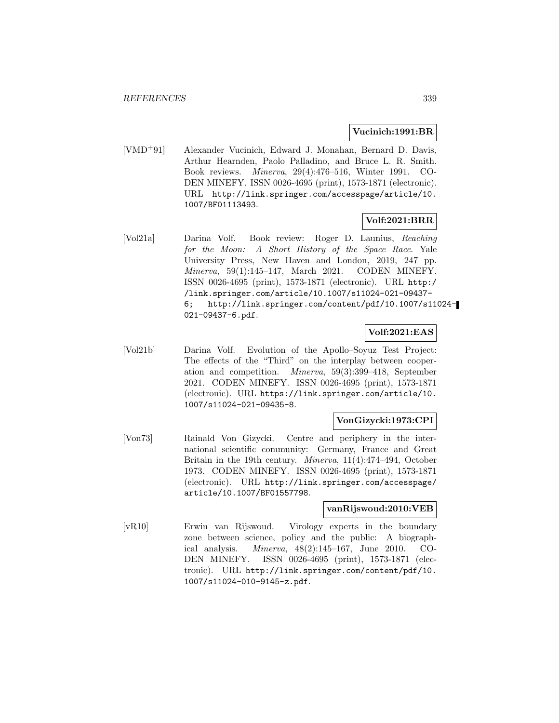### **Vucinich:1991:BR**

[VMD<sup>+</sup>91] Alexander Vucinich, Edward J. Monahan, Bernard D. Davis, Arthur Hearnden, Paolo Palladino, and Bruce L. R. Smith. Book reviews. Minerva, 29(4):476–516, Winter 1991. CO-DEN MINEFY. ISSN 0026-4695 (print), 1573-1871 (electronic). URL http://link.springer.com/accesspage/article/10. 1007/BF01113493.

## **Volf:2021:BRR**

[Vol21a] Darina Volf. Book review: Roger D. Launius, Reaching for the Moon: A Short History of the Space Race. Yale University Press, New Haven and London, 2019, 247 pp. Minerva, 59(1):145–147, March 2021. CODEN MINEFY. ISSN 0026-4695 (print), 1573-1871 (electronic). URL http:/ /link.springer.com/article/10.1007/s11024-021-09437- 6; http://link.springer.com/content/pdf/10.1007/s11024- 021-09437-6.pdf.

# **Volf:2021:EAS**

[Vol21b] Darina Volf. Evolution of the Apollo–Soyuz Test Project: The effects of the "Third" on the interplay between cooperation and competition. Minerva, 59(3):399–418, September 2021. CODEN MINEFY. ISSN 0026-4695 (print), 1573-1871 (electronic). URL https://link.springer.com/article/10. 1007/s11024-021-09435-8.

## **VonGizycki:1973:CPI**

[Von73] Rainald Von Gizycki. Centre and periphery in the international scientific community: Germany, France and Great Britain in the 19th century. Minerva, 11(4):474–494, October 1973. CODEN MINEFY. ISSN 0026-4695 (print), 1573-1871 (electronic). URL http://link.springer.com/accesspage/ article/10.1007/BF01557798.

#### **vanRijswoud:2010:VEB**

[vR10] Erwin van Rijswoud. Virology experts in the boundary zone between science, policy and the public: A biographical analysis. Minerva, 48(2):145–167, June 2010. CO-DEN MINEFY. ISSN 0026-4695 (print), 1573-1871 (electronic). URL http://link.springer.com/content/pdf/10. 1007/s11024-010-9145-z.pdf.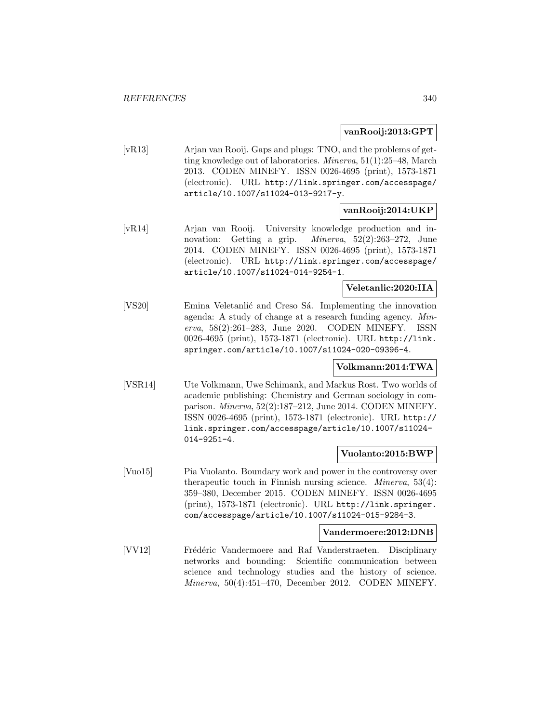### **vanRooij:2013:GPT**

[vR13] Arjan van Rooij. Gaps and plugs: TNO, and the problems of getting knowledge out of laboratories. Minerva, 51(1):25–48, March 2013. CODEN MINEFY. ISSN 0026-4695 (print), 1573-1871 (electronic). URL http://link.springer.com/accesspage/ article/10.1007/s11024-013-9217-y.

## **vanRooij:2014:UKP**

[vR14] Arjan van Rooij. University knowledge production and innovation: Getting a grip. Minerva, 52(2):263–272, June 2014. CODEN MINEFY. ISSN 0026-4695 (print), 1573-1871 (electronic). URL http://link.springer.com/accesspage/ article/10.1007/s11024-014-9254-1.

## **Veletanlic:2020:IIA**

[VS20] Emina Veletanlić and Creso Sá. Implementing the innovation agenda: A study of change at a research funding agency. Minerva, 58(2):261–283, June 2020. CODEN MINEFY. ISSN 0026-4695 (print), 1573-1871 (electronic). URL http://link. springer.com/article/10.1007/s11024-020-09396-4.

## **Volkmann:2014:TWA**

[VSR14] Ute Volkmann, Uwe Schimank, and Markus Rost. Two worlds of academic publishing: Chemistry and German sociology in comparison. Minerva, 52(2):187–212, June 2014. CODEN MINEFY. ISSN 0026-4695 (print), 1573-1871 (electronic). URL http:// link.springer.com/accesspage/article/10.1007/s11024- 014-9251-4.

## **Vuolanto:2015:BWP**

[Vuo15] Pia Vuolanto. Boundary work and power in the controversy over therapeutic touch in Finnish nursing science. *Minerva*,  $53(4)$ : 359–380, December 2015. CODEN MINEFY. ISSN 0026-4695 (print), 1573-1871 (electronic). URL http://link.springer. com/accesspage/article/10.1007/s11024-015-9284-3.

#### **Vandermoere:2012:DNB**

[VV12] Frédéric Vandermoere and Raf Vanderstraeten. Disciplinary networks and bounding: Scientific communication between science and technology studies and the history of science. Minerva, 50(4):451–470, December 2012. CODEN MINEFY.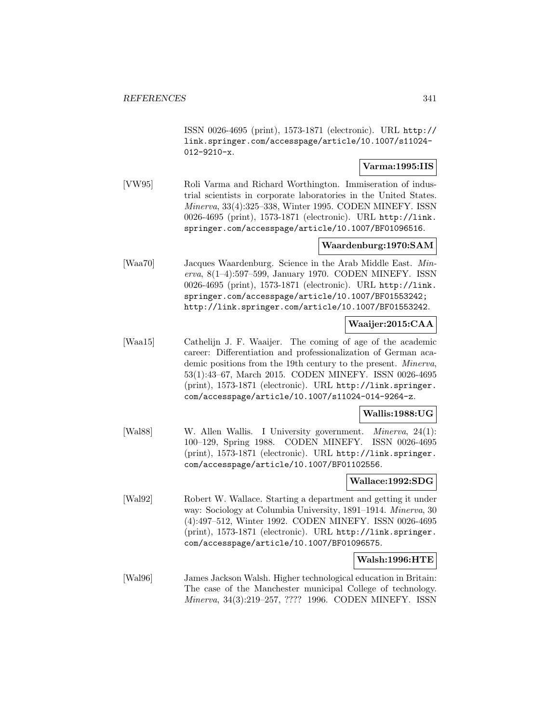ISSN 0026-4695 (print), 1573-1871 (electronic). URL http:// link.springer.com/accesspage/article/10.1007/s11024- 012-9210-x.

## **Varma:1995:IIS**

[VW95] Roli Varma and Richard Worthington. Immiseration of industrial scientists in corporate laboratories in the United States. Minerva, 33(4):325–338, Winter 1995. CODEN MINEFY. ISSN 0026-4695 (print), 1573-1871 (electronic). URL http://link. springer.com/accesspage/article/10.1007/BF01096516.

## **Waardenburg:1970:SAM**

[Waa70] Jacques Waardenburg. Science in the Arab Middle East. Minerva, 8(1–4):597–599, January 1970. CODEN MINEFY. ISSN 0026-4695 (print), 1573-1871 (electronic). URL http://link. springer.com/accesspage/article/10.1007/BF01553242; http://link.springer.com/article/10.1007/BF01553242.

## **Waaijer:2015:CAA**

[Waa15] Cathelijn J. F. Waaijer. The coming of age of the academic career: Differentiation and professionalization of German academic positions from the 19th century to the present. Minerva, 53(1):43–67, March 2015. CODEN MINEFY. ISSN 0026-4695 (print), 1573-1871 (electronic). URL http://link.springer. com/accesspage/article/10.1007/s11024-014-9264-z.

#### **Wallis:1988:UG**

[Wal88] W. Allen Wallis. I University government. *Minerva*, 24(1): 100–129, Spring 1988. CODEN MINEFY. ISSN 0026-4695 (print), 1573-1871 (electronic). URL http://link.springer. com/accesspage/article/10.1007/BF01102556.

## **Wallace:1992:SDG**

[Wal92] Robert W. Wallace. Starting a department and getting it under way: Sociology at Columbia University, 1891–1914. Minerva, 30 (4):497–512, Winter 1992. CODEN MINEFY. ISSN 0026-4695 (print), 1573-1871 (electronic). URL http://link.springer. com/accesspage/article/10.1007/BF01096575.

## **Walsh:1996:HTE**

[Wal96] James Jackson Walsh. Higher technological education in Britain: The case of the Manchester municipal College of technology. Minerva, 34(3):219–257, ???? 1996. CODEN MINEFY. ISSN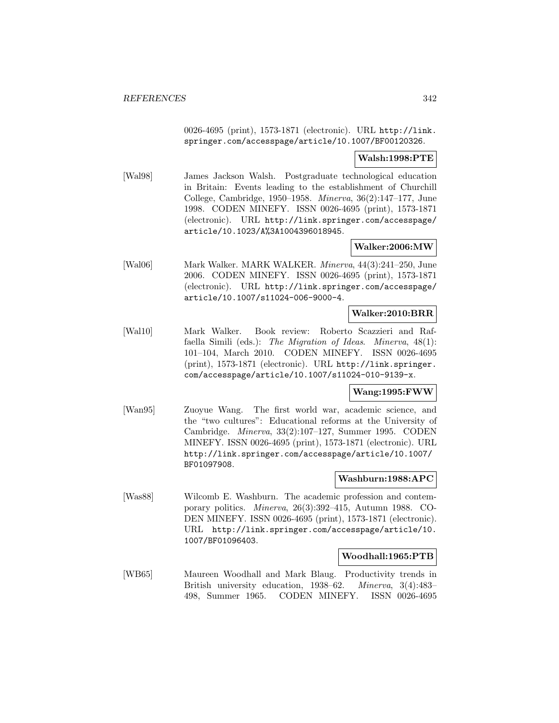0026-4695 (print), 1573-1871 (electronic). URL http://link. springer.com/accesspage/article/10.1007/BF00120326.

## **Walsh:1998:PTE**

[Wal98] James Jackson Walsh. Postgraduate technological education in Britain: Events leading to the establishment of Churchill College, Cambridge, 1950–1958. Minerva, 36(2):147–177, June 1998. CODEN MINEFY. ISSN 0026-4695 (print), 1573-1871 (electronic). URL http://link.springer.com/accesspage/ article/10.1023/A%3A1004396018945.

## **Walker:2006:MW**

[Wal06] Mark Walker. MARK WALKER. Minerva, 44(3):241–250, June 2006. CODEN MINEFY. ISSN 0026-4695 (print), 1573-1871 (electronic). URL http://link.springer.com/accesspage/ article/10.1007/s11024-006-9000-4.

## **Walker:2010:BRR**

[Wal10] Mark Walker. Book review: Roberto Scazzieri and Raffaella Simili (eds.): The Migration of Ideas. Minerva, 48(1): 101–104, March 2010. CODEN MINEFY. ISSN 0026-4695 (print), 1573-1871 (electronic). URL http://link.springer. com/accesspage/article/10.1007/s11024-010-9139-x.

## **Wang:1995:FWW**

[Wan95] Zuoyue Wang. The first world war, academic science, and the "two cultures": Educational reforms at the University of Cambridge. Minerva, 33(2):107–127, Summer 1995. CODEN MINEFY. ISSN 0026-4695 (print), 1573-1871 (electronic). URL http://link.springer.com/accesspage/article/10.1007/ BF01097908.

## **Washburn:1988:APC**

[Was88] Wilcomb E. Washburn. The academic profession and contemporary politics. Minerva, 26(3):392–415, Autumn 1988. CO-DEN MINEFY. ISSN 0026-4695 (print), 1573-1871 (electronic). URL http://link.springer.com/accesspage/article/10. 1007/BF01096403.

## **Woodhall:1965:PTB**

[WB65] Maureen Woodhall and Mark Blaug. Productivity trends in British university education, 1938–62. Minerva, 3(4):483– 498, Summer 1965. CODEN MINEFY. ISSN 0026-4695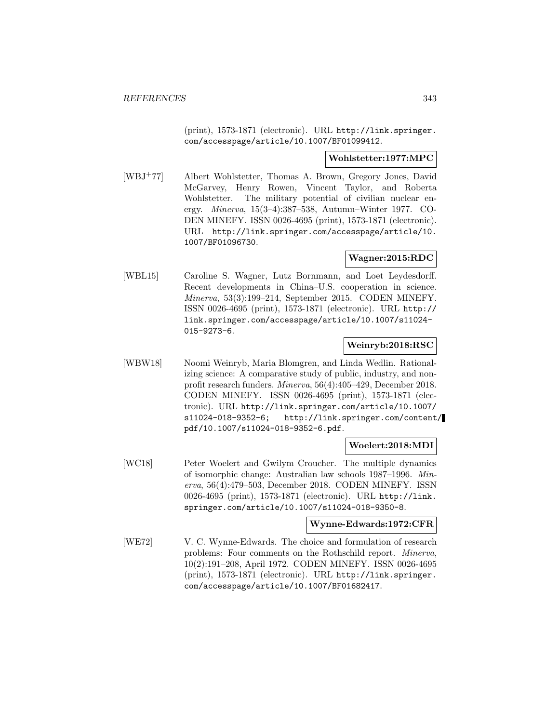(print), 1573-1871 (electronic). URL http://link.springer. com/accesspage/article/10.1007/BF01099412.

### **Wohlstetter:1977:MPC**

[WBJ<sup>+</sup>77] Albert Wohlstetter, Thomas A. Brown, Gregory Jones, David McGarvey, Henry Rowen, Vincent Taylor, and Roberta Wohlstetter. The military potential of civilian nuclear energy. Minerva, 15(3–4):387–538, Autumn–Winter 1977. CO-DEN MINEFY. ISSN 0026-4695 (print), 1573-1871 (electronic). URL http://link.springer.com/accesspage/article/10. 1007/BF01096730.

## **Wagner:2015:RDC**

[WBL15] Caroline S. Wagner, Lutz Bornmann, and Loet Leydesdorff. Recent developments in China–U.S. cooperation in science. Minerva, 53(3):199–214, September 2015. CODEN MINEFY. ISSN 0026-4695 (print), 1573-1871 (electronic). URL http:// link.springer.com/accesspage/article/10.1007/s11024- 015-9273-6.

## **Weinryb:2018:RSC**

[WBW18] Noomi Weinryb, Maria Blomgren, and Linda Wedlin. Rationalizing science: A comparative study of public, industry, and nonprofit research funders. Minerva, 56(4):405–429, December 2018. CODEN MINEFY. ISSN 0026-4695 (print), 1573-1871 (electronic). URL http://link.springer.com/article/10.1007/ s11024-018-9352-6; http://link.springer.com/content/ pdf/10.1007/s11024-018-9352-6.pdf.

## **Woelert:2018:MDI**

[WC18] Peter Woelert and Gwilym Croucher. The multiple dynamics of isomorphic change: Australian law schools 1987–1996. Minerva, 56(4):479–503, December 2018. CODEN MINEFY. ISSN 0026-4695 (print), 1573-1871 (electronic). URL http://link. springer.com/article/10.1007/s11024-018-9350-8.

#### **Wynne-Edwards:1972:CFR**

[WE72] V. C. Wynne-Edwards. The choice and formulation of research problems: Four comments on the Rothschild report. Minerva, 10(2):191–208, April 1972. CODEN MINEFY. ISSN 0026-4695 (print), 1573-1871 (electronic). URL http://link.springer. com/accesspage/article/10.1007/BF01682417.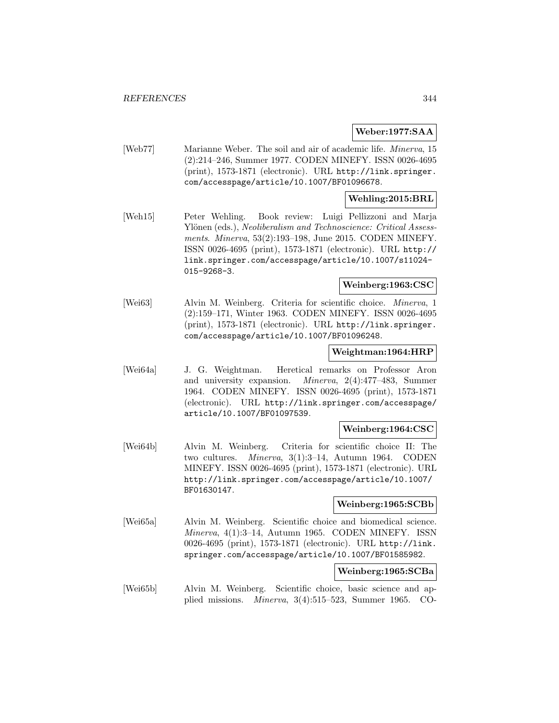## **Weber:1977:SAA**

[Web77] Marianne Weber. The soil and air of academic life. Minerva, 15 (2):214–246, Summer 1977. CODEN MINEFY. ISSN 0026-4695 (print), 1573-1871 (electronic). URL http://link.springer. com/accesspage/article/10.1007/BF01096678.

## **Wehling:2015:BRL**

[Weh15] Peter Wehling. Book review: Luigi Pellizzoni and Marja Ylönen (eds.), Neoliberalism and Technoscience: Critical Assessments. Minerva, 53(2):193–198, June 2015. CODEN MINEFY. ISSN 0026-4695 (print), 1573-1871 (electronic). URL http:// link.springer.com/accesspage/article/10.1007/s11024- 015-9268-3.

## **Weinberg:1963:CSC**

[Wei63] Alvin M. Weinberg. Criteria for scientific choice. Minerva, 1 (2):159–171, Winter 1963. CODEN MINEFY. ISSN 0026-4695 (print), 1573-1871 (electronic). URL http://link.springer. com/accesspage/article/10.1007/BF01096248.

#### **Weightman:1964:HRP**

[Wei64a] J. G. Weightman. Heretical remarks on Professor Aron and university expansion. Minerva, 2(4):477–483, Summer 1964. CODEN MINEFY. ISSN 0026-4695 (print), 1573-1871 (electronic). URL http://link.springer.com/accesspage/ article/10.1007/BF01097539.

## **Weinberg:1964:CSC**

[Wei64b] Alvin M. Weinberg. Criteria for scientific choice II: The two cultures. Minerva, 3(1):3–14, Autumn 1964. CODEN MINEFY. ISSN 0026-4695 (print), 1573-1871 (electronic). URL http://link.springer.com/accesspage/article/10.1007/ BF01630147.

#### **Weinberg:1965:SCBb**

[Wei65a] Alvin M. Weinberg. Scientific choice and biomedical science. Minerva, 4(1):3–14, Autumn 1965. CODEN MINEFY. ISSN 0026-4695 (print), 1573-1871 (electronic). URL http://link. springer.com/accesspage/article/10.1007/BF01585982.

## **Weinberg:1965:SCBa**

[Wei65b] Alvin M. Weinberg. Scientific choice, basic science and applied missions. Minerva, 3(4):515–523, Summer 1965. CO-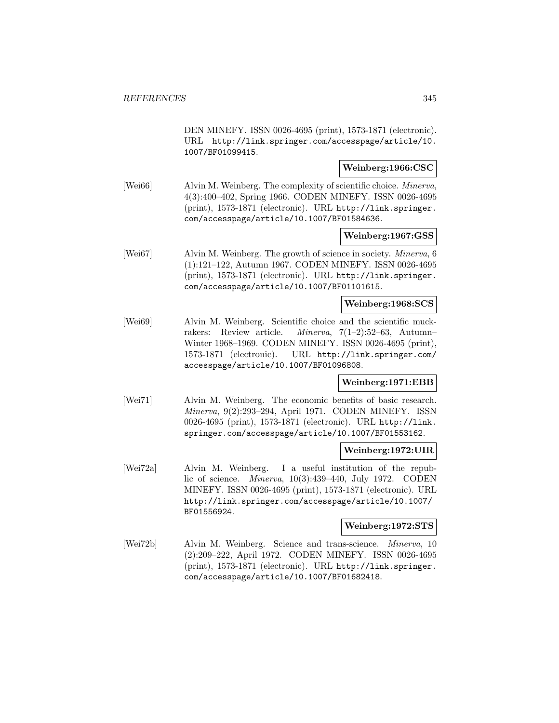DEN MINEFY. ISSN 0026-4695 (print), 1573-1871 (electronic). URL http://link.springer.com/accesspage/article/10. 1007/BF01099415.

### **Weinberg:1966:CSC**

[Wei66] Alvin M. Weinberg. The complexity of scientific choice. *Minerva*, 4(3):400–402, Spring 1966. CODEN MINEFY. ISSN 0026-4695 (print), 1573-1871 (electronic). URL http://link.springer. com/accesspage/article/10.1007/BF01584636.

### **Weinberg:1967:GSS**

[Wei67] Alvin M. Weinberg. The growth of science in society. Minerva, 6 (1):121–122, Autumn 1967. CODEN MINEFY. ISSN 0026-4695 (print), 1573-1871 (electronic). URL http://link.springer. com/accesspage/article/10.1007/BF01101615.

## **Weinberg:1968:SCS**

[Wei69] Alvin M. Weinberg. Scientific choice and the scientific muckrakers: Review article. Minerva, 7(1–2):52–63, Autumn– Winter 1968–1969. CODEN MINEFY. ISSN 0026-4695 (print), 1573-1871 (electronic). URL http://link.springer.com/ accesspage/article/10.1007/BF01096808.

#### **Weinberg:1971:EBB**

[Wei71] Alvin M. Weinberg. The economic benefits of basic research. Minerva, 9(2):293–294, April 1971. CODEN MINEFY. ISSN 0026-4695 (print), 1573-1871 (electronic). URL http://link. springer.com/accesspage/article/10.1007/BF01553162.

#### **Weinberg:1972:UIR**

[Wei72a] Alvin M. Weinberg. I a useful institution of the republic of science. Minerva, 10(3):439–440, July 1972. CODEN MINEFY. ISSN 0026-4695 (print), 1573-1871 (electronic). URL http://link.springer.com/accesspage/article/10.1007/ BF01556924.

## **Weinberg:1972:STS**

[Wei72b] Alvin M. Weinberg. Science and trans-science. Minerva, 10 (2):209–222, April 1972. CODEN MINEFY. ISSN 0026-4695 (print), 1573-1871 (electronic). URL http://link.springer. com/accesspage/article/10.1007/BF01682418.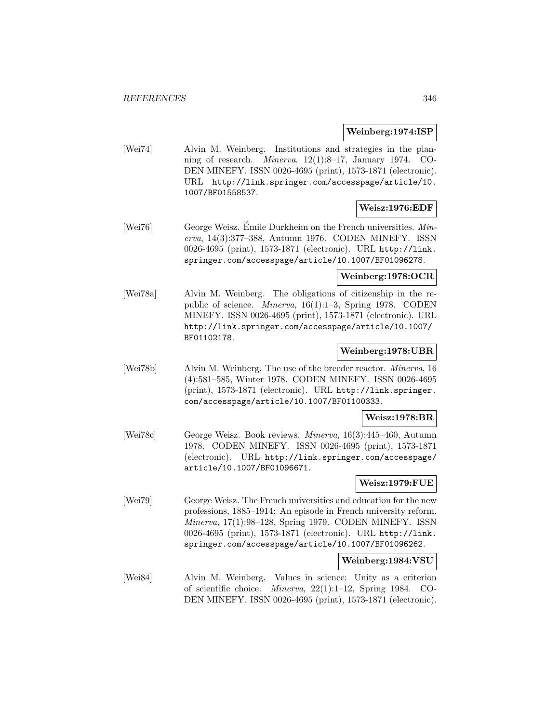## **Weinberg:1974:ISP**

[Wei74] Alvin M. Weinberg. Institutions and strategies in the planning of research. Minerva, 12(1):8–17, January 1974. CO-DEN MINEFY. ISSN 0026-4695 (print), 1573-1871 (electronic). URL http://link.springer.com/accesspage/article/10. 1007/BF01558537.

## **Weisz:1976:EDF**

[Wei76] George Weisz. Emile Durkheim on the French universities.  $Min$ erva, 14(3):377–388, Autumn 1976. CODEN MINEFY. ISSN 0026-4695 (print), 1573-1871 (electronic). URL http://link. springer.com/accesspage/article/10.1007/BF01096278.

## **Weinberg:1978:OCR**

[Wei78a] Alvin M. Weinberg. The obligations of citizenship in the republic of science. Minerva, 16(1):1–3, Spring 1978. CODEN MINEFY. ISSN 0026-4695 (print), 1573-1871 (electronic). URL http://link.springer.com/accesspage/article/10.1007/ BF01102178.

## **Weinberg:1978:UBR**

[Wei78b] Alvin M. Weinberg. The use of the breeder reactor. Minerva, 16 (4):581–585, Winter 1978. CODEN MINEFY. ISSN 0026-4695 (print), 1573-1871 (electronic). URL http://link.springer. com/accesspage/article/10.1007/BF01100333.

#### **Weisz:1978:BR**

[Wei78c] George Weisz. Book reviews. Minerva, 16(3):445–460, Autumn 1978. CODEN MINEFY. ISSN 0026-4695 (print), 1573-1871 (electronic). URL http://link.springer.com/accesspage/ article/10.1007/BF01096671.

## **Weisz:1979:FUE**

[Wei79] George Weisz. The French universities and education for the new professions, 1885–1914: An episode in French university reform. Minerva, 17(1):98–128, Spring 1979. CODEN MINEFY. ISSN 0026-4695 (print), 1573-1871 (electronic). URL http://link. springer.com/accesspage/article/10.1007/BF01096262.

## **Weinberg:1984:VSU**

[Wei84] Alvin M. Weinberg. Values in science: Unity as a criterion of scientific choice. Minerva, 22(1):1–12, Spring 1984. CO-DEN MINEFY. ISSN 0026-4695 (print), 1573-1871 (electronic).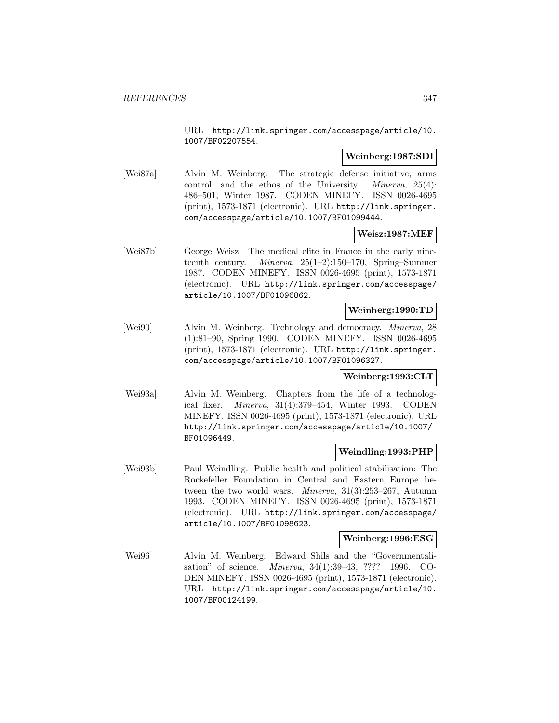URL http://link.springer.com/accesspage/article/10. 1007/BF02207554.

### **Weinberg:1987:SDI**

[Wei87a] Alvin M. Weinberg. The strategic defense initiative, arms control, and the ethos of the University. Minerva, 25(4): 486–501, Winter 1987. CODEN MINEFY. ISSN 0026-4695 (print), 1573-1871 (electronic). URL http://link.springer. com/accesspage/article/10.1007/BF01099444.

## **Weisz:1987:MEF**

[Wei87b] George Weisz. The medical elite in France in the early nineteenth century. Minerva, 25(1–2):150–170, Spring–Summer 1987. CODEN MINEFY. ISSN 0026-4695 (print), 1573-1871 (electronic). URL http://link.springer.com/accesspage/ article/10.1007/BF01096862.

### **Weinberg:1990:TD**

[Wei90] Alvin M. Weinberg. Technology and democracy. Minerva, 28 (1):81–90, Spring 1990. CODEN MINEFY. ISSN 0026-4695 (print), 1573-1871 (electronic). URL http://link.springer. com/accesspage/article/10.1007/BF01096327.

## **Weinberg:1993:CLT**

[Wei93a] Alvin M. Weinberg. Chapters from the life of a technological fixer. Minerva, 31(4):379–454, Winter 1993. CODEN MINEFY. ISSN 0026-4695 (print), 1573-1871 (electronic). URL http://link.springer.com/accesspage/article/10.1007/ BF01096449.

## **Weindling:1993:PHP**

[Wei93b] Paul Weindling. Public health and political stabilisation: The Rockefeller Foundation in Central and Eastern Europe between the two world wars. Minerva, 31(3):253–267, Autumn 1993. CODEN MINEFY. ISSN 0026-4695 (print), 1573-1871 (electronic). URL http://link.springer.com/accesspage/ article/10.1007/BF01098623.

### **Weinberg:1996:ESG**

[Wei96] Alvin M. Weinberg. Edward Shils and the "Governmentalisation" of science. Minerva, 34(1):39–43, ???? 1996. CO-DEN MINEFY. ISSN 0026-4695 (print), 1573-1871 (electronic). URL http://link.springer.com/accesspage/article/10. 1007/BF00124199.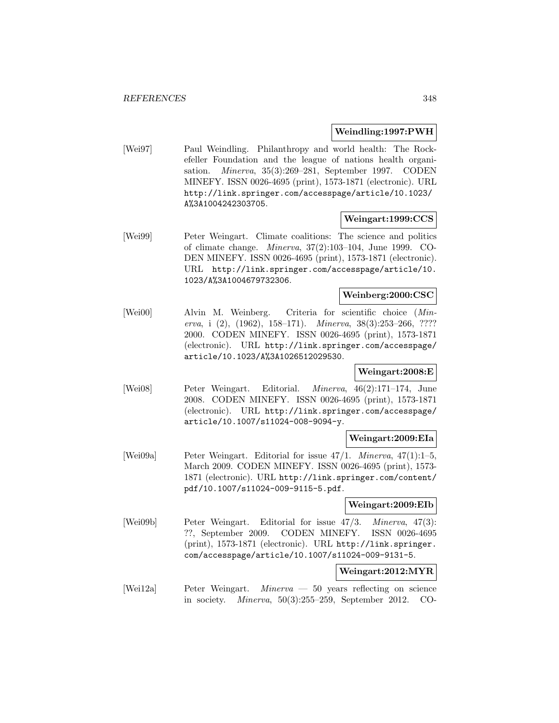## **Weindling:1997:PWH**

[Wei97] Paul Weindling. Philanthropy and world health: The Rockefeller Foundation and the league of nations health organisation. Minerva, 35(3):269–281, September 1997. CODEN MINEFY. ISSN 0026-4695 (print), 1573-1871 (electronic). URL http://link.springer.com/accesspage/article/10.1023/ A%3A1004242303705.

# **Weingart:1999:CCS**

[Wei99] Peter Weingart. Climate coalitions: The science and politics of climate change. Minerva, 37(2):103–104, June 1999. CO-DEN MINEFY. ISSN 0026-4695 (print), 1573-1871 (electronic). URL http://link.springer.com/accesspage/article/10. 1023/A%3A1004679732306.

### **Weinberg:2000:CSC**

[Wei00] Alvin M. Weinberg. Criteria for scientific choice (Minerva, i (2), (1962), 158–171). Minerva, 38(3):253–266, ???? 2000. CODEN MINEFY. ISSN 0026-4695 (print), 1573-1871 (electronic). URL http://link.springer.com/accesspage/ article/10.1023/A%3A1026512029530.

## **Weingart:2008:E**

[Wei08] Peter Weingart. Editorial. Minerva, 46(2):171–174, June 2008. CODEN MINEFY. ISSN 0026-4695 (print), 1573-1871 (electronic). URL http://link.springer.com/accesspage/ article/10.1007/s11024-008-9094-y.

## **Weingart:2009:EIa**

[Wei09a] Peter Weingart. Editorial for issue 47/1. Minerva, 47(1):1–5, March 2009. CODEN MINEFY. ISSN 0026-4695 (print), 1573- 1871 (electronic). URL http://link.springer.com/content/ pdf/10.1007/s11024-009-9115-5.pdf.

## **Weingart:2009:EIb**

[Wei09b] Peter Weingart. Editorial for issue 47/3. Minerva, 47(3): ??, September 2009. CODEN MINEFY. ISSN 0026-4695 (print), 1573-1871 (electronic). URL http://link.springer. com/accesspage/article/10.1007/s11024-009-9131-5.

## **Weingart:2012:MYR**

[Wei12a] Peter Weingart. Minerva — 50 years reflecting on science in society. Minerva, 50(3):255–259, September 2012. CO-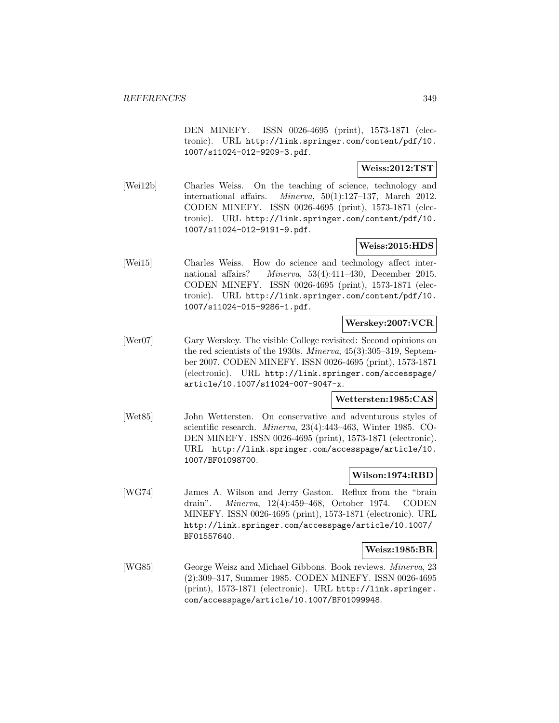DEN MINEFY. ISSN 0026-4695 (print), 1573-1871 (electronic). URL http://link.springer.com/content/pdf/10. 1007/s11024-012-9209-3.pdf.

## **Weiss:2012:TST**

[Wei12b] Charles Weiss. On the teaching of science, technology and international affairs. Minerva, 50(1):127–137, March 2012. CODEN MINEFY. ISSN 0026-4695 (print), 1573-1871 (electronic). URL http://link.springer.com/content/pdf/10. 1007/s11024-012-9191-9.pdf.

## **Weiss:2015:HDS**

[Wei15] Charles Weiss. How do science and technology affect international affairs? Minerva, 53(4):411–430, December 2015. CODEN MINEFY. ISSN 0026-4695 (print), 1573-1871 (electronic). URL http://link.springer.com/content/pdf/10. 1007/s11024-015-9286-1.pdf.

## **Werskey:2007:VCR**

[Wer07] Gary Werskey. The visible College revisited: Second opinions on the red scientists of the 1930s. Minerva, 45(3):305–319, September 2007. CODEN MINEFY. ISSN 0026-4695 (print), 1573-1871 (electronic). URL http://link.springer.com/accesspage/ article/10.1007/s11024-007-9047-x.

## **Wettersten:1985:CAS**

[Wet85] John Wettersten. On conservative and adventurous styles of scientific research. Minerva, 23(4):443–463, Winter 1985. CO-DEN MINEFY. ISSN 0026-4695 (print), 1573-1871 (electronic). URL http://link.springer.com/accesspage/article/10. 1007/BF01098700.

## **Wilson:1974:RBD**

[WG74] James A. Wilson and Jerry Gaston. Reflux from the "brain drain". Minerva, 12(4):459–468, October 1974. CODEN MINEFY. ISSN 0026-4695 (print), 1573-1871 (electronic). URL http://link.springer.com/accesspage/article/10.1007/ BF01557640.

## **Weisz:1985:BR**

[WG85] George Weisz and Michael Gibbons. Book reviews. Minerva, 23 (2):309–317, Summer 1985. CODEN MINEFY. ISSN 0026-4695 (print), 1573-1871 (electronic). URL http://link.springer. com/accesspage/article/10.1007/BF01099948.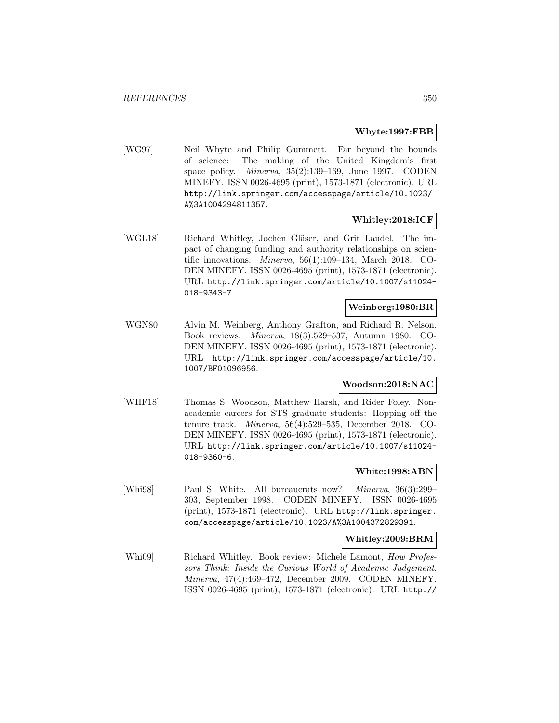## **Whyte:1997:FBB**

[WG97] Neil Whyte and Philip Gummett. Far beyond the bounds of science: The making of the United Kingdom's first space policy. Minerva, 35(2):139–169, June 1997. CODEN MINEFY. ISSN 0026-4695 (print), 1573-1871 (electronic). URL http://link.springer.com/accesspage/article/10.1023/ A%3A1004294811357.

## **Whitley:2018:ICF**

[WGL18] Richard Whitley, Jochen Gläser, and Grit Laudel. The impact of changing funding and authority relationships on scientific innovations. Minerva, 56(1):109–134, March 2018. CO-DEN MINEFY. ISSN 0026-4695 (print), 1573-1871 (electronic). URL http://link.springer.com/article/10.1007/s11024- 018-9343-7.

## **Weinberg:1980:BR**

[WGN80] Alvin M. Weinberg, Anthony Grafton, and Richard R. Nelson. Book reviews. Minerva, 18(3):529–537, Autumn 1980. CO-DEN MINEFY. ISSN 0026-4695 (print), 1573-1871 (electronic). URL http://link.springer.com/accesspage/article/10. 1007/BF01096956.

## **Woodson:2018:NAC**

[WHF18] Thomas S. Woodson, Matthew Harsh, and Rider Foley. Nonacademic careers for STS graduate students: Hopping off the tenure track. Minerva, 56(4):529–535, December 2018. CO-DEN MINEFY. ISSN 0026-4695 (print), 1573-1871 (electronic). URL http://link.springer.com/article/10.1007/s11024- 018-9360-6.

## **White:1998:ABN**

[Whi98] Paul S. White. All bureaucrats now? Minerva, 36(3):299– 303, September 1998. CODEN MINEFY. ISSN 0026-4695 (print), 1573-1871 (electronic). URL http://link.springer. com/accesspage/article/10.1023/A%3A1004372829391.

## **Whitley:2009:BRM**

[Whi09] Richard Whitley. Book review: Michele Lamont, How Professors Think: Inside the Curious World of Academic Judgement. Minerva, 47(4):469–472, December 2009. CODEN MINEFY. ISSN 0026-4695 (print), 1573-1871 (electronic). URL http://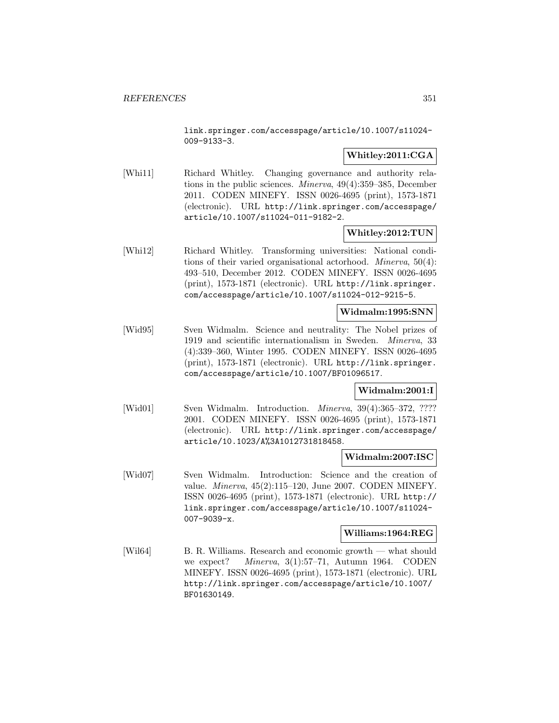link.springer.com/accesspage/article/10.1007/s11024- 009-9133-3.

## **Whitley:2011:CGA**

[Whi11] Richard Whitley. Changing governance and authority relations in the public sciences. Minerva, 49(4):359–385, December 2011. CODEN MINEFY. ISSN 0026-4695 (print), 1573-1871 (electronic). URL http://link.springer.com/accesspage/ article/10.1007/s11024-011-9182-2.

# **Whitley:2012:TUN**

[Whi12] Richard Whitley. Transforming universities: National conditions of their varied organisational actorhood. Minerva, 50(4): 493–510, December 2012. CODEN MINEFY. ISSN 0026-4695 (print), 1573-1871 (electronic). URL http://link.springer. com/accesspage/article/10.1007/s11024-012-9215-5.

## **Widmalm:1995:SNN**

[Wid95] Sven Widmalm. Science and neutrality: The Nobel prizes of 1919 and scientific internationalism in Sweden. Minerva, 33 (4):339–360, Winter 1995. CODEN MINEFY. ISSN 0026-4695 (print), 1573-1871 (electronic). URL http://link.springer. com/accesspage/article/10.1007/BF01096517.

## **Widmalm:2001:I**

[Wid01] Sven Widmalm. Introduction. *Minerva*, 39(4):365-372, ???? 2001. CODEN MINEFY. ISSN 0026-4695 (print), 1573-1871 (electronic). URL http://link.springer.com/accesspage/ article/10.1023/A%3A1012731818458.

## **Widmalm:2007:ISC**

[Wid07] Sven Widmalm. Introduction: Science and the creation of value. Minerva, 45(2):115–120, June 2007. CODEN MINEFY. ISSN 0026-4695 (print), 1573-1871 (electronic). URL http:// link.springer.com/accesspage/article/10.1007/s11024- 007-9039-x.

## **Williams:1964:REG**

[Wil64] B. R. Williams. Research and economic growth — what should we expect? Minerva, 3(1):57–71, Autumn 1964. CODEN MINEFY. ISSN 0026-4695 (print), 1573-1871 (electronic). URL http://link.springer.com/accesspage/article/10.1007/ BF01630149.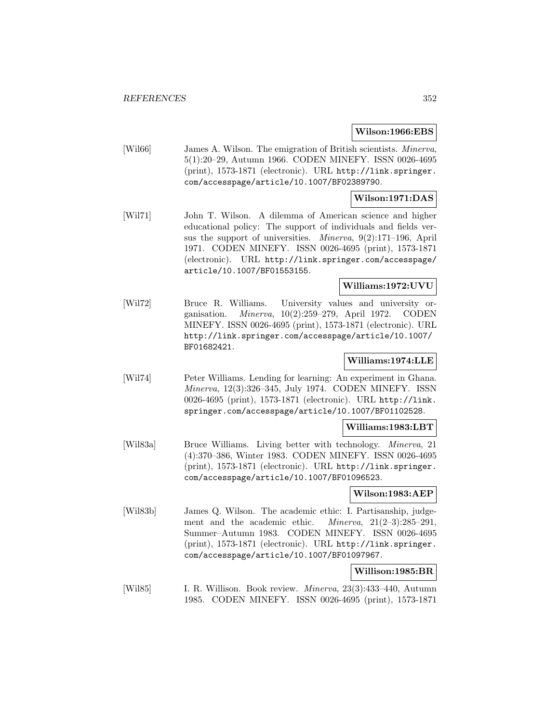### **Wilson:1966:EBS**

[Wil66] James A. Wilson. The emigration of British scientists. Minerva, 5(1):20–29, Autumn 1966. CODEN MINEFY. ISSN 0026-4695 (print), 1573-1871 (electronic). URL http://link.springer. com/accesspage/article/10.1007/BF02389790.

## **Wilson:1971:DAS**

[Wil71] John T. Wilson. A dilemma of American science and higher educational policy: The support of individuals and fields versus the support of universities. Minerva, 9(2):171–196, April 1971. CODEN MINEFY. ISSN 0026-4695 (print), 1573-1871 (electronic). URL http://link.springer.com/accesspage/ article/10.1007/BF01553155.

## **Williams:1972:UVU**

[Wil72] Bruce R. Williams. University values and university organisation. Minerva, 10(2):259–279, April 1972. CODEN MINEFY. ISSN 0026-4695 (print), 1573-1871 (electronic). URL http://link.springer.com/accesspage/article/10.1007/ BF01682421.

## **Williams:1974:LLE**

[Wil74] Peter Williams. Lending for learning: An experiment in Ghana. Minerva, 12(3):326–345, July 1974. CODEN MINEFY. ISSN 0026-4695 (print), 1573-1871 (electronic). URL http://link. springer.com/accesspage/article/10.1007/BF01102528.

#### **Williams:1983:LBT**

[Wil83a] Bruce Williams. Living better with technology. Minerva, 21 (4):370–386, Winter 1983. CODEN MINEFY. ISSN 0026-4695 (print), 1573-1871 (electronic). URL http://link.springer. com/accesspage/article/10.1007/BF01096523.

#### **Wilson:1983:AEP**

[Wil83b] James Q. Wilson. The academic ethic: I. Partisanship, judgement and the academic ethic. Minerva, 21(2–3):285–291, Summer–Autumn 1983. CODEN MINEFY. ISSN 0026-4695 (print), 1573-1871 (electronic). URL http://link.springer. com/accesspage/article/10.1007/BF01097967.

## **Willison:1985:BR**

[Wil85] I. R. Willison. Book review. Minerva, 23(3):433–440, Autumn 1985. CODEN MINEFY. ISSN 0026-4695 (print), 1573-1871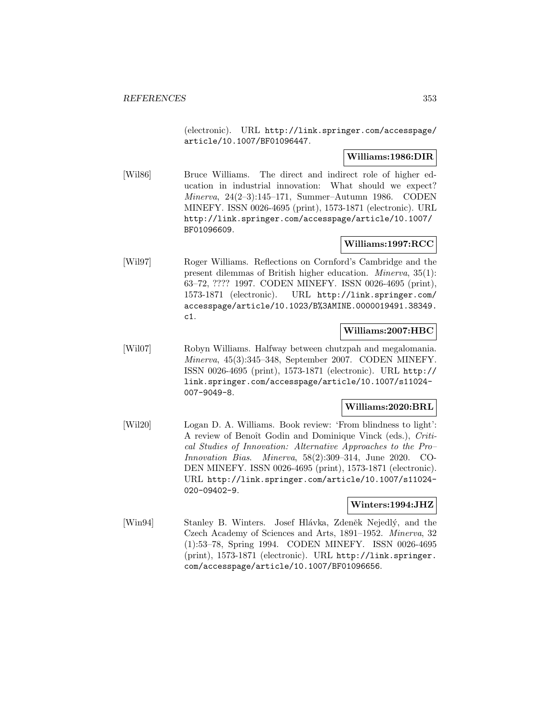(electronic). URL http://link.springer.com/accesspage/ article/10.1007/BF01096447.

## **Williams:1986:DIR**

[Wil86] Bruce Williams. The direct and indirect role of higher education in industrial innovation: What should we expect? Minerva, 24(2–3):145–171, Summer–Autumn 1986. CODEN MINEFY. ISSN 0026-4695 (print), 1573-1871 (electronic). URL http://link.springer.com/accesspage/article/10.1007/ BF01096609.

# **Williams:1997:RCC**

[Wil97] Roger Williams. Reflections on Cornford's Cambridge and the present dilemmas of British higher education. Minerva, 35(1): 63–72, ???? 1997. CODEN MINEFY. ISSN 0026-4695 (print), 1573-1871 (electronic). URL http://link.springer.com/ accesspage/article/10.1023/B%3AMINE.0000019491.38349. c1.

## **Williams:2007:HBC**

[Wil07] Robyn Williams. Halfway between chutzpah and megalomania. Minerva, 45(3):345–348, September 2007. CODEN MINEFY. ISSN 0026-4695 (print), 1573-1871 (electronic). URL http:// link.springer.com/accesspage/article/10.1007/s11024- 007-9049-8.

## **Williams:2020:BRL**

[Wil20] Logan D. A. Williams. Book review: 'From blindness to light': A review of Benoît Godin and Dominique Vinck (eds.), Critical Studies of Innovation: Alternative Approaches to the Pro– Innovation Bias. Minerva, 58(2):309–314, June 2020. CO-DEN MINEFY. ISSN 0026-4695 (print), 1573-1871 (electronic). URL http://link.springer.com/article/10.1007/s11024- 020-09402-9.

## **Winters:1994:JHZ**

[Win94] Stanley B. Winters. Josef Hlávka, Zdeněk Nejedlý, and the Czech Academy of Sciences and Arts, 1891–1952. Minerva, 32 (1):53–78, Spring 1994. CODEN MINEFY. ISSN 0026-4695 (print), 1573-1871 (electronic). URL http://link.springer. com/accesspage/article/10.1007/BF01096656.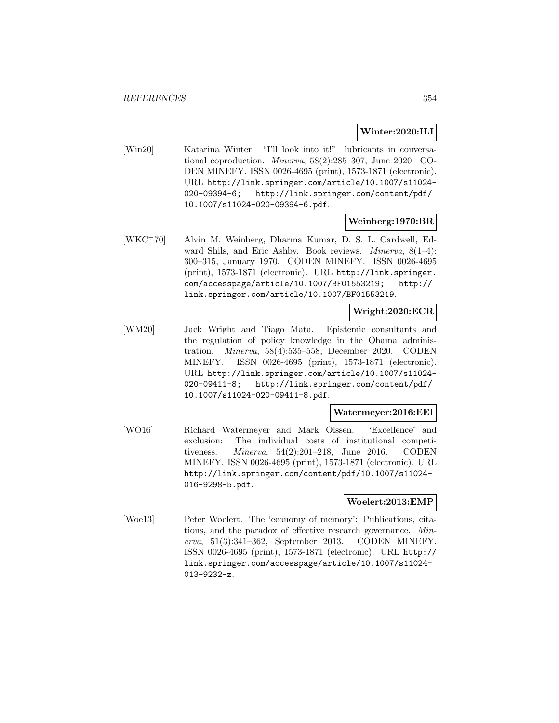## **Winter:2020:ILI**

[Win20] Katarina Winter. "I'll look into it!" lubricants in conversational coproduction. Minerva, 58(2):285–307, June 2020. CO-DEN MINEFY. ISSN 0026-4695 (print), 1573-1871 (electronic). URL http://link.springer.com/article/10.1007/s11024- 020-09394-6; http://link.springer.com/content/pdf/ 10.1007/s11024-020-09394-6.pdf.

## **Weinberg:1970:BR**

[WKC<sup>+</sup>70] Alvin M. Weinberg, Dharma Kumar, D. S. L. Cardwell, Edward Shils, and Eric Ashby. Book reviews. Minerva, 8(1–4): 300–315, January 1970. CODEN MINEFY. ISSN 0026-4695 (print), 1573-1871 (electronic). URL http://link.springer. com/accesspage/article/10.1007/BF01553219; http:// link.springer.com/article/10.1007/BF01553219.

## **Wright:2020:ECR**

[WM20] Jack Wright and Tiago Mata. Epistemic consultants and the regulation of policy knowledge in the Obama administration. Minerva, 58(4):535–558, December 2020. CODEN MINEFY. ISSN 0026-4695 (print), 1573-1871 (electronic). URL http://link.springer.com/article/10.1007/s11024- 020-09411-8; http://link.springer.com/content/pdf/ 10.1007/s11024-020-09411-8.pdf.

## **Watermeyer:2016:EEI**

[WO16] Richard Watermeyer and Mark Olssen. 'Excellence' and exclusion: The individual costs of institutional competitiveness. Minerva, 54(2):201–218, June 2016. CODEN MINEFY. ISSN 0026-4695 (print), 1573-1871 (electronic). URL http://link.springer.com/content/pdf/10.1007/s11024- 016-9298-5.pdf.

## **Woelert:2013:EMP**

[Woe13] Peter Woelert. The 'economy of memory': Publications, citations, and the paradox of effective research governance. Minerva, 51(3):341–362, September 2013. CODEN MINEFY. ISSN 0026-4695 (print), 1573-1871 (electronic). URL http:// link.springer.com/accesspage/article/10.1007/s11024- 013-9232-z.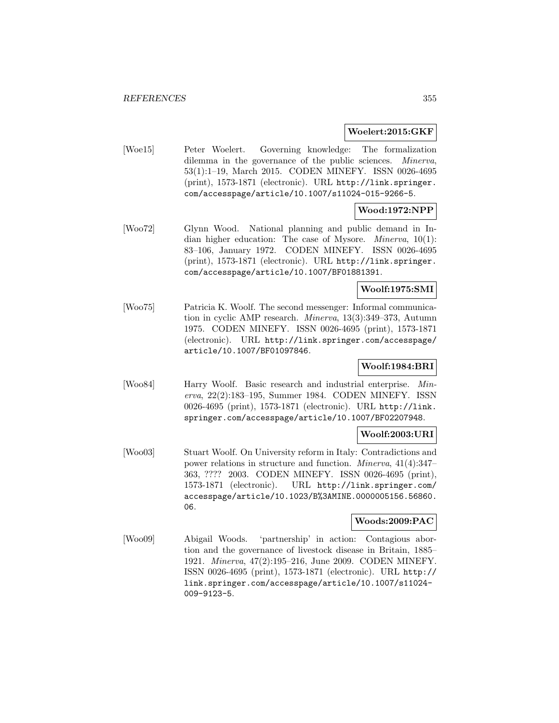### **Woelert:2015:GKF**

[Woe15] Peter Woelert. Governing knowledge: The formalization dilemma in the governance of the public sciences. Minerva, 53(1):1–19, March 2015. CODEN MINEFY. ISSN 0026-4695 (print), 1573-1871 (electronic). URL http://link.springer. com/accesspage/article/10.1007/s11024-015-9266-5.

# **Wood:1972:NPP**

[Woo72] Glynn Wood. National planning and public demand in Indian higher education: The case of Mysore. Minerva, 10(1): 83–106, January 1972. CODEN MINEFY. ISSN 0026-4695 (print), 1573-1871 (electronic). URL http://link.springer. com/accesspage/article/10.1007/BF01881391.

## **Woolf:1975:SMI**

[Woo75] Patricia K. Woolf. The second messenger: Informal communication in cyclic AMP research. Minerva, 13(3):349–373, Autumn 1975. CODEN MINEFY. ISSN 0026-4695 (print), 1573-1871 (electronic). URL http://link.springer.com/accesspage/ article/10.1007/BF01097846.

## **Woolf:1984:BRI**

[Woo84] Harry Woolf. Basic research and industrial enterprise. Minerva, 22(2):183–195, Summer 1984. CODEN MINEFY. ISSN 0026-4695 (print), 1573-1871 (electronic). URL http://link. springer.com/accesspage/article/10.1007/BF02207948.

## **Woolf:2003:URI**

[Woo03] Stuart Woolf. On University reform in Italy: Contradictions and power relations in structure and function. Minerva, 41(4):347– 363, ???? 2003. CODEN MINEFY. ISSN 0026-4695 (print), 1573-1871 (electronic). URL http://link.springer.com/ accesspage/article/10.1023/B%3AMINE.0000005156.56860. 06.

## **Woods:2009:PAC**

[Woo09] Abigail Woods. 'partnership' in action: Contagious abortion and the governance of livestock disease in Britain, 1885– 1921. Minerva, 47(2):195–216, June 2009. CODEN MINEFY. ISSN 0026-4695 (print), 1573-1871 (electronic). URL http:// link.springer.com/accesspage/article/10.1007/s11024- 009-9123-5.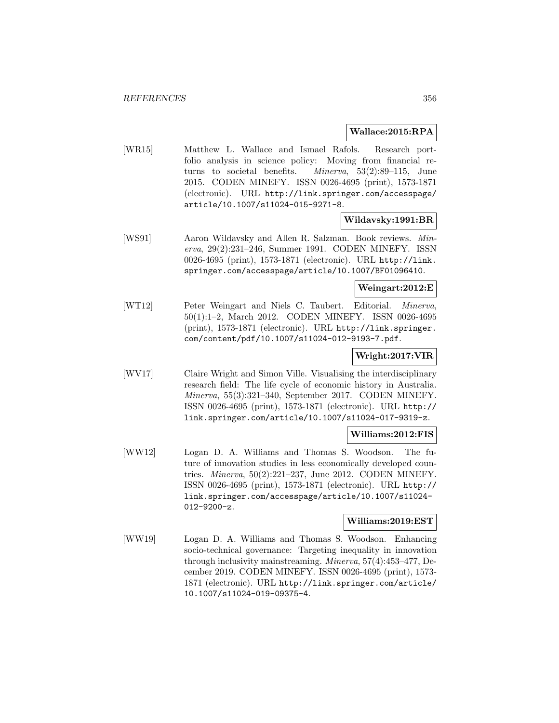### **Wallace:2015:RPA**

[WR15] Matthew L. Wallace and Ismael Rafols. Research portfolio analysis in science policy: Moving from financial returns to societal benefits. Minerva, 53(2):89–115, June 2015. CODEN MINEFY. ISSN 0026-4695 (print), 1573-1871 (electronic). URL http://link.springer.com/accesspage/ article/10.1007/s11024-015-9271-8.

**Wildavsky:1991:BR**

[WS91] Aaron Wildavsky and Allen R. Salzman. Book reviews. Minerva, 29(2):231–246, Summer 1991. CODEN MINEFY. ISSN 0026-4695 (print), 1573-1871 (electronic). URL http://link. springer.com/accesspage/article/10.1007/BF01096410.

**Weingart:2012:E**

[WT12] Peter Weingart and Niels C. Taubert. Editorial. Minerva, 50(1):1–2, March 2012. CODEN MINEFY. ISSN 0026-4695 (print), 1573-1871 (electronic). URL http://link.springer. com/content/pdf/10.1007/s11024-012-9193-7.pdf.

### **Wright:2017:VIR**

[WV17] Claire Wright and Simon Ville. Visualising the interdisciplinary research field: The life cycle of economic history in Australia. Minerva, 55(3):321–340, September 2017. CODEN MINEFY. ISSN 0026-4695 (print), 1573-1871 (electronic). URL http:// link.springer.com/article/10.1007/s11024-017-9319-z.

#### **Williams:2012:FIS**

[WW12] Logan D. A. Williams and Thomas S. Woodson. The future of innovation studies in less economically developed countries. Minerva, 50(2):221–237, June 2012. CODEN MINEFY. ISSN 0026-4695 (print), 1573-1871 (electronic). URL http:// link.springer.com/accesspage/article/10.1007/s11024- 012-9200-z.

#### **Williams:2019:EST**

[WW19] Logan D. A. Williams and Thomas S. Woodson. Enhancing socio-technical governance: Targeting inequality in innovation through inclusivity mainstreaming. Minerva, 57(4):453–477, December 2019. CODEN MINEFY. ISSN 0026-4695 (print), 1573- 1871 (electronic). URL http://link.springer.com/article/ 10.1007/s11024-019-09375-4.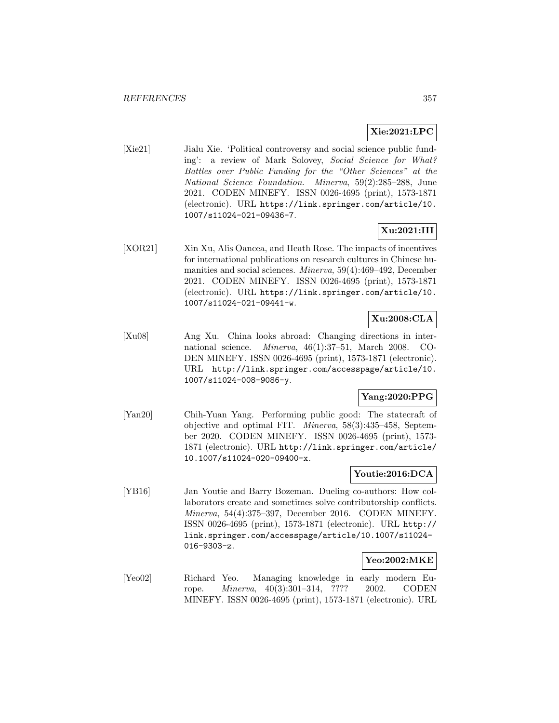# **Xie:2021:LPC**

[Xie21] Jialu Xie. 'Political controversy and social science public funding': a review of Mark Solovey, Social Science for What? Battles over Public Funding for the "Other Sciences" at the National Science Foundation. Minerva, 59(2):285–288, June 2021. CODEN MINEFY. ISSN 0026-4695 (print), 1573-1871 (electronic). URL https://link.springer.com/article/10. 1007/s11024-021-09436-7.

# **Xu:2021:III**

[XOR21] Xin Xu, Alis Oancea, and Heath Rose. The impacts of incentives for international publications on research cultures in Chinese humanities and social sciences. Minerva, 59(4):469–492, December 2021. CODEN MINEFY. ISSN 0026-4695 (print), 1573-1871 (electronic). URL https://link.springer.com/article/10. 1007/s11024-021-09441-w.

# **Xu:2008:CLA**

[Xu08] Ang Xu. China looks abroad: Changing directions in international science. Minerva, 46(1):37–51, March 2008. CO-DEN MINEFY. ISSN 0026-4695 (print), 1573-1871 (electronic). URL http://link.springer.com/accesspage/article/10. 1007/s11024-008-9086-y.

## **Yang:2020:PPG**

[Yan20] Chih-Yuan Yang. Performing public good: The statecraft of objective and optimal FIT. Minerva, 58(3):435–458, September 2020. CODEN MINEFY. ISSN 0026-4695 (print), 1573- 1871 (electronic). URL http://link.springer.com/article/ 10.1007/s11024-020-09400-x.

## **Youtie:2016:DCA**

[YB16] Jan Youtie and Barry Bozeman. Dueling co-authors: How collaborators create and sometimes solve contributorship conflicts. Minerva, 54(4):375–397, December 2016. CODEN MINEFY. ISSN 0026-4695 (print), 1573-1871 (electronic). URL http:// link.springer.com/accesspage/article/10.1007/s11024- 016-9303-z.

## **Yeo:2002:MKE**

[Yeo02] Richard Yeo. Managing knowledge in early modern Europe. Minerva, 40(3):301–314, ???? 2002. CODEN MINEFY. ISSN 0026-4695 (print), 1573-1871 (electronic). URL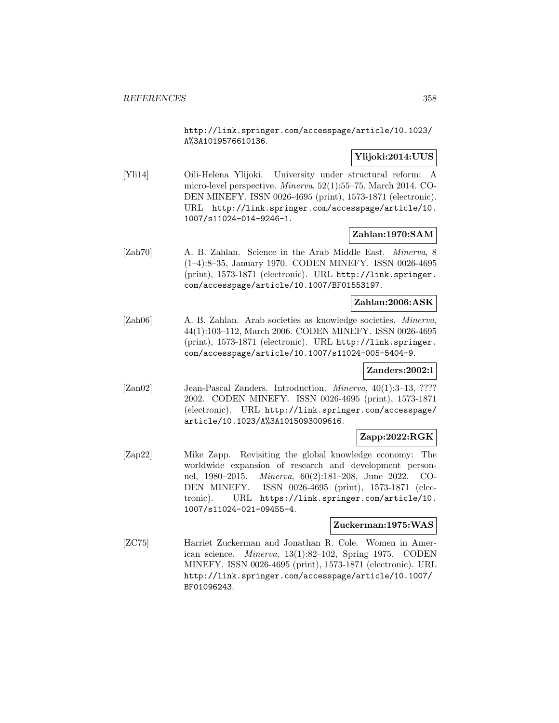http://link.springer.com/accesspage/article/10.1023/ A%3A1019576610136.

## **Ylijoki:2014:UUS**

[Yli14] Oili-Helena Ylijoki. University under structural reform: A micro-level perspective. Minerva, 52(1):55–75, March 2014. CO-DEN MINEFY. ISSN 0026-4695 (print), 1573-1871 (electronic). URL http://link.springer.com/accesspage/article/10. 1007/s11024-014-9246-1.

## **Zahlan:1970:SAM**

[Zah70] A. B. Zahlan. Science in the Arab Middle East. Minerva, 8 (1–4):8–35, January 1970. CODEN MINEFY. ISSN 0026-4695 (print), 1573-1871 (electronic). URL http://link.springer. com/accesspage/article/10.1007/BF01553197.

## **Zahlan:2006:ASK**

[Zah06] A. B. Zahlan. Arab societies as knowledge societies. Minerva, 44(1):103–112, March 2006. CODEN MINEFY. ISSN 0026-4695 (print), 1573-1871 (electronic). URL http://link.springer. com/accesspage/article/10.1007/s11024-005-5404-9.

## **Zanders:2002:I**

[Zan02] Jean-Pascal Zanders. Introduction. *Minerva*, 40(1):3–13, ???? 2002. CODEN MINEFY. ISSN 0026-4695 (print), 1573-1871 (electronic). URL http://link.springer.com/accesspage/ article/10.1023/A%3A1015093009616.

## **Zapp:2022:RGK**

[Zap22] Mike Zapp. Revisiting the global knowledge economy: The worldwide expansion of research and development personnel, 1980–2015. Minerva, 60(2):181–208, June 2022. CO-DEN MINEFY. ISSN 0026-4695 (print), 1573-1871 (electronic). URL https://link.springer.com/article/10. 1007/s11024-021-09455-4.

#### **Zuckerman:1975:WAS**

[ZC75] Harriet Zuckerman and Jonathan R. Cole. Women in American science. Minerva, 13(1):82–102, Spring 1975. CODEN MINEFY. ISSN 0026-4695 (print), 1573-1871 (electronic). URL http://link.springer.com/accesspage/article/10.1007/ BF01096243.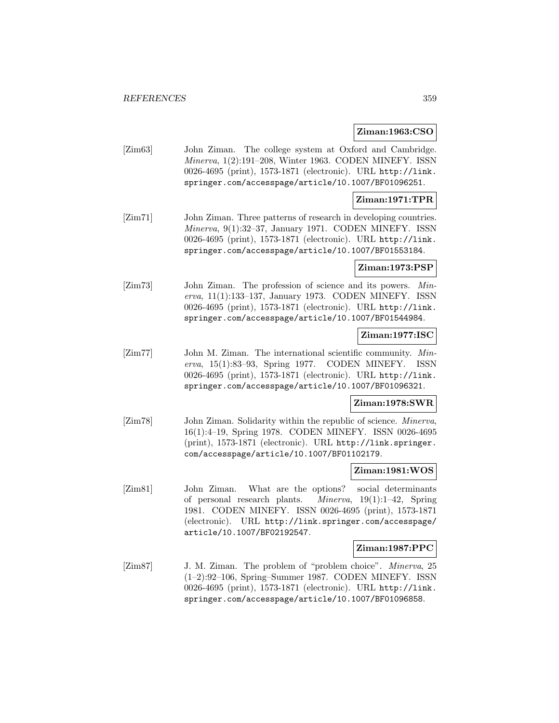### **Ziman:1963:CSO**

[Zim63] John Ziman. The college system at Oxford and Cambridge. Minerva, 1(2):191–208, Winter 1963. CODEN MINEFY. ISSN 0026-4695 (print), 1573-1871 (electronic). URL http://link. springer.com/accesspage/article/10.1007/BF01096251.

### **Ziman:1971:TPR**

[Zim71] John Ziman. Three patterns of research in developing countries. Minerva, 9(1):32–37, January 1971. CODEN MINEFY. ISSN 0026-4695 (print), 1573-1871 (electronic). URL http://link. springer.com/accesspage/article/10.1007/BF01553184.

## **Ziman:1973:PSP**

[Zim73] John Ziman. The profession of science and its powers. Minerva, 11(1):133–137, January 1973. CODEN MINEFY. ISSN 0026-4695 (print), 1573-1871 (electronic). URL http://link. springer.com/accesspage/article/10.1007/BF01544984.

### **Ziman:1977:ISC**

[Zim77] John M. Ziman. The international scientific community. Minerva, 15(1):83–93, Spring 1977. CODEN MINEFY. ISSN 0026-4695 (print), 1573-1871 (electronic). URL http://link. springer.com/accesspage/article/10.1007/BF01096321.

## **Ziman:1978:SWR**

[Zim78] John Ziman. Solidarity within the republic of science. *Minerva*, 16(1):4–19, Spring 1978. CODEN MINEFY. ISSN 0026-4695 (print), 1573-1871 (electronic). URL http://link.springer. com/accesspage/article/10.1007/BF01102179.

### **Ziman:1981:WOS**

[Zim81] John Ziman. What are the options? social determinants of personal research plants. Minerva, 19(1):1–42, Spring 1981. CODEN MINEFY. ISSN 0026-4695 (print), 1573-1871 (electronic). URL http://link.springer.com/accesspage/ article/10.1007/BF02192547.

#### **Ziman:1987:PPC**

[Zim87] J. M. Ziman. The problem of "problem choice". Minerva, 25 (1–2):92–106, Spring–Summer 1987. CODEN MINEFY. ISSN 0026-4695 (print), 1573-1871 (electronic). URL http://link. springer.com/accesspage/article/10.1007/BF01096858.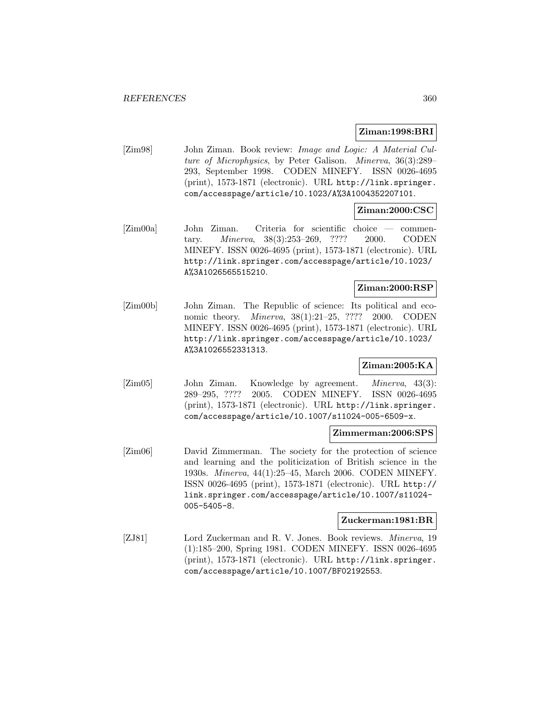## **Ziman:1998:BRI**

[Zim98] John Ziman. Book review: Image and Logic: A Material Culture of Microphysics, by Peter Galison. Minerva, 36(3):289– 293, September 1998. CODEN MINEFY. ISSN 0026-4695 (print), 1573-1871 (electronic). URL http://link.springer. com/accesspage/article/10.1023/A%3A1004352207101.

## **Ziman:2000:CSC**

[Zim00a] John Ziman. Criteria for scientific choice — commentary. Minerva, 38(3):253–269, ???? 2000. CODEN MINEFY. ISSN 0026-4695 (print), 1573-1871 (electronic). URL http://link.springer.com/accesspage/article/10.1023/ A%3A1026565515210.

## **Ziman:2000:RSP**

[Zim00b] John Ziman. The Republic of science: Its political and economic theory. Minerva, 38(1):21–25, ???? 2000. CODEN MINEFY. ISSN 0026-4695 (print), 1573-1871 (electronic). URL http://link.springer.com/accesspage/article/10.1023/ A%3A1026552331313.

## **Ziman:2005:KA**

[Zim05] John Ziman. Knowledge by agreement. *Minerva*, 43(3): 289–295, ???? 2005. CODEN MINEFY. ISSN 0026-4695 (print), 1573-1871 (electronic). URL http://link.springer. com/accesspage/article/10.1007/s11024-005-6509-x.

## **Zimmerman:2006:SPS**

[Zim06] David Zimmerman. The society for the protection of science and learning and the politicization of British science in the 1930s. Minerva, 44(1):25–45, March 2006. CODEN MINEFY. ISSN 0026-4695 (print), 1573-1871 (electronic). URL http:// link.springer.com/accesspage/article/10.1007/s11024- 005-5405-8.

## **Zuckerman:1981:BR**

[ZJ81] Lord Zuckerman and R. V. Jones. Book reviews. Minerva, 19 (1):185–200, Spring 1981. CODEN MINEFY. ISSN 0026-4695 (print), 1573-1871 (electronic). URL http://link.springer. com/accesspage/article/10.1007/BF02192553.